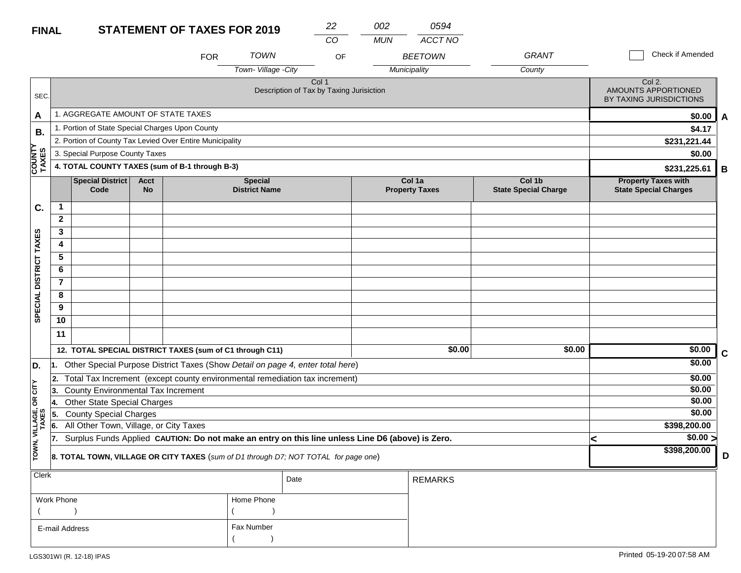# **FINAL**

| <b>FINAL</b>            |                                                                                            |                                                          |                   | <b>STATEMENT OF TAXES FOR 2019</b> |                                                                                                  | 22    | 002        | 0594                            |                                       |                                                            |   |
|-------------------------|--------------------------------------------------------------------------------------------|----------------------------------------------------------|-------------------|------------------------------------|--------------------------------------------------------------------------------------------------|-------|------------|---------------------------------|---------------------------------------|------------------------------------------------------------|---|
|                         |                                                                                            |                                                          |                   |                                    |                                                                                                  | CO    | <b>MUN</b> | ACCT NO                         |                                       |                                                            |   |
|                         |                                                                                            |                                                          |                   | <b>FOR</b>                         | <b>TOWN</b>                                                                                      | OF    |            | <b>BEETOWN</b>                  | <b>GRANT</b>                          | Check if Amended                                           |   |
|                         |                                                                                            |                                                          |                   |                                    | Town-Village -City                                                                               |       |            | Municipality                    | County                                |                                                            |   |
| SEC.                    |                                                                                            |                                                          |                   |                                    | Description of Tax by Taxing Jurisiction                                                         | Col 1 |            |                                 |                                       | Col 2.<br>AMOUNTS APPORTIONED<br>BY TAXING JURISDICTIONS   |   |
| A                       |                                                                                            | 1. AGGREGATE AMOUNT OF STATE TAXES                       |                   |                                    |                                                                                                  |       |            |                                 |                                       | \$0.00                                                     | A |
| <b>B.</b>               |                                                                                            | 1. Portion of State Special Charges Upon County          |                   |                                    |                                                                                                  |       |            |                                 |                                       | \$4.17                                                     |   |
|                         |                                                                                            | 2. Portion of County Tax Levied Over Entire Municipality |                   |                                    |                                                                                                  |       |            |                                 |                                       | \$231,221.44                                               |   |
|                         |                                                                                            | 3. Special Purpose County Taxes                          |                   |                                    |                                                                                                  |       |            |                                 |                                       | \$0.00                                                     |   |
| <b>COUNTY</b><br>TAXES  |                                                                                            | 4. TOTAL COUNTY TAXES (sum of B-1 through B-3)           |                   |                                    |                                                                                                  |       |            |                                 |                                       | \$231,225.61                                               | В |
|                         |                                                                                            | <b>Special District</b><br>Code                          | Acct<br><b>No</b> |                                    | <b>Special</b><br><b>District Name</b>                                                           |       |            | Col 1a<br><b>Property Taxes</b> | Col 1b<br><b>State Special Charge</b> | <b>Property Taxes with</b><br><b>State Special Charges</b> |   |
| C.                      | $\mathbf 1$                                                                                |                                                          |                   |                                    |                                                                                                  |       |            |                                 |                                       |                                                            |   |
|                         | $\mathbf{2}$                                                                               |                                                          |                   |                                    |                                                                                                  |       |            |                                 |                                       |                                                            |   |
|                         | 3                                                                                          |                                                          |                   |                                    |                                                                                                  |       |            |                                 |                                       |                                                            |   |
|                         | 4                                                                                          |                                                          |                   |                                    |                                                                                                  |       |            |                                 |                                       |                                                            |   |
|                         | 5                                                                                          |                                                          |                   |                                    |                                                                                                  |       |            |                                 |                                       |                                                            |   |
| DISTRICT TAXES          | 6                                                                                          |                                                          |                   |                                    |                                                                                                  |       |            |                                 |                                       |                                                            |   |
|                         | $\overline{7}$                                                                             |                                                          |                   |                                    |                                                                                                  |       |            |                                 |                                       |                                                            |   |
| <b>SPECIAL</b>          | 8                                                                                          |                                                          |                   |                                    |                                                                                                  |       |            |                                 |                                       |                                                            |   |
|                         | 9                                                                                          |                                                          |                   |                                    |                                                                                                  |       |            |                                 |                                       |                                                            |   |
|                         | 10                                                                                         |                                                          |                   |                                    |                                                                                                  |       |            |                                 |                                       |                                                            |   |
|                         | 11                                                                                         |                                                          |                   |                                    |                                                                                                  |       |            |                                 |                                       |                                                            |   |
|                         |                                                                                            | 12. TOTAL SPECIAL DISTRICT TAXES (sum of C1 through C11) |                   |                                    |                                                                                                  |       |            | \$0.00                          | \$0.00                                | \$0.00                                                     | C |
| D.                      | 1.                                                                                         |                                                          |                   |                                    | Other Special Purpose District Taxes (Show Detail on page 4, enter total here)                   |       |            |                                 |                                       | \$0.00                                                     |   |
|                         | 2.                                                                                         |                                                          |                   |                                    | Total Tax Increment (except county environmental remediation tax increment)                      |       |            |                                 |                                       | \$0.00                                                     |   |
| $OR$ $CITY$             | 3.                                                                                         | <b>County Environmental Tax Increment</b>                |                   |                                    |                                                                                                  |       |            |                                 |                                       | \$0.00                                                     |   |
|                         |                                                                                            | <b>Other State Special Charges</b>                       |                   |                                    |                                                                                                  |       |            |                                 |                                       | \$0.00                                                     |   |
|                         | 5.                                                                                         | <b>County Special Charges</b>                            |                   |                                    |                                                                                                  |       |            |                                 |                                       | \$0.00                                                     |   |
| TOWN, VILLAGE,<br>TAXES | 6.                                                                                         | All Other Town, Village, or City Taxes                   |                   |                                    |                                                                                                  |       |            |                                 |                                       | \$398,200.00                                               |   |
|                         | 17.                                                                                        |                                                          |                   |                                    | Surplus Funds Applied CAUTION: Do not make an entry on this line unless Line D6 (above) is Zero. |       |            |                                 |                                       | \$0.00 ><br><                                              |   |
|                         | <b>8. TOTAL TOWN, VILLAGE OR CITY TAXES</b> (sum of D1 through D7; NOT TOTAL for page one) |                                                          |                   |                                    |                                                                                                  |       |            |                                 |                                       | \$398,200.00                                               | D |

| $ $ Clerk      |            | Date | REMARKS |
|----------------|------------|------|---------|
| Work Phone     | Home Phone |      |         |
|                |            |      |         |
| E-mail Address | Fax Number |      |         |
|                |            |      |         |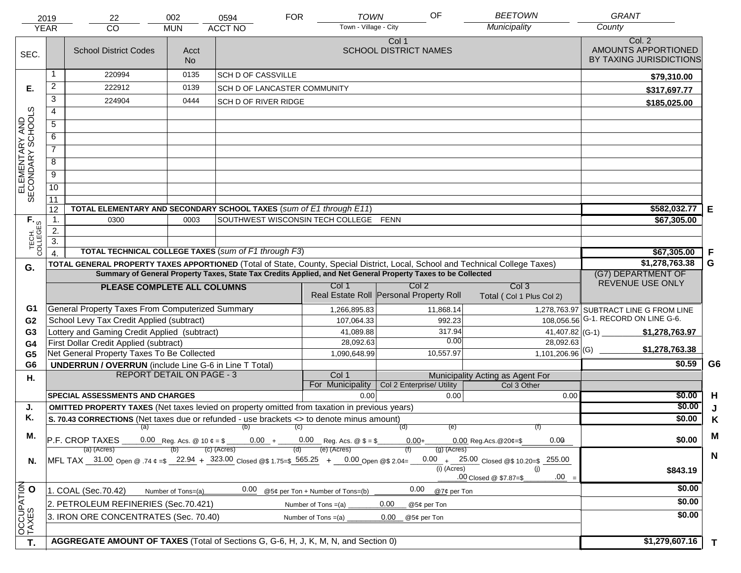|                                     | 2019                   | 22                                                                                                                             | 002                              | 0594                                                              | <b>FOR</b>            | <b>TOWN</b>                      | OF                                      |                                                          | <b>BEETOWN</b>                | <b>GRANT</b>                                             |              |
|-------------------------------------|------------------------|--------------------------------------------------------------------------------------------------------------------------------|----------------------------------|-------------------------------------------------------------------|-----------------------|----------------------------------|-----------------------------------------|----------------------------------------------------------|-------------------------------|----------------------------------------------------------|--------------|
|                                     | <b>YEAR</b>            | CO                                                                                                                             | <b>MUN</b>                       | <b>ACCT NO</b>                                                    |                       | Town - Village - City            |                                         | Municipality                                             |                               | County                                                   |              |
| SEC.                                |                        | <b>School District Codes</b>                                                                                                   | Acct<br><b>No</b>                |                                                                   |                       |                                  | Col 1<br><b>SCHOOL DISTRICT NAMES</b>   |                                                          |                               | Col. 2<br>AMOUNTS APPORTIONED<br>BY TAXING JURISDICTIONS |              |
|                                     | 1                      | 220994                                                                                                                         | 0135                             | <b>SCH D OF CASSVILLE</b>                                         |                       |                                  |                                         |                                                          |                               | \$79,310.00                                              |              |
| Е.                                  | $\overline{c}$         | 222912                                                                                                                         | 0139                             | SCH D OF LANCASTER COMMUNITY                                      |                       |                                  |                                         |                                                          |                               | \$317,697.77                                             |              |
|                                     | 3                      | 224904                                                                                                                         | 0444                             | <b>SCH D OF RIVER RIDGE</b>                                       |                       |                                  |                                         |                                                          |                               | \$185,025.00                                             |              |
|                                     | 4                      |                                                                                                                                |                                  |                                                                   |                       |                                  |                                         |                                                          |                               |                                                          |              |
|                                     | $\overline{5}$         |                                                                                                                                |                                  |                                                                   |                       |                                  |                                         |                                                          |                               |                                                          |              |
|                                     | 6                      |                                                                                                                                |                                  |                                                                   |                       |                                  |                                         |                                                          |                               |                                                          |              |
|                                     | $\overline{7}$         |                                                                                                                                |                                  |                                                                   |                       |                                  |                                         |                                                          |                               |                                                          |              |
| ELEMENTARY AND<br>SECONDARY SCHOOLS | 8                      |                                                                                                                                |                                  |                                                                   |                       |                                  |                                         |                                                          |                               |                                                          |              |
|                                     | $\overline{9}$         |                                                                                                                                |                                  |                                                                   |                       |                                  |                                         |                                                          |                               |                                                          |              |
|                                     | 10                     |                                                                                                                                |                                  |                                                                   |                       |                                  |                                         |                                                          |                               |                                                          |              |
|                                     | $\overline{11}$        |                                                                                                                                |                                  |                                                                   |                       |                                  |                                         |                                                          |                               |                                                          |              |
|                                     | 12                     | TOTAL ELEMENTARY AND SECONDARY SCHOOL TAXES (sum of E1 through E11)                                                            |                                  | $$582,032.77$ E                                                   |                       |                                  |                                         |                                                          |                               |                                                          |              |
|                                     | $\mathbf{1}$ .         | 0300                                                                                                                           | 0003                             | SOUTHWEST WISCONSIN TECH COLLEGE FENN                             |                       |                                  |                                         |                                                          |                               | \$67,305.00                                              |              |
|                                     | 2.<br>$\overline{3}$ . |                                                                                                                                |                                  |                                                                   |                       |                                  |                                         |                                                          |                               |                                                          |              |
| TECH. T                             | $\boldsymbol{\Lambda}$ | <b>TOTAL TECHNICAL COLLEGE TAXES (sum of F1 through F3)</b>                                                                    |                                  |                                                                   |                       |                                  |                                         |                                                          |                               | \$67,305.00                                              | F            |
|                                     |                        | TOTAL GENERAL PROPERTY TAXES APPORTIONED (Total of State, County, Special District, Local, School and Technical College Taxes) |                                  | \$1,278,763.38                                                    | G                     |                                  |                                         |                                                          |                               |                                                          |              |
| G.                                  |                        | Summary of General Property Taxes, State Tax Credits Applied, and Net General Property Taxes to be Collected                   | (G7) DEPARTMENT OF               |                                                                   |                       |                                  |                                         |                                                          |                               |                                                          |              |
|                                     |                        | PLEASE COMPLETE ALL COLUMNS                                                                                                    |                                  |                                                                   |                       | Col 1                            | Col <sub>2</sub>                        |                                                          | Col <sub>3</sub>              | REVENUE USE ONLY                                         |              |
|                                     |                        |                                                                                                                                |                                  |                                                                   |                       |                                  | Real Estate Roll Personal Property Roll |                                                          | Total (Col 1 Plus Col 2)      |                                                          |              |
| G1                                  |                        | General Property Taxes From Computerized Summary                                                                               |                                  |                                                                   |                       | 1,266,895.83                     | 11,868.14                               |                                                          |                               | 1,278,763.97 SUBTRACT LINE G FROM LINE                   |              |
| G <sub>2</sub>                      |                        | School Levy Tax Credit Applied (subtract)                                                                                      |                                  |                                                                   |                       | 107,064.33                       |                                         | 992.23                                                   |                               | 108,056.56 G-1. RECORD ON LINE G-6.                      |              |
| G <sub>3</sub>                      |                        | Lottery and Gaming Credit Applied (subtract)                                                                                   |                                  |                                                                   |                       | 41,089.88                        |                                         | 317.94                                                   | 41,407.82 (G-1)               | \$1,278,763.97                                           |              |
| G <sub>4</sub>                      |                        | First Dollar Credit Applied (subtract)                                                                                         |                                  |                                                                   |                       | 28,092.63                        |                                         | 0.00                                                     | 28,092.63                     | \$1,278,763.38                                           |              |
| G <sub>5</sub>                      |                        | Net General Property Taxes To Be Collected                                                                                     |                                  |                                                                   |                       | 1,090,648.99                     | 10,557.97                               |                                                          | $1,101,206.96$ <sup>(G)</sup> |                                                          |              |
| G <sub>6</sub>                      |                        | <b>UNDERRUN / OVERRUN</b> (include Line G-6 in Line T Total)                                                                   | <b>REPORT DETAIL ON PAGE - 3</b> |                                                                   |                       | Col 1                            |                                         |                                                          |                               | \$0.59                                                   | G6           |
| Η.                                  |                        |                                                                                                                                |                                  |                                                                   |                       | For Municipality                 | Col 2 Enterprise/ Utility               | Municipality Acting as Agent For                         | Col 3 Other                   |                                                          |              |
|                                     |                        | <b>SPECIAL ASSESSMENTS AND CHARGES</b>                                                                                         |                                  |                                                                   |                       | 0.00                             |                                         | 0.00                                                     | 0.00                          | \$0.00                                                   | H            |
| J.                                  |                        | <b>OMITTED PROPERTY TAXES</b> (Net taxes levied on property omitted from taxation in previous years)                           |                                  |                                                                   |                       |                                  |                                         |                                                          |                               | \$0.00                                                   |              |
| Κ.                                  |                        | S. 70.43 CORRECTIONS (Net taxes due or refunded - use brackets <> to denote minus amount)                                      |                                  |                                                                   |                       |                                  |                                         |                                                          |                               | \$0.00                                                   | K            |
| М.                                  |                        |                                                                                                                                |                                  | (a) (b) (c)                                                       |                       |                                  | (d)                                     | (e)                                                      |                               |                                                          | M            |
|                                     |                        | P.F. CROP TAXES                                                                                                                |                                  | 0.00 Reg. Acs. @ 10 $\phi = \$$ 0.00 + 0.00 Reg. Acs. @ $\$ = \$$ |                       | (e) (Acres)                      | $0.00 +$                                | $0.00$ Reg. Acs. @ 20¢=\$                                | 0.00                          | \$0.00                                                   |              |
| N.                                  |                        | (a) (Acres)<br>MFL TAX 31.00 Open @ .74 $\epsilon = $$ 22.94 + 323.00 Closed @\$ 1.75=\$ 565.25 + 0.00 Open @\$ 2.04=          |                                  | (c) (Acres)                                                       | (d)                   |                                  |                                         | (g) (Acres)<br>0.00 $+$ 25.00 Closed @\$ 10.20=\$ 255.00 |                               |                                                          | N            |
|                                     |                        |                                                                                                                                |                                  |                                                                   |                       |                                  |                                         | (i) (Acres)                                              | (i)                           | \$843.19                                                 |              |
|                                     |                        |                                                                                                                                |                                  |                                                                   |                       |                                  |                                         | .00 Closed @ \$7.87=\$                                   | $.00 =$                       |                                                          |              |
|                                     |                        | 1. COAL (Sec.70.42)                                                                                                            | Number of Tons=(a)               | 0.00                                                              |                       | @5¢ per Ton + Number of Tons=(b) | 0.00                                    | @7¢ per Ton                                              |                               | \$0.00                                                   |              |
|                                     |                        | 2. PETROLEUM REFINERIES (Sec.70.421)                                                                                           |                                  |                                                                   | Number of Tons $=(a)$ |                                  | 0.00<br>@5¢ per Ton                     |                                                          |                               | \$0.00                                                   |              |
|                                     |                        | 3. IRON ORE CONCENTRATES (Sec. 70.40)                                                                                          |                                  |                                                                   | Number of Tons $=(a)$ |                                  | 0.00<br>@5¢ per Ton                     |                                                          |                               | \$0.00                                                   |              |
| OCCUPATION                          |                        |                                                                                                                                |                                  |                                                                   |                       |                                  |                                         |                                                          |                               |                                                          |              |
| T.                                  |                        | AGGREGATE AMOUNT OF TAXES (Total of Sections G, G-6, H, J, K, M, N, and Section 0)                                             |                                  |                                                                   |                       |                                  |                                         |                                                          |                               | \$1,279,607.16                                           | $\mathbf{T}$ |
|                                     |                        |                                                                                                                                |                                  |                                                                   |                       |                                  |                                         |                                                          |                               |                                                          |              |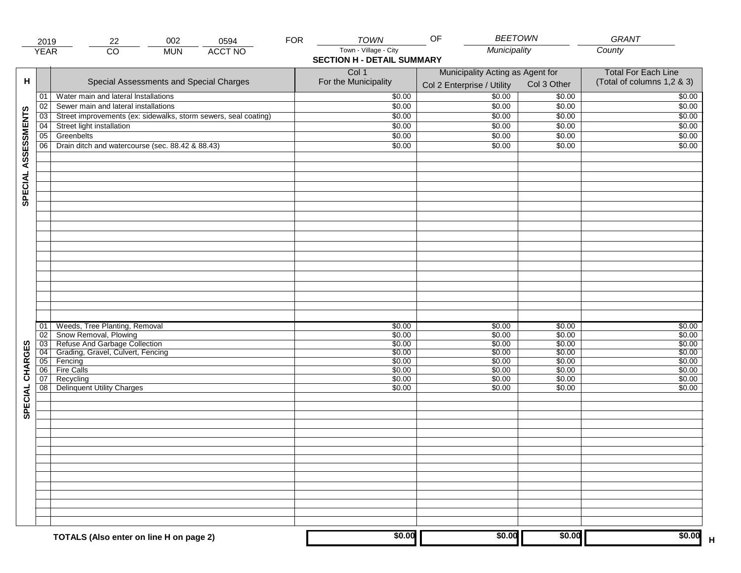|                     | 2019            | 22                                                                                                                                                                    | 002        | 0594           | <b>FOR</b> | <b>TOWN</b>                                                | <b>BEETOWN</b><br>OF                                           |                                                          | GRANT                                                    |
|---------------------|-----------------|-----------------------------------------------------------------------------------------------------------------------------------------------------------------------|------------|----------------|------------|------------------------------------------------------------|----------------------------------------------------------------|----------------------------------------------------------|----------------------------------------------------------|
|                     | <b>YEAR</b>     | $\overline{CO}$                                                                                                                                                       | <b>MUN</b> | <b>ACCT NO</b> |            | Town - Village - City<br><b>SECTION H - DETAIL SUMMARY</b> | Municipality                                                   |                                                          | County                                                   |
| н                   |                 | Special Assessments and Special Charges                                                                                                                               |            |                |            | Col 1<br>For the Municipality                              | Municipality Acting as Agent for<br>Col 2 Enterprise / Utility | Col 3 Other                                              | <b>Total For Each Line</b><br>(Total of columns 1,2 & 3) |
|                     | 01              | Water main and lateral Installations                                                                                                                                  |            |                |            | \$0.00                                                     | $\frac{1}{00}$                                                 | \$0.00                                                   | \$0.00                                                   |
|                     | 02              | Sewer main and lateral installations                                                                                                                                  |            |                |            | \$0.00                                                     | \$0.00                                                         | \$0.00                                                   | \$0.00                                                   |
|                     | $\overline{03}$ | Street improvements (ex: sidewalks, storm sewers, seal coating)                                                                                                       |            |                |            | \$0.00                                                     | \$0.00                                                         | \$0.00                                                   | \$0.00                                                   |
|                     | 04              | Street light installation                                                                                                                                             |            |                |            | \$0.00                                                     | \$0.00                                                         | \$0.00                                                   | \$0.00                                                   |
|                     | 05              | Greenbelts                                                                                                                                                            |            |                |            | \$0.00                                                     | \$0.00                                                         | \$0.00                                                   | \$0.00                                                   |
|                     | 06              | Drain ditch and watercourse (sec. 88.42 & 88.43)                                                                                                                      |            |                |            | \$0.00                                                     | \$0.00                                                         | \$0.00                                                   | \$0.00                                                   |
| SPECIAL ASSESSMENTS |                 |                                                                                                                                                                       |            |                |            |                                                            |                                                                |                                                          |                                                          |
| CHARGES             | 01<br>02<br>06  | Weeds, Tree Planting, Removal<br>Snow Removal, Plowing<br>03 Refuse And Garbage Collection<br>04 Grading, Gravel, Culvert, Fencing<br>05 Fencing<br><b>Fire Calls</b> |            |                |            | \$0.00<br>\$0.00<br>\$0.00<br>\$0.00<br>\$0.00<br>\$0.00   | \$0.00<br>\$0.00<br>\$0.00<br>\$0.00<br>\$0.00<br>\$0.00       | \$0.00<br>\$0.00<br>\$0.00<br>\$0.00<br>\$0.00<br>\$0.00 | \$0.00<br>\$0.00<br>\$0.00<br>\$0.00<br>\$0.00<br>\$0.00 |
| SPECIAL             | 07<br>08        | Recycling<br><b>Delinquent Utility Charges</b>                                                                                                                        |            |                |            | \$0.00<br>\$0.00                                           | \$0.00<br>\$0.00                                               | \$0.00<br>\$0.00                                         | \$0.00<br>\$0.00                                         |
|                     |                 |                                                                                                                                                                       |            |                |            |                                                            |                                                                |                                                          |                                                          |
|                     |                 | TOTALS (Also enter on line H on page 2)                                                                                                                               |            |                |            | \$0.00                                                     | \$0.00                                                         | \$0.00                                                   | \$0.00                                                   |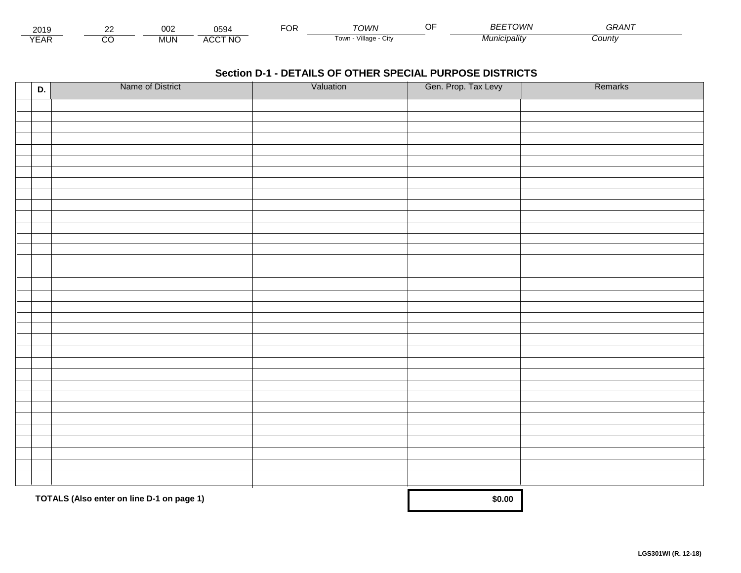| - - -<br>201.               | $\sim$ | 002        | 0594                 | ЮR | <b>Γ</b> ΟΙΛ/Ν                                    | $\sim$ $\sim$<br> | DFTO14/1<br>ומעמו | $\sim$ $\sim$ $\sim$ $\sim$ $\sim$<br>⊣⊓. |  |
|-----------------------------|--------|------------|----------------------|----|---------------------------------------------------|-------------------|-------------------|-------------------------------------------|--|
| $\sqrt{2}$<br>▵<br><b>L</b> |        | <b>MUN</b> | CCT NC،<br><b>ΔΙ</b> |    | <br>$\sqrt{1}$ llage - $\sqrt{2}$<br>l own<br>ستت |                   | ™°'∩'alitv        | .cunty                                    |  |

| D. | Name of District                          | Valuation | Gen. Prop. Tax Levy | Remarks |
|----|-------------------------------------------|-----------|---------------------|---------|
|    |                                           |           |                     |         |
|    |                                           |           |                     |         |
|    |                                           |           |                     |         |
|    |                                           |           |                     |         |
|    |                                           |           |                     |         |
|    |                                           |           |                     |         |
|    |                                           |           |                     |         |
|    |                                           |           |                     |         |
|    |                                           |           |                     |         |
|    |                                           |           |                     |         |
|    |                                           |           |                     |         |
|    |                                           |           |                     |         |
|    |                                           |           |                     |         |
|    |                                           |           |                     |         |
|    |                                           |           |                     |         |
|    |                                           |           |                     |         |
|    |                                           |           |                     |         |
|    |                                           |           |                     |         |
|    |                                           |           |                     |         |
|    |                                           |           |                     |         |
|    |                                           |           |                     |         |
|    |                                           |           |                     |         |
|    |                                           |           |                     |         |
|    |                                           |           |                     |         |
|    |                                           |           |                     |         |
|    |                                           |           |                     |         |
|    |                                           |           |                     |         |
|    |                                           |           |                     |         |
|    |                                           |           |                     |         |
|    |                                           |           |                     |         |
|    | TOTALS (Also enter on line D-1 on page 1) | \$0.00    |                     |         |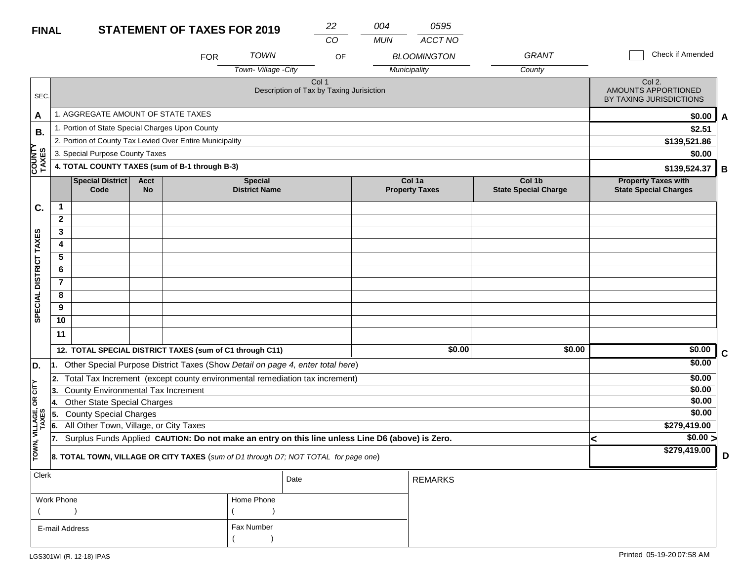| <b>FINAL</b>           |                                                                                                                                                  |                                                 |                          | <b>STATEMENT OF TAXES FOR 2019</b>                                                  |                                        | 22                                                |    | 004        | 0595                            |                                       |              |                                                            |   |  |  |  |
|------------------------|--------------------------------------------------------------------------------------------------------------------------------------------------|-------------------------------------------------|--------------------------|-------------------------------------------------------------------------------------|----------------------------------------|---------------------------------------------------|----|------------|---------------------------------|---------------------------------------|--------------|------------------------------------------------------------|---|--|--|--|
|                        |                                                                                                                                                  |                                                 |                          |                                                                                     |                                        | CO                                                |    | <b>MUN</b> | ACCT NO                         |                                       |              |                                                            |   |  |  |  |
|                        |                                                                                                                                                  |                                                 |                          | <b>FOR</b>                                                                          | <b>TOWN</b>                            |                                                   | OF |            | <b>BLOOMINGTON</b>              | <b>GRANT</b>                          |              | Check if Amended                                           |   |  |  |  |
|                        |                                                                                                                                                  |                                                 |                          |                                                                                     | Town-Village -City                     |                                                   |    |            | Municipality                    | County                                |              |                                                            |   |  |  |  |
| SEC.                   |                                                                                                                                                  |                                                 |                          |                                                                                     |                                        | Col 1<br>Description of Tax by Taxing Jurisiction |    |            |                                 |                                       |              | Col 2.<br>AMOUNTS APPORTIONED<br>BY TAXING JURISDICTIONS   |   |  |  |  |
| A                      |                                                                                                                                                  | 1. AGGREGATE AMOUNT OF STATE TAXES              |                          |                                                                                     |                                        |                                                   |    |            |                                 |                                       |              | \$0.00                                                     | A |  |  |  |
| В.                     |                                                                                                                                                  | 1. Portion of State Special Charges Upon County |                          |                                                                                     |                                        |                                                   |    |            |                                 |                                       |              | \$2.51                                                     |   |  |  |  |
|                        |                                                                                                                                                  |                                                 |                          | 2. Portion of County Tax Levied Over Entire Municipality                            |                                        |                                                   |    |            |                                 |                                       | \$139,521.86 |                                                            |   |  |  |  |
|                        |                                                                                                                                                  | 3. Special Purpose County Taxes                 |                          |                                                                                     |                                        |                                                   |    |            |                                 |                                       |              | \$0.00                                                     |   |  |  |  |
| COUNTY<br>TAXES        |                                                                                                                                                  |                                                 |                          | 4. TOTAL COUNTY TAXES (sum of B-1 through B-3)                                      |                                        |                                                   |    |            |                                 |                                       |              | \$139,524.37                                               | B |  |  |  |
|                        |                                                                                                                                                  | <b>Special District</b><br>Code                 | <b>Acct</b><br><b>No</b> |                                                                                     | <b>Special</b><br><b>District Name</b> |                                                   |    |            | Col 1a<br><b>Property Taxes</b> | Col 1b<br><b>State Special Charge</b> |              | <b>Property Taxes with</b><br><b>State Special Charges</b> |   |  |  |  |
| C.                     | $\mathbf 1$                                                                                                                                      |                                                 |                          |                                                                                     |                                        |                                                   |    |            |                                 |                                       |              |                                                            |   |  |  |  |
|                        | $\overline{2}$                                                                                                                                   |                                                 |                          |                                                                                     |                                        |                                                   |    |            |                                 |                                       |              |                                                            |   |  |  |  |
|                        | 3                                                                                                                                                |                                                 |                          |                                                                                     |                                        |                                                   |    |            |                                 |                                       |              |                                                            |   |  |  |  |
|                        | 4                                                                                                                                                |                                                 |                          |                                                                                     |                                        |                                                   |    |            |                                 |                                       |              |                                                            |   |  |  |  |
|                        | 5                                                                                                                                                |                                                 |                          |                                                                                     |                                        |                                                   |    |            |                                 |                                       |              |                                                            |   |  |  |  |
|                        | 6                                                                                                                                                |                                                 |                          |                                                                                     |                                        |                                                   |    |            |                                 |                                       |              |                                                            |   |  |  |  |
| SPECIAL DISTRICT TAXES | $\overline{7}$                                                                                                                                   |                                                 |                          |                                                                                     |                                        |                                                   |    |            |                                 |                                       |              |                                                            |   |  |  |  |
|                        | 8                                                                                                                                                |                                                 |                          |                                                                                     |                                        |                                                   |    |            |                                 |                                       |              |                                                            |   |  |  |  |
|                        | 9                                                                                                                                                |                                                 |                          |                                                                                     |                                        |                                                   |    |            |                                 |                                       |              |                                                            |   |  |  |  |
|                        | 10                                                                                                                                               |                                                 |                          |                                                                                     |                                        |                                                   |    |            |                                 |                                       |              |                                                            |   |  |  |  |
|                        | 11                                                                                                                                               |                                                 |                          |                                                                                     |                                        |                                                   |    |            |                                 |                                       |              |                                                            |   |  |  |  |
|                        |                                                                                                                                                  |                                                 |                          | 12. TOTAL SPECIAL DISTRICT TAXES (sum of C1 through C11)                            |                                        |                                                   |    |            | \$0.00                          | \$0.00                                |              | \$0.00                                                     | C |  |  |  |
| D.                     | 1.                                                                                                                                               |                                                 |                          | Other Special Purpose District Taxes (Show Detail on page 4, enter total here)      |                                        |                                                   |    |            |                                 |                                       |              | \$0.00                                                     |   |  |  |  |
|                        | 2.                                                                                                                                               |                                                 |                          | Total Tax Increment (except county environmental remediation tax increment)         |                                        |                                                   |    |            |                                 |                                       |              | \$0.00                                                     |   |  |  |  |
| $OR$ $CITY$            | 13.                                                                                                                                              | County Environmental Tax Increment              |                          |                                                                                     |                                        |                                                   |    |            |                                 |                                       |              | \$0.00                                                     |   |  |  |  |
|                        | 14.                                                                                                                                              | Other State Special Charges                     |                          |                                                                                     |                                        |                                                   |    |            |                                 |                                       |              | \$0.00                                                     |   |  |  |  |
|                        | <b>County Special Charges</b><br>5.                                                                                                              |                                                 |                          |                                                                                     |                                        |                                                   |    |            |                                 |                                       |              | \$0.00                                                     |   |  |  |  |
| VILLAGE,               | All Other Town, Village, or City Taxes<br>6.<br>Surplus Funds Applied CAUTION: Do not make an entry on this line unless Line D6 (above) is Zero. |                                                 |                          |                                                                                     |                                        |                                                   |    |            |                                 |                                       |              | \$279,419.00                                               |   |  |  |  |
|                        | 17.                                                                                                                                              |                                                 |                          |                                                                                     |                                        |                                                   |    |            |                                 |                                       |              | \$0.00 >                                                   |   |  |  |  |
| TOWN,                  |                                                                                                                                                  |                                                 |                          | 8. TOTAL TOWN, VILLAGE OR CITY TAXES (sum of D1 through D7; NOT TOTAL for page one) |                                        |                                                   |    |            |                                 |                                       |              | \$279,419.00                                               | D |  |  |  |
| <b>Clerk</b>           |                                                                                                                                                  |                                                 |                          |                                                                                     |                                        | Date                                              |    |            | <b>REMARKS</b>                  |                                       |              |                                                            |   |  |  |  |
|                        | Work Phone                                                                                                                                       |                                                 |                          |                                                                                     | Home Phone                             |                                                   |    |            |                                 |                                       |              |                                                            |   |  |  |  |
|                        |                                                                                                                                                  |                                                 |                          |                                                                                     |                                        |                                                   |    |            |                                 |                                       |              |                                                            |   |  |  |  |
|                        | Fax Number<br>E-mail Address                                                                                                                     |                                                 |                          |                                                                                     |                                        |                                                   |    |            |                                 |                                       |              |                                                            |   |  |  |  |

 $($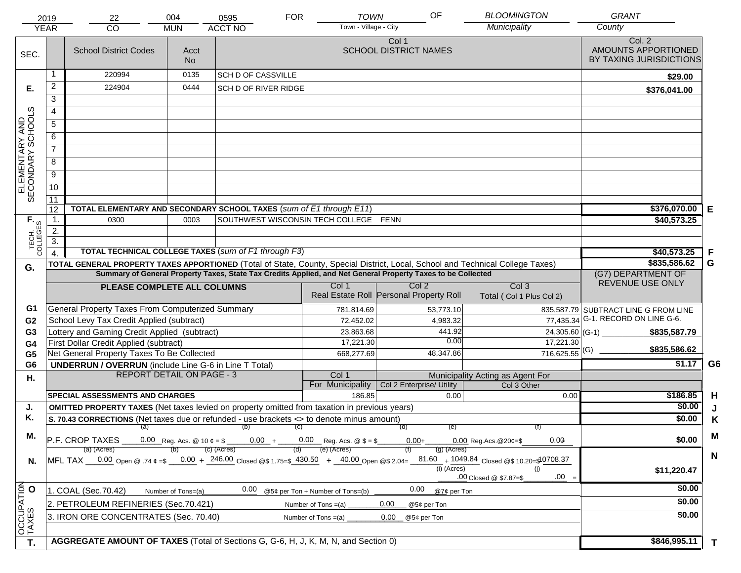|                                     | 2019                                                                                                                                                                                                | 22                                                                                                                             | 004                                    | 0595                      | <b>FOR</b> | <b>TOWN</b>                                      | OF                                    |                | <b>BLOOMINGTON</b>                                                                                                                                                                    | <b>GRANT</b>                                             |                |
|-------------------------------------|-----------------------------------------------------------------------------------------------------------------------------------------------------------------------------------------------------|--------------------------------------------------------------------------------------------------------------------------------|----------------------------------------|---------------------------|------------|--------------------------------------------------|---------------------------------------|----------------|---------------------------------------------------------------------------------------------------------------------------------------------------------------------------------------|----------------------------------------------------------|----------------|
|                                     | <b>YEAR</b>                                                                                                                                                                                         | <b>CO</b>                                                                                                                      | <b>MUN</b>                             | <b>ACCT NO</b>            |            | Town - Village - City                            |                                       |                | Municipality                                                                                                                                                                          | County                                                   |                |
| SEC.                                |                                                                                                                                                                                                     | <b>School District Codes</b>                                                                                                   | Acct<br><b>No</b>                      |                           |            |                                                  | Col 1<br><b>SCHOOL DISTRICT NAMES</b> |                |                                                                                                                                                                                       | Col. 2<br>AMOUNTS APPORTIONED<br>BY TAXING JURISDICTIONS |                |
|                                     |                                                                                                                                                                                                     | 220994                                                                                                                         | 0135                                   | <b>SCH D OF CASSVILLE</b> |            |                                                  |                                       |                |                                                                                                                                                                                       | \$29.00                                                  |                |
| Е.                                  | $\overline{2}$                                                                                                                                                                                      | 224904                                                                                                                         | 0444                                   | SCH D OF RIVER RIDGE      |            |                                                  |                                       |                |                                                                                                                                                                                       | \$376,041.00                                             |                |
|                                     | $\overline{3}$                                                                                                                                                                                      |                                                                                                                                |                                        |                           |            |                                                  |                                       |                |                                                                                                                                                                                       |                                                          |                |
|                                     | $\overline{4}$                                                                                                                                                                                      |                                                                                                                                |                                        |                           |            |                                                  |                                       |                |                                                                                                                                                                                       |                                                          |                |
|                                     | $\overline{5}$                                                                                                                                                                                      |                                                                                                                                |                                        |                           |            |                                                  |                                       |                |                                                                                                                                                                                       |                                                          |                |
|                                     | 6                                                                                                                                                                                                   |                                                                                                                                |                                        |                           |            |                                                  |                                       |                |                                                                                                                                                                                       |                                                          |                |
| ELEMENTARY AND<br>SECONDARY SCHOOLS | $\overline{7}$                                                                                                                                                                                      |                                                                                                                                |                                        |                           |            |                                                  |                                       |                |                                                                                                                                                                                       |                                                          |                |
|                                     | $\overline{8}$                                                                                                                                                                                      |                                                                                                                                |                                        |                           |            |                                                  |                                       |                |                                                                                                                                                                                       |                                                          |                |
|                                     | $\overline{9}$                                                                                                                                                                                      |                                                                                                                                |                                        |                           |            |                                                  |                                       |                |                                                                                                                                                                                       |                                                          |                |
|                                     | 10                                                                                                                                                                                                  |                                                                                                                                |                                        |                           |            |                                                  |                                       |                |                                                                                                                                                                                       |                                                          |                |
|                                     | 11                                                                                                                                                                                                  |                                                                                                                                |                                        |                           |            |                                                  |                                       |                |                                                                                                                                                                                       |                                                          |                |
|                                     | 12                                                                                                                                                                                                  | TOTAL ELEMENTARY AND SECONDARY SCHOOL TAXES (sum of E1 through E11)                                                            | \$376,070.00                           | E                         |            |                                                  |                                       |                |                                                                                                                                                                                       |                                                          |                |
|                                     | $\mathbf{1}$ .                                                                                                                                                                                      | 0300                                                                                                                           | \$40,573.25                            |                           |            |                                                  |                                       |                |                                                                                                                                                                                       |                                                          |                |
|                                     | 2.                                                                                                                                                                                                  |                                                                                                                                |                                        |                           |            |                                                  |                                       |                |                                                                                                                                                                                       |                                                          |                |
| TECH. T                             | $\overline{3}$ .                                                                                                                                                                                    |                                                                                                                                |                                        |                           |            |                                                  |                                       |                |                                                                                                                                                                                       |                                                          |                |
|                                     | $\overline{4}$                                                                                                                                                                                      | TOTAL TECHNICAL COLLEGE TAXES (sum of F1 through F3)                                                                           |                                        |                           |            |                                                  |                                       |                |                                                                                                                                                                                       | \$40,573.25                                              | F              |
| G.                                  |                                                                                                                                                                                                     | TOTAL GENERAL PROPERTY TAXES APPORTIONED (Total of State, County, Special District, Local, School and Technical College Taxes) | \$835,586.62                           | G                         |            |                                                  |                                       |                |                                                                                                                                                                                       |                                                          |                |
|                                     |                                                                                                                                                                                                     | Summary of General Property Taxes, State Tax Credits Applied, and Net General Property Taxes to be Collected                   | (G7) DEPARTMENT OF<br>REVENUE USE ONLY |                           |            |                                                  |                                       |                |                                                                                                                                                                                       |                                                          |                |
|                                     |                                                                                                                                                                                                     | PLEASE COMPLETE ALL COLUMNS                                                                                                    |                                        |                           |            | Col 1<br>Real Estate Roll Personal Property Roll | Col 2                                 |                | Col <sub>3</sub><br>Total (Col 1 Plus Col 2)                                                                                                                                          |                                                          |                |
| G1                                  |                                                                                                                                                                                                     | General Property Taxes From Computerized Summary                                                                               |                                        |                           |            | 781,814.69                                       |                                       | 53,773.10      |                                                                                                                                                                                       | 835,587.79 SUBTRACT LINE G FROM LINE                     |                |
| G <sub>2</sub>                      |                                                                                                                                                                                                     | School Levy Tax Credit Applied (subtract)                                                                                      |                                        |                           |            | 72,452.02                                        |                                       | 4,983.32       |                                                                                                                                                                                       | 77,435.34 G-1. RECORD ON LINE G-6.                       |                |
| G <sub>3</sub>                      |                                                                                                                                                                                                     | Lottery and Gaming Credit Applied (subtract)                                                                                   |                                        |                           |            | 23,863.68                                        |                                       | 441.92<br>0.00 | 24,305.60 (G-1)                                                                                                                                                                       | \$835,587.79                                             |                |
| G4                                  |                                                                                                                                                                                                     | First Dollar Credit Applied (subtract)                                                                                         |                                        |                           |            | 17,221.30                                        |                                       |                | 17,221.30<br>$716,625.55$ <sup>(G)</sup>                                                                                                                                              | \$835,586.62                                             |                |
| G <sub>5</sub><br>G <sub>6</sub>    |                                                                                                                                                                                                     | Net General Property Taxes To Be Collected                                                                                     |                                        |                           |            | 668,277.69                                       |                                       | 48,347.86      |                                                                                                                                                                                       | \$1.17                                                   | G <sub>6</sub> |
|                                     |                                                                                                                                                                                                     | <b>UNDERRUN / OVERRUN</b> (include Line G-6 in Line T Total)<br><b>REPORT DETAIL ON PAGE - 3</b>                               |                                        |                           |            | Col 1                                            |                                       |                | Municipality Acting as Agent For                                                                                                                                                      |                                                          |                |
| Η.                                  |                                                                                                                                                                                                     |                                                                                                                                |                                        |                           |            | For Municipality                                 | Col 2 Enterprise/ Utility             |                | Col 3 Other                                                                                                                                                                           |                                                          |                |
|                                     |                                                                                                                                                                                                     | <b>SPECIAL ASSESSMENTS AND CHARGES</b>                                                                                         |                                        |                           |            | 186.85                                           |                                       | 0.00           | 0.00                                                                                                                                                                                  | \$186.85                                                 | H              |
| J.                                  |                                                                                                                                                                                                     | <b>OMITTED PROPERTY TAXES</b> (Net taxes levied on property omitted from taxation in previous years)                           |                                        |                           |            |                                                  |                                       |                |                                                                                                                                                                                       | \$0.00                                                   | J              |
| Κ.                                  |                                                                                                                                                                                                     | S. 70.43 CORRECTIONS (Net taxes due or refunded - use brackets <> to denote minus amount)                                      |                                        | \$0.00                    | K          |                                                  |                                       |                |                                                                                                                                                                                       |                                                          |                |
| М.                                  | (e)<br>(f)<br>(a)<br>(b)<br>(c)<br>(d)<br>P.F. CROP TAXES<br>0.00 Reg. Acs. @ 10 $\ell = \frac{1}{2}$ 0.00 + 0.00 Reg. Acs. @ $\ell = \frac{1}{2}$<br>$0.00 +$<br>0.00<br>$0.00$ Reg. Acs. @ 20¢=\$ |                                                                                                                                |                                        |                           |            |                                                  |                                       |                |                                                                                                                                                                                       | \$0.00                                                   | M              |
|                                     | (e) (Acres)<br>(c) (Acres)<br>(a) (Acres)<br>$(g)$ (Acres)                                                                                                                                          |                                                                                                                                |                                        |                           |            |                                                  |                                       |                |                                                                                                                                                                                       |                                                          |                |
| N.                                  |                                                                                                                                                                                                     |                                                                                                                                |                                        |                           |            |                                                  |                                       |                | $MFL TAX = 0.00$ Open @ .74 $\varphi = $ -0.00 + \frac{246.00}{5}$ Closed @\$ 1.75=\$ 430.50 + 40.00 Open @\$ 2.04= $\frac{81.60}{5} + \frac{1049.84}{5}$ Closed @\$ 10.20=\$10708.37 |                                                          | N              |
|                                     |                                                                                                                                                                                                     |                                                                                                                                |                                        |                           |            |                                                  |                                       | (i) (Acres)    | (i)<br>$.00 =$<br>.00 Closed @ \$7.87=\$                                                                                                                                              | \$11,220.47                                              |                |
| OCCUPATION                          |                                                                                                                                                                                                     | 1. COAL (Sec.70.42)                                                                                                            | Number of Tons=(a)                     | 0.00                      |            | @5¢ per Ton + Number of Tons=(b)                 | 0.00                                  | @7¢ per Ton    |                                                                                                                                                                                       | \$0.00                                                   |                |
|                                     |                                                                                                                                                                                                     | 2. PETROLEUM REFINERIES (Sec.70.421)                                                                                           |                                        |                           |            | Number of Tons $=(a)$                            | 0.00<br>@5¢ per Ton                   |                |                                                                                                                                                                                       | \$0.00                                                   |                |
|                                     |                                                                                                                                                                                                     | 3. IRON ORE CONCENTRATES (Sec. 70.40)                                                                                          |                                        |                           |            | Number of Tons $=(a)$                            | 0.00<br>@5¢ per Ton                   |                |                                                                                                                                                                                       | \$0.00                                                   |                |
|                                     |                                                                                                                                                                                                     |                                                                                                                                |                                        |                           |            |                                                  |                                       |                |                                                                                                                                                                                       |                                                          |                |
| T.                                  |                                                                                                                                                                                                     | AGGREGATE AMOUNT OF TAXES (Total of Sections G, G-6, H, J, K, M, N, and Section 0)                                             |                                        |                           |            |                                                  |                                       |                |                                                                                                                                                                                       | \$846,995.11                                             | T              |
|                                     |                                                                                                                                                                                                     |                                                                                                                                |                                        |                           |            |                                                  |                                       |                |                                                                                                                                                                                       |                                                          |                |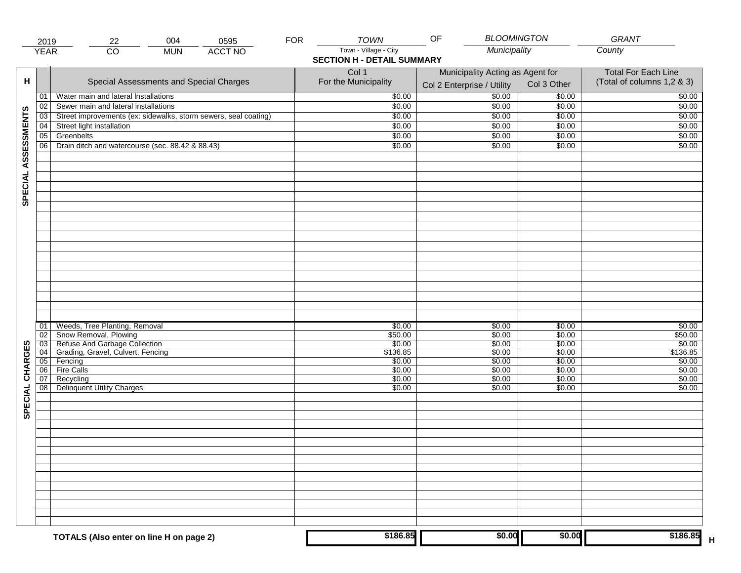|                     | 2019                 | 004<br>22<br>0595                                                                                                            | <b>FOR</b> | <b>TOWN</b>                                                | <b>BLOOMINGTON</b><br>OF                                       |                                      | GRANT                                                    |
|---------------------|----------------------|------------------------------------------------------------------------------------------------------------------------------|------------|------------------------------------------------------------|----------------------------------------------------------------|--------------------------------------|----------------------------------------------------------|
|                     | <b>YEAR</b>          | <b>ACCT NO</b><br>$\overline{CO}$<br><b>MUN</b>                                                                              |            | Town - Village - City<br><b>SECTION H - DETAIL SUMMARY</b> | Municipality                                                   |                                      | County                                                   |
| н                   |                      | Special Assessments and Special Charges                                                                                      |            | Col 1<br>For the Municipality                              | Municipality Acting as Agent for<br>Col 2 Enterprise / Utility | Col 3 Other                          | <b>Total For Each Line</b><br>(Total of columns 1,2 & 3) |
|                     | 01                   | Water main and lateral Installations                                                                                         |            | \$0.00                                                     | 50.00                                                          | \$0.00                               | \$0.00                                                   |
|                     | 02                   | Sewer main and lateral installations                                                                                         |            | \$0.00                                                     | \$0.00                                                         | \$0.00                               | \$0.00                                                   |
|                     | 03                   | Street improvements (ex: sidewalks, storm sewers, seal coating)                                                              |            | \$0.00                                                     | \$0.00                                                         | \$0.00                               | \$0.00                                                   |
|                     | 04                   | Street light installation                                                                                                    |            | \$0.00                                                     | \$0.00                                                         | \$0.00                               | \$0.00                                                   |
|                     | 05                   | Greenbelts                                                                                                                   |            | \$0.00                                                     | \$0.00                                                         | \$0.00                               | \$0.00                                                   |
|                     | 06                   | Drain ditch and watercourse (sec. 88.42 & 88.43)                                                                             |            | \$0.00                                                     | \$0.00                                                         | \$0.00                               | \$0.00                                                   |
| SPECIAL ASSESSMENTS |                      |                                                                                                                              |            |                                                            |                                                                |                                      |                                                          |
| CHARGES             | 01<br>02<br>03<br>04 | Weeds, Tree Planting, Removal<br>Snow Removal, Plowing<br>Refuse And Garbage Collection<br>Grading, Gravel, Culvert, Fencing |            | \$0.00<br>\$50.00<br>\$0.00<br>\$136.85                    | \$0.00<br>\$0.00<br>\$0.00<br>\$0.00                           | \$0.00<br>\$0.00<br>\$0.00<br>\$0.00 | \$0.00<br>\$50.00<br>\$0.00<br>\$136.85                  |
|                     | 05                   | Fencing                                                                                                                      |            | \$0.00                                                     | \$0.00                                                         | \$0.00                               | \$0.00                                                   |
|                     | 06                   | Fire Calls                                                                                                                   |            | \$0.00                                                     | \$0.00                                                         | \$0.00                               | \$0.00                                                   |
| SPECIAL             | 07<br>08             | Recycling<br><b>Delinquent Utility Charges</b>                                                                               |            | \$0.00<br>\$0.00                                           | \$0.00<br>\$0.00                                               | \$0.00<br>\$0.00                     | \$0.00<br>\$0.00                                         |
|                     |                      |                                                                                                                              |            |                                                            |                                                                |                                      |                                                          |
|                     |                      |                                                                                                                              |            |                                                            |                                                                |                                      |                                                          |
|                     |                      |                                                                                                                              |            |                                                            |                                                                |                                      |                                                          |
|                     |                      | TOTALS (Also enter on line H on page 2)                                                                                      |            | \$186.85                                                   | \$0.00                                                         | \$0.00                               | \$186.85                                                 |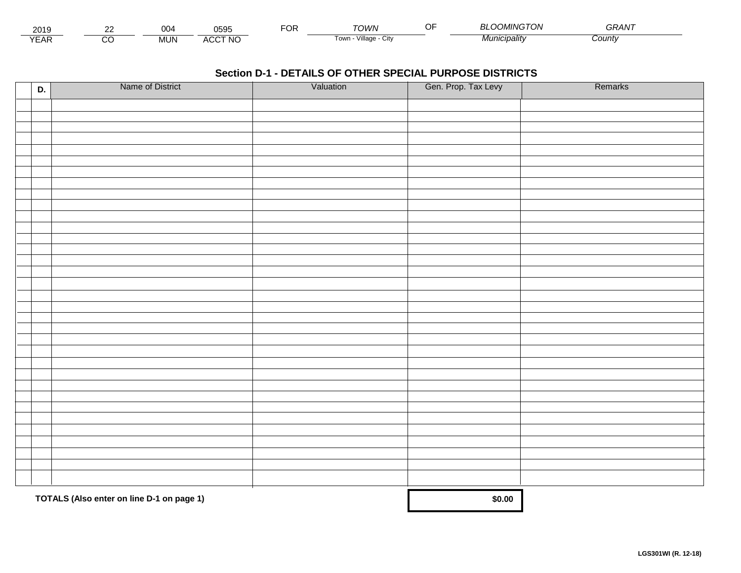| 2015                 | $\sim$ | ^^<br>◡◡ | 0595                           | $\neg$ $\wedge$ r.<br>◡┍ | TOWN                                          | MINGTON               | $\sim$ $\sim$<br>GRAN |  |
|----------------------|--------|----------|--------------------------------|--------------------------|-----------------------------------------------|-----------------------|-----------------------|--|
| $\sqrt{2}$<br>▵<br>. |        | .viUN    | CCT NC،<br>$\mathbf{A}$<br>nuu |                          | $\cdots$<br>1100<br>villade<br>' UWI.<br>◡៲៶៶ | ` <i>¶unicipalitv</i> | Count                 |  |

| D. | Name of District                          | Valuation | Gen. Prop. Tax Levy | Remarks |
|----|-------------------------------------------|-----------|---------------------|---------|
|    |                                           |           |                     |         |
|    |                                           |           |                     |         |
|    |                                           |           |                     |         |
|    |                                           |           |                     |         |
|    |                                           |           |                     |         |
|    |                                           |           |                     |         |
|    |                                           |           |                     |         |
|    |                                           |           |                     |         |
|    |                                           |           |                     |         |
|    |                                           |           |                     |         |
|    |                                           |           |                     |         |
|    |                                           |           |                     |         |
|    |                                           |           |                     |         |
|    |                                           |           |                     |         |
|    |                                           |           |                     |         |
|    |                                           |           |                     |         |
|    |                                           |           |                     |         |
|    |                                           |           |                     |         |
|    |                                           |           |                     |         |
|    |                                           |           |                     |         |
|    |                                           |           |                     |         |
|    |                                           |           |                     |         |
|    |                                           |           |                     |         |
|    |                                           |           |                     |         |
|    |                                           |           |                     |         |
|    |                                           |           |                     |         |
|    |                                           |           |                     |         |
|    |                                           |           |                     |         |
|    |                                           |           |                     |         |
|    |                                           |           |                     |         |
|    | TOTALS (Also enter on line D-1 on page 1) | \$0.00    |                     |         |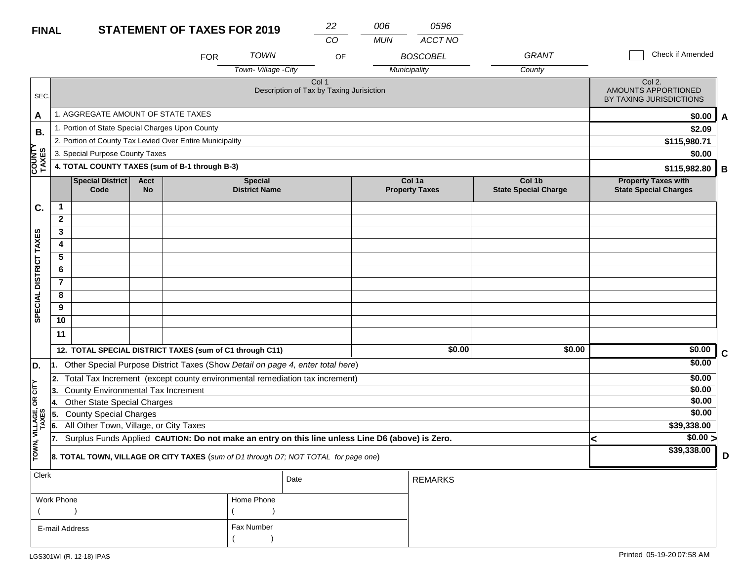#### **STATEMENT OF TAXES FO FINAL**

| R 2019 | 22 | 006 |
|--------|----|-----|
|        |    |     |

Fax Number

 $($ 

*CO MUN ACCT NO*

*0596*

|                          |                                                |                                                 |                          | <b>FOR</b>                                               | <b>TOWN</b>                            | OF                                                                                               |              | <b>BOSCOBEL</b>                 | <b>GRANT</b>                          |                                                            | Check if Amended |   |
|--------------------------|------------------------------------------------|-------------------------------------------------|--------------------------|----------------------------------------------------------|----------------------------------------|--------------------------------------------------------------------------------------------------|--------------|---------------------------------|---------------------------------------|------------------------------------------------------------|------------------|---|
|                          |                                                |                                                 |                          |                                                          | Town-Village -City                     |                                                                                                  | Municipality |                                 | County                                |                                                            |                  |   |
| SEC.                     |                                                |                                                 |                          |                                                          |                                        | Col 1<br>Description of Tax by Taxing Jurisiction                                                |              |                                 |                                       | Col 2.<br>AMOUNTS APPORTIONED<br>BY TAXING JURISDICTIONS   |                  |   |
| A                        |                                                | 1. AGGREGATE AMOUNT OF STATE TAXES              |                          |                                                          |                                        |                                                                                                  |              |                                 |                                       |                                                            | \$0.00           | A |
| В.                       |                                                | 1. Portion of State Special Charges Upon County |                          |                                                          |                                        |                                                                                                  |              |                                 |                                       |                                                            | \$2.09           |   |
|                          |                                                |                                                 |                          | 2. Portion of County Tax Levied Over Entire Municipality |                                        |                                                                                                  |              |                                 |                                       | \$115,980.71                                               |                  |   |
|                          | 3. Special Purpose County Taxes                |                                                 |                          |                                                          |                                        |                                                                                                  |              |                                 |                                       |                                                            | \$0.00           |   |
| COUNTY<br>TAXES<br>TAXES | 4. TOTAL COUNTY TAXES (sum of B-1 through B-3) |                                                 |                          |                                                          |                                        |                                                                                                  |              |                                 |                                       |                                                            | \$115,982.80     | В |
|                          |                                                | Special District<br>Code                        | <b>Acct</b><br><b>No</b> |                                                          | <b>Special</b><br><b>District Name</b> |                                                                                                  |              | Col 1a<br><b>Property Taxes</b> | Col 1b<br><b>State Special Charge</b> | <b>Property Taxes with</b><br><b>State Special Charges</b> |                  |   |
| C.                       | $\mathbf{1}$                                   |                                                 |                          |                                                          |                                        |                                                                                                  |              |                                 |                                       |                                                            |                  |   |
|                          | $\mathbf{2}$                                   |                                                 |                          |                                                          |                                        |                                                                                                  |              |                                 |                                       |                                                            |                  |   |
|                          | 3                                              |                                                 |                          |                                                          |                                        |                                                                                                  |              |                                 |                                       |                                                            |                  |   |
|                          | 4                                              |                                                 |                          |                                                          |                                        |                                                                                                  |              |                                 |                                       |                                                            |                  |   |
|                          | 5                                              |                                                 |                          |                                                          |                                        |                                                                                                  |              |                                 |                                       |                                                            |                  |   |
|                          | 6                                              |                                                 |                          |                                                          |                                        |                                                                                                  |              |                                 |                                       |                                                            |                  |   |
| SPECIAL DISTRICT TAXES   | $\overline{\mathbf{r}}$                        |                                                 |                          |                                                          |                                        |                                                                                                  |              |                                 |                                       |                                                            |                  |   |
|                          | 8                                              |                                                 |                          |                                                          |                                        |                                                                                                  |              |                                 |                                       |                                                            |                  |   |
|                          | 9                                              |                                                 |                          |                                                          |                                        |                                                                                                  |              |                                 |                                       |                                                            |                  |   |
|                          | 10                                             |                                                 |                          |                                                          |                                        |                                                                                                  |              |                                 |                                       |                                                            |                  |   |
|                          | 11                                             |                                                 |                          |                                                          |                                        |                                                                                                  |              |                                 |                                       |                                                            |                  |   |
|                          |                                                |                                                 |                          | 12. TOTAL SPECIAL DISTRICT TAXES (sum of C1 through C11) |                                        |                                                                                                  |              | \$0.00                          | \$0.00                                |                                                            | \$0.00           | C |
| D.                       |                                                |                                                 |                          |                                                          |                                        | 1. Other Special Purpose District Taxes (Show Detail on page 4, enter total here)                |              |                                 |                                       |                                                            | \$0.00           |   |
|                          | 2.                                             |                                                 |                          |                                                          |                                        | Total Tax Increment (except county environmental remediation tax increment)                      |              |                                 |                                       |                                                            | \$0.00           |   |
| OR CITY                  | 3.                                             | County Environmental Tax Increment              |                          |                                                          |                                        |                                                                                                  |              |                                 |                                       |                                                            | \$0.00           |   |
|                          | 14.                                            | Other State Special Charges                     |                          |                                                          |                                        |                                                                                                  |              |                                 |                                       |                                                            | \$0.00           |   |
|                          | 5.                                             | <b>County Special Charges</b>                   |                          |                                                          |                                        |                                                                                                  |              |                                 |                                       |                                                            | \$0.00           |   |
|                          | 6.                                             | All Other Town, Village, or City Taxes          |                          |                                                          |                                        |                                                                                                  |              |                                 |                                       |                                                            | \$39,338.00      |   |
| TOWN, VILLAGE,<br>TAXES  | 17.                                            |                                                 |                          |                                                          |                                        | Surplus Funds Applied CAUTION: Do not make an entry on this line unless Line D6 (above) is Zero. |              |                                 |                                       | k                                                          | $\sqrt{$0.00}$   |   |
|                          |                                                |                                                 |                          |                                                          |                                        | 8. TOTAL TOWN, VILLAGE OR CITY TAXES (sum of D1 through D7; NOT TOTAL for page one)              |              |                                 |                                       |                                                            | \$39,338.00      | D |
| Clerk                    |                                                |                                                 |                          |                                                          |                                        | Date                                                                                             |              | <b>REMARKS</b>                  |                                       |                                                            |                  |   |
|                          | Work Phone                                     |                                                 |                          |                                                          | Home Phone                             |                                                                                                  |              |                                 |                                       |                                                            |                  |   |
|                          |                                                |                                                 |                          |                                                          |                                        |                                                                                                  |              |                                 |                                       |                                                            |                  |   |

E-mail Address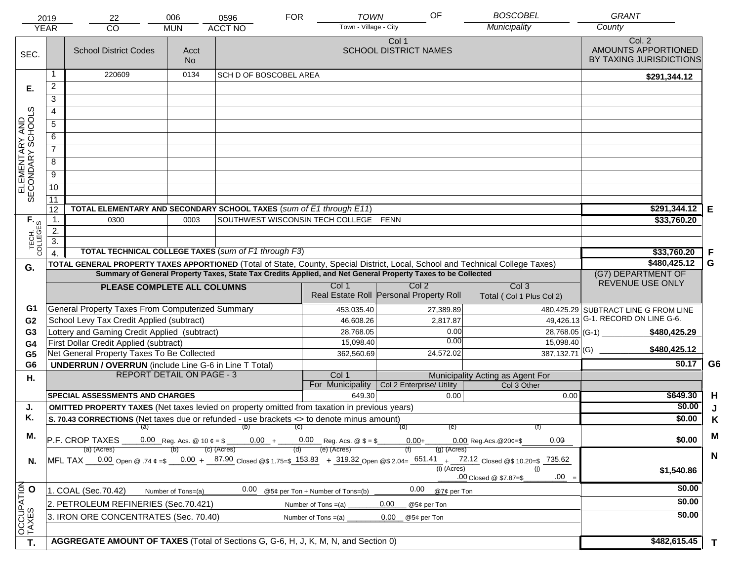|                                     | 2019                  | 22                                                                                                                             | 006                              | 0596                                                                          | <b>FOR</b>            | <b>TOWN</b>                      | OF                                                                                                           | <b>BOSCOBEL</b>                                                                                                                        | <b>GRANT</b>                                             |                |
|-------------------------------------|-----------------------|--------------------------------------------------------------------------------------------------------------------------------|----------------------------------|-------------------------------------------------------------------------------|-----------------------|----------------------------------|--------------------------------------------------------------------------------------------------------------|----------------------------------------------------------------------------------------------------------------------------------------|----------------------------------------------------------|----------------|
|                                     | <b>YEAR</b>           | CO                                                                                                                             | <b>MUN</b>                       | <b>ACCT NO</b>                                                                |                       | Town - Village - City            |                                                                                                              | Municipality                                                                                                                           | County                                                   |                |
| SEC.                                |                       | <b>School District Codes</b>                                                                                                   | Acct<br><b>No</b>                |                                                                               |                       |                                  | Col 1<br><b>SCHOOL DISTRICT NAMES</b>                                                                        |                                                                                                                                        | Col. 2<br>AMOUNTS APPORTIONED<br>BY TAXING JURISDICTIONS |                |
|                                     | 1                     | 220609                                                                                                                         | 0134                             | <b>SCH D OF BOSCOBEL AREA</b>                                                 |                       |                                  |                                                                                                              |                                                                                                                                        | \$291,344.12                                             |                |
| Е.                                  | $\overline{2}$        |                                                                                                                                |                                  |                                                                               |                       |                                  |                                                                                                              |                                                                                                                                        |                                                          |                |
|                                     | 3                     |                                                                                                                                |                                  |                                                                               |                       |                                  |                                                                                                              |                                                                                                                                        |                                                          |                |
|                                     | 4                     |                                                                                                                                |                                  |                                                                               |                       |                                  |                                                                                                              |                                                                                                                                        |                                                          |                |
|                                     | $\overline{5}$        |                                                                                                                                |                                  |                                                                               |                       |                                  |                                                                                                              |                                                                                                                                        |                                                          |                |
|                                     | 6                     |                                                                                                                                |                                  |                                                                               |                       |                                  |                                                                                                              |                                                                                                                                        |                                                          |                |
| ELEMENTARY AND<br>SECONDARY SCHOOLS | $\overline{7}$        |                                                                                                                                |                                  |                                                                               |                       |                                  |                                                                                                              |                                                                                                                                        |                                                          |                |
|                                     | 8                     |                                                                                                                                |                                  |                                                                               |                       |                                  |                                                                                                              |                                                                                                                                        |                                                          |                |
|                                     | $\overline{9}$        |                                                                                                                                |                                  |                                                                               |                       |                                  |                                                                                                              |                                                                                                                                        |                                                          |                |
|                                     |                       |                                                                                                                                |                                  |                                                                               |                       |                                  |                                                                                                              |                                                                                                                                        |                                                          |                |
|                                     | 10                    |                                                                                                                                |                                  |                                                                               |                       |                                  |                                                                                                              |                                                                                                                                        |                                                          |                |
|                                     | $\overline{11}$<br>12 | TOTAL ELEMENTARY AND SECONDARY SCHOOL TAXES (sum of E1 through E11)                                                            |                                  |                                                                               |                       |                                  |                                                                                                              |                                                                                                                                        | \$291,344.12                                             | E              |
|                                     | 1.                    | 0300                                                                                                                           | 0003                             | SOUTHWEST WISCONSIN TECH COLLEGE FENN                                         |                       |                                  |                                                                                                              |                                                                                                                                        | \$33,760.20                                              |                |
|                                     | 2.                    |                                                                                                                                |                                  |                                                                               |                       |                                  |                                                                                                              |                                                                                                                                        |                                                          |                |
|                                     | $\overline{3}$ .      |                                                                                                                                |                                  |                                                                               |                       |                                  |                                                                                                              |                                                                                                                                        |                                                          |                |
| TECH. T                             | $\overline{4}$        | TOTAL TECHNICAL COLLEGE TAXES (sum of F1 through F3)                                                                           |                                  |                                                                               |                       |                                  |                                                                                                              |                                                                                                                                        | \$33,760.20                                              | F              |
| G.                                  |                       | TOTAL GENERAL PROPERTY TAXES APPORTIONED (Total of State, County, Special District, Local, School and Technical College Taxes) |                                  | \$480,425.12                                                                  | G                     |                                  |                                                                                                              |                                                                                                                                        |                                                          |                |
|                                     |                       |                                                                                                                                |                                  |                                                                               |                       |                                  | Summary of General Property Taxes, State Tax Credits Applied, and Net General Property Taxes to be Collected |                                                                                                                                        | (G7) DEPARTMENT OF                                       |                |
|                                     |                       | PLEASE COMPLETE ALL COLUMNS                                                                                                    |                                  |                                                                               |                       | Col 1                            | Col <sub>2</sub>                                                                                             | Col <sub>3</sub>                                                                                                                       | REVENUE USE ONLY                                         |                |
|                                     |                       |                                                                                                                                |                                  |                                                                               |                       |                                  | Real Estate Roll Personal Property Roll                                                                      | Total (Col 1 Plus Col 2)                                                                                                               |                                                          |                |
| G1                                  |                       | General Property Taxes From Computerized Summary                                                                               |                                  |                                                                               |                       | 453,035.40                       | 27,389.89                                                                                                    |                                                                                                                                        | 480,425.29 SUBTRACT LINE G FROM LINE                     |                |
| G <sub>2</sub>                      |                       | School Levy Tax Credit Applied (subtract)                                                                                      |                                  |                                                                               |                       | 46,608.26                        | 2,817.87                                                                                                     | 49,426.13                                                                                                                              | G-1. RECORD ON LINE G-6.                                 |                |
| G3                                  |                       | Lottery and Gaming Credit Applied (subtract)                                                                                   |                                  |                                                                               |                       | 28,768.05<br>15,098.40           | 0.00<br>0.00                                                                                                 | 28,768.05 (G-1) $-$<br>15,098.40                                                                                                       | \$480,425.29                                             |                |
| G4<br>G <sub>5</sub>                |                       | First Dollar Credit Applied (subtract)<br>Net General Property Taxes To Be Collected                                           |                                  |                                                                               |                       | 362,560.69                       | 24,572.02                                                                                                    | $\frac{1}{387,132.71}$ (G)                                                                                                             | \$480,425.12                                             |                |
| G <sub>6</sub>                      |                       | <b>UNDERRUN / OVERRUN</b> (include Line G-6 in Line T Total)                                                                   |                                  |                                                                               |                       |                                  |                                                                                                              |                                                                                                                                        | \$0.17                                                   | G <sub>6</sub> |
| Η.                                  |                       |                                                                                                                                | <b>REPORT DETAIL ON PAGE - 3</b> |                                                                               |                       | Col 1                            |                                                                                                              | Municipality Acting as Agent For                                                                                                       |                                                          |                |
|                                     |                       |                                                                                                                                |                                  |                                                                               |                       | For Municipality                 | Col 2 Enterprise/ Utility                                                                                    | Col 3 Other                                                                                                                            |                                                          |                |
|                                     |                       | <b>SPECIAL ASSESSMENTS AND CHARGES</b>                                                                                         |                                  |                                                                               |                       | 649.30                           | 0.00                                                                                                         | 0.00                                                                                                                                   | \$649.30                                                 | H              |
| J.                                  |                       | <b>OMITTED PROPERTY TAXES</b> (Net taxes levied on property omitted from taxation in previous years)                           |                                  |                                                                               |                       |                                  |                                                                                                              |                                                                                                                                        | \$0.00                                                   | J              |
| Κ.                                  |                       | S. 70.43 CORRECTIONS (Net taxes due or refunded - use brackets <> to denote minus amount)                                      |                                  |                                                                               |                       |                                  |                                                                                                              |                                                                                                                                        | \$0.00                                                   | K              |
| М.                                  |                       |                                                                                                                                |                                  | $(a)$ (b) (c)                                                                 |                       |                                  | (e)<br>(d)                                                                                                   |                                                                                                                                        |                                                          | M              |
|                                     |                       | P.F. CROP TAXES<br>(a) (Acres)                                                                                                 |                                  | 0.00 Reg. Acs. @ 10 $\phi = $$ 0.00 + 0.00 Reg. Acs. @ \$ = \$<br>(c) (Acres) |                       | (e) (Acres)                      | $0.00 +$<br>(g) (Acres)                                                                                      | 0.09<br>$0.00$ Reg. Acs. @ 20¢=\$                                                                                                      | \$0.00                                                   |                |
| N.                                  |                       |                                                                                                                                |                                  |                                                                               |                       |                                  |                                                                                                              | MFL TAX 0.00 Open @ .74 ¢ =\$ 0.00 + 87.90 Closed @\$ 1.75=\$ 153.83 + 319.32 Open @\$ 2.04= 651.41 + 72.12 Closed @\$ 10.20=\$ 735.62 |                                                          | $\mathbf N$    |
|                                     |                       |                                                                                                                                |                                  |                                                                               |                       |                                  | (i) (Acres)                                                                                                  | (i)                                                                                                                                    | \$1,540.86                                               |                |
|                                     |                       |                                                                                                                                |                                  |                                                                               |                       |                                  |                                                                                                              | $.00 =$<br>.00 Closed @ \$7.87=\$                                                                                                      |                                                          |                |
|                                     |                       | 1. COAL (Sec.70.42)                                                                                                            | Number of Tons=(a)               | 0.00                                                                          |                       | @5¢ per Ton + Number of Tons=(b) | 0.00<br>@7¢ per Ton                                                                                          |                                                                                                                                        | \$0.00                                                   |                |
|                                     |                       | 2. PETROLEUM REFINERIES (Sec.70.421)                                                                                           |                                  |                                                                               | Number of Tons $=(a)$ |                                  | 0.00<br>@5¢ per Ton                                                                                          |                                                                                                                                        | \$0.00                                                   |                |
|                                     |                       | 3. IRON ORE CONCENTRATES (Sec. 70.40)                                                                                          |                                  |                                                                               | Number of Tons $=(a)$ |                                  | 0.00<br>@5¢ per Ton                                                                                          |                                                                                                                                        | \$0.00                                                   |                |
| OCCUPATION<br>TAXES O               |                       |                                                                                                                                |                                  |                                                                               |                       |                                  |                                                                                                              |                                                                                                                                        |                                                          |                |
| T.                                  |                       | AGGREGATE AMOUNT OF TAXES (Total of Sections G, G-6, H, J, K, M, N, and Section 0)                                             |                                  |                                                                               |                       |                                  |                                                                                                              |                                                                                                                                        | \$482,615.45                                             | $\mathbf{T}$   |
|                                     |                       |                                                                                                                                |                                  |                                                                               |                       |                                  |                                                                                                              |                                                                                                                                        |                                                          |                |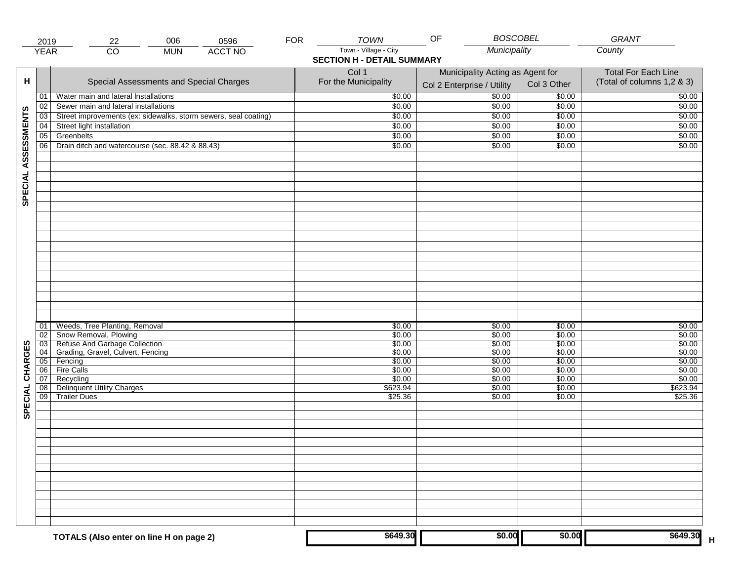|                     | 2019                  | 006<br>0596<br>22                                               | <b>FOR</b> | <b>TOWN</b>                                                | <b>BOSCOBEL</b><br>OF                                          |                  | GRANT                                                    |
|---------------------|-----------------------|-----------------------------------------------------------------|------------|------------------------------------------------------------|----------------------------------------------------------------|------------------|----------------------------------------------------------|
|                     | <b>YEAR</b>           | $\overline{CO}$<br><b>ACCT NO</b><br><b>MUN</b>                 |            | Town - Village - City<br><b>SECTION H - DETAIL SUMMARY</b> | Municipality                                                   |                  | County                                                   |
| н                   |                       | Special Assessments and Special Charges                         |            | Col 1<br>For the Municipality                              | Municipality Acting as Agent for<br>Col 2 Enterprise / Utility | Col 3 Other      | <b>Total For Each Line</b><br>(Total of columns 1,2 & 3) |
|                     | 01                    | Water main and lateral Installations                            |            | \$0.00                                                     | 50.00                                                          | \$0.00           | \$0.00                                                   |
|                     | 02                    | Sewer main and lateral installations                            |            | \$0.00                                                     | \$0.00                                                         | \$0.00           | \$0.00                                                   |
|                     | 03                    | Street improvements (ex: sidewalks, storm sewers, seal coating) |            | \$0.00                                                     | \$0.00                                                         | \$0.00           | \$0.00                                                   |
|                     | 04                    | Street light installation                                       |            | \$0.00                                                     | \$0.00                                                         | $\sqrt{$0.00}$   | \$0.00                                                   |
|                     | 05                    | Greenbelts                                                      |            | \$0.00                                                     | \$0.00                                                         | \$0.00           | \$0.00                                                   |
|                     | 06                    | Drain ditch and watercourse (sec. 88.42 & 88.43)                |            | \$0.00                                                     | \$0.00                                                         | \$0.00           | \$0.00                                                   |
| SPECIAL ASSESSMENTS |                       |                                                                 |            |                                                            |                                                                |                  |                                                          |
|                     | 01<br>02              | Weeds, Tree Planting, Removal<br>Snow Removal, Plowing          |            | \$0.00<br>\$0.00                                           | \$0.00<br>\$0.00                                               | \$0.00<br>\$0.00 | \$0.00<br>\$0.00                                         |
|                     | 03                    | Refuse And Garbage Collection                                   |            | \$0.00                                                     | \$0.00                                                         | \$0.00           | \$0.00                                                   |
| CHARGES             | 04                    | Grading, Gravel, Culvert, Fencing                               |            | \$0.00                                                     | \$0.00                                                         | \$0.00           | \$0.00                                                   |
|                     | 05                    | Fencing                                                         |            | \$0.00                                                     | \$0.00                                                         | \$0.00           | \$0.00                                                   |
|                     | 06                    | Fire Calls                                                      |            | \$0.00                                                     | \$0.00                                                         | \$0.00           | \$0.00                                                   |
|                     | 07                    | Recycling                                                       |            | \$0.00                                                     | \$0.00                                                         | \$0.00           | \$0.00                                                   |
| SPECIAL             | 08<br>$\overline{09}$ | <b>Delinquent Utility Charges</b><br><b>Trailer Dues</b>        |            | \$623.94<br>\$25.36                                        | \$0.00<br>\$0.00                                               | \$0.00<br>\$0.00 | \$623.94<br>\$25.36                                      |
|                     |                       |                                                                 |            |                                                            |                                                                |                  |                                                          |
|                     |                       |                                                                 |            |                                                            |                                                                |                  |                                                          |
|                     |                       |                                                                 |            |                                                            |                                                                |                  |                                                          |
|                     |                       |                                                                 |            |                                                            |                                                                |                  |                                                          |
|                     |                       | TOTALS (Also enter on line H on page 2)                         |            | \$649.30                                                   | \$0.00                                                         | \$0.00           | \$649.30                                                 |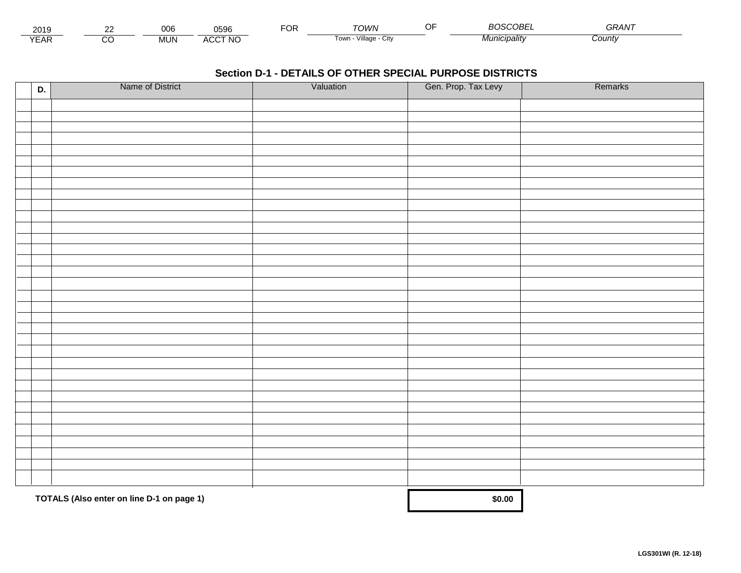| 201:                        | $\sim$ | $\sim$<br><b>UUL</b> | 0596                | ЮR | י <i>ו</i> ו/וור                | $\sim$ $\sim$<br> | $\sim$ $\sim$ $\sim$ $\sim$ $\sim$ $\sim$<br>m<br>OBE | $\mathbf{a} \mathbf{a} \mathbf{a} \mathbf{b}$<br>75. |  |
|-----------------------------|--------|----------------------|---------------------|----|---------------------------------|-------------------|-------------------------------------------------------|------------------------------------------------------|--|
| $\sqrt{2}$<br>▵<br><b>L</b> |        | <b>MUN</b>           | CCT NC،<br>$\Delta$ |    | <br>√illage - ′<br>l own<br>ستت |                   | nicipality                                            | County                                               |  |

| D. | Name of District                          | Valuation | Gen. Prop. Tax Levy | Remarks |
|----|-------------------------------------------|-----------|---------------------|---------|
|    |                                           |           |                     |         |
|    |                                           |           |                     |         |
|    |                                           |           |                     |         |
|    |                                           |           |                     |         |
|    |                                           |           |                     |         |
|    |                                           |           |                     |         |
|    |                                           |           |                     |         |
|    |                                           |           |                     |         |
|    |                                           |           |                     |         |
|    |                                           |           |                     |         |
|    |                                           |           |                     |         |
|    |                                           |           |                     |         |
|    |                                           |           |                     |         |
|    |                                           |           |                     |         |
|    |                                           |           |                     |         |
|    |                                           |           |                     |         |
|    |                                           |           |                     |         |
|    |                                           |           |                     |         |
|    |                                           |           |                     |         |
|    |                                           |           |                     |         |
|    |                                           |           |                     |         |
|    |                                           |           |                     |         |
|    |                                           |           |                     |         |
|    |                                           |           |                     |         |
|    |                                           |           |                     |         |
|    |                                           |           |                     |         |
|    |                                           |           |                     |         |
|    |                                           |           |                     |         |
|    |                                           |           |                     |         |
|    |                                           |           |                     |         |
|    | TOTALS (Also enter on line D-1 on page 1) |           | \$0.00              |         |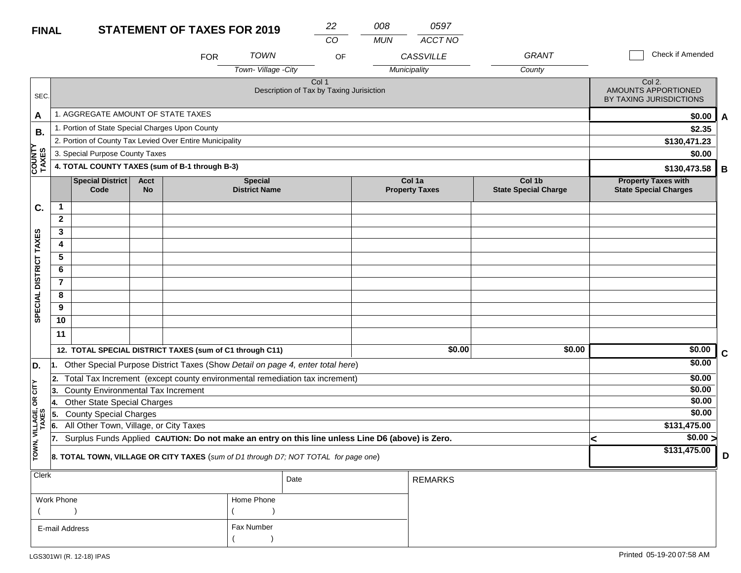## **FINAL**

| <b>FINAL</b>           |                |                                                 |                          | <b>STATEMENT OF TAXES FOR 2019</b>                       |                                          | 22<br>CO | 008<br><b>MUN</b> | 0597<br>ACCT NO                 |                                       |                                                            |   |
|------------------------|----------------|-------------------------------------------------|--------------------------|----------------------------------------------------------|------------------------------------------|----------|-------------------|---------------------------------|---------------------------------------|------------------------------------------------------------|---|
|                        |                |                                                 |                          | <b>FOR</b>                                               | <b>TOWN</b>                              | OF       |                   | <b>CASSVILLE</b>                | <b>GRANT</b>                          | Check if Amended                                           |   |
|                        |                |                                                 |                          |                                                          | Town-Village - City                      |          |                   | Municipality                    | County                                |                                                            |   |
| SEC.                   |                |                                                 |                          |                                                          | Description of Tax by Taxing Jurisiction | Col 1    |                   |                                 |                                       | Col 2.<br>AMOUNTS APPORTIONED<br>BY TAXING JURISDICTIONS   |   |
| A                      |                | 1. AGGREGATE AMOUNT OF STATE TAXES              |                          |                                                          |                                          |          |                   |                                 |                                       | \$0.00                                                     | A |
| <b>B.</b>              |                | 1. Portion of State Special Charges Upon County |                          |                                                          |                                          |          |                   |                                 |                                       | \$2.35                                                     |   |
|                        |                |                                                 |                          | 2. Portion of County Tax Levied Over Entire Municipality |                                          |          |                   |                                 |                                       | \$130,471.23                                               |   |
|                        |                | 3. Special Purpose County Taxes                 |                          |                                                          |                                          |          |                   |                                 |                                       | \$0.00                                                     |   |
| <b>COUNTY</b><br>TAXES |                |                                                 |                          | 4. TOTAL COUNTY TAXES (sum of B-1 through B-3)           |                                          |          |                   |                                 |                                       | \$130,473.58                                               | B |
|                        |                | <b>Special District</b><br>Code                 | <b>Acct</b><br><b>No</b> |                                                          | <b>Special</b><br><b>District Name</b>   |          |                   | Col 1a<br><b>Property Taxes</b> | Col 1b<br><b>State Special Charge</b> | <b>Property Taxes with</b><br><b>State Special Charges</b> |   |
| C.                     | 1              |                                                 |                          |                                                          |                                          |          |                   |                                 |                                       |                                                            |   |
|                        | $\mathbf{2}$   |                                                 |                          |                                                          |                                          |          |                   |                                 |                                       |                                                            |   |
|                        | 3              |                                                 |                          |                                                          |                                          |          |                   |                                 |                                       |                                                            |   |
| <b>DISTRICT TAXES</b>  | 4              |                                                 |                          |                                                          |                                          |          |                   |                                 |                                       |                                                            |   |
|                        | 5              |                                                 |                          |                                                          |                                          |          |                   |                                 |                                       |                                                            |   |
|                        | 6              |                                                 |                          |                                                          |                                          |          |                   |                                 |                                       |                                                            |   |
|                        | $\overline{7}$ |                                                 |                          |                                                          |                                          |          |                   |                                 |                                       |                                                            |   |
| <b>CIAL</b>            | 8              |                                                 |                          |                                                          |                                          |          |                   |                                 |                                       |                                                            |   |
|                        | $\alpha$       |                                                 |                          |                                                          |                                          |          |                   |                                 |                                       |                                                            |   |

|     | 11                                                                                                         |        |                                                                                                     |  |  |  |              |  |
|-----|------------------------------------------------------------------------------------------------------------|--------|-----------------------------------------------------------------------------------------------------|--|--|--|--------------|--|
|     | 12. TOTAL SPECIAL DISTRICT TAXES (sum of C1 through C11)                                                   | \$0.00 | \$0.00                                                                                              |  |  |  |              |  |
| 11. |                                                                                                            |        | Other Special Purpose District Taxes (Show Detail on page 4, enter total here)                      |  |  |  | \$0.00       |  |
|     |                                                                                                            |        | 2. Total Tax Increment (except county environmental remediation tax increment)                      |  |  |  | \$0.00       |  |
|     | 3. County Environmental Tax Increment                                                                      |        |                                                                                                     |  |  |  | \$0.00       |  |
|     | 4. Other State Special Charges                                                                             |        |                                                                                                     |  |  |  | \$0.00       |  |
|     | 5. County Special Charges                                                                                  |        |                                                                                                     |  |  |  | \$0.00       |  |
|     | 6. All Other Town, Village, or City Taxes                                                                  |        |                                                                                                     |  |  |  | \$131,475.00 |  |
|     |                                                                                                            |        | 7. Surplus Funds Applied CAUTION: Do not make an entry on this line unless Line D6 (above) is Zero. |  |  |  | \$0.00 >     |  |
|     | \$131,475.00<br><b>8. TOTAL TOWN, VILLAGE OR CITY TAXES</b> (sum of D1 through D7; NOT TOTAL for page one) |        |                                                                                                     |  |  |  |              |  |

| $ $ Clerk      |            | Date | <b>REMARKS</b> |
|----------------|------------|------|----------------|
| Work Phone     | Home Phone |      |                |
|                |            |      |                |
| E-mail Address | Fax Number |      |                |
|                |            |      |                |

**SPECIAL DISTRICT TAXES**

SPECIAL DISTRICT TAXES

**TOWN, VILLAGE, OR CITY** 

**D.**

TOWN, VILLAGE, OR CITY<br>TAXES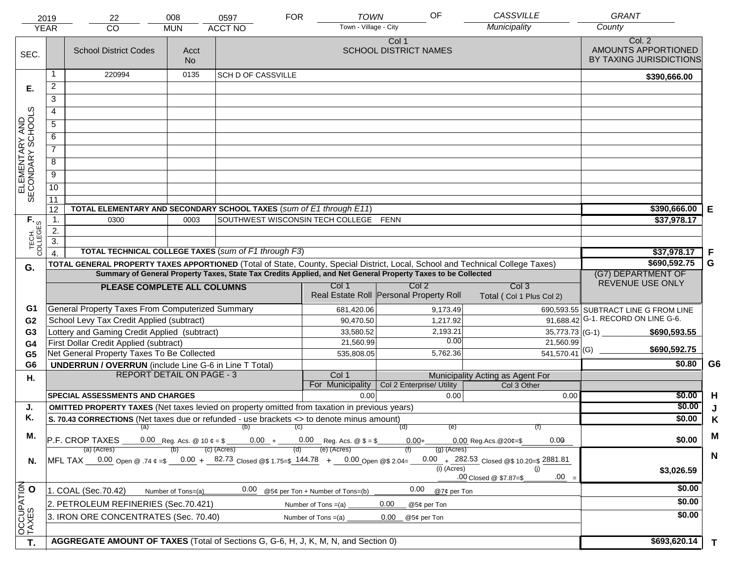|                                     | 2019             | 22                                                                                                                             | 008                | 0597                      | <b>TOWN</b><br><b>FOR</b>             | OF                                                                                                           | CASSVILLE                                    | <b>GRANT</b>                                             |                |
|-------------------------------------|------------------|--------------------------------------------------------------------------------------------------------------------------------|--------------------|---------------------------|---------------------------------------|--------------------------------------------------------------------------------------------------------------|----------------------------------------------|----------------------------------------------------------|----------------|
|                                     | <b>YEAR</b>      | CO                                                                                                                             | <b>MUN</b>         | <b>ACCT NO</b>            | Town - Village - City                 |                                                                                                              | Municipality                                 | County                                                   |                |
| SEC.                                |                  | <b>School District Codes</b>                                                                                                   | Acct<br><b>No</b>  |                           |                                       | Col 1<br><b>SCHOOL DISTRICT NAMES</b>                                                                        |                                              | Col. 2<br>AMOUNTS APPORTIONED<br>BY TAXING JURISDICTIONS |                |
|                                     | 1                | 220994                                                                                                                         | 0135               | <b>SCH D OF CASSVILLE</b> |                                       |                                                                                                              |                                              | \$390,666.00                                             |                |
| Е.                                  | $\overline{2}$   |                                                                                                                                |                    |                           |                                       |                                                                                                              |                                              |                                                          |                |
|                                     | 3                |                                                                                                                                |                    |                           |                                       |                                                                                                              |                                              |                                                          |                |
|                                     | 4                |                                                                                                                                |                    |                           |                                       |                                                                                                              |                                              |                                                          |                |
|                                     | $\overline{5}$   |                                                                                                                                |                    |                           |                                       |                                                                                                              |                                              |                                                          |                |
|                                     | 6                |                                                                                                                                |                    |                           |                                       |                                                                                                              |                                              |                                                          |                |
| ELEMENTARY AND<br>SECONDARY SCHOOLS | $\overline{7}$   |                                                                                                                                |                    |                           |                                       |                                                                                                              |                                              |                                                          |                |
|                                     | 8                |                                                                                                                                |                    |                           |                                       |                                                                                                              |                                              |                                                          |                |
|                                     | $\overline{9}$   |                                                                                                                                |                    |                           |                                       |                                                                                                              |                                              |                                                          |                |
|                                     | 10               |                                                                                                                                |                    |                           |                                       |                                                                                                              |                                              |                                                          |                |
|                                     |                  |                                                                                                                                |                    |                           |                                       |                                                                                                              |                                              |                                                          |                |
|                                     | 11<br>12         | TOTAL ELEMENTARY AND SECONDARY SCHOOL TAXES (sum of E1 through E11)                                                            | \$390,666.00       | Е                         |                                       |                                                                                                              |                                              |                                                          |                |
|                                     | 1.               | 0300                                                                                                                           | 0003               |                           | SOUTHWEST WISCONSIN TECH COLLEGE FENN |                                                                                                              |                                              | \$37,978.17                                              |                |
|                                     | 2.               |                                                                                                                                |                    |                           |                                       |                                                                                                              |                                              |                                                          |                |
| TECH. T                             | $\overline{3}$ . |                                                                                                                                |                    |                           |                                       |                                                                                                              |                                              |                                                          |                |
|                                     | $\overline{4}$   | TOTAL TECHNICAL COLLEGE TAXES (sum of F1 through F3)                                                                           |                    | \$37,978.17               | F                                     |                                                                                                              |                                              |                                                          |                |
| G.                                  |                  | TOTAL GENERAL PROPERTY TAXES APPORTIONED (Total of State, County, Special District, Local, School and Technical College Taxes) |                    |                           |                                       |                                                                                                              |                                              | \$690,592.75                                             | G              |
|                                     |                  |                                                                                                                                |                    |                           |                                       | Summary of General Property Taxes, State Tax Credits Applied, and Net General Property Taxes to be Collected |                                              | (G7) DEPARTMENT OF<br>REVENUE USE ONLY                   |                |
|                                     |                  | PLEASE COMPLETE ALL COLUMNS                                                                                                    |                    |                           | Col 1                                 | Col <sub>2</sub><br>Real Estate Roll Personal Property Roll                                                  | Col <sub>3</sub><br>Total (Col 1 Plus Col 2) |                                                          |                |
| G1                                  |                  | General Property Taxes From Computerized Summary                                                                               |                    |                           | 681,420.06                            | 9,173.49                                                                                                     |                                              | 690,593.55 SUBTRACT LINE G FROM LINE                     |                |
| G <sub>2</sub>                      |                  | School Levy Tax Credit Applied (subtract)                                                                                      |                    |                           | 90,470.50                             | 1,217.92                                                                                                     |                                              | 91,688.42 G-1. RECORD ON LINE G-6.                       |                |
| G3                                  |                  | Lottery and Gaming Credit Applied (subtract)                                                                                   |                    |                           | 33,580.52                             | 2,193.21<br>0.00                                                                                             | $35,773.73$ (G-1) $-$                        | \$690,593.55                                             |                |
| G4                                  |                  | First Dollar Credit Applied (subtract)                                                                                         |                    |                           | 21,560.99                             | 5,762.36                                                                                                     | 21,560.99<br>$\overline{541,570.41}$ (G)     | \$690,592.75                                             |                |
| G <sub>5</sub><br>G <sub>6</sub>    |                  | Net General Property Taxes To Be Collected<br><b>UNDERRUN / OVERRUN</b> (include Line G-6 in Line T Total)                     |                    |                           | 535,808.05                            |                                                                                                              |                                              | \$0.80                                                   | G <sub>6</sub> |
| Η.                                  |                  | <b>REPORT DETAIL ON PAGE - 3</b>                                                                                               |                    |                           | Col 1                                 |                                                                                                              | Municipality Acting as Agent For             |                                                          |                |
|                                     |                  |                                                                                                                                |                    |                           | For Municipality                      | Col 2 Enterprise/ Utility                                                                                    | Col 3 Other                                  |                                                          |                |
|                                     |                  | <b>SPECIAL ASSESSMENTS AND CHARGES</b>                                                                                         |                    |                           | 0.00                                  | 0.00                                                                                                         | 0.00                                         | \$0.00                                                   | H              |
| J.                                  |                  | <b>OMITTED PROPERTY TAXES</b> (Net taxes levied on property omitted from taxation in previous years)                           |                    |                           |                                       |                                                                                                              |                                              | \$0.00                                                   | J              |
| Κ.                                  |                  | S. 70.43 CORRECTIONS (Net taxes due or refunded - use brackets <> to denote minus amount)                                      |                    |                           |                                       |                                                                                                              |                                              | \$0.00                                                   | K              |
| М.                                  |                  |                                                                                                                                |                    | $(a)$ (b) (c)             |                                       | (e)<br>(d)                                                                                                   |                                              |                                                          | M              |
|                                     |                  | $ P.F. CROP TAXES 0.00$ Reg. Acs. @ 10 $\ell = \ell - 0.00 + 0.00$ Reg. Acs. @ $\ell = \ell - 0.00$<br>(a) (Acres)             |                    | (c) (Acres)               | (e) (Acres)                           | $0.00 +$<br>$(g)$ (Acres)                                                                                    | 0.00<br>$0.00$ Reg. Acs. @ 20¢=\$            | \$0.00                                                   |                |
| N.                                  |                  | MFL TAX $-$ 0.00 Open @ .74 $\varphi$ =\$ $-$ 0.00 + $-$ 82.73 Closed @\$ 1.75=\$ 144.78 + $-$ 0.00 Open @\$ 2.04=             |                    |                           |                                       |                                                                                                              | 0.00 + $282.53$ Closed @\$ 10.20=\$ 2881.81  |                                                          | $\mathbf N$    |
|                                     |                  |                                                                                                                                |                    |                           |                                       | $(i)$ (Acres)                                                                                                | (i)                                          | \$3,026.59                                               |                |
|                                     |                  |                                                                                                                                |                    |                           |                                       |                                                                                                              | $.00 =$<br>.00 Closed @ \$7.87=\$            |                                                          |                |
|                                     |                  | 1. COAL (Sec.70.42)                                                                                                            | Number of Tons=(a) | 0.00                      | @5¢ per Ton + Number of Tons=(b)      | 0.00<br>@7¢ per Ton                                                                                          |                                              | \$0.00                                                   |                |
|                                     |                  | 2. PETROLEUM REFINERIES (Sec.70.421)                                                                                           |                    |                           | Number of Tons $=(a)$                 | 0.00<br>@5¢ per Ton                                                                                          |                                              | \$0.00                                                   |                |
|                                     |                  | 3. IRON ORE CONCENTRATES (Sec. 70.40)                                                                                          |                    |                           | Number of Tons $=(a)$                 | 0.00<br>@5¢ per Ton                                                                                          |                                              | \$0.00                                                   |                |
| OCCUPATION<br>TAXES O               |                  |                                                                                                                                |                    |                           |                                       |                                                                                                              |                                              |                                                          |                |
| T.                                  |                  | AGGREGATE AMOUNT OF TAXES (Total of Sections G, G-6, H, J, K, M, N, and Section 0)                                             |                    | \$693,620.14              | $\mathbf{T}$                          |                                                                                                              |                                              |                                                          |                |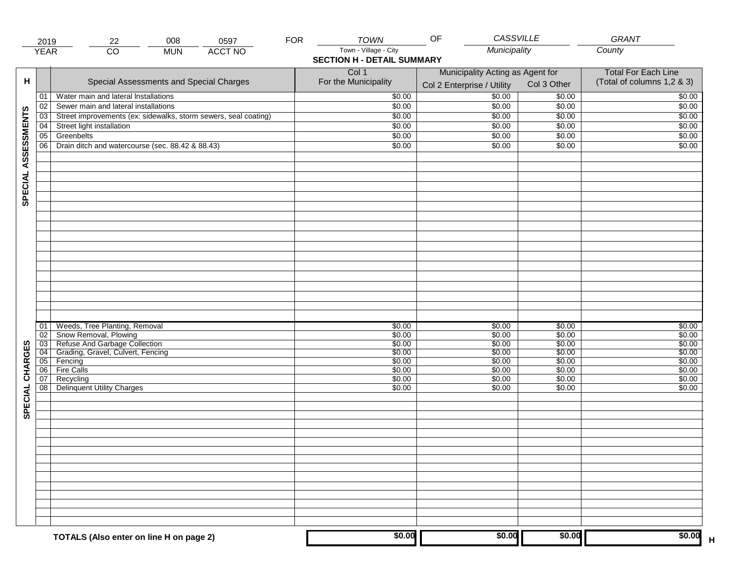|                     | 2019                 | 22                                                                                                                                                                                 | 008        | 0597           | <b>FOR</b> | <b>TOWN</b>                                                        | CASSVILLE<br>OF                                                    |                                                                    | <b>GRANT</b>                                                       |
|---------------------|----------------------|------------------------------------------------------------------------------------------------------------------------------------------------------------------------------------|------------|----------------|------------|--------------------------------------------------------------------|--------------------------------------------------------------------|--------------------------------------------------------------------|--------------------------------------------------------------------|
|                     | <b>YEAR</b>          | $\overline{CO}$                                                                                                                                                                    | <b>MUN</b> | <b>ACCT NO</b> |            | Town - Village - City<br><b>SECTION H - DETAIL SUMMARY</b>         | Municipality                                                       |                                                                    | County                                                             |
| н                   |                      | Special Assessments and Special Charges                                                                                                                                            |            |                |            | Col 1<br>For the Municipality                                      | Municipality Acting as Agent for<br>Col 2 Enterprise / Utility     | Col 3 Other                                                        | <b>Total For Each Line</b><br>(Total of columns 1,2 & 3)           |
|                     | 01                   | Water main and lateral Installations                                                                                                                                               |            |                |            | \$0.00                                                             | $\frac{1}{00}$                                                     | \$0.00                                                             | \$0.00                                                             |
|                     | 02                   | Sewer main and lateral installations                                                                                                                                               |            |                |            | \$0.00                                                             | \$0.00                                                             | \$0.00                                                             | \$0.00                                                             |
|                     | $\overline{03}$      | Street improvements (ex: sidewalks, storm sewers, seal coating)                                                                                                                    |            |                |            | \$0.00                                                             | \$0.00                                                             | \$0.00                                                             | \$0.00                                                             |
|                     | 04                   | Street light installation                                                                                                                                                          |            |                |            | \$0.00                                                             | \$0.00                                                             | \$0.00                                                             | \$0.00                                                             |
|                     | 05                   | Greenbelts                                                                                                                                                                         |            |                |            | \$0.00                                                             | \$0.00                                                             | \$0.00                                                             | \$0.00                                                             |
|                     | 06                   | Drain ditch and watercourse (sec. 88.42 & 88.43)                                                                                                                                   |            |                |            | \$0.00                                                             | \$0.00                                                             | \$0.00                                                             | \$0.00                                                             |
| SPECIAL ASSESSMENTS |                      |                                                                                                                                                                                    |            |                |            |                                                                    |                                                                    |                                                                    |                                                                    |
| CHARGES             | 01<br>02<br>06<br>07 | Weeds, Tree Planting, Removal<br>Snow Removal, Plowing<br>03 Refuse And Garbage Collection<br>04 Grading, Gravel, Culvert, Fencing<br>05 Fencing<br><b>Fire Calls</b><br>Recycling |            |                |            | \$0.00<br>\$0.00<br>\$0.00<br>\$0.00<br>\$0.00<br>\$0.00<br>\$0.00 | \$0.00<br>\$0.00<br>\$0.00<br>\$0.00<br>\$0.00<br>\$0.00<br>\$0.00 | \$0.00<br>\$0.00<br>\$0.00<br>\$0.00<br>\$0.00<br>\$0.00<br>\$0.00 | \$0.00<br>\$0.00<br>\$0.00<br>\$0.00<br>\$0.00<br>\$0.00<br>\$0.00 |
| SPECIAL             | 08                   | <b>Delinquent Utility Charges</b>                                                                                                                                                  |            |                |            | \$0.00                                                             | \$0.00                                                             | \$0.00                                                             | \$0.00                                                             |
|                     |                      | TOTALS (Also enter on line H on page 2)                                                                                                                                            |            |                |            | \$0.00                                                             | \$0.00                                                             | \$0.00                                                             | \$0.00                                                             |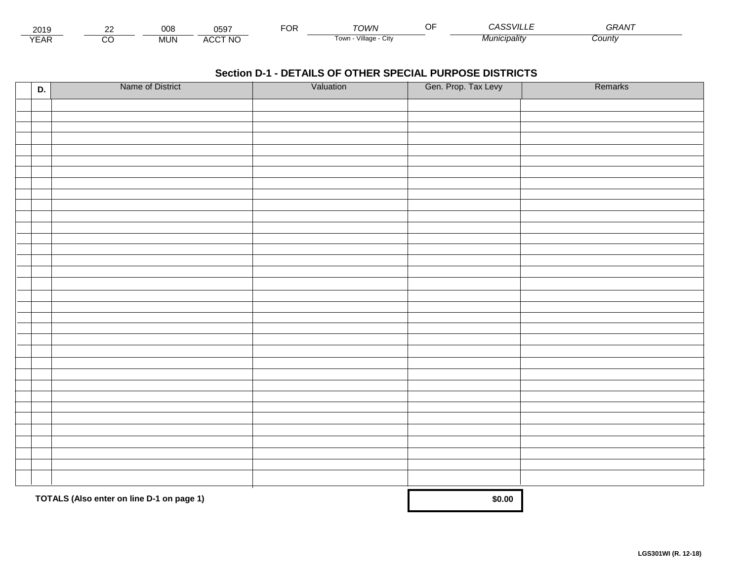| 2015                        | $\sim$ | $\sim$<br><b>UUC</b> | 0597                        | $\neg$ $\wedge$ r.<br>◡┍ | TOWN                                  | $\sim$ $\sim$ $\sim$ $\sim$ $\sim$ $\sim$<br>``VIL∟. | GRAN  |  |
|-----------------------------|--------|----------------------|-----------------------------|--------------------------|---------------------------------------|------------------------------------------------------|-------|--|
| $\sqrt{2}$<br>▵<br><b>L</b> |        | .viun.               | CCT NC،<br>$\Lambda$<br>nuu |                          | $\cdots$<br>Villade<br>' OWLL<br>◡៲៶៶ | ` <i>¶unicipalitv</i>                                | Count |  |

| D. | Name of District                          | Valuation | Gen. Prop. Tax Levy | Remarks |
|----|-------------------------------------------|-----------|---------------------|---------|
|    |                                           |           |                     |         |
|    |                                           |           |                     |         |
|    |                                           |           |                     |         |
|    |                                           |           |                     |         |
|    |                                           |           |                     |         |
|    |                                           |           |                     |         |
|    |                                           |           |                     |         |
|    |                                           |           |                     |         |
|    |                                           |           |                     |         |
|    |                                           |           |                     |         |
|    |                                           |           |                     |         |
|    |                                           |           |                     |         |
|    |                                           |           |                     |         |
|    |                                           |           |                     |         |
|    |                                           |           |                     |         |
|    |                                           |           |                     |         |
|    |                                           |           |                     |         |
|    |                                           |           |                     |         |
|    |                                           |           |                     |         |
|    |                                           |           |                     |         |
|    |                                           |           |                     |         |
|    |                                           |           |                     |         |
|    |                                           |           |                     |         |
|    |                                           |           |                     |         |
|    |                                           |           |                     |         |
|    |                                           |           |                     |         |
|    |                                           |           |                     |         |
|    |                                           |           |                     |         |
|    |                                           |           |                     |         |
|    |                                           |           |                     |         |
|    |                                           |           |                     |         |
|    |                                           |           |                     |         |
|    |                                           |           |                     |         |
|    | TOTALS (Also enter on line D-1 on page 1) |           | \$0.00              |         |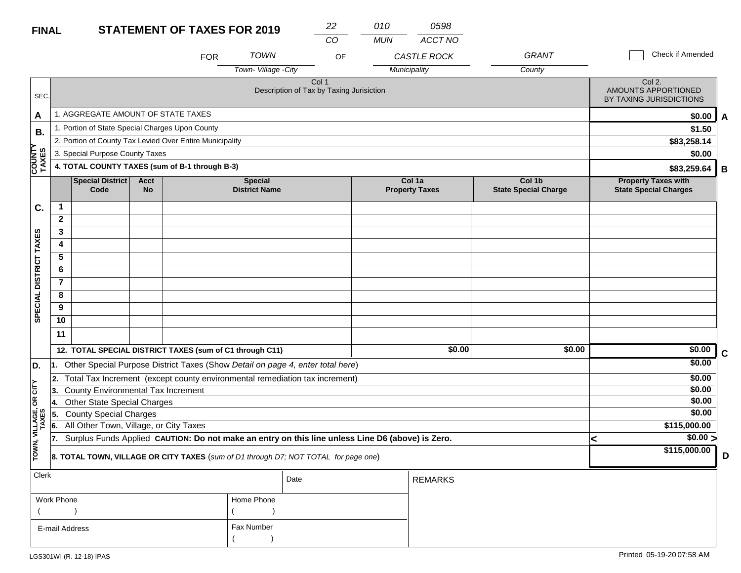| <b>FINAL</b>             |                                                 |                                                 |                          | <b>STATEMENT OF TAXES FOR 2019</b>                                                               |                                        |                                                              | 22 | 010        | 0598                            |                                       |                                                            |   |
|--------------------------|-------------------------------------------------|-------------------------------------------------|--------------------------|--------------------------------------------------------------------------------------------------|----------------------------------------|--------------------------------------------------------------|----|------------|---------------------------------|---------------------------------------|------------------------------------------------------------|---|
|                          |                                                 |                                                 |                          |                                                                                                  |                                        |                                                              | CO | <b>MUN</b> | <b>ACCT NO</b>                  |                                       |                                                            |   |
|                          |                                                 |                                                 |                          | <b>FOR</b>                                                                                       | <b>TOWN</b>                            |                                                              | OF |            | CASTLE ROCK                     | <b>GRANT</b>                          | Check if Amended                                           |   |
|                          |                                                 |                                                 |                          |                                                                                                  | Town-Village-City                      |                                                              |    |            | Municipality                    | County                                |                                                            |   |
| SEC.                     |                                                 |                                                 |                          |                                                                                                  |                                        | Col <sub>1</sub><br>Description of Tax by Taxing Jurisiction |    |            |                                 |                                       | Col 2.<br>AMOUNTS APPORTIONED<br>BY TAXING JURISDICTIONS   |   |
| A                        |                                                 | 1. AGGREGATE AMOUNT OF STATE TAXES              |                          |                                                                                                  |                                        |                                                              |    |            |                                 |                                       | \$0.00                                                     | A |
| <b>B.</b>                |                                                 | 1. Portion of State Special Charges Upon County |                          |                                                                                                  |                                        |                                                              |    |            |                                 |                                       | \$1.50                                                     |   |
|                          |                                                 |                                                 |                          | 2. Portion of County Tax Levied Over Entire Municipality                                         |                                        |                                                              |    |            |                                 |                                       | \$83,258.14                                                |   |
|                          |                                                 | 3. Special Purpose County Taxes                 |                          |                                                                                                  |                                        |                                                              |    |            |                                 |                                       | \$0.00                                                     |   |
| <b>COUNTY</b><br>TAXES   |                                                 |                                                 |                          | 4. TOTAL COUNTY TAXES (sum of B-1 through B-3)                                                   |                                        |                                                              |    |            |                                 |                                       | \$83,259.64                                                | B |
|                          |                                                 | Special District<br>Code                        | <b>Acct</b><br><b>No</b> |                                                                                                  | <b>Special</b><br><b>District Name</b> |                                                              |    |            | Col 1a<br><b>Property Taxes</b> | Col 1b<br><b>State Special Charge</b> | <b>Property Taxes with</b><br><b>State Special Charges</b> |   |
| C.                       | $\mathbf{1}$                                    |                                                 |                          |                                                                                                  |                                        |                                                              |    |            |                                 |                                       |                                                            |   |
|                          | $\overline{2}$                                  |                                                 |                          |                                                                                                  |                                        |                                                              |    |            |                                 |                                       |                                                            |   |
|                          | 3                                               |                                                 |                          |                                                                                                  |                                        |                                                              |    |            |                                 |                                       |                                                            |   |
|                          | 4                                               |                                                 |                          |                                                                                                  |                                        |                                                              |    |            |                                 |                                       |                                                            |   |
|                          | 5                                               |                                                 |                          |                                                                                                  |                                        |                                                              |    |            |                                 |                                       |                                                            |   |
|                          | 6                                               |                                                 |                          |                                                                                                  |                                        |                                                              |    |            |                                 |                                       |                                                            |   |
|                          | $\overline{7}$                                  |                                                 |                          |                                                                                                  |                                        |                                                              |    |            |                                 |                                       |                                                            |   |
|                          | $\overline{\mathbf{8}}$                         |                                                 |                          |                                                                                                  |                                        |                                                              |    |            |                                 |                                       |                                                            |   |
| SPECIAL DISTRICT TAXES   | 9                                               |                                                 |                          |                                                                                                  |                                        |                                                              |    |            |                                 |                                       |                                                            |   |
|                          | 10                                              |                                                 |                          |                                                                                                  |                                        |                                                              |    |            |                                 |                                       |                                                            |   |
|                          | 11                                              |                                                 |                          |                                                                                                  |                                        |                                                              |    |            |                                 |                                       |                                                            |   |
|                          |                                                 |                                                 |                          | 12. TOTAL SPECIAL DISTRICT TAXES (sum of C1 through C11)                                         |                                        |                                                              |    |            | \$0.00                          | \$0.00                                | \$0.00                                                     | C |
| D.                       | 1.                                              |                                                 |                          | Other Special Purpose District Taxes (Show Detail on page 4, enter total here)                   |                                        |                                                              |    |            |                                 |                                       | \$0.00                                                     |   |
|                          | $\overline{2}$ .                                |                                                 |                          | Total Tax Increment (except county environmental remediation tax increment)                      |                                        |                                                              |    |            |                                 |                                       | \$0.00                                                     |   |
| OR CITY                  | <b>County Environmental Tax Increment</b><br>3. |                                                 |                          |                                                                                                  |                                        |                                                              |    |            |                                 |                                       | \$0.00                                                     |   |
|                          | 4.                                              | <b>Other State Special Charges</b>              |                          |                                                                                                  |                                        |                                                              |    |            |                                 |                                       | \$0.00                                                     |   |
|                          | 5.                                              | <b>County Special Charges</b>                   |                          |                                                                                                  |                                        |                                                              |    |            |                                 |                                       | \$0.00                                                     |   |
|                          | 6.                                              | All Other Town, Village, or City Taxes          |                          |                                                                                                  |                                        |                                                              |    |            |                                 |                                       | \$115,000.00                                               |   |
|                          | 17.                                             |                                                 |                          | Surplus Funds Applied CAUTION: Do not make an entry on this line unless Line D6 (above) is Zero. |                                        |                                                              |    |            |                                 |                                       | \$0.00 ><br><                                              |   |
| TOWN, VILLAGE,<br>TAXES  |                                                 |                                                 |                          | 8. TOTAL TOWN, VILLAGE OR CITY TAXES (sum of D1 through D7; NOT TOTAL for page one)              |                                        |                                                              |    |            |                                 |                                       | \$115,000.00                                               | D |
| Clerk                    |                                                 |                                                 |                          |                                                                                                  |                                        | Date                                                         |    |            | <b>REMARKS</b>                  |                                       |                                                            |   |
| Work Phone<br>Home Phone |                                                 |                                                 |                          |                                                                                                  |                                        |                                                              |    |            |                                 |                                       |                                                            |   |

 $($  ) and  $($   $)$ 

Fax Number

 $($ 

E-mail Address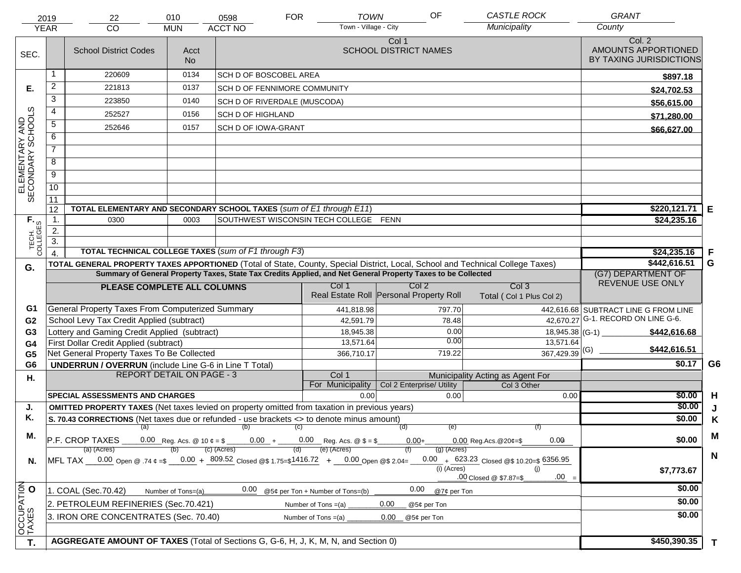|                                     | 2019<br><b>YEAR</b> | 22<br><b>CO</b>                                                                                                                | 010<br><b>MUN</b>  | 0598<br><b>ACCT NO</b>                              | <b>FOR</b> | <b>TOWN</b><br>Town - Village - City  | OF                                      | <b>CASTLE ROCK</b><br>Municipality                           |                             | <b>GRANT</b><br>County                                   |                |
|-------------------------------------|---------------------|--------------------------------------------------------------------------------------------------------------------------------|--------------------|-----------------------------------------------------|------------|---------------------------------------|-----------------------------------------|--------------------------------------------------------------|-----------------------------|----------------------------------------------------------|----------------|
| SEC.                                |                     | <b>School District Codes</b>                                                                                                   | Acct<br><b>No</b>  |                                                     |            |                                       | Col 1<br><b>SCHOOL DISTRICT NAMES</b>   |                                                              |                             | Col. 2<br>AMOUNTS APPORTIONED<br>BY TAXING JURISDICTIONS |                |
|                                     | 1                   | 220609                                                                                                                         | 0134               | <b>SCH D OF BOSCOBEL AREA</b>                       |            |                                       |                                         |                                                              |                             | \$897.18                                                 |                |
| Е.                                  | 2                   | 221813                                                                                                                         | 0137               | SCH D OF FENNIMORE COMMUNITY                        |            |                                       |                                         |                                                              |                             | \$24,702.53                                              |                |
|                                     | $\overline{3}$      | 223850                                                                                                                         | 0140               | SCH D OF RIVERDALE (MUSCODA)                        |            |                                       |                                         |                                                              |                             | \$56,615.00                                              |                |
|                                     | 4                   | 252527                                                                                                                         | 0156               | <b>SCH D OF HIGHLAND</b>                            |            |                                       |                                         |                                                              |                             | \$71,280.00                                              |                |
|                                     | $\overline{5}$      | 252646                                                                                                                         | 0157               | <b>SCH D OF IOWA-GRANT</b>                          |            |                                       |                                         |                                                              |                             |                                                          |                |
|                                     | 6                   |                                                                                                                                |                    |                                                     |            |                                       |                                         |                                                              |                             | \$66,627.00                                              |                |
|                                     | $\overline{7}$      |                                                                                                                                |                    |                                                     |            |                                       |                                         |                                                              |                             |                                                          |                |
| ELEMENTARY AND<br>SECONDARY SCHOOLS | 8                   |                                                                                                                                |                    |                                                     |            |                                       |                                         |                                                              |                             |                                                          |                |
|                                     | $\overline{9}$      |                                                                                                                                |                    |                                                     |            |                                       |                                         |                                                              |                             |                                                          |                |
|                                     | 10                  |                                                                                                                                |                    |                                                     |            |                                       |                                         |                                                              |                             |                                                          |                |
|                                     | 11                  |                                                                                                                                |                    |                                                     |            |                                       |                                         |                                                              |                             |                                                          |                |
|                                     | 12                  | TOTAL ELEMENTARY AND SECONDARY SCHOOL TAXES (sum of E1 through E11)                                                            |                    |                                                     |            |                                       |                                         |                                                              |                             | \$220,121.71                                             | Е              |
|                                     | 1.                  | 0300                                                                                                                           | 0003               |                                                     |            | SOUTHWEST WISCONSIN TECH COLLEGE FENN |                                         |                                                              |                             | \$24,235.16                                              |                |
|                                     | 2.                  |                                                                                                                                |                    |                                                     |            |                                       |                                         |                                                              |                             |                                                          |                |
| TECH. T                             | $\overline{3}$ .    | <b>TOTAL TECHNICAL COLLEGE TAXES (sum of F1 through F3)</b>                                                                    |                    | \$24,235.16                                         | F          |                                       |                                         |                                                              |                             |                                                          |                |
|                                     | $\overline{4}$      | TOTAL GENERAL PROPERTY TAXES APPORTIONED (Total of State, County, Special District, Local, School and Technical College Taxes) |                    | \$442,616.51                                        | G          |                                       |                                         |                                                              |                             |                                                          |                |
| G.                                  |                     | Summary of General Property Taxes, State Tax Credits Applied, and Net General Property Taxes to be Collected                   |                    | (G7) DEPARTMENT OF                                  |            |                                       |                                         |                                                              |                             |                                                          |                |
|                                     |                     | PLEASE COMPLETE ALL COLUMNS                                                                                                    |                    |                                                     |            | Col 1                                 | Col <sub>2</sub>                        | Col <sub>3</sub>                                             |                             | REVENUE USE ONLY                                         |                |
|                                     |                     |                                                                                                                                |                    |                                                     |            |                                       | Real Estate Roll Personal Property Roll | Total (Col 1 Plus Col 2)                                     |                             |                                                          |                |
| G1                                  |                     | <b>General Property Taxes From Computerized Summary</b>                                                                        |                    |                                                     |            | 441,818.98                            | 797.70                                  |                                                              |                             | 442,616.68 SUBTRACT LINE G FROM LINE                     |                |
| G <sub>2</sub>                      |                     | School Levy Tax Credit Applied (subtract)                                                                                      |                    |                                                     |            | 42,591.79                             |                                         | 78.48                                                        |                             | 42,670.27 G-1. RECORD ON LINE G-6.                       |                |
| G <sub>3</sub>                      |                     | Lottery and Gaming Credit Applied (subtract)                                                                                   |                    |                                                     |            | 18,945.38                             |                                         | 0.00                                                         |                             | $18,945.38$ (G-1)<br>\$442,616.68                        |                |
| G <sub>4</sub>                      |                     | First Dollar Credit Applied (subtract)                                                                                         |                    |                                                     |            | 13,571.64                             |                                         | 0.00                                                         | 13,571.64                   | \$442,616.51                                             |                |
| G <sub>5</sub>                      |                     | Net General Property Taxes To Be Collected                                                                                     |                    |                                                     |            | 366,710.17                            | 719.22                                  |                                                              | $367,429.39$ <sup>(G)</sup> |                                                          |                |
| G <sub>6</sub>                      |                     | <b>UNDERRUN / OVERRUN</b> (include Line G-6 in Line T Total)<br><b>REPORT DETAIL ON PAGE - 3</b>                               |                    |                                                     |            | Col 1                                 |                                         |                                                              |                             | \$0.17                                                   | G <sub>6</sub> |
| н.                                  |                     |                                                                                                                                |                    |                                                     |            | For Municipality                      | Col 2 Enterprise/ Utility               | Municipality Acting as Agent For<br>Col 3 Other              |                             |                                                          |                |
|                                     |                     | <b>SPECIAL ASSESSMENTS AND CHARGES</b>                                                                                         |                    |                                                     |            | 0.00                                  |                                         | 0.00                                                         | 0.00                        | \$0.00                                                   | H              |
| J.                                  |                     | <b>OMITTED PROPERTY TAXES</b> (Net taxes levied on property omitted from taxation in previous years)                           |                    |                                                     |            |                                       |                                         |                                                              |                             | \$0.00                                                   |                |
| Κ.                                  |                     | S. 70.43 CORRECTIONS (Net taxes due or refunded - use brackets <> to denote minus amount)                                      |                    | $\left( \text{b} \right)$ $\left( \text{c} \right)$ |            |                                       | (d)                                     | (e)<br>(f)                                                   |                             | \$0.00                                                   | Κ              |
| М.                                  |                     | (a)                                                                                                                            |                    |                                                     | M          |                                       |                                         |                                                              |                             |                                                          |                |
|                                     |                     | $ P.F. \text{ CROP TAXES}$ 0.00 Reg. Acs. @ 10 ¢ = \$ 0.00 + 0.00 Reg. Acs. @ \$ = \$                                          |                    |                                                     |            | (e) (Acres)                           | $0.00 +$                                | $0.00$ Reg. Acs. @ 20¢=\$                                    | 0.00                        | \$0.00                                                   |                |
| N.                                  |                     | (a) (Acres)<br>MFL TAX 0.00 Open @ .74 $\ell = 5$ 0.00 + 809.52 Closed @\$ 1.75=\$1416.72 + 0.00 Open @\$ 2.04=                |                    | (c) (Acres)                                         |            |                                       |                                         | $(g)$ (Acres)<br>0.00 $+$ 623.23 Closed @\$ 10.20=\$ 6356.95 |                             |                                                          | N              |
|                                     |                     |                                                                                                                                |                    |                                                     |            |                                       |                                         | (i) (Acres)<br>(i)                                           |                             | \$7,773.67                                               |                |
|                                     |                     |                                                                                                                                |                    |                                                     |            |                                       |                                         | .00 Closed @ $$7.87 = $$                                     | $.00 =$                     |                                                          |                |
|                                     |                     | 1. COAL (Sec.70.42)                                                                                                            | Number of Tons=(a) | 0.00                                                |            | @5¢ per Ton + Number of Tons=(b)      | 0.00                                    | @7¢ per Ton                                                  |                             | \$0.00                                                   |                |
|                                     |                     | 2. PETROLEUM REFINERIES (Sec.70.421)                                                                                           |                    |                                                     |            | Number of Tons $=(a)$                 | 0.00<br>@5¢ per Ton                     |                                                              |                             | \$0.00                                                   |                |
|                                     |                     | 3. IRON ORE CONCENTRATES (Sec. 70.40)                                                                                          |                    |                                                     |            | Number of Tons $=(a)$                 | 0.00<br>@5¢ per Ton                     |                                                              |                             | \$0.00                                                   |                |
| OCCUPATION                          |                     |                                                                                                                                |                    |                                                     |            |                                       |                                         |                                                              |                             |                                                          |                |
| T.                                  |                     | AGGREGATE AMOUNT OF TAXES (Total of Sections G, G-6, H, J, K, M, N, and Section 0)                                             |                    |                                                     |            |                                       |                                         |                                                              |                             | \$450,390.35                                             | T.             |
|                                     |                     |                                                                                                                                |                    |                                                     |            |                                       |                                         |                                                              |                             |                                                          |                |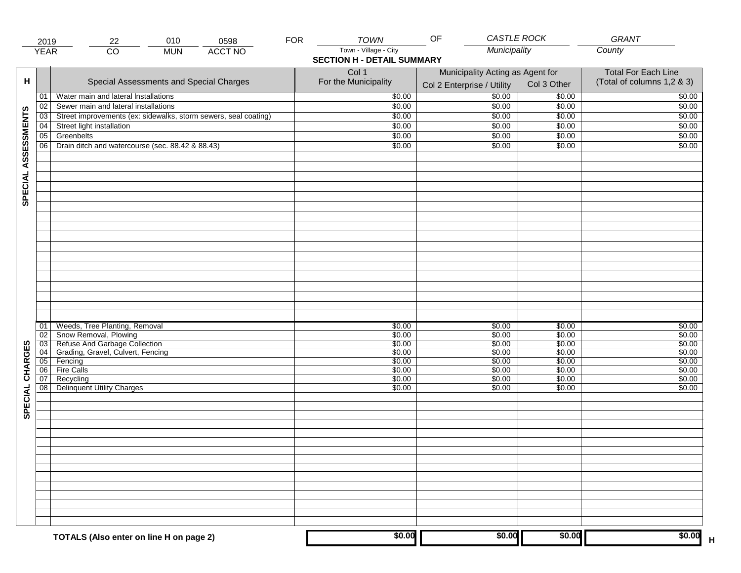|                     | 2019                 | 22                                                                                                                                                                                 | 010        | 0598           | <b>FOR</b> | <b>TOWN</b>                                                        | OF                                                                 | CASTLE ROCK                                                        | <b>GRANT</b>                                                       |
|---------------------|----------------------|------------------------------------------------------------------------------------------------------------------------------------------------------------------------------------|------------|----------------|------------|--------------------------------------------------------------------|--------------------------------------------------------------------|--------------------------------------------------------------------|--------------------------------------------------------------------|
|                     | <b>YEAR</b>          | $\overline{CO}$                                                                                                                                                                    | <b>MUN</b> | <b>ACCT NO</b> |            | Town - Village - City<br><b>SECTION H - DETAIL SUMMARY</b>         | Municipality                                                       |                                                                    | County                                                             |
| н                   |                      | Special Assessments and Special Charges                                                                                                                                            |            |                |            | Col 1<br>For the Municipality                                      | Municipality Acting as Agent for<br>Col 2 Enterprise / Utility     | Col 3 Other                                                        | <b>Total For Each Line</b><br>(Total of columns 1,2 & 3)           |
|                     | 01                   | Water main and lateral Installations                                                                                                                                               |            |                |            | \$0.00                                                             | $\frac{1}{00}$                                                     | \$0.00                                                             | \$0.00                                                             |
|                     | 02                   | Sewer main and lateral installations                                                                                                                                               |            |                |            | \$0.00                                                             | \$0.00                                                             | \$0.00                                                             | \$0.00                                                             |
|                     | $\overline{03}$      | Street improvements (ex: sidewalks, storm sewers, seal coating)                                                                                                                    |            |                |            | \$0.00                                                             | \$0.00                                                             | \$0.00                                                             | \$0.00                                                             |
|                     | 04                   | Street light installation                                                                                                                                                          |            |                |            | \$0.00                                                             | \$0.00                                                             | \$0.00                                                             | \$0.00                                                             |
|                     | 05                   | Greenbelts                                                                                                                                                                         |            |                |            | \$0.00                                                             | \$0.00                                                             | \$0.00                                                             | \$0.00                                                             |
|                     | 06                   | Drain ditch and watercourse (sec. 88.42 & 88.43)                                                                                                                                   |            |                |            | \$0.00                                                             | \$0.00                                                             | \$0.00                                                             | \$0.00                                                             |
| SPECIAL ASSESSMENTS |                      |                                                                                                                                                                                    |            |                |            |                                                                    |                                                                    |                                                                    |                                                                    |
| CHARGES             | 01<br>02<br>06<br>07 | Weeds, Tree Planting, Removal<br>Snow Removal, Plowing<br>03 Refuse And Garbage Collection<br>04 Grading, Gravel, Culvert, Fencing<br>05 Fencing<br><b>Fire Calls</b><br>Recycling |            |                |            | \$0.00<br>\$0.00<br>\$0.00<br>\$0.00<br>\$0.00<br>\$0.00<br>\$0.00 | \$0.00<br>\$0.00<br>\$0.00<br>\$0.00<br>\$0.00<br>\$0.00<br>\$0.00 | \$0.00<br>\$0.00<br>\$0.00<br>\$0.00<br>\$0.00<br>\$0.00<br>\$0.00 | \$0.00<br>\$0.00<br>\$0.00<br>\$0.00<br>\$0.00<br>\$0.00<br>\$0.00 |
| SPECIAL             | 08                   | <b>Delinquent Utility Charges</b>                                                                                                                                                  |            |                |            | \$0.00                                                             | \$0.00                                                             | \$0.00                                                             | \$0.00                                                             |
|                     |                      | TOTALS (Also enter on line H on page 2)                                                                                                                                            |            |                |            | \$0.00                                                             | \$0.00                                                             | \$0.00                                                             | \$0.00                                                             |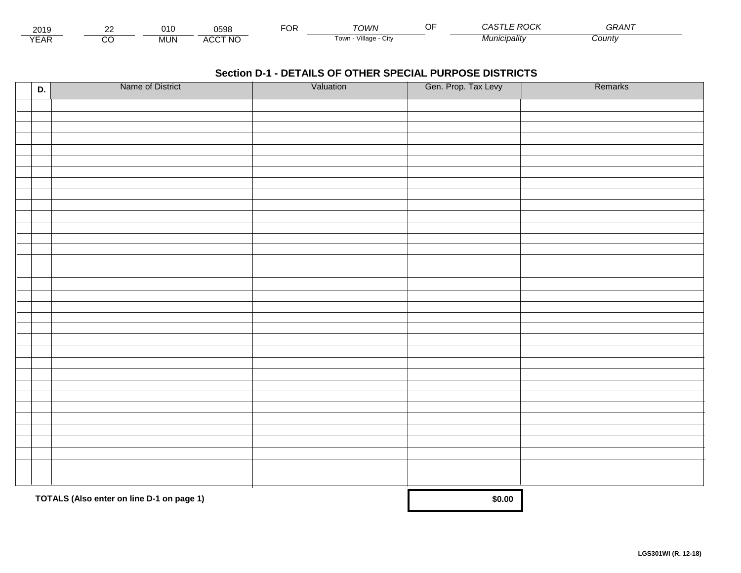| 2019                        | $\sim$ |        | 0598                        | ≈оғ | TOWN                      | F R<br>w              | $\sim$ $\sim$ $\sim$ $\sim$ $\sim$<br>GRAN |  |
|-----------------------------|--------|--------|-----------------------------|-----|---------------------------|-----------------------|--------------------------------------------|--|
| $\sqrt{2}$<br>▵<br><b>L</b> |        | .viun. | CCT NC،<br>$\Lambda$<br>nuu |     | Village<br>' OWLL<br>◡៲៶៶ | * <i>¶unicipalitv</i> | Count                                      |  |

| D. | Name of District                          | Valuation | Gen. Prop. Tax Levy | Remarks |
|----|-------------------------------------------|-----------|---------------------|---------|
|    |                                           |           |                     |         |
|    |                                           |           |                     |         |
|    |                                           |           |                     |         |
|    |                                           |           |                     |         |
|    |                                           |           |                     |         |
|    |                                           |           |                     |         |
|    |                                           |           |                     |         |
|    |                                           |           |                     |         |
|    |                                           |           |                     |         |
|    |                                           |           |                     |         |
|    |                                           |           |                     |         |
|    |                                           |           |                     |         |
|    |                                           |           |                     |         |
|    |                                           |           |                     |         |
|    |                                           |           |                     |         |
|    |                                           |           |                     |         |
|    |                                           |           |                     |         |
|    |                                           |           |                     |         |
|    |                                           |           |                     |         |
|    |                                           |           |                     |         |
|    |                                           |           |                     |         |
|    |                                           |           |                     |         |
|    |                                           |           |                     |         |
|    |                                           |           |                     |         |
|    |                                           |           |                     |         |
|    |                                           |           |                     |         |
|    |                                           |           |                     |         |
|    |                                           |           |                     |         |
|    |                                           |           |                     |         |
|    |                                           |           |                     |         |
|    |                                           |           |                     |         |
|    | TOTALS (Also enter on line D-1 on page 1) |           | \$0.00              |         |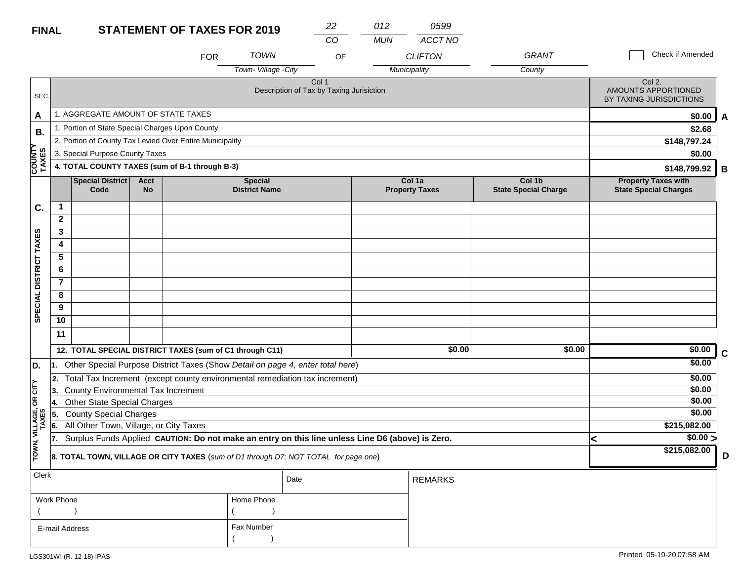#### **STATEMENT OF TAXES FOR 2019 FINAL**

| <b>FINAL</b>            |                 |                                                                                                  |                          | <b>STATEMENT OF TAXES FOR 2019</b> |                                        | 22<br>CO                                                     | 012<br><b>MUN</b> | 0599<br>ACCT NO                 |                                       |   |                                                            |   |
|-------------------------|-----------------|--------------------------------------------------------------------------------------------------|--------------------------|------------------------------------|----------------------------------------|--------------------------------------------------------------|-------------------|---------------------------------|---------------------------------------|---|------------------------------------------------------------|---|
|                         |                 |                                                                                                  |                          | <b>FOR</b>                         | <b>TOWN</b>                            | OF                                                           |                   | <b>CLIFTON</b>                  | <b>GRANT</b>                          |   | Check if Amended                                           |   |
|                         |                 |                                                                                                  |                          |                                    | Town-Village -City                     |                                                              |                   | Municipality                    | County                                |   |                                                            |   |
| SEC.                    |                 |                                                                                                  |                          |                                    |                                        | Col <sub>1</sub><br>Description of Tax by Taxing Jurisiction |                   |                                 |                                       |   | Col 2.<br>AMOUNTS APPORTIONED<br>BY TAXING JURISDICTIONS   |   |
| A                       |                 | 1. AGGREGATE AMOUNT OF STATE TAXES                                                               |                          |                                    |                                        |                                                              |                   |                                 |                                       |   | \$0.00                                                     | A |
| <b>B.</b>               |                 | 1. Portion of State Special Charges Upon County                                                  |                          |                                    |                                        |                                                              |                   |                                 |                                       |   | \$2.68                                                     |   |
|                         |                 | 2. Portion of County Tax Levied Over Entire Municipality                                         |                          |                                    |                                        |                                                              |                   |                                 |                                       |   | \$148,797.24                                               |   |
|                         |                 | 3. Special Purpose County Taxes                                                                  |                          |                                    |                                        |                                                              |                   |                                 |                                       |   | \$0.00                                                     |   |
| <b>COUNTY</b><br>TAXES  |                 | 4. TOTAL COUNTY TAXES (sum of B-1 through B-3)                                                   |                          |                                    |                                        |                                                              |                   |                                 |                                       |   | \$148,799.92                                               | В |
|                         |                 | Special District<br>Code                                                                         | <b>Acct</b><br><b>No</b> |                                    | <b>Special</b><br><b>District Name</b> |                                                              |                   | Col 1a<br><b>Property Taxes</b> | Col 1b<br><b>State Special Charge</b> |   | <b>Property Taxes with</b><br><b>State Special Charges</b> |   |
| C.                      | $\mathbf{1}$    |                                                                                                  |                          |                                    |                                        |                                                              |                   |                                 |                                       |   |                                                            |   |
|                         | $\mathbf{2}$    |                                                                                                  |                          |                                    |                                        |                                                              |                   |                                 |                                       |   |                                                            |   |
|                         | 3               |                                                                                                  |                          |                                    |                                        |                                                              |                   |                                 |                                       |   |                                                            |   |
|                         | 4               |                                                                                                  |                          |                                    |                                        |                                                              |                   |                                 |                                       |   |                                                            |   |
|                         | $5\phantom{.0}$ |                                                                                                  |                          |                                    |                                        |                                                              |                   |                                 |                                       |   |                                                            |   |
|                         | 6               |                                                                                                  |                          |                                    |                                        |                                                              |                   |                                 |                                       |   |                                                            |   |
|                         | $\overline{7}$  |                                                                                                  |                          |                                    |                                        |                                                              |                   |                                 |                                       |   |                                                            |   |
|                         | 8               |                                                                                                  |                          |                                    |                                        |                                                              |                   |                                 |                                       |   |                                                            |   |
| SPECIAL DISTRICT TAXES  | 9               |                                                                                                  |                          |                                    |                                        |                                                              |                   |                                 |                                       |   |                                                            |   |
|                         | 10              |                                                                                                  |                          |                                    |                                        |                                                              |                   |                                 |                                       |   |                                                            |   |
|                         | 11              |                                                                                                  |                          |                                    |                                        |                                                              |                   |                                 |                                       |   |                                                            |   |
|                         |                 | 12. TOTAL SPECIAL DISTRICT TAXES (sum of C1 through C11)                                         |                          |                                    |                                        |                                                              |                   | \$0.00                          | \$0.00                                |   | \$0.00                                                     | C |
| D.                      | 11.             | Other Special Purpose District Taxes (Show Detail on page 4, enter total here)                   |                          |                                    |                                        |                                                              |                   |                                 |                                       |   | \$0.00                                                     |   |
|                         |                 | 2. Total Tax Increment (except county environmental remediation tax increment)                   |                          |                                    |                                        |                                                              |                   |                                 |                                       |   | \$0.00                                                     |   |
| čIL                     | 3.              | County Environmental Tax Increment                                                               |                          |                                    |                                        |                                                              |                   |                                 |                                       |   | \$0.00                                                     |   |
| $\mathsf g$             | 14.             | <b>Other State Special Charges</b>                                                               |                          |                                    |                                        |                                                              |                   |                                 |                                       |   | \$0.00                                                     |   |
|                         | 5.              | <b>County Special Charges</b>                                                                    |                          |                                    |                                        |                                                              |                   |                                 |                                       |   | \$0.00                                                     |   |
|                         | 6.              | All Other Town, Village, or City Taxes                                                           |                          |                                    |                                        |                                                              |                   |                                 |                                       |   | \$215,082.00                                               |   |
|                         | 17.             | Surplus Funds Applied CAUTION: Do not make an entry on this line unless Line D6 (above) is Zero. |                          |                                    |                                        |                                                              |                   |                                 |                                       |   | \$0.00 >                                                   |   |
| TOWN, VILLAGE,<br>TAXES |                 | 8. TOTAL TOWN, VILLAGE OR CITY TAXES (sum of D1 through D7; NOT TOTAL for page one)              |                          |                                    |                                        |                                                              |                   |                                 |                                       | k | \$215,082.00                                               | D |
| <b>Clerk</b>            |                 |                                                                                                  |                          |                                    |                                        | Date                                                         |                   | <b>REMARKS</b>                  |                                       |   |                                                            |   |

|                |              | Date | I REMARKS. |
|----------------|--------------|------|------------|
| Work Phone     | Home Phone   |      |            |
|                |              |      |            |
| E-mail Address | . Fax Number |      |            |
|                |              |      |            |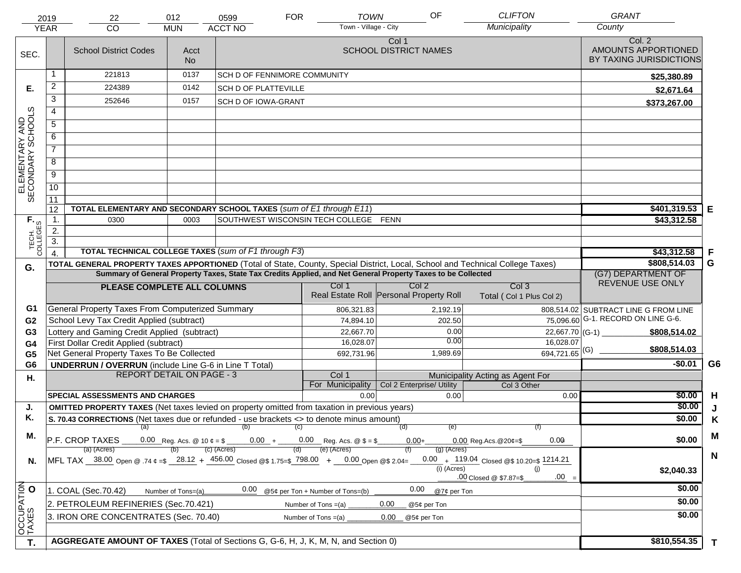| <b>CLIFTON</b><br>OF<br><b>TOWN</b><br><b>FOR</b><br>012<br>0599<br>2019<br>22           |                                                                                      |                                                                                                                                                                                                                                                |                                   |                                       |                                  |                       |                                         |               |                                                    | <b>GRANT</b>                                             |             |
|------------------------------------------------------------------------------------------|--------------------------------------------------------------------------------------|------------------------------------------------------------------------------------------------------------------------------------------------------------------------------------------------------------------------------------------------|-----------------------------------|---------------------------------------|----------------------------------|-----------------------|-----------------------------------------|---------------|----------------------------------------------------|----------------------------------------------------------|-------------|
|                                                                                          | <b>YEAR</b>                                                                          | CO                                                                                                                                                                                                                                             | <b>MUN</b>                        | <b>ACCT NO</b>                        |                                  | Town - Village - City |                                         |               | Municipality                                       | County                                                   |             |
| SEC.                                                                                     |                                                                                      | <b>School District Codes</b>                                                                                                                                                                                                                   | Acct<br>No.                       |                                       |                                  |                       | Col 1<br><b>SCHOOL DISTRICT NAMES</b>   |               |                                                    | Col. 2<br>AMOUNTS APPORTIONED<br>BY TAXING JURISDICTIONS |             |
|                                                                                          |                                                                                      | 221813                                                                                                                                                                                                                                         | 0137                              | SCH D OF FENNIMORE COMMUNITY          |                                  |                       |                                         |               |                                                    | \$25,380.89                                              |             |
| Е.                                                                                       | $\overline{2}$                                                                       | 224389                                                                                                                                                                                                                                         | 0142                              | <b>SCH D OF PLATTEVILLE</b>           |                                  |                       |                                         |               |                                                    | \$2,671.64                                               |             |
|                                                                                          | 3                                                                                    | 252646                                                                                                                                                                                                                                         | 0157                              | <b>SCH D OF IOWA-GRANT</b>            |                                  |                       |                                         |               |                                                    | \$373,267.00                                             |             |
|                                                                                          | $\overline{4}$                                                                       |                                                                                                                                                                                                                                                |                                   |                                       |                                  |                       |                                         |               |                                                    |                                                          |             |
|                                                                                          | $\overline{5}$                                                                       |                                                                                                                                                                                                                                                |                                   |                                       |                                  |                       |                                         |               |                                                    |                                                          |             |
|                                                                                          | 6                                                                                    |                                                                                                                                                                                                                                                |                                   |                                       |                                  |                       |                                         |               |                                                    |                                                          |             |
|                                                                                          | $\overline{7}$                                                                       |                                                                                                                                                                                                                                                |                                   |                                       |                                  |                       |                                         |               |                                                    |                                                          |             |
| ELEMENTARY AND<br>SECONDARY SCHOOLS                                                      | 8                                                                                    |                                                                                                                                                                                                                                                |                                   |                                       |                                  |                       |                                         |               |                                                    |                                                          |             |
|                                                                                          | $\overline{9}$                                                                       |                                                                                                                                                                                                                                                |                                   |                                       |                                  |                       |                                         |               |                                                    |                                                          |             |
|                                                                                          | 10                                                                                   |                                                                                                                                                                                                                                                |                                   |                                       |                                  |                       |                                         |               |                                                    |                                                          |             |
|                                                                                          | $\overline{11}$                                                                      |                                                                                                                                                                                                                                                |                                   |                                       |                                  |                       |                                         |               |                                                    |                                                          |             |
|                                                                                          | 12                                                                                   | TOTAL ELEMENTARY AND SECONDARY SCHOOL TAXES (sum of E1 through E11)                                                                                                                                                                            |                                   |                                       |                                  |                       |                                         |               |                                                    | \$401,319.53                                             | Е           |
| TECH. T                                                                                  | 1.                                                                                   | 0300                                                                                                                                                                                                                                           | 0003                              | SOUTHWEST WISCONSIN TECH COLLEGE FENN |                                  |                       |                                         |               |                                                    | \$43,312.58                                              |             |
|                                                                                          | 2.                                                                                   |                                                                                                                                                                                                                                                |                                   |                                       |                                  |                       |                                         |               |                                                    |                                                          |             |
|                                                                                          | $\overline{3}$ .                                                                     |                                                                                                                                                                                                                                                |                                   |                                       |                                  |                       |                                         |               |                                                    |                                                          |             |
|                                                                                          | $\overline{4}$                                                                       | TOTAL TECHNICAL COLLEGE TAXES (sum of F1 through F3)                                                                                                                                                                                           |                                   | \$43,312.58<br>\$808,514.03           | F<br>G                           |                       |                                         |               |                                                    |                                                          |             |
| G.                                                                                       |                                                                                      | TOTAL GENERAL PROPERTY TAXES APPORTIONED (Total of State, County, Special District, Local, School and Technical College Taxes)<br>Summary of General Property Taxes, State Tax Credits Applied, and Net General Property Taxes to be Collected |                                   | (G7) DEPARTMENT OF                    |                                  |                       |                                         |               |                                                    |                                                          |             |
|                                                                                          |                                                                                      | PLEASE COMPLETE ALL COLUMNS                                                                                                                                                                                                                    |                                   |                                       | Col 1                            |                       | Col <sub>2</sub>                        |               | Col <sub>3</sub>                                   | REVENUE USE ONLY                                         |             |
|                                                                                          |                                                                                      |                                                                                                                                                                                                                                                |                                   |                                       |                                  |                       | Real Estate Roll Personal Property Roll |               | Total (Col 1 Plus Col 2)                           |                                                          |             |
| G1                                                                                       |                                                                                      | General Property Taxes From Computerized Summary                                                                                                                                                                                               |                                   |                                       |                                  | 806,321.83            |                                         | 2,192.19      |                                                    | 808,514.02 SUBTRACT LINE G FROM LINE                     |             |
| G <sub>2</sub>                                                                           |                                                                                      | School Levy Tax Credit Applied (subtract)                                                                                                                                                                                                      |                                   |                                       |                                  | 74,894.10             |                                         | 202.50        |                                                    | $\overline{75,096.60}$ G-1. RECORD ON LINE G-6.          |             |
| G3                                                                                       |                                                                                      | Lottery and Gaming Credit Applied (subtract)                                                                                                                                                                                                   |                                   |                                       |                                  | 22,667.70             |                                         | 0.00          |                                                    | \$808,514.02                                             |             |
| G4                                                                                       |                                                                                      | First Dollar Credit Applied (subtract)                                                                                                                                                                                                         |                                   |                                       |                                  | 16,028.07             |                                         | 0.00          | 16,028.07                                          | \$808,514.03                                             |             |
| G <sub>5</sub>                                                                           |                                                                                      | Net General Property Taxes To Be Collected                                                                                                                                                                                                     |                                   |                                       |                                  | 692,731.96            |                                         | 1,989.69      | $694,721.65$ <sup>(G)</sup>                        |                                                          |             |
| G <sub>6</sub>                                                                           |                                                                                      | <b>UNDERRUN / OVERRUN</b> (include Line G-6 in Line T Total)                                                                                                                                                                                   |                                   |                                       |                                  |                       |                                         |               |                                                    | $-$0.01$                                                 | G6          |
| Η.                                                                                       |                                                                                      |                                                                                                                                                                                                                                                | <b>REPORT DETAIL ON PAGE - 3</b>  |                                       | Col 1<br>For Municipality        |                       | Col 2 Enterprise/ Utility               |               | Municipality Acting as Agent For<br>Col 3 Other    |                                                          |             |
|                                                                                          |                                                                                      | <b>SPECIAL ASSESSMENTS AND CHARGES</b>                                                                                                                                                                                                         |                                   |                                       |                                  | 0.00                  |                                         | 0.00          | 0.00                                               | \$0.00                                                   | H           |
| J.                                                                                       |                                                                                      | <b>OMITTED PROPERTY TAXES</b> (Net taxes levied on property omitted from taxation in previous years)                                                                                                                                           |                                   |                                       |                                  |                       |                                         |               |                                                    | \$0.00                                                   | J           |
| Κ.                                                                                       |                                                                                      | S. 70.43 CORRECTIONS (Net taxes due or refunded - use brackets <> to denote minus amount)                                                                                                                                                      |                                   | \$0.00                                | K                                |                       |                                         |               |                                                    |                                                          |             |
|                                                                                          |                                                                                      | $(a)$ (b) (c)                                                                                                                                                                                                                                  |                                   |                                       |                                  |                       |                                         |               |                                                    |                                                          |             |
| М.                                                                                       |                                                                                      | 0.00 Reg. Acs. @ 10 $\ell = \frac{1}{2}$ 0.00 + 0.00 Reg. Acs. @ $\ell = \frac{1}{2}$<br>P.F. CROP TAXES                                                                                                                                       | 0.00<br>$0.00$ Reg. Acs. @ 20¢=\$ | \$0.00                                | M                                |                       |                                         |               |                                                    |                                                          |             |
|                                                                                          |                                                                                      | (a) (Acres)                                                                                                                                                                                                                                    |                                   | (c) (Acres)                           | (e) (Acres)                      |                       |                                         | $(g)$ (Acres) |                                                    |                                                          | $\mathbf N$ |
| N.                                                                                       |                                                                                      | MFL TAX 38.00 Open @ .74 $\epsilon = $$ 28.12 + 456.00 Closed @\$ 1.75=\$ 798.00 + 0.00 Open @\$ 2.04=                                                                                                                                         |                                   |                                       |                                  |                       |                                         | (i) (Acres)   | 0.00 $+$ 119.04 Closed @\$ 10.20=\$ 1214.21<br>(i) | \$2,040.33                                               |             |
|                                                                                          |                                                                                      |                                                                                                                                                                                                                                                |                                   |                                       |                                  |                       |                                         |               | $.00 =$<br>.00 Closed @ \$7.87=\$                  |                                                          |             |
|                                                                                          |                                                                                      | 1. COAL (Sec.70.42)                                                                                                                                                                                                                            | Number of Tons=(a)                | 0.00                                  | @5¢ per Ton + Number of Tons=(b) |                       | 0.00                                    | @7¢ per Ton   |                                                    | \$0.00                                                   |             |
|                                                                                          | 2. PETROLEUM REFINERIES (Sec.70.421)<br>0.00<br>Number of Tons $=(a)$<br>@5¢ per Ton |                                                                                                                                                                                                                                                |                                   |                                       |                                  |                       |                                         |               |                                                    | \$0.00                                                   |             |
|                                                                                          |                                                                                      | 3. IRON ORE CONCENTRATES (Sec. 70.40)                                                                                                                                                                                                          |                                   |                                       | Number of Tons $=(a)$            |                       | 0.00<br>@5¢ per Ton                     |               |                                                    | \$0.00                                                   |             |
| OCCUPATION                                                                               |                                                                                      |                                                                                                                                                                                                                                                |                                   |                                       |                                  |                       |                                         |               |                                                    |                                                          |             |
| AGGREGATE AMOUNT OF TAXES (Total of Sections G, G-6, H, J, K, M, N, and Section 0)<br>T. |                                                                                      |                                                                                                                                                                                                                                                |                                   |                                       |                                  |                       |                                         |               | \$810,554.35                                       | $\mathbf{T}$                                             |             |
|                                                                                          |                                                                                      |                                                                                                                                                                                                                                                |                                   |                                       |                                  |                       |                                         |               |                                                    |                                                          |             |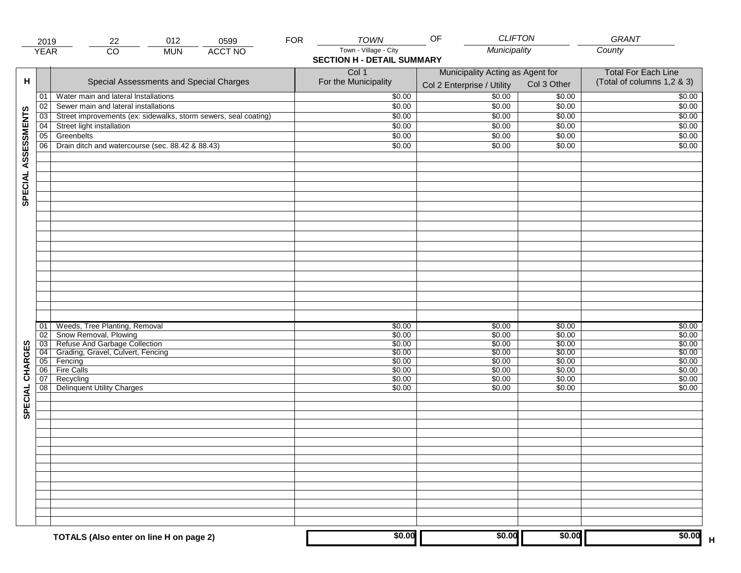| Municipality<br>$\overline{CO}$<br><b>ACCT NO</b><br><b>YEAR</b><br><b>MUN</b><br><b>SECTION H - DETAIL SUMMARY</b><br>Col 1<br>Municipality Acting as Agent for<br><b>Total For Each Line</b><br>н<br>Special Assessments and Special Charges<br>For the Municipality<br>(Total of columns 1,2 & 3)<br>Col 3 Other<br>Col 2 Enterprise / Utility<br>$\frac{1}{00}$<br>Water main and lateral Installations<br>\$0.00<br>\$0.00<br>01<br>Sewer main and lateral installations<br>\$0.00<br>\$0.00<br>02<br>\$0.00<br>SPECIAL ASSESSMENTS<br>Street improvements (ex: sidewalks, storm sewers, seal coating)<br>\$0.00<br>\$0.00<br>$\overline{03}$<br>\$0.00<br>Street light installation<br>\$0.00<br>\$0.00<br>04<br>\$0.00<br>Greenbelts<br>\$0.00<br>\$0.00<br>05<br>\$0.00<br>Drain ditch and watercourse (sec. 88.42 & 88.43)<br>06<br>\$0.00<br>\$0.00<br>\$0.00<br>Weeds, Tree Planting, Removal<br>\$0.00<br>\$0.00<br>\$0.00<br>01<br>Snow Removal, Plowing<br>\$0.00<br>\$0.00<br>\$0.00<br>02<br>03 Refuse And Garbage Collection<br>04 Grading, Gravel, Culvert, Fencing<br>\$0.00<br>\$0.00<br>\$0.00<br>\$0.00<br>CHARGES<br>\$0.00<br>\$0.00<br>\$0.00<br>05 Fencing<br>\$0.00<br>\$0.00<br>\$0.00<br><b>Fire Calls</b><br>\$0.00<br>06<br>\$0.00<br>\$0.00<br>07<br>Recycling<br>\$0.00<br>\$0.00<br>\$0.00<br>SPECIAL<br><b>Delinquent Utility Charges</b><br>08<br>\$0.00<br>\$0.00<br>\$0.00 | 2019 | 012<br>22                               | 0599 | <b>FOR</b> | <b>TOWN</b>           | <b>CLIFTON</b><br>OF |        | <b>GRANT</b>     |
|------------------------------------------------------------------------------------------------------------------------------------------------------------------------------------------------------------------------------------------------------------------------------------------------------------------------------------------------------------------------------------------------------------------------------------------------------------------------------------------------------------------------------------------------------------------------------------------------------------------------------------------------------------------------------------------------------------------------------------------------------------------------------------------------------------------------------------------------------------------------------------------------------------------------------------------------------------------------------------------------------------------------------------------------------------------------------------------------------------------------------------------------------------------------------------------------------------------------------------------------------------------------------------------------------------------------------------------------------------------------------------------------------------------|------|-----------------------------------------|------|------------|-----------------------|----------------------|--------|------------------|
|                                                                                                                                                                                                                                                                                                                                                                                                                                                                                                                                                                                                                                                                                                                                                                                                                                                                                                                                                                                                                                                                                                                                                                                                                                                                                                                                                                                                                  |      |                                         |      |            | Town - Village - City |                      |        | County           |
|                                                                                                                                                                                                                                                                                                                                                                                                                                                                                                                                                                                                                                                                                                                                                                                                                                                                                                                                                                                                                                                                                                                                                                                                                                                                                                                                                                                                                  |      |                                         |      |            |                       |                      |        |                  |
|                                                                                                                                                                                                                                                                                                                                                                                                                                                                                                                                                                                                                                                                                                                                                                                                                                                                                                                                                                                                                                                                                                                                                                                                                                                                                                                                                                                                                  |      |                                         |      |            |                       |                      |        | \$0.00           |
|                                                                                                                                                                                                                                                                                                                                                                                                                                                                                                                                                                                                                                                                                                                                                                                                                                                                                                                                                                                                                                                                                                                                                                                                                                                                                                                                                                                                                  |      |                                         |      |            |                       |                      |        | \$0.00           |
|                                                                                                                                                                                                                                                                                                                                                                                                                                                                                                                                                                                                                                                                                                                                                                                                                                                                                                                                                                                                                                                                                                                                                                                                                                                                                                                                                                                                                  |      |                                         |      |            |                       |                      |        | \$0.00           |
|                                                                                                                                                                                                                                                                                                                                                                                                                                                                                                                                                                                                                                                                                                                                                                                                                                                                                                                                                                                                                                                                                                                                                                                                                                                                                                                                                                                                                  |      |                                         |      |            |                       |                      |        | \$0.00           |
|                                                                                                                                                                                                                                                                                                                                                                                                                                                                                                                                                                                                                                                                                                                                                                                                                                                                                                                                                                                                                                                                                                                                                                                                                                                                                                                                                                                                                  |      |                                         |      |            |                       |                      |        | \$0.00           |
|                                                                                                                                                                                                                                                                                                                                                                                                                                                                                                                                                                                                                                                                                                                                                                                                                                                                                                                                                                                                                                                                                                                                                                                                                                                                                                                                                                                                                  |      |                                         |      |            |                       |                      |        | \$0.00           |
|                                                                                                                                                                                                                                                                                                                                                                                                                                                                                                                                                                                                                                                                                                                                                                                                                                                                                                                                                                                                                                                                                                                                                                                                                                                                                                                                                                                                                  |      |                                         |      |            |                       |                      |        |                  |
|                                                                                                                                                                                                                                                                                                                                                                                                                                                                                                                                                                                                                                                                                                                                                                                                                                                                                                                                                                                                                                                                                                                                                                                                                                                                                                                                                                                                                  |      |                                         |      |            |                       |                      |        |                  |
|                                                                                                                                                                                                                                                                                                                                                                                                                                                                                                                                                                                                                                                                                                                                                                                                                                                                                                                                                                                                                                                                                                                                                                                                                                                                                                                                                                                                                  |      |                                         |      |            |                       |                      |        | \$0.00<br>\$0.00 |
|                                                                                                                                                                                                                                                                                                                                                                                                                                                                                                                                                                                                                                                                                                                                                                                                                                                                                                                                                                                                                                                                                                                                                                                                                                                                                                                                                                                                                  |      |                                         |      |            |                       |                      |        | \$0.00           |
|                                                                                                                                                                                                                                                                                                                                                                                                                                                                                                                                                                                                                                                                                                                                                                                                                                                                                                                                                                                                                                                                                                                                                                                                                                                                                                                                                                                                                  |      |                                         |      |            |                       |                      |        | \$0.00           |
|                                                                                                                                                                                                                                                                                                                                                                                                                                                                                                                                                                                                                                                                                                                                                                                                                                                                                                                                                                                                                                                                                                                                                                                                                                                                                                                                                                                                                  |      |                                         |      |            |                       |                      |        | \$0.00           |
|                                                                                                                                                                                                                                                                                                                                                                                                                                                                                                                                                                                                                                                                                                                                                                                                                                                                                                                                                                                                                                                                                                                                                                                                                                                                                                                                                                                                                  |      |                                         |      |            |                       |                      |        | \$0.00<br>\$0.00 |
|                                                                                                                                                                                                                                                                                                                                                                                                                                                                                                                                                                                                                                                                                                                                                                                                                                                                                                                                                                                                                                                                                                                                                                                                                                                                                                                                                                                                                  |      |                                         |      |            |                       |                      |        |                  |
|                                                                                                                                                                                                                                                                                                                                                                                                                                                                                                                                                                                                                                                                                                                                                                                                                                                                                                                                                                                                                                                                                                                                                                                                                                                                                                                                                                                                                  |      |                                         |      |            |                       |                      |        |                  |
|                                                                                                                                                                                                                                                                                                                                                                                                                                                                                                                                                                                                                                                                                                                                                                                                                                                                                                                                                                                                                                                                                                                                                                                                                                                                                                                                                                                                                  |      |                                         |      |            |                       |                      |        |                  |
|                                                                                                                                                                                                                                                                                                                                                                                                                                                                                                                                                                                                                                                                                                                                                                                                                                                                                                                                                                                                                                                                                                                                                                                                                                                                                                                                                                                                                  |      | TOTALS (Also enter on line H on page 2) |      |            | \$0.00                | \$0.00               | \$0.00 | \$0.00           |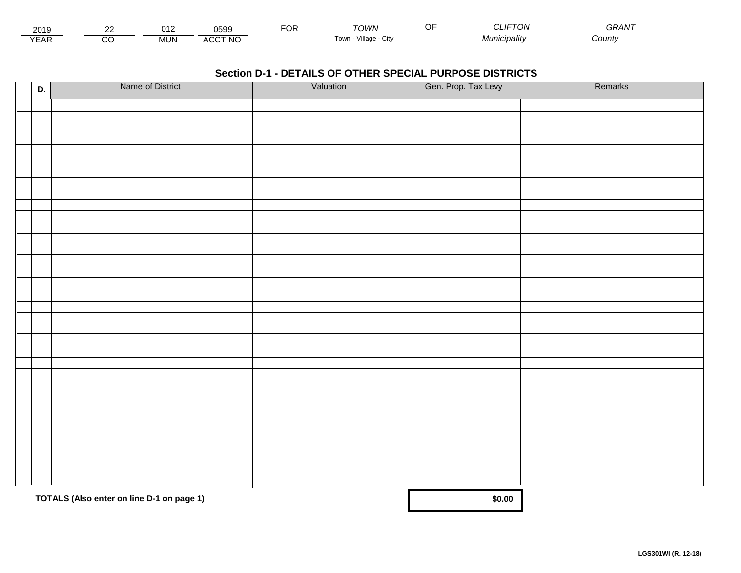| 2010<br>∠ບ≀ສ      |          | .            | 0599                  | -^'<br>◡ | rown                    | $T_{\text{H}}$<br>יש<br>JL 11 | <b>^^</b><br>GRAN. |  |
|-------------------|----------|--------------|-----------------------|----------|-------------------------|-------------------------------|--------------------|--|
| $V \cap L$<br>'AN | $\cdots$ | 11M<br>iviu. | <b>CCT NO</b><br>AUC. |          | Village<br>i own<br>URV | ™ <i>lunıcipalitv</i>         | Count              |  |

| D. | Name of District                          | Valuation | Gen. Prop. Tax Levy | Remarks |
|----|-------------------------------------------|-----------|---------------------|---------|
|    |                                           |           |                     |         |
|    |                                           |           |                     |         |
|    |                                           |           |                     |         |
|    |                                           |           |                     |         |
|    |                                           |           |                     |         |
|    |                                           |           |                     |         |
|    |                                           |           |                     |         |
|    |                                           |           |                     |         |
|    |                                           |           |                     |         |
|    |                                           |           |                     |         |
|    |                                           |           |                     |         |
|    |                                           |           |                     |         |
|    |                                           |           |                     |         |
|    |                                           |           |                     |         |
|    |                                           |           |                     |         |
|    |                                           |           |                     |         |
|    |                                           |           |                     |         |
|    |                                           |           |                     |         |
|    |                                           |           |                     |         |
|    |                                           |           |                     |         |
|    |                                           |           |                     |         |
|    |                                           |           |                     |         |
|    |                                           |           |                     |         |
|    |                                           |           |                     |         |
|    |                                           |           |                     |         |
|    |                                           |           |                     |         |
|    |                                           |           |                     |         |
|    |                                           |           |                     |         |
|    |                                           |           |                     |         |
|    |                                           |           |                     |         |
|    | TOTALS (Also enter on line D-1 on page 1) |           | \$0.00              |         |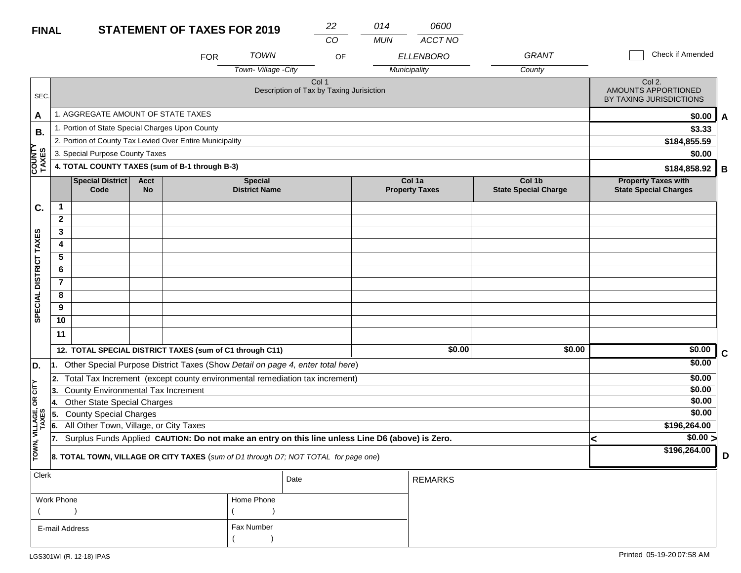#### **STATEMENT OF TAVES EOD 2010 FINAL**

| <b>FINAL</b>           |                |                                                                                                  |                          | <b>STATEMENT OF TAXES FOR 2019</b> |                                        | 22                                                           | 014        | 0600                            |                                       |                                                            |                  |             |  |
|------------------------|----------------|--------------------------------------------------------------------------------------------------|--------------------------|------------------------------------|----------------------------------------|--------------------------------------------------------------|------------|---------------------------------|---------------------------------------|------------------------------------------------------------|------------------|-------------|--|
|                        |                |                                                                                                  |                          |                                    |                                        | $\overline{co}$                                              | <b>MUN</b> | ACCT NO                         |                                       |                                                            |                  |             |  |
|                        |                |                                                                                                  |                          | <b>FOR</b>                         | <b>TOWN</b>                            | OF                                                           |            | <b>ELLENBORO</b>                | <b>GRANT</b>                          |                                                            | Check if Amended |             |  |
|                        |                |                                                                                                  |                          |                                    | Town-Village -City                     |                                                              |            | Municipality                    | County                                |                                                            |                  |             |  |
| SEC.                   |                |                                                                                                  |                          |                                    |                                        | Col <sub>1</sub><br>Description of Tax by Taxing Jurisiction |            |                                 |                                       | Col 2.<br>AMOUNTS APPORTIONED<br>BY TAXING JURISDICTIONS   |                  |             |  |
| A                      |                | 1. AGGREGATE AMOUNT OF STATE TAXES                                                               |                          |                                    |                                        |                                                              |            |                                 |                                       |                                                            | \$0.00           | A           |  |
| <b>B.</b>              |                | 1. Portion of State Special Charges Upon County                                                  |                          |                                    |                                        |                                                              |            |                                 |                                       |                                                            | \$3.33           |             |  |
|                        |                | 2. Portion of County Tax Levied Over Entire Municipality                                         |                          |                                    |                                        |                                                              |            |                                 |                                       | \$184,855.59                                               |                  |             |  |
|                        |                | 3. Special Purpose County Taxes                                                                  |                          |                                    |                                        |                                                              |            |                                 |                                       | \$0.00                                                     |                  |             |  |
| <b>COUNTY</b><br>TAXES |                | 4. TOTAL COUNTY TAXES (sum of B-1 through B-3)                                                   |                          |                                    |                                        |                                                              |            |                                 |                                       |                                                            | \$184,858.92     | В           |  |
|                        |                | Special District<br>Code                                                                         | <b>Acct</b><br><b>No</b> |                                    | <b>Special</b><br><b>District Name</b> |                                                              |            | Col 1a<br><b>Property Taxes</b> | Col 1b<br><b>State Special Charge</b> | <b>Property Taxes with</b><br><b>State Special Charges</b> |                  |             |  |
| C.                     | $\mathbf{1}$   |                                                                                                  |                          |                                    |                                        |                                                              |            |                                 |                                       |                                                            |                  |             |  |
|                        | $\mathbf{2}$   |                                                                                                  |                          |                                    |                                        |                                                              |            |                                 |                                       |                                                            |                  |             |  |
|                        | 3              |                                                                                                  |                          |                                    |                                        |                                                              |            |                                 |                                       |                                                            |                  |             |  |
|                        | 4              |                                                                                                  |                          |                                    |                                        |                                                              |            |                                 |                                       |                                                            |                  |             |  |
|                        | 5              |                                                                                                  |                          |                                    |                                        |                                                              |            |                                 |                                       |                                                            |                  |             |  |
|                        | 6              |                                                                                                  |                          |                                    |                                        |                                                              |            |                                 |                                       |                                                            |                  |             |  |
|                        | $\overline{7}$ |                                                                                                  |                          |                                    |                                        |                                                              |            |                                 |                                       |                                                            |                  |             |  |
|                        | 8              |                                                                                                  |                          |                                    |                                        |                                                              |            |                                 |                                       |                                                            |                  |             |  |
| SPECIAL DISTRICT TAXES | 9              |                                                                                                  |                          |                                    |                                        |                                                              |            |                                 |                                       |                                                            |                  |             |  |
|                        | 10             |                                                                                                  |                          |                                    |                                        |                                                              |            |                                 |                                       |                                                            |                  |             |  |
|                        | 11             |                                                                                                  |                          |                                    |                                        |                                                              |            |                                 |                                       |                                                            |                  |             |  |
|                        |                | 12. TOTAL SPECIAL DISTRICT TAXES (sum of C1 through C11)                                         |                          |                                    |                                        |                                                              |            | \$0.00                          | \$0.00                                |                                                            | \$0.00           | $\mathbf c$ |  |
| D.                     | 1.             | Other Special Purpose District Taxes (Show Detail on page 4, enter total here)                   |                          |                                    |                                        |                                                              |            |                                 |                                       |                                                            | \$0.00           |             |  |
|                        | 2.             | Total Tax Increment (except county environmental remediation tax increment)                      |                          |                                    |                                        |                                                              |            |                                 |                                       |                                                            | \$0.00           |             |  |
| CITY                   | 3.             | <b>County Environmental Tax Increment</b>                                                        |                          |                                    |                                        |                                                              |            |                                 |                                       |                                                            | \$0.00           |             |  |
| g                      | 4.             | Other State Special Charges                                                                      |                          |                                    |                                        |                                                              |            |                                 |                                       |                                                            | \$0.00           |             |  |
|                        | 5.             | <b>County Special Charges</b>                                                                    |                          |                                    |                                        |                                                              |            |                                 |                                       |                                                            | \$0.00           |             |  |
| VILLAGE,<br>TAXES      | 6.             | All Other Town, Village, or City Taxes                                                           |                          |                                    |                                        |                                                              |            |                                 |                                       |                                                            | \$196,264.00     |             |  |
|                        | 17.            | Surplus Funds Applied CAUTION: Do not make an entry on this line unless Line D6 (above) is Zero. |                          |                                    |                                        |                                                              |            |                                 |                                       | <                                                          | $\sqrt{$0.00}$   |             |  |
| TOWN,                  |                | 8. TOTAL TOWN, VILLAGE OR CITY TAXES (sum of D1 through D7; NOT TOTAL for page one)              |                          |                                    |                                        |                                                              |            |                                 |                                       |                                                            | \$196,264.00     | D           |  |
| Clerk                  |                |                                                                                                  |                          |                                    |                                        | Date                                                         |            | <b>REMARKS</b>                  |                                       |                                                            |                  |             |  |

|                |            | Date | REMARKS |
|----------------|------------|------|---------|
| Work Phone     | Home Phone |      |         |
|                |            |      |         |
| E-mail Address | Fax Number |      |         |
|                |            |      |         |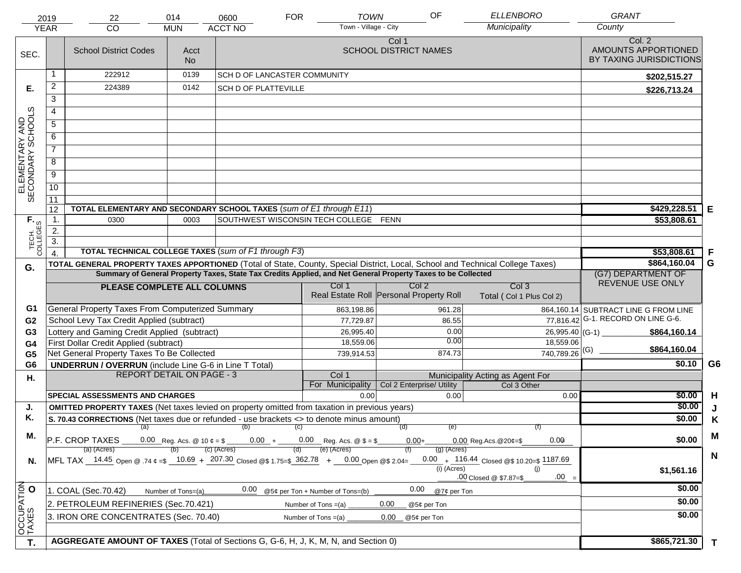|                                     | 2019             | 22                                                                                                           | 014                                                                                                                            | 0600                                  | <b>FOR</b> | <b>TOWN</b>                      | OF                                      | <b>ELLENBORO</b>                                   | <b>GRANT</b>                                             |                |
|-------------------------------------|------------------|--------------------------------------------------------------------------------------------------------------|--------------------------------------------------------------------------------------------------------------------------------|---------------------------------------|------------|----------------------------------|-----------------------------------------|----------------------------------------------------|----------------------------------------------------------|----------------|
|                                     | <b>YEAR</b>      | CO                                                                                                           | <b>MUN</b>                                                                                                                     | <b>ACCT NO</b>                        |            | Town - Village - City            |                                         | Municipality                                       | County                                                   |                |
| SEC.                                |                  | <b>School District Codes</b>                                                                                 | Acct<br>No.                                                                                                                    |                                       |            |                                  | Col 1<br><b>SCHOOL DISTRICT NAMES</b>   |                                                    | Col. 2<br>AMOUNTS APPORTIONED<br>BY TAXING JURISDICTIONS |                |
|                                     |                  | 222912                                                                                                       | 0139                                                                                                                           | <b>SCH D OF LANCASTER COMMUNITY</b>   |            |                                  |                                         |                                                    | \$202,515.27                                             |                |
| Е.                                  | $\overline{2}$   | 224389                                                                                                       | 0142                                                                                                                           | SCH D OF PLATTEVILLE                  |            |                                  |                                         |                                                    | \$226,713.24                                             |                |
|                                     | 3                |                                                                                                              |                                                                                                                                |                                       |            |                                  |                                         |                                                    |                                                          |                |
|                                     | 4                |                                                                                                              |                                                                                                                                |                                       |            |                                  |                                         |                                                    |                                                          |                |
|                                     | $\overline{5}$   |                                                                                                              |                                                                                                                                |                                       |            |                                  |                                         |                                                    |                                                          |                |
|                                     | 6                |                                                                                                              |                                                                                                                                |                                       |            |                                  |                                         |                                                    |                                                          |                |
| ELEMENTARY AND<br>SECONDARY SCHOOLS | $\overline{7}$   |                                                                                                              |                                                                                                                                |                                       |            |                                  |                                         |                                                    |                                                          |                |
|                                     | 8                |                                                                                                              |                                                                                                                                |                                       |            |                                  |                                         |                                                    |                                                          |                |
|                                     | $\overline{9}$   |                                                                                                              |                                                                                                                                |                                       |            |                                  |                                         |                                                    |                                                          |                |
|                                     | 10               |                                                                                                              |                                                                                                                                |                                       |            |                                  |                                         |                                                    |                                                          |                |
|                                     | $\overline{11}$  |                                                                                                              |                                                                                                                                |                                       |            |                                  |                                         |                                                    |                                                          |                |
|                                     | 12               | TOTAL ELEMENTARY AND SECONDARY SCHOOL TAXES (sum of E1 through E11)                                          |                                                                                                                                |                                       |            |                                  |                                         |                                                    | \$429,228.51                                             | Е              |
|                                     | $\mathbf 1$ .    | 0300                                                                                                         | 0003                                                                                                                           | SOUTHWEST WISCONSIN TECH COLLEGE FENN |            |                                  |                                         |                                                    | \$53,808.61                                              |                |
|                                     | 2.               |                                                                                                              |                                                                                                                                |                                       |            |                                  |                                         |                                                    |                                                          |                |
| TECH. T                             | $\overline{3}$ . | TOTAL TECHNICAL COLLEGE TAXES (sum of F1 through F3)                                                         |                                                                                                                                |                                       |            |                                  |                                         |                                                    | \$53,808.61                                              | F              |
|                                     | $\overline{4}$   |                                                                                                              | TOTAL GENERAL PROPERTY TAXES APPORTIONED (Total of State, County, Special District, Local, School and Technical College Taxes) | \$864,160.04                          | G          |                                  |                                         |                                                    |                                                          |                |
| G.                                  |                  | Summary of General Property Taxes, State Tax Credits Applied, and Net General Property Taxes to be Collected | (G7) DEPARTMENT OF                                                                                                             |                                       |            |                                  |                                         |                                                    |                                                          |                |
|                                     |                  | PLEASE COMPLETE ALL COLUMNS                                                                                  |                                                                                                                                |                                       |            | Col 1                            | Col <sub>2</sub>                        | Col <sub>3</sub>                                   | REVENUE USE ONLY                                         |                |
|                                     |                  |                                                                                                              |                                                                                                                                |                                       |            |                                  | Real Estate Roll Personal Property Roll | Total (Col 1 Plus Col 2)                           |                                                          |                |
| G1                                  |                  | General Property Taxes From Computerized Summary                                                             |                                                                                                                                |                                       |            | 863,198.86                       | 961.28                                  |                                                    | 864,160.14 SUBTRACT LINE G FROM LINE                     |                |
| G <sub>2</sub>                      |                  | School Levy Tax Credit Applied (subtract)                                                                    |                                                                                                                                |                                       |            | 77,729.87                        | 86.55                                   | 77,816.42                                          | G-1. RECORD ON LINE G-6.                                 |                |
| G <sub>3</sub>                      |                  | Lottery and Gaming Credit Applied (subtract)                                                                 |                                                                                                                                |                                       |            | 26,995.40                        | 0.00                                    | 26,995.40 (G-1) $-$                                | \$864,160.14                                             |                |
| G4                                  |                  | First Dollar Credit Applied (subtract)                                                                       |                                                                                                                                |                                       |            | 18,559.06                        | 0.00                                    | 18,559.06                                          | \$864,160.04                                             |                |
| G <sub>5</sub>                      |                  | Net General Property Taxes To Be Collected                                                                   |                                                                                                                                |                                       |            | 739,914.53                       | 874.73                                  | $740,789.26$ <sup>(G)</sup>                        |                                                          |                |
| G <sub>6</sub>                      |                  | <b>UNDERRUN / OVERRUN</b> (include Line G-6 in Line T Total)                                                 |                                                                                                                                |                                       |            |                                  |                                         |                                                    | \$0.10                                                   | G <sub>6</sub> |
| Η.                                  |                  |                                                                                                              | <b>REPORT DETAIL ON PAGE - 3</b>                                                                                               |                                       |            | Col 1<br>For Municipality        | Col 2 Enterprise/ Utility               | Municipality Acting as Agent For<br>Col 3 Other    |                                                          |                |
|                                     |                  | <b>SPECIAL ASSESSMENTS AND CHARGES</b>                                                                       |                                                                                                                                |                                       |            | 0.00                             | 0.00                                    | 0.00                                               | \$0.00                                                   | H              |
| J.                                  |                  | <b>OMITTED PROPERTY TAXES</b> (Net taxes levied on property omitted from taxation in previous years)         |                                                                                                                                |                                       |            |                                  |                                         |                                                    | \$0.00                                                   | J              |
| Κ.                                  |                  | S. 70.43 CORRECTIONS (Net taxes due or refunded - use brackets <> to denote minus amount)                    | \$0.00                                                                                                                         | K                                     |            |                                  |                                         |                                                    |                                                          |                |
|                                     |                  | $(a)$ (b) (c)                                                                                                |                                                                                                                                |                                       |            |                                  |                                         |                                                    |                                                          |                |
| М.                                  |                  | 0.00 Reg. Acs. @ 10 $\phi = $$ 0.00 + 0.00 Reg. Acs. @ \$ = \$<br>P.F. CROP TAXES                            | \$0.00                                                                                                                         | M                                     |            |                                  |                                         |                                                    |                                                          |                |
|                                     |                  | (a) (Acres)                                                                                                  |                                                                                                                                | (c) (Acres)                           |            | (e) (Acres)                      | $(g)$ (Acres)                           |                                                    |                                                          | $\mathbf N$    |
| N.                                  |                  | MFL TAX 14.45 Open @ .74 $\epsilon = 10.69 + 207.30$ Closed @\$ 1.75=\$ 362.78 + 0.00 Open @\$ 2.04=         |                                                                                                                                |                                       |            |                                  | (i) (Acres)                             | 0.00 + $116.44$ Closed @\$ 10.20=\$ 1187.69<br>(i) | \$1,561.16                                               |                |
|                                     |                  |                                                                                                              |                                                                                                                                |                                       |            |                                  |                                         | $.00 =$<br>.00 Closed @ \$7.87=\$                  |                                                          |                |
|                                     |                  | 1. COAL (Sec.70.42)                                                                                          | Number of Tons=(a)                                                                                                             | 0.00                                  |            | @5¢ per Ton + Number of Tons=(b) | 0.00<br>@7¢ per Ton                     |                                                    | \$0.00                                                   |                |
| OCCUPATION                          |                  | 2. PETROLEUM REFINERIES (Sec.70.421)                                                                         |                                                                                                                                |                                       |            | Number of Tons $=(a)$            | 0.00<br>@5¢ per Ton                     |                                                    | \$0.00                                                   |                |
|                                     |                  | 3. IRON ORE CONCENTRATES (Sec. 70.40)                                                                        |                                                                                                                                |                                       |            | Number of Tons $=(a)$            | 0.00<br>@5¢ per Ton                     |                                                    | \$0.00                                                   |                |
|                                     |                  |                                                                                                              |                                                                                                                                |                                       |            |                                  |                                         |                                                    |                                                          |                |
| T.                                  |                  | AGGREGATE AMOUNT OF TAXES (Total of Sections G, G-6, H, J, K, M, N, and Section 0)                           |                                                                                                                                |                                       |            |                                  |                                         |                                                    | \$865,721.30                                             |                |
|                                     |                  |                                                                                                              |                                                                                                                                |                                       |            |                                  |                                         |                                                    |                                                          | $\mathbf{T}$   |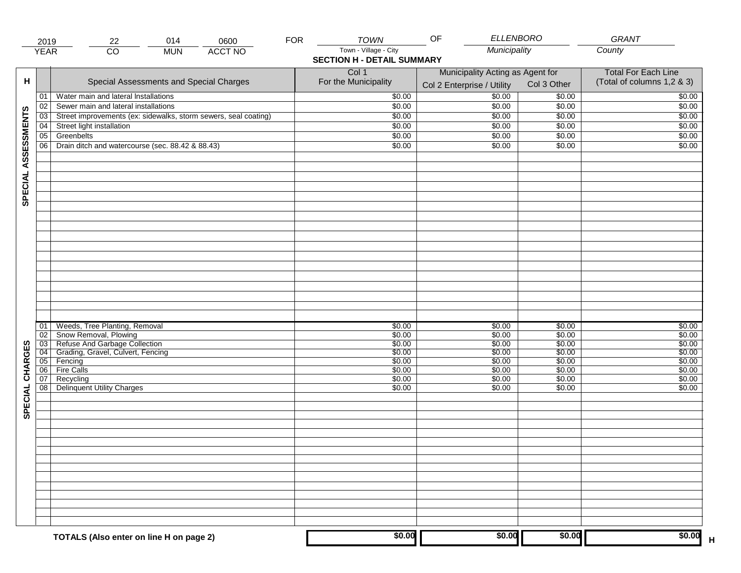|                     |                | 014<br>0600<br>22<br>2019                                                               | <b>FOR</b> | <b>TOWN</b>                                                | OF                                                             | <b>ELLENBORO</b>           | <b>GRANT</b>                                             |
|---------------------|----------------|-----------------------------------------------------------------------------------------|------------|------------------------------------------------------------|----------------------------------------------------------------|----------------------------|----------------------------------------------------------|
|                     | <b>YEAR</b>    | $\overline{CO}$<br><b>ACCT NO</b><br><b>MUN</b>                                         |            | Town - Village - City<br><b>SECTION H - DETAIL SUMMARY</b> | Municipality                                                   |                            | County                                                   |
| н                   |                | Special Assessments and Special Charges                                                 |            | Col 1<br>For the Municipality                              | Municipality Acting as Agent for<br>Col 2 Enterprise / Utility | Col 3 Other                | <b>Total For Each Line</b><br>(Total of columns 1,2 & 3) |
|                     | 01             | Water main and lateral Installations                                                    |            | \$0.00                                                     | 50.00                                                          | \$0.00                     | \$0.00                                                   |
|                     | 02             | Sewer main and lateral installations                                                    |            | \$0.00                                                     | \$0.00                                                         | \$0.00                     | \$0.00                                                   |
|                     | 03             | Street improvements (ex: sidewalks, storm sewers, seal coating)                         |            | \$0.00                                                     | \$0.00                                                         | \$0.00                     | \$0.00                                                   |
|                     | 04             | Street light installation                                                               |            | \$0.00                                                     | \$0.00                                                         | \$0.00                     | \$0.00                                                   |
|                     | 05             | Greenbelts                                                                              |            | \$0.00                                                     | \$0.00                                                         | \$0.00                     | \$0.00                                                   |
|                     | 06             | Drain ditch and watercourse (sec. 88.42 & 88.43)                                        |            | \$0.00                                                     | \$0.00                                                         | \$0.00                     | \$0.00                                                   |
| SPECIAL ASSESSMENTS |                |                                                                                         |            |                                                            |                                                                |                            |                                                          |
|                     | 01<br>02<br>03 | Weeds, Tree Planting, Removal<br>Snow Removal, Plowing<br>Refuse And Garbage Collection |            | \$0.00<br>\$0.00<br>\$0.00                                 | \$0.00<br>\$0.00<br>\$0.00                                     | \$0.00<br>\$0.00<br>\$0.00 | \$0.00<br>\$0.00<br>\$0.00                               |
| CHARGES             | 04<br>05       | Grading, Gravel, Culvert, Fencing<br>Fencing                                            |            | \$0.00<br>\$0.00                                           | \$0.00<br>\$0.00                                               | \$0.00<br>\$0.00           | \$0.00<br>\$0.00                                         |
|                     | 06             | Fire Calls                                                                              |            | \$0.00                                                     | \$0.00                                                         | \$0.00                     | \$0.00                                                   |
| SPECIAL             | 07<br>08       | Recycling<br><b>Delinquent Utility Charges</b>                                          |            | \$0.00<br>\$0.00                                           | \$0.00<br>\$0.00                                               | \$0.00<br>\$0.00           | \$0.00<br>\$0.00                                         |
|                     |                |                                                                                         |            |                                                            |                                                                |                            |                                                          |
|                     |                |                                                                                         |            |                                                            |                                                                |                            |                                                          |
|                     |                | TOTALS (Also enter on line H on page 2)                                                 |            | \$0.00                                                     | \$0.00                                                         | \$0.00                     | \$0.00                                                   |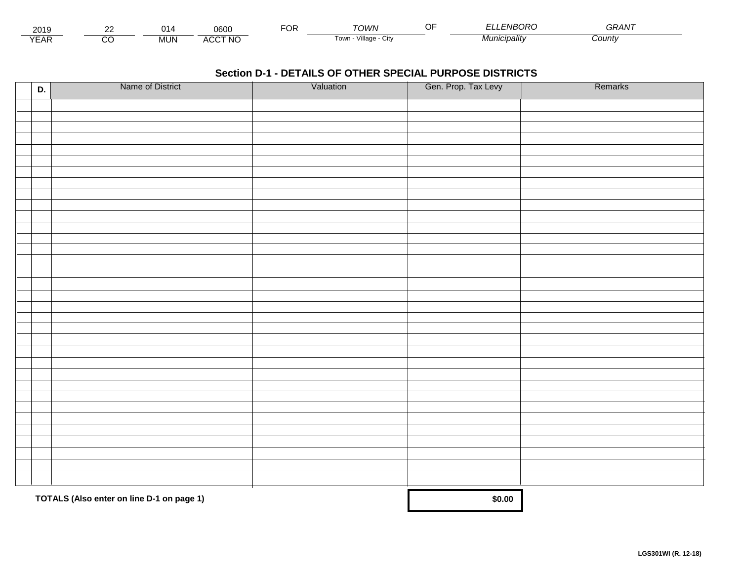| 2015                 | $\sim$ | . .  | 0600                        | r^'<br>◡ | ั∩เท∧                   | F1IDQDQ<br>ייי<br>$\cdots$ | $\sim$ $\sim$ $\sim$ $\sim$<br>GRAN<br>77 V |  |
|----------------------|--------|------|-----------------------------|----------|-------------------------|----------------------------|---------------------------------------------|--|
| $\sqrt{2}$<br>▵<br>. |        | .JUN | <b>CCT NO</b><br><b>AUL</b> |          | villade<br>i own<br>URV | nıcıpalıtv                 | ⊃ountv                                      |  |

| D. | Name of District                          | Valuation | Gen. Prop. Tax Levy | Remarks |
|----|-------------------------------------------|-----------|---------------------|---------|
|    |                                           |           |                     |         |
|    |                                           |           |                     |         |
|    |                                           |           |                     |         |
|    |                                           |           |                     |         |
|    |                                           |           |                     |         |
|    |                                           |           |                     |         |
|    |                                           |           |                     |         |
|    |                                           |           |                     |         |
|    |                                           |           |                     |         |
|    |                                           |           |                     |         |
|    |                                           |           |                     |         |
|    |                                           |           |                     |         |
|    |                                           |           |                     |         |
|    |                                           |           |                     |         |
|    |                                           |           |                     |         |
|    |                                           |           |                     |         |
|    |                                           |           |                     |         |
|    |                                           |           |                     |         |
|    |                                           |           |                     |         |
|    |                                           |           |                     |         |
|    |                                           |           |                     |         |
|    |                                           |           |                     |         |
|    |                                           |           |                     |         |
|    |                                           |           |                     |         |
|    |                                           |           |                     |         |
|    |                                           |           |                     |         |
|    |                                           |           |                     |         |
|    |                                           |           |                     |         |
|    |                                           |           |                     |         |
|    |                                           |           |                     |         |
|    |                                           |           |                     |         |
|    | TOTALS (Also enter on line D-1 on page 1) |           | \$0.00              |         |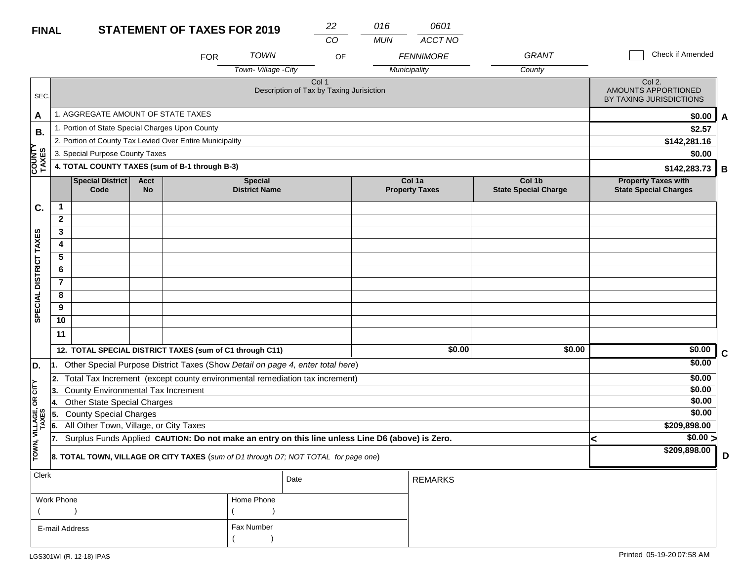#### **STATEMENT OF TAXES FOR 2019 FINAL**

| <b>FINAL</b>            |                         |                                                                                                  |                          | <b>STATEMENT OF TAXES FOR 2019</b> |                                                                                | 22    | 016        | 0601                            |                                       |                                                            |             |
|-------------------------|-------------------------|--------------------------------------------------------------------------------------------------|--------------------------|------------------------------------|--------------------------------------------------------------------------------|-------|------------|---------------------------------|---------------------------------------|------------------------------------------------------------|-------------|
|                         |                         |                                                                                                  |                          |                                    |                                                                                | CO    | <b>MUN</b> | ACCT NO                         |                                       |                                                            |             |
|                         |                         |                                                                                                  |                          | <b>FOR</b>                         | <b>TOWN</b>                                                                    | OF    |            | <b>FENNIMORE</b>                | <b>GRANT</b>                          | Check if Amended                                           |             |
|                         |                         |                                                                                                  |                          |                                    | Town-Village -City                                                             |       |            | Municipality                    | County                                |                                                            |             |
| SEC.                    |                         |                                                                                                  |                          |                                    | Description of Tax by Taxing Jurisiction                                       | Col 1 |            |                                 |                                       | Col 2.<br>AMOUNTS APPORTIONED<br>BY TAXING JURISDICTIONS   |             |
| A                       |                         | 1. AGGREGATE AMOUNT OF STATE TAXES                                                               |                          |                                    |                                                                                |       |            |                                 |                                       | \$0.00                                                     | A           |
| <b>B.</b>               |                         | 1. Portion of State Special Charges Upon County                                                  |                          |                                    |                                                                                |       |            |                                 |                                       | \$2.57                                                     |             |
|                         |                         | 2. Portion of County Tax Levied Over Entire Municipality                                         |                          |                                    |                                                                                |       |            |                                 |                                       | \$142,281.16                                               |             |
|                         |                         | 3. Special Purpose County Taxes                                                                  |                          |                                    |                                                                                |       |            |                                 |                                       | \$0.00                                                     |             |
| <b>COUNTY</b><br>TAXES  |                         | 4. TOTAL COUNTY TAXES (sum of B-1 through B-3)                                                   |                          |                                    |                                                                                |       |            |                                 |                                       | \$142,283.73                                               | B           |
|                         |                         | <b>Special District</b><br>Code                                                                  | <b>Acct</b><br><b>No</b> |                                    | <b>Special</b><br><b>District Name</b>                                         |       |            | Col 1a<br><b>Property Taxes</b> | Col 1b<br><b>State Special Charge</b> | <b>Property Taxes with</b><br><b>State Special Charges</b> |             |
| C.                      | $\mathbf{1}$            |                                                                                                  |                          |                                    |                                                                                |       |            |                                 |                                       |                                                            |             |
|                         | $\mathbf{2}$            |                                                                                                  |                          |                                    |                                                                                |       |            |                                 |                                       |                                                            |             |
|                         | $\overline{\mathbf{3}}$ |                                                                                                  |                          |                                    |                                                                                |       |            |                                 |                                       |                                                            |             |
| SPECIAL DISTRICT TAXES  | 4                       |                                                                                                  |                          |                                    |                                                                                |       |            |                                 |                                       |                                                            |             |
|                         | $\overline{5}$          |                                                                                                  |                          |                                    |                                                                                |       |            |                                 |                                       |                                                            |             |
|                         | 6                       |                                                                                                  |                          |                                    |                                                                                |       |            |                                 |                                       |                                                            |             |
|                         | $\overline{7}$          |                                                                                                  |                          |                                    |                                                                                |       |            |                                 |                                       |                                                            |             |
|                         | 8                       |                                                                                                  |                          |                                    |                                                                                |       |            |                                 |                                       |                                                            |             |
|                         | 9                       |                                                                                                  |                          |                                    |                                                                                |       |            |                                 |                                       |                                                            |             |
|                         | 10                      |                                                                                                  |                          |                                    |                                                                                |       |            |                                 |                                       |                                                            |             |
|                         | 11                      |                                                                                                  |                          |                                    |                                                                                |       |            |                                 |                                       |                                                            |             |
|                         |                         | 12. TOTAL SPECIAL DISTRICT TAXES (sum of C1 through C11)                                         |                          |                                    |                                                                                |       |            | \$0.00                          | \$0.00                                | \$0.00                                                     | $\mathbf c$ |
| D.                      | 1.                      |                                                                                                  |                          |                                    | Other Special Purpose District Taxes (Show Detail on page 4, enter total here) |       |            |                                 |                                       | \$0.00                                                     |             |
|                         | 2.                      |                                                                                                  |                          |                                    | Total Tax Increment (except county environmental remediation tax increment)    |       |            |                                 |                                       | \$0.00                                                     |             |
| $OR$ $CITY$             | 3.                      | County Environmental Tax Increment                                                               |                          |                                    |                                                                                |       |            |                                 |                                       | \$0.00                                                     |             |
|                         | 14.                     | <b>Other State Special Charges</b>                                                               |                          |                                    |                                                                                |       |            |                                 |                                       | \$0.00                                                     |             |
|                         | 5.                      | <b>County Special Charges</b>                                                                    |                          |                                    |                                                                                |       |            |                                 |                                       | \$0.00                                                     |             |
|                         | 6.                      | All Other Town, Village, or City Taxes                                                           |                          |                                    | \$209,898.00                                                                   |       |            |                                 |                                       |                                                            |             |
|                         | 17.                     | Surplus Funds Applied CAUTION: Do not make an entry on this line unless Line D6 (above) is Zero. |                          |                                    | $\sqrt{$0.00}$<br><                                                            |       |            |                                 |                                       |                                                            |             |
| TOWN, VILLAGE,<br>TAXES |                         | 8. TOTAL TOWN, VILLAGE OR CITY TAXES (sum of D1 through D7; NOT TOTAL for page one)              |                          | \$209,898.00                       | D                                                                              |       |            |                                 |                                       |                                                            |             |

| $ $ Clerk      |            | Date | <b>REMARKS</b> |
|----------------|------------|------|----------------|
| Work Phone     | Home Phone |      |                |
|                |            |      |                |
| E-mail Address | Fax Number |      |                |
|                |            |      |                |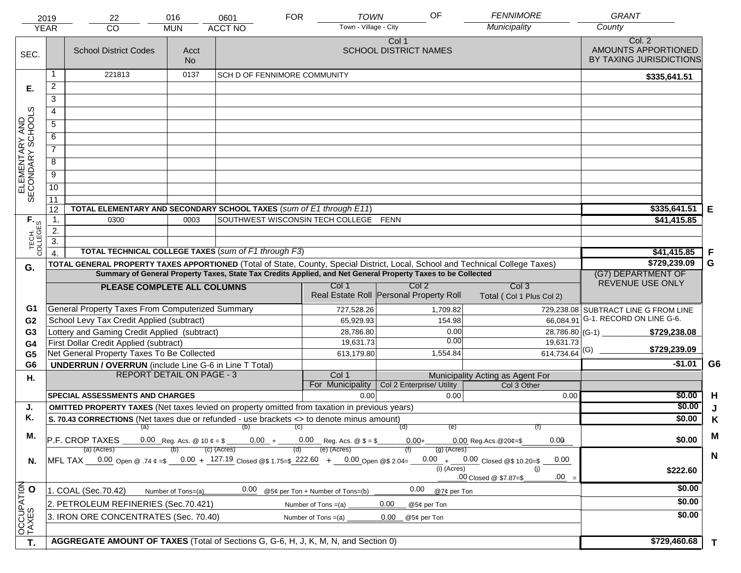|                                     | 2019             | 22                                                                                                                                                                                                                                             | 016                | 0601                                                                                    | <b>FOR</b> | <b>TOWN</b>                           | OF                                      | <b>FENNIMORE</b>                                | <b>GRANT</b>                                             |                |
|-------------------------------------|------------------|------------------------------------------------------------------------------------------------------------------------------------------------------------------------------------------------------------------------------------------------|--------------------|-----------------------------------------------------------------------------------------|------------|---------------------------------------|-----------------------------------------|-------------------------------------------------|----------------------------------------------------------|----------------|
|                                     | <b>YEAR</b>      | CO                                                                                                                                                                                                                                             | <b>MUN</b>         | <b>ACCT NO</b>                                                                          |            | Town - Village - City                 |                                         | Municipality                                    | County                                                   |                |
| SEC.                                |                  | <b>School District Codes</b>                                                                                                                                                                                                                   | Acct<br><b>No</b>  |                                                                                         |            |                                       | Col 1<br><b>SCHOOL DISTRICT NAMES</b>   |                                                 | Col. 2<br>AMOUNTS APPORTIONED<br>BY TAXING JURISDICTIONS |                |
|                                     | 1                | 221813                                                                                                                                                                                                                                         | 0137               | <b>SCH D OF FENNIMORE COMMUNITY</b>                                                     |            |                                       |                                         |                                                 | \$335,641.51                                             |                |
| Е.                                  | $\overline{2}$   |                                                                                                                                                                                                                                                |                    |                                                                                         |            |                                       |                                         |                                                 |                                                          |                |
|                                     | 3                |                                                                                                                                                                                                                                                |                    |                                                                                         |            |                                       |                                         |                                                 |                                                          |                |
|                                     | 4                |                                                                                                                                                                                                                                                |                    |                                                                                         |            |                                       |                                         |                                                 |                                                          |                |
|                                     | $\overline{5}$   |                                                                                                                                                                                                                                                |                    |                                                                                         |            |                                       |                                         |                                                 |                                                          |                |
|                                     | 6                |                                                                                                                                                                                                                                                |                    |                                                                                         |            |                                       |                                         |                                                 |                                                          |                |
| ELEMENTARY AND<br>SECONDARY SCHOOLS | $\overline{7}$   |                                                                                                                                                                                                                                                |                    |                                                                                         |            |                                       |                                         |                                                 |                                                          |                |
|                                     | 8                |                                                                                                                                                                                                                                                |                    |                                                                                         |            |                                       |                                         |                                                 |                                                          |                |
|                                     | $\overline{9}$   |                                                                                                                                                                                                                                                |                    |                                                                                         |            |                                       |                                         |                                                 |                                                          |                |
|                                     | 10               |                                                                                                                                                                                                                                                |                    |                                                                                         |            |                                       |                                         |                                                 |                                                          |                |
|                                     | $\overline{11}$  |                                                                                                                                                                                                                                                |                    |                                                                                         |            |                                       |                                         |                                                 |                                                          |                |
|                                     | 12               | TOTAL ELEMENTARY AND SECONDARY SCHOOL TAXES (sum of E1 through E11)                                                                                                                                                                            |                    |                                                                                         |            |                                       |                                         |                                                 | \$335,641.51                                             | Е              |
|                                     | 1.               | 0300                                                                                                                                                                                                                                           | 0003               |                                                                                         |            | SOUTHWEST WISCONSIN TECH COLLEGE FENN |                                         |                                                 | \$41,415.85                                              |                |
|                                     | 2.               |                                                                                                                                                                                                                                                |                    |                                                                                         |            |                                       |                                         |                                                 |                                                          |                |
| TECH. T                             | $\overline{3}$ . | TOTAL TECHNICAL COLLEGE TAXES (sum of F1 through F3)                                                                                                                                                                                           |                    |                                                                                         |            |                                       |                                         |                                                 |                                                          |                |
|                                     | $\overline{4}$   |                                                                                                                                                                                                                                                |                    | \$41,415.85<br>\$729,239.09                                                             | F<br>G     |                                       |                                         |                                                 |                                                          |                |
| G.                                  |                  | TOTAL GENERAL PROPERTY TAXES APPORTIONED (Total of State, County, Special District, Local, School and Technical College Taxes)<br>Summary of General Property Taxes, State Tax Credits Applied, and Net General Property Taxes to be Collected | (G7) DEPARTMENT OF |                                                                                         |            |                                       |                                         |                                                 |                                                          |                |
|                                     |                  | PLEASE COMPLETE ALL COLUMNS                                                                                                                                                                                                                    |                    |                                                                                         |            | Col 1                                 | Col <sub>2</sub>                        | Col <sub>3</sub>                                | REVENUE USE ONLY                                         |                |
|                                     |                  |                                                                                                                                                                                                                                                |                    |                                                                                         |            |                                       | Real Estate Roll Personal Property Roll | Total (Col 1 Plus Col 2)                        |                                                          |                |
| G1                                  |                  | General Property Taxes From Computerized Summary                                                                                                                                                                                               |                    |                                                                                         |            | 727,528.26                            | 1,709.82                                |                                                 | 729,238.08 SUBTRACT LINE G FROM LINE                     |                |
| G <sub>2</sub>                      |                  | School Levy Tax Credit Applied (subtract)                                                                                                                                                                                                      |                    |                                                                                         |            | 65,929.93                             | 154.98                                  | 66,084.91                                       | G-1. RECORD ON LINE G-6.                                 |                |
| G3                                  |                  | Lottery and Gaming Credit Applied (subtract)                                                                                                                                                                                                   |                    |                                                                                         |            | 28,786.80                             |                                         | 0.00                                            | 28,786.80 (G-1) $-$<br>\$729,238.08                      |                |
| G4                                  |                  | First Dollar Credit Applied (subtract)                                                                                                                                                                                                         |                    |                                                                                         |            | 19,631.73                             |                                         | 0.00<br>19,631.73                               | \$729,239.09                                             |                |
| G <sub>5</sub>                      |                  | Net General Property Taxes To Be Collected                                                                                                                                                                                                     |                    |                                                                                         |            | 613,179.80                            | 1,554.84                                | $614,734.64$ <sup>(G)</sup>                     |                                                          |                |
| G <sub>6</sub>                      |                  | <b>UNDERRUN / OVERRUN</b> (include Line G-6 in Line T Total)<br><b>REPORT DETAIL ON PAGE - 3</b>                                                                                                                                               |                    |                                                                                         |            | Col 1                                 |                                         |                                                 | $-$1.01$                                                 | G <sub>6</sub> |
| Η.                                  |                  |                                                                                                                                                                                                                                                |                    |                                                                                         |            | For Municipality                      | Col 2 Enterprise/ Utility               | Municipality Acting as Agent For<br>Col 3 Other |                                                          |                |
|                                     |                  | <b>SPECIAL ASSESSMENTS AND CHARGES</b>                                                                                                                                                                                                         |                    |                                                                                         |            | 0.00                                  |                                         | 0.00<br>0.00                                    | \$0.00                                                   | H              |
| J.                                  |                  | <b>OMITTED PROPERTY TAXES</b> (Net taxes levied on property omitted from taxation in previous years)                                                                                                                                           |                    |                                                                                         |            |                                       |                                         |                                                 | \$0.00                                                   | J              |
| Κ.                                  |                  | S. 70.43 CORRECTIONS (Net taxes due or refunded - use brackets <> to denote minus amount)                                                                                                                                                      |                    | \$0.00                                                                                  | K          |                                       |                                         |                                                 |                                                          |                |
| М.                                  |                  | $(a)$ (b) (c)                                                                                                                                                                                                                                  | (e)                |                                                                                         | M          |                                       |                                         |                                                 |                                                          |                |
|                                     |                  | P.F. CROP TAXES                                                                                                                                                                                                                                |                    | 0.00 Reg. Acs. @ 10 $\ell = \frac{1}{2}$ 0.00 + 0.00 Reg. Acs. @ \$ = \$<br>(c) (Acres) |            | (e) (Acres)                           | $0.00+$<br>$(g)$ (Acres)                | 0.00<br>$0.00$ Reg. Acs. @ 20¢=\$               | \$0.00                                                   |                |
| N.                                  |                  | (a) (Acres)<br>MFL TAX 0.00 Open @ .74 $\epsilon = 5 - 0.00 + 127.19$ Closed @\$ 1.75=\$ 222.60 + 0.00 Open @\$ 2.04=                                                                                                                          |                    |                                                                                         |            |                                       |                                         | $0.00 + 0.00$ Closed @\$ 10.20=\$<br>0.00       |                                                          | $\mathbf N$    |
|                                     |                  |                                                                                                                                                                                                                                                |                    |                                                                                         |            |                                       | $(i)$ (Acres)                           | (i)                                             | \$222.60                                                 |                |
|                                     |                  |                                                                                                                                                                                                                                                |                    |                                                                                         |            |                                       |                                         | $.00 =$<br>.00 Closed @ \$7.87=\$               |                                                          |                |
|                                     |                  | 1. COAL (Sec.70.42)                                                                                                                                                                                                                            | Number of Tons=(a) | 0.00                                                                                    |            | @5¢ per Ton + Number of Tons=(b)      | 0.00                                    | @7¢ per Ton                                     | \$0.00                                                   |                |
|                                     |                  | 2. PETROLEUM REFINERIES (Sec.70.421)                                                                                                                                                                                                           |                    |                                                                                         |            | Number of Tons $=(a)$                 | 0.00<br>@5¢ per Ton                     |                                                 | \$0.00                                                   |                |
|                                     |                  | 3. IRON ORE CONCENTRATES (Sec. 70.40)                                                                                                                                                                                                          |                    |                                                                                         |            | Number of Tons $=(a)$                 | 0.00<br>@5¢ per Ton                     |                                                 | \$0.00                                                   |                |
| OCCUPATION<br>TAXES O               |                  |                                                                                                                                                                                                                                                |                    |                                                                                         |            |                                       |                                         |                                                 |                                                          |                |
| T.                                  |                  | AGGREGATE AMOUNT OF TAXES (Total of Sections G, G-6, H, J, K, M, N, and Section 0)                                                                                                                                                             |                    |                                                                                         |            |                                       |                                         |                                                 | \$729,460.68                                             | $\mathbf{T}$   |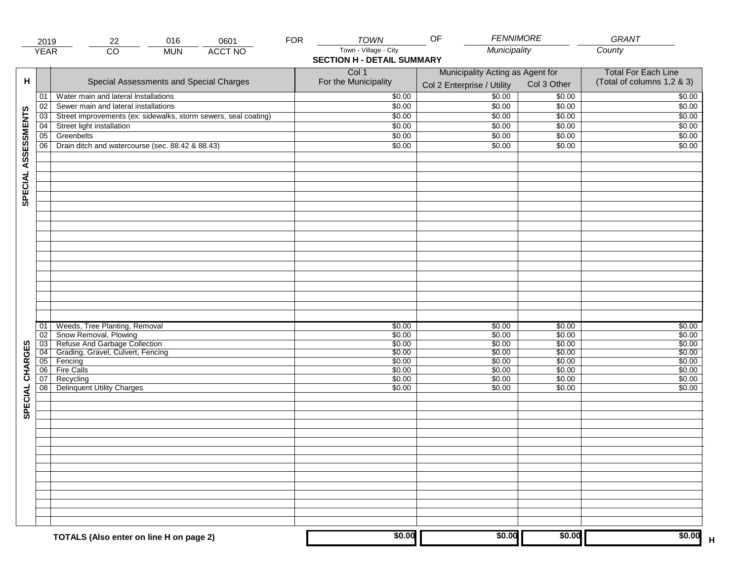| Municipality<br>$\overline{CO}$<br><b>ACCT NO</b><br><b>YEAR</b><br><b>MUN</b><br><b>SECTION H - DETAIL SUMMARY</b><br>Col 1<br>Municipality Acting as Agent for<br><b>Total For Each Line</b><br>н<br>Special Assessments and Special Charges<br>For the Municipality<br>Col 3 Other<br>Col 2 Enterprise / Utility<br>$\frac{1}{00}$<br>Water main and lateral Installations<br>\$0.00<br>\$0.00<br>01<br>Sewer main and lateral installations<br>\$0.00<br>\$0.00<br>02<br>\$0.00<br>SPECIAL ASSESSMENTS<br>Street improvements (ex: sidewalks, storm sewers, seal coating)<br>\$0.00<br>\$0.00<br>$\overline{03}$<br>\$0.00<br>Street light installation<br>\$0.00<br>\$0.00<br>04<br>\$0.00<br>Greenbelts<br>\$0.00<br>\$0.00<br>05<br>\$0.00<br>Drain ditch and watercourse (sec. 88.42 & 88.43)<br>06<br>\$0.00<br>\$0.00<br>\$0.00<br>Weeds, Tree Planting, Removal<br>\$0.00<br>\$0.00<br>\$0.00<br>01<br>Snow Removal, Plowing<br>\$0.00<br>\$0.00<br>\$0.00<br>02<br>03 Refuse And Garbage Collection<br>04 Grading, Gravel, Culvert, Fencing<br>\$0.00<br>\$0.00<br>\$0.00<br>CHARGES<br>\$0.00<br>\$0.00<br>\$0.00<br>05 Fencing<br>\$0.00<br>\$0.00<br>\$0.00<br><b>Fire Calls</b><br>\$0.00<br>06<br>\$0.00<br>\$0.00<br>07<br>Recycling<br>\$0.00<br>\$0.00<br>\$0.00<br>SPECIAL<br><b>Delinquent Utility Charges</b><br>08<br>\$0.00<br>\$0.00<br>\$0.00 | 2019 | 016<br>0601<br>22                       | <b>FOR</b> | <b>TOWN</b>           | <b>FENNIMORE</b><br>OF |        | <b>GRANT</b>                                             |
|--------------------------------------------------------------------------------------------------------------------------------------------------------------------------------------------------------------------------------------------------------------------------------------------------------------------------------------------------------------------------------------------------------------------------------------------------------------------------------------------------------------------------------------------------------------------------------------------------------------------------------------------------------------------------------------------------------------------------------------------------------------------------------------------------------------------------------------------------------------------------------------------------------------------------------------------------------------------------------------------------------------------------------------------------------------------------------------------------------------------------------------------------------------------------------------------------------------------------------------------------------------------------------------------------------------------------------------------------------------------------|------|-----------------------------------------|------------|-----------------------|------------------------|--------|----------------------------------------------------------|
|                                                                                                                                                                                                                                                                                                                                                                                                                                                                                                                                                                                                                                                                                                                                                                                                                                                                                                                                                                                                                                                                                                                                                                                                                                                                                                                                                                          |      |                                         |            | Town - Village - City |                        |        | County                                                   |
|                                                                                                                                                                                                                                                                                                                                                                                                                                                                                                                                                                                                                                                                                                                                                                                                                                                                                                                                                                                                                                                                                                                                                                                                                                                                                                                                                                          |      |                                         |            |                       |                        |        | (Total of columns 1,2 & 3)                               |
|                                                                                                                                                                                                                                                                                                                                                                                                                                                                                                                                                                                                                                                                                                                                                                                                                                                                                                                                                                                                                                                                                                                                                                                                                                                                                                                                                                          |      |                                         |            |                       |                        |        | \$0.00                                                   |
|                                                                                                                                                                                                                                                                                                                                                                                                                                                                                                                                                                                                                                                                                                                                                                                                                                                                                                                                                                                                                                                                                                                                                                                                                                                                                                                                                                          |      |                                         |            |                       |                        |        | \$0.00                                                   |
|                                                                                                                                                                                                                                                                                                                                                                                                                                                                                                                                                                                                                                                                                                                                                                                                                                                                                                                                                                                                                                                                                                                                                                                                                                                                                                                                                                          |      |                                         |            |                       |                        |        | \$0.00                                                   |
|                                                                                                                                                                                                                                                                                                                                                                                                                                                                                                                                                                                                                                                                                                                                                                                                                                                                                                                                                                                                                                                                                                                                                                                                                                                                                                                                                                          |      |                                         |            |                       |                        |        | \$0.00                                                   |
|                                                                                                                                                                                                                                                                                                                                                                                                                                                                                                                                                                                                                                                                                                                                                                                                                                                                                                                                                                                                                                                                                                                                                                                                                                                                                                                                                                          |      |                                         |            |                       |                        |        | \$0.00                                                   |
|                                                                                                                                                                                                                                                                                                                                                                                                                                                                                                                                                                                                                                                                                                                                                                                                                                                                                                                                                                                                                                                                                                                                                                                                                                                                                                                                                                          |      |                                         |            |                       |                        |        | \$0.00                                                   |
|                                                                                                                                                                                                                                                                                                                                                                                                                                                                                                                                                                                                                                                                                                                                                                                                                                                                                                                                                                                                                                                                                                                                                                                                                                                                                                                                                                          |      |                                         |            |                       |                        |        |                                                          |
|                                                                                                                                                                                                                                                                                                                                                                                                                                                                                                                                                                                                                                                                                                                                                                                                                                                                                                                                                                                                                                                                                                                                                                                                                                                                                                                                                                          |      |                                         |            |                       |                        |        | \$0.00<br>\$0.00<br>\$0.00<br>\$0.00<br>\$0.00<br>\$0.00 |
|                                                                                                                                                                                                                                                                                                                                                                                                                                                                                                                                                                                                                                                                                                                                                                                                                                                                                                                                                                                                                                                                                                                                                                                                                                                                                                                                                                          |      |                                         |            |                       |                        |        | \$0.00<br>\$0.00                                         |
|                                                                                                                                                                                                                                                                                                                                                                                                                                                                                                                                                                                                                                                                                                                                                                                                                                                                                                                                                                                                                                                                                                                                                                                                                                                                                                                                                                          |      | TOTALS (Also enter on line H on page 2) |            | \$0.00                | \$0.00                 | \$0.00 | \$0.00                                                   |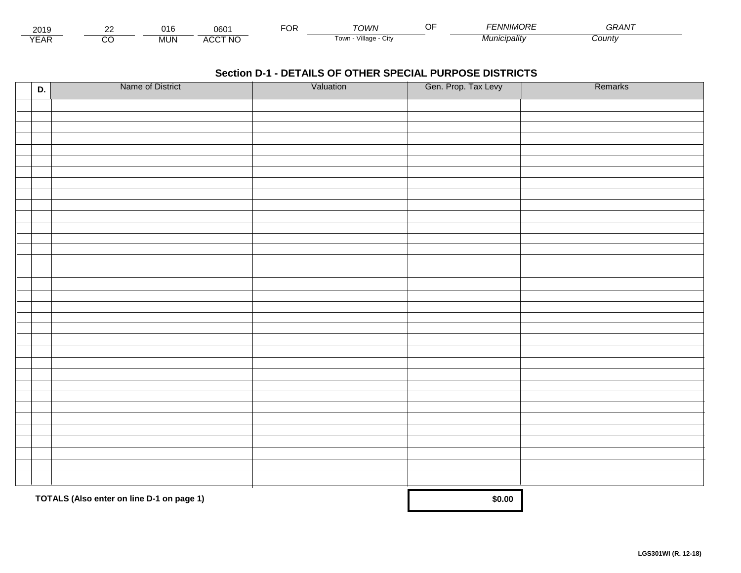| - - -<br>201.               | co | .<br>1 t   | 060          | Ur | ΓΩΙΛ/Ν                     | $\sim$ $\sim$<br> | <i>INIMORF</i> | $\cdots$<br><b>TIT.</b> |  |
|-----------------------------|----|------------|--------------|----|----------------------------|-------------------|----------------|-------------------------|--|
| $\sqrt{2}$<br>▵<br><b>L</b> |    | <b>MUN</b> | CCT NC،<br>" |    | .<br>∡illage<br>Town.<br>. |                   | วลแ†ง          | Count∨                  |  |

| D. | Name of District                          | Valuation | Gen. Prop. Tax Levy | Remarks |
|----|-------------------------------------------|-----------|---------------------|---------|
|    |                                           |           |                     |         |
|    |                                           |           |                     |         |
|    |                                           |           |                     |         |
|    |                                           |           |                     |         |
|    |                                           |           |                     |         |
|    |                                           |           |                     |         |
|    |                                           |           |                     |         |
|    |                                           |           |                     |         |
|    |                                           |           |                     |         |
|    |                                           |           |                     |         |
|    |                                           |           |                     |         |
|    |                                           |           |                     |         |
|    |                                           |           |                     |         |
|    |                                           |           |                     |         |
|    |                                           |           |                     |         |
|    |                                           |           |                     |         |
|    |                                           |           |                     |         |
|    |                                           |           |                     |         |
|    |                                           |           |                     |         |
|    |                                           |           |                     |         |
|    |                                           |           |                     |         |
|    |                                           |           |                     |         |
|    |                                           |           |                     |         |
|    |                                           |           |                     |         |
|    |                                           |           |                     |         |
|    |                                           |           |                     |         |
|    |                                           |           |                     |         |
|    |                                           |           |                     |         |
|    |                                           |           |                     |         |
|    |                                           |           |                     |         |
|    | TOTALS (Also enter on line D-1 on page 1) |           | \$0.00              |         |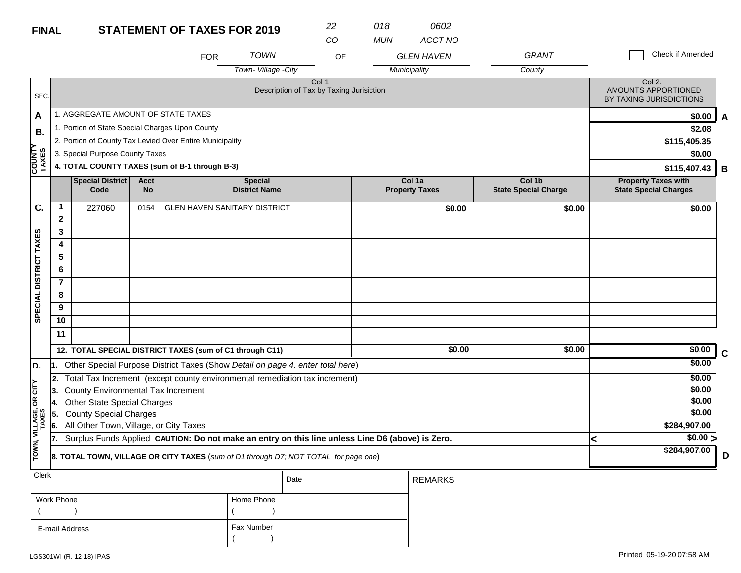#### **STATEMENT OF TAVES EOD 2010 FINAL**

| <b>FINAL</b>           |                |                                                 |                                                | <b>STATEMENT OF TAXES FOR 2019</b>                                                               |                                        | 22                                                           | 018        | 0602                            |                                       |   |                                                            |             |
|------------------------|----------------|-------------------------------------------------|------------------------------------------------|--------------------------------------------------------------------------------------------------|----------------------------------------|--------------------------------------------------------------|------------|---------------------------------|---------------------------------------|---|------------------------------------------------------------|-------------|
|                        |                |                                                 |                                                |                                                                                                  |                                        | CO                                                           | <b>MUN</b> | ACCT NO                         |                                       |   |                                                            |             |
|                        |                |                                                 |                                                | <b>FOR</b>                                                                                       | TOWN                                   | OF                                                           |            | <b>GLEN HAVEN</b>               | <b>GRANT</b>                          |   | <b>Check if Amended</b>                                    |             |
|                        |                |                                                 |                                                |                                                                                                  | Town-Village -City                     |                                                              |            | Municipality                    | County                                |   |                                                            |             |
| SEC.                   |                |                                                 |                                                |                                                                                                  |                                        | Col <sub>1</sub><br>Description of Tax by Taxing Jurisiction |            |                                 |                                       |   | Col 2.<br>AMOUNTS APPORTIONED<br>BY TAXING JURISDICTIONS   |             |
| A                      |                | 1. AGGREGATE AMOUNT OF STATE TAXES              |                                                |                                                                                                  |                                        |                                                              |            |                                 |                                       |   | \$0.00                                                     | A           |
| В.                     |                | 1. Portion of State Special Charges Upon County |                                                |                                                                                                  |                                        |                                                              |            |                                 |                                       |   | \$2.08                                                     |             |
|                        |                |                                                 |                                                | 2. Portion of County Tax Levied Over Entire Municipality                                         |                                        |                                                              |            |                                 |                                       |   | \$115,405.35                                               |             |
|                        |                | 3. Special Purpose County Taxes                 |                                                |                                                                                                  |                                        |                                                              |            |                                 |                                       |   | \$0.00                                                     |             |
| <b>COUNT</b><br>TAXES  |                |                                                 | 4. TOTAL COUNTY TAXES (sum of B-1 through B-3) |                                                                                                  |                                        |                                                              |            |                                 |                                       |   | \$115,407.43                                               | B           |
|                        |                | Special District<br>Code                        | Acct<br><b>No</b>                              |                                                                                                  | <b>Special</b><br><b>District Name</b> |                                                              |            | Col 1a<br><b>Property Taxes</b> | Col 1b<br><b>State Special Charge</b> |   | <b>Property Taxes with</b><br><b>State Special Charges</b> |             |
| C.                     | $\mathbf{1}$   | 227060                                          | 0154                                           | <b>GLEN HAVEN SANITARY DISTRICT</b>                                                              |                                        |                                                              |            | \$0.00                          | \$0.00                                |   | \$0.00                                                     |             |
|                        | $\overline{2}$ |                                                 |                                                |                                                                                                  |                                        |                                                              |            |                                 |                                       |   |                                                            |             |
|                        | 3              |                                                 |                                                |                                                                                                  |                                        |                                                              |            |                                 |                                       |   |                                                            |             |
|                        | 4              |                                                 |                                                |                                                                                                  |                                        |                                                              |            |                                 |                                       |   |                                                            |             |
|                        | 5              |                                                 |                                                |                                                                                                  |                                        |                                                              |            |                                 |                                       |   |                                                            |             |
|                        | 6              |                                                 |                                                |                                                                                                  |                                        |                                                              |            |                                 |                                       |   |                                                            |             |
|                        | $\overline{7}$ |                                                 |                                                |                                                                                                  |                                        |                                                              |            |                                 |                                       |   |                                                            |             |
|                        | 8              |                                                 |                                                |                                                                                                  |                                        |                                                              |            |                                 |                                       |   |                                                            |             |
| SPECIAL DISTRICT TAXES | 9              |                                                 |                                                |                                                                                                  |                                        |                                                              |            |                                 |                                       |   |                                                            |             |
|                        | 10             |                                                 |                                                |                                                                                                  |                                        |                                                              |            |                                 |                                       |   |                                                            |             |
|                        | 11             |                                                 |                                                |                                                                                                  |                                        |                                                              |            |                                 |                                       |   |                                                            |             |
|                        |                |                                                 |                                                | 12. TOTAL SPECIAL DISTRICT TAXES (sum of C1 through C11)                                         |                                        |                                                              |            | \$0.00                          | \$0.00                                |   | \$0.00                                                     | $\mathbf c$ |
| D.                     | 11.            |                                                 |                                                | Other Special Purpose District Taxes (Show Detail on page 4, enter total here)                   |                                        |                                                              |            |                                 |                                       |   | \$0.00                                                     |             |
|                        | 2.             |                                                 |                                                | Total Tax Increment (except county environmental remediation tax increment)                      |                                        |                                                              |            |                                 |                                       |   | \$0.00                                                     |             |
| CITY                   | 3.             | <b>County Environmental Tax Increment</b>       |                                                |                                                                                                  |                                        |                                                              |            |                                 |                                       |   | \$0.00                                                     |             |
| g                      | 4.             | <b>Other State Special Charges</b>              |                                                |                                                                                                  |                                        |                                                              |            |                                 |                                       |   | \$0.00                                                     |             |
|                        | 55.            | <b>County Special Charges</b>                   |                                                |                                                                                                  |                                        |                                                              |            |                                 |                                       |   | \$0.00                                                     |             |
| VILLAGE,<br>TAXES      | 6.             | All Other Town, Village, or City Taxes          |                                                |                                                                                                  |                                        |                                                              |            |                                 |                                       |   | \$284,907.00                                               |             |
|                        | 17.            |                                                 |                                                | Surplus Funds Applied CAUTION: Do not make an entry on this line unless Line D6 (above) is Zero. |                                        |                                                              |            |                                 |                                       | < | $\sqrt{$0.00}$                                             |             |
| TOWN,                  |                |                                                 |                                                | 8. TOTAL TOWN, VILLAGE OR CITY TAXES (sum of D1 through D7; NOT TOTAL for page one)              |                                        |                                                              |            |                                 |                                       |   | \$284,907.00                                               | D           |
| <b>Clerk</b>           |                |                                                 |                                                |                                                                                                  |                                        | Date                                                         |            | <b>REMARKS</b>                  |                                       |   |                                                            |             |

|                |            | Date | I REMARKS. |
|----------------|------------|------|------------|
| Work Phone     | Home Phone |      |            |
|                |            |      |            |
| E-mail Address | Fax Number |      |            |
|                |            |      |            |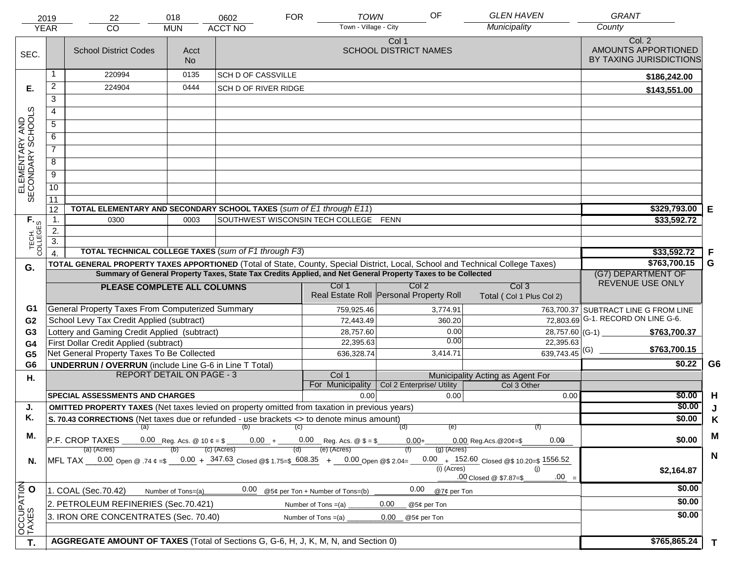|                                                                                                                                             | 2019<br><b>YEAR</b>                                                                                                                                                                        | 22<br><b>CO</b>                                                                                                                | 018<br><b>MUN</b>  | 0602<br><b>ACCT NO</b>      | <b>FOR</b> | <b>TOWN</b><br>Town - Village - City  | OF                                                                                                           | <b>GLEN HAVEN</b><br>Municipality                  | <b>GRANT</b><br>County                                   |        |
|---------------------------------------------------------------------------------------------------------------------------------------------|--------------------------------------------------------------------------------------------------------------------------------------------------------------------------------------------|--------------------------------------------------------------------------------------------------------------------------------|--------------------|-----------------------------|------------|---------------------------------------|--------------------------------------------------------------------------------------------------------------|----------------------------------------------------|----------------------------------------------------------|--------|
| SEC.                                                                                                                                        |                                                                                                                                                                                            | <b>School District Codes</b>                                                                                                   | Acct<br><b>No</b>  |                             |            |                                       | Col 1<br><b>SCHOOL DISTRICT NAMES</b>                                                                        |                                                    | Col. 2<br>AMOUNTS APPORTIONED<br>BY TAXING JURISDICTIONS |        |
|                                                                                                                                             |                                                                                                                                                                                            | 220994                                                                                                                         | 0135               | <b>SCH D OF CASSVILLE</b>   |            |                                       |                                                                                                              |                                                    | \$186,242.00                                             |        |
| Е.                                                                                                                                          | $\overline{2}$                                                                                                                                                                             | 224904                                                                                                                         | 0444               | <b>SCH D OF RIVER RIDGE</b> |            |                                       |                                                                                                              |                                                    | \$143,551.00                                             |        |
|                                                                                                                                             | 3                                                                                                                                                                                          |                                                                                                                                |                    |                             |            |                                       |                                                                                                              |                                                    |                                                          |        |
|                                                                                                                                             | $\overline{4}$                                                                                                                                                                             |                                                                                                                                |                    |                             |            |                                       |                                                                                                              |                                                    |                                                          |        |
|                                                                                                                                             | 5<br>6                                                                                                                                                                                     |                                                                                                                                |                    |                             |            |                                       |                                                                                                              |                                                    |                                                          |        |
|                                                                                                                                             |                                                                                                                                                                                            |                                                                                                                                |                    |                             |            |                                       |                                                                                                              |                                                    |                                                          |        |
|                                                                                                                                             | $\overline{7}$                                                                                                                                                                             |                                                                                                                                |                    |                             |            |                                       |                                                                                                              |                                                    |                                                          |        |
| ELEMENTARY AND<br>SECONDARY SCHOOLS                                                                                                         | 8                                                                                                                                                                                          |                                                                                                                                |                    |                             |            |                                       |                                                                                                              |                                                    |                                                          |        |
|                                                                                                                                             | $\overline{9}$                                                                                                                                                                             |                                                                                                                                |                    |                             |            |                                       |                                                                                                              |                                                    |                                                          |        |
|                                                                                                                                             | 10                                                                                                                                                                                         |                                                                                                                                |                    |                             |            |                                       |                                                                                                              |                                                    |                                                          |        |
|                                                                                                                                             | 11                                                                                                                                                                                         |                                                                                                                                |                    |                             |            |                                       |                                                                                                              |                                                    |                                                          |        |
|                                                                                                                                             | 12                                                                                                                                                                                         | TOTAL ELEMENTARY AND SECONDARY SCHOOL TAXES (sum of E1 through E11)                                                            |                    |                             |            |                                       |                                                                                                              |                                                    | \$329,793.00                                             | Е      |
|                                                                                                                                             | $\mathbf 1$ .                                                                                                                                                                              | 0300                                                                                                                           | 0003               |                             |            | SOUTHWEST WISCONSIN TECH COLLEGE FENN |                                                                                                              |                                                    | \$33,592.72                                              |        |
|                                                                                                                                             | 2.                                                                                                                                                                                         |                                                                                                                                |                    |                             |            |                                       |                                                                                                              |                                                    |                                                          |        |
| TECH. T                                                                                                                                     | 3.                                                                                                                                                                                         | TOTAL TECHNICAL COLLEGE TAXES (sum of F1 through F3)                                                                           |                    |                             |            |                                       |                                                                                                              |                                                    |                                                          |        |
|                                                                                                                                             | $\overline{4}$                                                                                                                                                                             | TOTAL GENERAL PROPERTY TAXES APPORTIONED (Total of State, County, Special District, Local, School and Technical College Taxes) |                    |                             |            |                                       |                                                                                                              |                                                    | \$33,592.72<br>\$763,700.15                              | F<br>G |
| G.                                                                                                                                          |                                                                                                                                                                                            |                                                                                                                                |                    |                             |            |                                       | Summary of General Property Taxes, State Tax Credits Applied, and Net General Property Taxes to be Collected |                                                    | (G7) DEPARTMENT OF                                       |        |
|                                                                                                                                             | Col <sub>2</sub><br>Col <sub>3</sub><br>Col 1<br>PLEASE COMPLETE ALL COLUMNS                                                                                                               |                                                                                                                                |                    |                             |            |                                       |                                                                                                              |                                                    | REVENUE USE ONLY                                         |        |
|                                                                                                                                             | Real Estate Roll Personal Property Roll<br>Total (Col 1 Plus Col 2)                                                                                                                        |                                                                                                                                |                    |                             |            |                                       |                                                                                                              |                                                    |                                                          |        |
| G1                                                                                                                                          |                                                                                                                                                                                            | General Property Taxes From Computerized Summary                                                                               |                    |                             |            | 759,925.46                            | 3,774.91                                                                                                     |                                                    | 763,700.37 SUBTRACT LINE G FROM LINE                     |        |
| G <sub>2</sub>                                                                                                                              |                                                                                                                                                                                            | School Levy Tax Credit Applied (subtract)                                                                                      |                    |                             |            | 72,443.49                             | 360.20                                                                                                       |                                                    | $\overline{72,803.69}$ G-1. RECORD ON LINE G-6.          |        |
| G <sub>3</sub>                                                                                                                              |                                                                                                                                                                                            | Lottery and Gaming Credit Applied (subtract)                                                                                   |                    |                             |            | 28,757.60                             | 0.00                                                                                                         | 28,757.60 (G-1)                                    | \$763,700.37                                             |        |
| G4                                                                                                                                          |                                                                                                                                                                                            | First Dollar Credit Applied (subtract)                                                                                         |                    |                             |            | 22,395.63                             | 0.00                                                                                                         | 22,395.63                                          | \$763,700.15                                             |        |
| G <sub>5</sub>                                                                                                                              |                                                                                                                                                                                            | Net General Property Taxes To Be Collected                                                                                     |                    |                             |            | 636,328.74                            | 3,414.71                                                                                                     | $639,743.45$ <sup>(G)</sup>                        |                                                          |        |
| G <sub>6</sub>                                                                                                                              |                                                                                                                                                                                            | <b>UNDERRUN / OVERRUN</b> (include Line G-6 in Line T Total)<br><b>REPORT DETAIL ON PAGE - 3</b>                               |                    |                             |            | Col 1                                 |                                                                                                              | Municipality Acting as Agent For                   | \$0.22                                                   | G6     |
| Η.                                                                                                                                          |                                                                                                                                                                                            |                                                                                                                                |                    |                             |            | For Municipality                      | Col 2 Enterprise/ Utility                                                                                    | Col 3 Other                                        |                                                          |        |
|                                                                                                                                             |                                                                                                                                                                                            | <b>SPECIAL ASSESSMENTS AND CHARGES</b>                                                                                         |                    |                             |            | 0.00                                  | 0.00                                                                                                         | 0.00                                               | \$0.00                                                   | H      |
| J.                                                                                                                                          | <b>OMITTED PROPERTY TAXES</b> (Net taxes levied on property omitted from taxation in previous years)                                                                                       |                                                                                                                                |                    |                             |            |                                       |                                                                                                              | \$0.00                                             | J                                                        |        |
| Κ.                                                                                                                                          | S. 70.43 CORRECTIONS (Net taxes due or refunded - use brackets <> to denote minus amount)                                                                                                  |                                                                                                                                |                    |                             |            |                                       |                                                                                                              | \$0.00                                             | K                                                        |        |
| М.                                                                                                                                          | (a)<br>(b)<br>(C)<br>(d)<br>(e)<br>(f)                                                                                                                                                     |                                                                                                                                |                    |                             |            |                                       |                                                                                                              |                                                    |                                                          | M      |
| P.F. CROP TAXES<br>0.00 Reg. Acs. @ 10 $\phi = $$ _______0.00 + ______0.00 Reg. Acs. @ $$ = $$<br>(c) (Acres)<br>(e) (Acres)<br>(a) (Acres) |                                                                                                                                                                                            |                                                                                                                                |                    |                             |            |                                       |                                                                                                              | 0.00<br>$0.00$ Reg. Acs. @ 20¢=\$<br>$(g)$ (Acres) | \$0.00                                                   |        |
| N.                                                                                                                                          |                                                                                                                                                                                            |                                                                                                                                |                    | N                           |            |                                       |                                                                                                              |                                                    |                                                          |        |
|                                                                                                                                             | $0.00 - +$ 152.60 Closed @\$ 10.20=\$ 1556.52<br>MFL TAX $-$ 0.00 Open @ .74 $\varphi$ =\$ $-$ 0.00 + $-$ 347.63 Closed @\$ 1.75=\$ 608.35 + $-$ 0.00 Open @\$ 2.04=<br>(i) (Acres)<br>(i) |                                                                                                                                |                    |                             |            |                                       |                                                                                                              |                                                    | \$2,164.87                                               |        |
|                                                                                                                                             | $.00 =$<br>.00 Closed @ \$7.87=\$                                                                                                                                                          |                                                                                                                                |                    |                             |            |                                       |                                                                                                              |                                                    | \$0.00                                                   |        |
|                                                                                                                                             |                                                                                                                                                                                            | 1. COAL (Sec.70.42)                                                                                                            | Number of Tons=(a) | 0.00                        |            | @5¢ per Ton + Number of Tons=(b)      | 0.00<br>@7¢ per Ton                                                                                          |                                                    |                                                          |        |
|                                                                                                                                             |                                                                                                                                                                                            | 2. PETROLEUM REFINERIES (Sec.70.421)                                                                                           |                    |                             |            | Number of Tons $=(a)$                 | 0.00<br>@5¢ per Ton                                                                                          |                                                    | \$0.00                                                   |        |
| OCCUPATION<br>3. IRON ORE CONCENTRATES (Sec. 70.40)<br>Number of Tons $=(a)$<br>0.00<br>@5¢ per Ton                                         |                                                                                                                                                                                            |                                                                                                                                |                    |                             |            |                                       | \$0.00                                                                                                       |                                                    |                                                          |        |
|                                                                                                                                             |                                                                                                                                                                                            |                                                                                                                                |                    |                             |            |                                       |                                                                                                              |                                                    |                                                          |        |
|                                                                                                                                             | AGGREGATE AMOUNT OF TAXES (Total of Sections G, G-6, H, J, K, M, N, and Section 0)<br>T.                                                                                                   |                                                                                                                                |                    |                             |            |                                       |                                                                                                              | \$765,865.24                                       | T                                                        |        |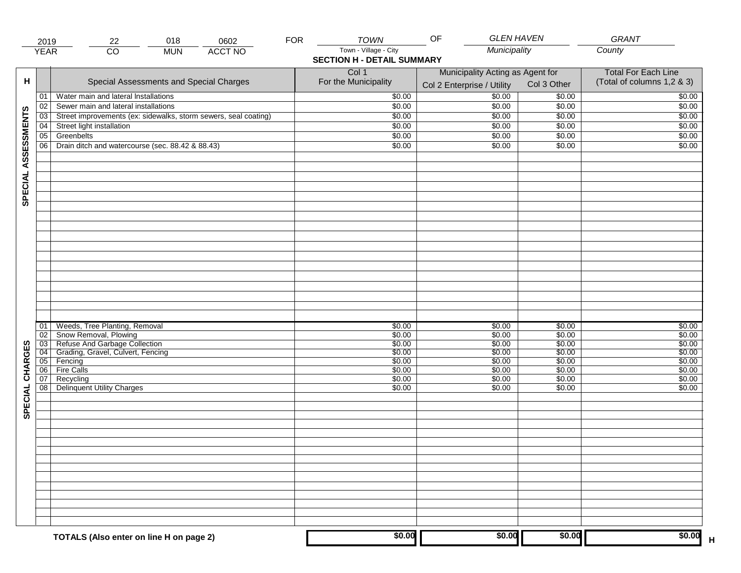|                     | 2019            | 018<br>22                                                                | <b>FOR</b><br>0602 | <b>TOWN</b>                                                | <b>GLEN HAVEN</b><br>OF                                        |                  | <b>GRANT</b>                                             |
|---------------------|-----------------|--------------------------------------------------------------------------|--------------------|------------------------------------------------------------|----------------------------------------------------------------|------------------|----------------------------------------------------------|
|                     | <b>YEAR</b>     | $\overline{CO}$<br><b>MUN</b>                                            | <b>ACCT NO</b>     | Town - Village - City<br><b>SECTION H - DETAIL SUMMARY</b> | Municipality                                                   |                  | County                                                   |
| н                   |                 | Special Assessments and Special Charges                                  |                    | Col 1<br>For the Municipality                              | Municipality Acting as Agent for<br>Col 2 Enterprise / Utility | Col 3 Other      | <b>Total For Each Line</b><br>(Total of columns 1,2 & 3) |
|                     | 01              | Water main and lateral Installations                                     |                    | \$0.00                                                     | $\frac{1}{00}$                                                 | \$0.00           | \$0.00                                                   |
|                     | 02              | Sewer main and lateral installations                                     |                    | \$0.00                                                     | \$0.00                                                         | \$0.00           | \$0.00                                                   |
|                     | $\overline{03}$ | Street improvements (ex: sidewalks, storm sewers, seal coating)          |                    | \$0.00                                                     | \$0.00                                                         | \$0.00           | \$0.00                                                   |
|                     | 04              | Street light installation                                                |                    | \$0.00                                                     | \$0.00                                                         | \$0.00           | \$0.00                                                   |
|                     | 05              | Greenbelts                                                               |                    | \$0.00                                                     | \$0.00                                                         | \$0.00           | \$0.00                                                   |
|                     | 06              | Drain ditch and watercourse (sec. 88.42 & 88.43)                         |                    | \$0.00                                                     | \$0.00                                                         | \$0.00           | \$0.00                                                   |
| SPECIAL ASSESSMENTS |                 |                                                                          |                    |                                                            |                                                                |                  |                                                          |
|                     |                 |                                                                          |                    |                                                            |                                                                |                  |                                                          |
|                     | 01              | Weeds, Tree Planting, Removal                                            |                    | \$0.00                                                     | \$0.00                                                         | \$0.00           | \$0.00                                                   |
|                     | 02              | Snow Removal, Plowing                                                    |                    | \$0.00                                                     | \$0.00                                                         | \$0.00           | \$0.00                                                   |
|                     |                 | 03 Refuse And Garbage Collection<br>04 Grading, Gravel, Culvert, Fencing |                    | \$0.00                                                     | \$0.00                                                         | \$0.00           | \$0.00                                                   |
|                     |                 | 05 Fencing                                                               |                    | \$0.00<br>\$0.00                                           | \$0.00<br>\$0.00                                               | \$0.00<br>\$0.00 | \$0.00<br>\$0.00                                         |
| CHARGES             | 06              | <b>Fire Calls</b>                                                        |                    | \$0.00                                                     | \$0.00                                                         | \$0.00           | \$0.00                                                   |
|                     | 07              | Recycling                                                                |                    | \$0.00                                                     | \$0.00                                                         | \$0.00           | \$0.00                                                   |
| SPECIAL             | 08              | <b>Delinquent Utility Charges</b>                                        |                    | \$0.00                                                     | \$0.00                                                         | \$0.00           | \$0.00                                                   |
|                     |                 |                                                                          |                    |                                                            |                                                                |                  |                                                          |
|                     |                 |                                                                          |                    |                                                            |                                                                |                  |                                                          |
|                     |                 |                                                                          |                    |                                                            |                                                                |                  |                                                          |
|                     |                 |                                                                          |                    |                                                            |                                                                |                  |                                                          |
|                     |                 |                                                                          |                    |                                                            |                                                                |                  |                                                          |
|                     |                 |                                                                          |                    |                                                            |                                                                |                  |                                                          |
|                     |                 | TOTALS (Also enter on line H on page 2)                                  |                    | \$0.00                                                     | \$0.00                                                         | \$0.00           | \$0.00                                                   |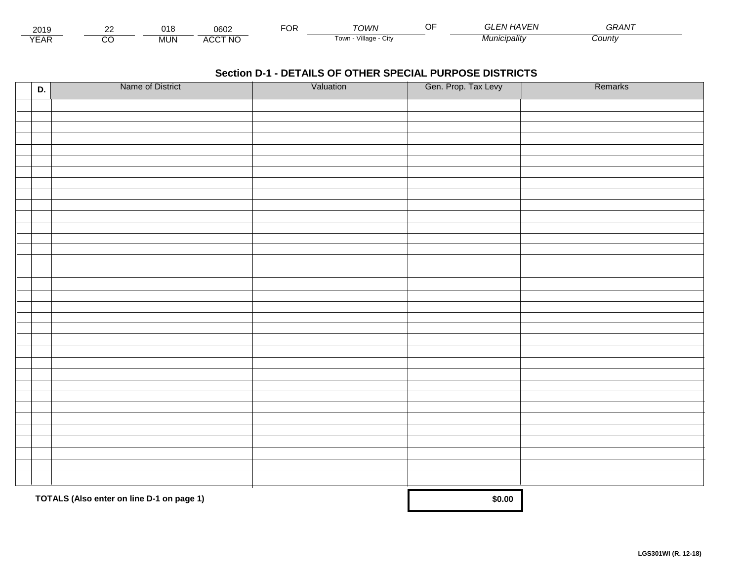| - - -<br>201.               | $\sim$ | ۱٥         | 0602                          | ™CR | ™∩WN                        | <br>$\mathbf{v}$<br>7. | $\sim$ $\sim$ $\sim$ $\sim$<br>GRAN |  |
|-----------------------------|--------|------------|-------------------------------|-----|-----------------------------|------------------------|-------------------------------------|--|
| $\sqrt{2}$<br>▵<br><b>L</b> |        | <b>MUN</b> | CCT NC،<br>$\mathbf{u}$<br>nu |     | .<br>Village<br>∣own<br>UIN | * 4unicipalit∨         | :ountv                              |  |

| D. | Name of District                          | Valuation | Gen. Prop. Tax Levy | Remarks |
|----|-------------------------------------------|-----------|---------------------|---------|
|    |                                           |           |                     |         |
|    |                                           |           |                     |         |
|    |                                           |           |                     |         |
|    |                                           |           |                     |         |
|    |                                           |           |                     |         |
|    |                                           |           |                     |         |
|    |                                           |           |                     |         |
|    |                                           |           |                     |         |
|    |                                           |           |                     |         |
|    |                                           |           |                     |         |
|    |                                           |           |                     |         |
|    |                                           |           |                     |         |
|    |                                           |           |                     |         |
|    |                                           |           |                     |         |
|    |                                           |           |                     |         |
|    |                                           |           |                     |         |
|    |                                           |           |                     |         |
|    |                                           |           |                     |         |
|    |                                           |           |                     |         |
|    |                                           |           |                     |         |
|    |                                           |           |                     |         |
|    |                                           |           |                     |         |
|    |                                           |           |                     |         |
|    |                                           |           |                     |         |
|    |                                           |           |                     |         |
|    |                                           |           |                     |         |
|    |                                           |           |                     |         |
|    |                                           |           |                     |         |
|    |                                           |           |                     |         |
|    |                                           |           |                     |         |
|    |                                           |           |                     |         |
|    | TOTALS (Also enter on line D-1 on page 1) |           | \$0.00              |         |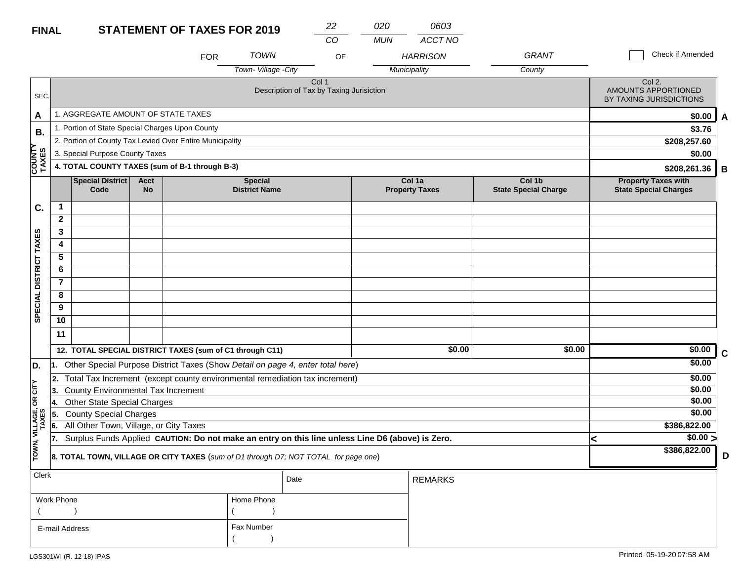### **STATEMENT OF TAXES FOR FINAL**

| R 2019 | 22 | 020 |
|--------|----|-----|
|        | ററ | MUN |

| MUN | ACCT NO |
|-----|---------|

*0603*

|                         |                |                                                 |                          | <b>FOR</b>                                               | <b>TOWN</b>                            | OF                                                                                               |              | <b>HARRISON</b>                 | <b>GRANT</b>                          |   | Check if Amended                                           |             |
|-------------------------|----------------|-------------------------------------------------|--------------------------|----------------------------------------------------------|----------------------------------------|--------------------------------------------------------------------------------------------------|--------------|---------------------------------|---------------------------------------|---|------------------------------------------------------------|-------------|
|                         |                |                                                 |                          |                                                          | Town-Village -City                     |                                                                                                  | Municipality |                                 | County                                |   |                                                            |             |
| SEC.                    |                |                                                 |                          |                                                          |                                        | Col 1<br>Description of Tax by Taxing Jurisiction                                                |              |                                 |                                       |   | Col 2.<br>AMOUNTS APPORTIONED<br>BY TAXING JURISDICTIONS   |             |
| A                       |                | 1. AGGREGATE AMOUNT OF STATE TAXES              |                          |                                                          |                                        |                                                                                                  |              |                                 |                                       |   | \$0.00                                                     | A           |
| <b>B.</b>               |                | 1. Portion of State Special Charges Upon County |                          |                                                          |                                        |                                                                                                  |              |                                 |                                       |   | \$3.76                                                     |             |
|                         |                |                                                 |                          | 2. Portion of County Tax Levied Over Entire Municipality |                                        |                                                                                                  |              |                                 |                                       |   | \$208,257.60                                               |             |
|                         |                | 3. Special Purpose County Taxes                 |                          |                                                          |                                        |                                                                                                  |              |                                 |                                       |   | \$0.00                                                     |             |
| <b>COUNTY<br/>TAXES</b> |                |                                                 |                          | 4. TOTAL COUNTY TAXES (sum of B-1 through B-3)           |                                        |                                                                                                  |              |                                 |                                       |   | \$208,261.36                                               | В           |
|                         |                | <b>Special District</b><br>Code                 | <b>Acct</b><br><b>No</b> |                                                          | <b>Special</b><br><b>District Name</b> |                                                                                                  |              | Col 1a<br><b>Property Taxes</b> | Col 1b<br><b>State Special Charge</b> |   | <b>Property Taxes with</b><br><b>State Special Charges</b> |             |
| C.                      | 1              |                                                 |                          |                                                          |                                        |                                                                                                  |              |                                 |                                       |   |                                                            |             |
|                         | $\mathbf{2}$   |                                                 |                          |                                                          |                                        |                                                                                                  |              |                                 |                                       |   |                                                            |             |
|                         | 3              |                                                 |                          |                                                          |                                        |                                                                                                  |              |                                 |                                       |   |                                                            |             |
|                         | 4              |                                                 |                          |                                                          |                                        |                                                                                                  |              |                                 |                                       |   |                                                            |             |
|                         | 5              |                                                 |                          |                                                          |                                        |                                                                                                  |              |                                 |                                       |   |                                                            |             |
|                         | 6              |                                                 |                          |                                                          |                                        |                                                                                                  |              |                                 |                                       |   |                                                            |             |
|                         | $\overline{7}$ |                                                 |                          |                                                          |                                        |                                                                                                  |              |                                 |                                       |   |                                                            |             |
|                         | 8              |                                                 |                          |                                                          |                                        |                                                                                                  |              |                                 |                                       |   |                                                            |             |
| SPECIAL DISTRICT TAXES  | 9              |                                                 |                          |                                                          |                                        |                                                                                                  |              |                                 |                                       |   |                                                            |             |
|                         | 10             |                                                 |                          |                                                          |                                        |                                                                                                  |              |                                 |                                       |   |                                                            |             |
|                         | 11             |                                                 |                          |                                                          |                                        |                                                                                                  |              |                                 |                                       |   |                                                            |             |
|                         |                |                                                 |                          | 12. TOTAL SPECIAL DISTRICT TAXES (sum of C1 through C11) |                                        |                                                                                                  |              | \$0.00                          | \$0.00                                |   | \$0.00                                                     | $\mathbf c$ |
| D.                      | 11.            |                                                 |                          |                                                          |                                        | Other Special Purpose District Taxes (Show Detail on page 4, enter total here)                   |              |                                 |                                       |   | \$0.00                                                     |             |
|                         | 2.             |                                                 |                          |                                                          |                                        | Total Tax Increment (except county environmental remediation tax increment)                      |              |                                 |                                       |   | \$0.00                                                     |             |
| OR CITY                 | 13.            | <b>County Environmental Tax Increment</b>       |                          |                                                          |                                        |                                                                                                  |              |                                 |                                       |   | \$0.00                                                     |             |
|                         | 14.            | <b>Other State Special Charges</b>              |                          |                                                          |                                        |                                                                                                  |              |                                 |                                       |   | \$0.00                                                     |             |
|                         | 5.             | <b>County Special Charges</b>                   |                          |                                                          |                                        |                                                                                                  |              |                                 |                                       |   | \$0.00                                                     |             |
| VILLAGE,<br>TAXES       | 16.            | All Other Town, Village, or City Taxes          |                          |                                                          |                                        |                                                                                                  |              |                                 |                                       |   | \$386,822.00                                               |             |
|                         | 17.            |                                                 |                          |                                                          |                                        | Surplus Funds Applied CAUTION: Do not make an entry on this line unless Line D6 (above) is Zero. |              |                                 |                                       | k | $\sqrt{$0.00}$                                             |             |
| TOWN,                   |                |                                                 |                          |                                                          |                                        | 8. TOTAL TOWN, VILLAGE OR CITY TAXES (sum of D1 through D7; NOT TOTAL for page one)              |              |                                 |                                       |   | \$386,822.00                                               | D           |
| Clerk                   |                |                                                 |                          |                                                          |                                        | Date                                                                                             |              | <b>REMARKS</b>                  |                                       |   |                                                            |             |
|                         | Work Phone     |                                                 |                          |                                                          | Home Phone                             |                                                                                                  |              |                                 |                                       |   |                                                            |             |

 $($  ) and  $($   $)$ 

Fax Number

 $($ 

E-mail Address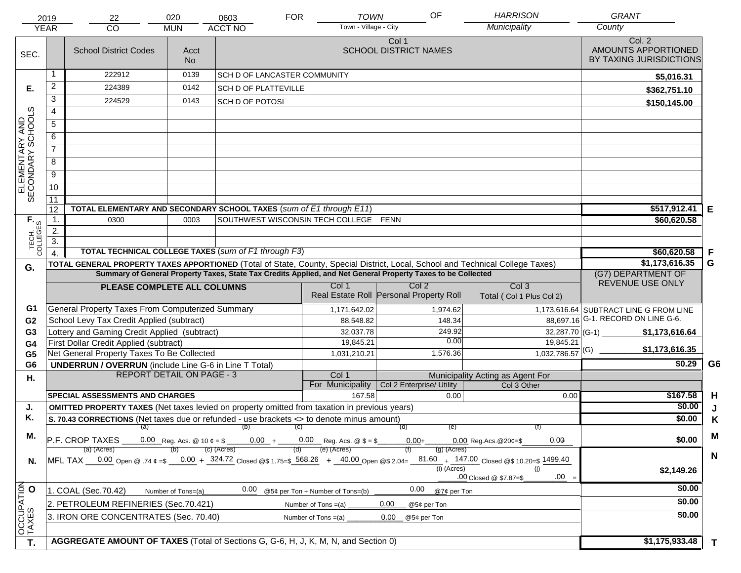|                                     | 2019             | 22                                                                                                                             | 020                | 0603                                | <b>FOR</b> | <b>TOWN</b>                                                                   | OF                                                                                                           | <b>HARRISON</b>                                                                                                                                  | <b>GRANT</b>                                             |                |
|-------------------------------------|------------------|--------------------------------------------------------------------------------------------------------------------------------|--------------------|-------------------------------------|------------|-------------------------------------------------------------------------------|--------------------------------------------------------------------------------------------------------------|--------------------------------------------------------------------------------------------------------------------------------------------------|----------------------------------------------------------|----------------|
|                                     | <b>YEAR</b>      | CO                                                                                                                             | <b>MUN</b>         | <b>ACCT NO</b>                      |            | Town - Village - City                                                         |                                                                                                              | Municipality                                                                                                                                     | County                                                   |                |
| SEC.                                |                  | <b>School District Codes</b>                                                                                                   | Acct<br><b>No</b>  |                                     |            |                                                                               | Col 1<br><b>SCHOOL DISTRICT NAMES</b>                                                                        |                                                                                                                                                  | Col. 2<br>AMOUNTS APPORTIONED<br>BY TAXING JURISDICTIONS |                |
|                                     | -1               | 222912                                                                                                                         | 0139               | <b>SCH D OF LANCASTER COMMUNITY</b> |            |                                                                               |                                                                                                              |                                                                                                                                                  | \$5,016.31                                               |                |
| Е.                                  | 2                | 224389                                                                                                                         | 0142               | <b>SCH D OF PLATTEVILLE</b>         |            |                                                                               |                                                                                                              |                                                                                                                                                  | \$362,751.10                                             |                |
|                                     | 3                | 224529                                                                                                                         | 0143               | <b>SCH D OF POTOSI</b>              |            |                                                                               |                                                                                                              |                                                                                                                                                  | \$150,145.00                                             |                |
|                                     | 4                |                                                                                                                                |                    |                                     |            |                                                                               |                                                                                                              |                                                                                                                                                  |                                                          |                |
|                                     | $\overline{5}$   |                                                                                                                                |                    |                                     |            |                                                                               |                                                                                                              |                                                                                                                                                  |                                                          |                |
|                                     | 6                |                                                                                                                                |                    |                                     |            |                                                                               |                                                                                                              |                                                                                                                                                  |                                                          |                |
|                                     | $\overline{7}$   |                                                                                                                                |                    |                                     |            |                                                                               |                                                                                                              |                                                                                                                                                  |                                                          |                |
| ELEMENTARY AND<br>SECONDARY SCHOOLS | 8                |                                                                                                                                |                    |                                     |            |                                                                               |                                                                                                              |                                                                                                                                                  |                                                          |                |
|                                     | $\overline{9}$   |                                                                                                                                |                    |                                     |            |                                                                               |                                                                                                              |                                                                                                                                                  |                                                          |                |
|                                     | 10               |                                                                                                                                |                    |                                     |            |                                                                               |                                                                                                              |                                                                                                                                                  |                                                          |                |
|                                     | $\overline{11}$  |                                                                                                                                |                    |                                     |            |                                                                               |                                                                                                              |                                                                                                                                                  |                                                          |                |
|                                     | 12               | TOTAL ELEMENTARY AND SECONDARY SCHOOL TAXES (sum of E1 through E11)                                                            |                    |                                     |            |                                                                               |                                                                                                              |                                                                                                                                                  | \$517,912.41                                             | E              |
|                                     | $\mathbf{1}$ .   | 0300                                                                                                                           | 0003               |                                     |            | SOUTHWEST WISCONSIN TECH COLLEGE FENN                                         |                                                                                                              |                                                                                                                                                  | \$60,620.58                                              |                |
|                                     | 2.               |                                                                                                                                |                    |                                     |            |                                                                               |                                                                                                              |                                                                                                                                                  |                                                          |                |
| TECH. T                             | $\overline{3}$ . | <b>TOTAL TECHNICAL COLLEGE TAXES (sum of F1 through F3)</b>                                                                    |                    |                                     |            |                                                                               |                                                                                                              |                                                                                                                                                  | \$60,620.58                                              | F              |
|                                     | $\overline{4}$   | TOTAL GENERAL PROPERTY TAXES APPORTIONED (Total of State, County, Special District, Local, School and Technical College Taxes) |                    |                                     |            |                                                                               |                                                                                                              |                                                                                                                                                  | \$1,173,616.35                                           | G              |
| G.                                  |                  |                                                                                                                                |                    |                                     |            |                                                                               | Summary of General Property Taxes, State Tax Credits Applied, and Net General Property Taxes to be Collected |                                                                                                                                                  | (G7) DEPARTMENT OF                                       |                |
|                                     |                  | PLEASE COMPLETE ALL COLUMNS                                                                                                    |                    |                                     |            | Col 1                                                                         | Col <sub>2</sub>                                                                                             | Col <sub>3</sub>                                                                                                                                 | REVENUE USE ONLY                                         |                |
|                                     |                  |                                                                                                                                |                    |                                     |            |                                                                               | Real Estate Roll Personal Property Roll                                                                      | Total (Col 1 Plus Col 2)                                                                                                                         |                                                          |                |
| G1                                  |                  | General Property Taxes From Computerized Summary                                                                               |                    |                                     |            | 1,171,642.02                                                                  | 1,974.62                                                                                                     |                                                                                                                                                  | 1,173,616.64 SUBTRACT LINE G FROM LINE                   |                |
| G <sub>2</sub>                      |                  | School Levy Tax Credit Applied (subtract)                                                                                      |                    |                                     |            | 88,548.82                                                                     | 148.34                                                                                                       |                                                                                                                                                  | 88,697.16 G-1. RECORD ON LINE G-6.                       |                |
| G <sub>3</sub>                      |                  | Lottery and Gaming Credit Applied (subtract)                                                                                   |                    |                                     |            | 32,037.78                                                                     | 249.92                                                                                                       | 32,287.70 (G-1) $-$                                                                                                                              | \$1,173,616.64                                           |                |
| G <sub>4</sub>                      |                  | First Dollar Credit Applied (subtract)                                                                                         |                    |                                     |            | 19,845.21                                                                     | 0.00                                                                                                         | 19,845.21                                                                                                                                        | \$1,173,616.35                                           |                |
| G <sub>5</sub>                      |                  | Net General Property Taxes To Be Collected                                                                                     |                    |                                     |            | 1,031,210.21                                                                  | 1,576.36                                                                                                     | $1,032,786.57$ <sup>(G)</sup>                                                                                                                    |                                                          | G <sub>6</sub> |
| G <sub>6</sub>                      |                  | <b>UNDERRUN / OVERRUN</b> (include Line G-6 in Line T Total)<br><b>REPORT DETAIL ON PAGE - 3</b>                               |                    |                                     |            | Col 1                                                                         |                                                                                                              |                                                                                                                                                  | \$0.29                                                   |                |
| Н.                                  |                  |                                                                                                                                |                    |                                     |            | For Municipality                                                              | Col 2 Enterprise/ Utility                                                                                    | Municipality Acting as Agent For<br>Col 3 Other                                                                                                  |                                                          |                |
|                                     |                  | <b>SPECIAL ASSESSMENTS AND CHARGES</b>                                                                                         |                    |                                     |            | 167.58                                                                        | 0.00                                                                                                         | 0.00                                                                                                                                             | \$167.58                                                 | H              |
| J.                                  |                  | <b>OMITTED PROPERTY TAXES</b> (Net taxes levied on property omitted from taxation in previous years)                           |                    |                                     |            |                                                                               |                                                                                                              |                                                                                                                                                  | \$0.00                                                   | J              |
| Κ.                                  |                  | S. 70.43 CORRECTIONS (Net taxes due or refunded - use brackets <> to denote minus amount)                                      |                    |                                     |            |                                                                               |                                                                                                              |                                                                                                                                                  | \$0.00                                                   | K              |
| М.                                  |                  |                                                                                                                                |                    | (a) (b) (c)                         |            |                                                                               | (e)<br>(d)                                                                                                   |                                                                                                                                                  |                                                          | M              |
|                                     |                  | P.F. CROP TAXES<br>(a) (Acres)                                                                                                 |                    | (c) (Acres)                         |            | 0.00 Reg. Acs. @ 10 $\phi = $$ 0.00 + 0.00 Reg. Acs. @ \$ = \$<br>(e) (Acres) | $0.00 +$<br>(g) (Acres)                                                                                      | 0.00<br>$0.00$ Reg. Acs. @ 20¢=\$                                                                                                                | \$0.00                                                   |                |
| N.                                  |                  |                                                                                                                                |                    |                                     |            |                                                                               |                                                                                                              | MFL TAX 0.00 Open @ .74 $\epsilon = 0.00 + 324.72$ Closed @\$ 1.75=\$ 568.26 + 40.00 Open @\$ 2.04= $81.60 + 147.00$ Closed @\$ 10.20=\$ 1499.40 |                                                          | $\mathbf N$    |
|                                     |                  |                                                                                                                                |                    |                                     |            |                                                                               | (i) (Acres)                                                                                                  | (i)                                                                                                                                              | \$2,149.26                                               |                |
|                                     |                  |                                                                                                                                |                    |                                     |            |                                                                               |                                                                                                              | $.00 =$<br>.00 Closed @ \$7.87=\$                                                                                                                |                                                          |                |
|                                     |                  | 1. COAL (Sec.70.42)                                                                                                            | Number of Tons=(a) | 0.00                                |            | @5¢ per Ton + Number of Tons=(b)                                              | 0.00<br>@7¢ per Ton                                                                                          |                                                                                                                                                  | \$0.00                                                   |                |
|                                     |                  | 2. PETROLEUM REFINERIES (Sec.70.421)                                                                                           |                    |                                     |            | Number of Tons $=(a)$                                                         | 0.00<br>@5¢ per Ton                                                                                          |                                                                                                                                                  | \$0.00                                                   |                |
|                                     |                  | 3. IRON ORE CONCENTRATES (Sec. 70.40)                                                                                          |                    |                                     |            | Number of Tons $=(a)$                                                         | 0.00<br>@5¢ per Ton                                                                                          |                                                                                                                                                  | \$0.00                                                   |                |
| OCCUPATION                          |                  |                                                                                                                                |                    |                                     |            |                                                                               |                                                                                                              |                                                                                                                                                  |                                                          |                |
| T.                                  |                  | AGGREGATE AMOUNT OF TAXES (Total of Sections G, G-6, H, J, K, M, N, and Section 0)                                             |                    |                                     |            |                                                                               |                                                                                                              |                                                                                                                                                  | \$1,175,933.48                                           | $\mathbf T$    |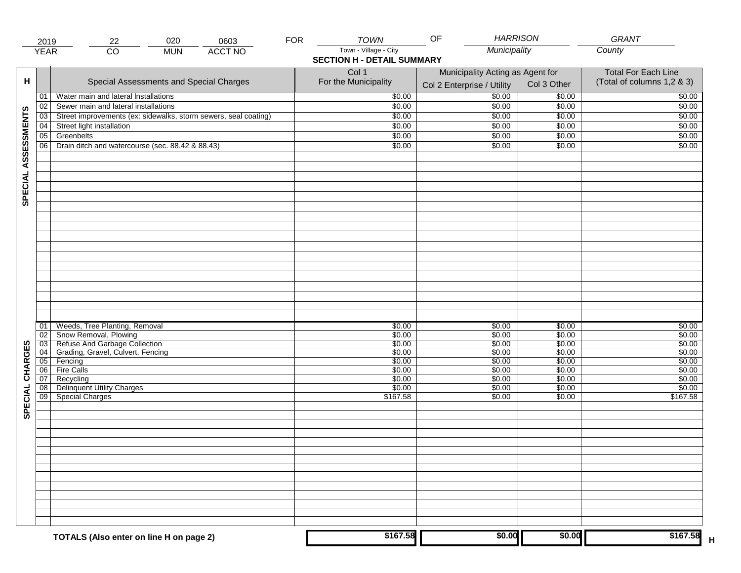|                     | 2019        | 020<br>0603<br>22                                               | <b>FOR</b>                                                                 | <b>TOWN</b>                   | <b>HARRISON</b><br>OF                                          |                  | <b>GRANT</b>                                             |
|---------------------|-------------|-----------------------------------------------------------------|----------------------------------------------------------------------------|-------------------------------|----------------------------------------------------------------|------------------|----------------------------------------------------------|
|                     | <b>YEAR</b> | $\overline{CO}$<br><b>ACCT NO</b><br><b>MUN</b>                 | Municipality<br>Town - Village - City<br><b>SECTION H - DETAIL SUMMARY</b> |                               | County                                                         |                  |                                                          |
| н                   |             | Special Assessments and Special Charges                         |                                                                            | Col 1<br>For the Municipality | Municipality Acting as Agent for<br>Col 2 Enterprise / Utility | Col 3 Other      | <b>Total For Each Line</b><br>(Total of columns 1,2 & 3) |
|                     | 01          | Water main and lateral Installations                            |                                                                            | \$0.00                        | 50.00                                                          | \$0.00           | \$0.00                                                   |
|                     | 02          | Sewer main and lateral installations                            |                                                                            | \$0.00                        | \$0.00                                                         | \$0.00           | \$0.00                                                   |
|                     | 03          | Street improvements (ex: sidewalks, storm sewers, seal coating) |                                                                            | \$0.00                        | \$0.00                                                         | \$0.00           | \$0.00                                                   |
|                     | 04          | Street light installation                                       |                                                                            | \$0.00                        | \$0.00                                                         | $\sqrt{$0.00}$   | \$0.00                                                   |
|                     | 05          | Greenbelts                                                      |                                                                            | \$0.00                        | \$0.00                                                         | \$0.00           | \$0.00                                                   |
|                     | 06          | Drain ditch and watercourse (sec. 88.42 & 88.43)                |                                                                            | \$0.00                        | \$0.00                                                         | \$0.00           | \$0.00                                                   |
| SPECIAL ASSESSMENTS |             |                                                                 |                                                                            |                               |                                                                |                  |                                                          |
|                     | 01<br>02    | Weeds, Tree Planting, Removal<br>Snow Removal, Plowing          |                                                                            | \$0.00<br>\$0.00              | \$0.00<br>\$0.00                                               | \$0.00<br>\$0.00 | \$0.00<br>\$0.00                                         |
|                     | 03          | Refuse And Garbage Collection                                   |                                                                            | \$0.00                        | \$0.00                                                         | \$0.00           | \$0.00                                                   |
|                     | 04<br>05    | Grading, Gravel, Culvert, Fencing<br>Fencing                    |                                                                            | \$0.00<br>\$0.00              | \$0.00<br>\$0.00                                               | \$0.00<br>\$0.00 | \$0.00<br>\$0.00                                         |
| CHARGES             | 06          | Fire Calls                                                      |                                                                            | \$0.00                        | \$0.00                                                         | \$0.00           | \$0.00                                                   |
|                     | 07          | Recycling                                                       |                                                                            | \$0.00                        | \$0.00                                                         | \$0.00           | \$0.00                                                   |
|                     | 08          | <b>Delinquent Utility Charges</b>                               |                                                                            | \$0.00                        | \$0.00                                                         | \$0.00           | \$0.00                                                   |
| SPECIAL             | 09          | Special Charges                                                 |                                                                            | \$167.58                      | \$0.00                                                         | \$0.00           | \$167.58                                                 |
|                     |             |                                                                 |                                                                            |                               |                                                                |                  |                                                          |
|                     |             |                                                                 |                                                                            |                               |                                                                |                  |                                                          |
|                     |             |                                                                 |                                                                            |                               |                                                                |                  |                                                          |
|                     |             |                                                                 |                                                                            |                               |                                                                |                  |                                                          |
|                     |             | TOTALS (Also enter on line H on page 2)                         |                                                                            | \$167.58                      | \$0.00                                                         | \$0.00           | \$167.58                                                 |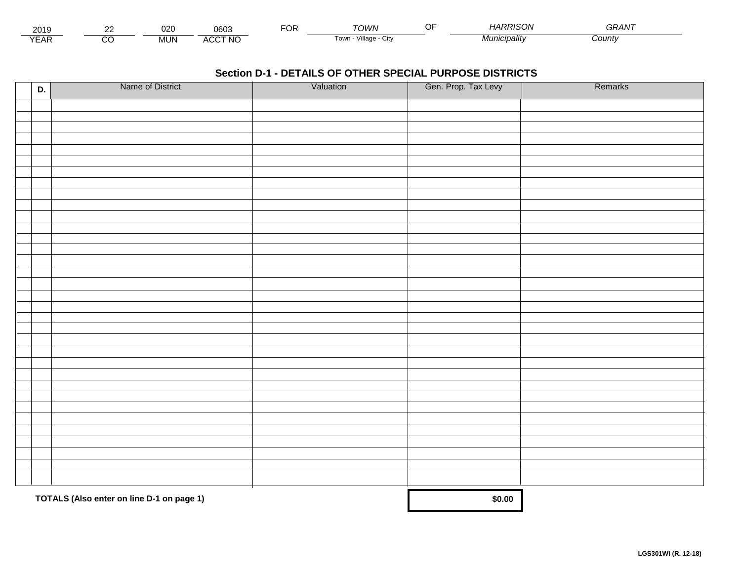| - - -<br>201.               | co | $\sim$<br><b>UZC</b> | 0603         | Uľ | ΓΩΙΛ/Ν                       | $\sim$ $\sim$<br> | HARRISON | -----<br><b>TIT.</b> |  |
|-----------------------------|----|----------------------|--------------|----|------------------------------|-------------------|----------|----------------------|--|
| $\sqrt{2}$<br>▵<br><b>L</b> |    | <b>MUN</b>           | CCT NC،<br>" |    | .<br>√illage<br>Town.<br>ستت |                   | nalitv   | Count∨               |  |

| D. | Name of District                          | Valuation | Gen. Prop. Tax Levy | Remarks |
|----|-------------------------------------------|-----------|---------------------|---------|
|    |                                           |           |                     |         |
|    |                                           |           |                     |         |
|    |                                           |           |                     |         |
|    |                                           |           |                     |         |
|    |                                           |           |                     |         |
|    |                                           |           |                     |         |
|    |                                           |           |                     |         |
|    |                                           |           |                     |         |
|    |                                           |           |                     |         |
|    |                                           |           |                     |         |
|    |                                           |           |                     |         |
|    |                                           |           |                     |         |
|    |                                           |           |                     |         |
|    |                                           |           |                     |         |
|    |                                           |           |                     |         |
|    |                                           |           |                     |         |
|    |                                           |           |                     |         |
|    |                                           |           |                     |         |
|    |                                           |           |                     |         |
|    |                                           |           |                     |         |
|    |                                           |           |                     |         |
|    |                                           |           |                     |         |
|    |                                           |           |                     |         |
|    |                                           |           |                     |         |
|    |                                           |           |                     |         |
|    |                                           |           |                     |         |
|    |                                           |           |                     |         |
|    |                                           |           |                     |         |
|    |                                           |           |                     |         |
|    |                                           |           |                     |         |
|    |                                           |           |                     |         |
|    | TOTALS (Also enter on line D-1 on page 1) |           | \$0.00              |         |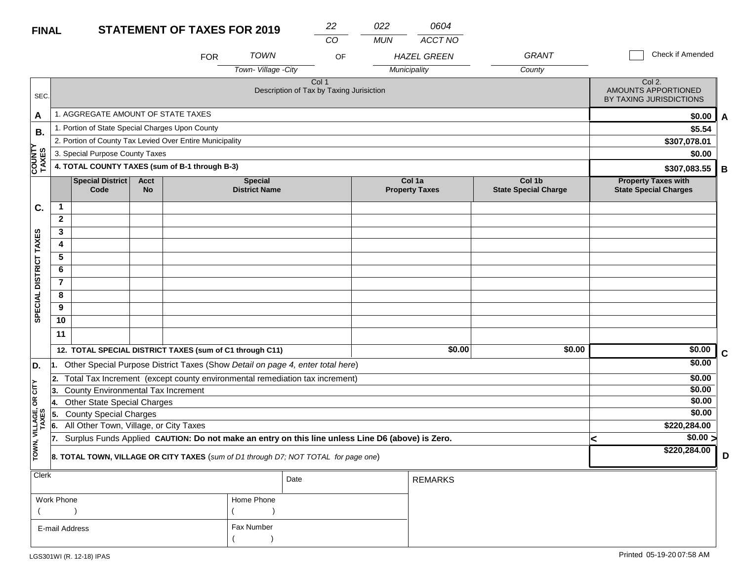| <b>FINAL</b> | <b>STATEMENT OF TAXES FOR 2019</b> |                  |
|--------------|------------------------------------|------------------|
|              |                                    | <b>A 41 IA 1</b> |

| <b>FINAL</b>           |                |                                                 |                          | <b>STATEMENT OF TAXES FOR 2019</b>                                                               |                                        | 22                                                           | 022        | 0604                            |                                       |   |                                                            |             |
|------------------------|----------------|-------------------------------------------------|--------------------------|--------------------------------------------------------------------------------------------------|----------------------------------------|--------------------------------------------------------------|------------|---------------------------------|---------------------------------------|---|------------------------------------------------------------|-------------|
|                        |                |                                                 |                          | <b>FOR</b>                                                                                       | <b>TOWN</b>                            | CO<br>OF                                                     | <b>MUN</b> | ACCT NO<br><b>HAZEL GREEN</b>   | <b>GRANT</b>                          |   | Check if Amended                                           |             |
|                        |                |                                                 |                          |                                                                                                  | Town-Village -City                     |                                                              |            | Municipality                    | County                                |   |                                                            |             |
| SEC.                   |                |                                                 |                          |                                                                                                  |                                        | Col <sub>1</sub><br>Description of Tax by Taxing Jurisiction |            |                                 |                                       |   | Col 2.<br>AMOUNTS APPORTIONED<br>BY TAXING JURISDICTIONS   |             |
| A                      |                | 1. AGGREGATE AMOUNT OF STATE TAXES              |                          |                                                                                                  |                                        |                                                              |            |                                 |                                       |   | \$0.00                                                     | A           |
| В.                     |                | 1. Portion of State Special Charges Upon County |                          |                                                                                                  |                                        |                                                              |            |                                 |                                       |   | \$5.54                                                     |             |
|                        |                |                                                 |                          | 2. Portion of County Tax Levied Over Entire Municipality                                         |                                        |                                                              |            |                                 |                                       |   | \$307,078.01                                               |             |
|                        |                | 3. Special Purpose County Taxes                 |                          |                                                                                                  |                                        |                                                              |            |                                 |                                       |   | \$0.00                                                     |             |
| <b>COUNTY</b><br>TAXES |                |                                                 |                          | 4. TOTAL COUNTY TAXES (sum of B-1 through B-3)                                                   |                                        |                                                              |            |                                 |                                       |   | \$307,083.55                                               | B           |
|                        |                | Special District<br>Code                        | <b>Acct</b><br><b>No</b> |                                                                                                  | <b>Special</b><br><b>District Name</b> |                                                              |            | Col 1a<br><b>Property Taxes</b> | Col 1b<br><b>State Special Charge</b> |   | <b>Property Taxes with</b><br><b>State Special Charges</b> |             |
| C.                     | $\mathbf{1}$   |                                                 |                          |                                                                                                  |                                        |                                                              |            |                                 |                                       |   |                                                            |             |
|                        | $\mathbf{2}$   |                                                 |                          |                                                                                                  |                                        |                                                              |            |                                 |                                       |   |                                                            |             |
|                        | 3              |                                                 |                          |                                                                                                  |                                        |                                                              |            |                                 |                                       |   |                                                            |             |
|                        | 4              |                                                 |                          |                                                                                                  |                                        |                                                              |            |                                 |                                       |   |                                                            |             |
|                        | 5              |                                                 |                          |                                                                                                  |                                        |                                                              |            |                                 |                                       |   |                                                            |             |
|                        | 6              |                                                 |                          |                                                                                                  |                                        |                                                              |            |                                 |                                       |   |                                                            |             |
|                        | $\overline{7}$ |                                                 |                          |                                                                                                  |                                        |                                                              |            |                                 |                                       |   |                                                            |             |
|                        | 8              |                                                 |                          |                                                                                                  |                                        |                                                              |            |                                 |                                       |   |                                                            |             |
| SPECIAL DISTRICT TAXES | 9              |                                                 |                          |                                                                                                  |                                        |                                                              |            |                                 |                                       |   |                                                            |             |
|                        | 10             |                                                 |                          |                                                                                                  |                                        |                                                              |            |                                 |                                       |   |                                                            |             |
|                        | 11             |                                                 |                          |                                                                                                  |                                        |                                                              |            |                                 |                                       |   |                                                            |             |
|                        |                |                                                 |                          | 12. TOTAL SPECIAL DISTRICT TAXES (sum of C1 through C11)                                         |                                        |                                                              |            | \$0.00                          | \$0.00                                |   | \$0.00                                                     | $\mathbf c$ |
| D.                     | 1.             |                                                 |                          | Other Special Purpose District Taxes (Show Detail on page 4, enter total here)                   |                                        |                                                              |            |                                 |                                       |   | \$0.00                                                     |             |
|                        | 2.             |                                                 |                          | Total Tax Increment (except county environmental remediation tax increment)                      |                                        |                                                              |            |                                 |                                       |   | \$0.00                                                     |             |
| OR CITY                | 13.            | <b>County Environmental Tax Increment</b>       |                          |                                                                                                  |                                        |                                                              |            |                                 |                                       |   | \$0.00                                                     |             |
|                        | 14.            | <b>Other State Special Charges</b>              |                          |                                                                                                  |                                        |                                                              |            |                                 |                                       |   | \$0.00                                                     |             |
|                        | 55.            | <b>County Special Charges</b>                   |                          |                                                                                                  |                                        |                                                              |            |                                 |                                       |   | \$0.00                                                     |             |
| VILLAGE,<br>TAXES      | 6              | All Other Town, Village, or City Taxes          |                          |                                                                                                  |                                        |                                                              |            |                                 |                                       |   | \$220,284.00                                               |             |
|                        | 17.            |                                                 |                          | Surplus Funds Applied CAUTION: Do not make an entry on this line unless Line D6 (above) is Zero. |                                        |                                                              |            |                                 |                                       | < | $\sqrt{$0.00}$                                             |             |
| TOWN,                  |                |                                                 |                          | 8. TOTAL TOWN, VILLAGE OR CITY TAXES (sum of D1 through D7; NOT TOTAL for page one)              |                                        |                                                              |            |                                 |                                       |   | \$220,284.00                                               | D           |
| Clerk                  |                |                                                 |                          |                                                                                                  |                                        | Date                                                         |            | <b>REMARKS</b>                  |                                       |   |                                                            |             |

| ___            | Date       | REMARKS |
|----------------|------------|---------|
| Work Phone     | Home Phone |         |
|                |            |         |
| E-mail Address | Fax Number |         |
|                |            |         |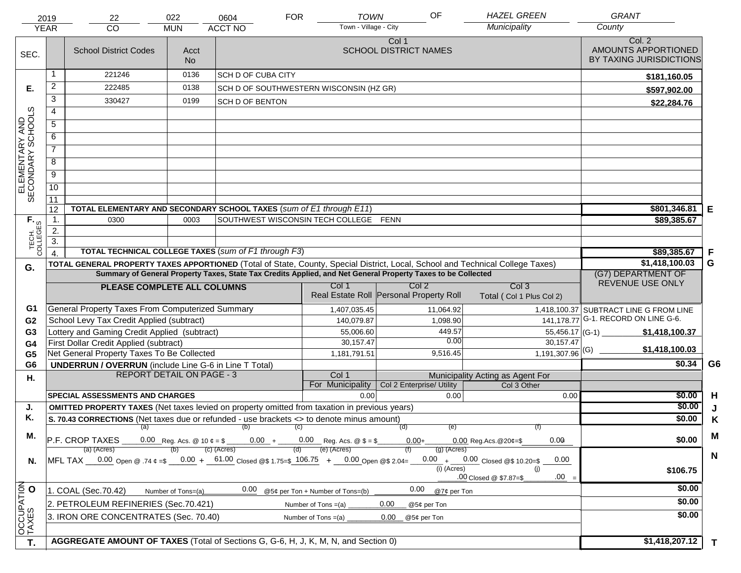|                                     | 2019<br><b>YEAR</b> | 22<br><b>CO</b>                                                                                                                   | 022<br><b>MUN</b>  | 0604<br><b>ACCT NO</b>                                                        | <b>FOR</b> | <b>TOWN</b><br>Town - Village - City | OF                                                                                                           | <b>HAZEL GREEN</b><br>Municipality        | <b>GRANT</b><br>County                                   |                |
|-------------------------------------|---------------------|-----------------------------------------------------------------------------------------------------------------------------------|--------------------|-------------------------------------------------------------------------------|------------|--------------------------------------|--------------------------------------------------------------------------------------------------------------|-------------------------------------------|----------------------------------------------------------|----------------|
|                                     |                     |                                                                                                                                   |                    |                                                                               |            |                                      |                                                                                                              |                                           |                                                          |                |
| SEC.                                |                     | <b>School District Codes</b>                                                                                                      | Acct<br><b>No</b>  |                                                                               |            |                                      | Col 1<br><b>SCHOOL DISTRICT NAMES</b>                                                                        |                                           | Col. 2<br>AMOUNTS APPORTIONED<br>BY TAXING JURISDICTIONS |                |
|                                     |                     | 221246                                                                                                                            | 0136               | <b>SCH D OF CUBA CITY</b>                                                     |            |                                      |                                                                                                              |                                           | \$181,160.05                                             |                |
| Е.                                  | $\overline{2}$      | 222485                                                                                                                            | 0138               | SCH D OF SOUTHWESTERN WISCONSIN (HZ GR)                                       |            |                                      |                                                                                                              |                                           | \$597,902.00                                             |                |
|                                     | 3                   | 330427                                                                                                                            | 0199               | <b>SCH D OF BENTON</b>                                                        |            |                                      |                                                                                                              |                                           | \$22,284.76                                              |                |
|                                     | $\overline{4}$      |                                                                                                                                   |                    |                                                                               |            |                                      |                                                                                                              |                                           |                                                          |                |
|                                     | 5                   |                                                                                                                                   |                    |                                                                               |            |                                      |                                                                                                              |                                           |                                                          |                |
| ELEMENTARY AND<br>SECONDARY SCHOOLS | 6                   |                                                                                                                                   |                    |                                                                               |            |                                      |                                                                                                              |                                           |                                                          |                |
|                                     | $\overline{7}$      |                                                                                                                                   |                    |                                                                               |            |                                      |                                                                                                              |                                           |                                                          |                |
|                                     | 8                   |                                                                                                                                   |                    |                                                                               |            |                                      |                                                                                                              |                                           |                                                          |                |
|                                     | $\overline{9}$      |                                                                                                                                   |                    |                                                                               |            |                                      |                                                                                                              |                                           |                                                          |                |
|                                     | 10                  |                                                                                                                                   |                    |                                                                               |            |                                      |                                                                                                              |                                           |                                                          |                |
|                                     | 11                  |                                                                                                                                   |                    |                                                                               |            |                                      |                                                                                                              |                                           |                                                          |                |
|                                     | 12                  | TOTAL ELEMENTARY AND SECONDARY SCHOOL TAXES (sum of E1 through E11)                                                               |                    |                                                                               |            |                                      |                                                                                                              |                                           | \$801,346.81                                             | Е              |
|                                     | 1.                  | 0300                                                                                                                              | 0003               | SOUTHWEST WISCONSIN TECH COLLEGE FENN                                         |            |                                      |                                                                                                              |                                           | \$89,385.67                                              |                |
|                                     | 2.                  |                                                                                                                                   |                    |                                                                               |            |                                      |                                                                                                              |                                           |                                                          |                |
| TECH. T<br>COLLEGES                 | $\overline{3}$ .    |                                                                                                                                   |                    |                                                                               |            |                                      |                                                                                                              |                                           |                                                          |                |
|                                     | $\overline{4}$      | TOTAL TECHNICAL COLLEGE TAXES (sum of F1 through F3)                                                                              |                    |                                                                               |            |                                      |                                                                                                              |                                           | \$89,385.67                                              | F              |
| G.                                  |                     | TOTAL GENERAL PROPERTY TAXES APPORTIONED (Total of State, County, Special District, Local, School and Technical College Taxes)    |                    |                                                                               |            |                                      | Summary of General Property Taxes, State Tax Credits Applied, and Net General Property Taxes to be Collected |                                           | \$1,418,100.03<br>(G7) DEPARTMENT OF                     | G              |
|                                     |                     |                                                                                                                                   |                    |                                                                               |            | Col 1                                | Col <sub>2</sub>                                                                                             | Col <sub>3</sub>                          | REVENUE USE ONLY                                         |                |
|                                     |                     | PLEASE COMPLETE ALL COLUMNS                                                                                                       |                    |                                                                               |            |                                      | Real Estate Roll Personal Property Roll                                                                      | Total (Col 1 Plus Col 2)                  |                                                          |                |
| G1                                  |                     | General Property Taxes From Computerized Summary                                                                                  |                    |                                                                               |            | 1,407,035.45                         | 11,064.92                                                                                                    |                                           | 1,418,100.37 SUBTRACT LINE G FROM LINE                   |                |
| G <sub>2</sub>                      |                     | School Levy Tax Credit Applied (subtract)                                                                                         |                    |                                                                               |            | 140,079.87                           | 1,098.90                                                                                                     |                                           | 141, 178. 77 G-1. RECORD ON LINE G-6.                    |                |
| G <sub>3</sub>                      |                     | Lottery and Gaming Credit Applied (subtract)                                                                                      |                    |                                                                               |            | 55,006.60                            | 449.57                                                                                                       | $55,456.17$ (G-1)                         | \$1,418,100.37                                           |                |
| G4                                  |                     | First Dollar Credit Applied (subtract)                                                                                            |                    |                                                                               |            | 30,157.47                            | 0.00                                                                                                         | 30,157.47                                 | \$1,418,100.03                                           |                |
| G <sub>5</sub>                      |                     | Net General Property Taxes To Be Collected                                                                                        |                    |                                                                               |            | 1,181,791.51                         | 9,516.45                                                                                                     | $1,191,307.96$ <sup>(G)</sup>             | \$0.34                                                   | G <sub>6</sub> |
| G <sub>6</sub>                      |                     | <b>UNDERRUN / OVERRUN</b> (include Line G-6 in Line T Total)<br><b>REPORT DETAIL ON PAGE - 3</b>                                  |                    |                                                                               |            | Col 1                                |                                                                                                              | Municipality Acting as Agent For          |                                                          |                |
| Η.                                  |                     |                                                                                                                                   |                    |                                                                               |            | For Municipality                     | Col 2 Enterprise/ Utility                                                                                    | Col 3 Other                               |                                                          |                |
|                                     |                     | <b>SPECIAL ASSESSMENTS AND CHARGES</b>                                                                                            |                    |                                                                               |            | 0.00                                 | 0.00                                                                                                         | 0.00                                      | \$0.00                                                   | H              |
| J.                                  |                     | <b>OMITTED PROPERTY TAXES</b> (Net taxes levied on property omitted from taxation in previous years)                              |                    |                                                                               |            |                                      |                                                                                                              |                                           | \$0.00                                                   | J              |
| Κ.                                  |                     | S. 70.43 CORRECTIONS (Net taxes due or refunded - use brackets <> to denote minus amount)                                         |                    |                                                                               |            |                                      |                                                                                                              |                                           | \$0.00                                                   | K              |
| М.                                  |                     | (a)                                                                                                                               |                    | (b)                                                                           | (C)        |                                      | (d)<br>(e)                                                                                                   | (f)                                       |                                                          | M              |
|                                     |                     | P.F. CROP TAXES                                                                                                                   |                    | 0.00 Reg. Acs. @ 10 $\phi = $$ 0.00 + 0.00 Reg. Acs. @ $$ = $$<br>(c) (Acres) |            | (e) (Acres)                          | $0.00 +$                                                                                                     | 0.00<br>$0.00$ Reg. Acs. @ 20¢=\$         | \$0.00                                                   |                |
| N.                                  |                     | (a) (Acres)<br>MFL TAX $-$ 0.00 Open @ .74 $\varphi$ =\$ $-$ 0.00 + $-$ 61.00 Closed @\$ 1.75=\$ 106.75 + $-$ 0.00 Open @\$ 2.04= |                    |                                                                               |            |                                      | $(g)$ (Acres)                                                                                                | $0.00 + 0.00$ Closed @\$ 10.20=\$<br>0.00 |                                                          | $\mathsf{N}$   |
|                                     |                     |                                                                                                                                   |                    |                                                                               |            |                                      | $(i)$ (Acres)                                                                                                | (i)                                       | \$106.75                                                 |                |
|                                     |                     |                                                                                                                                   |                    |                                                                               |            |                                      |                                                                                                              | $.00 =$<br>.00 Closed @ \$7.87=\$         |                                                          |                |
|                                     |                     | 1. COAL (Sec.70.42)                                                                                                               | Number of Tons=(a) | 0.00                                                                          |            | @5¢ per Ton + Number of Tons=(b)     | 0.00<br>@7¢ per Ton                                                                                          |                                           | \$0.00                                                   |                |
|                                     |                     | 2. PETROLEUM REFINERIES (Sec.70.421)                                                                                              |                    |                                                                               |            | Number of Tons $=(a)$                | 0.00<br>@5¢ per Ton                                                                                          |                                           | \$0.00                                                   |                |
| OCCUPATION                          |                     | 3. IRON ORE CONCENTRATES (Sec. 70.40)                                                                                             |                    |                                                                               |            | Number of Tons $=(a)$                | 0.00<br>@5¢ per Ton                                                                                          |                                           | \$0.00                                                   |                |
| T.                                  |                     | AGGREGATE AMOUNT OF TAXES (Total of Sections G, G-6, H, J, K, M, N, and Section 0)                                                |                    |                                                                               |            |                                      |                                                                                                              |                                           | \$1,418,207.12                                           |                |
|                                     |                     |                                                                                                                                   |                    |                                                                               |            |                                      |                                                                                                              |                                           |                                                          | T.             |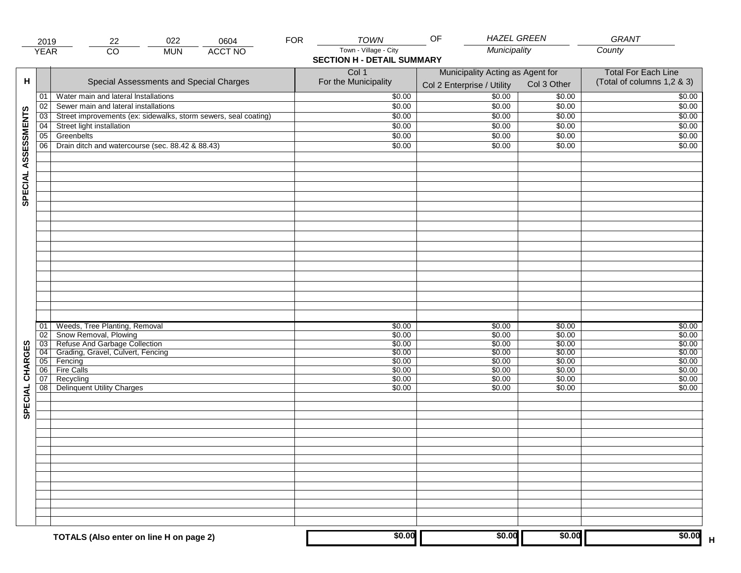|                     | 2019            | 022<br>22                                                                                                                          | 0604           | <b>FOR</b> | <b>TOWN</b>                                                | <b>HAZEL GREEN</b><br>OF                                       |                            | <b>GRANT</b>                                             |
|---------------------|-----------------|------------------------------------------------------------------------------------------------------------------------------------|----------------|------------|------------------------------------------------------------|----------------------------------------------------------------|----------------------------|----------------------------------------------------------|
|                     | <b>YEAR</b>     | $\overline{CO}$<br><b>MUN</b>                                                                                                      | <b>ACCT NO</b> |            | Town - Village - City<br><b>SECTION H - DETAIL SUMMARY</b> | Municipality                                                   |                            | County                                                   |
| н                   |                 | Special Assessments and Special Charges                                                                                            |                |            | Col 1<br>For the Municipality                              | Municipality Acting as Agent for<br>Col 2 Enterprise / Utility | Col 3 Other                | <b>Total For Each Line</b><br>(Total of columns 1,2 & 3) |
|                     | 01              | Water main and lateral Installations                                                                                               |                |            | \$0.00                                                     | $\frac{1}{00}$                                                 | \$0.00                     | \$0.00                                                   |
|                     | 02              | Sewer main and lateral installations                                                                                               |                |            | \$0.00                                                     | \$0.00                                                         | \$0.00                     | \$0.00                                                   |
|                     | $\overline{03}$ | Street improvements (ex: sidewalks, storm sewers, seal coating)                                                                    |                |            | \$0.00                                                     | \$0.00                                                         | \$0.00                     | \$0.00                                                   |
|                     | 04              | Street light installation                                                                                                          |                |            | \$0.00                                                     | \$0.00                                                         | \$0.00                     | \$0.00                                                   |
|                     | 05              | Greenbelts                                                                                                                         |                |            | \$0.00                                                     | \$0.00                                                         | \$0.00                     | \$0.00                                                   |
|                     | 06              | Drain ditch and watercourse (sec. 88.42 & 88.43)                                                                                   |                |            | \$0.00                                                     | \$0.00                                                         | \$0.00                     | \$0.00                                                   |
| SPECIAL ASSESSMENTS |                 |                                                                                                                                    |                |            |                                                            |                                                                |                            |                                                          |
|                     |                 |                                                                                                                                    |                |            |                                                            |                                                                |                            |                                                          |
|                     | 01<br>02        | Weeds, Tree Planting, Removal<br>Snow Removal, Plowing<br>03 Refuse And Garbage Collection<br>04 Grading, Gravel, Culvert, Fencing |                |            | \$0.00<br>\$0.00<br>\$0.00                                 | \$0.00<br>\$0.00<br>\$0.00                                     | \$0.00<br>\$0.00<br>\$0.00 | \$0.00<br>\$0.00<br>\$0.00                               |
| CHARGES             |                 |                                                                                                                                    |                |            | \$0.00                                                     | \$0.00                                                         | \$0.00                     | \$0.00                                                   |
|                     |                 | 05 Fencing                                                                                                                         |                |            | \$0.00                                                     | \$0.00                                                         | \$0.00                     | \$0.00                                                   |
|                     | 06<br>07        | <b>Fire Calls</b><br>Recycling                                                                                                     |                |            | \$0.00<br>\$0.00                                           | \$0.00<br>\$0.00                                               | \$0.00<br>\$0.00           | \$0.00<br>\$0.00                                         |
| SPECIAL             | 08              | <b>Delinquent Utility Charges</b>                                                                                                  |                |            | \$0.00                                                     | \$0.00                                                         | \$0.00                     | \$0.00                                                   |
|                     |                 |                                                                                                                                    |                |            |                                                            |                                                                |                            |                                                          |
|                     |                 |                                                                                                                                    |                |            |                                                            |                                                                |                            |                                                          |
|                     |                 |                                                                                                                                    |                |            |                                                            |                                                                |                            |                                                          |
|                     |                 |                                                                                                                                    |                |            |                                                            |                                                                |                            |                                                          |
|                     |                 |                                                                                                                                    |                |            |                                                            |                                                                |                            |                                                          |
|                     |                 | TOTALS (Also enter on line H on page 2)                                                                                            |                |            | \$0.00                                                     | \$0.00                                                         | \$0.00                     | \$0.00                                                   |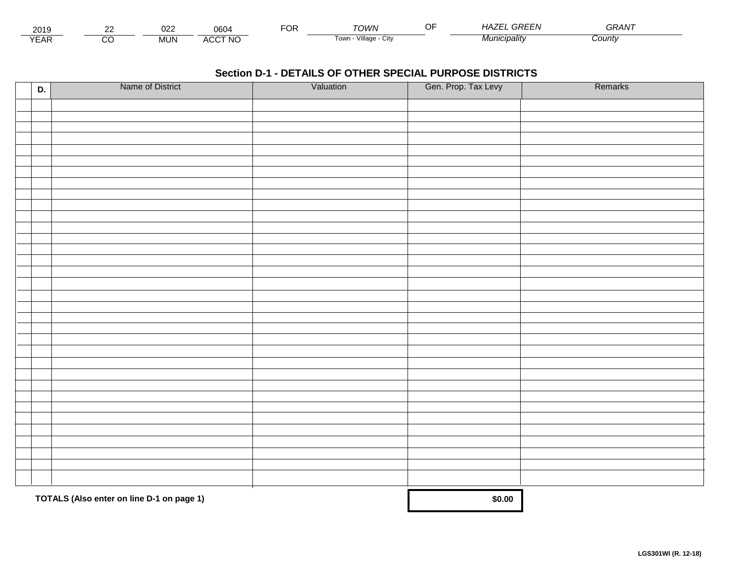| - - -<br>2019          | $\sim$ | $\sim$<br>ັບ∠⊾ | 0604                                  | <sup>-</sup> OR | TOM/N                              | GREF<br>1A /<br>$-1$    | $\sim$ $\sim$ $\sim$ $\sim$<br>3RAN. |  |
|------------------------|--------|----------------|---------------------------------------|-----------------|------------------------------------|-------------------------|--------------------------------------|--|
| $\sqrt{2}$<br>▵<br>LAI |        | <b>MUN</b>     | <b>\CCT NC</b><br>$\mathbf{u}$<br>nuu |                 | $\cdots$<br>Village.<br>⊧own<br>u۱ | Aunicipality<br>711 II. | Count√                               |  |

| D. | Name of District                          | Valuation | Gen. Prop. Tax Levy | Remarks |
|----|-------------------------------------------|-----------|---------------------|---------|
|    |                                           |           |                     |         |
|    |                                           |           |                     |         |
|    |                                           |           |                     |         |
|    |                                           |           |                     |         |
|    |                                           |           |                     |         |
|    |                                           |           |                     |         |
|    |                                           |           |                     |         |
|    |                                           |           |                     |         |
|    |                                           |           |                     |         |
|    |                                           |           |                     |         |
|    |                                           |           |                     |         |
|    |                                           |           |                     |         |
|    |                                           |           |                     |         |
|    |                                           |           |                     |         |
|    |                                           |           |                     |         |
|    |                                           |           |                     |         |
|    |                                           |           |                     |         |
|    |                                           |           |                     |         |
|    |                                           |           |                     |         |
|    |                                           |           |                     |         |
|    |                                           |           |                     |         |
|    |                                           |           |                     |         |
|    |                                           |           |                     |         |
|    |                                           |           |                     |         |
|    |                                           |           |                     |         |
|    |                                           |           |                     |         |
|    |                                           |           |                     |         |
|    |                                           |           |                     |         |
|    |                                           |           |                     |         |
|    |                                           |           |                     |         |
|    | TOTALS (Also enter on line D-1 on page 1) |           | \$0.00              |         |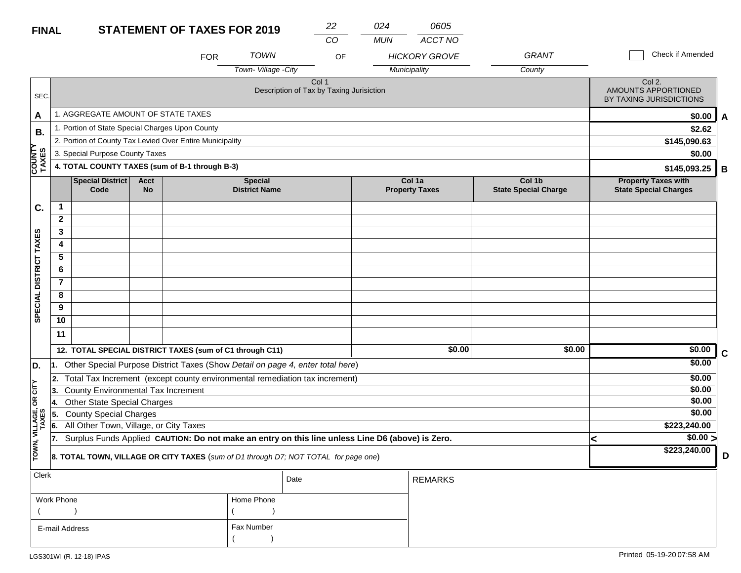| <b>FINAL</b>           |                |                                                                                                  |                          | <b>STATEMENT OF TAXES FOR 2019</b>                       |                                        | 22                                                                                  | 024        | 0605                            |                                       |                                                            |             |
|------------------------|----------------|--------------------------------------------------------------------------------------------------|--------------------------|----------------------------------------------------------|----------------------------------------|-------------------------------------------------------------------------------------|------------|---------------------------------|---------------------------------------|------------------------------------------------------------|-------------|
|                        |                |                                                                                                  |                          |                                                          |                                        | CO                                                                                  | <b>MUN</b> | ACCT NO                         |                                       |                                                            |             |
|                        |                |                                                                                                  |                          | <b>FOR</b>                                               | <b>TOWN</b>                            | OF                                                                                  |            | <b>HICKORY GROVE</b>            | <b>GRANT</b>                          | Check if Amended                                           |             |
|                        |                |                                                                                                  |                          |                                                          | Town-Village -City                     |                                                                                     |            | Municipality                    | County                                |                                                            |             |
| SEC.                   |                |                                                                                                  |                          |                                                          |                                        | Col 1<br>Description of Tax by Taxing Jurisiction                                   |            |                                 |                                       | Col 2.<br>AMOUNTS APPORTIONED<br>BY TAXING JURISDICTIONS   |             |
| A                      |                | 1. AGGREGATE AMOUNT OF STATE TAXES                                                               |                          |                                                          |                                        |                                                                                     |            |                                 |                                       | \$0.00                                                     | A           |
| В.                     |                | 1. Portion of State Special Charges Upon County                                                  |                          |                                                          |                                        |                                                                                     |            |                                 |                                       | \$2.62                                                     |             |
|                        |                |                                                                                                  |                          | 2. Portion of County Tax Levied Over Entire Municipality |                                        |                                                                                     |            |                                 |                                       | \$145,090.63                                               |             |
|                        |                | 3. Special Purpose County Taxes                                                                  |                          |                                                          |                                        |                                                                                     |            |                                 |                                       | \$0.00                                                     |             |
| COUNTY<br>TAXES        |                |                                                                                                  |                          | 4. TOTAL COUNTY TAXES (sum of B-1 through B-3)           |                                        |                                                                                     |            |                                 |                                       | \$145,093.25                                               | В           |
|                        |                | <b>Special District</b><br>Code                                                                  | <b>Acct</b><br><b>No</b> |                                                          | <b>Special</b><br><b>District Name</b> |                                                                                     |            | Col 1a<br><b>Property Taxes</b> | Col 1b<br><b>State Special Charge</b> | <b>Property Taxes with</b><br><b>State Special Charges</b> |             |
| C.                     | $\mathbf 1$    |                                                                                                  |                          |                                                          |                                        |                                                                                     |            |                                 |                                       |                                                            |             |
|                        | $\overline{2}$ |                                                                                                  |                          |                                                          |                                        |                                                                                     |            |                                 |                                       |                                                            |             |
|                        | 3              |                                                                                                  |                          |                                                          |                                        |                                                                                     |            |                                 |                                       |                                                            |             |
|                        | 4              |                                                                                                  |                          |                                                          |                                        |                                                                                     |            |                                 |                                       |                                                            |             |
|                        | 5              |                                                                                                  |                          |                                                          |                                        |                                                                                     |            |                                 |                                       |                                                            |             |
|                        | 6              |                                                                                                  |                          |                                                          |                                        |                                                                                     |            |                                 |                                       |                                                            |             |
|                        | 7              |                                                                                                  |                          |                                                          |                                        |                                                                                     |            |                                 |                                       |                                                            |             |
|                        | 8              |                                                                                                  |                          |                                                          |                                        |                                                                                     |            |                                 |                                       |                                                            |             |
| SPECIAL DISTRICT TAXES | 9<br>10        |                                                                                                  |                          |                                                          |                                        |                                                                                     |            |                                 |                                       |                                                            |             |
|                        | 11             |                                                                                                  |                          |                                                          |                                        |                                                                                     |            |                                 |                                       |                                                            |             |
|                        |                |                                                                                                  |                          |                                                          |                                        |                                                                                     |            |                                 |                                       |                                                            |             |
|                        |                |                                                                                                  |                          | 12. TOTAL SPECIAL DISTRICT TAXES (sum of C1 through C11) |                                        |                                                                                     |            | \$0.00                          | \$0.00                                | $\sqrt{$0.00}$                                             | $\mathbf c$ |
| D.                     | 1.             |                                                                                                  |                          |                                                          |                                        | Other Special Purpose District Taxes (Show Detail on page 4, enter total here)      |            |                                 |                                       | \$0.00                                                     |             |
|                        | 2.             |                                                                                                  |                          |                                                          |                                        | Total Tax Increment (except county environmental remediation tax increment)         |            |                                 |                                       | \$0.00                                                     |             |
| OR CITY                | 13.            | County Environmental Tax Increment                                                               |                          |                                                          |                                        |                                                                                     |            |                                 |                                       | \$0.00<br>\$0.00                                           |             |
|                        | 14.<br>5.      | Other State Special Charges                                                                      |                          |                                                          |                                        |                                                                                     |            |                                 |                                       | \$0.00                                                     |             |
| VILLAGE,<br>TAXES      | 6.             | <b>County Special Charges</b><br>All Other Town, Village, or City Taxes                          |                          |                                                          |                                        |                                                                                     |            |                                 |                                       | \$223,240.00                                               |             |
|                        | 17.            | Surplus Funds Applied CAUTION: Do not make an entry on this line unless Line D6 (above) is Zero. |                          | \$0.00 >                                                 |                                        |                                                                                     |            |                                 |                                       |                                                            |             |
| TOWN,                  |                |                                                                                                  |                          |                                                          |                                        | 8. TOTAL TOWN, VILLAGE OR CITY TAXES (sum of D1 through D7; NOT TOTAL for page one) |            |                                 |                                       | \$223,240.00                                               | D           |
| <b>Clerk</b>           |                |                                                                                                  |                          |                                                          |                                        | Date                                                                                |            | <b>REMARKS</b>                  |                                       |                                                            |             |
|                        |                |                                                                                                  |                          |                                                          |                                        |                                                                                     |            |                                 |                                       |                                                            |             |
|                        | Work Phone     |                                                                                                  |                          |                                                          | Home Phone                             |                                                                                     |            |                                 |                                       |                                                            |             |
|                        |                |                                                                                                  |                          |                                                          |                                        |                                                                                     |            |                                 |                                       |                                                            |             |
|                        | E-mail Address |                                                                                                  |                          |                                                          | Fax Number                             |                                                                                     |            |                                 |                                       |                                                            |             |
|                        |                |                                                                                                  |                          |                                                          |                                        |                                                                                     |            |                                 |                                       |                                                            |             |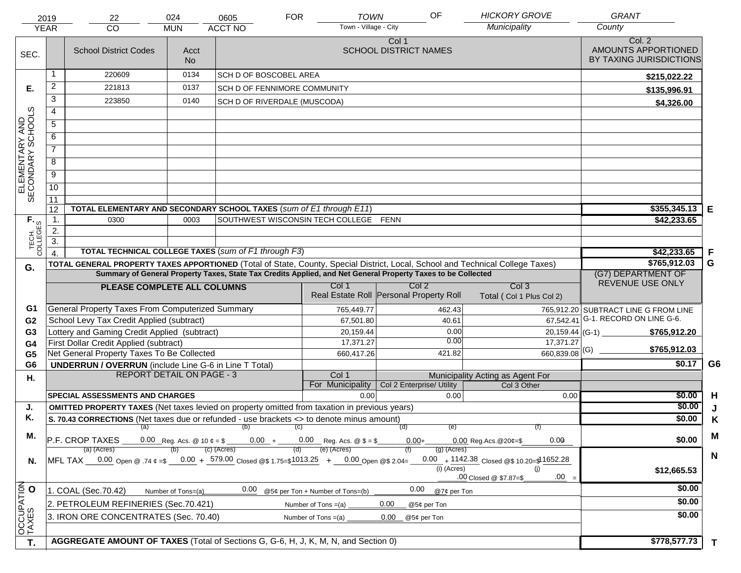|                                     | 2019                               | 22                                                                                                           | <b>HICKORY GROVE</b>                                                                                                           | <b>GRANT</b>                 |     |                                                                               |                                         |                                             |                                                          |                |
|-------------------------------------|------------------------------------|--------------------------------------------------------------------------------------------------------------|--------------------------------------------------------------------------------------------------------------------------------|------------------------------|-----|-------------------------------------------------------------------------------|-----------------------------------------|---------------------------------------------|----------------------------------------------------------|----------------|
|                                     | <b>YEAR</b>                        | <b>CO</b>                                                                                                    | <b>MUN</b>                                                                                                                     | <b>ACCT NO</b>               |     | Town - Village - City                                                         |                                         | Municipality                                | County                                                   |                |
| SEC.                                |                                    | <b>School District Codes</b>                                                                                 | Acct<br><b>No</b>                                                                                                              |                              |     |                                                                               | Col 1<br><b>SCHOOL DISTRICT NAMES</b>   |                                             | Col. 2<br>AMOUNTS APPORTIONED<br>BY TAXING JURISDICTIONS |                |
|                                     |                                    | 220609                                                                                                       | 0134                                                                                                                           | SCH D OF BOSCOBEL AREA       |     |                                                                               |                                         |                                             | \$215,022.22                                             |                |
| Е.                                  | $\overline{c}$                     | 221813                                                                                                       | 0137                                                                                                                           | SCH D OF FENNIMORE COMMUNITY |     |                                                                               |                                         |                                             | \$135,996.91                                             |                |
|                                     | $\overline{3}$                     | 223850                                                                                                       | 0140                                                                                                                           | SCH D OF RIVERDALE (MUSCODA) |     |                                                                               |                                         |                                             | \$4,326.00                                               |                |
|                                     | $\overline{4}$                     |                                                                                                              |                                                                                                                                |                              |     |                                                                               |                                         |                                             |                                                          |                |
|                                     | $\overline{5}$                     |                                                                                                              |                                                                                                                                |                              |     |                                                                               |                                         |                                             |                                                          |                |
|                                     | 6                                  |                                                                                                              |                                                                                                                                |                              |     |                                                                               |                                         |                                             |                                                          |                |
|                                     | $\overline{7}$                     |                                                                                                              |                                                                                                                                |                              |     |                                                                               |                                         |                                             |                                                          |                |
|                                     | $\overline{8}$                     |                                                                                                              |                                                                                                                                |                              |     |                                                                               |                                         |                                             |                                                          |                |
|                                     | $\overline{9}$                     |                                                                                                              |                                                                                                                                |                              |     |                                                                               |                                         |                                             |                                                          |                |
| ELEMENTARY AND<br>SECONDARY SCHOOLS | 10                                 |                                                                                                              |                                                                                                                                |                              |     |                                                                               |                                         |                                             |                                                          |                |
|                                     | 11                                 |                                                                                                              |                                                                                                                                |                              |     |                                                                               |                                         |                                             |                                                          |                |
|                                     | 12                                 | TOTAL ELEMENTARY AND SECONDARY SCHOOL TAXES (sum of E1 through E11)                                          |                                                                                                                                | $$355,345.13$ E              |     |                                                                               |                                         |                                             |                                                          |                |
|                                     | $\mathbf{1}$ .                     | 0300                                                                                                         | 0003                                                                                                                           |                              |     | SOUTHWEST WISCONSIN TECH COLLEGE FENN                                         |                                         |                                             | \$42,233.65                                              |                |
|                                     | 2.                                 |                                                                                                              |                                                                                                                                |                              |     |                                                                               |                                         |                                             |                                                          |                |
| TECH. T                             | $\overline{3}$ .<br>$\overline{4}$ | <b>TOTAL TECHNICAL COLLEGE TAXES (sum of F1 through F3)</b>                                                  |                                                                                                                                |                              |     |                                                                               |                                         |                                             | \$42,233.65                                              | F              |
|                                     |                                    |                                                                                                              | TOTAL GENERAL PROPERTY TAXES APPORTIONED (Total of State, County, Special District, Local, School and Technical College Taxes) | \$765,912.03                 | G   |                                                                               |                                         |                                             |                                                          |                |
| G.                                  |                                    | Summary of General Property Taxes, State Tax Credits Applied, and Net General Property Taxes to be Collected |                                                                                                                                | (G7) DEPARTMENT OF           |     |                                                                               |                                         |                                             |                                                          |                |
|                                     |                                    | PLEASE COMPLETE ALL COLUMNS                                                                                  |                                                                                                                                |                              |     | Col 1                                                                         | Col 2                                   | Col <sub>3</sub>                            | REVENUE USE ONLY                                         |                |
|                                     |                                    |                                                                                                              |                                                                                                                                |                              |     |                                                                               | Real Estate Roll Personal Property Roll | Total (Col 1 Plus Col 2)                    |                                                          |                |
| G1                                  |                                    | General Property Taxes From Computerized Summary                                                             |                                                                                                                                |                              |     | 765,449.77                                                                    | 462.43                                  |                                             | 765,912.20 SUBTRACT LINE G FROM LINE                     |                |
| G <sub>2</sub>                      |                                    | School Levy Tax Credit Applied (subtract)                                                                    |                                                                                                                                |                              |     | 67,501.80                                                                     | 40.61                                   | 67,542.41                                   | G-1. RECORD ON LINE G-6.                                 |                |
| G <sub>3</sub>                      |                                    | Lottery and Gaming Credit Applied (subtract)                                                                 |                                                                                                                                |                              |     | 20,159.44                                                                     | 0.00                                    | 20,159.44 (G-1)                             | \$765,912.20                                             |                |
| G4                                  |                                    | First Dollar Credit Applied (subtract)                                                                       |                                                                                                                                |                              |     | 17,371.27                                                                     | 0.00                                    | 17,371.27                                   | \$765,912.03                                             |                |
| G <sub>5</sub>                      |                                    | Net General Property Taxes To Be Collected                                                                   |                                                                                                                                |                              |     | 660,417.26                                                                    | 421.82                                  | $660,839.08$ <sup>(G)</sup>                 | \$0.17                                                   | G <sub>6</sub> |
| G <sub>6</sub>                      |                                    | <b>UNDERRUN / OVERRUN</b> (include Line G-6 in Line T Total)<br><b>REPORT DETAIL ON PAGE - 3</b>             |                                                                                                                                |                              |     | Col 1                                                                         |                                         | Municipality Acting as Agent For            |                                                          |                |
| Η.                                  |                                    |                                                                                                              |                                                                                                                                |                              |     | For Municipality                                                              | Col 2 Enterprise/ Utility               | Col 3 Other                                 |                                                          |                |
|                                     |                                    | <b>SPECIAL ASSESSMENTS AND CHARGES</b>                                                                       |                                                                                                                                |                              |     | 0.00                                                                          | 0.00                                    | 0.00                                        | \$0.00                                                   | H              |
| J.                                  |                                    | OMITTED PROPERTY TAXES (Net taxes levied on property omitted from taxation in previous years)                |                                                                                                                                |                              |     |                                                                               |                                         |                                             | \$0.00                                                   |                |
| Κ.                                  |                                    | S. 70.43 CORRECTIONS (Net taxes due or refunded - use brackets <> to denote minus amount)                    |                                                                                                                                | \$0.00                       | K   |                                                                               |                                         |                                             |                                                          |                |
| М.                                  |                                    | (a)                                                                                                          |                                                                                                                                | (b)                          | (C) |                                                                               | (e)<br>(d)                              |                                             |                                                          | M              |
|                                     |                                    | P.F. CROP TAXES<br>(a) (Acres)                                                                               |                                                                                                                                | (c) (Acres)                  |     | 0.00 Reg. Acs. @ 10 $\phi = $$ 0.00 + 0.00 Reg. Acs. @ $$ = $$<br>(e) (Acres) | $0.00 +$<br>$(g)$ (Acres)               | 0.00<br>$0.00$ Reg. Acs. @ 20¢=\$           | \$0.00                                                   |                |
| N.                                  |                                    | MFL TAX 0.00 Open @ .74 ¢ =\$ 0.00 + 579.00 Closed @\$ 1.75=\$1013.25 + 0.00 Open @\$ 2.04=                  |                                                                                                                                |                              |     |                                                                               |                                         | 0.00 + $1142.38$ Closed @\$ 10.20=\$1652.28 |                                                          | N              |
|                                     |                                    |                                                                                                              |                                                                                                                                |                              |     |                                                                               | (i) (Acres)                             | (i)                                         | \$12,665.53                                              |                |
|                                     |                                    |                                                                                                              |                                                                                                                                |                              |     |                                                                               |                                         | .00 Closed @ \$7.87=\$<br>$.00 =$           |                                                          |                |
|                                     |                                    | 1. COAL (Sec.70.42)                                                                                          | Number of Tons=(a)                                                                                                             | 0.00                         |     | @5¢ per Ton + Number of Tons=(b)                                              | 0.00<br>@7¢ per Ton                     |                                             | \$0.00                                                   |                |
|                                     |                                    | 2. PETROLEUM REFINERIES (Sec.70.421)                                                                         |                                                                                                                                |                              |     | Number of Tons $=(a)$                                                         | 0.00<br>@5¢ per Ton                     |                                             | \$0.00                                                   |                |
|                                     |                                    | 3. IRON ORE CONCENTRATES (Sec. 70.40)                                                                        |                                                                                                                                |                              |     | Number of Tons $=(a)$                                                         | 0.00<br>@5¢ per Ton                     |                                             | \$0.00                                                   |                |
| OCCUPATION                          |                                    |                                                                                                              |                                                                                                                                |                              |     |                                                                               |                                         |                                             |                                                          |                |
| T.                                  |                                    | AGGREGATE AMOUNT OF TAXES (Total of Sections G, G-6, H, J, K, M, N, and Section 0)                           |                                                                                                                                |                              |     |                                                                               | \$778,577.73                            | T                                           |                                                          |                |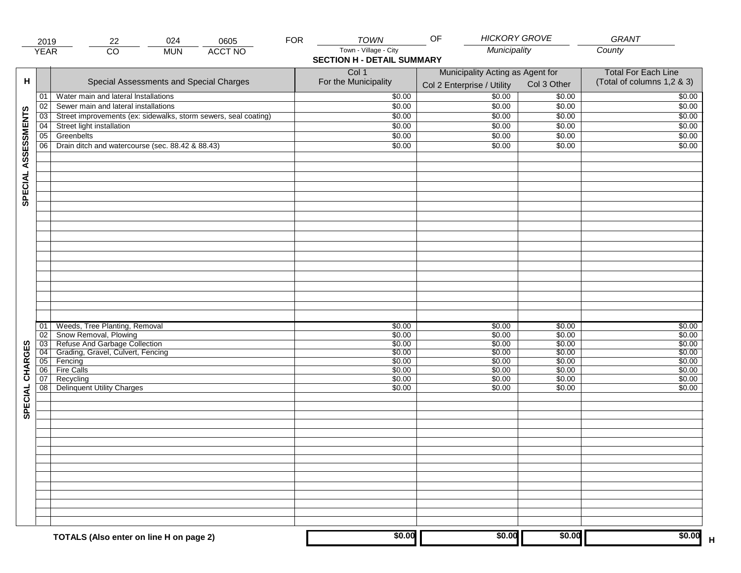|                     | 2019            | 22                                                                                                                                                                    | 024        | 0605           | <b>FOR</b> | <b>TOWN</b>                                                | OF                                                             | <b>HICKORY GROVE</b>                                     | GRANT                                                    |
|---------------------|-----------------|-----------------------------------------------------------------------------------------------------------------------------------------------------------------------|------------|----------------|------------|------------------------------------------------------------|----------------------------------------------------------------|----------------------------------------------------------|----------------------------------------------------------|
|                     | <b>YEAR</b>     | $\overline{CO}$                                                                                                                                                       | <b>MUN</b> | <b>ACCT NO</b> |            | Town - Village - City<br><b>SECTION H - DETAIL SUMMARY</b> | Municipality                                                   |                                                          | County                                                   |
| н                   |                 | Special Assessments and Special Charges                                                                                                                               |            |                |            | Col 1<br>For the Municipality                              | Municipality Acting as Agent for<br>Col 2 Enterprise / Utility | Col 3 Other                                              | <b>Total For Each Line</b><br>(Total of columns 1,2 & 3) |
|                     | 01              | Water main and lateral Installations                                                                                                                                  |            |                |            | \$0.00                                                     | $\frac{1}{00}$                                                 | \$0.00                                                   | \$0.00                                                   |
|                     | 02              | Sewer main and lateral installations                                                                                                                                  |            |                |            | \$0.00                                                     | \$0.00                                                         | \$0.00                                                   | \$0.00                                                   |
|                     | $\overline{03}$ | Street improvements (ex: sidewalks, storm sewers, seal coating)                                                                                                       |            |                |            | \$0.00                                                     | \$0.00                                                         | \$0.00                                                   | \$0.00                                                   |
|                     | 04              | Street light installation                                                                                                                                             |            |                |            | \$0.00                                                     | \$0.00                                                         | \$0.00                                                   | \$0.00                                                   |
|                     | 05              | Greenbelts                                                                                                                                                            |            |                |            | \$0.00                                                     | \$0.00                                                         | \$0.00                                                   | \$0.00                                                   |
|                     | 06              | Drain ditch and watercourse (sec. 88.42 & 88.43)                                                                                                                      |            |                |            | \$0.00                                                     | \$0.00                                                         | \$0.00                                                   | \$0.00                                                   |
| SPECIAL ASSESSMENTS |                 |                                                                                                                                                                       |            |                |            |                                                            |                                                                |                                                          |                                                          |
| CHARGES             | 01<br>02<br>06  | Weeds, Tree Planting, Removal<br>Snow Removal, Plowing<br>03 Refuse And Garbage Collection<br>04 Grading, Gravel, Culvert, Fencing<br>05 Fencing<br><b>Fire Calls</b> |            |                |            | \$0.00<br>\$0.00<br>\$0.00<br>\$0.00<br>\$0.00<br>\$0.00   | \$0.00<br>\$0.00<br>\$0.00<br>\$0.00<br>\$0.00<br>\$0.00       | \$0.00<br>\$0.00<br>\$0.00<br>\$0.00<br>\$0.00<br>\$0.00 | \$0.00<br>\$0.00<br>\$0.00<br>\$0.00<br>\$0.00<br>\$0.00 |
| SPECIAL             | 07<br>08        | Recycling<br><b>Delinquent Utility Charges</b>                                                                                                                        |            |                |            | \$0.00<br>\$0.00                                           | \$0.00<br>\$0.00                                               | \$0.00<br>\$0.00                                         | \$0.00<br>\$0.00                                         |
|                     |                 |                                                                                                                                                                       |            |                |            |                                                            |                                                                |                                                          |                                                          |
|                     |                 | TOTALS (Also enter on line H on page 2)                                                                                                                               |            |                |            | \$0.00                                                     | \$0.00                                                         | \$0.00                                                   | \$0.00                                                   |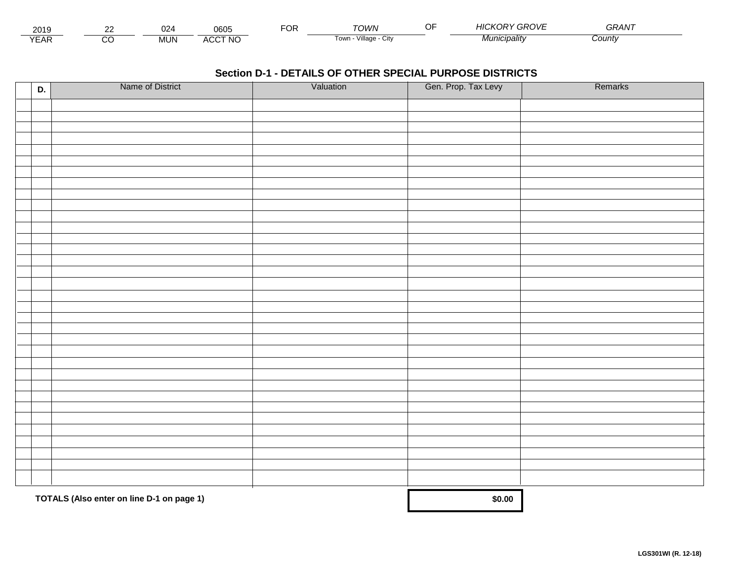| 2015                 | $\sim$ | ~~<br>J20 | 0605                           | $\neg$ $\cap$<br>◡┍ | TOWN                         | -- | <b>GROVE</b><br>71 U.N | $\sim$ $\sim$<br>GRAN |  |
|----------------------|--------|-----------|--------------------------------|---------------------|------------------------------|----|------------------------|-----------------------|--|
| $\sqrt{2}$<br>▵<br>. |        | .viUN     | CCT NC،<br>$\mathbf{A}$<br>50C |                     | .<br>Villade<br>UN<br>∣ ∪wii |    | Municipalitv           | Count                 |  |

| D. | Name of District                          | Valuation | Gen. Prop. Tax Levy | Remarks |
|----|-------------------------------------------|-----------|---------------------|---------|
|    |                                           |           |                     |         |
|    |                                           |           |                     |         |
|    |                                           |           |                     |         |
|    |                                           |           |                     |         |
|    |                                           |           |                     |         |
|    |                                           |           |                     |         |
|    |                                           |           |                     |         |
|    |                                           |           |                     |         |
|    |                                           |           |                     |         |
|    |                                           |           |                     |         |
|    |                                           |           |                     |         |
|    |                                           |           |                     |         |
|    |                                           |           |                     |         |
|    |                                           |           |                     |         |
|    |                                           |           |                     |         |
|    |                                           |           |                     |         |
|    |                                           |           |                     |         |
|    |                                           |           |                     |         |
|    |                                           |           |                     |         |
|    |                                           |           |                     |         |
|    |                                           |           |                     |         |
|    |                                           |           |                     |         |
|    |                                           |           |                     |         |
|    |                                           |           |                     |         |
|    |                                           |           |                     |         |
|    |                                           |           |                     |         |
|    |                                           |           |                     |         |
|    |                                           |           |                     |         |
|    |                                           |           |                     |         |
|    |                                           |           |                     |         |
|    | TOTALS (Also enter on line D-1 on page 1) |           | \$0.00              |         |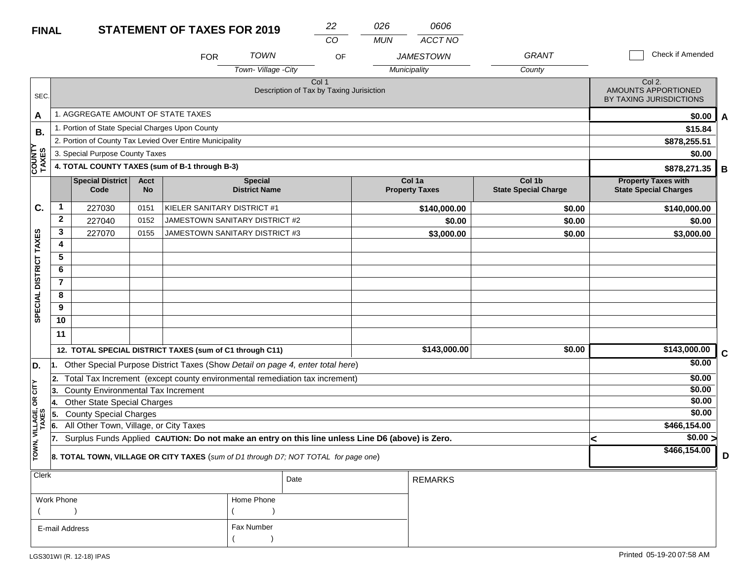### **STATEMENT OF TAXES FOR 2019 FINAL**

| <b>FINAL</b>            |                |                                                                         |                          | <b>STATEMENT OF TAXES FOR 2019</b>                                                               |                                        |                                                              | 22       | 026        | 0606                            |                                       |   |                                                            |   |
|-------------------------|----------------|-------------------------------------------------------------------------|--------------------------|--------------------------------------------------------------------------------------------------|----------------------------------------|--------------------------------------------------------------|----------|------------|---------------------------------|---------------------------------------|---|------------------------------------------------------------|---|
|                         |                |                                                                         |                          | <b>FOR</b>                                                                                       | <b>TOWN</b>                            |                                                              | CO<br>OF | <b>MUN</b> | ACCT NO<br><b>JAMESTOWN</b>     | <b>GRANT</b>                          |   | Check if Amended                                           |   |
|                         |                |                                                                         |                          |                                                                                                  | Town-Village -City                     |                                                              |          |            | Municipality                    | County                                |   |                                                            |   |
| SEC.                    |                |                                                                         |                          |                                                                                                  |                                        | Col <sub>1</sub><br>Description of Tax by Taxing Jurisiction |          |            |                                 |                                       |   | Col 2.<br>AMOUNTS APPORTIONED<br>BY TAXING JURISDICTIONS   |   |
| A                       |                | 1. AGGREGATE AMOUNT OF STATE TAXES                                      |                          |                                                                                                  |                                        |                                                              |          |            |                                 |                                       |   | \$0.00                                                     | A |
| В.                      |                | 1. Portion of State Special Charges Upon County                         |                          |                                                                                                  |                                        |                                                              |          |            |                                 |                                       |   | \$15.84                                                    |   |
|                         |                |                                                                         |                          | 2. Portion of County Tax Levied Over Entire Municipality                                         |                                        |                                                              |          |            |                                 |                                       |   | \$878,255.51                                               |   |
|                         |                | 3. Special Purpose County Taxes                                         |                          |                                                                                                  |                                        |                                                              |          |            |                                 |                                       |   | \$0.00                                                     |   |
| <b>COUNTY</b><br>TAXES  |                |                                                                         |                          | 4. TOTAL COUNTY TAXES (sum of B-1 through B-3)                                                   |                                        |                                                              |          |            |                                 |                                       |   | \$878,271.35                                               | В |
|                         |                | <b>Special District</b><br>Code                                         | <b>Acct</b><br><b>No</b> |                                                                                                  | <b>Special</b><br><b>District Name</b> |                                                              |          |            | Col 1a<br><b>Property Taxes</b> | Col 1b<br><b>State Special Charge</b> |   | <b>Property Taxes with</b><br><b>State Special Charges</b> |   |
| C.                      | 1              | 227030                                                                  | 0151                     | KIELER SANITARY DISTRICT #1                                                                      |                                        |                                                              |          |            | \$140,000.00                    | \$0.00                                |   | \$140,000.00                                               |   |
|                         | $\mathbf{2}$   | 227040                                                                  | 0152                     | JAMESTOWN SANITARY DISTRICT #2                                                                   |                                        |                                                              |          |            | \$0.00                          | \$0.00                                |   | \$0.00                                                     |   |
|                         | 3              | 227070                                                                  | 0155                     | JAMESTOWN SANITARY DISTRICT #3                                                                   |                                        |                                                              |          |            | \$3,000.00                      | \$0.00                                |   | \$3,000.00                                                 |   |
| SPECIAL DISTRICT TAXES  | 4              |                                                                         |                          |                                                                                                  |                                        |                                                              |          |            |                                 |                                       |   |                                                            |   |
|                         | 5              |                                                                         |                          |                                                                                                  |                                        |                                                              |          |            |                                 |                                       |   |                                                            |   |
|                         | 6              |                                                                         |                          |                                                                                                  |                                        |                                                              |          |            |                                 |                                       |   |                                                            |   |
|                         | $\overline{7}$ |                                                                         |                          |                                                                                                  |                                        |                                                              |          |            |                                 |                                       |   |                                                            |   |
|                         | 8              |                                                                         |                          |                                                                                                  |                                        |                                                              |          |            |                                 |                                       |   |                                                            |   |
|                         | 9<br>10        |                                                                         |                          |                                                                                                  |                                        |                                                              |          |            |                                 |                                       |   |                                                            |   |
|                         |                |                                                                         |                          |                                                                                                  |                                        |                                                              |          |            |                                 |                                       |   |                                                            |   |
|                         | 11             |                                                                         |                          |                                                                                                  |                                        |                                                              |          |            |                                 |                                       |   |                                                            |   |
|                         |                |                                                                         |                          | 12. TOTAL SPECIAL DISTRICT TAXES (sum of C1 through C11)                                         |                                        |                                                              |          |            | \$143,000.00                    | \$0.00                                |   | \$143,000.00                                               | C |
| D.                      | 11.            |                                                                         |                          | Other Special Purpose District Taxes (Show Detail on page 4, enter total here)                   |                                        |                                                              |          |            |                                 |                                       |   | \$0.00                                                     |   |
|                         | 2.             |                                                                         |                          | Total Tax Increment (except county environmental remediation tax increment)                      |                                        |                                                              |          |            |                                 |                                       |   | \$0.00                                                     |   |
| <b>CITY</b>             | 3.             | <b>County Environmental Tax Increment</b>                               |                          |                                                                                                  |                                        |                                                              |          |            |                                 |                                       |   | \$0.00                                                     |   |
| бR                      | 14.            | <b>Other State Special Charges</b>                                      |                          |                                                                                                  |                                        |                                                              |          |            |                                 |                                       |   | \$0.00                                                     |   |
|                         | 5.             | <b>County Special Charges</b><br>All Other Town, Village, or City Taxes |                          |                                                                                                  |                                        |                                                              |          |            |                                 |                                       |   | \$0.00<br>\$466,154.00                                     |   |
|                         | 6.<br>17.      |                                                                         |                          | Surplus Funds Applied CAUTION: Do not make an entry on this line unless Line D6 (above) is Zero. |                                        |                                                              |          |            |                                 |                                       |   | $\sqrt{$0.00}$                                             |   |
| TOWN, VILLAGE,<br>TAXES |                |                                                                         |                          |                                                                                                  |                                        |                                                              |          |            |                                 |                                       | < | \$466,154.00                                               |   |
|                         |                |                                                                         |                          | 8. TOTAL TOWN, VILLAGE OR CITY TAXES (sum of D1 through D7; NOT TOTAL for page one)              |                                        |                                                              |          |            |                                 |                                       |   |                                                            | D |
| <b>Clerk</b>            |                |                                                                         |                          |                                                                                                  |                                        | Date                                                         |          |            | <b>REMARKS</b>                  |                                       |   |                                                            |   |

|                |            | Date | I REMARKS. |
|----------------|------------|------|------------|
| Work Phone     | Home Phone |      |            |
|                |            |      |            |
| E-mail Address | Fax Number |      |            |
|                |            |      |            |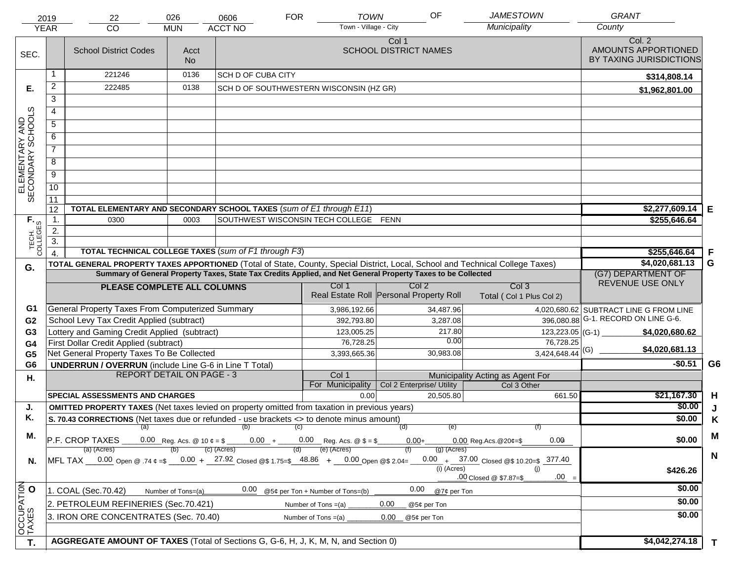|                                     | 2019             | 22                                                                                                                    | <b>JAMESTOWN</b>                 | <b>GRANT</b>                            |                       |                                  |                                         |                                                                                                                                |                                                          |              |
|-------------------------------------|------------------|-----------------------------------------------------------------------------------------------------------------------|----------------------------------|-----------------------------------------|-----------------------|----------------------------------|-----------------------------------------|--------------------------------------------------------------------------------------------------------------------------------|----------------------------------------------------------|--------------|
|                                     | <b>YEAR</b>      | CO                                                                                                                    | <b>MUN</b>                       | <b>ACCT NO</b>                          |                       | Town - Village - City            |                                         | Municipality                                                                                                                   | County                                                   |              |
| SEC.                                |                  | <b>School District Codes</b>                                                                                          | Acct<br>No.                      |                                         |                       |                                  | Col 1<br><b>SCHOOL DISTRICT NAMES</b>   |                                                                                                                                | Col. 2<br>AMOUNTS APPORTIONED<br>BY TAXING JURISDICTIONS |              |
|                                     |                  | 221246                                                                                                                | 0136                             | <b>SCH D OF CUBA CITY</b>               |                       |                                  |                                         |                                                                                                                                | \$314,808.14                                             |              |
| Е.                                  | $\overline{2}$   | 222485                                                                                                                | 0138                             | SCH D OF SOUTHWESTERN WISCONSIN (HZ GR) |                       |                                  |                                         |                                                                                                                                | \$1,962,801.00                                           |              |
|                                     | 3                |                                                                                                                       |                                  |                                         |                       |                                  |                                         |                                                                                                                                |                                                          |              |
|                                     | 4                |                                                                                                                       |                                  |                                         |                       |                                  |                                         |                                                                                                                                |                                                          |              |
|                                     | 5                |                                                                                                                       |                                  |                                         |                       |                                  |                                         |                                                                                                                                |                                                          |              |
|                                     | 6                |                                                                                                                       |                                  |                                         |                       |                                  |                                         |                                                                                                                                |                                                          |              |
|                                     | $\overline{7}$   |                                                                                                                       |                                  |                                         |                       |                                  |                                         |                                                                                                                                |                                                          |              |
| ELEMENTARY AND<br>SECONDARY SCHOOLS | 8                |                                                                                                                       |                                  |                                         |                       |                                  |                                         |                                                                                                                                |                                                          |              |
|                                     | $\overline{9}$   |                                                                                                                       |                                  |                                         |                       |                                  |                                         |                                                                                                                                |                                                          |              |
|                                     | 10               |                                                                                                                       |                                  |                                         |                       |                                  |                                         |                                                                                                                                |                                                          |              |
|                                     | 11               |                                                                                                                       |                                  |                                         |                       |                                  |                                         |                                                                                                                                |                                                          |              |
|                                     | 12               | TOTAL ELEMENTARY AND SECONDARY SCHOOL TAXES (sum of E1 through E11)                                                   |                                  |                                         |                       |                                  |                                         |                                                                                                                                | $$2,277,609.14$ E                                        |              |
|                                     | $\mathbf 1$ .    | 0300                                                                                                                  | 0003                             | SOUTHWEST WISCONSIN TECH COLLEGE FENN   |                       |                                  |                                         |                                                                                                                                | \$255,646.64                                             |              |
|                                     | 2.               |                                                                                                                       |                                  |                                         |                       |                                  |                                         |                                                                                                                                |                                                          |              |
| TECH. T                             | $\overline{3}$ . | TOTAL TECHNICAL COLLEGE TAXES (sum of F1 through F3)                                                                  |                                  |                                         |                       |                                  |                                         |                                                                                                                                | \$255,646.64                                             | F            |
|                                     |                  |                                                                                                                       |                                  |                                         |                       |                                  |                                         | TOTAL GENERAL PROPERTY TAXES APPORTIONED (Total of State, County, Special District, Local, School and Technical College Taxes) | \$4,020,681.13                                           | G            |
| G.                                  |                  | Summary of General Property Taxes, State Tax Credits Applied, and Net General Property Taxes to be Collected          | (G7) DEPARTMENT OF               |                                         |                       |                                  |                                         |                                                                                                                                |                                                          |              |
|                                     |                  | PLEASE COMPLETE ALL COLUMNS                                                                                           | REVENUE USE ONLY                 |                                         |                       |                                  |                                         |                                                                                                                                |                                                          |              |
|                                     |                  |                                                                                                                       |                                  |                                         |                       |                                  | Real Estate Roll Personal Property Roll | Total (Col 1 Plus Col 2)                                                                                                       |                                                          |              |
| G1                                  |                  | <b>General Property Taxes From Computerized Summary</b>                                                               |                                  |                                         |                       | 3,986,192.66                     | 34,487.96                               |                                                                                                                                | 4,020,680.62 SUBTRACT LINE G FROM LINE                   |              |
| G <sub>2</sub>                      |                  | School Levy Tax Credit Applied (subtract)                                                                             |                                  |                                         |                       | 392,793.80                       | 3,287.08                                |                                                                                                                                | 396,080.88 G-1. RECORD ON LINE G-6.                      |              |
| G <sub>3</sub>                      |                  | Lottery and Gaming Credit Applied (subtract)                                                                          |                                  |                                         |                       | 123,005.25                       | 217.80                                  | $123,223.05$ (G-1)                                                                                                             | \$4,020,680.62                                           |              |
| G4                                  |                  | First Dollar Credit Applied (subtract)                                                                                |                                  |                                         |                       | 76,728.25                        | 0.00                                    | 76,728.25                                                                                                                      | \$4,020,681.13                                           |              |
| G <sub>5</sub>                      |                  | Net General Property Taxes To Be Collected                                                                            |                                  |                                         |                       | 3,393,665.36                     | 30,983.08                               | $3,424,648.44$ <sup>(G)</sup>                                                                                                  | $-$0.51$                                                 | G6           |
| G <sub>6</sub>                      |                  | <b>UNDERRUN / OVERRUN</b> (include Line G-6 in Line T Total)                                                          | <b>REPORT DETAIL ON PAGE - 3</b> |                                         |                       | Col 1                            |                                         | Municipality Acting as Agent For                                                                                               |                                                          |              |
| Η.                                  |                  |                                                                                                                       |                                  |                                         |                       | For Municipality                 | Col 2 Enterprise/ Utility               | Col 3 Other                                                                                                                    |                                                          |              |
|                                     |                  | <b>SPECIAL ASSESSMENTS AND CHARGES</b>                                                                                |                                  |                                         |                       | 0.00                             | 20.505.80                               | 661.50                                                                                                                         | \$21,167.30                                              | H            |
| J.                                  |                  | <b>OMITTED PROPERTY TAXES</b> (Net taxes levied on property omitted from taxation in previous years)                  |                                  |                                         |                       |                                  |                                         |                                                                                                                                | \$0.00                                                   |              |
| Κ.                                  |                  | S. 70.43 CORRECTIONS (Net taxes due or refunded - use brackets <> to denote minus amount)                             |                                  |                                         |                       |                                  |                                         |                                                                                                                                | \$0.00                                                   | K            |
| Μ.                                  |                  | (a)                                                                                                                   |                                  | $(b)$ (c)                               |                       |                                  | (e)<br>(d)                              |                                                                                                                                |                                                          | M            |
|                                     |                  | P.F. CROP TAXES 0.00 Reg. Acs. @ 10 $\ell = $$ 0.00 + 0.00 Reg. Acs. @ $= $$<br>(a) (Acres)                           | (b)                              | (c) (Acres)                             |                       | (e) (Acres)                      | $0.00+$<br>$(q)$ (Acres)                | 0.00<br>$0.00$ Reg. Acs. @ 20¢=\$                                                                                              | \$0.00                                                   |              |
| N.                                  |                  | MFL TAX $-$ 0.00 Open @ .74 $\varphi$ =\$ $-$ 0.00 + $-$ 27.92 Closed @\$ 1.75=\$ $-$ 48.86 + $-$ 0.00 Open @\$ 2.04= |                                  |                                         |                       |                                  |                                         | $0.00 + 37.00$ Closed @\$ 10.20=\$ 377.40                                                                                      |                                                          | N            |
|                                     |                  |                                                                                                                       |                                  |                                         |                       |                                  | $(i)$ (Acres)                           | (i)                                                                                                                            | \$426.26                                                 |              |
|                                     |                  |                                                                                                                       |                                  |                                         |                       |                                  |                                         | $.00 =$<br>.00 Closed @ \$7.87=\$                                                                                              |                                                          |              |
|                                     |                  | 1. COAL (Sec.70.42)                                                                                                   | Number of Tons=(a)               | 0.00                                    |                       | @5¢ per Ton + Number of Tons=(b) | 0.00<br>@7¢ per Ton                     |                                                                                                                                | \$0.00                                                   |              |
|                                     |                  | 2. PETROLEUM REFINERIES (Sec.70.421)                                                                                  |                                  |                                         | Number of Tons $=(a)$ |                                  | 0.00<br>@5¢ per Ton                     |                                                                                                                                | \$0.00                                                   |              |
|                                     |                  | 3. IRON ORE CONCENTRATES (Sec. 70.40)                                                                                 |                                  |                                         | Number of Tons $=(a)$ |                                  | 0.00<br>@5¢ per Ton                     |                                                                                                                                | \$0.00                                                   |              |
| OCCUPATION                          |                  |                                                                                                                       |                                  |                                         |                       |                                  |                                         |                                                                                                                                |                                                          |              |
| T.                                  |                  | AGGREGATE AMOUNT OF TAXES (Total of Sections G, G-6, H, J, K, M, N, and Section 0)                                    |                                  |                                         |                       |                                  |                                         |                                                                                                                                | \$4,042,274.18                                           | $\mathbf{T}$ |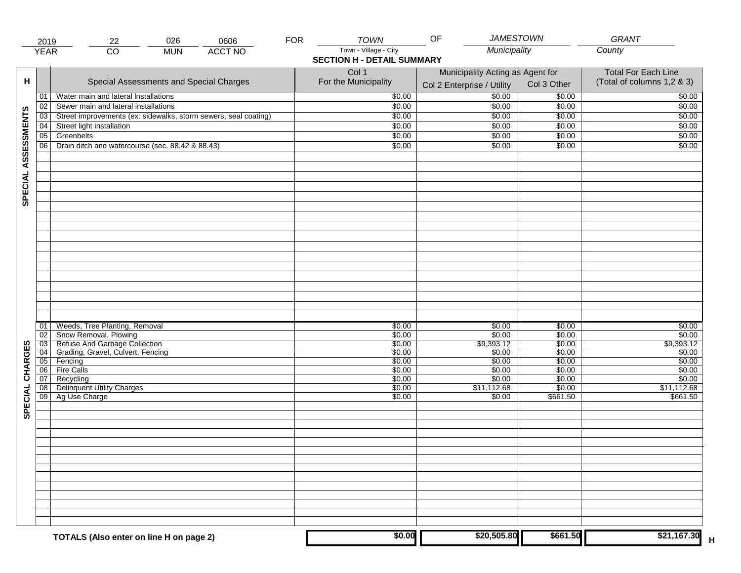|                     | 2019                  | 026<br>22                                                       | 0606           | <b>FOR</b> | <b>TOWN</b>                       | OF                                                             | <b>JAMESTOWN</b> | GRANT                                                    |
|---------------------|-----------------------|-----------------------------------------------------------------|----------------|------------|-----------------------------------|----------------------------------------------------------------|------------------|----------------------------------------------------------|
|                     | <b>YEAR</b>           | $\overline{CO}$<br><b>MUN</b>                                   | <b>ACCT NO</b> |            | Town - Village - City             | Municipality                                                   |                  | County                                                   |
|                     |                       |                                                                 |                |            | <b>SECTION H - DETAIL SUMMARY</b> |                                                                |                  |                                                          |
| н                   |                       | Special Assessments and Special Charges                         |                |            | Col 1<br>For the Municipality     | Municipality Acting as Agent for<br>Col 2 Enterprise / Utility | Col 3 Other      | <b>Total For Each Line</b><br>(Total of columns 1,2 & 3) |
|                     | 01                    | Water main and lateral Installations                            |                |            | \$0.00                            | 50.00                                                          | \$0.00           | \$0.00                                                   |
|                     | 02                    | Sewer main and lateral installations                            |                |            | \$0.00                            | \$0.00                                                         | \$0.00           | \$0.00                                                   |
|                     | $\overline{03}$       | Street improvements (ex: sidewalks, storm sewers, seal coating) |                |            | \$0.00                            | \$0.00                                                         | \$0.00           | \$0.00                                                   |
|                     | 04                    | Street light installation                                       |                |            | \$0.00                            | \$0.00                                                         | \$0.00           | \$0.00                                                   |
|                     | 05                    | Greenbelts                                                      |                |            | \$0.00                            | \$0.00                                                         | \$0.00           | \$0.00                                                   |
|                     | 06                    | Drain ditch and watercourse (sec. 88.42 & 88.43)                |                |            | \$0.00                            | \$0.00                                                         | \$0.00           | \$0.00                                                   |
| SPECIAL ASSESSMENTS |                       |                                                                 |                |            |                                   |                                                                |                  |                                                          |
|                     |                       |                                                                 |                |            |                                   |                                                                |                  |                                                          |
|                     |                       |                                                                 |                |            |                                   |                                                                |                  |                                                          |
|                     |                       |                                                                 |                |            |                                   |                                                                |                  |                                                          |
|                     |                       |                                                                 |                |            |                                   |                                                                |                  |                                                          |
|                     |                       |                                                                 |                |            |                                   |                                                                |                  |                                                          |
|                     |                       |                                                                 |                |            |                                   |                                                                |                  |                                                          |
|                     |                       |                                                                 |                |            |                                   |                                                                |                  |                                                          |
|                     | 01                    | Weeds, Tree Planting, Removal                                   |                |            | \$0.00                            | \$0.00                                                         | \$0.00           | \$0.00                                                   |
|                     | 02<br>$\overline{03}$ | Show Removal, Plowing<br>Refuse And Garbage Collection          |                |            | \$0.00<br>\$0.00                  | \$0.00<br>\$9,393.12                                           | \$0.00<br>\$0.00 | \$0.00<br>\$9,393.12                                     |
| CHARGES             | 04                    | Grading, Gravel, Culvert, Fencing                               |                |            | \$0.00                            | \$0.00                                                         | \$0.00           | \$0.00                                                   |
|                     | 05                    | Fencing                                                         |                |            | \$0.00                            | \$0.00                                                         | \$0.00           | \$0.00                                                   |
|                     | 06                    | <b>Fire Calls</b>                                               |                |            | \$0.00                            | \$0.00                                                         | \$0.00           | \$0.00                                                   |
|                     | 07                    | Recycling                                                       |                |            | \$0.00                            | \$0.00                                                         | \$0.00           | \$0.00                                                   |
|                     | 08                    | <b>Delinquent Utility Charges</b>                               |                |            | \$0.00                            | \$11,112.68                                                    | \$0.00           | \$11,112.68                                              |
| SPECIAL             | 09                    | Ag Use Charge                                                   |                |            | \$0.00                            | \$0.00                                                         | \$661.50         | \$661.50                                                 |
|                     |                       |                                                                 |                |            |                                   |                                                                |                  |                                                          |
|                     |                       |                                                                 |                |            |                                   |                                                                |                  |                                                          |
|                     |                       |                                                                 |                |            |                                   |                                                                |                  |                                                          |
|                     |                       |                                                                 |                |            |                                   |                                                                |                  |                                                          |
|                     |                       |                                                                 |                |            |                                   |                                                                |                  |                                                          |
|                     |                       |                                                                 |                |            |                                   |                                                                |                  |                                                          |
|                     |                       | TOTALS (Also enter on line H on page 2)                         |                |            | \$0.00                            | \$20,505.80                                                    | \$661.50         | \$21,167.30                                              |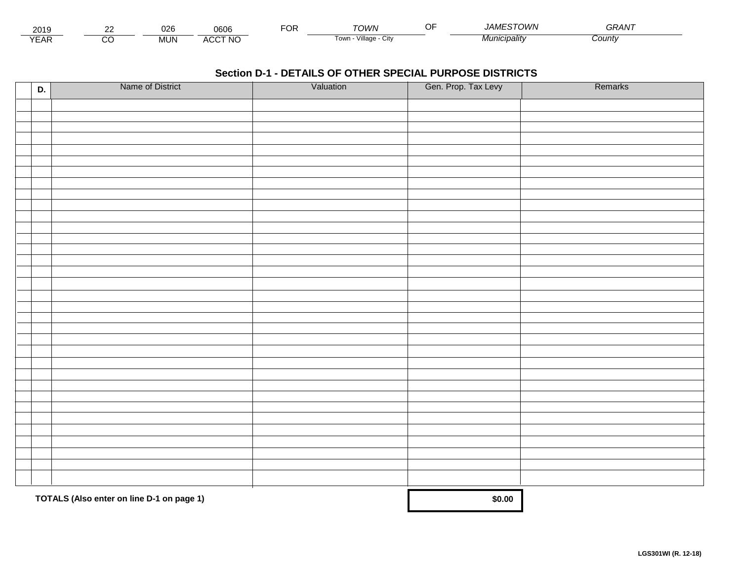| - - -<br>201.               | $\sim$ | $\sim$<br>∪∠α | 0606                          | ™C | ⊤∩WN                       | A <i>MESTOWN</i><br>$\sqrt{1}$ | $- - - - - -$<br><i>GRAN</i> |  |
|-----------------------------|--------|---------------|-------------------------------|----|----------------------------|--------------------------------|------------------------------|--|
| $\sqrt{2}$<br>▵<br><b>L</b> |        | JUN.          | CCT NC،<br>$\mathbf{u}$<br>nu |    | .<br>Village<br>∣own<br>u۱ | Vlunıcıpalıtv                  | :ountv                       |  |

| D. | Name of District                          | Valuation | Gen. Prop. Tax Levy | Remarks |
|----|-------------------------------------------|-----------|---------------------|---------|
|    |                                           |           |                     |         |
|    |                                           |           |                     |         |
|    |                                           |           |                     |         |
|    |                                           |           |                     |         |
|    |                                           |           |                     |         |
|    |                                           |           |                     |         |
|    |                                           |           |                     |         |
|    |                                           |           |                     |         |
|    |                                           |           |                     |         |
|    |                                           |           |                     |         |
|    |                                           |           |                     |         |
|    |                                           |           |                     |         |
|    |                                           |           |                     |         |
|    |                                           |           |                     |         |
|    |                                           |           |                     |         |
|    |                                           |           |                     |         |
|    |                                           |           |                     |         |
|    |                                           |           |                     |         |
|    |                                           |           |                     |         |
|    |                                           |           |                     |         |
|    |                                           |           |                     |         |
|    |                                           |           |                     |         |
|    |                                           |           |                     |         |
|    |                                           |           |                     |         |
|    |                                           |           |                     |         |
|    |                                           |           |                     |         |
|    |                                           |           |                     |         |
|    |                                           |           |                     |         |
|    |                                           |           |                     |         |
|    |                                           |           |                     |         |
|    | TOTALS (Also enter on line D-1 on page 1) |           | \$0.00              |         |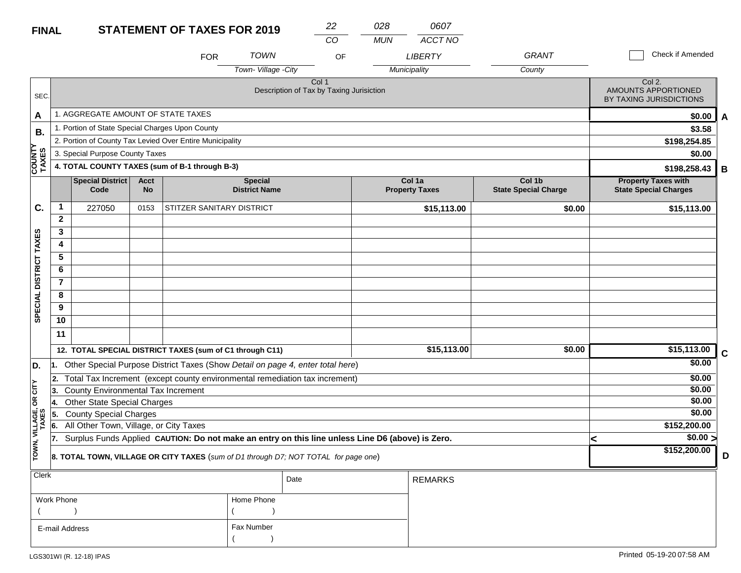# **FINAL**

| <b>FINAL</b>            |                |                                           |                          | <b>STATEMENT OF TAXES FOR 2019</b>                       |                                                                                                  | 22    | 028        | 0607                            |                                       |                                                            |             |
|-------------------------|----------------|-------------------------------------------|--------------------------|----------------------------------------------------------|--------------------------------------------------------------------------------------------------|-------|------------|---------------------------------|---------------------------------------|------------------------------------------------------------|-------------|
|                         |                |                                           |                          |                                                          |                                                                                                  | CO    | <b>MUN</b> | ACCT NO                         |                                       |                                                            |             |
|                         |                |                                           |                          | <b>FOR</b>                                               | <b>TOWN</b>                                                                                      | OF    |            | <b>LIBERTY</b>                  | <b>GRANT</b>                          | Check if Amended                                           |             |
|                         |                |                                           |                          |                                                          | Town-Village -City                                                                               |       |            | Municipality                    | County                                |                                                            |             |
| SEC.                    |                |                                           |                          |                                                          | Description of Tax by Taxing Jurisiction                                                         | Col 1 |            |                                 |                                       | Col 2.<br>AMOUNTS APPORTIONED<br>BY TAXING JURISDICTIONS   |             |
| A                       |                | 1. AGGREGATE AMOUNT OF STATE TAXES        |                          |                                                          |                                                                                                  |       |            |                                 |                                       | \$0.00                                                     | A           |
| В.                      |                |                                           |                          | 1. Portion of State Special Charges Upon County          |                                                                                                  |       |            |                                 |                                       | \$3.58                                                     |             |
|                         |                |                                           |                          | 2. Portion of County Tax Levied Over Entire Municipality |                                                                                                  |       |            |                                 |                                       | \$198,254.85                                               |             |
|                         |                | 3. Special Purpose County Taxes           |                          |                                                          |                                                                                                  |       |            |                                 |                                       | \$0.00                                                     |             |
| <b>COUNTY</b><br>TAXES  |                |                                           |                          | 4. TOTAL COUNTY TAXES (sum of B-1 through B-3)           |                                                                                                  |       |            |                                 |                                       | \$198,258.43                                               | В           |
|                         |                | <b>Special District</b><br>Code           | <b>Acct</b><br><b>No</b> |                                                          | <b>Special</b><br><b>District Name</b>                                                           |       |            | Col 1a<br><b>Property Taxes</b> | Col 1b<br><b>State Special Charge</b> | <b>Property Taxes with</b><br><b>State Special Charges</b> |             |
| C.                      | $\mathbf{1}$   | 227050                                    | 0153                     | STITZER SANITARY DISTRICT                                |                                                                                                  |       |            | \$15,113.00                     | \$0.00                                | \$15,113.00                                                |             |
|                         | $\mathbf{2}$   |                                           |                          |                                                          |                                                                                                  |       |            |                                 |                                       |                                                            |             |
|                         | 3              |                                           |                          |                                                          |                                                                                                  |       |            |                                 |                                       |                                                            |             |
|                         | 4              |                                           |                          |                                                          |                                                                                                  |       |            |                                 |                                       |                                                            |             |
|                         | $\overline{5}$ |                                           |                          |                                                          |                                                                                                  |       |            |                                 |                                       |                                                            |             |
| DISTRICT TAXES          | 6              |                                           |                          |                                                          |                                                                                                  |       |            |                                 |                                       |                                                            |             |
|                         | $\overline{7}$ |                                           |                          |                                                          |                                                                                                  |       |            |                                 |                                       |                                                            |             |
| <b>SPECIAL</b>          | 8              |                                           |                          |                                                          |                                                                                                  |       |            |                                 |                                       |                                                            |             |
|                         | 9<br>10        |                                           |                          |                                                          |                                                                                                  |       |            |                                 |                                       |                                                            |             |
|                         |                |                                           |                          |                                                          |                                                                                                  |       |            |                                 |                                       |                                                            |             |
|                         | 11             |                                           |                          |                                                          |                                                                                                  |       |            |                                 |                                       |                                                            |             |
|                         |                |                                           |                          | 12. TOTAL SPECIAL DISTRICT TAXES (sum of C1 through C11) |                                                                                                  |       |            | \$15,113.00                     | \$0.00                                | \$15,113.00                                                | $\mathbf c$ |
| D.                      | l1.            |                                           |                          |                                                          | Other Special Purpose District Taxes (Show Detail on page 4, enter total here)                   |       |            |                                 |                                       | \$0.00                                                     |             |
|                         | 2.             |                                           |                          |                                                          | Total Tax Increment (except county environmental remediation tax increment)                      |       |            |                                 |                                       | \$0.00                                                     |             |
| OR CITY                 | 3.             | <b>County Environmental Tax Increment</b> |                          |                                                          |                                                                                                  |       |            |                                 |                                       | \$0.00                                                     |             |
|                         |                | Other State Special Charges               |                          |                                                          |                                                                                                  |       |            |                                 |                                       | \$0.00                                                     |             |
|                         | 15.            | <b>County Special Charges</b>             |                          |                                                          |                                                                                                  |       |            |                                 |                                       | \$0.00                                                     |             |
|                         | 6.             | All Other Town, Village, or City Taxes    |                          |                                                          | Surplus Funds Applied CAUTION: Do not make an entry on this line unless Line D6 (above) is Zero. |       |            |                                 |                                       | \$152,200.00<br>\$0.00 >                                   |             |
| TOWN, VILLAGE,<br>TAXES | 17.            |                                           |                          |                                                          | <b>8. TOTAL TOWN, VILLAGE OR CITY TAXES</b> (sum of D1 through D7; NOT TOTAL for page one)       |       |            |                                 |                                       | ≺<br>\$152,200.00                                          | D           |

| Clerk          |            | Date | <b>REMARKS</b> |
|----------------|------------|------|----------------|
| Work Phone     | Home Phone |      |                |
|                |            |      |                |
| E-mail Address | Fax Number |      |                |
|                |            |      |                |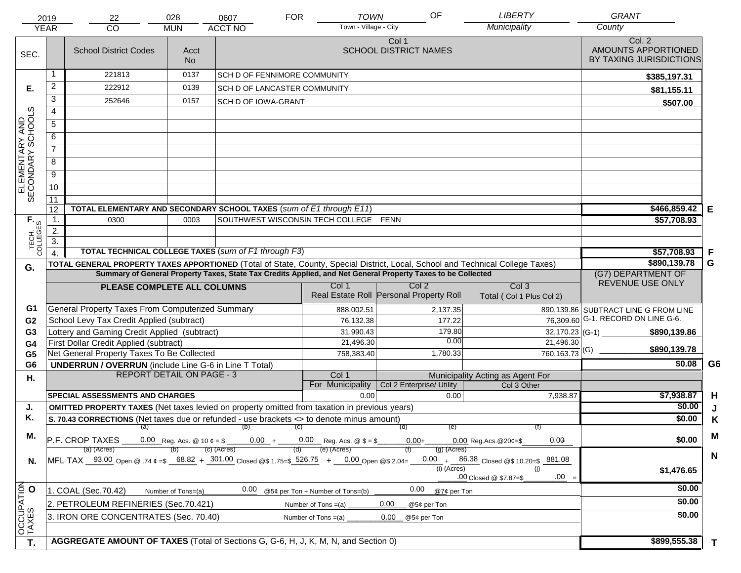|                                     | 2019                   | 22                                                                                                                             | 028                              | 0607                                | <b>TOWN</b><br><b>FOR</b>             | OF                                                                                                           | <b>LIBERTY</b>                            | <b>GRANT</b>                                             |                |
|-------------------------------------|------------------------|--------------------------------------------------------------------------------------------------------------------------------|----------------------------------|-------------------------------------|---------------------------------------|--------------------------------------------------------------------------------------------------------------|-------------------------------------------|----------------------------------------------------------|----------------|
|                                     | <b>YEAR</b>            | CO                                                                                                                             | <b>MUN</b>                       | <b>ACCT NO</b>                      | Town - Village - City                 |                                                                                                              | Municipality                              | County                                                   |                |
| SEC.                                |                        | <b>School District Codes</b>                                                                                                   | Acct<br>No.                      |                                     |                                       | Col 1<br><b>SCHOOL DISTRICT NAMES</b>                                                                        |                                           | Col. 2<br>AMOUNTS APPORTIONED<br>BY TAXING JURISDICTIONS |                |
|                                     |                        | 221813                                                                                                                         | 0137                             | <b>SCH D OF FENNIMORE COMMUNITY</b> |                                       |                                                                                                              |                                           | \$385,197.31                                             |                |
| Е.                                  | $\overline{c}$         | 222912                                                                                                                         | 0139                             | <b>SCH D OF LANCASTER COMMUNITY</b> |                                       |                                                                                                              |                                           | \$81,155.11                                              |                |
|                                     | 3                      | 252646                                                                                                                         | 0157                             | <b>SCH D OF IOWA-GRANT</b>          |                                       |                                                                                                              |                                           | \$507.00                                                 |                |
|                                     | $\overline{4}$         |                                                                                                                                |                                  |                                     |                                       |                                                                                                              |                                           |                                                          |                |
|                                     | $\overline{5}$         |                                                                                                                                |                                  |                                     |                                       |                                                                                                              |                                           |                                                          |                |
|                                     | 6                      |                                                                                                                                |                                  |                                     |                                       |                                                                                                              |                                           |                                                          |                |
| ELEMENTARY AND<br>SECONDARY SCHOOLS | $\overline{7}$         |                                                                                                                                |                                  |                                     |                                       |                                                                                                              |                                           |                                                          |                |
|                                     | 8                      |                                                                                                                                |                                  |                                     |                                       |                                                                                                              |                                           |                                                          |                |
|                                     | $\overline{9}$         |                                                                                                                                |                                  |                                     |                                       |                                                                                                              |                                           |                                                          |                |
|                                     | 10                     |                                                                                                                                |                                  |                                     |                                       |                                                                                                              |                                           |                                                          |                |
|                                     | 11                     |                                                                                                                                |                                  |                                     |                                       |                                                                                                              |                                           |                                                          |                |
|                                     | 12                     | TOTAL ELEMENTARY AND SECONDARY SCHOOL TAXES (sum of E1 through E11)                                                            |                                  |                                     |                                       |                                                                                                              |                                           | \$466,859.42                                             | Е              |
|                                     | 1.                     | 0300                                                                                                                           | 0003                             |                                     | SOUTHWEST WISCONSIN TECH COLLEGE FENN |                                                                                                              |                                           | \$57,708.93                                              |                |
|                                     | 2.<br>$\overline{3}$ . |                                                                                                                                |                                  |                                     |                                       |                                                                                                              |                                           |                                                          |                |
| TECH. T                             | $\overline{4}$         | TOTAL TECHNICAL COLLEGE TAXES (sum of F1 through F3)                                                                           |                                  |                                     |                                       |                                                                                                              |                                           | \$57,708.93                                              | F              |
|                                     |                        | TOTAL GENERAL PROPERTY TAXES APPORTIONED (Total of State, County, Special District, Local, School and Technical College Taxes) |                                  |                                     |                                       |                                                                                                              |                                           | \$890,139.78                                             | G              |
| G.                                  |                        |                                                                                                                                |                                  |                                     |                                       | Summary of General Property Taxes, State Tax Credits Applied, and Net General Property Taxes to be Collected |                                           | (G7) DEPARTMENT OF                                       |                |
|                                     |                        | PLEASE COMPLETE ALL COLUMNS                                                                                                    |                                  |                                     | Col 1                                 | Col <sub>2</sub>                                                                                             | Col <sub>3</sub>                          | REVENUE USE ONLY                                         |                |
|                                     |                        |                                                                                                                                |                                  |                                     |                                       | Real Estate Roll Personal Property Roll                                                                      | Total (Col 1 Plus Col 2)                  |                                                          |                |
| G1                                  |                        | General Property Taxes From Computerized Summary                                                                               |                                  |                                     | 888,002.51                            | 2,137.35                                                                                                     |                                           | 890,139.86 SUBTRACT LINE G FROM LINE                     |                |
| G <sub>2</sub>                      |                        | School Levy Tax Credit Applied (subtract)                                                                                      |                                  |                                     | 76,132.38                             | 177.22                                                                                                       |                                           | $\overline{76,309.60}$ G-1. RECORD ON LINE G-6.          |                |
| G3                                  |                        | Lottery and Gaming Credit Applied (subtract)                                                                                   |                                  |                                     | 31,990.43                             | 179.80<br>0.00                                                                                               | $32,170.23$ (G-1) $-$                     | \$890,139.86                                             |                |
| G4                                  |                        | First Dollar Credit Applied (subtract)<br>Net General Property Taxes To Be Collected                                           |                                  |                                     | 21,496.30<br>758,383.40               | 1,780.33                                                                                                     | 21,496.30<br>$760,163.73$ <sup>(G)</sup>  | \$890,139.78                                             |                |
| G <sub>5</sub><br>G <sub>6</sub>    |                        | <b>UNDERRUN / OVERRUN</b> (include Line G-6 in Line T Total)                                                                   |                                  |                                     |                                       |                                                                                                              |                                           | \$0.08                                                   | G <sub>6</sub> |
| Η.                                  |                        |                                                                                                                                | <b>REPORT DETAIL ON PAGE - 3</b> |                                     | Col 1                                 |                                                                                                              | Municipality Acting as Agent For          |                                                          |                |
|                                     |                        |                                                                                                                                |                                  |                                     | For Municipality                      | Col 2 Enterprise/ Utility                                                                                    | Col 3 Other                               |                                                          |                |
|                                     |                        | <b>SPECIAL ASSESSMENTS AND CHARGES</b>                                                                                         |                                  |                                     | 0.00                                  | 0.00                                                                                                         | 7,938.87                                  | \$7,938.87                                               | H              |
| J.                                  |                        | <b>OMITTED PROPERTY TAXES</b> (Net taxes levied on property omitted from taxation in previous years)                           |                                  |                                     |                                       |                                                                                                              |                                           | \$0.00                                                   | J              |
| Κ.                                  |                        | S. 70.43 CORRECTIONS (Net taxes due or refunded - use brackets <> to denote minus amount)                                      |                                  | $\overline{a}$ (a) (b) (c)          |                                       | (e)<br>(d)                                                                                                   |                                           | \$0.00                                                   | K              |
| М.                                  |                        | P.F. CROP TAXES                                                                                                                |                                  |                                     |                                       | $0.00 +$                                                                                                     | 0.00<br>$0.00$ Reg. Acs. @ $20¢ = $$      | \$0.00                                                   | M              |
|                                     |                        | (a) (Acres)                                                                                                                    |                                  | (c) (Acres)                         | (e) (Acres)                           | $(g)$ (Acres)                                                                                                |                                           |                                                          |                |
| N.                                  |                        | MFL TAX 93.00 Open @ .74 $\epsilon = $$ 68.82 + 301.00 Closed @\$ 1.75=\$ 526.75 + 0.00 Open @\$ 2.04=                         |                                  |                                     |                                       |                                                                                                              | $0.00 + 86.38$ Closed @\$ 10.20=\$ 881.08 |                                                          | $\mathbf N$    |
|                                     |                        |                                                                                                                                |                                  |                                     |                                       | $(i)$ (Acres)                                                                                                | (i)<br>$.00 =$                            | \$1,476.65                                               |                |
|                                     |                        |                                                                                                                                | Number of Tons=(a)               | 0.00                                | @5¢ per Ton + Number of Tons=(b)      | 0.00<br>@7¢ per Ton                                                                                          | .00 Closed @ \$7.87=\$                    | \$0.00                                                   |                |
|                                     |                        | 1. COAL (Sec.70.42)                                                                                                            |                                  |                                     |                                       |                                                                                                              |                                           |                                                          |                |
| OCCUPATION                          |                        | 2. PETROLEUM REFINERIES (Sec.70.421)                                                                                           |                                  |                                     | Number of Tons $=(a)$                 | 0.00<br>@5¢ per Ton                                                                                          |                                           | \$0.00                                                   |                |
|                                     |                        | 3. IRON ORE CONCENTRATES (Sec. 70.40)                                                                                          |                                  |                                     | Number of Tons $=(a)$                 | 0.00<br>@5¢ per Ton                                                                                          |                                           | \$0.00                                                   |                |
|                                     |                        |                                                                                                                                |                                  |                                     |                                       |                                                                                                              |                                           |                                                          |                |
| T.                                  |                        | AGGREGATE AMOUNT OF TAXES (Total of Sections G, G-6, H, J, K, M, N, and Section 0)                                             |                                  |                                     |                                       |                                                                                                              |                                           | \$899,555.38                                             | $\mathbf T$    |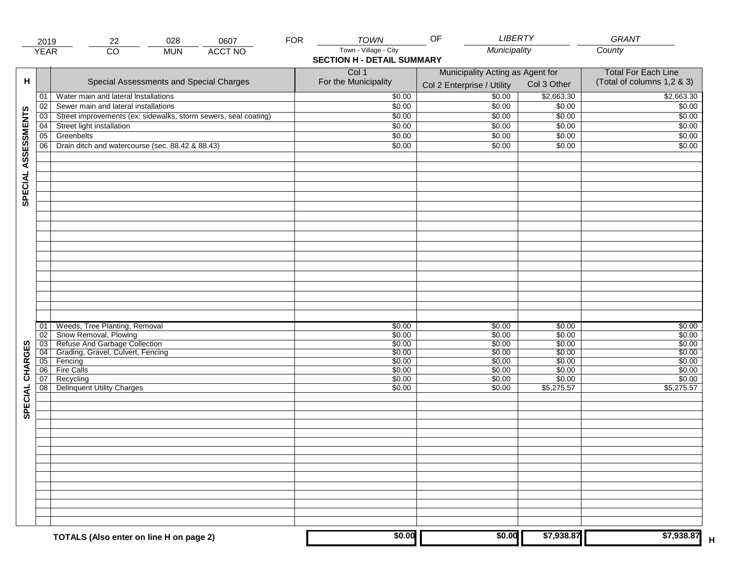|                     | 2019            | 028<br>0607<br>22                                               | <b>FOR</b> | <b>TOWN</b>                                | LIBERTY<br>OF                                                  |                  | GRANT                                                    |
|---------------------|-----------------|-----------------------------------------------------------------|------------|--------------------------------------------|----------------------------------------------------------------|------------------|----------------------------------------------------------|
|                     | <b>YEAR</b>     | $\overline{CO}$<br><b>ACCT NO</b><br><b>MUN</b>                 |            | Town - Village - City                      | Municipality                                                   |                  | County                                                   |
|                     |                 |                                                                 |            | <b>SECTION H - DETAIL SUMMARY</b><br>Col 1 |                                                                |                  |                                                          |
| н                   |                 | Special Assessments and Special Charges                         |            | For the Municipality                       | Municipality Acting as Agent for<br>Col 2 Enterprise / Utility | Col 3 Other      | <b>Total For Each Line</b><br>(Total of columns 1,2 & 3) |
|                     | 01              | Water main and lateral Installations                            |            | \$0.00                                     | 50.00                                                          | \$2,663.30       | \$2,663.30                                               |
|                     | 02              | Sewer main and lateral installations                            |            | \$0.00                                     | \$0.00                                                         | \$0.00           | \$0.00                                                   |
|                     | $\overline{03}$ | Street improvements (ex: sidewalks, storm sewers, seal coating) |            | \$0.00                                     | \$0.00                                                         | \$0.00           | \$0.00                                                   |
|                     | 04              | Street light installation                                       |            | \$0.00                                     | \$0.00                                                         | \$0.00           | \$0.00                                                   |
|                     | 05              | Greenbelts                                                      |            | \$0.00                                     | \$0.00                                                         | \$0.00           | \$0.00                                                   |
|                     | 06              | Drain ditch and watercourse (sec. 88.42 & 88.43)                |            | \$0.00                                     | \$0.00                                                         | \$0.00           | \$0.00                                                   |
| SPECIAL ASSESSMENTS |                 |                                                                 |            |                                            |                                                                |                  |                                                          |
|                     |                 |                                                                 |            |                                            |                                                                |                  |                                                          |
|                     |                 |                                                                 |            |                                            |                                                                |                  |                                                          |
|                     |                 |                                                                 |            |                                            |                                                                |                  |                                                          |
|                     |                 |                                                                 |            |                                            |                                                                |                  |                                                          |
|                     |                 |                                                                 |            |                                            |                                                                |                  |                                                          |
|                     |                 |                                                                 |            |                                            |                                                                |                  |                                                          |
|                     |                 |                                                                 |            |                                            |                                                                |                  |                                                          |
|                     | 01<br>02        | Weeds, Tree Planting, Removal                                   |            | \$0.00<br>\$0.00                           | \$0.00<br>\$0.00                                               | \$0.00<br>\$0.00 | \$0.00<br>\$0.00                                         |
|                     | $\overline{03}$ | Show Removal, Plowing<br>Refuse And Garbage Collection          |            | \$0.00                                     | \$0.00                                                         | \$0.00           | \$0.00                                                   |
| CHARGES             | 04              | Grading, Gravel, Culvert, Fencing                               |            | \$0.00                                     | \$0.00                                                         | \$0.00           | \$0.00                                                   |
|                     | 05              | Fencing                                                         |            | \$0.00                                     | \$0.00                                                         | \$0.00           | \$0.00                                                   |
|                     | 06              | <b>Fire Calls</b>                                               |            | \$0.00                                     | \$0.00                                                         | \$0.00           | \$0.00                                                   |
|                     | 07              | Recycling                                                       |            | \$0.00                                     | \$0.00                                                         | \$0.00           | \$0.00                                                   |
| SPECIAL             | 08 <sup>1</sup> | <b>Delinquent Utility Charges</b>                               |            | \$0.00                                     | \$0.00                                                         | \$5,275.57       | \$5,275.57                                               |
|                     |                 |                                                                 |            |                                            |                                                                |                  |                                                          |
|                     |                 |                                                                 |            |                                            |                                                                |                  |                                                          |
|                     |                 |                                                                 |            |                                            |                                                                |                  |                                                          |
|                     |                 |                                                                 |            |                                            |                                                                |                  |                                                          |
|                     |                 |                                                                 |            |                                            |                                                                |                  |                                                          |
|                     |                 |                                                                 |            |                                            |                                                                |                  |                                                          |
|                     |                 |                                                                 |            | \$0.00                                     | \$0.00                                                         | \$7,938.87       | \$7,938.87                                               |
|                     |                 | TOTALS (Also enter on line H on page 2)                         |            |                                            |                                                                |                  |                                                          |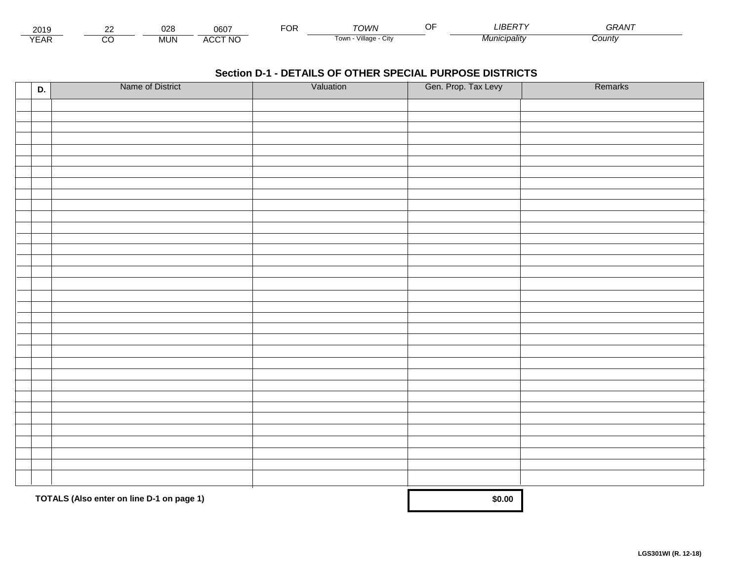| 2015                 | $\sim$ | $\sim$<br><b>UZC</b> | 0607                    | -^'<br>◡ | ∩M∧                     | $I^{\prime}$ $R^{\prime}$ | $\sim$ $\sim$ $\sim$ $\sim$<br>GRAN<br>י וו |  |
|----------------------|--------|----------------------|-------------------------|----------|-------------------------|---------------------------|---------------------------------------------|--|
| $\sqrt{2}$<br>▵<br>. |        | .JUN                 | <b>CCT NO</b><br>$\sim$ |          | villade<br>i own<br>URV | <b>MCIDAIItV</b>          | ∴ount\                                      |  |

| D. | Name of District                          | Valuation | Gen. Prop. Tax Levy | Remarks |
|----|-------------------------------------------|-----------|---------------------|---------|
|    |                                           |           |                     |         |
|    |                                           |           |                     |         |
|    |                                           |           |                     |         |
|    |                                           |           |                     |         |
|    |                                           |           |                     |         |
|    |                                           |           |                     |         |
|    |                                           |           |                     |         |
|    |                                           |           |                     |         |
|    |                                           |           |                     |         |
|    |                                           |           |                     |         |
|    |                                           |           |                     |         |
|    |                                           |           |                     |         |
|    |                                           |           |                     |         |
|    |                                           |           |                     |         |
|    |                                           |           |                     |         |
|    |                                           |           |                     |         |
|    |                                           |           |                     |         |
|    |                                           |           |                     |         |
|    |                                           |           |                     |         |
|    |                                           |           |                     |         |
|    |                                           |           |                     |         |
|    |                                           |           |                     |         |
|    |                                           |           |                     |         |
|    |                                           |           |                     |         |
|    |                                           |           |                     |         |
|    |                                           |           |                     |         |
|    |                                           |           |                     |         |
|    |                                           |           |                     |         |
|    |                                           |           |                     |         |
|    |                                           |           |                     |         |
|    |                                           |           |                     |         |
|    |                                           |           |                     |         |
|    | TOTALS (Also enter on line D-1 on page 1) |           | \$0.00              |         |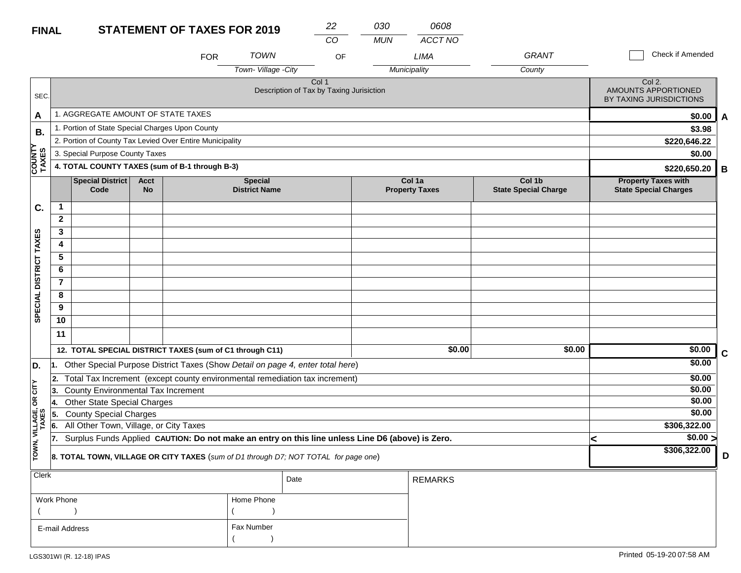### **STATEMENT OF TAXES FOR 2019 FINAL**

| <b>TAXES FOR 2019</b> | 22 | 030 | 0608    |
|-----------------------|----|-----|---------|
|                       | CO | MUN | ACCT NO |
| _ _ _ _ _ _           |    |     |         |

|                        |              |                                                 |                   | <b>FOR</b>                                                                                       | <b>TOWN</b>                            | OF                                                |              | <b>LIMA</b>                     | <b>GRANT</b>                          |   | Check if Amended                                           |             |
|------------------------|--------------|-------------------------------------------------|-------------------|--------------------------------------------------------------------------------------------------|----------------------------------------|---------------------------------------------------|--------------|---------------------------------|---------------------------------------|---|------------------------------------------------------------|-------------|
|                        |              |                                                 |                   |                                                                                                  | Town-Village - City                    |                                                   | Municipality |                                 | County                                |   |                                                            |             |
| SEC.                   |              |                                                 |                   |                                                                                                  |                                        | Col 1<br>Description of Tax by Taxing Jurisiction |              |                                 |                                       |   | Col 2.<br>AMOUNTS APPORTIONED<br>BY TAXING JURISDICTIONS   |             |
| A                      |              | 1. AGGREGATE AMOUNT OF STATE TAXES              |                   |                                                                                                  |                                        |                                                   |              |                                 |                                       |   | \$0.00                                                     | A           |
| В.                     |              | 1. Portion of State Special Charges Upon County |                   |                                                                                                  |                                        |                                                   |              |                                 |                                       |   | \$3.98                                                     |             |
|                        |              |                                                 |                   | 2. Portion of County Tax Levied Over Entire Municipality                                         |                                        |                                                   |              |                                 |                                       |   | \$220,646.22                                               |             |
|                        |              | 3. Special Purpose County Taxes                 |                   |                                                                                                  |                                        |                                                   |              |                                 |                                       |   | \$0.00                                                     |             |
| <b>COUNT</b><br>TAXES  |              |                                                 |                   | 4. TOTAL COUNTY TAXES (sum of B-1 through B-3)                                                   |                                        |                                                   |              |                                 |                                       |   | \$220,650.20                                               | B           |
|                        |              | <b>Special District</b><br>Code                 | Acct<br><b>No</b> |                                                                                                  | <b>Special</b><br><b>District Name</b> |                                                   |              | Col 1a<br><b>Property Taxes</b> | Col 1b<br><b>State Special Charge</b> |   | <b>Property Taxes with</b><br><b>State Special Charges</b> |             |
| C.                     | 1            |                                                 |                   |                                                                                                  |                                        |                                                   |              |                                 |                                       |   |                                                            |             |
|                        | $\mathbf{2}$ |                                                 |                   |                                                                                                  |                                        |                                                   |              |                                 |                                       |   |                                                            |             |
|                        | 3            |                                                 |                   |                                                                                                  |                                        |                                                   |              |                                 |                                       |   |                                                            |             |
|                        | 4            |                                                 |                   |                                                                                                  |                                        |                                                   |              |                                 |                                       |   |                                                            |             |
|                        | 5            |                                                 |                   |                                                                                                  |                                        |                                                   |              |                                 |                                       |   |                                                            |             |
|                        | 6            |                                                 |                   |                                                                                                  |                                        |                                                   |              |                                 |                                       |   |                                                            |             |
|                        | $\mathbf{7}$ |                                                 |                   |                                                                                                  |                                        |                                                   |              |                                 |                                       |   |                                                            |             |
| SPECIAL DISTRICT TAXES | 8            |                                                 |                   |                                                                                                  |                                        |                                                   |              |                                 |                                       |   |                                                            |             |
|                        | 9            |                                                 |                   |                                                                                                  |                                        |                                                   |              |                                 |                                       |   |                                                            |             |
|                        | 10           |                                                 |                   |                                                                                                  |                                        |                                                   |              |                                 |                                       |   |                                                            |             |
|                        | 11           |                                                 |                   |                                                                                                  |                                        |                                                   |              |                                 |                                       |   |                                                            |             |
|                        |              |                                                 |                   | 12. TOTAL SPECIAL DISTRICT TAXES (sum of C1 through C11)                                         |                                        |                                                   |              | \$0.00                          | \$0.00                                |   | \$0.00                                                     | $\mathbf C$ |
| D.                     |              |                                                 |                   | Other Special Purpose District Taxes (Show Detail on page 4, enter total here)                   |                                        |                                                   |              |                                 |                                       |   | \$0.00                                                     |             |
|                        | 2.           |                                                 |                   | Total Tax Increment (except county environmental remediation tax increment)                      |                                        |                                                   |              |                                 |                                       |   | \$0.00                                                     |             |
| čL                     | 13.          | County Environmental Tax Increment              |                   |                                                                                                  |                                        |                                                   |              |                                 |                                       |   | \$0.00                                                     |             |
| бR                     | 14.          | <b>Other State Special Charges</b>              |                   |                                                                                                  |                                        |                                                   |              |                                 |                                       |   | \$0.00                                                     |             |
|                        | 55.          | <b>County Special Charges</b>                   |                   |                                                                                                  |                                        |                                                   |              |                                 |                                       |   | \$0.00                                                     |             |
| VILLAGE,<br>TAXES      | 6.           | All Other Town, Village, or City Taxes          |                   |                                                                                                  |                                        |                                                   |              |                                 |                                       |   | \$306,322.00                                               |             |
|                        | 17.          |                                                 |                   | Surplus Funds Applied CAUTION: Do not make an entry on this line unless Line D6 (above) is Zero. |                                        |                                                   |              |                                 |                                       | < | \$0.00 >                                                   |             |
| TOWN,                  |              |                                                 |                   | 8. TOTAL TOWN, VILLAGE OR CITY TAXES (sum of D1 through D7; NOT TOTAL for page one)              |                                        |                                                   |              |                                 |                                       |   | \$306,322.00                                               | D           |
| Clerk                  |              |                                                 |                   |                                                                                                  |                                        | Date                                              |              | <b>REMARKS</b>                  |                                       |   |                                                            |             |

| $\overline{\phantom{a}}$ |            | Date | <b>REMARKS</b> |
|--------------------------|------------|------|----------------|
| Work Phone               | Home Phone |      |                |
|                          |            |      |                |
| E-mail Address           | Fax Number |      |                |
|                          |            |      |                |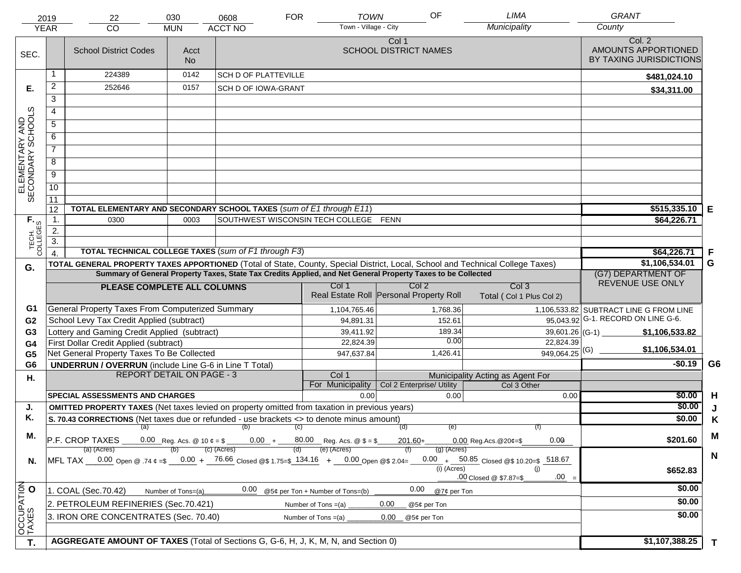|                                     | 2019<br><b>YEAR</b> | 22<br><b>CO</b>                                                                                                                   | 030<br><b>MUN</b>  | 0608<br><b>ACCT NO</b>      | <b>FOR</b> | <b>TOWN</b><br>Town - Village - City  | OF                                                                                                           | LIMA<br>Municipality                                                                                                           | <b>GRANT</b><br>County                                   |             |
|-------------------------------------|---------------------|-----------------------------------------------------------------------------------------------------------------------------------|--------------------|-----------------------------|------------|---------------------------------------|--------------------------------------------------------------------------------------------------------------|--------------------------------------------------------------------------------------------------------------------------------|----------------------------------------------------------|-------------|
| SEC.                                |                     | <b>School District Codes</b>                                                                                                      | Acct<br><b>No</b>  |                             |            |                                       | Col 1<br><b>SCHOOL DISTRICT NAMES</b>                                                                        |                                                                                                                                | Col. 2<br>AMOUNTS APPORTIONED<br>BY TAXING JURISDICTIONS |             |
|                                     |                     | 224389                                                                                                                            | 0142               | <b>SCH D OF PLATTEVILLE</b> |            |                                       |                                                                                                              |                                                                                                                                | \$481.024.10                                             |             |
| Е.                                  | $\overline{2}$      | 252646                                                                                                                            | 0157               | SCH D OF IOWA-GRANT         |            |                                       |                                                                                                              |                                                                                                                                | \$34,311.00                                              |             |
|                                     | 3                   |                                                                                                                                   |                    |                             |            |                                       |                                                                                                              |                                                                                                                                |                                                          |             |
|                                     | $\overline{4}$      |                                                                                                                                   |                    |                             |            |                                       |                                                                                                              |                                                                                                                                |                                                          |             |
|                                     | 5                   |                                                                                                                                   |                    |                             |            |                                       |                                                                                                              |                                                                                                                                |                                                          |             |
|                                     | 6                   |                                                                                                                                   |                    |                             |            |                                       |                                                                                                              |                                                                                                                                |                                                          |             |
|                                     | $\overline{7}$      |                                                                                                                                   |                    |                             |            |                                       |                                                                                                              |                                                                                                                                |                                                          |             |
| ELEMENTARY AND<br>SECONDARY SCHOOLS | 8                   |                                                                                                                                   |                    |                             |            |                                       |                                                                                                              |                                                                                                                                |                                                          |             |
|                                     | $\overline{9}$      |                                                                                                                                   |                    |                             |            |                                       |                                                                                                              |                                                                                                                                |                                                          |             |
|                                     | 10                  |                                                                                                                                   |                    |                             |            |                                       |                                                                                                              |                                                                                                                                |                                                          |             |
|                                     | 11                  |                                                                                                                                   |                    |                             |            |                                       |                                                                                                              |                                                                                                                                |                                                          |             |
|                                     | 12                  | TOTAL ELEMENTARY AND SECONDARY SCHOOL TAXES (sum of E1 through E11)                                                               |                    |                             |            |                                       |                                                                                                              |                                                                                                                                | \$515,335.10                                             | Е           |
| TECH. T                             | $\mathbf 1$ .       | 0300                                                                                                                              | 0003               |                             |            | SOUTHWEST WISCONSIN TECH COLLEGE FENN |                                                                                                              |                                                                                                                                | \$64,226.71                                              |             |
|                                     | 2.                  |                                                                                                                                   |                    |                             |            |                                       |                                                                                                              |                                                                                                                                |                                                          |             |
|                                     | $\overline{3}$ .    | TOTAL TECHNICAL COLLEGE TAXES (sum of F1 through F3)                                                                              |                    |                             |            |                                       |                                                                                                              |                                                                                                                                |                                                          |             |
|                                     | $\overline{4}$      |                                                                                                                                   |                    |                             |            |                                       |                                                                                                              | TOTAL GENERAL PROPERTY TAXES APPORTIONED (Total of State, County, Special District, Local, School and Technical College Taxes) | \$64,226.71<br>\$1,106,534.01                            | F<br>G      |
| G.                                  |                     |                                                                                                                                   |                    |                             |            |                                       | Summary of General Property Taxes, State Tax Credits Applied, and Net General Property Taxes to be Collected |                                                                                                                                | (G7) DEPARTMENT OF                                       |             |
|                                     |                     | PLEASE COMPLETE ALL COLUMNS                                                                                                       |                    |                             |            | Col 1                                 | Col <sub>2</sub>                                                                                             | Col <sub>3</sub>                                                                                                               | REVENUE USE ONLY                                         |             |
|                                     |                     |                                                                                                                                   |                    |                             |            |                                       | Real Estate Roll Personal Property Roll                                                                      | Total (Col 1 Plus Col 2)                                                                                                       |                                                          |             |
| G1                                  |                     | General Property Taxes From Computerized Summary                                                                                  |                    |                             |            | 1,104,765.46                          | 1,768.36                                                                                                     |                                                                                                                                | 1,106,533.82 SUBTRACT LINE G FROM LINE                   |             |
| G <sub>2</sub>                      |                     | School Levy Tax Credit Applied (subtract)                                                                                         |                    |                             |            | 94,891.31                             | 152.61                                                                                                       |                                                                                                                                | 95,043.92 G-1. RECORD ON LINE G-6.                       |             |
| G <sub>3</sub>                      |                     | Lottery and Gaming Credit Applied (subtract)                                                                                      |                    |                             |            | 39,411.92                             | 189.34                                                                                                       | $39,601.26$ (G-1)                                                                                                              | \$1,106,533.82                                           |             |
| G4                                  |                     | First Dollar Credit Applied (subtract)                                                                                            |                    |                             |            | 22,824.39                             | 0.00                                                                                                         | 22,824.39                                                                                                                      | \$1,106,534.01                                           |             |
| G <sub>5</sub>                      |                     | Net General Property Taxes To Be Collected                                                                                        |                    |                             |            | 947,637.84                            | 1,426.41                                                                                                     | $949,064.25$ <sup>(G)</sup>                                                                                                    |                                                          |             |
| G <sub>6</sub>                      |                     | <b>UNDERRUN / OVERRUN</b> (include Line G-6 in Line T Total)<br><b>REPORT DETAIL ON PAGE - 3</b>                                  |                    |                             |            | Col 1                                 |                                                                                                              |                                                                                                                                | $-$0.19$                                                 | G6          |
| Η.                                  |                     |                                                                                                                                   |                    |                             |            | For Municipality                      | Col 2 Enterprise/ Utility                                                                                    | Municipality Acting as Agent For<br>Col 3 Other                                                                                |                                                          |             |
|                                     |                     | <b>SPECIAL ASSESSMENTS AND CHARGES</b>                                                                                            |                    |                             |            | 0.00                                  | 0.00                                                                                                         | 0.00                                                                                                                           | \$0.00                                                   | H           |
| J.                                  |                     | <b>OMITTED PROPERTY TAXES</b> (Net taxes levied on property omitted from taxation in previous years)                              |                    |                             |            |                                       |                                                                                                              |                                                                                                                                | \$0.00                                                   | J           |
| Κ.                                  |                     | S. 70.43 CORRECTIONS (Net taxes due or refunded - use brackets <> to denote minus amount)                                         |                    |                             |            |                                       |                                                                                                              |                                                                                                                                | \$0.00                                                   | K           |
| М.                                  |                     | (a)                                                                                                                               |                    | (b)                         | (C)        |                                       | (d)<br>(e)                                                                                                   | (f)                                                                                                                            |                                                          | M           |
|                                     |                     | P.F. CROP TAXES                                                                                                                   |                    | (c) (Acres)                 |            | (e) (Acres)                           | $201.60+$                                                                                                    | 0.00<br>$0.00$ Reg. Acs. @ 20¢=\$                                                                                              | \$201.60                                                 |             |
| N.                                  |                     | (a) (Acres)<br>MFL TAX $-$ 0.00 Open @ .74 $\varphi$ =\$ $-$ 0.00 + $-$ 76.66 Closed @\$ 1.75=\$ 134.16 + $-$ 0.00 Open @\$ 2.04= |                    |                             |            |                                       | $(g)$ (Acres)<br>$(i)$ (Acres)                                                                               | $0.00 + 50.85$ Closed @\$ 10.20=\$ 518.67<br>(i)<br>$.00 =$<br>.00 Closed @ \$7.87=\$                                          | \$652.83                                                 | $\mathbf N$ |
|                                     |                     | 1. COAL (Sec.70.42)                                                                                                               | Number of Tons=(a) | 0.00                        |            | @5¢ per Ton + Number of Tons=(b)      | 0.00<br>@7¢ per Ton                                                                                          |                                                                                                                                | \$0.00                                                   |             |
|                                     |                     | 2. PETROLEUM REFINERIES (Sec.70.421)                                                                                              | \$0.00             |                             |            |                                       |                                                                                                              |                                                                                                                                |                                                          |             |
|                                     |                     |                                                                                                                                   |                    |                             |            | Number of Tons =(a)                   | 0.00<br>@5¢ per Ton                                                                                          |                                                                                                                                | \$0.00                                                   |             |
| OCCUPATION                          |                     | 3. IRON ORE CONCENTRATES (Sec. 70.40)                                                                                             |                    |                             |            | Number of Tons $=(a)$                 | 0.00<br>@5¢ per Ton                                                                                          |                                                                                                                                |                                                          |             |
| T.                                  |                     | AGGREGATE AMOUNT OF TAXES (Total of Sections G, G-6, H, J, K, M, N, and Section 0)                                                |                    |                             |            |                                       |                                                                                                              |                                                                                                                                | \$1,107,388.25                                           | T           |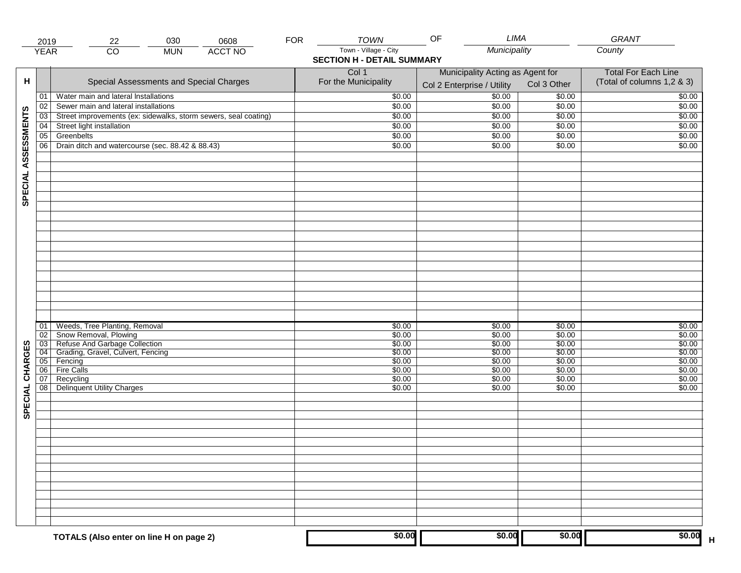|                     | 2019            | 030<br>22                                                       | 0608           | <b>FOR</b> | <b>TOWN</b>                       | OF                                                             | LIMA             | GRANT                                                    |
|---------------------|-----------------|-----------------------------------------------------------------|----------------|------------|-----------------------------------|----------------------------------------------------------------|------------------|----------------------------------------------------------|
|                     | <b>YEAR</b>     | $\overline{CO}$<br><b>MUN</b>                                   | <b>ACCT NO</b> |            | Town - Village - City             | Municipality                                                   |                  | County                                                   |
|                     |                 |                                                                 |                |            | <b>SECTION H - DETAIL SUMMARY</b> |                                                                |                  |                                                          |
| н                   |                 | Special Assessments and Special Charges                         |                |            | Col 1<br>For the Municipality     | Municipality Acting as Agent for<br>Col 2 Enterprise / Utility | Col 3 Other      | <b>Total For Each Line</b><br>(Total of columns 1,2 & 3) |
|                     | 01              | Water main and lateral Installations                            |                |            | \$0.00                            | 50.00                                                          | \$0.00           | \$0.00                                                   |
|                     | 02              | Sewer main and lateral installations                            |                |            | \$0.00                            | \$0.00                                                         | \$0.00           | \$0.00                                                   |
|                     | $\overline{03}$ | Street improvements (ex: sidewalks, storm sewers, seal coating) |                |            | \$0.00                            | \$0.00                                                         | \$0.00           | \$0.00                                                   |
|                     | 04              | Street light installation                                       |                |            | \$0.00                            | \$0.00                                                         | \$0.00           | \$0.00                                                   |
|                     | 05              | Greenbelts                                                      |                |            | \$0.00                            | \$0.00                                                         | \$0.00           | \$0.00                                                   |
|                     | 06              | Drain ditch and watercourse (sec. 88.42 & 88.43)                |                |            | \$0.00                            | \$0.00                                                         | \$0.00           | \$0.00                                                   |
| SPECIAL ASSESSMENTS |                 |                                                                 |                |            |                                   |                                                                |                  |                                                          |
|                     |                 |                                                                 |                |            |                                   |                                                                |                  |                                                          |
|                     |                 |                                                                 |                |            |                                   |                                                                |                  |                                                          |
|                     |                 |                                                                 |                |            |                                   |                                                                |                  |                                                          |
|                     |                 |                                                                 |                |            |                                   |                                                                |                  |                                                          |
|                     |                 |                                                                 |                |            |                                   |                                                                |                  |                                                          |
|                     |                 |                                                                 |                |            |                                   |                                                                |                  |                                                          |
|                     |                 |                                                                 |                |            |                                   |                                                                |                  |                                                          |
|                     |                 |                                                                 |                |            |                                   |                                                                |                  |                                                          |
|                     |                 |                                                                 |                |            |                                   |                                                                |                  |                                                          |
|                     |                 |                                                                 |                |            |                                   |                                                                |                  |                                                          |
|                     |                 |                                                                 |                |            |                                   |                                                                |                  |                                                          |
|                     | 01              | Weeds, Tree Planting, Removal                                   |                |            | \$0.00                            | \$0.00                                                         | \$0.00           | \$0.00                                                   |
|                     | 02<br>03        | Show Removal, Plowing<br>Refuse And Garbage Collection          |                |            | \$0.00<br>\$0.00                  | \$0.00<br>\$0.00                                               | \$0.00<br>\$0.00 | \$0.00<br>\$0.00                                         |
| CHARGES             | 04              | Grading, Gravel, Culvert, Fencing                               |                |            | \$0.00                            | \$0.00                                                         | \$0.00           | \$0.00                                                   |
|                     | 05              | Fencing                                                         |                |            | \$0.00                            | \$0.00                                                         | \$0.00           | \$0.00                                                   |
|                     | 06              | <b>Fire Calls</b>                                               |                |            | \$0.00                            | \$0.00                                                         | \$0.00           | \$0.00                                                   |
|                     | 07              | Recycling                                                       |                |            | \$0.00                            | \$0.00                                                         | \$0.00           | \$0.00                                                   |
| SPECIAL             | 08              | <b>Delinquent Utility Charges</b>                               |                |            | \$0.00                            | \$0.00                                                         | \$0.00           | \$0.00                                                   |
|                     |                 |                                                                 |                |            |                                   |                                                                |                  |                                                          |
|                     |                 |                                                                 |                |            |                                   |                                                                |                  |                                                          |
|                     |                 |                                                                 |                |            |                                   |                                                                |                  |                                                          |
|                     |                 |                                                                 |                |            |                                   |                                                                |                  |                                                          |
|                     |                 |                                                                 |                |            |                                   |                                                                |                  |                                                          |
|                     |                 |                                                                 |                |            |                                   |                                                                |                  |                                                          |
|                     |                 |                                                                 |                |            |                                   |                                                                |                  |                                                          |
|                     |                 |                                                                 |                |            |                                   |                                                                |                  |                                                          |
|                     |                 |                                                                 |                |            |                                   |                                                                |                  |                                                          |
|                     |                 | TOTALS (Also enter on line H on page 2)                         |                |            | \$0.00                            | \$0.00                                                         | \$0.00           | \$0.00                                                   |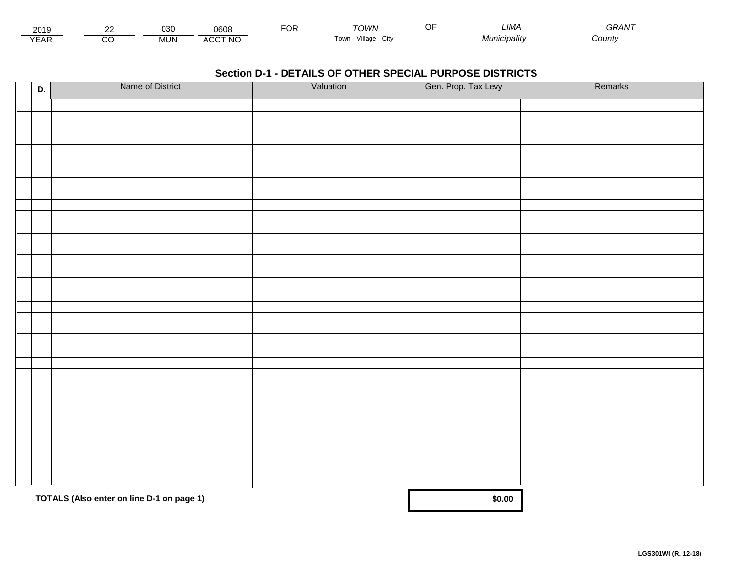| - - -<br>201.        | co | 030        | 8060         | U٢ | ΓΩΙΛ/Ν                       | $\sim$ $\sim$<br> | ∟IMA   | -----<br>75. |  |
|----------------------|----|------------|--------------|----|------------------------------|-------------------|--------|--------------|--|
| $\sqrt{2}$<br>▵<br>. |    | <b>MUN</b> | CCT NC،<br>" |    | .<br>√illage<br>Towr.<br>ستت |                   | nalıtv | Count∨       |  |

| D. | Name of District                          | Valuation | Gen. Prop. Tax Levy | Remarks |
|----|-------------------------------------------|-----------|---------------------|---------|
|    |                                           |           |                     |         |
|    |                                           |           |                     |         |
|    |                                           |           |                     |         |
|    |                                           |           |                     |         |
|    |                                           |           |                     |         |
|    |                                           |           |                     |         |
|    |                                           |           |                     |         |
|    |                                           |           |                     |         |
|    |                                           |           |                     |         |
|    |                                           |           |                     |         |
|    |                                           |           |                     |         |
|    |                                           |           |                     |         |
|    |                                           |           |                     |         |
|    |                                           |           |                     |         |
|    |                                           |           |                     |         |
|    |                                           |           |                     |         |
|    |                                           |           |                     |         |
|    |                                           |           |                     |         |
|    |                                           |           |                     |         |
|    |                                           |           |                     |         |
|    |                                           |           |                     |         |
|    |                                           |           |                     |         |
|    |                                           |           |                     |         |
|    |                                           |           |                     |         |
|    |                                           |           |                     |         |
|    |                                           |           |                     |         |
|    |                                           |           |                     |         |
|    |                                           |           |                     |         |
|    |                                           |           |                     |         |
|    |                                           |           |                     |         |
|    |                                           |           |                     |         |
|    |                                           |           |                     |         |
|    | TOTALS (Also enter on line D-1 on page 1) |           | \$0.00              |         |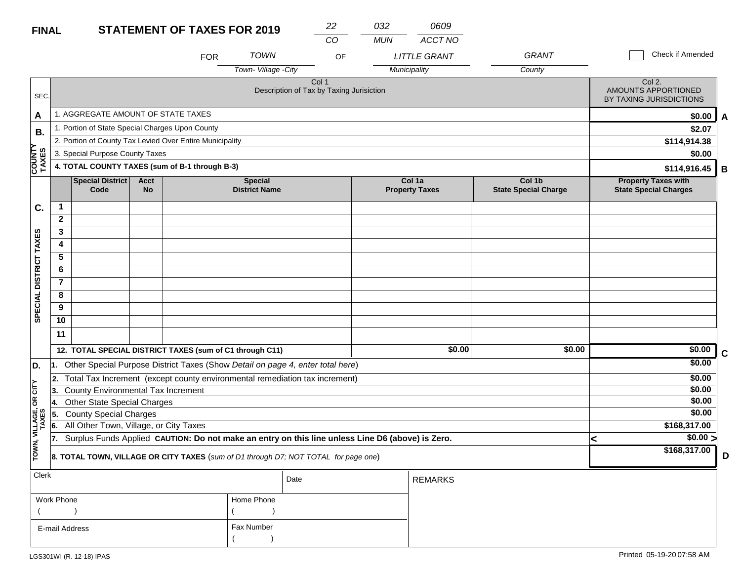| <b>FINAL</b>           |                |                                                                                                  |                   | <b>STATEMENT OF TAXES FOR 2019</b> |                                        | 22                                                |    | 032        | 0609                            |                                       |                                                            |              |
|------------------------|----------------|--------------------------------------------------------------------------------------------------|-------------------|------------------------------------|----------------------------------------|---------------------------------------------------|----|------------|---------------------------------|---------------------------------------|------------------------------------------------------------|--------------|
|                        |                |                                                                                                  |                   |                                    |                                        | CO                                                |    | <b>MUN</b> | ACCT NO                         |                                       |                                                            |              |
|                        |                |                                                                                                  |                   | <b>FOR</b>                         | <b>TOWN</b>                            |                                                   | OF |            | <b>LITTLE GRANT</b>             | <b>GRANT</b>                          | Check if Amended                                           |              |
|                        |                |                                                                                                  |                   |                                    | Town-Village -City                     |                                                   |    |            | Municipality                    | County                                |                                                            |              |
| SEC.                   |                |                                                                                                  |                   |                                    |                                        | Col 1<br>Description of Tax by Taxing Jurisiction |    |            |                                 |                                       | Col 2.<br>AMOUNTS APPORTIONED<br>BY TAXING JURISDICTIONS   |              |
| A                      |                | 1. AGGREGATE AMOUNT OF STATE TAXES                                                               |                   |                                    |                                        |                                                   |    |            |                                 |                                       | \$0.00                                                     | $\mathsf{A}$ |
| В.                     |                | 1. Portion of State Special Charges Upon County                                                  |                   |                                    |                                        |                                                   |    |            |                                 |                                       | \$2.07                                                     |              |
|                        |                | 2. Portion of County Tax Levied Over Entire Municipality                                         |                   |                                    |                                        |                                                   |    |            |                                 |                                       | \$114,914.38                                               |              |
|                        |                | 3. Special Purpose County Taxes                                                                  |                   |                                    |                                        |                                                   |    |            |                                 |                                       | \$0.00                                                     |              |
| <b>COUNTY</b><br>TAXES |                | 4. TOTAL COUNTY TAXES (sum of B-1 through B-3)                                                   |                   |                                    |                                        |                                                   |    |            |                                 |                                       | \$114,916.45                                               | B            |
|                        |                | <b>Special District</b><br>Code                                                                  | <b>Acct</b><br>No |                                    | <b>Special</b><br><b>District Name</b> |                                                   |    |            | Col 1a<br><b>Property Taxes</b> | Col 1b<br><b>State Special Charge</b> | <b>Property Taxes with</b><br><b>State Special Charges</b> |              |
| C.                     | 1              |                                                                                                  |                   |                                    |                                        |                                                   |    |            |                                 |                                       |                                                            |              |
|                        | $\mathbf{2}$   |                                                                                                  |                   |                                    |                                        |                                                   |    |            |                                 |                                       |                                                            |              |
|                        | 3              |                                                                                                  |                   |                                    |                                        |                                                   |    |            |                                 |                                       |                                                            |              |
|                        | 4              |                                                                                                  |                   |                                    |                                        |                                                   |    |            |                                 |                                       |                                                            |              |
|                        | 5              |                                                                                                  |                   |                                    |                                        |                                                   |    |            |                                 |                                       |                                                            |              |
|                        | 6              |                                                                                                  |                   |                                    |                                        |                                                   |    |            |                                 |                                       |                                                            |              |
|                        | $\overline{7}$ |                                                                                                  |                   |                                    |                                        |                                                   |    |            |                                 |                                       |                                                            |              |
| SPECIAL DISTRICT TAXES | 8              |                                                                                                  |                   |                                    |                                        |                                                   |    |            |                                 |                                       |                                                            |              |
|                        | 9              |                                                                                                  |                   |                                    |                                        |                                                   |    |            |                                 |                                       |                                                            |              |
|                        | 10             |                                                                                                  |                   |                                    |                                        |                                                   |    |            |                                 |                                       |                                                            |              |
|                        | 11             |                                                                                                  |                   |                                    |                                        |                                                   |    |            |                                 |                                       |                                                            |              |
|                        |                | 12. TOTAL SPECIAL DISTRICT TAXES (sum of C1 through C11)                                         |                   |                                    |                                        |                                                   |    |            | \$0.00                          | \$0.00                                | \$0.00                                                     | $\mathbf c$  |
| D.                     | 1.             | Other Special Purpose District Taxes (Show Detail on page 4, enter total here)                   |                   |                                    |                                        |                                                   |    |            |                                 |                                       | \$0.00                                                     |              |
|                        | 2.             | Total Tax Increment (except county environmental remediation tax increment)                      |                   |                                    |                                        |                                                   |    |            |                                 |                                       | \$0.00                                                     |              |
| ÌΣ                     | 3.             | County Environmental Tax Increment                                                               |                   |                                    |                                        |                                                   |    |            |                                 |                                       | \$0.00                                                     |              |
| Ιg                     | 4.             | <b>Other State Special Charges</b>                                                               |                   |                                    |                                        |                                                   |    |            |                                 |                                       | \$0.00                                                     |              |
|                        | 5.             | <b>County Special Charges</b>                                                                    |                   |                                    |                                        |                                                   |    |            |                                 |                                       | \$0.00                                                     |              |
| VILLAGE,<br>TAXES      | 6.             | All Other Town, Village, or City Taxes                                                           |                   |                                    |                                        |                                                   |    |            |                                 |                                       | \$168,317.00                                               |              |
| TOWN,                  | 17.            | Surplus Funds Applied CAUTION: Do not make an entry on this line unless Line D6 (above) is Zero. |                   |                                    |                                        |                                                   |    |            |                                 |                                       | \$0.00 ><br>\$168,317.00                                   |              |
|                        |                | 8. TOTAL TOWN, VILLAGE OR CITY TAXES (sum of D1 through D7; NOT TOTAL for page one)              |                   |                                    |                                        |                                                   |    |            |                                 |                                       |                                                            | D            |
| Clerk                  |                |                                                                                                  |                   |                                    |                                        | Date                                              |    |            | <b>REMARKS</b>                  |                                       |                                                            |              |
|                        | Work Phone     |                                                                                                  |                   |                                    | Home Phone                             |                                                   |    |            |                                 |                                       |                                                            |              |
|                        |                |                                                                                                  |                   |                                    |                                        |                                                   |    |            |                                 |                                       |                                                            |              |

Fax Number

 $($ 

E-mail Address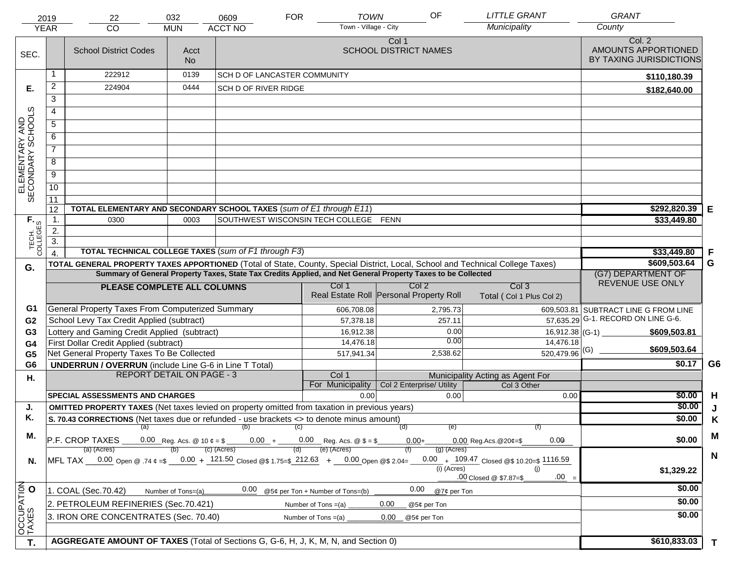| Town - Village - City<br>Municipality<br><b>YEAR</b><br>CO<br><b>MUN</b><br>Col. 2<br>Col 1<br>AMOUNTS APPORTIONED<br><b>SCHOOL DISTRICT NAMES</b><br><b>School District Codes</b><br>Acct<br>SEC.<br>BY TAXING JURISDICTIONS<br>No.<br>222912<br>0139<br><b>SCH D OF LANCASTER COMMUNITY</b><br>\$110,180.39<br>$\overline{2}$<br>224904<br>0444<br>SCH D OF RIVER RIDGE<br>Е.<br>\$182,640.00<br>3<br>ELEMENTARY AND<br>SECONDARY SCHOOLS<br>4<br>5<br>6<br>$\overline{7}$<br>8<br>$\overline{9}$<br>10<br>11<br>\$292,820.39<br>TOTAL ELEMENTARY AND SECONDARY SCHOOL TAXES (sum of E1 through E11)<br>12<br>Е<br>TECH. T<br>$\mathbf 1$ .<br>SOUTHWEST WISCONSIN TECH COLLEGE FENN<br>0300<br>0003<br>\$33,449.80<br>2.<br>$\overline{3}$ .<br>TOTAL TECHNICAL COLLEGE TAXES (sum of F1 through F3)<br>\$33,449.80<br>F<br>\$609,503.64<br>G<br>TOTAL GENERAL PROPERTY TAXES APPORTIONED (Total of State, County, Special District, Local, School and Technical College Taxes)<br>G.<br>Summary of General Property Taxes, State Tax Credits Applied, and Net General Property Taxes to be Collected<br>(G7) DEPARTMENT OF<br>REVENUE USE ONLY<br>Col <sub>2</sub><br>Col <sub>3</sub><br>Col 1<br>PLEASE COMPLETE ALL COLUMNS<br>Real Estate Roll Personal Property Roll<br>Total (Col 1 Plus Col 2)<br>General Property Taxes From Computerized Summary<br>G1<br>606,708.08<br>2,795.73<br>609,503.81 SUBTRACT LINE G FROM LINE<br>57,635.29 G-1. RECORD ON LINE G-6.<br>School Levy Tax Credit Applied (subtract)<br>G <sub>2</sub><br>57,378.18<br>257.11<br>Lottery and Gaming Credit Applied (subtract)<br>0.00<br>G <sub>3</sub><br>16,912.38<br>16,912.38 (G-1) $-$<br>\$609,503.81<br>0.00<br>14,476.18<br>First Dollar Credit Applied (subtract)<br>14,476.18<br>G4<br>\$609,503.64<br>$520,479.96$ <sup>(G)</sup><br>Net General Property Taxes To Be Collected<br>2,538.62<br>517,941.34<br>G <sub>5</sub><br>\$0.17<br>G6<br><b>UNDERRUN / OVERRUN</b> (include Line G-6 in Line T Total)<br>G <sub>6</sub><br><b>REPORT DETAIL ON PAGE - 3</b><br>Col 1<br>Municipality Acting as Agent For<br>Η.<br>For Municipality<br>Col 2 Enterprise/ Utility<br>Col 3 Other<br><b>SPECIAL ASSESSMENTS AND CHARGES</b><br>\$0.00<br>H<br>0.00<br>0.00<br>0.00<br>\$0.00<br><b>OMITTED PROPERTY TAXES</b> (Net taxes levied on property omitted from taxation in previous years)<br>J.<br>J<br>Κ.<br>\$0.00<br>S. 70.43 CORRECTIONS (Net taxes due or refunded - use brackets <> to denote minus amount)<br>K<br>(a)<br>$\qquad \qquad \text{(b)} \qquad \qquad \text{(c)}$<br>(d)<br>(e)<br>(f)<br>M<br>Μ.<br>\$0.00<br>$ P.F. \text{ CROP TAXES}$ 0.00 Reg. Acs. @ 10 $\ell = \$$ 0.00 + 0.00 Reg. Acs. @ $\$ = \$$<br>$0.00 +$<br>0.09<br>$0.00$ Reg. Acs. @ 20¢=\$<br>(e) (Acres)<br>(c) (Acres)<br>(a) (Acres)<br>$(g)$ (Acres)<br>(b)<br>(d)<br>$\mathbf N$<br>MFL TAX 0.00 Open @ .74 $\phi = 0.00 + 121.50$ Closed @\$ 1.75=\$ 212.63 + 0.00 Open @\$ 2.04=<br>0.00 $+$ 109.47 Closed @\$ 10.20=\$ 1116.59<br>N.<br>(i) (Acres)<br>(j)<br>\$1,329.22<br>$.00 =$<br>.00 Closed @ \$7.87=\$<br>OCCUPATION<br>\$0.00<br>0.00<br>0.00<br>1. COAL (Sec.70.42)<br>@5¢ per Ton + Number of Tons=(b)<br>@7¢ per Ton<br>Number of Tons=(a)<br>\$0.00<br>2. PETROLEUM REFINERIES (Sec.70.421)<br>0.00<br>Number of Tons $=(a)$<br>@5¢ per Ton<br>\$0.00<br>3. IRON ORE CONCENTRATES (Sec. 70.40)<br>Number of Tons $=(a)$<br>0.00 <sub>1</sub><br>@5¢ per Ton<br>AGGREGATE AMOUNT OF TAXES (Total of Sections G, G-6, H, J, K, M, N, and Section 0)<br>\$610,833.03<br>T.<br>$\mathbf{T}$ | 2019 | 22 | 032 | 0609           | <b>FOR</b> | <b>TOWN</b> | OF | <b>LITTLE GRANT</b> | <b>GRANT</b> |  |
|-----------------------------------------------------------------------------------------------------------------------------------------------------------------------------------------------------------------------------------------------------------------------------------------------------------------------------------------------------------------------------------------------------------------------------------------------------------------------------------------------------------------------------------------------------------------------------------------------------------------------------------------------------------------------------------------------------------------------------------------------------------------------------------------------------------------------------------------------------------------------------------------------------------------------------------------------------------------------------------------------------------------------------------------------------------------------------------------------------------------------------------------------------------------------------------------------------------------------------------------------------------------------------------------------------------------------------------------------------------------------------------------------------------------------------------------------------------------------------------------------------------------------------------------------------------------------------------------------------------------------------------------------------------------------------------------------------------------------------------------------------------------------------------------------------------------------------------------------------------------------------------------------------------------------------------------------------------------------------------------------------------------------------------------------------------------------------------------------------------------------------------------------------------------------------------------------------------------------------------------------------------------------------------------------------------------------------------------------------------------------------------------------------------------------------------------------------------------------------------------------------------------------------------------------------------------------------------------------------------------------------------------------------------------------------------------------------------------------------------------------------------------------------------------------------------------------------------------------------------------------------------------------------------------------------------------------------------------------------------------------------------------------------------------------------------------------------------------------------------------------------------------------------------------------------------------------------------------------------------------------------------------------------------------------------------------------------------------------------------------------------------------------------------------------------------------------------------------------------------------------------------------------------------------------------------------------------------------------|------|----|-----|----------------|------------|-------------|----|---------------------|--------------|--|
|                                                                                                                                                                                                                                                                                                                                                                                                                                                                                                                                                                                                                                                                                                                                                                                                                                                                                                                                                                                                                                                                                                                                                                                                                                                                                                                                                                                                                                                                                                                                                                                                                                                                                                                                                                                                                                                                                                                                                                                                                                                                                                                                                                                                                                                                                                                                                                                                                                                                                                                                                                                                                                                                                                                                                                                                                                                                                                                                                                                                                                                                                                                                                                                                                                                                                                                                                                                                                                                                                                                                                                                               |      |    |     | <b>ACCT NO</b> |            |             |    |                     | County       |  |
|                                                                                                                                                                                                                                                                                                                                                                                                                                                                                                                                                                                                                                                                                                                                                                                                                                                                                                                                                                                                                                                                                                                                                                                                                                                                                                                                                                                                                                                                                                                                                                                                                                                                                                                                                                                                                                                                                                                                                                                                                                                                                                                                                                                                                                                                                                                                                                                                                                                                                                                                                                                                                                                                                                                                                                                                                                                                                                                                                                                                                                                                                                                                                                                                                                                                                                                                                                                                                                                                                                                                                                                               |      |    |     |                |            |             |    |                     |              |  |
|                                                                                                                                                                                                                                                                                                                                                                                                                                                                                                                                                                                                                                                                                                                                                                                                                                                                                                                                                                                                                                                                                                                                                                                                                                                                                                                                                                                                                                                                                                                                                                                                                                                                                                                                                                                                                                                                                                                                                                                                                                                                                                                                                                                                                                                                                                                                                                                                                                                                                                                                                                                                                                                                                                                                                                                                                                                                                                                                                                                                                                                                                                                                                                                                                                                                                                                                                                                                                                                                                                                                                                                               |      |    |     |                |            |             |    |                     |              |  |
|                                                                                                                                                                                                                                                                                                                                                                                                                                                                                                                                                                                                                                                                                                                                                                                                                                                                                                                                                                                                                                                                                                                                                                                                                                                                                                                                                                                                                                                                                                                                                                                                                                                                                                                                                                                                                                                                                                                                                                                                                                                                                                                                                                                                                                                                                                                                                                                                                                                                                                                                                                                                                                                                                                                                                                                                                                                                                                                                                                                                                                                                                                                                                                                                                                                                                                                                                                                                                                                                                                                                                                                               |      |    |     |                |            |             |    |                     |              |  |
|                                                                                                                                                                                                                                                                                                                                                                                                                                                                                                                                                                                                                                                                                                                                                                                                                                                                                                                                                                                                                                                                                                                                                                                                                                                                                                                                                                                                                                                                                                                                                                                                                                                                                                                                                                                                                                                                                                                                                                                                                                                                                                                                                                                                                                                                                                                                                                                                                                                                                                                                                                                                                                                                                                                                                                                                                                                                                                                                                                                                                                                                                                                                                                                                                                                                                                                                                                                                                                                                                                                                                                                               |      |    |     |                |            |             |    |                     |              |  |
|                                                                                                                                                                                                                                                                                                                                                                                                                                                                                                                                                                                                                                                                                                                                                                                                                                                                                                                                                                                                                                                                                                                                                                                                                                                                                                                                                                                                                                                                                                                                                                                                                                                                                                                                                                                                                                                                                                                                                                                                                                                                                                                                                                                                                                                                                                                                                                                                                                                                                                                                                                                                                                                                                                                                                                                                                                                                                                                                                                                                                                                                                                                                                                                                                                                                                                                                                                                                                                                                                                                                                                                               |      |    |     |                |            |             |    |                     |              |  |
|                                                                                                                                                                                                                                                                                                                                                                                                                                                                                                                                                                                                                                                                                                                                                                                                                                                                                                                                                                                                                                                                                                                                                                                                                                                                                                                                                                                                                                                                                                                                                                                                                                                                                                                                                                                                                                                                                                                                                                                                                                                                                                                                                                                                                                                                                                                                                                                                                                                                                                                                                                                                                                                                                                                                                                                                                                                                                                                                                                                                                                                                                                                                                                                                                                                                                                                                                                                                                                                                                                                                                                                               |      |    |     |                |            |             |    |                     |              |  |
|                                                                                                                                                                                                                                                                                                                                                                                                                                                                                                                                                                                                                                                                                                                                                                                                                                                                                                                                                                                                                                                                                                                                                                                                                                                                                                                                                                                                                                                                                                                                                                                                                                                                                                                                                                                                                                                                                                                                                                                                                                                                                                                                                                                                                                                                                                                                                                                                                                                                                                                                                                                                                                                                                                                                                                                                                                                                                                                                                                                                                                                                                                                                                                                                                                                                                                                                                                                                                                                                                                                                                                                               |      |    |     |                |            |             |    |                     |              |  |
|                                                                                                                                                                                                                                                                                                                                                                                                                                                                                                                                                                                                                                                                                                                                                                                                                                                                                                                                                                                                                                                                                                                                                                                                                                                                                                                                                                                                                                                                                                                                                                                                                                                                                                                                                                                                                                                                                                                                                                                                                                                                                                                                                                                                                                                                                                                                                                                                                                                                                                                                                                                                                                                                                                                                                                                                                                                                                                                                                                                                                                                                                                                                                                                                                                                                                                                                                                                                                                                                                                                                                                                               |      |    |     |                |            |             |    |                     |              |  |
|                                                                                                                                                                                                                                                                                                                                                                                                                                                                                                                                                                                                                                                                                                                                                                                                                                                                                                                                                                                                                                                                                                                                                                                                                                                                                                                                                                                                                                                                                                                                                                                                                                                                                                                                                                                                                                                                                                                                                                                                                                                                                                                                                                                                                                                                                                                                                                                                                                                                                                                                                                                                                                                                                                                                                                                                                                                                                                                                                                                                                                                                                                                                                                                                                                                                                                                                                                                                                                                                                                                                                                                               |      |    |     |                |            |             |    |                     |              |  |
|                                                                                                                                                                                                                                                                                                                                                                                                                                                                                                                                                                                                                                                                                                                                                                                                                                                                                                                                                                                                                                                                                                                                                                                                                                                                                                                                                                                                                                                                                                                                                                                                                                                                                                                                                                                                                                                                                                                                                                                                                                                                                                                                                                                                                                                                                                                                                                                                                                                                                                                                                                                                                                                                                                                                                                                                                                                                                                                                                                                                                                                                                                                                                                                                                                                                                                                                                                                                                                                                                                                                                                                               |      |    |     |                |            |             |    |                     |              |  |
|                                                                                                                                                                                                                                                                                                                                                                                                                                                                                                                                                                                                                                                                                                                                                                                                                                                                                                                                                                                                                                                                                                                                                                                                                                                                                                                                                                                                                                                                                                                                                                                                                                                                                                                                                                                                                                                                                                                                                                                                                                                                                                                                                                                                                                                                                                                                                                                                                                                                                                                                                                                                                                                                                                                                                                                                                                                                                                                                                                                                                                                                                                                                                                                                                                                                                                                                                                                                                                                                                                                                                                                               |      |    |     |                |            |             |    |                     |              |  |
|                                                                                                                                                                                                                                                                                                                                                                                                                                                                                                                                                                                                                                                                                                                                                                                                                                                                                                                                                                                                                                                                                                                                                                                                                                                                                                                                                                                                                                                                                                                                                                                                                                                                                                                                                                                                                                                                                                                                                                                                                                                                                                                                                                                                                                                                                                                                                                                                                                                                                                                                                                                                                                                                                                                                                                                                                                                                                                                                                                                                                                                                                                                                                                                                                                                                                                                                                                                                                                                                                                                                                                                               |      |    |     |                |            |             |    |                     |              |  |
|                                                                                                                                                                                                                                                                                                                                                                                                                                                                                                                                                                                                                                                                                                                                                                                                                                                                                                                                                                                                                                                                                                                                                                                                                                                                                                                                                                                                                                                                                                                                                                                                                                                                                                                                                                                                                                                                                                                                                                                                                                                                                                                                                                                                                                                                                                                                                                                                                                                                                                                                                                                                                                                                                                                                                                                                                                                                                                                                                                                                                                                                                                                                                                                                                                                                                                                                                                                                                                                                                                                                                                                               |      |    |     |                |            |             |    |                     |              |  |
|                                                                                                                                                                                                                                                                                                                                                                                                                                                                                                                                                                                                                                                                                                                                                                                                                                                                                                                                                                                                                                                                                                                                                                                                                                                                                                                                                                                                                                                                                                                                                                                                                                                                                                                                                                                                                                                                                                                                                                                                                                                                                                                                                                                                                                                                                                                                                                                                                                                                                                                                                                                                                                                                                                                                                                                                                                                                                                                                                                                                                                                                                                                                                                                                                                                                                                                                                                                                                                                                                                                                                                                               |      |    |     |                |            |             |    |                     |              |  |
|                                                                                                                                                                                                                                                                                                                                                                                                                                                                                                                                                                                                                                                                                                                                                                                                                                                                                                                                                                                                                                                                                                                                                                                                                                                                                                                                                                                                                                                                                                                                                                                                                                                                                                                                                                                                                                                                                                                                                                                                                                                                                                                                                                                                                                                                                                                                                                                                                                                                                                                                                                                                                                                                                                                                                                                                                                                                                                                                                                                                                                                                                                                                                                                                                                                                                                                                                                                                                                                                                                                                                                                               |      |    |     |                |            |             |    |                     |              |  |
|                                                                                                                                                                                                                                                                                                                                                                                                                                                                                                                                                                                                                                                                                                                                                                                                                                                                                                                                                                                                                                                                                                                                                                                                                                                                                                                                                                                                                                                                                                                                                                                                                                                                                                                                                                                                                                                                                                                                                                                                                                                                                                                                                                                                                                                                                                                                                                                                                                                                                                                                                                                                                                                                                                                                                                                                                                                                                                                                                                                                                                                                                                                                                                                                                                                                                                                                                                                                                                                                                                                                                                                               |      |    |     |                |            |             |    |                     |              |  |
|                                                                                                                                                                                                                                                                                                                                                                                                                                                                                                                                                                                                                                                                                                                                                                                                                                                                                                                                                                                                                                                                                                                                                                                                                                                                                                                                                                                                                                                                                                                                                                                                                                                                                                                                                                                                                                                                                                                                                                                                                                                                                                                                                                                                                                                                                                                                                                                                                                                                                                                                                                                                                                                                                                                                                                                                                                                                                                                                                                                                                                                                                                                                                                                                                                                                                                                                                                                                                                                                                                                                                                                               |      |    |     |                |            |             |    |                     |              |  |
|                                                                                                                                                                                                                                                                                                                                                                                                                                                                                                                                                                                                                                                                                                                                                                                                                                                                                                                                                                                                                                                                                                                                                                                                                                                                                                                                                                                                                                                                                                                                                                                                                                                                                                                                                                                                                                                                                                                                                                                                                                                                                                                                                                                                                                                                                                                                                                                                                                                                                                                                                                                                                                                                                                                                                                                                                                                                                                                                                                                                                                                                                                                                                                                                                                                                                                                                                                                                                                                                                                                                                                                               |      |    |     |                |            |             |    |                     |              |  |
|                                                                                                                                                                                                                                                                                                                                                                                                                                                                                                                                                                                                                                                                                                                                                                                                                                                                                                                                                                                                                                                                                                                                                                                                                                                                                                                                                                                                                                                                                                                                                                                                                                                                                                                                                                                                                                                                                                                                                                                                                                                                                                                                                                                                                                                                                                                                                                                                                                                                                                                                                                                                                                                                                                                                                                                                                                                                                                                                                                                                                                                                                                                                                                                                                                                                                                                                                                                                                                                                                                                                                                                               |      |    |     |                |            |             |    |                     |              |  |
|                                                                                                                                                                                                                                                                                                                                                                                                                                                                                                                                                                                                                                                                                                                                                                                                                                                                                                                                                                                                                                                                                                                                                                                                                                                                                                                                                                                                                                                                                                                                                                                                                                                                                                                                                                                                                                                                                                                                                                                                                                                                                                                                                                                                                                                                                                                                                                                                                                                                                                                                                                                                                                                                                                                                                                                                                                                                                                                                                                                                                                                                                                                                                                                                                                                                                                                                                                                                                                                                                                                                                                                               |      |    |     |                |            |             |    |                     |              |  |
|                                                                                                                                                                                                                                                                                                                                                                                                                                                                                                                                                                                                                                                                                                                                                                                                                                                                                                                                                                                                                                                                                                                                                                                                                                                                                                                                                                                                                                                                                                                                                                                                                                                                                                                                                                                                                                                                                                                                                                                                                                                                                                                                                                                                                                                                                                                                                                                                                                                                                                                                                                                                                                                                                                                                                                                                                                                                                                                                                                                                                                                                                                                                                                                                                                                                                                                                                                                                                                                                                                                                                                                               |      |    |     |                |            |             |    |                     |              |  |
|                                                                                                                                                                                                                                                                                                                                                                                                                                                                                                                                                                                                                                                                                                                                                                                                                                                                                                                                                                                                                                                                                                                                                                                                                                                                                                                                                                                                                                                                                                                                                                                                                                                                                                                                                                                                                                                                                                                                                                                                                                                                                                                                                                                                                                                                                                                                                                                                                                                                                                                                                                                                                                                                                                                                                                                                                                                                                                                                                                                                                                                                                                                                                                                                                                                                                                                                                                                                                                                                                                                                                                                               |      |    |     |                |            |             |    |                     |              |  |
|                                                                                                                                                                                                                                                                                                                                                                                                                                                                                                                                                                                                                                                                                                                                                                                                                                                                                                                                                                                                                                                                                                                                                                                                                                                                                                                                                                                                                                                                                                                                                                                                                                                                                                                                                                                                                                                                                                                                                                                                                                                                                                                                                                                                                                                                                                                                                                                                                                                                                                                                                                                                                                                                                                                                                                                                                                                                                                                                                                                                                                                                                                                                                                                                                                                                                                                                                                                                                                                                                                                                                                                               |      |    |     |                |            |             |    |                     |              |  |
|                                                                                                                                                                                                                                                                                                                                                                                                                                                                                                                                                                                                                                                                                                                                                                                                                                                                                                                                                                                                                                                                                                                                                                                                                                                                                                                                                                                                                                                                                                                                                                                                                                                                                                                                                                                                                                                                                                                                                                                                                                                                                                                                                                                                                                                                                                                                                                                                                                                                                                                                                                                                                                                                                                                                                                                                                                                                                                                                                                                                                                                                                                                                                                                                                                                                                                                                                                                                                                                                                                                                                                                               |      |    |     |                |            |             |    |                     |              |  |
|                                                                                                                                                                                                                                                                                                                                                                                                                                                                                                                                                                                                                                                                                                                                                                                                                                                                                                                                                                                                                                                                                                                                                                                                                                                                                                                                                                                                                                                                                                                                                                                                                                                                                                                                                                                                                                                                                                                                                                                                                                                                                                                                                                                                                                                                                                                                                                                                                                                                                                                                                                                                                                                                                                                                                                                                                                                                                                                                                                                                                                                                                                                                                                                                                                                                                                                                                                                                                                                                                                                                                                                               |      |    |     |                |            |             |    |                     |              |  |
|                                                                                                                                                                                                                                                                                                                                                                                                                                                                                                                                                                                                                                                                                                                                                                                                                                                                                                                                                                                                                                                                                                                                                                                                                                                                                                                                                                                                                                                                                                                                                                                                                                                                                                                                                                                                                                                                                                                                                                                                                                                                                                                                                                                                                                                                                                                                                                                                                                                                                                                                                                                                                                                                                                                                                                                                                                                                                                                                                                                                                                                                                                                                                                                                                                                                                                                                                                                                                                                                                                                                                                                               |      |    |     |                |            |             |    |                     |              |  |
|                                                                                                                                                                                                                                                                                                                                                                                                                                                                                                                                                                                                                                                                                                                                                                                                                                                                                                                                                                                                                                                                                                                                                                                                                                                                                                                                                                                                                                                                                                                                                                                                                                                                                                                                                                                                                                                                                                                                                                                                                                                                                                                                                                                                                                                                                                                                                                                                                                                                                                                                                                                                                                                                                                                                                                                                                                                                                                                                                                                                                                                                                                                                                                                                                                                                                                                                                                                                                                                                                                                                                                                               |      |    |     |                |            |             |    |                     |              |  |
|                                                                                                                                                                                                                                                                                                                                                                                                                                                                                                                                                                                                                                                                                                                                                                                                                                                                                                                                                                                                                                                                                                                                                                                                                                                                                                                                                                                                                                                                                                                                                                                                                                                                                                                                                                                                                                                                                                                                                                                                                                                                                                                                                                                                                                                                                                                                                                                                                                                                                                                                                                                                                                                                                                                                                                                                                                                                                                                                                                                                                                                                                                                                                                                                                                                                                                                                                                                                                                                                                                                                                                                               |      |    |     |                |            |             |    |                     |              |  |
|                                                                                                                                                                                                                                                                                                                                                                                                                                                                                                                                                                                                                                                                                                                                                                                                                                                                                                                                                                                                                                                                                                                                                                                                                                                                                                                                                                                                                                                                                                                                                                                                                                                                                                                                                                                                                                                                                                                                                                                                                                                                                                                                                                                                                                                                                                                                                                                                                                                                                                                                                                                                                                                                                                                                                                                                                                                                                                                                                                                                                                                                                                                                                                                                                                                                                                                                                                                                                                                                                                                                                                                               |      |    |     |                |            |             |    |                     |              |  |
|                                                                                                                                                                                                                                                                                                                                                                                                                                                                                                                                                                                                                                                                                                                                                                                                                                                                                                                                                                                                                                                                                                                                                                                                                                                                                                                                                                                                                                                                                                                                                                                                                                                                                                                                                                                                                                                                                                                                                                                                                                                                                                                                                                                                                                                                                                                                                                                                                                                                                                                                                                                                                                                                                                                                                                                                                                                                                                                                                                                                                                                                                                                                                                                                                                                                                                                                                                                                                                                                                                                                                                                               |      |    |     |                |            |             |    |                     |              |  |
|                                                                                                                                                                                                                                                                                                                                                                                                                                                                                                                                                                                                                                                                                                                                                                                                                                                                                                                                                                                                                                                                                                                                                                                                                                                                                                                                                                                                                                                                                                                                                                                                                                                                                                                                                                                                                                                                                                                                                                                                                                                                                                                                                                                                                                                                                                                                                                                                                                                                                                                                                                                                                                                                                                                                                                                                                                                                                                                                                                                                                                                                                                                                                                                                                                                                                                                                                                                                                                                                                                                                                                                               |      |    |     |                |            |             |    |                     |              |  |
|                                                                                                                                                                                                                                                                                                                                                                                                                                                                                                                                                                                                                                                                                                                                                                                                                                                                                                                                                                                                                                                                                                                                                                                                                                                                                                                                                                                                                                                                                                                                                                                                                                                                                                                                                                                                                                                                                                                                                                                                                                                                                                                                                                                                                                                                                                                                                                                                                                                                                                                                                                                                                                                                                                                                                                                                                                                                                                                                                                                                                                                                                                                                                                                                                                                                                                                                                                                                                                                                                                                                                                                               |      |    |     |                |            |             |    |                     |              |  |
|                                                                                                                                                                                                                                                                                                                                                                                                                                                                                                                                                                                                                                                                                                                                                                                                                                                                                                                                                                                                                                                                                                                                                                                                                                                                                                                                                                                                                                                                                                                                                                                                                                                                                                                                                                                                                                                                                                                                                                                                                                                                                                                                                                                                                                                                                                                                                                                                                                                                                                                                                                                                                                                                                                                                                                                                                                                                                                                                                                                                                                                                                                                                                                                                                                                                                                                                                                                                                                                                                                                                                                                               |      |    |     |                |            |             |    |                     |              |  |
|                                                                                                                                                                                                                                                                                                                                                                                                                                                                                                                                                                                                                                                                                                                                                                                                                                                                                                                                                                                                                                                                                                                                                                                                                                                                                                                                                                                                                                                                                                                                                                                                                                                                                                                                                                                                                                                                                                                                                                                                                                                                                                                                                                                                                                                                                                                                                                                                                                                                                                                                                                                                                                                                                                                                                                                                                                                                                                                                                                                                                                                                                                                                                                                                                                                                                                                                                                                                                                                                                                                                                                                               |      |    |     |                |            |             |    |                     |              |  |
|                                                                                                                                                                                                                                                                                                                                                                                                                                                                                                                                                                                                                                                                                                                                                                                                                                                                                                                                                                                                                                                                                                                                                                                                                                                                                                                                                                                                                                                                                                                                                                                                                                                                                                                                                                                                                                                                                                                                                                                                                                                                                                                                                                                                                                                                                                                                                                                                                                                                                                                                                                                                                                                                                                                                                                                                                                                                                                                                                                                                                                                                                                                                                                                                                                                                                                                                                                                                                                                                                                                                                                                               |      |    |     |                |            |             |    |                     |              |  |
|                                                                                                                                                                                                                                                                                                                                                                                                                                                                                                                                                                                                                                                                                                                                                                                                                                                                                                                                                                                                                                                                                                                                                                                                                                                                                                                                                                                                                                                                                                                                                                                                                                                                                                                                                                                                                                                                                                                                                                                                                                                                                                                                                                                                                                                                                                                                                                                                                                                                                                                                                                                                                                                                                                                                                                                                                                                                                                                                                                                                                                                                                                                                                                                                                                                                                                                                                                                                                                                                                                                                                                                               |      |    |     |                |            |             |    |                     |              |  |
|                                                                                                                                                                                                                                                                                                                                                                                                                                                                                                                                                                                                                                                                                                                                                                                                                                                                                                                                                                                                                                                                                                                                                                                                                                                                                                                                                                                                                                                                                                                                                                                                                                                                                                                                                                                                                                                                                                                                                                                                                                                                                                                                                                                                                                                                                                                                                                                                                                                                                                                                                                                                                                                                                                                                                                                                                                                                                                                                                                                                                                                                                                                                                                                                                                                                                                                                                                                                                                                                                                                                                                                               |      |    |     |                |            |             |    |                     |              |  |
|                                                                                                                                                                                                                                                                                                                                                                                                                                                                                                                                                                                                                                                                                                                                                                                                                                                                                                                                                                                                                                                                                                                                                                                                                                                                                                                                                                                                                                                                                                                                                                                                                                                                                                                                                                                                                                                                                                                                                                                                                                                                                                                                                                                                                                                                                                                                                                                                                                                                                                                                                                                                                                                                                                                                                                                                                                                                                                                                                                                                                                                                                                                                                                                                                                                                                                                                                                                                                                                                                                                                                                                               |      |    |     |                |            |             |    |                     |              |  |
|                                                                                                                                                                                                                                                                                                                                                                                                                                                                                                                                                                                                                                                                                                                                                                                                                                                                                                                                                                                                                                                                                                                                                                                                                                                                                                                                                                                                                                                                                                                                                                                                                                                                                                                                                                                                                                                                                                                                                                                                                                                                                                                                                                                                                                                                                                                                                                                                                                                                                                                                                                                                                                                                                                                                                                                                                                                                                                                                                                                                                                                                                                                                                                                                                                                                                                                                                                                                                                                                                                                                                                                               |      |    |     |                |            |             |    |                     |              |  |
|                                                                                                                                                                                                                                                                                                                                                                                                                                                                                                                                                                                                                                                                                                                                                                                                                                                                                                                                                                                                                                                                                                                                                                                                                                                                                                                                                                                                                                                                                                                                                                                                                                                                                                                                                                                                                                                                                                                                                                                                                                                                                                                                                                                                                                                                                                                                                                                                                                                                                                                                                                                                                                                                                                                                                                                                                                                                                                                                                                                                                                                                                                                                                                                                                                                                                                                                                                                                                                                                                                                                                                                               |      |    |     |                |            |             |    |                     |              |  |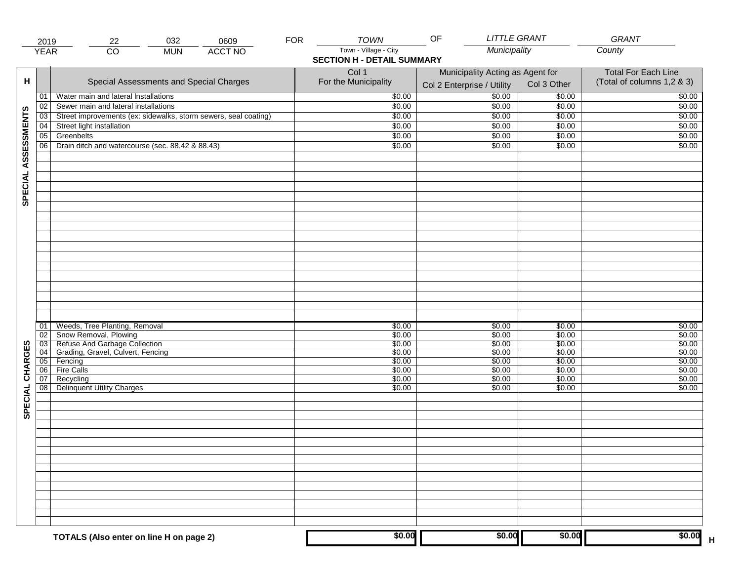|                     | 2019            | 032<br>22                                                                | 0609           | <b>FOR</b> | <b>TOWN</b>                                                | OF                                                             | <b>LITTLE GRANT</b> | GRANT                                                    |
|---------------------|-----------------|--------------------------------------------------------------------------|----------------|------------|------------------------------------------------------------|----------------------------------------------------------------|---------------------|----------------------------------------------------------|
|                     | <b>YEAR</b>     | $\overline{CO}$<br><b>MUN</b>                                            | <b>ACCT NO</b> |            | Town - Village - City<br><b>SECTION H - DETAIL SUMMARY</b> | Municipality                                                   |                     | County                                                   |
| н                   |                 | Special Assessments and Special Charges                                  |                |            | Col 1<br>For the Municipality                              | Municipality Acting as Agent for<br>Col 2 Enterprise / Utility | Col 3 Other         | <b>Total For Each Line</b><br>(Total of columns 1,2 & 3) |
|                     | 01              | Water main and lateral Installations                                     |                |            | \$0.00                                                     | $\frac{1}{00}$                                                 | \$0.00              | \$0.00                                                   |
|                     | 02              | Sewer main and lateral installations                                     |                |            | \$0.00                                                     | \$0.00                                                         | \$0.00              | \$0.00                                                   |
|                     | $\overline{03}$ | Street improvements (ex: sidewalks, storm sewers, seal coating)          |                |            | \$0.00                                                     | \$0.00                                                         | \$0.00              | \$0.00                                                   |
|                     | 04              | Street light installation                                                |                |            | \$0.00                                                     | \$0.00                                                         | \$0.00              | \$0.00                                                   |
|                     | 05              | Greenbelts                                                               |                |            | \$0.00                                                     | \$0.00                                                         | \$0.00              | \$0.00                                                   |
|                     | 06              | Drain ditch and watercourse (sec. 88.42 & 88.43)                         |                |            | \$0.00                                                     | \$0.00                                                         | \$0.00              | \$0.00                                                   |
| SPECIAL ASSESSMENTS |                 |                                                                          |                |            |                                                            |                                                                |                     |                                                          |
|                     |                 |                                                                          |                |            |                                                            |                                                                |                     |                                                          |
|                     | 01<br>02        | Weeds, Tree Planting, Removal<br>Snow Removal, Plowing                   |                |            | \$0.00<br>\$0.00                                           | \$0.00<br>\$0.00                                               | \$0.00<br>\$0.00    | \$0.00<br>\$0.00                                         |
|                     |                 | 03 Refuse And Garbage Collection<br>04 Grading, Gravel, Culvert, Fencing |                |            | \$0.00                                                     | \$0.00                                                         | \$0.00              | \$0.00                                                   |
| CHARGES             |                 |                                                                          |                |            | \$0.00                                                     | \$0.00                                                         | \$0.00              | \$0.00                                                   |
|                     |                 | 05 Fencing                                                               |                |            | \$0.00                                                     | \$0.00                                                         | \$0.00              | \$0.00                                                   |
|                     | 06              | <b>Fire Calls</b>                                                        |                |            | \$0.00                                                     | \$0.00                                                         | \$0.00              | \$0.00                                                   |
| SPECIAL             | 07<br>08        | Recycling<br><b>Delinquent Utility Charges</b>                           |                |            | \$0.00<br>\$0.00                                           | \$0.00<br>\$0.00                                               | \$0.00<br>\$0.00    | \$0.00<br>\$0.00                                         |
|                     |                 |                                                                          |                |            |                                                            |                                                                |                     |                                                          |
|                     |                 |                                                                          |                |            |                                                            |                                                                |                     |                                                          |
|                     |                 |                                                                          |                |            |                                                            |                                                                |                     |                                                          |
|                     |                 |                                                                          |                |            |                                                            |                                                                |                     |                                                          |
|                     |                 |                                                                          |                |            |                                                            |                                                                |                     |                                                          |
|                     |                 | TOTALS (Also enter on line H on page 2)                                  |                |            | \$0.00                                                     | \$0.00                                                         | \$0.00              | \$0.00                                                   |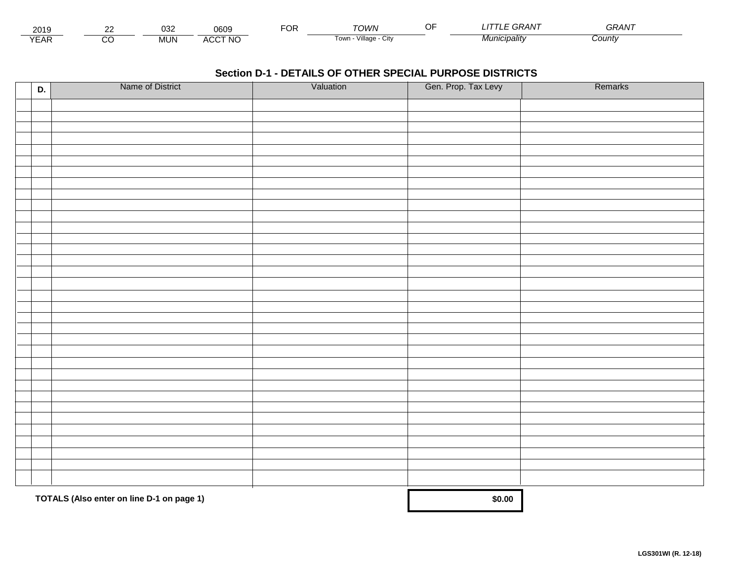| 201.                        | $\sim$ | $\sim$<br>ບບ∠ | 0609                           | ™CR | ™∩WN                         | <b>KAIV</b><br>. | $\sim$ $\sim$ $\sim$ $\sim$<br>GRAN |  |
|-----------------------------|--------|---------------|--------------------------------|-----|------------------------------|------------------|-------------------------------------|--|
| $\sqrt{2}$<br>▵<br><b>L</b> |        | <b>MUN</b>    | CCT NC،<br>$\mathbf{u}$<br>nuu |     | .<br>Village<br>∣own<br>יווש | Municipalitv     | :ountv                              |  |

| D. | Name of District                          | Valuation | Gen. Prop. Tax Levy | Remarks |
|----|-------------------------------------------|-----------|---------------------|---------|
|    |                                           |           |                     |         |
|    |                                           |           |                     |         |
|    |                                           |           |                     |         |
|    |                                           |           |                     |         |
|    |                                           |           |                     |         |
|    |                                           |           |                     |         |
|    |                                           |           |                     |         |
|    |                                           |           |                     |         |
|    |                                           |           |                     |         |
|    |                                           |           |                     |         |
|    |                                           |           |                     |         |
|    |                                           |           |                     |         |
|    |                                           |           |                     |         |
|    |                                           |           |                     |         |
|    |                                           |           |                     |         |
|    |                                           |           |                     |         |
|    |                                           |           |                     |         |
|    |                                           |           |                     |         |
|    |                                           |           |                     |         |
|    |                                           |           |                     |         |
|    |                                           |           |                     |         |
|    |                                           |           |                     |         |
|    |                                           |           |                     |         |
|    |                                           |           |                     |         |
|    |                                           |           |                     |         |
|    |                                           |           |                     |         |
|    |                                           |           |                     |         |
|    |                                           |           |                     |         |
|    |                                           |           |                     |         |
|    |                                           |           |                     |         |
|    |                                           |           |                     |         |
|    |                                           |           |                     |         |
|    |                                           |           |                     |         |
|    | TOTALS (Also enter on line D-1 on page 1) |           | \$0.00              |         |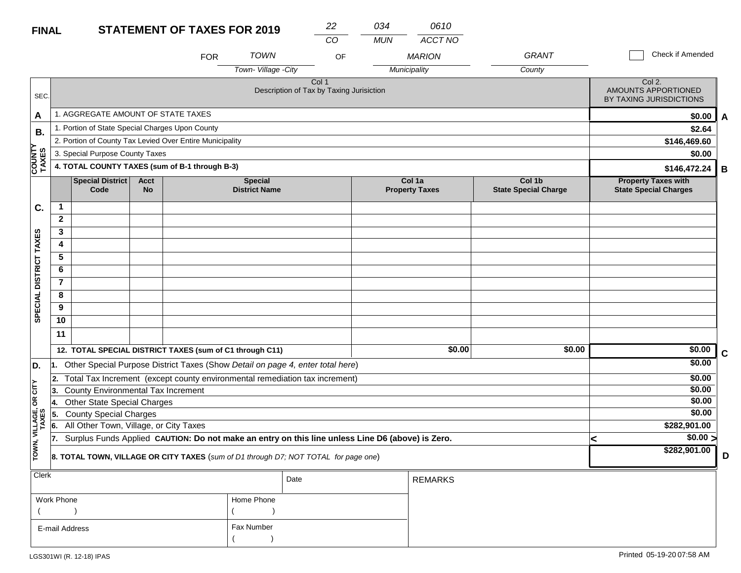### **STATEMENT OF TAXES FOR 2019 FINAL**

| <b>FINAL</b> |                                                |                   | <b>STATEMENT OF TAXES FOR 2019</b>                       |                                          | 22    | 034        | 0610                            |                                       |                                                            |
|--------------|------------------------------------------------|-------------------|----------------------------------------------------------|------------------------------------------|-------|------------|---------------------------------|---------------------------------------|------------------------------------------------------------|
|              |                                                |                   |                                                          |                                          | CO    | <b>MUN</b> | ACCT NO                         |                                       |                                                            |
|              |                                                |                   | <b>FOR</b>                                               | <b>TOWN</b>                              | OF    |            | <b>MARION</b>                   | GRANT                                 | <b>Check if Amended</b>                                    |
|              |                                                |                   |                                                          | Town-Village-City                        |       |            | Municipality                    | County                                |                                                            |
| SEC.         |                                                |                   |                                                          | Description of Tax by Taxing Jurisiction | Col 1 |            |                                 |                                       | Col 2.<br>AMOUNTS APPORTIONED<br>BY TAXING JURISDICTIONS   |
| А            | AGGREGATE AMOUNT OF STATE TAXES                |                   |                                                          |                                          |       |            |                                 |                                       | \$0.00                                                     |
| B.           | . Portion of State Special Charges Upon County |                   |                                                          |                                          |       |            |                                 |                                       | \$2.64                                                     |
|              |                                                |                   | 2. Portion of County Tax Levied Over Entire Municipality |                                          |       |            |                                 |                                       | \$146,469.60                                               |
|              | 3. Special Purpose County Taxes                |                   |                                                          |                                          |       |            |                                 |                                       | \$0.00                                                     |
| TAXES        |                                                |                   | 4. TOTAL COUNTY TAXES (sum of B-1 through B-3)           |                                          |       |            |                                 |                                       | \$146,472.24                                               |
|              | Special District<br>Code                       | Acct<br><b>No</b> |                                                          | <b>Special</b><br><b>District Name</b>   |       |            | Col 1a<br><b>Property Taxes</b> | Col 1b<br><b>State Special Charge</b> | <b>Property Taxes with</b><br><b>State Special Charges</b> |
| r.           |                                                |                   |                                                          |                                          |       |            |                                 |                                       |                                                            |

| C.                      |                |                                        |                                                                                                  |        |        |              |             |
|-------------------------|----------------|----------------------------------------|--------------------------------------------------------------------------------------------------|--------|--------|--------------|-------------|
|                         | $\mathbf{2}$   |                                        |                                                                                                  |        |        |              |             |
|                         | 3              |                                        |                                                                                                  |        |        |              |             |
| <b>TAXES</b>            | 4              |                                        |                                                                                                  |        |        |              |             |
|                         | 5              |                                        |                                                                                                  |        |        |              |             |
|                         | 6              |                                        |                                                                                                  |        |        |              |             |
| <b>DISTRICT</b>         | $\overline{7}$ |                                        |                                                                                                  |        |        |              |             |
|                         | 8              |                                        |                                                                                                  |        |        |              |             |
| <b>SPECIAL</b>          | 9              |                                        |                                                                                                  |        |        |              |             |
|                         | 10             |                                        |                                                                                                  |        |        |              |             |
|                         | 11             |                                        |                                                                                                  |        |        |              |             |
|                         |                |                                        | 12. TOTAL SPECIAL DISTRICT TAXES (sum of C1 through C11)                                         | \$0.00 | \$0.00 | \$0.00       | $\mathbf c$ |
| D.                      | l1.            |                                        | Other Special Purpose District Taxes (Show Detail on page 4, enter total here)                   |        |        | \$0.00       |             |
|                         | 2.             |                                        | Total Tax Increment (except county environmental remediation tax increment)                      |        |        | \$0.00       |             |
| OR CITY                 | 13.            | County Environmental Tax Increment     |                                                                                                  |        |        | \$0.00       |             |
|                         | 14.            | Other State Special Charges            |                                                                                                  |        |        | \$0.00       |             |
|                         | 15             | <b>County Special Charges</b>          |                                                                                                  |        |        | \$0.00       |             |
|                         | 16.            | All Other Town, Village, or City Taxes |                                                                                                  |        |        | \$282,901.00 |             |
|                         | 17.            |                                        | Surplus Funds Applied CAUTION: Do not make an entry on this line unless Line D6 (above) is Zero. |        |        | \$0.00 >     |             |
| TOWN, VILLAGE,<br>TAXES |                |                                        | 8. TOTAL TOWN, VILLAGE OR CITY TAXES (sum of D1 through D7; NOT TOTAL for page one)              |        |        | \$282,901.00 | D           |
|                         |                |                                        |                                                                                                  |        |        |              |             |

| Clerk          |            | Date | <b>REMARKS</b> |
|----------------|------------|------|----------------|
| Work Phone     | Home Phone |      |                |
|                |            |      |                |
| E-mail Address | Fax Number |      |                |
|                |            |      |                |

SEC.

**B.**

 **COUNTY TAXES**

**A**

**B**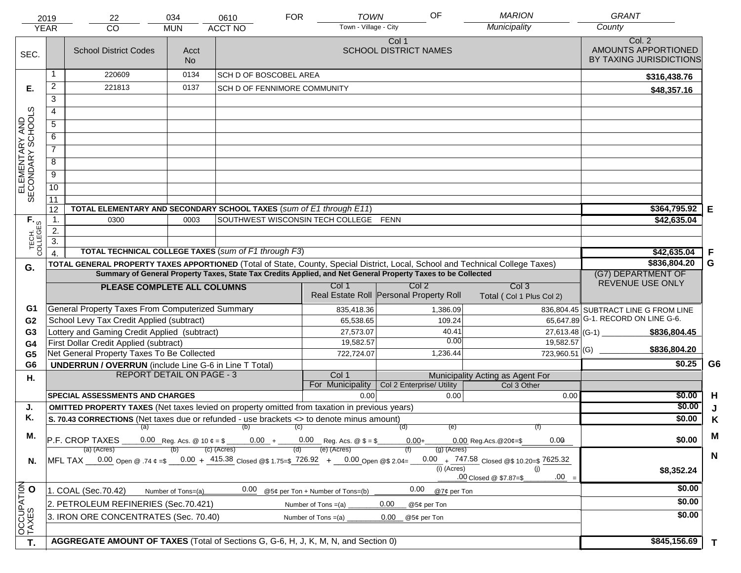|                                     | 2019             | 22                                                                                                                             | 034                              | 0610                                                           | <b>FOR</b>                       | <b>TOWN</b>           | OF                                                                                                           | <b>MARION</b>                               | <b>GRANT</b>                                             |                |
|-------------------------------------|------------------|--------------------------------------------------------------------------------------------------------------------------------|----------------------------------|----------------------------------------------------------------|----------------------------------|-----------------------|--------------------------------------------------------------------------------------------------------------|---------------------------------------------|----------------------------------------------------------|----------------|
|                                     | <b>YEAR</b>      | CO                                                                                                                             | <b>MUN</b>                       | <b>ACCT NO</b>                                                 |                                  | Town - Village - City |                                                                                                              | Municipality                                | County                                                   |                |
| SEC.                                |                  | <b>School District Codes</b>                                                                                                   | Acct<br>N <sub>o</sub>           |                                                                |                                  |                       | Col 1<br><b>SCHOOL DISTRICT NAMES</b>                                                                        |                                             | Col. 2<br>AMOUNTS APPORTIONED<br>BY TAXING JURISDICTIONS |                |
|                                     | -1               | 220609                                                                                                                         | 0134                             | <b>SCH D OF BOSCOBEL AREA</b>                                  |                                  |                       |                                                                                                              |                                             | \$316,438.76                                             |                |
| Е.                                  | $\overline{2}$   | 221813                                                                                                                         | 0137                             | SCH D OF FENNIMORE COMMUNITY                                   |                                  |                       |                                                                                                              |                                             | \$48,357.16                                              |                |
|                                     | 3                |                                                                                                                                |                                  |                                                                |                                  |                       |                                                                                                              |                                             |                                                          |                |
|                                     | 4                |                                                                                                                                |                                  |                                                                |                                  |                       |                                                                                                              |                                             |                                                          |                |
|                                     | $\overline{5}$   |                                                                                                                                |                                  |                                                                |                                  |                       |                                                                                                              |                                             |                                                          |                |
|                                     | 6                |                                                                                                                                |                                  |                                                                |                                  |                       |                                                                                                              |                                             |                                                          |                |
|                                     | $\overline{7}$   |                                                                                                                                |                                  |                                                                |                                  |                       |                                                                                                              |                                             |                                                          |                |
| ELEMENTARY AND<br>SECONDARY SCHOOLS | 8                |                                                                                                                                |                                  |                                                                |                                  |                       |                                                                                                              |                                             |                                                          |                |
|                                     | $\overline{9}$   |                                                                                                                                |                                  |                                                                |                                  |                       |                                                                                                              |                                             |                                                          |                |
|                                     | 10               |                                                                                                                                |                                  |                                                                |                                  |                       |                                                                                                              |                                             |                                                          |                |
|                                     | $\overline{11}$  |                                                                                                                                |                                  |                                                                |                                  |                       |                                                                                                              |                                             |                                                          |                |
|                                     | 12               | TOTAL ELEMENTARY AND SECONDARY SCHOOL TAXES (sum of E1 through E11)                                                            |                                  |                                                                |                                  |                       |                                                                                                              |                                             | \$364,795.92                                             | Е              |
| TECH. T                             | $\mathbf 1$ .    | 0300                                                                                                                           | 0003                             | SOUTHWEST WISCONSIN TECH COLLEGE FENN                          |                                  |                       |                                                                                                              |                                             | \$42,635.04                                              |                |
|                                     | 2.               |                                                                                                                                |                                  |                                                                |                                  |                       |                                                                                                              |                                             |                                                          |                |
|                                     | $\overline{3}$ . |                                                                                                                                |                                  |                                                                |                                  |                       |                                                                                                              |                                             |                                                          |                |
|                                     | $\overline{4}$   | TOTAL TECHNICAL COLLEGE TAXES (sum of F1 through F3)                                                                           |                                  |                                                                |                                  |                       |                                                                                                              |                                             | \$42,635.04                                              | .F             |
| G.                                  |                  | TOTAL GENERAL PROPERTY TAXES APPORTIONED (Total of State, County, Special District, Local, School and Technical College Taxes) |                                  |                                                                |                                  |                       | Summary of General Property Taxes, State Tax Credits Applied, and Net General Property Taxes to be Collected |                                             | \$836,804.20<br>(G7) DEPARTMENT OF                       | G              |
|                                     |                  |                                                                                                                                |                                  |                                                                | Col 1                            |                       | Col <sub>2</sub>                                                                                             | Col <sub>3</sub>                            | REVENUE USE ONLY                                         |                |
|                                     |                  | PLEASE COMPLETE ALL COLUMNS                                                                                                    |                                  |                                                                |                                  |                       | Real Estate Roll Personal Property Roll                                                                      | Total (Col 1 Plus Col 2)                    |                                                          |                |
| G1                                  |                  | General Property Taxes From Computerized Summary                                                                               |                                  |                                                                |                                  | 835,418.36            | 1,386.09                                                                                                     |                                             | 836,804.45 SUBTRACT LINE G FROM LINE                     |                |
| G <sub>2</sub>                      |                  | School Levy Tax Credit Applied (subtract)                                                                                      |                                  |                                                                |                                  | 65,538.65             | 109.24                                                                                                       |                                             | 65,647.89 G-1. RECORD ON LINE G-6.                       |                |
| G3                                  |                  | Lottery and Gaming Credit Applied (subtract)                                                                                   |                                  |                                                                |                                  | 27,573.07             | 40.41                                                                                                        |                                             | $27,613.48$ (G-1)<br>\$836,804.45                        |                |
| G4                                  |                  | First Dollar Credit Applied (subtract)                                                                                         |                                  |                                                                |                                  | 19,582.57             | 0.00                                                                                                         | 19,582.57                                   | \$836,804.20                                             |                |
| G <sub>5</sub>                      |                  | Net General Property Taxes To Be Collected                                                                                     |                                  |                                                                |                                  | 722,724.07            | 1,236.44                                                                                                     | $723,960.51$ <sup>(G)</sup>                 |                                                          | G <sub>6</sub> |
| G <sub>6</sub>                      |                  | <b>UNDERRUN / OVERRUN</b> (include Line G-6 in Line T Total)                                                                   | <b>REPORT DETAIL ON PAGE - 3</b> |                                                                | Col 1                            |                       |                                                                                                              | Municipality Acting as Agent For            | \$0.25                                                   |                |
| Η.                                  |                  |                                                                                                                                |                                  |                                                                | For Municipality                 |                       | Col 2 Enterprise/ Utility                                                                                    | Col 3 Other                                 |                                                          |                |
|                                     |                  | <b>SPECIAL ASSESSMENTS AND CHARGES</b>                                                                                         |                                  |                                                                |                                  | 0.00                  | 0.00                                                                                                         | 0.00                                        | \$0.00                                                   | H              |
| J.                                  |                  | <b>OMITTED PROPERTY TAXES</b> (Net taxes levied on property omitted from taxation in previous years)                           |                                  |                                                                |                                  |                       |                                                                                                              |                                             | \$0.00                                                   | J              |
| Κ.                                  |                  | S. 70.43 CORRECTIONS (Net taxes due or refunded - use brackets <> to denote minus amount)                                      |                                  |                                                                |                                  |                       |                                                                                                              |                                             | \$0.00                                                   | Κ              |
| М.                                  |                  | (a)                                                                                                                            |                                  | $(b)$ (c)                                                      |                                  |                       | (d)<br>(e)                                                                                                   |                                             |                                                          | M              |
|                                     |                  | P.F. CROP TAXES                                                                                                                |                                  | 0.00 Reg. Acs. @ 10 $\phi = $$ 0.00 + 0.00 Reg. Acs. @ \$ = \$ | (e) (Acres)                      |                       | $0.00 +$                                                                                                     | 0.00<br>$0.00$ Reg. Acs. @ 20¢=\$           | \$0.00                                                   |                |
| N.                                  |                  | (a) (Acres)<br>MFL TAX 0.00 Open @ .74 $\phi = 0.00 + 415.38$ Closed @ \$ 1.75= \$726.92 + 0.00 Open @ \$2.04=                 | (b)                              | (c) (Acres)                                                    |                                  |                       | $(g)$ (Acres)                                                                                                | 0.00 $+$ 747.58 Closed @\$ 10.20=\$ 7625.32 |                                                          | N              |
|                                     |                  |                                                                                                                                |                                  |                                                                |                                  |                       | $(i)$ (Acres)                                                                                                | (i)                                         | \$8,352.24                                               |                |
|                                     |                  |                                                                                                                                |                                  |                                                                |                                  |                       |                                                                                                              | $.00 =$<br>.00 Closed @ \$7.87=\$           |                                                          |                |
|                                     |                  | 1. COAL (Sec.70.42)                                                                                                            | Number of Tons=(a)               | 0.00                                                           | @5¢ per Ton + Number of Tons=(b) |                       | 0.00<br>@7¢ per Ton                                                                                          |                                             | \$0.00                                                   |                |
|                                     |                  | 2. PETROLEUM REFINERIES (Sec.70.421)                                                                                           |                                  |                                                                | Number of Tons $=(a)$            |                       | 0.00<br>@5¢ per Ton                                                                                          |                                             | \$0.00                                                   |                |
|                                     |                  | 3. IRON ORE CONCENTRATES (Sec. 70.40)                                                                                          |                                  |                                                                | Number of Tons $=(a)$            |                       | 0.00<br>@5¢ per Ton                                                                                          |                                             | \$0.00                                                   |                |
| OCCUPATION<br>TAXES O               |                  |                                                                                                                                |                                  |                                                                |                                  |                       |                                                                                                              |                                             |                                                          |                |
| T.                                  |                  | AGGREGATE AMOUNT OF TAXES (Total of Sections G, G-6, H, J, K, M, N, and Section 0)                                             |                                  |                                                                |                                  |                       |                                                                                                              |                                             | \$845,156.69                                             | T              |
|                                     |                  |                                                                                                                                |                                  |                                                                |                                  |                       |                                                                                                              |                                             |                                                          |                |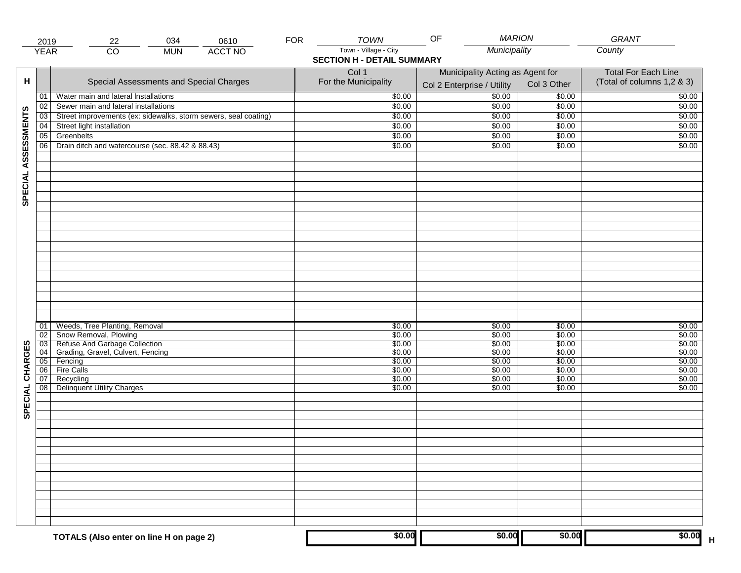|                     | 2019            | 034<br>22                                                                | 0610           | <b>FOR</b> | <b>TOWN</b>                                                | <b>MARION</b><br>OF                                            |                  | GRANT                                                    |
|---------------------|-----------------|--------------------------------------------------------------------------|----------------|------------|------------------------------------------------------------|----------------------------------------------------------------|------------------|----------------------------------------------------------|
|                     | <b>YEAR</b>     | $\overline{CO}$<br><b>MUN</b>                                            | <b>ACCT NO</b> |            | Town - Village - City<br><b>SECTION H - DETAIL SUMMARY</b> | Municipality                                                   |                  | County                                                   |
| н                   |                 | Special Assessments and Special Charges                                  |                |            | Col 1<br>For the Municipality                              | Municipality Acting as Agent for<br>Col 2 Enterprise / Utility | Col 3 Other      | <b>Total For Each Line</b><br>(Total of columns 1,2 & 3) |
|                     | 01              | Water main and lateral Installations                                     |                |            | \$0.00                                                     | $\frac{1}{00}$                                                 | \$0.00           | \$0.00                                                   |
|                     | 02              | Sewer main and lateral installations                                     |                |            | \$0.00                                                     | \$0.00                                                         | \$0.00           | \$0.00                                                   |
|                     | $\overline{03}$ | Street improvements (ex: sidewalks, storm sewers, seal coating)          |                |            | \$0.00                                                     | \$0.00                                                         | \$0.00           | \$0.00                                                   |
|                     | 04              | Street light installation                                                |                |            | \$0.00                                                     | \$0.00                                                         | \$0.00           | \$0.00                                                   |
|                     | 05              | Greenbelts                                                               |                |            | \$0.00                                                     | \$0.00                                                         | \$0.00           | \$0.00                                                   |
|                     | 06              | Drain ditch and watercourse (sec. 88.42 & 88.43)                         |                |            | \$0.00                                                     | \$0.00                                                         | \$0.00           | \$0.00                                                   |
| SPECIAL ASSESSMENTS |                 |                                                                          |                |            |                                                            |                                                                |                  |                                                          |
|                     |                 |                                                                          |                |            |                                                            |                                                                |                  |                                                          |
|                     | 01<br>02        | Weeds, Tree Planting, Removal<br>Snow Removal, Plowing                   |                |            | \$0.00<br>\$0.00                                           | \$0.00<br>\$0.00                                               | \$0.00<br>\$0.00 | \$0.00<br>\$0.00                                         |
|                     |                 | 03 Refuse And Garbage Collection<br>04 Grading, Gravel, Culvert, Fencing |                |            | \$0.00                                                     | \$0.00                                                         | \$0.00           | \$0.00                                                   |
| CHARGES             |                 |                                                                          |                |            | \$0.00                                                     | \$0.00                                                         | \$0.00           | \$0.00                                                   |
|                     |                 | 05 Fencing                                                               |                |            | \$0.00                                                     | \$0.00                                                         | \$0.00           | \$0.00                                                   |
|                     | 06              | <b>Fire Calls</b>                                                        |                |            | \$0.00                                                     | \$0.00                                                         | \$0.00           | \$0.00                                                   |
| SPECIAL             | 07<br>08        | Recycling<br><b>Delinquent Utility Charges</b>                           |                |            | \$0.00<br>\$0.00                                           | \$0.00<br>\$0.00                                               | \$0.00<br>\$0.00 | \$0.00<br>\$0.00                                         |
|                     |                 |                                                                          |                |            |                                                            |                                                                |                  |                                                          |
|                     |                 |                                                                          |                |            |                                                            |                                                                |                  |                                                          |
|                     |                 |                                                                          |                |            |                                                            |                                                                |                  |                                                          |
|                     |                 |                                                                          |                |            |                                                            |                                                                |                  |                                                          |
|                     |                 |                                                                          |                |            |                                                            |                                                                |                  |                                                          |
|                     |                 | TOTALS (Also enter on line H on page 2)                                  |                |            | \$0.00                                                     | \$0.00                                                         | \$0.00           | \$0.00                                                   |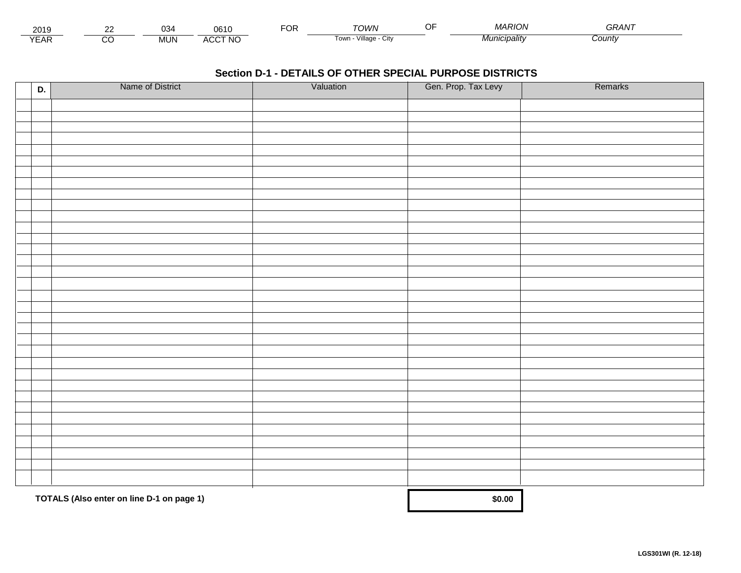| 201.                 | $\sim$ | ົ<br>$\sim$ | $\sim$<br>. I (<br>JU.         | $\neg$ $\wedge$ r.<br>vη | <b>UMUL</b>                      | $\overline{11}$<br>. sion -<br>.MAR | ~~<br><b>JKAIV</b> |  |
|----------------------|--------|-------------|--------------------------------|--------------------------|----------------------------------|-------------------------------------|--------------------|--|
| $\sqrt{2}$<br>▵<br>. |        | .viUN       | CCT NC،<br>$\mathbf{A}$<br>nuc |                          | .<br>Villade<br>UN<br><b>UWI</b> | Municipalitv                        | Count              |  |

| D. | Name of District                          | Valuation | Gen. Prop. Tax Levy | Remarks |
|----|-------------------------------------------|-----------|---------------------|---------|
|    |                                           |           |                     |         |
|    |                                           |           |                     |         |
|    |                                           |           |                     |         |
|    |                                           |           |                     |         |
|    |                                           |           |                     |         |
|    |                                           |           |                     |         |
|    |                                           |           |                     |         |
|    |                                           |           |                     |         |
|    |                                           |           |                     |         |
|    |                                           |           |                     |         |
|    |                                           |           |                     |         |
|    |                                           |           |                     |         |
|    |                                           |           |                     |         |
|    |                                           |           |                     |         |
|    |                                           |           |                     |         |
|    |                                           |           |                     |         |
|    |                                           |           |                     |         |
|    |                                           |           |                     |         |
|    |                                           |           |                     |         |
|    |                                           |           |                     |         |
|    |                                           |           |                     |         |
|    |                                           |           |                     |         |
|    |                                           |           |                     |         |
|    |                                           |           |                     |         |
|    |                                           |           |                     |         |
|    |                                           |           |                     |         |
|    |                                           |           |                     |         |
|    |                                           |           |                     |         |
|    |                                           |           |                     |         |
|    |                                           |           |                     |         |
|    |                                           |           |                     |         |
|    |                                           |           |                     |         |
|    | TOTALS (Also enter on line D-1 on page 1) |           | \$0.00              |         |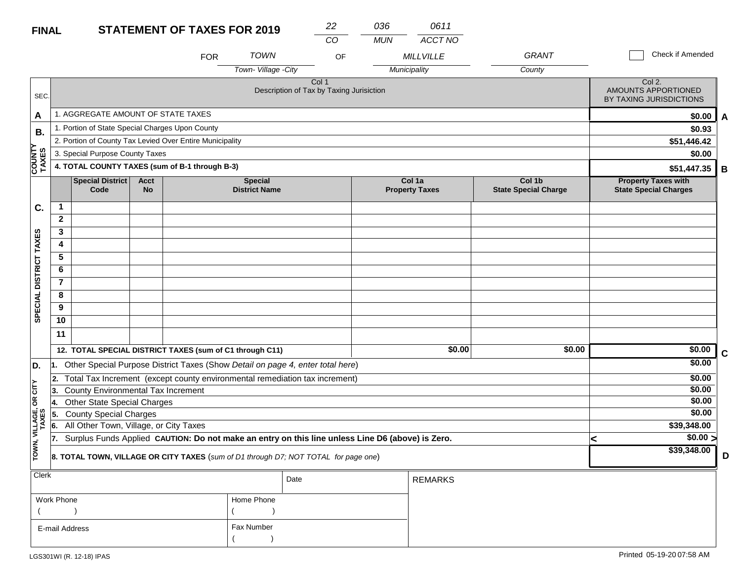### **STATEMENT OF TAX FINAL**

| <b>ES FOR 2019</b> | 22 | 036 |
|--------------------|----|-----|
|                    |    |     |

 $($ 

*CO MUN ACCT NO 0611*

|                                                                                                                |                              |                                                 |                                                          | <b>FOR</b>                                               | <b>TOWN</b>                            | OF                                                                                               |  | <b>MILL VILLE</b>               | <b>GRANT</b>                          | Check if Amended                                           |   |
|----------------------------------------------------------------------------------------------------------------|------------------------------|-------------------------------------------------|----------------------------------------------------------|----------------------------------------------------------|----------------------------------------|--------------------------------------------------------------------------------------------------|--|---------------------------------|---------------------------------------|------------------------------------------------------------|---|
|                                                                                                                |                              |                                                 |                                                          |                                                          | Town-Village - City                    |                                                                                                  |  | Municipality                    | County                                |                                                            |   |
| SEC.                                                                                                           |                              |                                                 | Col 2.<br>AMOUNTS APPORTIONED<br>BY TAXING JURISDICTIONS |                                                          |                                        |                                                                                                  |  |                                 |                                       |                                                            |   |
| A                                                                                                              |                              | 1. AGGREGATE AMOUNT OF STATE TAXES              | \$0.00                                                   | A                                                        |                                        |                                                                                                  |  |                                 |                                       |                                                            |   |
| <b>B.</b>                                                                                                      |                              | 1. Portion of State Special Charges Upon County |                                                          |                                                          |                                        |                                                                                                  |  |                                 |                                       | \$0.93                                                     |   |
|                                                                                                                |                              |                                                 |                                                          | 2. Portion of County Tax Levied Over Entire Municipality |                                        |                                                                                                  |  |                                 |                                       | \$51,446.42                                                |   |
|                                                                                                                |                              | 3. Special Purpose County Taxes                 | \$0.00                                                   |                                                          |                                        |                                                                                                  |  |                                 |                                       |                                                            |   |
| <b>COUNTY</b><br>TAXES                                                                                         |                              |                                                 |                                                          | 4. TOTAL COUNTY TAXES (sum of B-1 through B-3)           |                                        |                                                                                                  |  |                                 |                                       | \$51,447.35                                                | B |
|                                                                                                                |                              | Special District<br>Code                        | <b>Acct</b><br><b>No</b>                                 |                                                          | <b>Special</b><br><b>District Name</b> |                                                                                                  |  | Col 1a<br><b>Property Taxes</b> | Col 1b<br><b>State Special Charge</b> | <b>Property Taxes with</b><br><b>State Special Charges</b> |   |
| C.                                                                                                             | $\mathbf{1}$                 |                                                 |                                                          |                                                          |                                        |                                                                                                  |  |                                 |                                       |                                                            |   |
|                                                                                                                | $\mathbf{2}$                 |                                                 |                                                          |                                                          |                                        |                                                                                                  |  |                                 |                                       |                                                            |   |
|                                                                                                                | 3                            |                                                 |                                                          |                                                          |                                        |                                                                                                  |  |                                 |                                       |                                                            |   |
|                                                                                                                | 4                            |                                                 |                                                          |                                                          |                                        |                                                                                                  |  |                                 |                                       |                                                            |   |
|                                                                                                                | $\overline{5}$               |                                                 |                                                          |                                                          |                                        |                                                                                                  |  |                                 |                                       |                                                            |   |
|                                                                                                                | 6                            |                                                 |                                                          |                                                          |                                        |                                                                                                  |  |                                 |                                       |                                                            |   |
| SPECIAL DISTRICT TAXES                                                                                         | $\overline{7}$               |                                                 |                                                          |                                                          |                                        |                                                                                                  |  |                                 |                                       |                                                            |   |
|                                                                                                                | 8                            |                                                 |                                                          |                                                          |                                        |                                                                                                  |  |                                 |                                       |                                                            |   |
|                                                                                                                | 9                            |                                                 |                                                          |                                                          |                                        |                                                                                                  |  |                                 |                                       |                                                            |   |
|                                                                                                                | 10                           |                                                 |                                                          |                                                          |                                        |                                                                                                  |  |                                 |                                       |                                                            |   |
|                                                                                                                | 11                           |                                                 |                                                          |                                                          |                                        |                                                                                                  |  |                                 |                                       |                                                            |   |
|                                                                                                                |                              |                                                 |                                                          | 12. TOTAL SPECIAL DISTRICT TAXES (sum of C1 through C11) |                                        |                                                                                                  |  | \$0.00                          | \$0.00                                | \$0.00                                                     | C |
| D.                                                                                                             | 1.                           |                                                 |                                                          |                                                          |                                        | Other Special Purpose District Taxes (Show Detail on page 4, enter total here)                   |  |                                 |                                       | \$0.00                                                     |   |
|                                                                                                                | 2.                           |                                                 |                                                          |                                                          |                                        | Total Tax Increment (except county environmental remediation tax increment)                      |  |                                 |                                       | \$0.00                                                     |   |
| OR CITY                                                                                                        | 13.                          | <b>County Environmental Tax Increment</b>       |                                                          |                                                          |                                        |                                                                                                  |  |                                 |                                       | \$0.00                                                     |   |
|                                                                                                                | 14.                          | Other State Special Charges                     |                                                          |                                                          |                                        |                                                                                                  |  |                                 |                                       | \$0.00                                                     |   |
|                                                                                                                | 5.                           | <b>County Special Charges</b>                   |                                                          |                                                          |                                        |                                                                                                  |  |                                 |                                       | \$0.00                                                     |   |
|                                                                                                                | 6.                           | All Other Town, Village, or City Taxes          |                                                          |                                                          |                                        |                                                                                                  |  |                                 |                                       | \$39,348.00                                                |   |
|                                                                                                                | 17.                          |                                                 |                                                          |                                                          |                                        | Surplus Funds Applied CAUTION: Do not make an entry on this line unless Line D6 (above) is Zero. |  |                                 |                                       | \$0.00 ><br><                                              |   |
| TOWN, VILLAGE,<br>TAXES<br>8. TOTAL TOWN, VILLAGE OR CITY TAXES (sum of D1 through D7; NOT TOTAL for page one) |                              |                                                 |                                                          |                                                          |                                        |                                                                                                  |  |                                 |                                       | \$39,348.00                                                | D |
| <b>Clerk</b>                                                                                                   |                              |                                                 |                                                          |                                                          |                                        | Date                                                                                             |  | <b>REMARKS</b>                  |                                       |                                                            |   |
|                                                                                                                | Work Phone                   |                                                 |                                                          |                                                          | Home Phone                             |                                                                                                  |  |                                 |                                       |                                                            |   |
|                                                                                                                |                              |                                                 |                                                          |                                                          |                                        |                                                                                                  |  |                                 |                                       |                                                            |   |
|                                                                                                                | Fax Number<br>E-mail Address |                                                 |                                                          |                                                          |                                        |                                                                                                  |  |                                 |                                       |                                                            |   |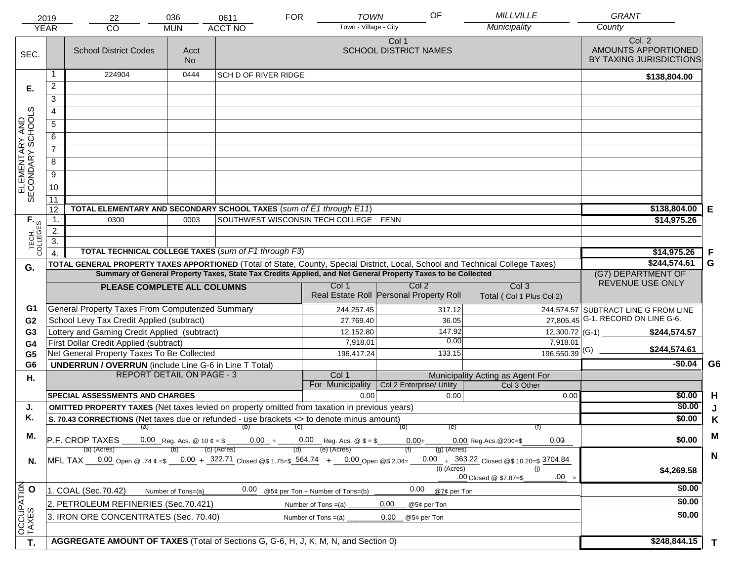|                                     | 2019<br><b>YEAR</b>                                                                                                                                                                          | 22<br><b>CO</b>                                                                                                                | 036<br><b>MUN</b>  | 0611<br><b>ACCT NO</b>      | <b>FOR</b> | <b>TOWN</b><br>Town - Village - City  | OF                                      | <b>MILLVILLE</b><br>Municipality            | <b>GRANT</b><br>County                                   |    |
|-------------------------------------|----------------------------------------------------------------------------------------------------------------------------------------------------------------------------------------------|--------------------------------------------------------------------------------------------------------------------------------|--------------------|-----------------------------|------------|---------------------------------------|-----------------------------------------|---------------------------------------------|----------------------------------------------------------|----|
| SEC.                                |                                                                                                                                                                                              | <b>School District Codes</b>                                                                                                   | Acct<br><b>No</b>  |                             |            |                                       | Col 1<br><b>SCHOOL DISTRICT NAMES</b>   |                                             | Col. 2<br>AMOUNTS APPORTIONED<br>BY TAXING JURISDICTIONS |    |
|                                     |                                                                                                                                                                                              | 224904                                                                                                                         | 0444               | <b>SCH D OF RIVER RIDGE</b> |            |                                       |                                         |                                             | \$138,804.00                                             |    |
| Е.                                  | $\overline{2}$                                                                                                                                                                               |                                                                                                                                |                    |                             |            |                                       |                                         |                                             |                                                          |    |
|                                     | 3                                                                                                                                                                                            |                                                                                                                                |                    |                             |            |                                       |                                         |                                             |                                                          |    |
|                                     | $\overline{4}$                                                                                                                                                                               |                                                                                                                                |                    |                             |            |                                       |                                         |                                             |                                                          |    |
|                                     | 5                                                                                                                                                                                            |                                                                                                                                |                    |                             |            |                                       |                                         |                                             |                                                          |    |
|                                     | 6                                                                                                                                                                                            |                                                                                                                                |                    |                             |            |                                       |                                         |                                             |                                                          |    |
| ELEMENTARY AND<br>SECONDARY SCHOOLS | $\overline{7}$                                                                                                                                                                               |                                                                                                                                |                    |                             |            |                                       |                                         |                                             |                                                          |    |
|                                     | 8                                                                                                                                                                                            |                                                                                                                                |                    |                             |            |                                       |                                         |                                             |                                                          |    |
|                                     | $\overline{9}$                                                                                                                                                                               |                                                                                                                                |                    |                             |            |                                       |                                         |                                             |                                                          |    |
|                                     | 10                                                                                                                                                                                           |                                                                                                                                |                    |                             |            |                                       |                                         |                                             |                                                          |    |
|                                     | 11                                                                                                                                                                                           |                                                                                                                                |                    |                             |            |                                       |                                         |                                             |                                                          |    |
|                                     | 12                                                                                                                                                                                           | TOTAL ELEMENTARY AND SECONDARY SCHOOL TAXES (sum of E1 through E11)                                                            |                    |                             |            |                                       |                                         |                                             | \$138,804.00                                             | Е  |
|                                     | $\mathbf 1$ .                                                                                                                                                                                | 0300                                                                                                                           | 0003               |                             |            | SOUTHWEST WISCONSIN TECH COLLEGE FENN |                                         |                                             | \$14,975.26                                              |    |
|                                     | 2.                                                                                                                                                                                           |                                                                                                                                |                    |                             |            |                                       |                                         |                                             |                                                          |    |
| TECH. T                             | 3.                                                                                                                                                                                           |                                                                                                                                |                    |                             |            |                                       |                                         |                                             |                                                          |    |
|                                     | $\overline{4}$                                                                                                                                                                               | <b>TOTAL TECHNICAL COLLEGE TAXES (sum of F1 through F3)</b>                                                                    |                    |                             |            |                                       |                                         |                                             | \$14,975.26                                              | F  |
| G.                                  |                                                                                                                                                                                              | TOTAL GENERAL PROPERTY TAXES APPORTIONED (Total of State, County, Special District, Local, School and Technical College Taxes) |                    |                             |            |                                       |                                         |                                             | \$244,574.61<br>(G7) DEPARTMENT OF                       | G  |
|                                     | Summary of General Property Taxes, State Tax Credits Applied, and Net General Property Taxes to be Collected<br>Col <sub>2</sub><br>Col <sub>3</sub><br>Col 1<br>PLEASE COMPLETE ALL COLUMNS |                                                                                                                                |                    |                             |            |                                       |                                         |                                             | REVENUE USE ONLY                                         |    |
|                                     |                                                                                                                                                                                              |                                                                                                                                |                    |                             |            |                                       | Real Estate Roll Personal Property Roll | Total (Col 1 Plus Col 2)                    |                                                          |    |
| G1                                  |                                                                                                                                                                                              | General Property Taxes From Computerized Summary                                                                               |                    |                             |            | 244,257.45                            | 317.12                                  |                                             | 244,574.57 SUBTRACT LINE G FROM LINE                     |    |
| G <sub>2</sub>                      |                                                                                                                                                                                              | School Levy Tax Credit Applied (subtract)                                                                                      |                    |                             |            | 27,769.40                             | 36.05                                   |                                             | 27,805.45 G-1. RECORD ON LINE G-6.                       |    |
| G <sub>3</sub>                      |                                                                                                                                                                                              | Lottery and Gaming Credit Applied (subtract)                                                                                   |                    |                             |            | 12,152.80                             | 147.92                                  | 12,300.72 (G-1) $-$                         | \$244,574.57                                             |    |
| G4                                  |                                                                                                                                                                                              | First Dollar Credit Applied (subtract)                                                                                         |                    |                             |            | 7,918.01                              | 0.00                                    | 7,918.01                                    | \$244,574.61                                             |    |
| G <sub>5</sub>                      |                                                                                                                                                                                              | Net General Property Taxes To Be Collected                                                                                     |                    |                             |            | 196,417.24                            | 133.15                                  | $196,550.39$ <sup>(G)</sup>                 |                                                          |    |
| G <sub>6</sub>                      |                                                                                                                                                                                              | <b>UNDERRUN / OVERRUN</b> (include Line G-6 in Line T Total)<br><b>REPORT DETAIL ON PAGE - 3</b>                               |                    |                             |            | Col 1                                 |                                         | Municipality Acting as Agent For            | $-$0.04$                                                 | G6 |
| Η.                                  |                                                                                                                                                                                              |                                                                                                                                |                    |                             |            | For Municipality                      | Col 2 Enterprise/ Utility               | Col 3 Other                                 |                                                          |    |
|                                     |                                                                                                                                                                                              | <b>SPECIAL ASSESSMENTS AND CHARGES</b>                                                                                         |                    |                             |            | 0.00                                  | 0.00                                    | 0.00                                        | \$0.00                                                   | H  |
| J.                                  |                                                                                                                                                                                              | <b>OMITTED PROPERTY TAXES</b> (Net taxes levied on property omitted from taxation in previous years)                           |                    | \$0.00                      | J          |                                       |                                         |                                             |                                                          |    |
| Κ.                                  |                                                                                                                                                                                              | S. 70.43 CORRECTIONS (Net taxes due or refunded - use brackets <> to denote minus amount)                                      |                    | \$0.00                      | K          |                                       |                                         |                                             |                                                          |    |
| М.                                  |                                                                                                                                                                                              | (a)                                                                                                                            |                    | (b)                         | (C)        |                                       | (d)<br>(e)                              | (f)                                         |                                                          | M  |
|                                     |                                                                                                                                                                                              | P.F. CROP TAXES<br>(a) (Acres)                                                                                                 |                    | (c) (Acres)                 |            | (e) (Acres)                           | $0.00 +$<br>$(g)$ (Acres)               | 0.00<br>$0.00$ Reg. Acs. @ $20¢ = $$        | \$0.00                                                   |    |
| N.                                  |                                                                                                                                                                                              | MFL TAX 0.00 Open @ .74 $\varphi = 0.00 + 322.71$ Closed @ \$ 1.75= \$564.74 + 0.00 Open @ \$ 2.04=                            |                    |                             |            |                                       |                                         | 0.00 $+$ 363.22 Closed @\$ 10.20=\$ 3704.84 |                                                          | N  |
|                                     |                                                                                                                                                                                              |                                                                                                                                |                    |                             |            |                                       | $(i)$ (Acres)                           | (i)                                         | \$4,269.58                                               |    |
|                                     |                                                                                                                                                                                              |                                                                                                                                |                    |                             |            |                                       |                                         | $.00 =$<br>.00 Closed @ \$7.87=\$           |                                                          |    |
|                                     |                                                                                                                                                                                              | 1. COAL (Sec.70.42)                                                                                                            | Number of Tons=(a) | 0.00                        |            | @5¢ per Ton + Number of Tons=(b)      | 0.00<br>@7¢ per Ton                     |                                             | \$0.00                                                   |    |
|                                     |                                                                                                                                                                                              | 2. PETROLEUM REFINERIES (Sec.70.421)                                                                                           |                    |                             |            | Number of Tons $=(a)$                 | 0.00<br>@5¢ per Ton                     |                                             | \$0.00                                                   |    |
|                                     |                                                                                                                                                                                              | 3. IRON ORE CONCENTRATES (Sec. 70.40)                                                                                          |                    |                             |            | Number of Tons $=(a)$                 | 0.00<br>@5¢ per Ton                     |                                             | \$0.00                                                   |    |
| OCCUPATION                          |                                                                                                                                                                                              |                                                                                                                                |                    |                             |            |                                       |                                         |                                             |                                                          |    |
| T.                                  |                                                                                                                                                                                              | AGGREGATE AMOUNT OF TAXES (Total of Sections G, G-6, H, J, K, M, N, and Section 0)                                             | \$248,844.15       | T                           |            |                                       |                                         |                                             |                                                          |    |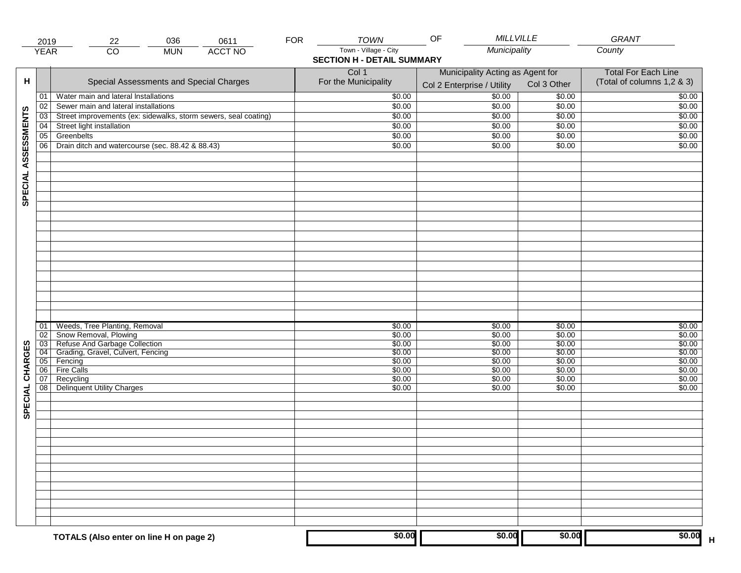|                     | 2019            | 036<br>22                                                          | <b>FOR</b><br>0611 | <b>TOWN</b>                                                | <b>MILLVILLE</b><br>OF                                         |                            | GRANT                                                    |
|---------------------|-----------------|--------------------------------------------------------------------|--------------------|------------------------------------------------------------|----------------------------------------------------------------|----------------------------|----------------------------------------------------------|
|                     | <b>YEAR</b>     | $\overline{CO}$<br><b>MUN</b>                                      | <b>ACCT NO</b>     | Town - Village - City<br><b>SECTION H - DETAIL SUMMARY</b> | Municipality                                                   |                            | County                                                   |
| н                   |                 | Special Assessments and Special Charges                            |                    | Col 1<br>For the Municipality                              | Municipality Acting as Agent for<br>Col 2 Enterprise / Utility | Col 3 Other                | <b>Total For Each Line</b><br>(Total of columns 1,2 & 3) |
|                     | 01              | Water main and lateral Installations                               |                    | \$0.00                                                     | 50.00                                                          | \$0.00                     | \$0.00                                                   |
|                     | 02              | Sewer main and lateral installations                               |                    | \$0.00                                                     | \$0.00                                                         | \$0.00                     | \$0.00                                                   |
|                     | 03              | Street improvements (ex: sidewalks, storm sewers, seal coating)    |                    | \$0.00                                                     | \$0.00                                                         | \$0.00                     | \$0.00                                                   |
|                     | 04              | Street light installation                                          |                    | \$0.00                                                     | \$0.00                                                         | \$0.00                     | \$0.00                                                   |
|                     | 05              | Greenbelts                                                         |                    | \$0.00                                                     | \$0.00                                                         | \$0.00                     | \$0.00                                                   |
|                     | 06              | Drain ditch and watercourse (sec. 88.42 & 88.43)                   |                    | \$0.00                                                     | \$0.00                                                         | \$0.00                     | \$0.00                                                   |
| SPECIAL ASSESSMENTS |                 |                                                                    |                    |                                                            |                                                                |                            |                                                          |
|                     | 01<br>02<br>03  | Weeds, Tree Planting, Removal<br>Snow Removal, Plowing             |                    | \$0.00<br>\$0.00<br>\$0.00                                 | \$0.00<br>\$0.00<br>\$0.00                                     | \$0.00<br>\$0.00<br>\$0.00 | \$0.00<br>\$0.00<br>\$0.00                               |
| CHARGES             | $\overline{04}$ | Refuse And Garbage Collection<br>Grading, Gravel, Culvert, Fencing |                    | \$0.00                                                     | \$0.00                                                         | \$0.00                     | \$0.00                                                   |
|                     |                 | 05 Fencing                                                         |                    | \$0.00                                                     | \$0.00                                                         | \$0.00                     | \$0.00                                                   |
|                     | 06              | Fire Calls                                                         |                    | \$0.00                                                     | \$0.00                                                         | \$0.00                     | \$0.00                                                   |
| SPECIAL             | 07<br>08        | Recycling<br><b>Delinquent Utility Charges</b>                     |                    | \$0.00<br>\$0.00                                           | \$0.00<br>\$0.00                                               | \$0.00<br>\$0.00           | \$0.00<br>\$0.00                                         |
|                     |                 |                                                                    |                    |                                                            |                                                                |                            |                                                          |
|                     |                 |                                                                    |                    |                                                            |                                                                |                            |                                                          |
|                     |                 |                                                                    |                    |                                                            |                                                                |                            |                                                          |
|                     |                 | TOTALS (Also enter on line H on page 2)                            |                    | \$0.00                                                     | \$0.00                                                         | \$0.00                     | \$0.00                                                   |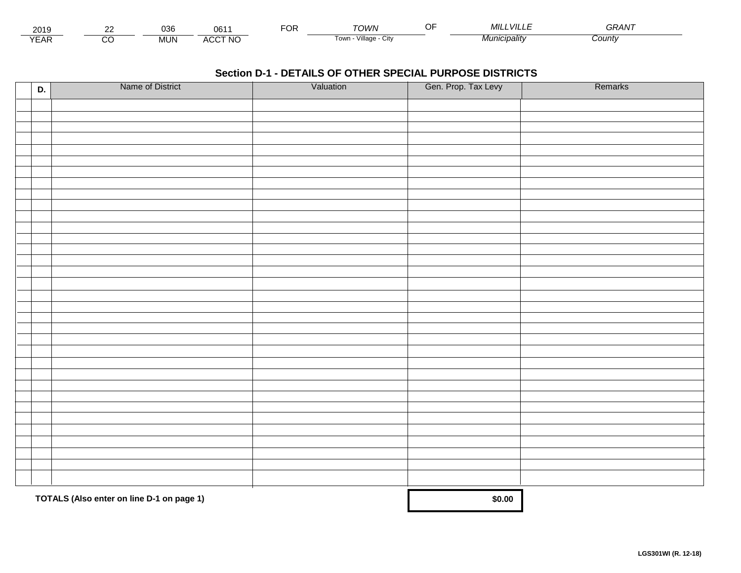| 2010<br>∠ບ≀ະ      | $\sim$<br>JJU                      | .                   | -^'<br>◡ | <b>OWN</b>              | .VILL<br>МII          | <b>^^</b><br>GRAN |  |
|-------------------|------------------------------------|---------------------|----------|-------------------------|-----------------------|-------------------|--|
| $\sqrt{2}$<br>'AN | <br><b>AL 13</b><br>INL<br>171 U . | <b>CCT NO</b><br>AU |          | villade<br>i own<br>URV | ™ <i>lunıcipalitv</i> | Count             |  |

| D. | Name of District                          | Valuation | Gen. Prop. Tax Levy | Remarks |
|----|-------------------------------------------|-----------|---------------------|---------|
|    |                                           |           |                     |         |
|    |                                           |           |                     |         |
|    |                                           |           |                     |         |
|    |                                           |           |                     |         |
|    |                                           |           |                     |         |
|    |                                           |           |                     |         |
|    |                                           |           |                     |         |
|    |                                           |           |                     |         |
|    |                                           |           |                     |         |
|    |                                           |           |                     |         |
|    |                                           |           |                     |         |
|    |                                           |           |                     |         |
|    |                                           |           |                     |         |
|    |                                           |           |                     |         |
|    |                                           |           |                     |         |
|    |                                           |           |                     |         |
|    |                                           |           |                     |         |
|    |                                           |           |                     |         |
|    |                                           |           |                     |         |
|    |                                           |           |                     |         |
|    |                                           |           |                     |         |
|    |                                           |           |                     |         |
|    |                                           |           |                     |         |
|    |                                           |           |                     |         |
|    |                                           |           |                     |         |
|    |                                           |           |                     |         |
|    |                                           |           |                     |         |
|    |                                           |           |                     |         |
|    |                                           |           |                     |         |
|    |                                           |           |                     |         |
|    | TOTALS (Also enter on line D-1 on page 1) |           | \$0.00              |         |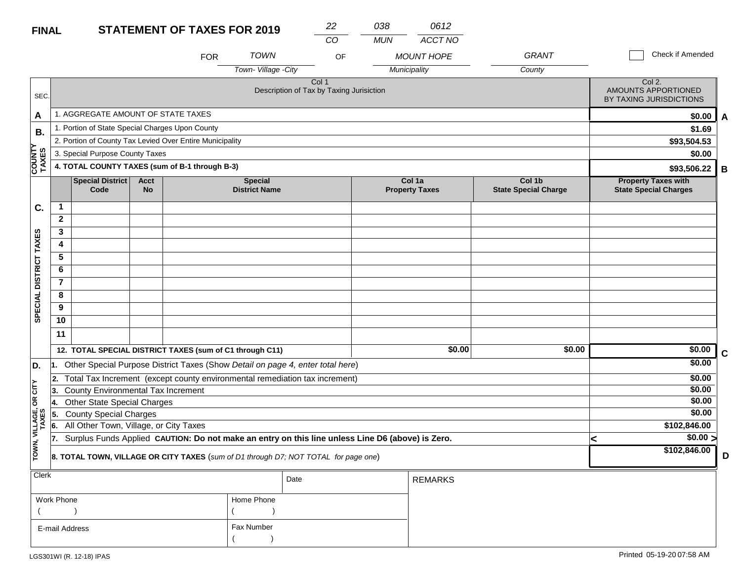#### **STATEMENT OF TAYES EOD 2040 FINAL**

| <b>FINAL</b>           |                                          |                                                                                                  |                          | <b>STATEMENT OF TAXES FOR 2019</b> |                                        | 22                                                | 038        | 0612                            |                                       |                                                            |                   |   |
|------------------------|------------------------------------------|--------------------------------------------------------------------------------------------------|--------------------------|------------------------------------|----------------------------------------|---------------------------------------------------|------------|---------------------------------|---------------------------------------|------------------------------------------------------------|-------------------|---|
|                        |                                          |                                                                                                  |                          |                                    |                                        | CO                                                | <b>MUN</b> | ACCT NO                         |                                       |                                                            |                   |   |
|                        |                                          |                                                                                                  |                          | <b>FOR</b>                         | <b>TOWN</b>                            | OF                                                |            | <b>MOUNT HOPE</b>               | <b>GRANT</b>                          |                                                            | Check if Amended  |   |
|                        |                                          |                                                                                                  |                          |                                    | Town-Village - City                    |                                                   |            | Municipality                    | County                                |                                                            |                   |   |
| SEC.                   |                                          |                                                                                                  |                          |                                    |                                        | Col 1<br>Description of Tax by Taxing Jurisiction |            |                                 |                                       | Col 2.<br>AMOUNTS APPORTIONED<br>BY TAXING JURISDICTIONS   |                   |   |
| A                      |                                          | 1. AGGREGATE AMOUNT OF STATE TAXES                                                               |                          |                                    |                                        |                                                   |            |                                 |                                       |                                                            | \$0.00            | A |
| В.                     |                                          | 1. Portion of State Special Charges Upon County                                                  |                          |                                    |                                        |                                                   |            |                                 |                                       |                                                            | \$1.69            |   |
|                        |                                          | 2. Portion of County Tax Levied Over Entire Municipality                                         |                          |                                    |                                        |                                                   |            |                                 |                                       |                                                            | \$93,504.53       |   |
|                        |                                          | 3. Special Purpose County Taxes                                                                  |                          |                                    |                                        |                                                   |            |                                 |                                       |                                                            | \$0.00            |   |
| <b>COUNTY</b><br>TAXES |                                          | 4. TOTAL COUNTY TAXES (sum of B-1 through B-3)                                                   |                          |                                    |                                        |                                                   |            |                                 |                                       |                                                            | \$93,506.22<br>В  |   |
|                        |                                          | <b>Special District</b><br>Code                                                                  | <b>Acct</b><br><b>No</b> |                                    | <b>Special</b><br><b>District Name</b> |                                                   |            | Col 1a<br><b>Property Taxes</b> | Col 1b<br><b>State Special Charge</b> | <b>Property Taxes with</b><br><b>State Special Charges</b> |                   |   |
| C.                     | $\mathbf 1$                              |                                                                                                  |                          |                                    |                                        |                                                   |            |                                 |                                       |                                                            |                   |   |
|                        | $\mathbf{2}$                             |                                                                                                  |                          |                                    |                                        |                                                   |            |                                 |                                       |                                                            |                   |   |
| SPECIAL DISTRICT TAXES | 3                                        |                                                                                                  |                          |                                    |                                        |                                                   |            |                                 |                                       |                                                            |                   |   |
|                        | 4                                        |                                                                                                  |                          |                                    |                                        |                                                   |            |                                 |                                       |                                                            |                   |   |
|                        | 5                                        |                                                                                                  |                          |                                    |                                        |                                                   |            |                                 |                                       |                                                            |                   |   |
|                        | 6                                        |                                                                                                  |                          |                                    |                                        |                                                   |            |                                 |                                       |                                                            |                   |   |
|                        | $\overline{7}$                           |                                                                                                  |                          |                                    |                                        |                                                   |            |                                 |                                       |                                                            |                   |   |
|                        | 8                                        |                                                                                                  |                          |                                    |                                        |                                                   |            |                                 |                                       |                                                            |                   |   |
|                        | 9                                        |                                                                                                  |                          |                                    |                                        |                                                   |            |                                 |                                       |                                                            |                   |   |
|                        | 10                                       |                                                                                                  |                          |                                    |                                        |                                                   |            |                                 |                                       |                                                            |                   |   |
|                        | 11                                       |                                                                                                  |                          |                                    |                                        |                                                   |            |                                 |                                       |                                                            |                   |   |
|                        |                                          | 12. TOTAL SPECIAL DISTRICT TAXES (sum of C1 through C11)                                         |                          |                                    |                                        |                                                   |            | \$0.00                          | \$0.00                                |                                                            | \$0.00<br>C       |   |
| D.                     | 11.                                      | Other Special Purpose District Taxes (Show Detail on page 4, enter total here)                   |                          |                                    |                                        |                                                   |            |                                 |                                       |                                                            | \$0.00            |   |
|                        |                                          | 2. Total Tax Increment (except county environmental remediation tax increment)                   |                          |                                    |                                        |                                                   |            |                                 |                                       |                                                            | \$0.00            |   |
| <b>CITY</b>            | County Environmental Tax Increment<br>3. |                                                                                                  |                          |                                    |                                        |                                                   |            |                                 |                                       |                                                            | \$0.00            |   |
| g                      | 4.                                       | <b>Other State Special Charges</b>                                                               |                          |                                    |                                        |                                                   |            |                                 |                                       |                                                            | \$0.00            |   |
|                        | 5.                                       | <b>County Special Charges</b>                                                                    |                          |                                    |                                        |                                                   |            |                                 |                                       |                                                            | \$0.00            |   |
| VILLAGE,<br>TAXES      | 6.                                       | All Other Town, Village, or City Taxes                                                           |                          |                                    |                                        |                                                   |            |                                 |                                       |                                                            | \$102,846.00      |   |
|                        | 17.                                      | Surplus Funds Applied CAUTION: Do not make an entry on this line unless Line D6 (above) is Zero. |                          |                                    |                                        |                                                   |            |                                 |                                       | <                                                          | \$0.00 >          |   |
| TOWN,                  |                                          | 8. TOTAL TOWN, VILLAGE OR CITY TAXES (sum of D1 through D7; NOT TOTAL for page one)              |                          |                                    |                                        |                                                   |            |                                 |                                       |                                                            | \$102,846.00<br>D |   |
| Clerk                  |                                          |                                                                                                  |                          |                                    |                                        | Date                                              |            | <b>REMARKS</b>                  |                                       |                                                            |                   |   |

| $\ddotsc$      |            | Date | REMARKS |
|----------------|------------|------|---------|
| Work Phone     | Home Phone |      |         |
|                |            |      |         |
| E-mail Address | Fax Number |      |         |
|                |            |      |         |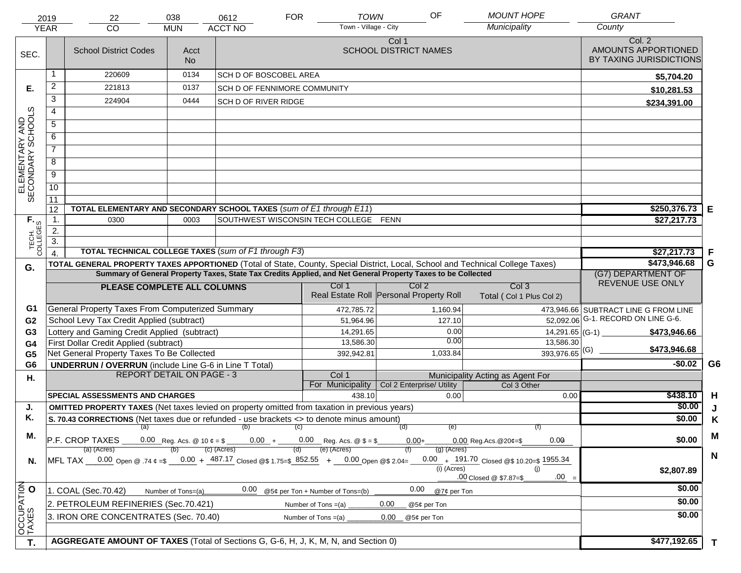|                                     | 2019             | 22                                                                                                                             | 038                              | 0612                                  | <b>FOR</b>            | <b>TOWN</b>                      | OF                                                                                                           | <b>MOUNT HOPE</b>                               | <b>GRANT</b>                                             |                |
|-------------------------------------|------------------|--------------------------------------------------------------------------------------------------------------------------------|----------------------------------|---------------------------------------|-----------------------|----------------------------------|--------------------------------------------------------------------------------------------------------------|-------------------------------------------------|----------------------------------------------------------|----------------|
|                                     | <b>YEAR</b>      | CO                                                                                                                             | <b>MUN</b>                       | <b>ACCT NO</b>                        |                       | Town - Village - City            |                                                                                                              | Municipality                                    | County                                                   |                |
| SEC.                                |                  | <b>School District Codes</b>                                                                                                   | Acct<br><b>No</b>                |                                       |                       |                                  | Col 1<br><b>SCHOOL DISTRICT NAMES</b>                                                                        |                                                 | Col. 2<br>AMOUNTS APPORTIONED<br>BY TAXING JURISDICTIONS |                |
|                                     |                  | 220609                                                                                                                         | 0134                             | <b>SCH D OF BOSCOBEL AREA</b>         |                       |                                  |                                                                                                              |                                                 | \$5,704.20                                               |                |
| Е.                                  | $\overline{2}$   | 221813                                                                                                                         | 0137                             | <b>SCH D OF FENNIMORE COMMUNITY</b>   |                       |                                  |                                                                                                              |                                                 | \$10,281.53                                              |                |
|                                     | 3                | 224904                                                                                                                         | 0444                             | <b>SCH D OF RIVER RIDGE</b>           |                       |                                  |                                                                                                              |                                                 | \$234,391.00                                             |                |
|                                     | $\overline{4}$   |                                                                                                                                |                                  |                                       |                       |                                  |                                                                                                              |                                                 |                                                          |                |
|                                     | $\overline{5}$   |                                                                                                                                |                                  |                                       |                       |                                  |                                                                                                              |                                                 |                                                          |                |
|                                     | 6                |                                                                                                                                |                                  |                                       |                       |                                  |                                                                                                              |                                                 |                                                          |                |
|                                     | $\overline{7}$   |                                                                                                                                |                                  |                                       |                       |                                  |                                                                                                              |                                                 |                                                          |                |
| ELEMENTARY AND<br>SECONDARY SCHOOLS | 8                |                                                                                                                                |                                  |                                       |                       |                                  |                                                                                                              |                                                 |                                                          |                |
|                                     | $\overline{9}$   |                                                                                                                                |                                  |                                       |                       |                                  |                                                                                                              |                                                 |                                                          |                |
|                                     | 10               |                                                                                                                                |                                  |                                       |                       |                                  |                                                                                                              |                                                 |                                                          |                |
|                                     | $\overline{11}$  |                                                                                                                                |                                  |                                       |                       |                                  |                                                                                                              |                                                 |                                                          |                |
|                                     | 12               | TOTAL ELEMENTARY AND SECONDARY SCHOOL TAXES (sum of E1 through E11)                                                            |                                  |                                       |                       |                                  |                                                                                                              |                                                 | \$250,376.73                                             | Е              |
| TECH. T                             | 1.               | 0300                                                                                                                           | 0003                             | SOUTHWEST WISCONSIN TECH COLLEGE FENN |                       |                                  |                                                                                                              |                                                 | \$27,217.73                                              |                |
|                                     | 2.               |                                                                                                                                |                                  |                                       |                       |                                  |                                                                                                              |                                                 |                                                          |                |
|                                     | $\overline{3}$ . | <b>TOTAL TECHNICAL COLLEGE TAXES (sum of F1 through F3)</b>                                                                    |                                  |                                       |                       |                                  |                                                                                                              |                                                 |                                                          |                |
|                                     | $\overline{4}$   | TOTAL GENERAL PROPERTY TAXES APPORTIONED (Total of State, County, Special District, Local, School and Technical College Taxes) | \$27,217.73<br>\$473,946.68      | F<br>G                                |                       |                                  |                                                                                                              |                                                 |                                                          |                |
| G.                                  |                  |                                                                                                                                |                                  |                                       |                       |                                  | Summary of General Property Taxes, State Tax Credits Applied, and Net General Property Taxes to be Collected |                                                 | (G7) DEPARTMENT OF                                       |                |
|                                     |                  | PLEASE COMPLETE ALL COLUMNS                                                                                                    | REVENUE USE ONLY                 |                                       |                       |                                  |                                                                                                              |                                                 |                                                          |                |
|                                     |                  |                                                                                                                                |                                  |                                       |                       |                                  | Real Estate Roll Personal Property Roll                                                                      | Col <sub>3</sub><br>Total (Col 1 Plus Col 2)    |                                                          |                |
| G1                                  |                  | General Property Taxes From Computerized Summary                                                                               |                                  |                                       |                       | 472,785.72                       | 1,160.94                                                                                                     |                                                 | 473,946.66 SUBTRACT LINE G FROM LINE                     |                |
| G <sub>2</sub>                      |                  | School Levy Tax Credit Applied (subtract)                                                                                      |                                  |                                       |                       | 51,964.96                        | 127.10                                                                                                       |                                                 | 52,092.06 G-1. RECORD ON LINE G-6.                       |                |
| G <sub>3</sub>                      |                  | Lottery and Gaming Credit Applied (subtract)                                                                                   |                                  |                                       |                       | 14,291.65                        |                                                                                                              | 0.00                                            | $14,291.65$ (G-1) __<br>\$473,946.66                     |                |
| G4                                  |                  | First Dollar Credit Applied (subtract)                                                                                         |                                  |                                       |                       | 13,586.30                        |                                                                                                              | 0.00<br>13,586.30                               | \$473,946.68                                             |                |
| G <sub>5</sub>                      |                  | Net General Property Taxes To Be Collected                                                                                     |                                  |                                       |                       | 392,942.81                       | 1,033.84                                                                                                     | $393,976.65$ <sup>(G)</sup>                     |                                                          |                |
| G <sub>6</sub>                      |                  | <b>UNDERRUN / OVERRUN</b> (include Line G-6 in Line T Total)                                                                   | <b>REPORT DETAIL ON PAGE - 3</b> |                                       |                       |                                  |                                                                                                              |                                                 | $-$0.02$                                                 | G <sub>6</sub> |
| Η.                                  |                  |                                                                                                                                |                                  |                                       |                       | Col 1<br>For Municipality        | Col 2 Enterprise/ Utility                                                                                    | Municipality Acting as Agent For<br>Col 3 Other |                                                          |                |
|                                     |                  | <b>SPECIAL ASSESSMENTS AND CHARGES</b>                                                                                         |                                  |                                       |                       | 438.10                           | 0.00                                                                                                         | 0.00                                            | \$438.10                                                 | H              |
| J.                                  |                  | <b>OMITTED PROPERTY TAXES</b> (Net taxes levied on property omitted from taxation in previous years)                           |                                  |                                       |                       |                                  |                                                                                                              |                                                 | \$0.00                                                   | J              |
| Κ.                                  |                  | S. 70.43 CORRECTIONS (Net taxes due or refunded - use brackets <> to denote minus amount)                                      |                                  |                                       |                       |                                  |                                                                                                              |                                                 | \$0.00                                                   | K              |
| М.                                  |                  |                                                                                                                                |                                  | $(a)$ (b) (c)                         |                       |                                  | (e)<br>(d)                                                                                                   |                                                 |                                                          | M              |
|                                     |                  | 0.00 Reg. Acs. @ 10 $\phi = $$ 0.00 + 0.00 Reg. Acs. @ \$ = \$<br>P.F. CROP TAXES                                              | \$0.00                           |                                       |                       |                                  |                                                                                                              |                                                 |                                                          |                |
|                                     |                  | (a) (Acres)<br>MFL TAX 0.00 Open @ .74 $\epsilon = 0.00 + \frac{487.17}{1000}$ Closed @\$ 1.75=\$ 852.55 + 0.00 Open @\$ 2.04= |                                  | (c) (Acres)                           |                       | (e) (Acres)                      | $(g)$ (Acres)                                                                                                | 0.00 $+$ 191.70 Closed @\$ 10.20=\$ 1955.34     |                                                          | $\mathbf N$    |
| N.                                  |                  |                                                                                                                                |                                  |                                       |                       |                                  | (i) (Acres)                                                                                                  | (i)                                             | \$2,807.89                                               |                |
|                                     |                  |                                                                                                                                |                                  |                                       |                       |                                  |                                                                                                              | $.00 =$<br>.00 Closed @ \$7.87=\$               |                                                          |                |
|                                     |                  | 1. COAL (Sec.70.42)                                                                                                            | Number of Tons=(a)               | 0.00                                  |                       | @5¢ per Ton + Number of Tons=(b) | 0.00<br>@7¢ per Ton                                                                                          |                                                 | \$0.00                                                   |                |
|                                     |                  | 2. PETROLEUM REFINERIES (Sec.70.421)                                                                                           |                                  |                                       |                       | Number of Tons $=(a)$            | 0.00<br>@5¢ per Ton                                                                                          |                                                 | \$0.00                                                   |                |
|                                     |                  | 3. IRON ORE CONCENTRATES (Sec. 70.40)                                                                                          |                                  |                                       | Number of Tons $=(a)$ |                                  | 0.00<br>@5¢ per Ton                                                                                          |                                                 | \$0.00                                                   |                |
| OCCUPATION<br>TAXES O               |                  |                                                                                                                                |                                  |                                       |                       |                                  |                                                                                                              |                                                 |                                                          |                |
| T.                                  |                  | AGGREGATE AMOUNT OF TAXES (Total of Sections G, G-6, H, J, K, M, N, and Section 0)                                             |                                  |                                       |                       |                                  |                                                                                                              |                                                 | \$477,192.65                                             | $\mathbf T$    |
|                                     |                  |                                                                                                                                |                                  |                                       |                       |                                  |                                                                                                              |                                                 |                                                          |                |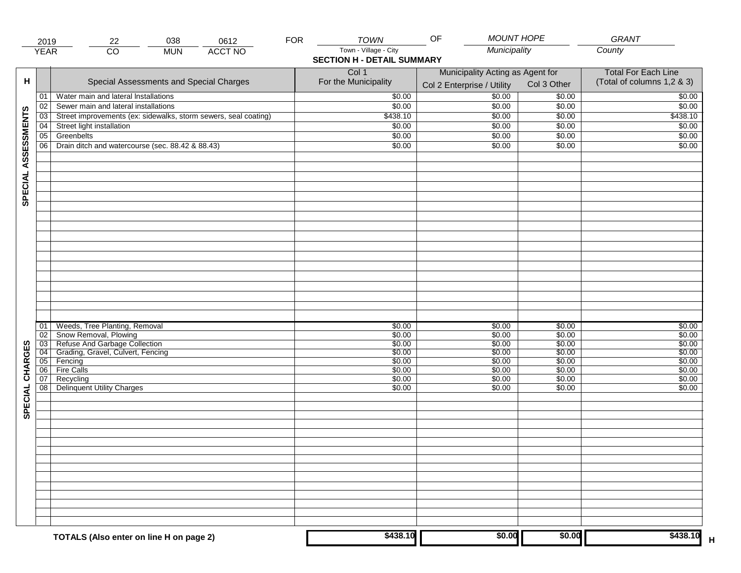|                     | 2019            | 22                                                                                                                                 | 038        | 0612           | <b>FOR</b> | <b>TOWN</b>                                                | <b>MOUNT HOPE</b><br>OF                                        |                            | GRANT                                                    |
|---------------------|-----------------|------------------------------------------------------------------------------------------------------------------------------------|------------|----------------|------------|------------------------------------------------------------|----------------------------------------------------------------|----------------------------|----------------------------------------------------------|
|                     | <b>YEAR</b>     | $\overline{CO}$                                                                                                                    | <b>MUN</b> | <b>ACCT NO</b> |            | Town - Village - City<br><b>SECTION H - DETAIL SUMMARY</b> | Municipality                                                   |                            | County                                                   |
| н                   |                 | Special Assessments and Special Charges                                                                                            |            |                |            | Col 1<br>For the Municipality                              | Municipality Acting as Agent for<br>Col 2 Enterprise / Utility | Col 3 Other                | <b>Total For Each Line</b><br>(Total of columns 1,2 & 3) |
|                     | 01              | Water main and lateral Installations                                                                                               |            |                |            | \$0.00                                                     | $\frac{1}{00}$                                                 | \$0.00                     | \$0.00                                                   |
|                     | 02              | Sewer main and lateral installations                                                                                               |            |                |            | \$0.00                                                     | \$0.00                                                         | \$0.00                     | \$0.00                                                   |
|                     | $\overline{03}$ | Street improvements (ex: sidewalks, storm sewers, seal coating)                                                                    |            |                |            | \$438.10                                                   | \$0.00                                                         | \$0.00                     | \$438.10                                                 |
|                     | 04              | Street light installation                                                                                                          |            |                |            | \$0.00                                                     | \$0.00                                                         | \$0.00                     | \$0.00                                                   |
|                     | 05              | Greenbelts                                                                                                                         |            |                |            | \$0.00                                                     | \$0.00                                                         | \$0.00                     | \$0.00                                                   |
|                     | 06              | Drain ditch and watercourse (sec. 88.42 & 88.43)                                                                                   |            |                |            | \$0.00                                                     | \$0.00                                                         | \$0.00                     | \$0.00                                                   |
| SPECIAL ASSESSMENTS |                 |                                                                                                                                    |            |                |            |                                                            |                                                                |                            |                                                          |
|                     | 01<br>02        | Weeds, Tree Planting, Removal<br>Snow Removal, Plowing<br>03 Refuse And Garbage Collection<br>04 Grading, Gravel, Culvert, Fencing |            |                |            | \$0.00<br>\$0.00<br>\$0.00                                 | \$0.00<br>\$0.00<br>\$0.00                                     | \$0.00<br>\$0.00<br>\$0.00 | \$0.00<br>\$0.00<br>\$0.00                               |
|                     |                 | 05 Fencing                                                                                                                         |            |                |            | \$0.00<br>\$0.00                                           | \$0.00<br>\$0.00                                               | \$0.00<br>\$0.00           | \$0.00<br>\$0.00                                         |
| CHARGES             | 06              | <b>Fire Calls</b>                                                                                                                  |            |                |            | \$0.00                                                     | \$0.00                                                         | \$0.00                     | \$0.00                                                   |
| SPECIAL             | 07<br>08        | Recycling<br><b>Delinquent Utility Charges</b>                                                                                     |            |                |            | \$0.00<br>\$0.00                                           | \$0.00<br>\$0.00                                               | \$0.00<br>\$0.00           | \$0.00<br>\$0.00                                         |
|                     |                 |                                                                                                                                    |            |                |            |                                                            |                                                                |                            |                                                          |
|                     |                 |                                                                                                                                    |            |                |            |                                                            |                                                                |                            |                                                          |
|                     |                 | TOTALS (Also enter on line H on page 2)                                                                                            |            |                |            | \$438.10                                                   | \$0.00                                                         | \$0.00                     | \$438.10                                                 |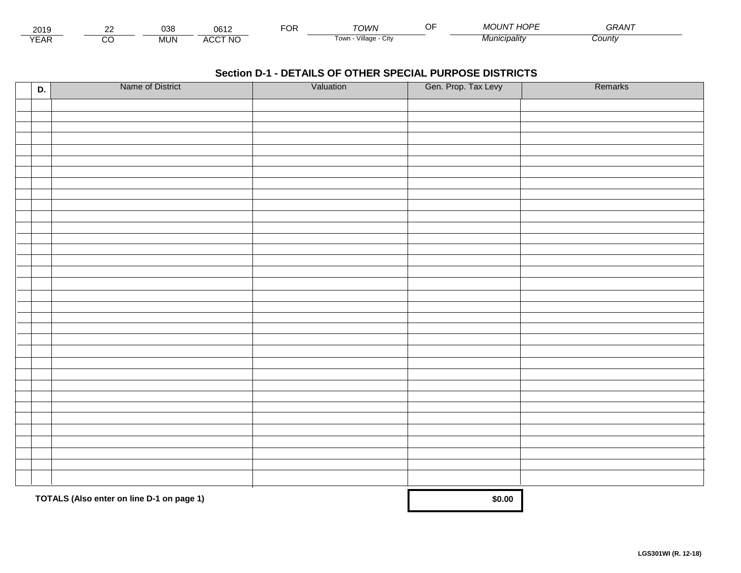| 201.                        | co | $\sim$<br>്ഗം | 0.01<br>UO.                    | <sup>-</sup> OR | ⊤∩WN                         | 1000<br>$\cdots$<br>$\overline{\phantom{a}}$<br>. JN '<br>TUP"<br>טועו | $\sim$ $\sim$ $\sim$ $\sim$<br><i>GRAN</i> |  |
|-----------------------------|----|---------------|--------------------------------|-----------------|------------------------------|------------------------------------------------------------------------|--------------------------------------------|--|
| $\sqrt{2}$<br>▵<br><b>L</b> |    | <b>MUN</b>    | CCT NC،<br>$\mathbf{u}$<br>nuu |                 | .<br>Village<br>∣own<br>יווש | * "unicipality"                                                        | :ountv                                     |  |

| D. | Name of District                          | Valuation | Gen. Prop. Tax Levy | Remarks |
|----|-------------------------------------------|-----------|---------------------|---------|
|    |                                           |           |                     |         |
|    |                                           |           |                     |         |
|    |                                           |           |                     |         |
|    |                                           |           |                     |         |
|    |                                           |           |                     |         |
|    |                                           |           |                     |         |
|    |                                           |           |                     |         |
|    |                                           |           |                     |         |
|    |                                           |           |                     |         |
|    |                                           |           |                     |         |
|    |                                           |           |                     |         |
|    |                                           |           |                     |         |
|    |                                           |           |                     |         |
|    |                                           |           |                     |         |
|    |                                           |           |                     |         |
|    |                                           |           |                     |         |
|    |                                           |           |                     |         |
|    |                                           |           |                     |         |
|    |                                           |           |                     |         |
|    |                                           |           |                     |         |
|    |                                           |           |                     |         |
|    |                                           |           |                     |         |
|    |                                           |           |                     |         |
|    |                                           |           |                     |         |
|    |                                           |           |                     |         |
|    |                                           |           |                     |         |
|    |                                           |           |                     |         |
|    |                                           |           |                     |         |
|    |                                           |           |                     |         |
|    |                                           |           |                     |         |
|    | TOTALS (Also enter on line D-1 on page 1) | \$0.00    |                     |         |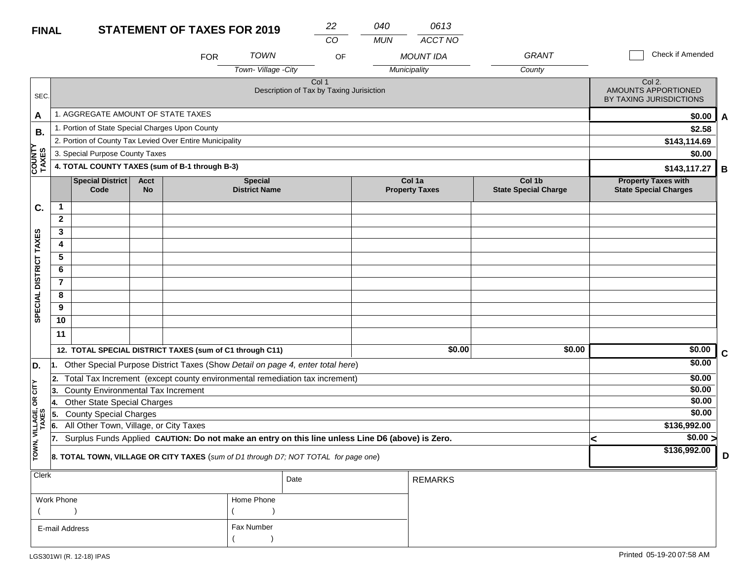#### **STATEMENT OF TAXE FINAL**

| <b>S FOR 2019</b> | 040 |
|-------------------|-----|
|                   |     |

*CO MUN ACCT NO*

*0613*

|                         |                                                                                     |                                                 |                   | <b>FOR</b>                                               | <b>TOWN</b>                            | OF                                                                                               |  | <b>MOUNT IDA</b>                | <b>GRANT</b>                          | Check if Amended                                           |             |  |
|-------------------------|-------------------------------------------------------------------------------------|-------------------------------------------------|-------------------|----------------------------------------------------------|----------------------------------------|--------------------------------------------------------------------------------------------------|--|---------------------------------|---------------------------------------|------------------------------------------------------------|-------------|--|
|                         |                                                                                     |                                                 |                   |                                                          | Town-Village - City                    |                                                                                                  |  | Municipality                    | County                                |                                                            |             |  |
| SEC.                    |                                                                                     |                                                 |                   |                                                          |                                        | Col <sub>1</sub><br>Description of Tax by Taxing Jurisiction                                     |  |                                 |                                       | Col 2.<br>AMOUNTS APPORTIONED<br>BY TAXING JURISDICTIONS   |             |  |
| A                       |                                                                                     | 1. AGGREGATE AMOUNT OF STATE TAXES              |                   |                                                          |                                        |                                                                                                  |  |                                 |                                       |                                                            | \$0.00<br>A |  |
| В.                      |                                                                                     | 1. Portion of State Special Charges Upon County |                   |                                                          |                                        |                                                                                                  |  |                                 |                                       | \$2.58                                                     |             |  |
| ≻                       |                                                                                     |                                                 |                   | 2. Portion of County Tax Levied Over Entire Municipality |                                        |                                                                                                  |  |                                 |                                       | \$143,114.69                                               |             |  |
|                         |                                                                                     | 3. Special Purpose County Taxes                 |                   |                                                          |                                        |                                                                                                  |  |                                 |                                       | \$0.00                                                     |             |  |
| <b>COUNT</b><br>TAXES   |                                                                                     |                                                 |                   | 4. TOTAL COUNTY TAXES (sum of B-1 through B-3)           |                                        |                                                                                                  |  |                                 |                                       | \$143,117.27                                               | В           |  |
|                         |                                                                                     | <b>Special District</b><br>Code                 | Acct<br><b>No</b> |                                                          | <b>Special</b><br><b>District Name</b> |                                                                                                  |  | Col 1a<br><b>Property Taxes</b> | Col 1b<br><b>State Special Charge</b> | <b>Property Taxes with</b><br><b>State Special Charges</b> |             |  |
| C.                      | 1                                                                                   |                                                 |                   |                                                          |                                        |                                                                                                  |  |                                 |                                       |                                                            |             |  |
|                         | $\mathbf{2}$                                                                        |                                                 |                   |                                                          |                                        |                                                                                                  |  |                                 |                                       |                                                            |             |  |
|                         | 3                                                                                   |                                                 |                   |                                                          |                                        |                                                                                                  |  |                                 |                                       |                                                            |             |  |
|                         | 4                                                                                   |                                                 |                   |                                                          |                                        |                                                                                                  |  |                                 |                                       |                                                            |             |  |
|                         | 5                                                                                   |                                                 |                   |                                                          |                                        |                                                                                                  |  |                                 |                                       |                                                            |             |  |
|                         | 6                                                                                   |                                                 |                   |                                                          |                                        |                                                                                                  |  |                                 |                                       |                                                            |             |  |
|                         | $\overline{7}$                                                                      |                                                 |                   |                                                          |                                        |                                                                                                  |  |                                 |                                       |                                                            |             |  |
| SPECIAL DISTRICT TAXES  | 8                                                                                   |                                                 |                   |                                                          |                                        |                                                                                                  |  |                                 |                                       |                                                            |             |  |
|                         | 9                                                                                   |                                                 |                   |                                                          |                                        |                                                                                                  |  |                                 |                                       |                                                            |             |  |
|                         | 10                                                                                  |                                                 |                   |                                                          |                                        |                                                                                                  |  |                                 |                                       |                                                            |             |  |
|                         | 11                                                                                  |                                                 |                   |                                                          |                                        |                                                                                                  |  |                                 |                                       |                                                            |             |  |
|                         |                                                                                     |                                                 |                   | 12. TOTAL SPECIAL DISTRICT TAXES (sum of C1 through C11) |                                        |                                                                                                  |  | \$0.00                          | \$0.00                                | \$0.00                                                     | C           |  |
| D.                      | 11.                                                                                 |                                                 |                   |                                                          |                                        | Other Special Purpose District Taxes (Show Detail on page 4, enter total here)                   |  |                                 |                                       | \$0.00                                                     |             |  |
|                         |                                                                                     |                                                 |                   |                                                          |                                        | 2. Total Tax Increment (except county environmental remediation tax increment)                   |  |                                 |                                       | \$0.00                                                     |             |  |
| čIL                     | 13.                                                                                 | County Environmental Tax Increment              |                   |                                                          |                                        |                                                                                                  |  |                                 |                                       | \$0.00                                                     |             |  |
| g                       | 14.                                                                                 | <b>Other State Special Charges</b>              |                   |                                                          |                                        |                                                                                                  |  |                                 |                                       | \$0.00                                                     |             |  |
|                         | 5.                                                                                  | <b>County Special Charges</b>                   |                   |                                                          |                                        |                                                                                                  |  |                                 |                                       | \$0.00                                                     |             |  |
|                         | 6.                                                                                  | All Other Town, Village, or City Taxes          |                   |                                                          |                                        |                                                                                                  |  |                                 |                                       | \$136,992.00                                               |             |  |
|                         | 17.                                                                                 |                                                 |                   |                                                          |                                        | Surplus Funds Applied CAUTION: Do not make an entry on this line unless Line D6 (above) is Zero. |  |                                 |                                       | \$0.00 ><br>K                                              |             |  |
| TOWN, VILLAGE,<br>TAXES | 8. TOTAL TOWN, VILLAGE OR CITY TAXES (sum of D1 through D7; NOT TOTAL for page one) |                                                 |                   |                                                          |                                        |                                                                                                  |  |                                 |                                       | \$136,992.00                                               | D           |  |
| Clerk                   |                                                                                     |                                                 |                   |                                                          |                                        | Date                                                                                             |  | <b>REMARKS</b>                  |                                       |                                                            |             |  |
|                         |                                                                                     |                                                 |                   |                                                          |                                        |                                                                                                  |  |                                 |                                       |                                                            |             |  |
|                         | Work Phone                                                                          |                                                 |                   |                                                          | Home Phone                             |                                                                                                  |  |                                 |                                       |                                                            |             |  |
|                         |                                                                                     |                                                 |                   |                                                          |                                        |                                                                                                  |  |                                 |                                       |                                                            |             |  |
|                         | Fax Number<br>E-mail Address                                                        |                                                 |                   |                                                          |                                        |                                                                                                  |  |                                 |                                       |                                                            |             |  |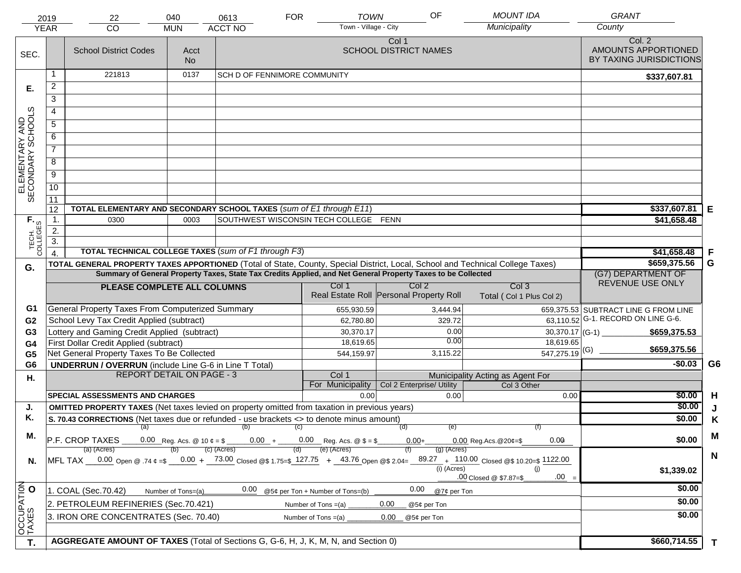|                                     | 2019<br><b>YEAR</b>                                                                                                                                                                                                                            | 22<br>CO                                                                                             | 040<br><b>MUN</b>                                       | 0613<br><b>ACCT NO</b>              | <b>FOR</b> | <b>TOWN</b><br>Town - Village - City                                     | OF                                                          | <b>MOUNT IDA</b><br>Municipality         | <b>GRANT</b><br>County                                   |                |
|-------------------------------------|------------------------------------------------------------------------------------------------------------------------------------------------------------------------------------------------------------------------------------------------|------------------------------------------------------------------------------------------------------|---------------------------------------------------------|-------------------------------------|------------|--------------------------------------------------------------------------|-------------------------------------------------------------|------------------------------------------|----------------------------------------------------------|----------------|
| SEC.                                |                                                                                                                                                                                                                                                | <b>School District Codes</b>                                                                         | Acct<br>No.                                             |                                     |            |                                                                          | Col 1<br><b>SCHOOL DISTRICT NAMES</b>                       |                                          | Col. 2<br>AMOUNTS APPORTIONED<br>BY TAXING JURISDICTIONS |                |
|                                     |                                                                                                                                                                                                                                                | 221813                                                                                               | 0137                                                    | <b>SCH D OF FENNIMORE COMMUNITY</b> |            |                                                                          |                                                             |                                          | \$337,607.81                                             |                |
| Е.                                  | $\overline{c}$                                                                                                                                                                                                                                 |                                                                                                      |                                                         |                                     |            |                                                                          |                                                             |                                          |                                                          |                |
|                                     | $\overline{3}$                                                                                                                                                                                                                                 |                                                                                                      |                                                         |                                     |            |                                                                          |                                                             |                                          |                                                          |                |
|                                     | 4                                                                                                                                                                                                                                              |                                                                                                      |                                                         |                                     |            |                                                                          |                                                             |                                          |                                                          |                |
|                                     | $\overline{5}$                                                                                                                                                                                                                                 |                                                                                                      |                                                         |                                     |            |                                                                          |                                                             |                                          |                                                          |                |
|                                     | 6                                                                                                                                                                                                                                              |                                                                                                      |                                                         |                                     |            |                                                                          |                                                             |                                          |                                                          |                |
|                                     | $\overline{7}$                                                                                                                                                                                                                                 |                                                                                                      |                                                         |                                     |            |                                                                          |                                                             |                                          |                                                          |                |
| ELEMENTARY AND<br>SECONDARY SCHOOLS | $\overline{8}$                                                                                                                                                                                                                                 |                                                                                                      |                                                         |                                     |            |                                                                          |                                                             |                                          |                                                          |                |
|                                     | $\overline{9}$                                                                                                                                                                                                                                 |                                                                                                      |                                                         |                                     |            |                                                                          |                                                             |                                          |                                                          |                |
|                                     | 10                                                                                                                                                                                                                                             |                                                                                                      |                                                         |                                     |            |                                                                          |                                                             |                                          |                                                          |                |
|                                     | 11                                                                                                                                                                                                                                             |                                                                                                      |                                                         |                                     |            |                                                                          |                                                             |                                          |                                                          |                |
|                                     | 12                                                                                                                                                                                                                                             | TOTAL ELEMENTARY AND SECONDARY SCHOOL TAXES (sum of E1 through E11)                                  |                                                         |                                     |            |                                                                          |                                                             |                                          | \$337,607.81                                             | Е              |
|                                     | 1.                                                                                                                                                                                                                                             | 0300                                                                                                 |                                                         | \$41,658.48                         |            |                                                                          |                                                             |                                          |                                                          |                |
|                                     | 2.                                                                                                                                                                                                                                             |                                                                                                      |                                                         |                                     |            |                                                                          |                                                             |                                          |                                                          |                |
| TECH. T                             | $\overline{3}$ .                                                                                                                                                                                                                               |                                                                                                      |                                                         |                                     |            |                                                                          |                                                             |                                          |                                                          |                |
|                                     |                                                                                                                                                                                                                                                | <b>TOTAL TECHNICAL COLLEGE TAXES (sum of F1 through F3)</b>                                          | \$41,658.48                                             | F                                   |            |                                                                          |                                                             |                                          |                                                          |                |
| G.                                  | TOTAL GENERAL PROPERTY TAXES APPORTIONED (Total of State, County, Special District, Local, School and Technical College Taxes)<br>Summary of General Property Taxes, State Tax Credits Applied, and Net General Property Taxes to be Collected |                                                                                                      |                                                         |                                     |            |                                                                          |                                                             |                                          | \$659,375.56<br>(G7) DEPARTMENT OF                       | G              |
|                                     |                                                                                                                                                                                                                                                |                                                                                                      | Col <sub>3</sub>                                        | REVENUE USE ONLY                    |            |                                                                          |                                                             |                                          |                                                          |                |
|                                     |                                                                                                                                                                                                                                                | PLEASE COMPLETE ALL COLUMNS                                                                          |                                                         |                                     |            | Col 1                                                                    | Col <sub>2</sub><br>Real Estate Roll Personal Property Roll | Total (Col 1 Plus Col 2)                 |                                                          |                |
| G1                                  |                                                                                                                                                                                                                                                | General Property Taxes From Computerized Summary                                                     |                                                         |                                     |            | 655,930.59                                                               | 3,444.94                                                    |                                          | 659,375.53 SUBTRACT LINE G FROM LINE                     |                |
| G <sub>2</sub>                      |                                                                                                                                                                                                                                                | School Levy Tax Credit Applied (subtract)                                                            |                                                         |                                     |            | 62,780.80                                                                | 329.72                                                      |                                          | 63,110.52 G-1. RECORD ON LINE G-6.                       |                |
| G <sub>3</sub>                      |                                                                                                                                                                                                                                                | Lottery and Gaming Credit Applied (subtract)                                                         |                                                         |                                     |            | 30,370.17                                                                | 0.00<br>0.00                                                |                                          | $30,370.17$ (G-1)<br>\$659,375.53                        |                |
| G4                                  |                                                                                                                                                                                                                                                | First Dollar Credit Applied (subtract)<br>Net General Property Taxes To Be Collected                 |                                                         |                                     |            | 18,619.65<br>544,159.97                                                  | 3,115.22                                                    | 18,619.65<br>$\overline{547,275.19}$ (G) | \$659,375.56                                             |                |
| G <sub>5</sub><br>G <sub>6</sub>    |                                                                                                                                                                                                                                                | <b>UNDERRUN / OVERRUN</b> (include Line G-6 in Line T Total)                                         |                                                         |                                     |            |                                                                          |                                                             |                                          | $-$0.03$                                                 | G <sub>6</sub> |
| Η.                                  |                                                                                                                                                                                                                                                | <b>REPORT DETAIL ON PAGE - 3</b>                                                                     |                                                         |                                     |            | Col 1                                                                    |                                                             | Municipality Acting as Agent For         |                                                          |                |
|                                     |                                                                                                                                                                                                                                                |                                                                                                      |                                                         |                                     |            | For Municipality                                                         | Col 2 Enterprise/ Utility                                   | Col 3 Other                              |                                                          |                |
|                                     |                                                                                                                                                                                                                                                | <b>SPECIAL ASSESSMENTS AND CHARGES</b>                                                               |                                                         |                                     |            | 0.00                                                                     | 0.00                                                        | 0.00                                     | \$0.00                                                   | H              |
| J.                                  |                                                                                                                                                                                                                                                | <b>OMITTED PROPERTY TAXES</b> (Net taxes levied on property omitted from taxation in previous years) |                                                         |                                     |            |                                                                          |                                                             |                                          | \$0.00                                                   | J              |
| Κ.                                  |                                                                                                                                                                                                                                                | S. 70.43 CORRECTIONS (Net taxes due or refunded - use brackets <> to denote minus amount)            |                                                         | (a) (b) (c)                         |            |                                                                          | (e)<br>(d)                                                  | (f)                                      | \$0.00                                                   | K              |
| М.                                  |                                                                                                                                                                                                                                                | P.F. CROP TAXES                                                                                      |                                                         |                                     |            | 0.00 Reg. Acs. @ 10 $\ell = \frac{1}{2}$ 0.00 + 0.00 Reg. Acs. @ \$ = \$ | $0.00 +$                                                    | 0.00<br>$0.00$ Reg. Acs. @ 20¢=\$        | \$0.00                                                   | M              |
|                                     | (e) (Acres)<br>(c) (Acres)<br>(a) (Acres)<br>$(q)$ (Acres)<br>(d)<br>$MFL TAX = 0.00$ Open @ .74 $\varphi = $ -0.00 + 73.00$ Closed @\$ 1.75=\$ 127.75 + 43.76 Open @\$ 2.04= $89.27 + 110.00$ Closed @\$ 10.20=\$ 1122.00                     |                                                                                                      |                                                         |                                     |            |                                                                          |                                                             |                                          |                                                          | $\mathbf N$    |
| N.                                  |                                                                                                                                                                                                                                                |                                                                                                      | (i) (Acres)<br>(i)<br>$.00 =$<br>.00 Closed @ \$7.87=\$ | \$1,339.02                          |            |                                                                          |                                                             |                                          |                                                          |                |
|                                     |                                                                                                                                                                                                                                                | 1. COAL (Sec.70.42)                                                                                  | Number of Tons=(a)                                      | 0.00                                |            | @5¢ per Ton + Number of Tons=(b)                                         | 0.00<br>@7¢ per Ton                                         |                                          | \$0.00                                                   |                |
|                                     |                                                                                                                                                                                                                                                | 2. PETROLEUM REFINERIES (Sec.70.421)                                                                 |                                                         |                                     |            | Number of Tons $=(a)$                                                    | 0.00<br>@5¢ per Ton                                         |                                          | \$0.00                                                   |                |
| OCCUPATION                          | 3. IRON ORE CONCENTRATES (Sec. 70.40)<br>0.00<br>Number of Tons $=(a)$<br>@5¢ per Ton                                                                                                                                                          |                                                                                                      |                                                         |                                     |            |                                                                          |                                                             |                                          | \$0.00                                                   |                |
| T.                                  |                                                                                                                                                                                                                                                | AGGREGATE AMOUNT OF TAXES (Total of Sections G, G-6, H, J, K, M, N, and Section 0)                   |                                                         |                                     |            |                                                                          |                                                             |                                          | \$660,714.55                                             | $\mathbf{T}$   |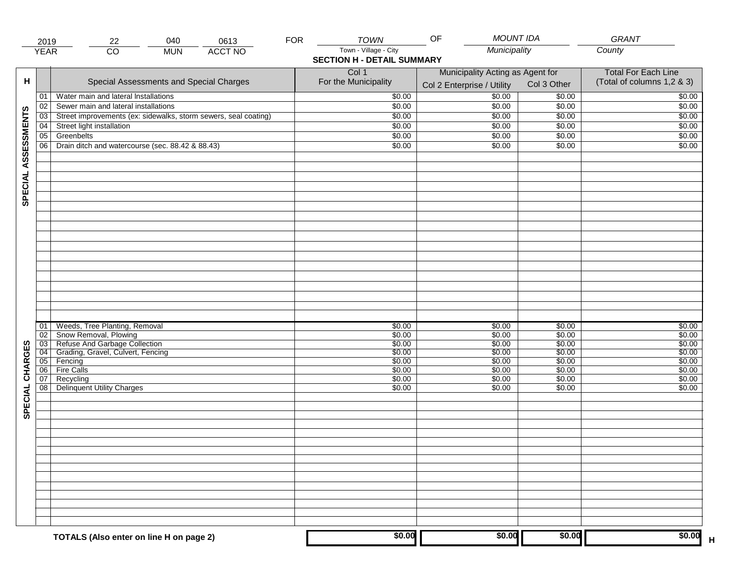|                     | 2019            | 040<br>22                                                                | 0613           | <b>FOR</b> | <b>TOWN</b>                                                | <b>MOUNT IDA</b><br>OF                                         |                  | GRANT                                                    |
|---------------------|-----------------|--------------------------------------------------------------------------|----------------|------------|------------------------------------------------------------|----------------------------------------------------------------|------------------|----------------------------------------------------------|
|                     | <b>YEAR</b>     | $\overline{CO}$<br><b>MUN</b>                                            | <b>ACCT NO</b> |            | Town - Village - City<br><b>SECTION H - DETAIL SUMMARY</b> | Municipality                                                   |                  | County                                                   |
| н                   |                 | Special Assessments and Special Charges                                  |                |            | Col 1<br>For the Municipality                              | Municipality Acting as Agent for<br>Col 2 Enterprise / Utility | Col 3 Other      | <b>Total For Each Line</b><br>(Total of columns 1,2 & 3) |
|                     | 01              | Water main and lateral Installations                                     |                |            | \$0.00                                                     | $\frac{1}{00}$                                                 | \$0.00           | \$0.00                                                   |
|                     | 02              | Sewer main and lateral installations                                     |                |            | \$0.00                                                     | \$0.00                                                         | \$0.00           | \$0.00                                                   |
|                     | $\overline{03}$ | Street improvements (ex: sidewalks, storm sewers, seal coating)          |                |            | \$0.00                                                     | \$0.00                                                         | \$0.00           | \$0.00                                                   |
|                     | 04              | Street light installation                                                |                |            | \$0.00                                                     | \$0.00                                                         | \$0.00           | \$0.00                                                   |
|                     | 05              | Greenbelts                                                               |                |            | \$0.00                                                     | \$0.00                                                         | \$0.00           | \$0.00                                                   |
|                     | 06              | Drain ditch and watercourse (sec. 88.42 & 88.43)                         |                |            | \$0.00                                                     | \$0.00                                                         | \$0.00           | \$0.00                                                   |
| SPECIAL ASSESSMENTS |                 |                                                                          |                |            |                                                            |                                                                |                  |                                                          |
|                     |                 |                                                                          |                |            |                                                            |                                                                |                  |                                                          |
|                     |                 |                                                                          |                |            |                                                            |                                                                |                  |                                                          |
|                     |                 |                                                                          |                |            |                                                            |                                                                |                  |                                                          |
|                     | 01              | Weeds, Tree Planting, Removal                                            |                |            | \$0.00                                                     | \$0.00                                                         | \$0.00           | \$0.00                                                   |
|                     | 02              | Snow Removal, Plowing                                                    |                |            | \$0.00                                                     | \$0.00                                                         | \$0.00           | \$0.00                                                   |
|                     |                 | 03 Refuse And Garbage Collection<br>04 Grading, Gravel, Culvert, Fencing |                |            | \$0.00                                                     | \$0.00                                                         | \$0.00           | \$0.00                                                   |
|                     |                 | 05 Fencing                                                               |                |            | \$0.00<br>\$0.00                                           | \$0.00<br>\$0.00                                               | \$0.00<br>\$0.00 | \$0.00<br>\$0.00                                         |
|                     | 06              | <b>Fire Calls</b>                                                        |                |            | \$0.00                                                     | \$0.00                                                         | \$0.00           | \$0.00                                                   |
| CHARGES             | 07              | Recycling                                                                |                |            | \$0.00                                                     | \$0.00                                                         | \$0.00           | \$0.00                                                   |
| SPECIAL             | 08              | <b>Delinquent Utility Charges</b>                                        |                |            | \$0.00                                                     | \$0.00                                                         | \$0.00           | \$0.00                                                   |
|                     |                 |                                                                          |                |            |                                                            |                                                                |                  |                                                          |
|                     |                 |                                                                          |                |            |                                                            |                                                                |                  |                                                          |
|                     |                 |                                                                          |                |            |                                                            |                                                                |                  |                                                          |
|                     |                 |                                                                          |                |            |                                                            |                                                                |                  |                                                          |
|                     |                 |                                                                          |                |            |                                                            |                                                                |                  |                                                          |
|                     |                 |                                                                          |                |            |                                                            |                                                                |                  |                                                          |
|                     |                 | TOTALS (Also enter on line H on page 2)                                  |                |            | \$0.00                                                     | \$0.00                                                         | \$0.00           | \$0.00                                                   |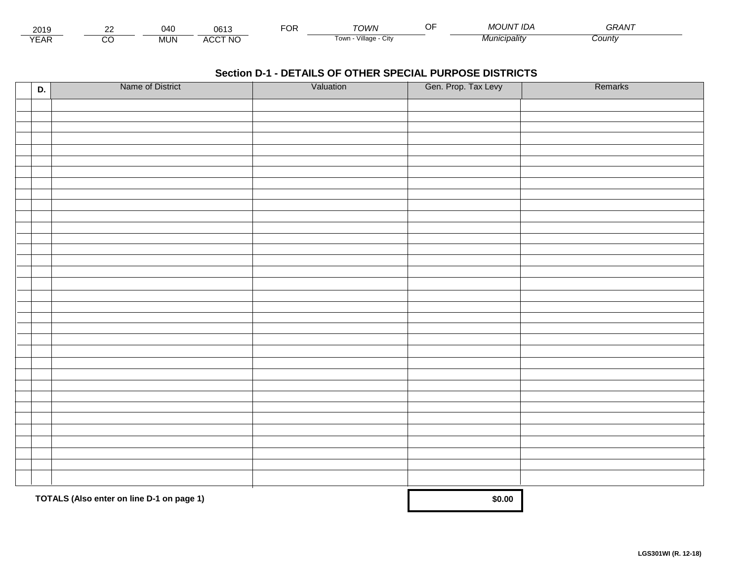| 201.                        | $\sim$ | 040        | 0.04<br>un                     | <sup>-</sup> OR | ™∩WN                         | MOUN <sup>-</sup><br>``' <sup>™</sup> IDA | $- - - - -$<br>GRAN |  |
|-----------------------------|--------|------------|--------------------------------|-----------------|------------------------------|-------------------------------------------|---------------------|--|
| $\sqrt{2}$<br>▵<br><b>L</b> |        | <b>MUN</b> | CCT NC،<br>$\mathbf{u}$<br>nuu |                 | .<br>Village<br>∣own<br>יווש | * 4unicipality                            | :ountv              |  |

| D. | Name of District                          | Valuation | Gen. Prop. Tax Levy | Remarks |
|----|-------------------------------------------|-----------|---------------------|---------|
|    |                                           |           |                     |         |
|    |                                           |           |                     |         |
|    |                                           |           |                     |         |
|    |                                           |           |                     |         |
|    |                                           |           |                     |         |
|    |                                           |           |                     |         |
|    |                                           |           |                     |         |
|    |                                           |           |                     |         |
|    |                                           |           |                     |         |
|    |                                           |           |                     |         |
|    |                                           |           |                     |         |
|    |                                           |           |                     |         |
|    |                                           |           |                     |         |
|    |                                           |           |                     |         |
|    |                                           |           |                     |         |
|    |                                           |           |                     |         |
|    |                                           |           |                     |         |
|    |                                           |           |                     |         |
|    |                                           |           |                     |         |
|    |                                           |           |                     |         |
|    |                                           |           |                     |         |
|    |                                           |           |                     |         |
|    |                                           |           |                     |         |
|    |                                           |           |                     |         |
|    |                                           |           |                     |         |
|    |                                           |           |                     |         |
|    |                                           |           |                     |         |
|    |                                           |           |                     |         |
|    |                                           |           |                     |         |
|    |                                           |           |                     |         |
|    | TOTALS (Also enter on line D-1 on page 1) | \$0.00    |                     |         |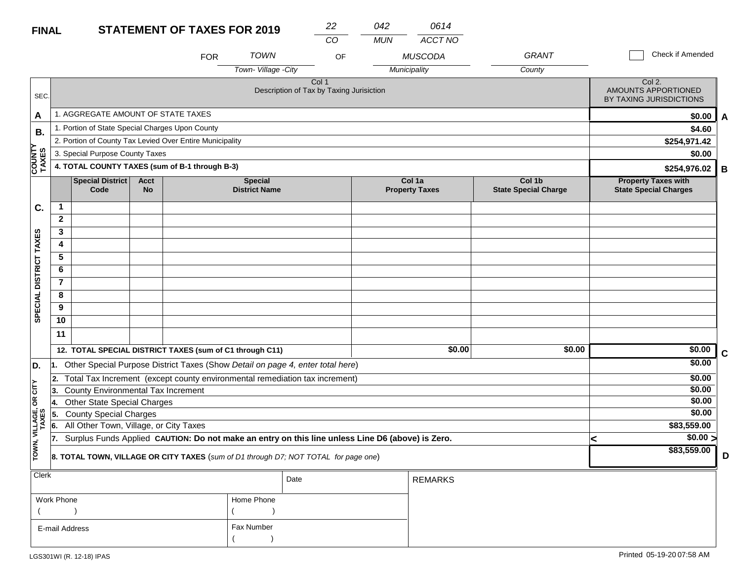#### **STATEMENT OF TAXES FOR 2019 FINAL**

| <b>FINAL</b>           |                                                 |                                                          |                   |            | <b>STATEMENT OF TAXES FOR 2019</b>       | 22<br>$\overline{CO}$ | 042<br><b>MUN</b> | 0614<br><b>ACCT NO</b>          |                                       |                                                            |              |
|------------------------|-------------------------------------------------|----------------------------------------------------------|-------------------|------------|------------------------------------------|-----------------------|-------------------|---------------------------------|---------------------------------------|------------------------------------------------------------|--------------|
|                        |                                                 |                                                          |                   | <b>FOR</b> | <b>TOWN</b>                              | OF                    |                   | <b>MUSCODA</b>                  | <b>GRANT</b>                          | <b>Check if Amended</b>                                    |              |
|                        |                                                 |                                                          |                   |            | Town-Village - City                      |                       |                   | Municipality                    | County                                |                                                            |              |
| SEC.                   |                                                 |                                                          |                   |            | Description of Tax by Taxing Jurisiction | Col 1                 |                   |                                 |                                       | Col 2.<br>AMOUNTS APPORTIONED<br>BY TAXING JURISDICTIONS   |              |
| $\mathbf{A}$           |                                                 | 1. AGGREGATE AMOUNT OF STATE TAXES                       |                   |            |                                          |                       |                   |                                 |                                       | \$0.00                                                     | $\mathsf{A}$ |
| <b>B.</b>              | 1. Portion of State Special Charges Upon County |                                                          |                   |            |                                          |                       |                   |                                 |                                       | \$4.60                                                     |              |
|                        |                                                 | 2. Portion of County Tax Levied Over Entire Municipality |                   |            |                                          |                       |                   |                                 |                                       | \$254,971.42                                               |              |
|                        |                                                 | 3. Special Purpose County Taxes                          |                   |            |                                          |                       |                   |                                 |                                       | \$0.00                                                     |              |
| <b>COUNTY</b><br>TAXES | 4. TOTAL COUNTY TAXES (sum of B-1 through B-3)  |                                                          |                   |            |                                          |                       |                   |                                 |                                       | \$254,976.02                                               | B            |
|                        |                                                 | <b>Special District</b><br>Code                          | Acct<br><b>No</b> |            | <b>Special</b><br><b>District Name</b>   |                       |                   | Col 1a<br><b>Property Taxes</b> | Col 1b<br><b>State Special Charge</b> | <b>Property Taxes with</b><br><b>State Special Charges</b> |              |
|                        |                                                 |                                                          |                   |            |                                          |                       |                   |                                 |                                       |                                                            |              |
| C.                     | $\overline{\mathbf{1}}$                         |                                                          |                   |            |                                          |                       |                   |                                 |                                       |                                                            |              |
|                        | $\mathbf{2}$                                    |                                                          |                   |            |                                          |                       |                   |                                 |                                       |                                                            |              |
|                        | 3                                               |                                                          |                   |            |                                          |                       |                   |                                 |                                       |                                                            |              |
|                        | 4                                               |                                                          |                   |            |                                          |                       |                   |                                 |                                       |                                                            |              |
|                        | 5                                               |                                                          |                   |            |                                          |                       |                   |                                 |                                       |                                                            |              |
|                        | 6                                               |                                                          |                   |            |                                          |                       |                   |                                 |                                       |                                                            |              |
| DISTRICT TAXES         | $\overline{7}$                                  |                                                          |                   |            |                                          |                       |                   |                                 |                                       |                                                            |              |
|                        | 8                                               |                                                          |                   |            |                                          |                       |                   |                                 |                                       |                                                            |              |
|                        | 9                                               |                                                          |                   |            |                                          |                       |                   |                                 |                                       |                                                            |              |
| <b>SPECIAL</b>         | 10<br>11                                        |                                                          |                   |            |                                          |                       |                   |                                 |                                       |                                                            |              |

|                   |     | 12. TOTAL SPECIAL DISTRICT TAXES (sum of C1 through C11)                                         | \$0.00 | \$0.00      | \$0.00      |  |
|-------------------|-----|--------------------------------------------------------------------------------------------------|--------|-------------|-------------|--|
| ID.               |     | Other Special Purpose District Taxes (Show Detail on page 4, enter total here)                   |        |             | \$0.00      |  |
|                   |     | Total Tax Increment (except county environmental remediation tax increment)                      |        |             | \$0.00      |  |
| <b>SE</b>         | 13. | <b>County Environmental Tax Increment</b>                                                        |        |             | \$0.00      |  |
| 18                |     | <b>Other State Special Charges</b>                                                               | \$0.00 |             |             |  |
|                   |     | <b>County Special Charges</b>                                                                    |        | \$0.00      |             |  |
| VILLAGE,<br>TAXES |     | All Other Town, Village, or City Taxes                                                           |        | \$83,559.00 |             |  |
|                   |     | Surplus Funds Applied CAUTION: Do not make an entry on this line unless Line D6 (above) is Zero. |        |             | \$0.00 >    |  |
| TOWN,             |     | <b>8. TOTAL TOWN, VILLAGE OR CITY TAXES</b> (sum of D1 through D7; NOT TOTAL for page one)       |        |             | \$83.559.00 |  |

| Clerk          |            | Date | <b>REMARKS</b> |
|----------------|------------|------|----------------|
| Work Phone     | Home Phone |      |                |
|                |            |      |                |
| E-mail Address | Fax Number |      |                |
|                |            |      |                |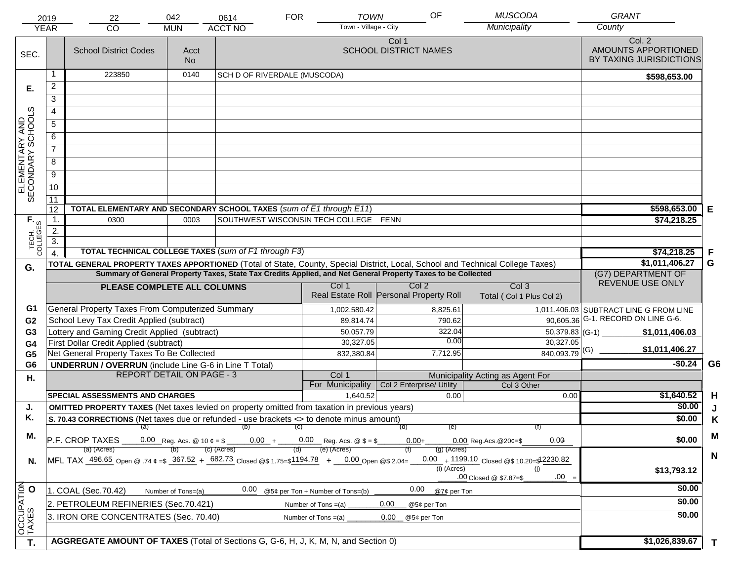|                                     | 2019<br><b>YEAR</b>                                                                                                                                                                                                          | 22<br>CO                                                                                             | 042<br><b>MUN</b>  | 0614<br><b>ACCT NO</b>       | <b>FOR</b> | <b>TOWN</b><br>Town - Village - City                              | OF                                                                                                           | <b>MUSCODA</b><br>Municipality                                                                                                 | <b>GRANT</b><br>County                                   |                |
|-------------------------------------|------------------------------------------------------------------------------------------------------------------------------------------------------------------------------------------------------------------------------|------------------------------------------------------------------------------------------------------|--------------------|------------------------------|------------|-------------------------------------------------------------------|--------------------------------------------------------------------------------------------------------------|--------------------------------------------------------------------------------------------------------------------------------|----------------------------------------------------------|----------------|
| SEC.                                |                                                                                                                                                                                                                              | <b>School District Codes</b>                                                                         | Acct<br><b>No</b>  |                              |            |                                                                   | Col 1<br><b>SCHOOL DISTRICT NAMES</b>                                                                        |                                                                                                                                | Col. 2<br>AMOUNTS APPORTIONED<br>BY TAXING JURISDICTIONS |                |
|                                     |                                                                                                                                                                                                                              | 223850                                                                                               | 0140               | SCH D OF RIVERDALE (MUSCODA) |            |                                                                   |                                                                                                              |                                                                                                                                | \$598,653.00                                             |                |
| Е.                                  | $\overline{c}$                                                                                                                                                                                                               |                                                                                                      |                    |                              |            |                                                                   |                                                                                                              |                                                                                                                                |                                                          |                |
|                                     | $\overline{3}$                                                                                                                                                                                                               |                                                                                                      |                    |                              |            |                                                                   |                                                                                                              |                                                                                                                                |                                                          |                |
|                                     | 4                                                                                                                                                                                                                            |                                                                                                      |                    |                              |            |                                                                   |                                                                                                              |                                                                                                                                |                                                          |                |
|                                     | $\overline{5}$                                                                                                                                                                                                               |                                                                                                      |                    |                              |            |                                                                   |                                                                                                              |                                                                                                                                |                                                          |                |
|                                     | 6                                                                                                                                                                                                                            |                                                                                                      |                    |                              |            |                                                                   |                                                                                                              |                                                                                                                                |                                                          |                |
| ELEMENTARY AND<br>SECONDARY SCHOOLS | $\overline{7}$                                                                                                                                                                                                               |                                                                                                      |                    |                              |            |                                                                   |                                                                                                              |                                                                                                                                |                                                          |                |
|                                     | $\overline{8}$                                                                                                                                                                                                               |                                                                                                      |                    |                              |            |                                                                   |                                                                                                              |                                                                                                                                |                                                          |                |
|                                     |                                                                                                                                                                                                                              |                                                                                                      |                    |                              |            |                                                                   |                                                                                                              |                                                                                                                                |                                                          |                |
|                                     | $\overline{9}$                                                                                                                                                                                                               |                                                                                                      |                    |                              |            |                                                                   |                                                                                                              |                                                                                                                                |                                                          |                |
|                                     | 10                                                                                                                                                                                                                           |                                                                                                      |                    |                              |            |                                                                   |                                                                                                              |                                                                                                                                |                                                          |                |
|                                     | 11<br>12                                                                                                                                                                                                                     | TOTAL ELEMENTARY AND SECONDARY SCHOOL TAXES (sum of E1 through E11)                                  |                    |                              |            |                                                                   |                                                                                                              |                                                                                                                                | \$598,653.00                                             | Е              |
|                                     | 1.                                                                                                                                                                                                                           | 0300                                                                                                 | 0003               |                              |            | SOUTHWEST WISCONSIN TECH COLLEGE FENN                             |                                                                                                              |                                                                                                                                | \$74,218.25                                              |                |
|                                     | 2.                                                                                                                                                                                                                           |                                                                                                      |                    |                              |            |                                                                   |                                                                                                              |                                                                                                                                |                                                          |                |
|                                     | $\overline{3}$ .                                                                                                                                                                                                             |                                                                                                      |                    |                              |            |                                                                   |                                                                                                              |                                                                                                                                |                                                          |                |
| TECH. T                             |                                                                                                                                                                                                                              | <b>TOTAL TECHNICAL COLLEGE TAXES (sum of F1 through F3)</b>                                          |                    |                              |            |                                                                   |                                                                                                              |                                                                                                                                | \$74,218.25                                              | F              |
| G.                                  |                                                                                                                                                                                                                              |                                                                                                      |                    |                              |            |                                                                   |                                                                                                              | TOTAL GENERAL PROPERTY TAXES APPORTIONED (Total of State, County, Special District, Local, School and Technical College Taxes) | \$1,011,406.27                                           | G              |
|                                     |                                                                                                                                                                                                                              |                                                                                                      |                    |                              |            |                                                                   | Summary of General Property Taxes, State Tax Credits Applied, and Net General Property Taxes to be Collected |                                                                                                                                | (G7) DEPARTMENT OF                                       |                |
|                                     |                                                                                                                                                                                                                              | PLEASE COMPLETE ALL COLUMNS                                                                          |                    |                              |            | Col 1                                                             | Col <sub>2</sub><br>Real Estate Roll Personal Property Roll                                                  | Col <sub>3</sub><br>Total (Col 1 Plus Col 2)                                                                                   | REVENUE USE ONLY                                         |                |
| G1                                  |                                                                                                                                                                                                                              | General Property Taxes From Computerized Summary                                                     |                    |                              |            | 1,002,580.42                                                      | 8,825.61                                                                                                     |                                                                                                                                | 1,011,406.03 SUBTRACT LINE G FROM LINE                   |                |
| G <sub>2</sub>                      |                                                                                                                                                                                                                              | School Levy Tax Credit Applied (subtract)                                                            |                    |                              |            | 89,814.74                                                         | 790.62                                                                                                       |                                                                                                                                | 90,605.36 G-1. RECORD ON LINE G-6.                       |                |
| G <sub>3</sub>                      |                                                                                                                                                                                                                              | Lottery and Gaming Credit Applied (subtract)                                                         |                    |                              |            | 50,057.79                                                         | 322.04                                                                                                       | $50,379.83$ (G-1)                                                                                                              | \$1,011,406.03                                           |                |
| G4                                  |                                                                                                                                                                                                                              | First Dollar Credit Applied (subtract)                                                               |                    |                              |            | 30,327.05                                                         | 0.00                                                                                                         | 30,327.05                                                                                                                      | \$1,011,406.27                                           |                |
| G <sub>5</sub>                      |                                                                                                                                                                                                                              | Net General Property Taxes To Be Collected                                                           |                    |                              |            | 832,380.84                                                        | 7,712.95                                                                                                     | $840,093.79$ <sup>(G)</sup>                                                                                                    | $-$0.24$                                                 | G <sub>6</sub> |
| G <sub>6</sub>                      |                                                                                                                                                                                                                              | <b>UNDERRUN / OVERRUN</b> (include Line G-6 in Line T Total)<br><b>REPORT DETAIL ON PAGE - 3</b>     |                    |                              |            | Col 1                                                             |                                                                                                              | Municipality Acting as Agent For                                                                                               |                                                          |                |
| Η.                                  |                                                                                                                                                                                                                              |                                                                                                      |                    |                              |            | For Municipality                                                  | Col 2 Enterprise/ Utility                                                                                    | Col 3 Other                                                                                                                    |                                                          |                |
|                                     |                                                                                                                                                                                                                              | <b>SPECIAL ASSESSMENTS AND CHARGES</b>                                                               |                    |                              |            | 1,640.52                                                          | 0.00                                                                                                         | 0.00                                                                                                                           | \$1,640.52                                               | H              |
| J.                                  |                                                                                                                                                                                                                              | <b>OMITTED PROPERTY TAXES</b> (Net taxes levied on property omitted from taxation in previous years) |                    |                              |            |                                                                   |                                                                                                              |                                                                                                                                | \$0.00                                                   | J              |
| Κ.                                  |                                                                                                                                                                                                                              | S. 70.43 CORRECTIONS (Net taxes due or refunded - use brackets <> to denote minus amount)            |                    |                              |            |                                                                   |                                                                                                              |                                                                                                                                | \$0.00                                                   | K              |
| М.                                  |                                                                                                                                                                                                                              |                                                                                                      |                    | (a) (b) (c)                  |            |                                                                   | (e)<br>(d)                                                                                                   |                                                                                                                                |                                                          | M              |
|                                     |                                                                                                                                                                                                                              | P.F. CROP TAXES                                                                                      |                    |                              |            | 0.00 Reg. Acs. @ 10 $\phi = \$$ 0.00 + 0.00 Reg. Acs. @ $\$ = \$$ | $0.00 +$                                                                                                     | 0.00<br>$0.00$ Reg. Acs. @ 20¢=\$                                                                                              | \$0.00                                                   |                |
| N.                                  | (e) (Acres)<br>(c) (Acres)<br>(a) (Acres)<br>$(g)$ (Acres)<br>0.00 + 1199.10 Closed @\$ 10.20=\$12230.82<br>MFL TAX 496.65 Open @ 74 $\ell = 5$ 367.52 + 682.73 Closed @\$1.75=\$1194.78 + 0.00 Open @\$2.04=<br>(i) (Acres) |                                                                                                      |                    |                              |            |                                                                   |                                                                                                              |                                                                                                                                |                                                          | $\mathbf N$    |
|                                     |                                                                                                                                                                                                                              |                                                                                                      |                    |                              |            |                                                                   |                                                                                                              | (i)<br>$.00 =$<br>.00 Closed @ \$7.87=\$                                                                                       | \$13,793.12                                              |                |
|                                     |                                                                                                                                                                                                                              | 1. COAL (Sec.70.42)                                                                                  | Number of Tons=(a) | 0.00                         |            | @5¢ per Ton + Number of Tons=(b)                                  | 0.00<br>@7¢ per Ton                                                                                          |                                                                                                                                | \$0.00                                                   |                |
|                                     | 2. PETROLEUM REFINERIES (Sec.70.421)<br>0.00<br>Number of Tons =(a)<br>@5¢ per Ton                                                                                                                                           |                                                                                                      |                    |                              |            |                                                                   |                                                                                                              |                                                                                                                                | \$0.00                                                   |                |
| OCCUPATION                          |                                                                                                                                                                                                                              | 3. IRON ORE CONCENTRATES (Sec. 70.40)                                                                |                    |                              |            | Number of Tons $=(a)$                                             | 0.00<br>@5¢ per Ton                                                                                          |                                                                                                                                | \$0.00                                                   |                |
|                                     |                                                                                                                                                                                                                              | AGGREGATE AMOUNT OF TAXES (Total of Sections G, G-6, H, J, K, M, N, and Section 0)                   |                    |                              |            |                                                                   |                                                                                                              |                                                                                                                                |                                                          |                |
| T.                                  |                                                                                                                                                                                                                              |                                                                                                      |                    |                              |            |                                                                   |                                                                                                              |                                                                                                                                | \$1,026,839.67                                           | $\mathbf{T}$   |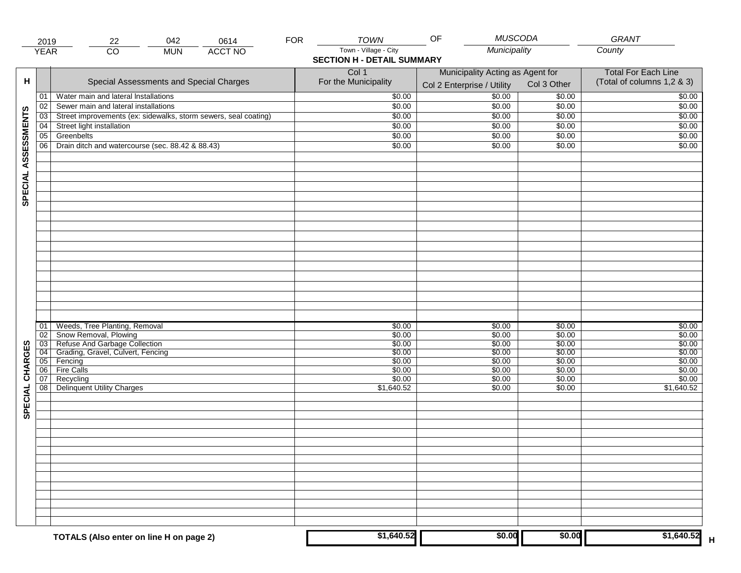|                     | 2019                       | 042<br>22                                                                                                                               | <b>FOR</b><br>0614 | <b>TOWN</b>                                                | <b>MUSCODA</b><br>OF                                           |                                                | GRANT                                                    |
|---------------------|----------------------------|-----------------------------------------------------------------------------------------------------------------------------------------|--------------------|------------------------------------------------------------|----------------------------------------------------------------|------------------------------------------------|----------------------------------------------------------|
|                     | <b>YEAR</b>                | $\overline{CO}$<br><b>MUN</b>                                                                                                           | <b>ACCT NO</b>     | Town - Village - City<br><b>SECTION H - DETAIL SUMMARY</b> | Municipality                                                   |                                                | County                                                   |
| н                   |                            | Special Assessments and Special Charges                                                                                                 |                    | Col 1<br>For the Municipality                              | Municipality Acting as Agent for<br>Col 2 Enterprise / Utility | Col 3 Other                                    | <b>Total For Each Line</b><br>(Total of columns 1,2 & 3) |
|                     | 01                         | Water main and lateral Installations                                                                                                    |                    | \$0.00                                                     | 50.00                                                          | \$0.00                                         | \$0.00                                                   |
|                     | 02                         | Sewer main and lateral installations                                                                                                    |                    | \$0.00                                                     | \$0.00                                                         | \$0.00                                         | \$0.00                                                   |
|                     | 03                         | Street improvements (ex: sidewalks, storm sewers, seal coating)                                                                         |                    | \$0.00                                                     | \$0.00                                                         | \$0.00                                         | \$0.00                                                   |
|                     | 04                         | Street light installation                                                                                                               |                    | \$0.00                                                     | \$0.00                                                         | \$0.00                                         | \$0.00                                                   |
|                     | 05                         | Greenbelts                                                                                                                              |                    | \$0.00                                                     | \$0.00                                                         | \$0.00                                         | \$0.00                                                   |
|                     | 06                         | Drain ditch and watercourse (sec. 88.42 & 88.43)                                                                                        |                    | \$0.00                                                     | \$0.00                                                         | \$0.00                                         | \$0.00                                                   |
| SPECIAL ASSESSMENTS |                            |                                                                                                                                         |                    |                                                            |                                                                |                                                |                                                          |
| CHARGES             | 01<br>02<br>03<br>04<br>05 | Weeds, Tree Planting, Removal<br>Snow Removal, Plowing<br>Refuse And Garbage Collection<br>Grading, Gravel, Culvert, Fencing<br>Fencing |                    | \$0.00<br>\$0.00<br>\$0.00<br>\$0.00<br>\$0.00             | \$0.00<br>\$0.00<br>\$0.00<br>\$0.00<br>\$0.00                 | \$0.00<br>\$0.00<br>\$0.00<br>\$0.00<br>\$0.00 | \$0.00<br>\$0.00<br>\$0.00<br>\$0.00<br>\$0.00           |
| SPECIAL             | 06 <br>07<br>08            | Fire Calls<br>Recycling<br><b>Delinquent Utility Charges</b>                                                                            |                    | \$0.00<br>\$0.00<br>\$1,640.52                             | \$0.00<br>\$0.00<br>\$0.00                                     | \$0.00<br>\$0.00<br>\$0.00                     | \$0.00<br>\$0.00<br>\$1,640.52                           |
|                     |                            |                                                                                                                                         |                    |                                                            |                                                                |                                                |                                                          |
|                     |                            | TOTALS (Also enter on line H on page 2)                                                                                                 |                    | \$1,640.52                                                 | \$0.00                                                         | \$0.00                                         | \$1,640.52                                               |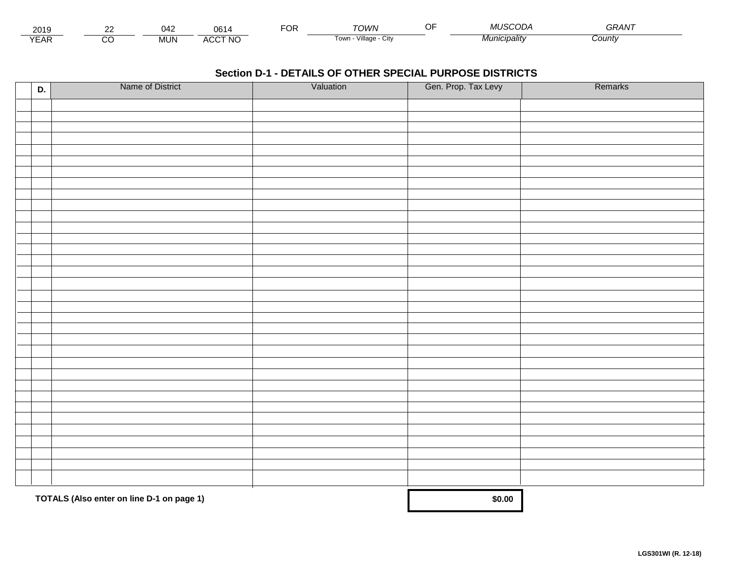| 2011<br><b>ZUIJ</b> | $\cdot$ A $\prime$<br>. | υo                                  | -OR | <b>TOM/N</b>                 | MUSCOT<br>- 14 | $\overline{\phantom{m}}$<br>¬ ⌒ ・ |  |
|---------------------|-------------------------|-------------------------------------|-----|------------------------------|----------------|-----------------------------------|--|
| $\sqrt{2}$<br>-Ar   | <br>INI<br>טועו         | CCT NC،<br>$\cdot$<br><b>-11.11</b> |     | .<br>Villade<br>i own<br>UIN | ™cıpalıtv      | Count∨                            |  |

| D. | Name of District                          | Valuation | Gen. Prop. Tax Levy | Remarks |
|----|-------------------------------------------|-----------|---------------------|---------|
|    |                                           |           |                     |         |
|    |                                           |           |                     |         |
|    |                                           |           |                     |         |
|    |                                           |           |                     |         |
|    |                                           |           |                     |         |
|    |                                           |           |                     |         |
|    |                                           |           |                     |         |
|    |                                           |           |                     |         |
|    |                                           |           |                     |         |
|    |                                           |           |                     |         |
|    |                                           |           |                     |         |
|    |                                           |           |                     |         |
|    |                                           |           |                     |         |
|    |                                           |           |                     |         |
|    |                                           |           |                     |         |
|    |                                           |           |                     |         |
|    |                                           |           |                     |         |
|    |                                           |           |                     |         |
|    |                                           |           |                     |         |
|    |                                           |           |                     |         |
|    |                                           |           |                     |         |
|    |                                           |           |                     |         |
|    |                                           |           |                     |         |
|    |                                           |           |                     |         |
|    |                                           |           |                     |         |
|    |                                           |           |                     |         |
|    |                                           |           |                     |         |
|    |                                           |           |                     |         |
|    |                                           |           |                     |         |
|    |                                           |           |                     |         |
|    |                                           |           |                     |         |
|    |                                           |           |                     |         |
|    | TOTALS (Also enter on line D-1 on page 1) |           | \$0.00              |         |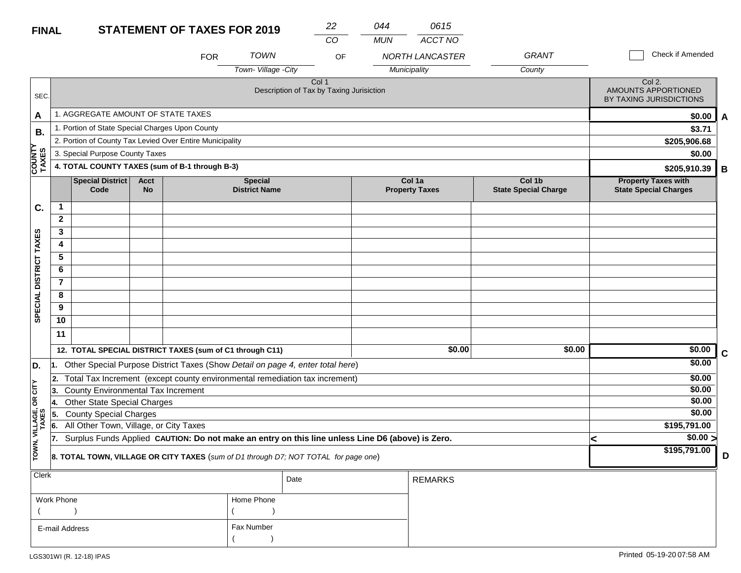| <b>FINAL</b>           |                         |                                                                         |                          | <b>STATEMENT OF TAXES FOR 2019</b>                       |                                        | 22                                                                                               | 044        | 0615                            |                                       |                                                            |   |
|------------------------|-------------------------|-------------------------------------------------------------------------|--------------------------|----------------------------------------------------------|----------------------------------------|--------------------------------------------------------------------------------------------------|------------|---------------------------------|---------------------------------------|------------------------------------------------------------|---|
|                        |                         |                                                                         |                          |                                                          |                                        | CO                                                                                               | <b>MUN</b> | ACCT NO                         |                                       |                                                            |   |
|                        |                         |                                                                         |                          | <b>FOR</b>                                               | <b>TOWN</b>                            | OF                                                                                               |            | <b>NORTH LANCASTER</b>          | GRANT                                 | Check if Amended                                           |   |
|                        |                         |                                                                         |                          |                                                          | Town-Village -City                     |                                                                                                  |            | Municipality                    | County                                |                                                            |   |
| SEC.                   |                         |                                                                         |                          |                                                          |                                        | Col 1<br>Description of Tax by Taxing Jurisiction                                                |            |                                 |                                       | Col 2.<br>AMOUNTS APPORTIONED<br>BY TAXING JURISDICTIONS   |   |
| A                      |                         | 1. AGGREGATE AMOUNT OF STATE TAXES                                      |                          |                                                          |                                        |                                                                                                  |            |                                 |                                       | \$0.00                                                     | A |
| В.                     |                         | 1. Portion of State Special Charges Upon County                         |                          |                                                          |                                        |                                                                                                  |            |                                 |                                       | \$3.71                                                     |   |
|                        |                         |                                                                         |                          | 2. Portion of County Tax Levied Over Entire Municipality |                                        |                                                                                                  |            |                                 |                                       | \$205,906.68                                               |   |
|                        |                         | 3. Special Purpose County Taxes                                         |                          |                                                          |                                        |                                                                                                  |            |                                 |                                       | \$0.00                                                     |   |
| <b>COUNTY</b><br>TAXES |                         |                                                                         |                          | 4. TOTAL COUNTY TAXES (sum of B-1 through B-3)           |                                        |                                                                                                  |            |                                 |                                       | \$205,910.39                                               | В |
|                        |                         | Special District<br>Code                                                | <b>Acct</b><br><b>No</b> |                                                          | <b>Special</b><br><b>District Name</b> |                                                                                                  |            | Col 1a<br><b>Property Taxes</b> | Col 1b<br><b>State Special Charge</b> | <b>Property Taxes with</b><br><b>State Special Charges</b> |   |
| C.                     | $\mathbf 1$             |                                                                         |                          |                                                          |                                        |                                                                                                  |            |                                 |                                       |                                                            |   |
|                        | $\mathbf{2}$            |                                                                         |                          |                                                          |                                        |                                                                                                  |            |                                 |                                       |                                                            |   |
|                        | 3                       |                                                                         |                          |                                                          |                                        |                                                                                                  |            |                                 |                                       |                                                            |   |
| SPECIAL DISTRICT TAXES | 4                       |                                                                         |                          |                                                          |                                        |                                                                                                  |            |                                 |                                       |                                                            |   |
|                        | 5                       |                                                                         |                          |                                                          |                                        |                                                                                                  |            |                                 |                                       |                                                            |   |
|                        | 6                       |                                                                         |                          |                                                          |                                        |                                                                                                  |            |                                 |                                       |                                                            |   |
|                        | $\overline{\mathbf{r}}$ |                                                                         |                          |                                                          |                                        |                                                                                                  |            |                                 |                                       |                                                            |   |
|                        | 8                       |                                                                         |                          |                                                          |                                        |                                                                                                  |            |                                 |                                       |                                                            |   |
|                        | 9                       |                                                                         |                          |                                                          |                                        |                                                                                                  |            |                                 |                                       |                                                            |   |
|                        | 10                      |                                                                         |                          |                                                          |                                        |                                                                                                  |            |                                 |                                       |                                                            |   |
|                        | 11                      |                                                                         |                          |                                                          |                                        |                                                                                                  |            |                                 |                                       |                                                            |   |
|                        |                         |                                                                         |                          | 12. TOTAL SPECIAL DISTRICT TAXES (sum of C1 through C11) |                                        |                                                                                                  |            | \$0.00                          | \$0.00                                | \$0.00                                                     | C |
| D.                     |                         |                                                                         |                          |                                                          |                                        | Other Special Purpose District Taxes (Show Detail on page 4, enter total here)                   |            |                                 |                                       | \$0.00                                                     |   |
|                        | 2.                      |                                                                         |                          |                                                          |                                        | Total Tax Increment (except county environmental remediation tax increment)                      |            |                                 |                                       | \$0.00                                                     |   |
| OR CITY                | 3.                      | County Environmental Tax Increment                                      |                          |                                                          |                                        |                                                                                                  |            |                                 |                                       | \$0.00                                                     |   |
|                        | 14.                     | <b>Other State Special Charges</b>                                      |                          |                                                          |                                        |                                                                                                  |            |                                 |                                       | \$0.00<br>\$0.00                                           |   |
|                        | 5.<br>6.                | <b>County Special Charges</b><br>All Other Town, Village, or City Taxes |                          |                                                          |                                        |                                                                                                  |            |                                 |                                       | \$195,791.00                                               |   |
| VILLAGE,               | 17.                     |                                                                         |                          |                                                          |                                        | Surplus Funds Applied CAUTION: Do not make an entry on this line unless Line D6 (above) is Zero. |            |                                 |                                       | $\sqrt{$0.00}$<br>ℯ                                        |   |
| TOWN,                  |                         |                                                                         |                          |                                                          |                                        |                                                                                                  |            |                                 |                                       | \$195,791.00                                               |   |
|                        |                         |                                                                         |                          |                                                          |                                        | 8. TOTAL TOWN, VILLAGE OR CITY TAXES (sum of D1 through D7; NOT TOTAL for page one)              |            |                                 |                                       |                                                            | D |
| Clerk                  |                         |                                                                         |                          |                                                          |                                        | Date                                                                                             |            | <b>REMARKS</b>                  |                                       |                                                            |   |
|                        |                         |                                                                         |                          |                                                          |                                        |                                                                                                  |            |                                 |                                       |                                                            |   |
|                        | Work Phone              |                                                                         |                          |                                                          | Home Phone                             |                                                                                                  |            |                                 |                                       |                                                            |   |
|                        |                         |                                                                         |                          |                                                          |                                        |                                                                                                  |            |                                 |                                       |                                                            |   |
|                        | E-mail Address          |                                                                         |                          |                                                          | Fax Number                             |                                                                                                  |            |                                 |                                       |                                                            |   |
|                        |                         |                                                                         |                          |                                                          |                                        |                                                                                                  |            |                                 |                                       |                                                            |   |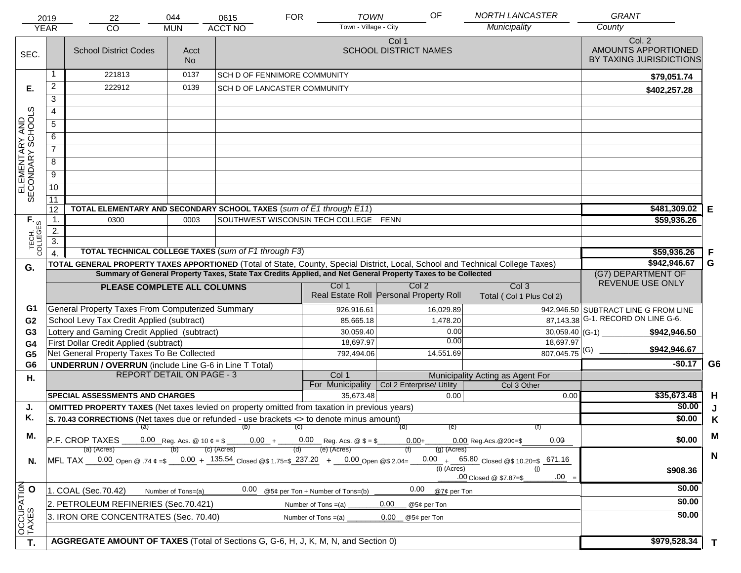|                                     | 2019                   | 22                                                                                                                             | 044                | 0615                         | <b>FOR</b> | <b>TOWN</b>                                                                         | OF                                                                                                           | <b>NORTH LANCASTER</b>                    | <b>GRANT</b>                                             |                |
|-------------------------------------|------------------------|--------------------------------------------------------------------------------------------------------------------------------|--------------------|------------------------------|------------|-------------------------------------------------------------------------------------|--------------------------------------------------------------------------------------------------------------|-------------------------------------------|----------------------------------------------------------|----------------|
|                                     | <b>YEAR</b>            | CO                                                                                                                             | <b>MUN</b>         | <b>ACCT NO</b>               |            | Town - Village - City                                                               |                                                                                                              | Municipality                              | County                                                   |                |
| SEC.                                |                        | <b>School District Codes</b>                                                                                                   | Acct<br><b>No</b>  |                              |            |                                                                                     | Col 1<br><b>SCHOOL DISTRICT NAMES</b>                                                                        |                                           | Col. 2<br>AMOUNTS APPORTIONED<br>BY TAXING JURISDICTIONS |                |
|                                     |                        | 221813                                                                                                                         | 0137               | SCH D OF FENNIMORE COMMUNITY |            |                                                                                     |                                                                                                              |                                           | \$79,051.74                                              |                |
| Е.                                  | $\overline{2}$         | 222912                                                                                                                         | 0139               | SCH D OF LANCASTER COMMUNITY |            |                                                                                     |                                                                                                              |                                           | \$402,257.28                                             |                |
|                                     | 3                      |                                                                                                                                |                    |                              |            |                                                                                     |                                                                                                              |                                           |                                                          |                |
|                                     | 4                      |                                                                                                                                |                    |                              |            |                                                                                     |                                                                                                              |                                           |                                                          |                |
|                                     | 5                      |                                                                                                                                |                    |                              |            |                                                                                     |                                                                                                              |                                           |                                                          |                |
|                                     | 6                      |                                                                                                                                |                    |                              |            |                                                                                     |                                                                                                              |                                           |                                                          |                |
|                                     | $\overline{7}$         |                                                                                                                                |                    |                              |            |                                                                                     |                                                                                                              |                                           |                                                          |                |
| ELEMENTARY AND<br>SECONDARY SCHOOLS | 8                      |                                                                                                                                |                    |                              |            |                                                                                     |                                                                                                              |                                           |                                                          |                |
|                                     | $\overline{9}$         |                                                                                                                                |                    |                              |            |                                                                                     |                                                                                                              |                                           |                                                          |                |
|                                     | 10                     |                                                                                                                                |                    |                              |            |                                                                                     |                                                                                                              |                                           |                                                          |                |
|                                     | 11                     |                                                                                                                                |                    |                              |            |                                                                                     |                                                                                                              |                                           |                                                          |                |
|                                     | 12                     | TOTAL ELEMENTARY AND SECONDARY SCHOOL TAXES (sum of E1 through E11)                                                            |                    |                              |            |                                                                                     |                                                                                                              |                                           | $$481,309.02$ E                                          |                |
|                                     | $\mathbf{1}$ .         | 0300                                                                                                                           | 0003               |                              |            | SOUTHWEST WISCONSIN TECH COLLEGE FENN                                               |                                                                                                              |                                           | \$59,936.26                                              |                |
|                                     | 2.<br>$\overline{3}$ . |                                                                                                                                |                    |                              |            |                                                                                     |                                                                                                              |                                           |                                                          |                |
| TECH. T                             |                        | <b>TOTAL TECHNICAL COLLEGE TAXES (sum of F1 through F3)</b>                                                                    |                    |                              |            |                                                                                     |                                                                                                              |                                           | \$59,936.26                                              | F              |
|                                     |                        | TOTAL GENERAL PROPERTY TAXES APPORTIONED (Total of State, County, Special District, Local, School and Technical College Taxes) |                    |                              |            |                                                                                     |                                                                                                              |                                           | \$942,946.67                                             | G              |
| G.                                  |                        |                                                                                                                                |                    |                              |            |                                                                                     | Summary of General Property Taxes, State Tax Credits Applied, and Net General Property Taxes to be Collected |                                           | (G7) DEPARTMENT OF                                       |                |
|                                     |                        | PLEASE COMPLETE ALL COLUMNS                                                                                                    |                    |                              |            | Col 1                                                                               | Col 2                                                                                                        | Col <sub>3</sub>                          | REVENUE USE ONLY                                         |                |
|                                     |                        |                                                                                                                                |                    |                              |            |                                                                                     | Real Estate Roll Personal Property Roll                                                                      | Total (Col 1 Plus Col 2)                  |                                                          |                |
| G1                                  |                        | General Property Taxes From Computerized Summary                                                                               |                    |                              |            | 926,916.61                                                                          | 16,029.89                                                                                                    |                                           | 942,946.50 SUBTRACT LINE G FROM LINE                     |                |
| G <sub>2</sub>                      |                        | School Levy Tax Credit Applied (subtract)                                                                                      |                    |                              |            | 85,665.18                                                                           | 1,478.20                                                                                                     |                                           | 87,143.38 G-1. RECORD ON LINE G-6.                       |                |
| G <sub>3</sub>                      |                        | Lottery and Gaming Credit Applied (subtract)                                                                                   |                    |                              |            | 30,059.40                                                                           | 0.00<br>0.00                                                                                                 | 30,059.40 (G-1)                           | \$942,946.50                                             |                |
| G <sub>4</sub>                      |                        | First Dollar Credit Applied (subtract)                                                                                         |                    |                              |            | 18,697.97                                                                           | 14,551.69                                                                                                    | 18,697.97<br>$807,045.75$ <sup>(G)</sup>  | \$942,946.67                                             |                |
| G <sub>5</sub><br>G <sub>6</sub>    |                        | Net General Property Taxes To Be Collected<br><b>UNDERRUN / OVERRUN</b> (include Line G-6 in Line T Total)                     |                    |                              |            | 792,494.06                                                                          |                                                                                                              |                                           | $-$0.17$                                                 | G <sub>6</sub> |
| Н.                                  |                        | <b>REPORT DETAIL ON PAGE - 3</b>                                                                                               |                    |                              |            | Col 1                                                                               |                                                                                                              | Municipality Acting as Agent For          |                                                          |                |
|                                     |                        |                                                                                                                                |                    |                              |            | For Municipality                                                                    | Col 2 Enterprise/ Utility                                                                                    | Col 3 Other                               |                                                          |                |
|                                     |                        | <b>SPECIAL ASSESSMENTS AND CHARGES</b>                                                                                         |                    |                              |            | 35,673.48                                                                           | 0.00                                                                                                         | 0.00                                      | \$35,673.48                                              | H              |
| J.                                  |                        | <b>OMITTED PROPERTY TAXES</b> (Net taxes levied on property omitted from taxation in previous years)                           |                    |                              |            |                                                                                     |                                                                                                              |                                           | \$0.00                                                   |                |
| Κ.                                  |                        | S. 70.43 CORRECTIONS (Net taxes due or refunded - use brackets <> to denote minus amount)                                      |                    |                              |            |                                                                                     | (e)                                                                                                          |                                           | \$0.00                                                   | K              |
| М.                                  |                        | (a)<br>P.F. CROP TAXES                                                                                                         |                    | (b)                          | (c)        | 0.00 Reg. Acs. @ 10 $\phi = \frac{1}{2}$ 0.00 + 0.00 Reg. Acs. @ $\frac{1}{2}$ = \$ | (d)                                                                                                          | 0.00                                      | \$0.00                                                   | M              |
|                                     |                        | (a) (Acres)                                                                                                                    |                    | (c) (Acres)                  |            | (e) (Acres)                                                                         | $0.00+$<br>$(g)$ (Acres)                                                                                     | $0.00$ Reg. Acs. @ 20¢=\$                 |                                                          |                |
| N.                                  |                        | MFL TAX 0.00 Open @ .74 $\varphi = 5$ 0.00 + 135.54 Closed @\$ 1.75=\$ 237.20 + 0.00 Open @\$ 2.04=                            |                    |                              |            |                                                                                     |                                                                                                              | $0.00 + 65.80$ Closed @\$ 10.20=\$ 671.16 |                                                          | N              |
| (i) (Acres)<br>(i)                  |                        |                                                                                                                                |                    |                              |            |                                                                                     |                                                                                                              |                                           | \$908.36                                                 |                |
|                                     |                        |                                                                                                                                |                    |                              |            |                                                                                     |                                                                                                              | $.00 =$<br>.00 Closed @ \$7.87=\$         | \$0.00                                                   |                |
|                                     |                        | 1. COAL (Sec.70.42)                                                                                                            | Number of Tons=(a) | 0.00                         |            | @5¢ per Ton + Number of Tons=(b)                                                    | 0.00<br>@7¢ per Ton                                                                                          |                                           |                                                          |                |
| OCCUPATION                          |                        | 2. PETROLEUM REFINERIES (Sec.70.421)                                                                                           |                    |                              |            | Number of Tons $=(a)$                                                               | 0.00<br>@5¢ per Ton                                                                                          |                                           | \$0.00                                                   |                |
|                                     |                        | 3. IRON ORE CONCENTRATES (Sec. 70.40)                                                                                          |                    |                              |            | Number of Tons $=(a)$                                                               | 0.00<br>@5¢ per Ton                                                                                          |                                           | \$0.00                                                   |                |
|                                     |                        |                                                                                                                                |                    |                              |            |                                                                                     |                                                                                                              |                                           |                                                          |                |
| T.                                  |                        | AGGREGATE AMOUNT OF TAXES (Total of Sections G, G-6, H, J, K, M, N, and Section 0)                                             |                    |                              |            |                                                                                     |                                                                                                              |                                           | \$979,528.34                                             | T              |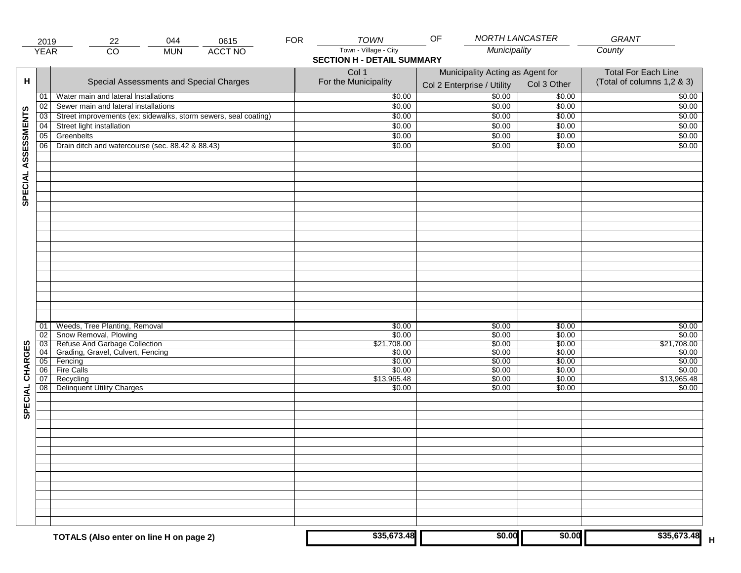|                     | 2019                  | 044<br>22                                                       | 0615           | <b>FOR</b> | <b>TOWN</b>                       | OF                                                             | NORTH LANCASTER  | GRANT                                                    |
|---------------------|-----------------------|-----------------------------------------------------------------|----------------|------------|-----------------------------------|----------------------------------------------------------------|------------------|----------------------------------------------------------|
|                     | <b>YEAR</b>           | $\overline{CO}$<br><b>MUN</b>                                   | <b>ACCT NO</b> |            | Town - Village - City             | Municipality                                                   |                  | County                                                   |
|                     |                       |                                                                 |                |            | <b>SECTION H - DETAIL SUMMARY</b> |                                                                |                  |                                                          |
| н                   |                       | Special Assessments and Special Charges                         |                |            | Col 1<br>For the Municipality     | Municipality Acting as Agent for<br>Col 2 Enterprise / Utility | Col 3 Other      | <b>Total For Each Line</b><br>(Total of columns 1,2 & 3) |
|                     | 01                    | Water main and lateral Installations                            |                |            | \$0.00                            | $\frac{1}{00}$                                                 | \$0.00           | \$0.00                                                   |
|                     | 02                    | Sewer main and lateral installations                            |                |            | \$0.00                            | \$0.00                                                         | \$0.00           | \$0.00                                                   |
|                     | $\overline{03}$       | Street improvements (ex: sidewalks, storm sewers, seal coating) |                |            | \$0.00                            | \$0.00                                                         | \$0.00           | \$0.00                                                   |
|                     | 04                    | Street light installation                                       |                |            | \$0.00                            | \$0.00                                                         | \$0.00           | \$0.00                                                   |
|                     | 05                    | Greenbelts                                                      |                |            | \$0.00                            | \$0.00                                                         | \$0.00           | \$0.00                                                   |
|                     | 06                    | Drain ditch and watercourse (sec. 88.42 & 88.43)                |                |            | \$0.00                            | \$0.00                                                         | \$0.00           | \$0.00                                                   |
|                     |                       |                                                                 |                |            |                                   |                                                                |                  |                                                          |
| SPECIAL ASSESSMENTS |                       |                                                                 |                |            |                                   |                                                                |                  |                                                          |
|                     |                       |                                                                 |                |            |                                   |                                                                |                  |                                                          |
|                     |                       |                                                                 |                |            |                                   |                                                                |                  |                                                          |
|                     |                       |                                                                 |                |            |                                   |                                                                |                  |                                                          |
|                     |                       |                                                                 |                |            |                                   |                                                                |                  |                                                          |
|                     |                       |                                                                 |                |            |                                   |                                                                |                  |                                                          |
|                     |                       |                                                                 |                |            |                                   |                                                                |                  |                                                          |
|                     | 01                    | Weeds, Tree Planting, Removal                                   |                |            | \$0.00                            | \$0.00                                                         | \$0.00           | \$0.00                                                   |
|                     | 02                    | Show Removal, Plowing<br>Refuse And Garbage Collection          |                |            | \$0.00<br>\$21,708.00             | \$0.00                                                         | \$0.00           | \$0.00                                                   |
| CHARGES             | $\overline{03}$<br>04 | Grading, Gravel, Culvert, Fencing                               |                |            | \$0.00                            | \$0.00<br>\$0.00                                               | \$0.00<br>\$0.00 | \$21,708.00<br>\$0.00                                    |
|                     | 05                    | Fencing                                                         |                |            | \$0.00                            | \$0.00                                                         | \$0.00           | \$0.00                                                   |
|                     | 06                    | <b>Fire Calls</b>                                               |                |            | \$0.00                            | \$0.00                                                         | \$0.00           | \$0.00                                                   |
|                     | 07                    | Recycling                                                       |                |            | \$13,965.48                       | \$0.00                                                         | \$0.00           | \$13,965.48                                              |
| SPECIAL             | 08                    | <b>Delinquent Utility Charges</b>                               |                |            | \$0.00                            | \$0.00                                                         | \$0.00           | \$0.00                                                   |
|                     |                       |                                                                 |                |            |                                   |                                                                |                  |                                                          |
|                     |                       |                                                                 |                |            |                                   |                                                                |                  |                                                          |
|                     |                       |                                                                 |                |            |                                   |                                                                |                  |                                                          |
|                     |                       |                                                                 |                |            |                                   |                                                                |                  |                                                          |
|                     |                       |                                                                 |                |            |                                   |                                                                |                  |                                                          |
|                     |                       |                                                                 |                |            |                                   |                                                                |                  |                                                          |
|                     |                       |                                                                 |                |            |                                   |                                                                |                  |                                                          |
|                     |                       | TOTALS (Also enter on line H on page 2)                         |                |            | \$35,673.48                       | \$0.00                                                         | \$0.00           | \$35,673.48                                              |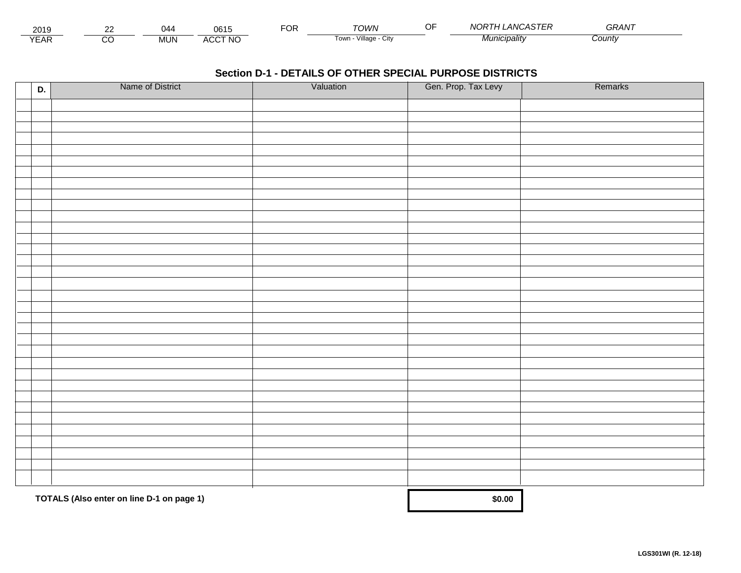| 2019              | ~~ |                     | <br>UU I U           | -^'<br>◡ | TOWN                  | $\sim$<br>. . | ANCASTEL<br><b>NORT</b><br>. ASIER | $\cdots$<br>GRAN. |  |
|-------------------|----|---------------------|----------------------|----------|-----------------------|---------------|------------------------------------|-------------------|--|
| $\sqrt{2}$<br>EAR |    | <b>MIN</b><br>ושועו | <b>CCT NO</b><br>АШ, |          | lown<br>Village<br>UN |               | л.<br>. <i>IICIDAIItV</i>          | <i>County</i>     |  |

| D. | Name of District                          | Valuation | Gen. Prop. Tax Levy | Remarks |
|----|-------------------------------------------|-----------|---------------------|---------|
|    |                                           |           |                     |         |
|    |                                           |           |                     |         |
|    |                                           |           |                     |         |
|    |                                           |           |                     |         |
|    |                                           |           |                     |         |
|    |                                           |           |                     |         |
|    |                                           |           |                     |         |
|    |                                           |           |                     |         |
|    |                                           |           |                     |         |
|    |                                           |           |                     |         |
|    |                                           |           |                     |         |
|    |                                           |           |                     |         |
|    |                                           |           |                     |         |
|    |                                           |           |                     |         |
|    |                                           |           |                     |         |
|    |                                           |           |                     |         |
|    |                                           |           |                     |         |
|    |                                           |           |                     |         |
|    |                                           |           |                     |         |
|    |                                           |           |                     |         |
|    |                                           |           |                     |         |
|    |                                           |           |                     |         |
|    |                                           |           |                     |         |
|    |                                           |           |                     |         |
|    |                                           |           |                     |         |
|    |                                           |           |                     |         |
|    |                                           |           |                     |         |
|    |                                           |           |                     |         |
|    |                                           |           |                     |         |
|    |                                           |           |                     |         |
|    |                                           |           |                     |         |
|    | TOTALS (Also enter on line D-1 on page 1) |           | \$0.00              |         |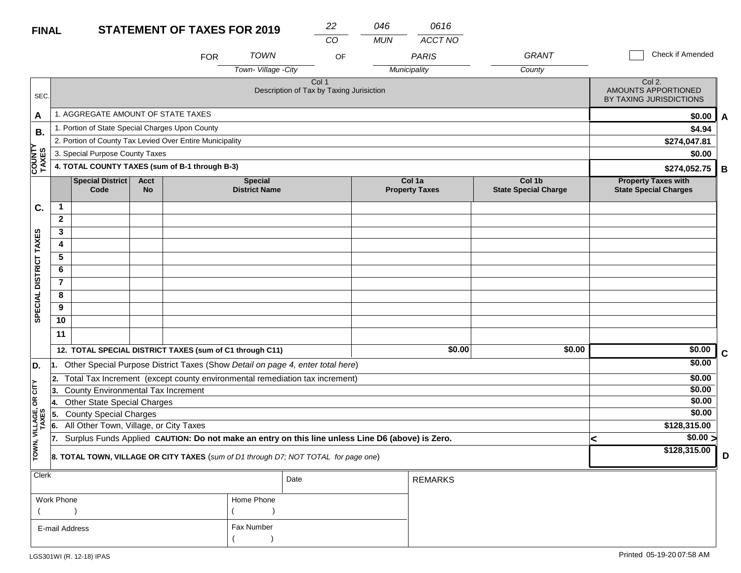#### **STATEMENT OF TAXES FOR 2019 FINAL**

| <b>FINAL</b>            |                |                                                          |                          | <b>STATEMENT OF TAXES FOR 2019</b> |                                        | 22                                                                                               | 046        | 0616                            |                                       |                                                            |             |
|-------------------------|----------------|----------------------------------------------------------|--------------------------|------------------------------------|----------------------------------------|--------------------------------------------------------------------------------------------------|------------|---------------------------------|---------------------------------------|------------------------------------------------------------|-------------|
|                         |                |                                                          |                          | <b>FOR</b>                         | <b>TOWN</b>                            | CO<br>OF                                                                                         | <b>MUN</b> | ACCT NO<br><b>PARIS</b>         | <b>GRANT</b>                          | Check if Amended                                           |             |
|                         |                |                                                          |                          |                                    | Town-Village - City                    |                                                                                                  |            | Municipality                    | County                                |                                                            |             |
| SEC.                    |                |                                                          |                          |                                    |                                        | Col 1<br>Description of Tax by Taxing Jurisiction                                                |            |                                 |                                       | Col 2.<br>AMOUNTS APPORTIONED<br>BY TAXING JURISDICTIONS   |             |
| A                       |                | 1. AGGREGATE AMOUNT OF STATE TAXES                       |                          |                                    |                                        |                                                                                                  |            |                                 |                                       | \$0.00                                                     | A           |
| В.                      |                | 1. Portion of State Special Charges Upon County          |                          |                                    |                                        |                                                                                                  |            |                                 |                                       | \$4.94                                                     |             |
|                         |                | 2. Portion of County Tax Levied Over Entire Municipality |                          |                                    |                                        |                                                                                                  |            |                                 |                                       | \$274,047.81                                               |             |
|                         |                | 3. Special Purpose County Taxes                          |                          |                                    |                                        |                                                                                                  |            |                                 |                                       | \$0.00                                                     |             |
| <b>COUNTY</b><br>TAXES  |                | 4. TOTAL COUNTY TAXES (sum of B-1 through B-3)           |                          |                                    |                                        |                                                                                                  |            |                                 |                                       | \$274,052.75                                               | B           |
|                         |                | Special District<br>Code                                 | <b>Acct</b><br><b>No</b> |                                    | <b>Special</b><br><b>District Name</b> |                                                                                                  |            | Col 1a<br><b>Property Taxes</b> | Col 1b<br><b>State Special Charge</b> | <b>Property Taxes with</b><br><b>State Special Charges</b> |             |
| C.                      | $\mathbf{1}$   |                                                          |                          |                                    |                                        |                                                                                                  |            |                                 |                                       |                                                            |             |
|                         | $\mathbf{2}$   |                                                          |                          |                                    |                                        |                                                                                                  |            |                                 |                                       |                                                            |             |
|                         | 3              |                                                          |                          |                                    |                                        |                                                                                                  |            |                                 |                                       |                                                            |             |
|                         | 4              |                                                          |                          |                                    |                                        |                                                                                                  |            |                                 |                                       |                                                            |             |
|                         | 5              |                                                          |                          |                                    |                                        |                                                                                                  |            |                                 |                                       |                                                            |             |
|                         | 6              |                                                          |                          |                                    |                                        |                                                                                                  |            |                                 |                                       |                                                            |             |
|                         | $\overline{7}$ |                                                          |                          |                                    |                                        |                                                                                                  |            |                                 |                                       |                                                            |             |
| SPECIAL DISTRICT TAXES  | 8              |                                                          |                          |                                    |                                        |                                                                                                  |            |                                 |                                       |                                                            |             |
|                         | 9              |                                                          |                          |                                    |                                        |                                                                                                  |            |                                 |                                       |                                                            |             |
|                         | 10             |                                                          |                          |                                    |                                        |                                                                                                  |            |                                 |                                       |                                                            |             |
|                         | 11             |                                                          |                          |                                    |                                        |                                                                                                  |            |                                 |                                       |                                                            |             |
|                         |                | 12. TOTAL SPECIAL DISTRICT TAXES (sum of C1 through C11) |                          |                                    |                                        |                                                                                                  |            | \$0.00                          | \$0.00                                | \$0.00                                                     | $\mathbf C$ |
| D.                      |                |                                                          |                          |                                    |                                        | 1. Other Special Purpose District Taxes (Show Detail on page 4, enter total here)                |            |                                 |                                       | \$0.00                                                     |             |
|                         | 2.             |                                                          |                          |                                    |                                        | Total Tax Increment (except county environmental remediation tax increment)                      |            |                                 |                                       | \$0.00                                                     |             |
| OR CITY                 | 13.            | County Environmental Tax Increment                       |                          |                                    |                                        |                                                                                                  |            |                                 |                                       | \$0.00                                                     |             |
|                         | 14.            | <b>Other State Special Charges</b>                       |                          |                                    |                                        |                                                                                                  |            |                                 |                                       | \$0.00                                                     |             |
|                         | 5.             | <b>County Special Charges</b>                            |                          |                                    |                                        |                                                                                                  |            |                                 |                                       | \$0.00                                                     |             |
|                         | 6.             | All Other Town, Village, or City Taxes                   |                          |                                    |                                        |                                                                                                  |            |                                 |                                       | \$128,315.00                                               |             |
|                         | 17.            |                                                          |                          |                                    |                                        | Surplus Funds Applied CAUTION: Do not make an entry on this line unless Line D6 (above) is Zero. |            |                                 |                                       | \$0.00 ><br>≺                                              |             |
| TOWN, VILLAGE,<br>TAXES |                |                                                          |                          |                                    |                                        | 8. TOTAL TOWN, VILLAGE OR CITY TAXES (sum of D1 through D7; NOT TOTAL for page one)              |            |                                 |                                       | \$128,315.00                                               | D           |
| Clerk                   |                |                                                          |                          |                                    |                                        | Date                                                                                             |            | <b>REMARKS</b>                  |                                       |                                                            |             |

|                |            | Date | REMARKS |
|----------------|------------|------|---------|
| Work Phone     | Home Phone |      |         |
|                |            |      |         |
| E-mail Address | Fax Number |      |         |
|                |            |      |         |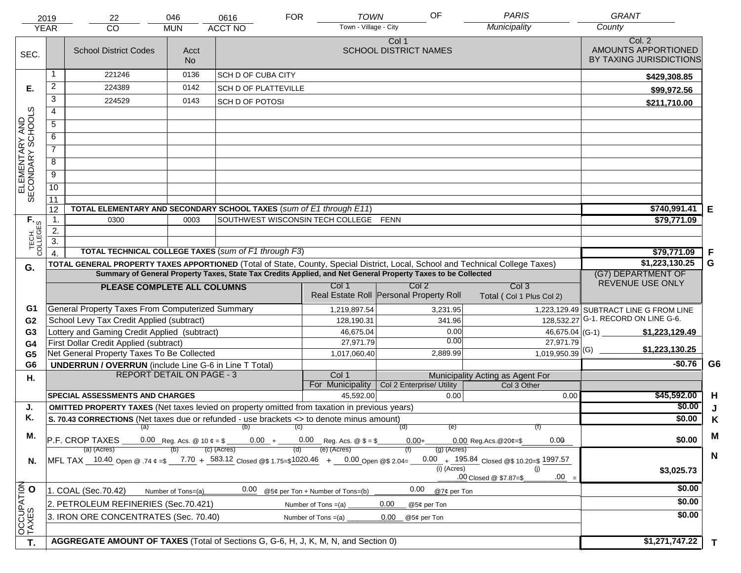|                                     | 2019<br><b>YEAR</b> | 22<br><b>CO</b>                                                                                                                | 046<br><b>MUN</b>              | 0616<br><b>ACCT NO</b>      | <b>FOR</b> | <b>TOWN</b><br>Town - Village - City                                                       | OF                                                                                                           | <b>PARIS</b><br>Municipality                       | <b>GRANT</b><br>County                         |
|-------------------------------------|---------------------|--------------------------------------------------------------------------------------------------------------------------------|--------------------------------|-----------------------------|------------|--------------------------------------------------------------------------------------------|--------------------------------------------------------------------------------------------------------------|----------------------------------------------------|------------------------------------------------|
|                                     |                     |                                                                                                                                |                                |                             |            |                                                                                            | Col 1                                                                                                        |                                                    | Col. 2                                         |
| SEC.                                |                     | <b>School District Codes</b>                                                                                                   | Acct<br><b>No</b>              |                             |            |                                                                                            | <b>SCHOOL DISTRICT NAMES</b>                                                                                 |                                                    | AMOUNTS APPORTIONED<br>BY TAXING JURISDICTIONS |
|                                     |                     | 221246                                                                                                                         | 0136                           | <b>SCH D OF CUBA CITY</b>   |            |                                                                                            |                                                                                                              |                                                    | \$429,308.85                                   |
| Е.                                  | $\overline{2}$      | 224389                                                                                                                         | 0142                           | <b>SCH D OF PLATTEVILLE</b> |            |                                                                                            |                                                                                                              |                                                    | \$99,972.56                                    |
|                                     | 3                   | 224529                                                                                                                         | 0143                           | <b>SCH D OF POTOSI</b>      |            |                                                                                            |                                                                                                              |                                                    | \$211,710.00                                   |
|                                     | $\overline{4}$      |                                                                                                                                |                                |                             |            |                                                                                            |                                                                                                              |                                                    |                                                |
|                                     | 5                   |                                                                                                                                |                                |                             |            |                                                                                            |                                                                                                              |                                                    |                                                |
|                                     | 6                   |                                                                                                                                |                                |                             |            |                                                                                            |                                                                                                              |                                                    |                                                |
| ELEMENTARY AND<br>SECONDARY SCHOOLS | $\overline{7}$      |                                                                                                                                |                                |                             |            |                                                                                            |                                                                                                              |                                                    |                                                |
|                                     | 8                   |                                                                                                                                |                                |                             |            |                                                                                            |                                                                                                              |                                                    |                                                |
|                                     | $\overline{9}$      |                                                                                                                                |                                |                             |            |                                                                                            |                                                                                                              |                                                    |                                                |
|                                     | 10                  |                                                                                                                                |                                |                             |            |                                                                                            |                                                                                                              |                                                    |                                                |
|                                     | 11                  |                                                                                                                                |                                |                             |            |                                                                                            |                                                                                                              |                                                    |                                                |
|                                     | 12                  | TOTAL ELEMENTARY AND SECONDARY SCHOOL TAXES (sum of E1 through E11)                                                            |                                |                             |            | SOUTHWEST WISCONSIN TECH COLLEGE FENN                                                      |                                                                                                              |                                                    | \$740,991.41<br>Е                              |
|                                     | $\mathbf 1$ .       | 0300                                                                                                                           | \$79,771.09                    |                             |            |                                                                                            |                                                                                                              |                                                    |                                                |
|                                     | 2.                  |                                                                                                                                |                                |                             |            |                                                                                            |                                                                                                              |                                                    |                                                |
| TECH. T<br>COLLEGES                 | $\overline{3}$ .    | TOTAL TECHNICAL COLLEGE TAXES (sum of F1 through F3)                                                                           | F<br>\$79,771.09               |                             |            |                                                                                            |                                                                                                              |                                                    |                                                |
|                                     | $\overline{4}$      | TOTAL GENERAL PROPERTY TAXES APPORTIONED (Total of State, County, Special District, Local, School and Technical College Taxes) | $\overline{1,223,130.25}$<br>G |                             |            |                                                                                            |                                                                                                              |                                                    |                                                |
| G.                                  |                     |                                                                                                                                |                                |                             |            |                                                                                            | Summary of General Property Taxes, State Tax Credits Applied, and Net General Property Taxes to be Collected |                                                    | (G7) DEPARTMENT OF                             |
|                                     |                     | PLEASE COMPLETE ALL COLUMNS                                                                                                    |                                |                             |            | Col 1                                                                                      | Col <sub>2</sub>                                                                                             | Col <sub>3</sub>                                   | REVENUE USE ONLY                               |
|                                     |                     |                                                                                                                                |                                |                             |            |                                                                                            | Real Estate Roll Personal Property Roll                                                                      | Total (Col 1 Plus Col 2)                           |                                                |
| G1                                  |                     | General Property Taxes From Computerized Summary                                                                               |                                |                             |            | 1,219,897.54                                                                               | 3,231.95                                                                                                     |                                                    | 1,223,129.49 SUBTRACT LINE G FROM LINE         |
| G <sub>2</sub>                      |                     | School Levy Tax Credit Applied (subtract)                                                                                      |                                |                             |            | 128,190.31                                                                                 | 341.96                                                                                                       |                                                    | 128,532.27 G-1. RECORD ON LINE G-6.            |
| G <sub>3</sub>                      |                     | Lottery and Gaming Credit Applied (subtract)                                                                                   |                                |                             |            | 46,675.04                                                                                  |                                                                                                              | 0.00                                               | $46,675.04$ (G-1)<br>\$1,223,129.49            |
| G4                                  |                     | First Dollar Credit Applied (subtract)                                                                                         |                                |                             |            | 27,971.79                                                                                  |                                                                                                              | 0.00<br>27,971.79                                  | \$1,223,130.25                                 |
| G <sub>5</sub>                      |                     | Net General Property Taxes To Be Collected                                                                                     |                                |                             |            | 1,017,060.40                                                                               | 2,889.99                                                                                                     | $1,019,950.39$ <sup>(G)</sup>                      |                                                |
| G <sub>6</sub>                      |                     | <b>UNDERRUN / OVERRUN</b> (include Line G-6 in Line T Total)<br><b>REPORT DETAIL ON PAGE - 3</b>                               |                                |                             |            | Col 1                                                                                      |                                                                                                              | Municipality Acting as Agent For                   | G <sub>6</sub><br>$-$0.76$                     |
| Η.                                  |                     |                                                                                                                                |                                |                             |            | For Municipality                                                                           | Col 2 Enterprise/ Utility                                                                                    | Col 3 Other                                        |                                                |
|                                     |                     | <b>SPECIAL ASSESSMENTS AND CHARGES</b>                                                                                         |                                |                             |            | 45,592.00                                                                                  |                                                                                                              | 0.00                                               | \$45,592.00<br>H<br>0.00                       |
| J.                                  |                     | <b>OMITTED PROPERTY TAXES</b> (Net taxes levied on property omitted from taxation in previous years)                           |                                |                             |            |                                                                                            |                                                                                                              |                                                    | \$0.00<br>J                                    |
| Κ.                                  |                     | S. 70.43 CORRECTIONS (Net taxes due or refunded - use brackets <> to denote minus amount)                                      | \$0.00<br>K                    |                             |            |                                                                                            |                                                                                                              |                                                    |                                                |
| М.                                  |                     | (a)                                                                                                                            | M                              |                             |            |                                                                                            |                                                                                                              |                                                    |                                                |
|                                     |                     | P.F. CROP TAXES<br>(a) (Acres)                                                                                                 |                                | (c) (Acres)                 |            | 0.00 Reg. Acs. @ 10 $\phi = $$ _______0.00 + ______0.00 Reg. Acs. @ $$ = $$<br>(e) (Acres) | $0.00 +$                                                                                                     | 0.00<br>$0.00$ Reg. Acs. @ 20¢=\$<br>$(g)$ (Acres) | \$0.00                                         |
| N.                                  |                     | MFL TAX 10.40 Open @ .74 ¢ =\$ 7.70 + 583.12 Closed @\$ 1.75=\$1020.46 + 0.00 Open @\$ 2.04=                                   |                                |                             |            |                                                                                            |                                                                                                              | 0.00 + 195.84 Closed @\$ 10.20=\$ 1997.57          | N                                              |
|                                     |                     |                                                                                                                                |                                |                             |            |                                                                                            |                                                                                                              | (i) (Acres)<br>(i)                                 | \$3,025.73                                     |
|                                     |                     |                                                                                                                                |                                |                             |            |                                                                                            |                                                                                                              | $.00 =$<br>.00 Closed @ \$7.87=\$                  |                                                |
|                                     |                     | 1. COAL (Sec.70.42)                                                                                                            | Number of Tons=(a)             | 0.00                        |            | @5¢ per Ton + Number of Tons=(b)                                                           | 0.00                                                                                                         | @7¢ per Ton                                        | \$0.00                                         |
|                                     |                     | 2. PETROLEUM REFINERIES (Sec.70.421)                                                                                           |                                |                             |            | Number of Tons =(a)                                                                        | 0.00<br>@5¢ per Ton                                                                                          |                                                    | \$0.00                                         |
| OCCUPATION                          |                     | 3. IRON ORE CONCENTRATES (Sec. 70.40)                                                                                          |                                |                             |            | Number of Tons $=(a)$                                                                      | 0.00<br>@5¢ per Ton                                                                                          |                                                    | \$0.00                                         |
|                                     |                     |                                                                                                                                |                                |                             |            |                                                                                            |                                                                                                              |                                                    |                                                |
| T.                                  |                     | AGGREGATE AMOUNT OF TAXES (Total of Sections G, G-6, H, J, K, M, N, and Section 0)                                             |                                |                             |            |                                                                                            |                                                                                                              |                                                    | \$1,271,747.22<br>T                            |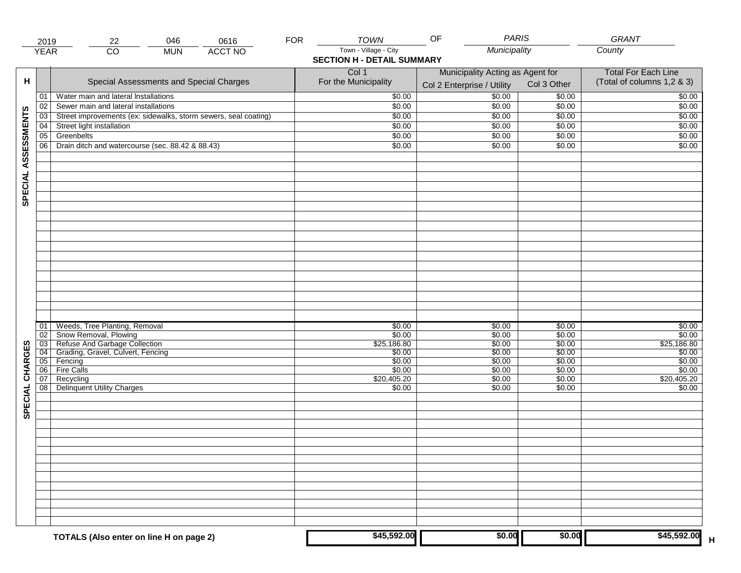|                     | 2019            | 22                                                              | 046        | 0616           | <b>FOR</b> | <b>TOWN</b>                       | <b>PARIS</b><br>OF               |                  | GRANT                      |
|---------------------|-----------------|-----------------------------------------------------------------|------------|----------------|------------|-----------------------------------|----------------------------------|------------------|----------------------------|
|                     | <b>YEAR</b>     | $\overline{CO}$                                                 | <b>MUN</b> | <b>ACCT NO</b> |            | Town - Village - City             | Municipality                     |                  | County                     |
|                     |                 |                                                                 |            |                |            | <b>SECTION H - DETAIL SUMMARY</b> |                                  |                  |                            |
|                     |                 |                                                                 |            |                |            | Col 1                             | Municipality Acting as Agent for |                  | <b>Total For Each Line</b> |
| н                   |                 | Special Assessments and Special Charges                         |            |                |            | For the Municipality              | Col 2 Enterprise / Utility       | Col 3 Other      | (Total of columns 1,2 & 3) |
|                     | 01              | Water main and lateral Installations                            |            |                |            | \$0.00                            | 50.00                            | \$0.00           | \$0.00                     |
|                     | 02              | Sewer main and lateral installations                            |            |                |            | \$0.00                            | \$0.00                           | \$0.00           | \$0.00                     |
|                     | $\overline{03}$ | Street improvements (ex: sidewalks, storm sewers, seal coating) |            |                |            | \$0.00                            | \$0.00                           | \$0.00           | \$0.00                     |
|                     | 04              | Street light installation                                       |            |                |            | \$0.00                            | \$0.00                           | \$0.00           | \$0.00                     |
|                     | 05              | Greenbelts                                                      |            |                |            | \$0.00                            | \$0.00                           | \$0.00           | \$0.00                     |
|                     | 06              | Drain ditch and watercourse (sec. 88.42 & 88.43)                |            |                |            | \$0.00                            | \$0.00                           | \$0.00           | \$0.00                     |
|                     |                 |                                                                 |            |                |            |                                   |                                  |                  |                            |
|                     |                 |                                                                 |            |                |            |                                   |                                  |                  |                            |
|                     |                 |                                                                 |            |                |            |                                   |                                  |                  |                            |
| SPECIAL ASSESSMENTS |                 |                                                                 |            |                |            |                                   |                                  |                  |                            |
|                     |                 |                                                                 |            |                |            |                                   |                                  |                  |                            |
|                     |                 |                                                                 |            |                |            |                                   |                                  |                  |                            |
|                     |                 |                                                                 |            |                |            |                                   |                                  |                  |                            |
|                     |                 |                                                                 |            |                |            |                                   |                                  |                  |                            |
|                     |                 |                                                                 |            |                |            |                                   |                                  |                  |                            |
|                     |                 |                                                                 |            |                |            |                                   |                                  |                  |                            |
|                     |                 |                                                                 |            |                |            |                                   |                                  |                  |                            |
|                     |                 |                                                                 |            |                |            |                                   |                                  |                  |                            |
|                     |                 |                                                                 |            |                |            |                                   |                                  |                  |                            |
|                     |                 |                                                                 |            |                |            |                                   |                                  |                  |                            |
|                     |                 |                                                                 |            |                |            |                                   |                                  |                  |                            |
|                     |                 | Weeds, Tree Planting, Removal                                   |            |                |            | \$0.00                            | \$0.00                           | \$0.00           | \$0.00                     |
|                     | 01<br>02        |                                                                 |            |                |            | \$0.00                            | \$0.00                           | \$0.00           | \$0.00                     |
|                     | 03              | Snow Removal, Plowing<br>Refuse And Garbage Collection          |            |                |            | \$25,186.80                       | \$0.00                           | \$0.00           | \$25,186.80                |
| CHARGES             | 04              | Grading, Gravel, Culvert, Fencing                               |            |                |            | \$0.00                            | \$0.00                           | \$0.00           | \$0.00                     |
|                     | 05              | Fencing                                                         |            |                |            | \$0.00                            | \$0.00                           | \$0.00           | \$0.00                     |
|                     | 06<br>07        | <b>Fire Calls</b><br>Recycling                                  |            |                |            | \$0.00<br>\$20,405.20             | \$0.00<br>\$0.00                 | \$0.00<br>\$0.00 | \$0.00<br>\$20,405.20      |
|                     | 08              | <b>Delinquent Utility Charges</b>                               |            |                |            | \$0.00                            | \$0.00                           | \$0.00           | \$0.00                     |
|                     |                 |                                                                 |            |                |            |                                   |                                  |                  |                            |
| SPECIAL             |                 |                                                                 |            |                |            |                                   |                                  |                  |                            |
|                     |                 |                                                                 |            |                |            |                                   |                                  |                  |                            |
|                     |                 |                                                                 |            |                |            |                                   |                                  |                  |                            |
|                     |                 |                                                                 |            |                |            |                                   |                                  |                  |                            |
|                     |                 |                                                                 |            |                |            |                                   |                                  |                  |                            |
|                     |                 |                                                                 |            |                |            |                                   |                                  |                  |                            |
|                     |                 |                                                                 |            |                |            |                                   |                                  |                  |                            |
|                     |                 |                                                                 |            |                |            |                                   |                                  |                  |                            |
|                     |                 |                                                                 |            |                |            |                                   |                                  |                  |                            |
|                     |                 |                                                                 |            |                |            |                                   |                                  |                  |                            |
|                     |                 |                                                                 |            |                |            |                                   |                                  |                  |                            |
|                     |                 |                                                                 |            |                |            |                                   |                                  |                  |                            |
|                     |                 | TOTALS (Also enter on line H on page 2)                         |            |                |            | \$45,592.00                       | \$0.00                           | \$0.00           | \$45,592.00                |
|                     |                 |                                                                 |            |                |            |                                   |                                  |                  |                            |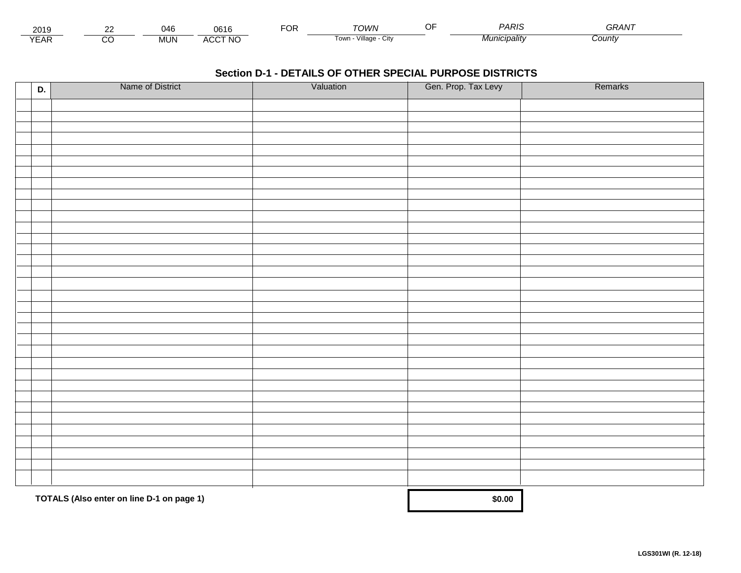| 2010<br><b>ZUIJ</b> | $\overline{\phantom{a}}$<br>一下し |                                            | $\neg$ $\wedge$ r.<br>UM | <b>TOM/N</b>                 | PARIS      | $\overline{\phantom{m}}$<br>┓ <del> </del> |  |
|---------------------|---------------------------------|--------------------------------------------|--------------------------|------------------------------|------------|--------------------------------------------|--|
| $\sqrt{2}$<br>-Ar   | <br>INI<br>טועו                 | <b>\CCT NC</b><br>$\cdot$<br><b>-11.11</b> |                          | .<br>Villade<br>i own<br>UIN | micipality | Count∨                                     |  |

| D. | Name of District                          | Valuation | Gen. Prop. Tax Levy | Remarks |
|----|-------------------------------------------|-----------|---------------------|---------|
|    |                                           |           |                     |         |
|    |                                           |           |                     |         |
|    |                                           |           |                     |         |
|    |                                           |           |                     |         |
|    |                                           |           |                     |         |
|    |                                           |           |                     |         |
|    |                                           |           |                     |         |
|    |                                           |           |                     |         |
|    |                                           |           |                     |         |
|    |                                           |           |                     |         |
|    |                                           |           |                     |         |
|    |                                           |           |                     |         |
|    |                                           |           |                     |         |
|    |                                           |           |                     |         |
|    |                                           |           |                     |         |
|    |                                           |           |                     |         |
|    |                                           |           |                     |         |
|    |                                           |           |                     |         |
|    |                                           |           |                     |         |
|    |                                           |           |                     |         |
|    |                                           |           |                     |         |
|    |                                           |           |                     |         |
|    |                                           |           |                     |         |
|    |                                           |           |                     |         |
|    |                                           |           |                     |         |
|    |                                           |           |                     |         |
|    |                                           |           |                     |         |
|    |                                           |           |                     |         |
|    |                                           |           |                     |         |
|    |                                           |           |                     |         |
|    |                                           |           |                     |         |
|    |                                           |           |                     |         |
|    |                                           |           |                     |         |
|    | TOTALS (Also enter on line D-1 on page 1) |           | \$0.00              |         |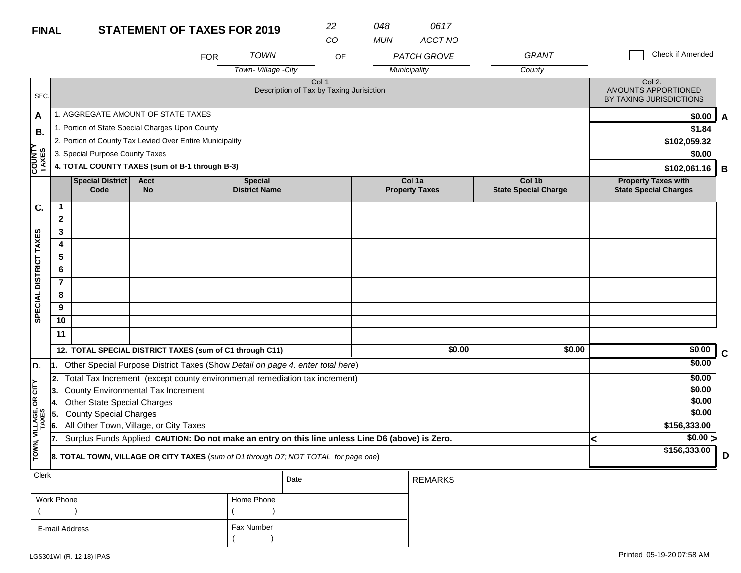| <b>FINAL</b>            |                                              |                                                 |                          | <b>STATEMENT OF TAXES FOR 2019</b>                       |                                                                                                  | 22<br>CO                                          | 048<br><b>MUN</b> | 0617<br><b>ACCT NO</b>             |                                       |                                                            |             |  |  |
|-------------------------|----------------------------------------------|-------------------------------------------------|--------------------------|----------------------------------------------------------|--------------------------------------------------------------------------------------------------|---------------------------------------------------|-------------------|------------------------------------|---------------------------------------|------------------------------------------------------------|-------------|--|--|
|                         |                                              |                                                 |                          | <b>FOR</b>                                               | <b>TOWN</b><br>Town-Village -City                                                                | OF                                                |                   | <b>PATCH GROVE</b><br>Municipality | <b>GRANT</b><br>County                | Check if Amended                                           |             |  |  |
| SEC.                    |                                              |                                                 |                          |                                                          |                                                                                                  | Col 1<br>Description of Tax by Taxing Jurisiction |                   |                                    |                                       | Col 2.<br>AMOUNTS APPORTIONED<br>BY TAXING JURISDICTIONS   |             |  |  |
| A                       |                                              | 1. AGGREGATE AMOUNT OF STATE TAXES              |                          |                                                          |                                                                                                  |                                                   |                   |                                    |                                       | \$0.00                                                     | A           |  |  |
| <b>B.</b>               |                                              | 1. Portion of State Special Charges Upon County |                          |                                                          |                                                                                                  |                                                   |                   |                                    |                                       | \$1.84                                                     |             |  |  |
|                         |                                              |                                                 |                          | 2. Portion of County Tax Levied Over Entire Municipality |                                                                                                  |                                                   |                   |                                    |                                       | \$102,059.32                                               |             |  |  |
|                         |                                              | 3. Special Purpose County Taxes                 |                          |                                                          |                                                                                                  |                                                   |                   |                                    |                                       | \$0.00                                                     |             |  |  |
| <b>COUNTY</b><br>TAXES  |                                              |                                                 |                          | 4. TOTAL COUNTY TAXES (sum of B-1 through B-3)           |                                                                                                  |                                                   |                   |                                    |                                       | \$102,061.16                                               | В           |  |  |
|                         |                                              | <b>Special District</b><br>Code                 | <b>Acct</b><br><b>No</b> |                                                          | <b>Special</b><br><b>District Name</b>                                                           |                                                   |                   | Col 1a<br><b>Property Taxes</b>    | Col 1b<br><b>State Special Charge</b> | <b>Property Taxes with</b><br><b>State Special Charges</b> |             |  |  |
| C.                      | $\mathbf 1$                                  |                                                 |                          |                                                          |                                                                                                  |                                                   |                   |                                    |                                       |                                                            |             |  |  |
|                         | $\mathbf{2}$                                 |                                                 |                          |                                                          |                                                                                                  |                                                   |                   |                                    |                                       |                                                            |             |  |  |
|                         | 3                                            |                                                 |                          |                                                          |                                                                                                  |                                                   |                   |                                    |                                       |                                                            |             |  |  |
|                         | 4                                            |                                                 |                          |                                                          |                                                                                                  |                                                   |                   |                                    |                                       |                                                            |             |  |  |
|                         | 5                                            |                                                 |                          |                                                          |                                                                                                  |                                                   |                   |                                    |                                       |                                                            |             |  |  |
|                         | 6                                            |                                                 |                          |                                                          |                                                                                                  |                                                   |                   |                                    |                                       |                                                            |             |  |  |
|                         | $\overline{7}$                               |                                                 |                          |                                                          |                                                                                                  |                                                   |                   |                                    |                                       |                                                            |             |  |  |
| SPECIAL DISTRICT TAXES  | 8                                            |                                                 |                          |                                                          |                                                                                                  |                                                   |                   |                                    |                                       |                                                            |             |  |  |
|                         | 9                                            |                                                 |                          |                                                          |                                                                                                  |                                                   |                   |                                    |                                       |                                                            |             |  |  |
|                         | 10                                           |                                                 |                          |                                                          |                                                                                                  |                                                   |                   |                                    |                                       |                                                            |             |  |  |
|                         | 11                                           |                                                 |                          |                                                          |                                                                                                  |                                                   |                   |                                    |                                       |                                                            |             |  |  |
|                         |                                              |                                                 |                          | 12. TOTAL SPECIAL DISTRICT TAXES (sum of C1 through C11) |                                                                                                  |                                                   |                   | \$0.00                             | \$0.00                                | \$0.00                                                     | $\mathbf c$ |  |  |
| D.                      | 1.                                           |                                                 |                          |                                                          | Other Special Purpose District Taxes (Show Detail on page 4, enter total here)                   |                                                   |                   |                                    |                                       | \$0.00                                                     |             |  |  |
|                         | 2.                                           |                                                 |                          |                                                          | Total Tax Increment (except county environmental remediation tax increment)                      |                                                   |                   |                                    |                                       | \$0.00                                                     |             |  |  |
| $OR$ CITY               | 3.                                           | County Environmental Tax Increment              |                          |                                                          |                                                                                                  |                                                   |                   |                                    |                                       | \$0.00                                                     |             |  |  |
|                         | 14.                                          | <b>Other State Special Charges</b>              |                          |                                                          |                                                                                                  |                                                   |                   |                                    |                                       | \$0.00                                                     |             |  |  |
|                         | 5.                                           | <b>County Special Charges</b>                   |                          |                                                          |                                                                                                  |                                                   |                   |                                    |                                       | \$0.00                                                     |             |  |  |
|                         | All Other Town, Village, or City Taxes<br>6. |                                                 |                          |                                                          |                                                                                                  |                                                   |                   |                                    |                                       | \$156,333.00                                               |             |  |  |
|                         | $\overline{7}$ .                             |                                                 |                          |                                                          | Surplus Funds Applied CAUTION: Do not make an entry on this line unless Line D6 (above) is Zero. |                                                   |                   |                                    |                                       | $\sqrt{$0.00}$<br>K                                        |             |  |  |
| TOWN, VILLAGE,<br>TAXES |                                              |                                                 |                          |                                                          | 8. TOTAL TOWN, VILLAGE OR CITY TAXES (sum of D1 through D7; NOT TOTAL for page one)              |                                                   |                   |                                    |                                       | \$156,333.00                                               | D           |  |  |

| \$0.00 >     |
|--------------|
| \$156,333.00 |

| Clerk          |            | Date | <b>REMARKS</b> |
|----------------|------------|------|----------------|
| Work Phone     | Home Phone |      |                |
|                |            |      |                |
| E-mail Address | Fax Number |      |                |
|                |            |      |                |

**8. TOTAL TOWN, VILLAGE OR CITY TAXES** (*sum of D1 through D7; NOT TOTAL for page one*)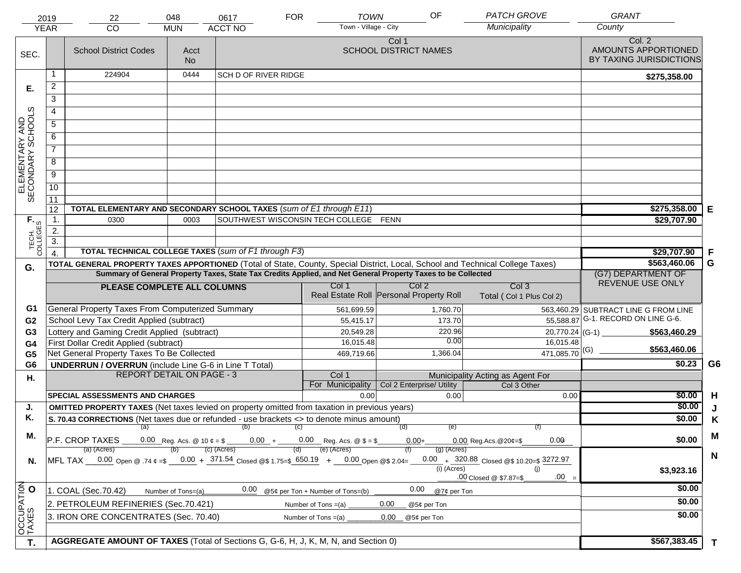|                                     | 2019<br><b>YEAR</b> | 22<br><b>CO</b>                                                                                                                | 048<br><b>MUN</b>                 | 0617<br><b>ACCT NO</b>      | <b>FOR</b> | <b>TOWN</b><br>Town - Village - City | OF                                                                                                           | <b>PATCH GROVE</b><br>Municipality                 | <b>GRANT</b><br>County                                   |             |
|-------------------------------------|---------------------|--------------------------------------------------------------------------------------------------------------------------------|-----------------------------------|-----------------------------|------------|--------------------------------------|--------------------------------------------------------------------------------------------------------------|----------------------------------------------------|----------------------------------------------------------|-------------|
| SEC.                                |                     | <b>School District Codes</b>                                                                                                   | Acct<br><b>No</b>                 |                             |            |                                      | Col 1<br><b>SCHOOL DISTRICT NAMES</b>                                                                        |                                                    | Col. 2<br>AMOUNTS APPORTIONED<br>BY TAXING JURISDICTIONS |             |
|                                     |                     |                                                                                                                                |                                   |                             |            |                                      |                                                                                                              |                                                    |                                                          |             |
|                                     |                     | 224904                                                                                                                         | 0444                              | <b>SCH D OF RIVER RIDGE</b> |            |                                      |                                                                                                              |                                                    | \$275,358.00                                             |             |
| Е.                                  | $\overline{2}$      |                                                                                                                                |                                   |                             |            |                                      |                                                                                                              |                                                    |                                                          |             |
|                                     | 3                   |                                                                                                                                |                                   |                             |            |                                      |                                                                                                              |                                                    |                                                          |             |
|                                     | $\overline{4}$      |                                                                                                                                |                                   |                             |            |                                      |                                                                                                              |                                                    |                                                          |             |
| ELEMENTARY AND<br>SECONDARY SCHOOLS | 5                   |                                                                                                                                |                                   |                             |            |                                      |                                                                                                              |                                                    |                                                          |             |
|                                     | 6                   |                                                                                                                                |                                   |                             |            |                                      |                                                                                                              |                                                    |                                                          |             |
|                                     | $\overline{7}$      |                                                                                                                                |                                   |                             |            |                                      |                                                                                                              |                                                    |                                                          |             |
|                                     | 8                   |                                                                                                                                |                                   |                             |            |                                      |                                                                                                              |                                                    |                                                          |             |
|                                     | $\overline{9}$      |                                                                                                                                |                                   |                             |            |                                      |                                                                                                              |                                                    |                                                          |             |
|                                     | 10                  |                                                                                                                                |                                   |                             |            |                                      |                                                                                                              |                                                    |                                                          |             |
|                                     | 11                  |                                                                                                                                |                                   |                             |            |                                      |                                                                                                              |                                                    |                                                          |             |
|                                     | 12                  | TOTAL ELEMENTARY AND SECONDARY SCHOOL TAXES (sum of E1 through E11)                                                            | \$275,358.00                      | Е                           |            |                                      |                                                                                                              |                                                    |                                                          |             |
|                                     | $\mathbf 1$ .       | 0300                                                                                                                           | \$29,707.90                       |                             |            |                                      |                                                                                                              |                                                    |                                                          |             |
|                                     | 2.<br>3.            |                                                                                                                                |                                   |                             |            |                                      |                                                                                                              |                                                    |                                                          |             |
| TECH. T                             | $\overline{4}$      | TOTAL TECHNICAL COLLEGE TAXES (sum of F1 through F3)                                                                           | \$29,707.90                       | F                           |            |                                      |                                                                                                              |                                                    |                                                          |             |
|                                     |                     | TOTAL GENERAL PROPERTY TAXES APPORTIONED (Total of State, County, Special District, Local, School and Technical College Taxes) |                                   | \$563,460.06                | G          |                                      |                                                                                                              |                                                    |                                                          |             |
| G.                                  |                     |                                                                                                                                |                                   |                             |            |                                      | Summary of General Property Taxes, State Tax Credits Applied, and Net General Property Taxes to be Collected |                                                    | (G7) DEPARTMENT OF                                       |             |
|                                     |                     | PLEASE COMPLETE ALL COLUMNS                                                                                                    |                                   |                             |            | Col 1                                | Col <sub>2</sub>                                                                                             | Col <sub>3</sub>                                   | REVENUE USE ONLY                                         |             |
|                                     |                     |                                                                                                                                |                                   |                             |            |                                      | Real Estate Roll Personal Property Roll                                                                      | Total (Col 1 Plus Col 2)                           |                                                          |             |
| G1                                  |                     | General Property Taxes From Computerized Summary                                                                               |                                   |                             |            | 561,699.59                           | 1,760.70                                                                                                     |                                                    | 563,460.29 SUBTRACT LINE G FROM LINE                     |             |
| G <sub>2</sub>                      |                     | School Levy Tax Credit Applied (subtract)                                                                                      |                                   |                             |            | 55,415.17                            | 173.70                                                                                                       |                                                    | 55,588.87 G-1. RECORD ON LINE G-6.                       |             |
| G <sub>3</sub>                      |                     | Lottery and Gaming Credit Applied (subtract)                                                                                   |                                   |                             |            | 20,549.28                            | 220.96                                                                                                       | 20,770.24 (G-1)                                    | \$563,460.29                                             |             |
| G4                                  |                     | First Dollar Credit Applied (subtract)                                                                                         |                                   |                             |            | 16,015.48                            | 0.00                                                                                                         | 16,015.48                                          | \$563,460.06                                             |             |
| G <sub>5</sub>                      |                     | Net General Property Taxes To Be Collected                                                                                     |                                   |                             |            | 469,719.66                           | 1,366.04                                                                                                     | $471,085.70$ <sup>(G)</sup>                        |                                                          |             |
| G <sub>6</sub>                      |                     | <b>UNDERRUN / OVERRUN</b> (include Line G-6 in Line T Total)<br><b>REPORT DETAIL ON PAGE - 3</b>                               |                                   |                             |            |                                      |                                                                                                              |                                                    | \$0.23                                                   | G6          |
| Η.                                  |                     |                                                                                                                                |                                   |                             |            | Col 1<br>For Municipality            | Col 2 Enterprise/ Utility                                                                                    | Municipality Acting as Agent For<br>Col 3 Other    |                                                          |             |
|                                     |                     | <b>SPECIAL ASSESSMENTS AND CHARGES</b>                                                                                         |                                   |                             |            | 0.00                                 | 0.00                                                                                                         | 0.00                                               | \$0.00                                                   | H           |
| J.                                  |                     | <b>OMITTED PROPERTY TAXES</b> (Net taxes levied on property omitted from taxation in previous years)                           |                                   |                             |            |                                      |                                                                                                              |                                                    | \$0.00                                                   | J           |
| Κ.                                  |                     | S. 70.43 CORRECTIONS (Net taxes due or refunded - use brackets <> to denote minus amount)                                      |                                   | \$0.00                      | K          |                                      |                                                                                                              |                                                    |                                                          |             |
|                                     |                     | (a)                                                                                                                            |                                   |                             |            |                                      |                                                                                                              |                                                    |                                                          |             |
| М.                                  |                     | P.F. CROP TAXES<br>0.00 Reg. Acs. @ 10 $\phi = $$ _______0.00 + ______0.00 Reg. Acs. @ $$ = $$                                 | \$0.00                            | M                           |            |                                      |                                                                                                              |                                                    |                                                          |             |
|                                     |                     | (a) (Acres)                                                                                                                    |                                   | (c) (Acres)                 |            | (e) (Acres)                          | $(g)$ (Acres)                                                                                                |                                                    |                                                          | $\mathbf N$ |
| N.                                  |                     | MFL TAX 0.00 Open @ .74 $\varphi = 0.00 + 371.54$ Closed @ \$ 1.75= \$650.19 + 0.00 Open @ \$ 2.04=                            |                                   |                             |            |                                      | $(i)$ (Acres)                                                                                                | 0.00 $+$ 320.88 Closed @\$ 10.20=\$ 3272.97<br>(i) | \$3,923.16                                               |             |
|                                     |                     |                                                                                                                                | $.00 =$<br>.00 Closed @ \$7.87=\$ |                             |            |                                      |                                                                                                              |                                                    |                                                          |             |
|                                     |                     | 1. COAL (Sec.70.42)                                                                                                            | Number of Tons=(a)                | 0.00                        |            | @5¢ per Ton + Number of Tons=(b)     | 0.00<br>@7¢ per Ton                                                                                          |                                                    | \$0.00                                                   |             |
|                                     |                     | 2. PETROLEUM REFINERIES (Sec.70.421)                                                                                           |                                   |                             |            | Number of Tons $=(a)$                | 0.00<br>@5¢ per Ton                                                                                          |                                                    | \$0.00                                                   |             |
| OCCUPATION                          |                     | 3. IRON ORE CONCENTRATES (Sec. 70.40)                                                                                          |                                   |                             |            | Number of Tons $=(a)$                | 0.00<br>@5¢ per Ton                                                                                          |                                                    | \$0.00                                                   |             |
|                                     |                     |                                                                                                                                |                                   |                             |            |                                      |                                                                                                              |                                                    |                                                          |             |
| T.                                  |                     | AGGREGATE AMOUNT OF TAXES (Total of Sections G, G-6, H, J, K, M, N, and Section 0)                                             |                                   |                             |            |                                      |                                                                                                              |                                                    | \$567,383.45                                             |             |
|                                     |                     |                                                                                                                                |                                   |                             |            |                                      |                                                                                                              |                                                    |                                                          | T           |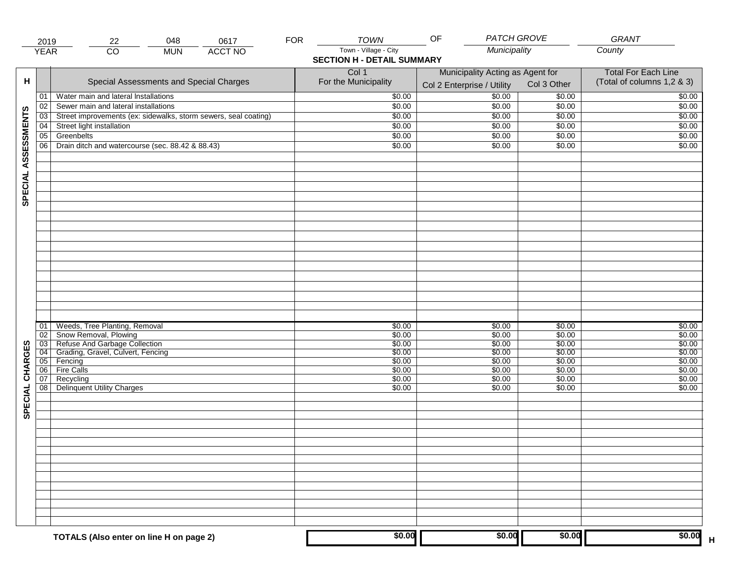|                     | 2019            | 22                                                                       | 048        | 0617           | <b>FOR</b> | <b>TOWN</b>                                                | <b>PATCH GROVE</b><br>OF                                       |                  | GRANT                                                    |
|---------------------|-----------------|--------------------------------------------------------------------------|------------|----------------|------------|------------------------------------------------------------|----------------------------------------------------------------|------------------|----------------------------------------------------------|
|                     | <b>YEAR</b>     | $\overline{CO}$                                                          | <b>MUN</b> | <b>ACCT NO</b> |            | Town - Village - City<br><b>SECTION H - DETAIL SUMMARY</b> | Municipality                                                   |                  | County                                                   |
| н                   |                 | Special Assessments and Special Charges                                  |            |                |            | Col 1<br>For the Municipality                              | Municipality Acting as Agent for<br>Col 2 Enterprise / Utility | Col 3 Other      | <b>Total For Each Line</b><br>(Total of columns 1,2 & 3) |
|                     | 01              | Water main and lateral Installations                                     |            |                |            | \$0.00                                                     | $\frac{1}{00}$                                                 | \$0.00           | \$0.00                                                   |
|                     | 02              | Sewer main and lateral installations                                     |            |                |            | \$0.00                                                     | \$0.00                                                         | \$0.00           | \$0.00                                                   |
|                     | $\overline{03}$ | Street improvements (ex: sidewalks, storm sewers, seal coating)          |            |                |            | \$0.00                                                     | \$0.00                                                         | \$0.00           | \$0.00                                                   |
|                     | 04              | Street light installation                                                |            |                |            | \$0.00                                                     | \$0.00                                                         | \$0.00           | \$0.00                                                   |
|                     | 05              | Greenbelts                                                               |            |                |            | \$0.00                                                     | \$0.00                                                         | \$0.00           | \$0.00                                                   |
|                     | 06              | Drain ditch and watercourse (sec. 88.42 & 88.43)                         |            |                |            | \$0.00                                                     | \$0.00                                                         | \$0.00           | \$0.00                                                   |
| SPECIAL ASSESSMENTS |                 |                                                                          |            |                |            |                                                            |                                                                |                  |                                                          |
|                     |                 |                                                                          |            |                |            |                                                            |                                                                |                  |                                                          |
|                     | 01<br>02        | Weeds, Tree Planting, Removal<br>Snow Removal, Plowing                   |            |                |            | \$0.00<br>\$0.00                                           | \$0.00<br>\$0.00                                               | \$0.00<br>\$0.00 | \$0.00<br>\$0.00                                         |
|                     |                 |                                                                          |            |                |            | \$0.00                                                     | \$0.00                                                         | \$0.00           | \$0.00                                                   |
| CHARGES             |                 | 03 Refuse And Garbage Collection<br>04 Grading, Gravel, Culvert, Fencing |            |                |            | \$0.00                                                     | \$0.00                                                         | \$0.00           | \$0.00                                                   |
|                     |                 | 05 Fencing                                                               |            |                |            | \$0.00                                                     | \$0.00                                                         | \$0.00           | \$0.00                                                   |
|                     | 06              | <b>Fire Calls</b>                                                        |            |                |            | \$0.00                                                     | \$0.00                                                         | \$0.00           | \$0.00                                                   |
| SPECIAL             | 07<br>08        | Recycling<br><b>Delinquent Utility Charges</b>                           |            |                |            | \$0.00<br>\$0.00                                           | \$0.00<br>\$0.00                                               | \$0.00<br>\$0.00 | \$0.00<br>\$0.00                                         |
|                     |                 |                                                                          |            |                |            |                                                            |                                                                |                  |                                                          |
|                     |                 |                                                                          |            |                |            |                                                            |                                                                |                  |                                                          |
|                     |                 |                                                                          |            |                |            |                                                            |                                                                |                  |                                                          |
|                     |                 |                                                                          |            |                |            |                                                            |                                                                |                  |                                                          |
|                     |                 |                                                                          |            |                |            |                                                            |                                                                |                  |                                                          |
|                     |                 | TOTALS (Also enter on line H on page 2)                                  |            |                |            | \$0.00                                                     | \$0.00                                                         | \$0.00           | \$0.00                                                   |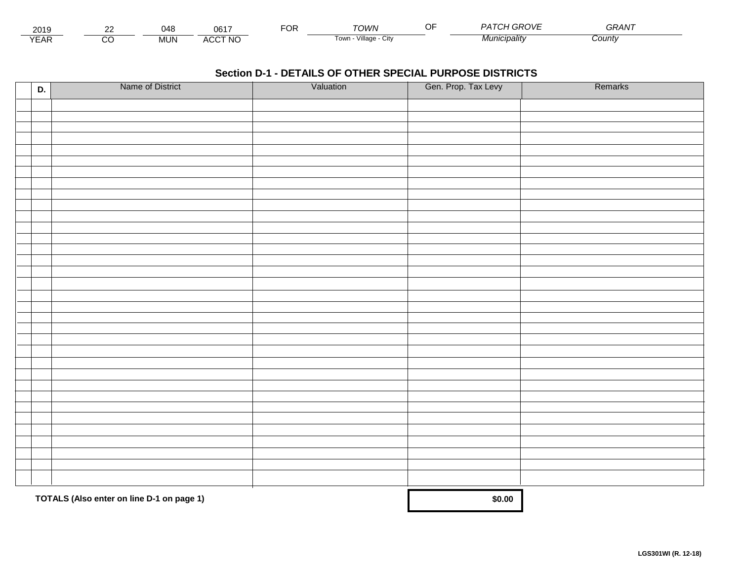| 2015                        | co | 048  | 0.047<br>UO.                   | ™CR | ™∩WN                                 | $\sim$ $\sim$ $\sim$<br>. | $\sim$ $\sim$ $\sim$ $\sim$<br>GRAN |  |
|-----------------------------|----|------|--------------------------------|-----|--------------------------------------|---------------------------|-------------------------------------|--|
| $\sqrt{2}$<br>▵<br><b>L</b> |    | MUN. | CCT NC،<br>$\mathbf{A}$<br>AUU |     | $\cdots$<br>Village<br>i own<br>◡៲៶៴ | Municipalitv              | :ountv                              |  |

| D. | Name of District                          | Valuation | Gen. Prop. Tax Levy | Remarks |
|----|-------------------------------------------|-----------|---------------------|---------|
|    |                                           |           |                     |         |
|    |                                           |           |                     |         |
|    |                                           |           |                     |         |
|    |                                           |           |                     |         |
|    |                                           |           |                     |         |
|    |                                           |           |                     |         |
|    |                                           |           |                     |         |
|    |                                           |           |                     |         |
|    |                                           |           |                     |         |
|    |                                           |           |                     |         |
|    |                                           |           |                     |         |
|    |                                           |           |                     |         |
|    |                                           |           |                     |         |
|    |                                           |           |                     |         |
|    |                                           |           |                     |         |
|    |                                           |           |                     |         |
|    |                                           |           |                     |         |
|    |                                           |           |                     |         |
|    |                                           |           |                     |         |
|    |                                           |           |                     |         |
|    |                                           |           |                     |         |
|    |                                           |           |                     |         |
|    |                                           |           |                     |         |
|    |                                           |           |                     |         |
|    |                                           |           |                     |         |
|    |                                           |           |                     |         |
|    |                                           |           |                     |         |
|    |                                           |           |                     |         |
|    |                                           |           |                     |         |
|    |                                           |           |                     |         |
|    | TOTALS (Also enter on line D-1 on page 1) | \$0.00    |                     |         |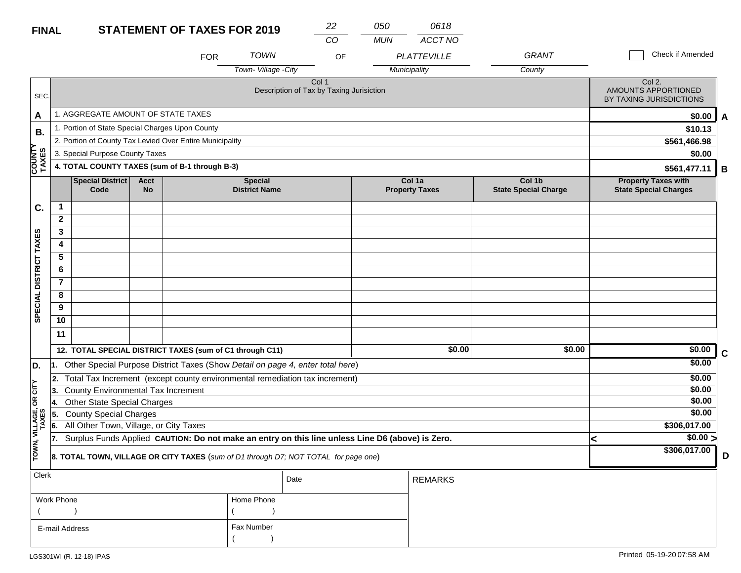| <b>FINAL</b>           |              |                                                 |                   | <b>STATEMENT OF TAXES FOR 2019</b>                       |                                        | 22                                                                                                  | 050        | 0618                            |                                       |                                                            |   |
|------------------------|--------------|-------------------------------------------------|-------------------|----------------------------------------------------------|----------------------------------------|-----------------------------------------------------------------------------------------------------|------------|---------------------------------|---------------------------------------|------------------------------------------------------------|---|
|                        |              |                                                 |                   |                                                          |                                        | CO                                                                                                  | <b>MUN</b> | ACCT NO                         |                                       |                                                            |   |
|                        |              |                                                 |                   | <b>FOR</b>                                               | <b>TOWN</b>                            | OF                                                                                                  |            | <b>PLATTEVILLE</b>              | <b>GRANT</b>                          | Check if Amended                                           |   |
|                        |              |                                                 |                   |                                                          | Town-Village - City                    |                                                                                                     |            | Municipality                    | County                                |                                                            |   |
| SEC.                   |              |                                                 |                   |                                                          |                                        | Col 1<br>Description of Tax by Taxing Jurisiction                                                   |            |                                 |                                       | Col 2.<br>AMOUNTS APPORTIONED<br>BY TAXING JURISDICTIONS   |   |
| A                      |              | 1. AGGREGATE AMOUNT OF STATE TAXES              |                   |                                                          |                                        |                                                                                                     |            |                                 |                                       | \$0.00                                                     | A |
| В.                     |              | 1. Portion of State Special Charges Upon County |                   |                                                          |                                        |                                                                                                     |            |                                 |                                       | \$10.13                                                    |   |
|                        |              |                                                 |                   | 2. Portion of County Tax Levied Over Entire Municipality |                                        |                                                                                                     |            |                                 |                                       | \$561,466.98                                               |   |
|                        |              | 3. Special Purpose County Taxes                 |                   |                                                          |                                        |                                                                                                     |            |                                 |                                       | \$0.00                                                     |   |
| <b>COUNTY</b><br>TAXES |              |                                                 |                   | 4. TOTAL COUNTY TAXES (sum of B-1 through B-3)           |                                        |                                                                                                     |            |                                 |                                       | \$561,477.11                                               | B |
|                        |              | <b>Special District</b><br>Code                 | Acct<br><b>No</b> |                                                          | <b>Special</b><br><b>District Name</b> |                                                                                                     |            | Col 1a<br><b>Property Taxes</b> | Col 1b<br><b>State Special Charge</b> | <b>Property Taxes with</b><br><b>State Special Charges</b> |   |
| C.                     | 1            |                                                 |                   |                                                          |                                        |                                                                                                     |            |                                 |                                       |                                                            |   |
|                        | $\mathbf{2}$ |                                                 |                   |                                                          |                                        |                                                                                                     |            |                                 |                                       |                                                            |   |
|                        | 3            |                                                 |                   |                                                          |                                        |                                                                                                     |            |                                 |                                       |                                                            |   |
|                        | 4            |                                                 |                   |                                                          |                                        |                                                                                                     |            |                                 |                                       |                                                            |   |
|                        | 5            |                                                 |                   |                                                          |                                        |                                                                                                     |            |                                 |                                       |                                                            |   |
| SPECIAL DISTRICT TAXES | 6            |                                                 |                   |                                                          |                                        |                                                                                                     |            |                                 |                                       |                                                            |   |
|                        | 7            |                                                 |                   |                                                          |                                        |                                                                                                     |            |                                 |                                       |                                                            |   |
|                        | 8            |                                                 |                   |                                                          |                                        |                                                                                                     |            |                                 |                                       |                                                            |   |
|                        | 9            |                                                 |                   |                                                          |                                        |                                                                                                     |            |                                 |                                       |                                                            |   |
|                        | 10           |                                                 |                   |                                                          |                                        |                                                                                                     |            |                                 |                                       |                                                            |   |
|                        | 11           |                                                 |                   |                                                          |                                        |                                                                                                     |            |                                 |                                       |                                                            |   |
|                        |              |                                                 |                   | 12. TOTAL SPECIAL DISTRICT TAXES (sum of C1 through C11) |                                        |                                                                                                     |            | \$0.00                          | \$0.00                                | \$0.00                                                     | C |
| D.                     | 11.          |                                                 |                   |                                                          |                                        | Other Special Purpose District Taxes (Show Detail on page 4, enter total here)                      |            |                                 |                                       | \$0.00                                                     |   |
|                        | 12.          |                                                 |                   |                                                          |                                        | Total Tax Increment (except county environmental remediation tax increment)                         |            |                                 |                                       | \$0.00                                                     |   |
| OR CITY                | 3.           | <b>County Environmental Tax Increment</b>       |                   |                                                          |                                        |                                                                                                     |            |                                 |                                       | \$0.00                                                     |   |
|                        | 14.          | <b>Other State Special Charges</b>              |                   |                                                          |                                        |                                                                                                     |            |                                 |                                       | \$0.00                                                     |   |
| VILLAGE,<br>TAXES      | 55.          | <b>County Special Charges</b>                   |                   |                                                          |                                        |                                                                                                     |            |                                 |                                       | \$0.00                                                     |   |
|                        | 6.           | All Other Town, Village, or City Taxes          |                   |                                                          |                                        |                                                                                                     |            |                                 |                                       | \$306,017.00                                               |   |
|                        | 17           |                                                 |                   |                                                          |                                        | 7. Surplus Funds Applied CAUTION: Do not make an entry on this line unless Line D6 (above) is Zero. |            |                                 |                                       | $\sqrt{$0.00}$<br>╮                                        |   |
| TOWN,                  |              |                                                 |                   |                                                          |                                        | 8. TOTAL TOWN, VILLAGE OR CITY TAXES (sum of D1 through D7; NOT TOTAL for page one)                 |            |                                 |                                       | \$306,017.00                                               | D |
| Clerk                  |              |                                                 |                   |                                                          |                                        | Date                                                                                                |            | <b>REMARKS</b>                  |                                       |                                                            |   |
|                        | Work Phone   |                                                 |                   |                                                          | Home Phone                             |                                                                                                     |            |                                 |                                       |                                                            |   |
|                        |              |                                                 |                   |                                                          |                                        |                                                                                                     |            |                                 |                                       |                                                            |   |
|                        |              | E-mail Address                                  |                   |                                                          | Fax Number                             |                                                                                                     |            |                                 |                                       |                                                            |   |

 $($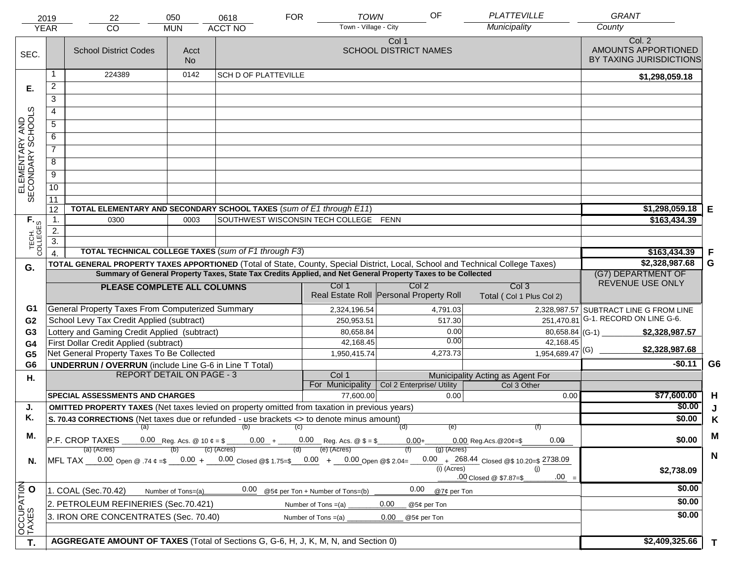|                                     | 2019             | 22                                                                                                                             | 050                | 0618                                                                                                         | <b>FOR</b>                       | <b>TOWN</b>                                                 | OF            | <b>PLATTEVILLE</b>                           | <b>GRANT</b>                                             |                |
|-------------------------------------|------------------|--------------------------------------------------------------------------------------------------------------------------------|--------------------|--------------------------------------------------------------------------------------------------------------|----------------------------------|-------------------------------------------------------------|---------------|----------------------------------------------|----------------------------------------------------------|----------------|
|                                     | <b>YEAR</b>      | CO                                                                                                                             | <b>MUN</b>         | <b>ACCT NO</b>                                                                                               |                                  | Town - Village - City                                       |               | Municipality                                 | County                                                   |                |
| SEC.                                |                  | <b>School District Codes</b>                                                                                                   | Acct<br><b>No</b>  |                                                                                                              |                                  | Col 1<br><b>SCHOOL DISTRICT NAMES</b>                       |               |                                              | Col. 2<br>AMOUNTS APPORTIONED<br>BY TAXING JURISDICTIONS |                |
|                                     | 1                | 224389                                                                                                                         | 0142               | <b>SCH D OF PLATTEVILLE</b>                                                                                  |                                  |                                                             |               |                                              | \$1,298,059.18                                           |                |
| Е.                                  | $\overline{2}$   |                                                                                                                                |                    |                                                                                                              |                                  |                                                             |               |                                              |                                                          |                |
|                                     | 3                |                                                                                                                                |                    |                                                                                                              |                                  |                                                             |               |                                              |                                                          |                |
|                                     | 4                |                                                                                                                                |                    |                                                                                                              |                                  |                                                             |               |                                              |                                                          |                |
|                                     | $\overline{5}$   |                                                                                                                                |                    |                                                                                                              |                                  |                                                             |               |                                              |                                                          |                |
|                                     | 6                |                                                                                                                                |                    |                                                                                                              |                                  |                                                             |               |                                              |                                                          |                |
| ELEMENTARY AND<br>SECONDARY SCHOOLS | $\overline{7}$   |                                                                                                                                |                    |                                                                                                              |                                  |                                                             |               |                                              |                                                          |                |
|                                     | 8                |                                                                                                                                |                    |                                                                                                              |                                  |                                                             |               |                                              |                                                          |                |
|                                     | $\overline{9}$   |                                                                                                                                |                    |                                                                                                              |                                  |                                                             |               |                                              |                                                          |                |
|                                     | 10               |                                                                                                                                |                    |                                                                                                              |                                  |                                                             |               |                                              |                                                          |                |
|                                     | $\overline{11}$  |                                                                                                                                |                    |                                                                                                              |                                  |                                                             |               |                                              |                                                          |                |
|                                     | 12               | TOTAL ELEMENTARY AND SECONDARY SCHOOL TAXES (sum of E1 through E11)                                                            |                    |                                                                                                              |                                  |                                                             |               |                                              | \$1,298,059.18                                           | Е              |
|                                     | 1.               | 0300                                                                                                                           | \$163,434.39       |                                                                                                              |                                  |                                                             |               |                                              |                                                          |                |
|                                     | 2.               |                                                                                                                                |                    |                                                                                                              |                                  |                                                             |               |                                              |                                                          |                |
| TECH. T                             | $\overline{3}$ . |                                                                                                                                |                    |                                                                                                              |                                  |                                                             |               |                                              |                                                          |                |
|                                     | $\overline{4}$   | TOTAL TECHNICAL COLLEGE TAXES (sum of F1 through F3)                                                                           |                    |                                                                                                              |                                  |                                                             |               |                                              | \$163,434.39                                             | F              |
| G.                                  |                  | TOTAL GENERAL PROPERTY TAXES APPORTIONED (Total of State, County, Special District, Local, School and Technical College Taxes) |                    |                                                                                                              |                                  |                                                             |               |                                              | \$2,328,987.68                                           | G              |
|                                     |                  |                                                                                                                                |                    | Summary of General Property Taxes, State Tax Credits Applied, and Net General Property Taxes to be Collected |                                  |                                                             |               |                                              | (G7) DEPARTMENT OF<br>REVENUE USE ONLY                   |                |
|                                     |                  | PLEASE COMPLETE ALL COLUMNS                                                                                                    |                    |                                                                                                              | Col 1                            | Col <sub>2</sub><br>Real Estate Roll Personal Property Roll |               | Col <sub>3</sub><br>Total (Col 1 Plus Col 2) |                                                          |                |
| G1                                  |                  | General Property Taxes From Computerized Summary                                                                               |                    |                                                                                                              | 2,324,196.54                     |                                                             | 4,791.03      |                                              | 2,328,987.57 SUBTRACT LINE G FROM LINE                   |                |
| G <sub>2</sub>                      |                  | School Levy Tax Credit Applied (subtract)                                                                                      |                    |                                                                                                              | 250,953.51                       |                                                             | 517.30        | 251,470.81                                   | G-1. RECORD ON LINE G-6.                                 |                |
| G3                                  |                  | Lottery and Gaming Credit Applied (subtract)                                                                                   |                    |                                                                                                              | 80,658.84                        |                                                             | 0.00<br>0.00  | $80,658.84$ (G-1)                            | \$2,328,987.57                                           |                |
| G4                                  |                  | First Dollar Credit Applied (subtract)                                                                                         |                    |                                                                                                              | 42,168.45                        |                                                             | 4,273.73      | 42,168.45<br>$1,954,689.47$ <sup>(G)</sup>   | \$2,328,987.68                                           |                |
| G <sub>5</sub><br>G <sub>6</sub>    |                  | Net General Property Taxes To Be Collected<br><b>UNDERRUN / OVERRUN</b> (include Line G-6 in Line T Total)                     |                    |                                                                                                              | 1,950,415.74                     |                                                             |               |                                              | $-$0.11$                                                 | G <sub>6</sub> |
| Η.                                  |                  | <b>REPORT DETAIL ON PAGE - 3</b>                                                                                               |                    |                                                                                                              | Col 1                            |                                                             |               | Municipality Acting as Agent For             |                                                          |                |
|                                     |                  |                                                                                                                                |                    |                                                                                                              | For Municipality                 | Col 2 Enterprise/ Utility                                   |               | Col 3 Other                                  |                                                          |                |
|                                     |                  | <b>SPECIAL ASSESSMENTS AND CHARGES</b>                                                                                         |                    |                                                                                                              | 77,600.00                        |                                                             | 0.00          | 0.00                                         | \$77,600.00                                              | H              |
| J.                                  |                  | <b>OMITTED PROPERTY TAXES</b> (Net taxes levied on property omitted from taxation in previous years)                           |                    |                                                                                                              |                                  |                                                             |               |                                              | \$0.00                                                   | J              |
| Κ.                                  |                  | S. 70.43 CORRECTIONS (Net taxes due or refunded - use brackets <> to denote minus amount)                                      |                    |                                                                                                              |                                  | (d)                                                         | (e)           |                                              | \$0.00                                                   | K              |
| М.                                  |                  | (a) (b) (c)                                                                                                                    |                    |                                                                                                              | M                                |                                                             |               |                                              |                                                          |                |
|                                     |                  | $ P.F. CROP TAXES 0.00$ Reg. Acs. @ 10 $\ell = \ell - 0.00 + 0.00$ Reg. Acs. @ $\ell = \ell - 0.00$<br>(a) (Acres)             |                    | $(c)$ (Acres)                                                                                                | (e) (Acres)                      | $0.00+$                                                     | $(g)$ (Acres) | 0.00<br>$0.00$ Reg. Acs. @ 20¢=\$            | \$0.00                                                   |                |
| N.                                  |                  | $MFL$ TAX $-$ 0.00 Open @ .74 $\epsilon =$ $-$ 0.00 + $-$ 0.00 Closed @\$ 1.75=\$ $-$ 0.00 + $-$ 0.00 Open @\$ 2.04=           |                    |                                                                                                              |                                  |                                                             |               | $0.00 + 268.44$ Closed @\$ 10.20=\$ 2738.09  |                                                          | $\mathbf N$    |
|                                     |                  |                                                                                                                                |                    |                                                                                                              |                                  |                                                             | (i) (Acres)   | (i)                                          | \$2,738.09                                               |                |
|                                     |                  |                                                                                                                                |                    |                                                                                                              |                                  |                                                             |               | $.00 =$<br>.00 Closed @ \$7.87=\$            |                                                          |                |
|                                     |                  | 1. COAL (Sec.70.42)                                                                                                            | Number of Tons=(a) | 0.00                                                                                                         | @5¢ per Ton + Number of Tons=(b) | 0.00                                                        | @7¢ per Ton   |                                              | \$0.00                                                   |                |
|                                     |                  | 2. PETROLEUM REFINERIES (Sec.70.421)                                                                                           |                    |                                                                                                              | Number of Tons $=(a)$            | 0.00<br>@5¢ per Ton                                         |               |                                              | \$0.00                                                   |                |
| OCCUPATION<br>TAXES O               |                  | 3. IRON ORE CONCENTRATES (Sec. 70.40)                                                                                          |                    |                                                                                                              | Number of Tons $=(a)$            | 0.00<br>@5¢ per Ton                                         |               |                                              | \$0.00                                                   |                |
|                                     |                  |                                                                                                                                |                    |                                                                                                              |                                  |                                                             |               |                                              |                                                          |                |
| T.                                  |                  | AGGREGATE AMOUNT OF TAXES (Total of Sections G, G-6, H, J, K, M, N, and Section 0)                                             |                    | \$2,409,325.66                                                                                               | $\mathbf{T}$                     |                                                             |               |                                              |                                                          |                |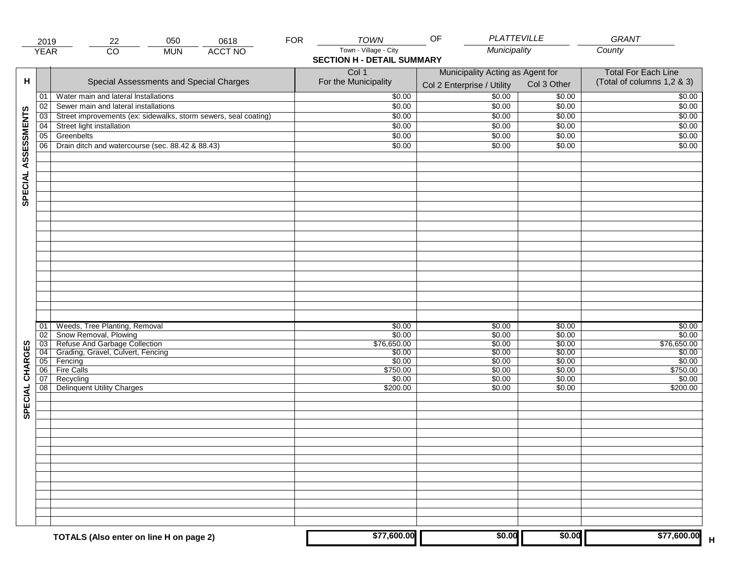|                     | 2019                                                              | 050<br>22                                                                                                                               | 0618           | <b>FOR</b> | <b>TOWN</b>                                                | OF                                                             | <b>PLATTEVILLE</b>                             | GRANT                                                    |
|---------------------|-------------------------------------------------------------------|-----------------------------------------------------------------------------------------------------------------------------------------|----------------|------------|------------------------------------------------------------|----------------------------------------------------------------|------------------------------------------------|----------------------------------------------------------|
|                     | <b>YEAR</b>                                                       | $\overline{CO}$<br><b>MUN</b>                                                                                                           | <b>ACCT NO</b> |            | Town - Village - City<br><b>SECTION H - DETAIL SUMMARY</b> | Municipality                                                   |                                                | County                                                   |
| H                   |                                                                   | Special Assessments and Special Charges                                                                                                 |                |            | Col 1<br>For the Municipality                              | Municipality Acting as Agent for<br>Col 2 Enterprise / Utility | Col 3 Other                                    | <b>Total For Each Line</b><br>(Total of columns 1,2 & 3) |
|                     | 01                                                                | Water main and lateral Installations                                                                                                    |                |            | \$0.00                                                     | \$0.00                                                         | \$0.00                                         | \$0.00                                                   |
|                     | 02                                                                | Sewer main and lateral installations                                                                                                    |                |            | $\sqrt{$0.00}$                                             | \$0.00                                                         | \$0.00                                         | \$0.00                                                   |
|                     | $\overline{03}$                                                   | Street improvements (ex: sidewalks, storm sewers, seal coating)                                                                         |                |            | \$0.00                                                     | \$0.00                                                         | \$0.00                                         | \$0.00                                                   |
|                     | 04                                                                | Street light installation                                                                                                               |                |            | \$0.00                                                     | \$0.00                                                         | \$0.00                                         | \$0.00                                                   |
|                     | 05                                                                | Greenbelts                                                                                                                              |                |            | \$0.00                                                     | \$0.00                                                         | \$0.00                                         | \$0.00                                                   |
|                     | 06                                                                | Drain ditch and watercourse (sec. 88.42 & 88.43)                                                                                        |                |            | \$0.00                                                     | \$0.00                                                         | \$0.00                                         | \$0.00                                                   |
| SPECIAL ASSESSMENTS |                                                                   |                                                                                                                                         |                |            |                                                            |                                                                |                                                |                                                          |
| CHARGES             | 01<br>$\overline{02}$<br>$\overline{03}$<br>$\overline{04}$<br>05 | Weeds, Tree Planting, Removal<br>Snow Removal, Plowing<br>Refuse And Garbage Collection<br>Grading, Gravel, Culvert, Fencing<br>Fencing |                |            | \$0.00<br>\$0.00<br>\$76,650.00<br>\$0.00<br>\$0.00        | \$0.00<br>\$0.00<br>\$0.00<br>\$0.00<br>\$0.00                 | \$0.00<br>\$0.00<br>\$0.00<br>\$0.00<br>\$0.00 | \$0.00<br>\$0.00<br>\$76,650.00<br>\$0.00<br>\$0.00      |
|                     | 06                                                                | <b>Fire Calls</b>                                                                                                                       |                |            | \$750.00                                                   | \$0.00                                                         | \$0.00                                         | \$750.00                                                 |
| SPECIAL             | 07<br>08                                                          | Recycling<br><b>Delinquent Utility Charges</b>                                                                                          |                |            | \$0.00<br>\$200.00                                         | \$0.00<br>\$0.00                                               | \$0.00<br>\$0.00                               | \$0.00<br>\$200.00                                       |
|                     |                                                                   |                                                                                                                                         |                |            |                                                            |                                                                |                                                |                                                          |
|                     |                                                                   |                                                                                                                                         |                |            |                                                            |                                                                |                                                |                                                          |
|                     |                                                                   | TOTALS (Also enter on line H on page 2)                                                                                                 |                |            | \$77,600.00                                                | \$0.00                                                         | \$0.00                                         | \$77,600.00                                              |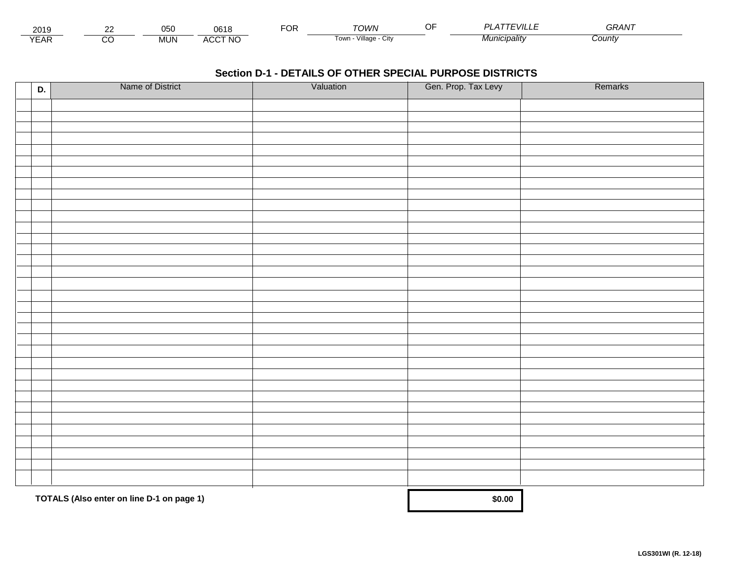| 2015                        | $\sim$ | $\mathbf{A} = \mathbf{A}$<br>vuc | $\sim$ $\sim$ $\sim$<br>JO  | $\neg$ $\wedge$ r.<br>◡┍ | TOWN                         | $\cdots$<br><i>VII</i> | GRAN  |  |
|-----------------------------|--------|----------------------------------|-----------------------------|--------------------------|------------------------------|------------------------|-------|--|
| $\sqrt{2}$<br>▵<br><b>L</b> |        | .viun.                           | CCT NC،<br>$\Lambda$<br>nuu |                          | .<br>Villade<br>' OWLL<br>UN | * <i>¶unicipalitv</i>  | Count |  |

| D. | Name of District                          | Valuation | Gen. Prop. Tax Levy | Remarks |
|----|-------------------------------------------|-----------|---------------------|---------|
|    |                                           |           |                     |         |
|    |                                           |           |                     |         |
|    |                                           |           |                     |         |
|    |                                           |           |                     |         |
|    |                                           |           |                     |         |
|    |                                           |           |                     |         |
|    |                                           |           |                     |         |
|    |                                           |           |                     |         |
|    |                                           |           |                     |         |
|    |                                           |           |                     |         |
|    |                                           |           |                     |         |
|    |                                           |           |                     |         |
|    |                                           |           |                     |         |
|    |                                           |           |                     |         |
|    |                                           |           |                     |         |
|    |                                           |           |                     |         |
|    |                                           |           |                     |         |
|    |                                           |           |                     |         |
|    |                                           |           |                     |         |
|    |                                           |           |                     |         |
|    |                                           |           |                     |         |
|    |                                           |           |                     |         |
|    |                                           |           |                     |         |
|    |                                           |           |                     |         |
|    |                                           |           |                     |         |
|    |                                           |           |                     |         |
|    |                                           |           |                     |         |
|    |                                           |           |                     |         |
|    |                                           |           |                     |         |
|    |                                           |           |                     |         |
|    | TOTALS (Also enter on line D-1 on page 1) | \$0.00    |                     |         |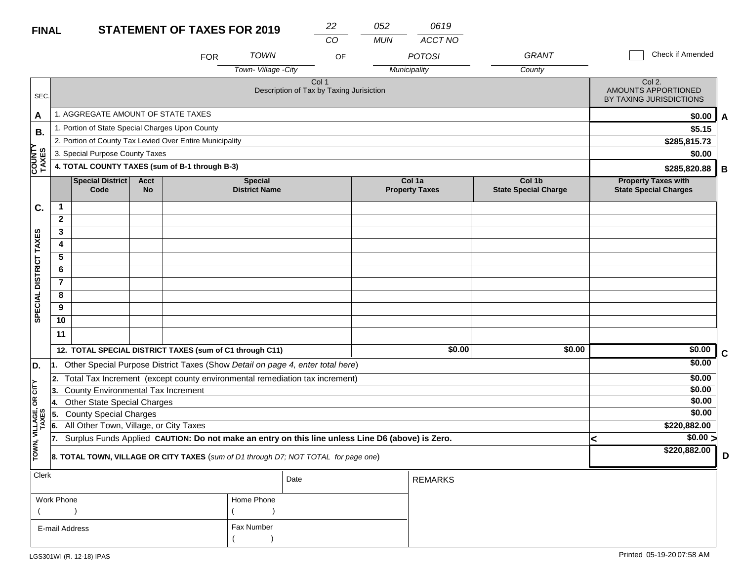#### **STATEMENT OF TAXES FOR 2019 FINAL**

| <b>FINAL</b>                     |                |                                                                                                  |                          | <b>STATEMENT OF TAXES FOR 2019</b> |                                        | 22                                                                                  | 052        | 0619                            |                                       |                                                            |   |
|----------------------------------|----------------|--------------------------------------------------------------------------------------------------|--------------------------|------------------------------------|----------------------------------------|-------------------------------------------------------------------------------------|------------|---------------------------------|---------------------------------------|------------------------------------------------------------|---|
|                                  |                |                                                                                                  |                          |                                    |                                        | CO                                                                                  | <b>MUN</b> | ACCT NO                         |                                       | Check if Amended                                           |   |
|                                  |                |                                                                                                  |                          | <b>FOR</b>                         | <b>TOWN</b>                            | OF                                                                                  |            | <b>POTOSI</b>                   | <b>GRANT</b>                          |                                                            |   |
|                                  |                |                                                                                                  |                          |                                    | Town-Village - City                    |                                                                                     |            | Municipality                    | County                                |                                                            |   |
| SEC.                             |                |                                                                                                  |                          |                                    |                                        | Col 1<br>Description of Tax by Taxing Jurisiction                                   |            |                                 |                                       | Col 2.<br>AMOUNTS APPORTIONED<br>BY TAXING JURISDICTIONS   |   |
| A                                |                | 1. AGGREGATE AMOUNT OF STATE TAXES                                                               |                          |                                    |                                        |                                                                                     |            |                                 |                                       | \$0.00                                                     | A |
| <b>B.</b>                        |                | 1. Portion of State Special Charges Upon County                                                  |                          |                                    |                                        |                                                                                     |            |                                 |                                       | \$5.15                                                     |   |
|                                  |                | 2. Portion of County Tax Levied Over Entire Municipality                                         |                          |                                    |                                        |                                                                                     |            |                                 |                                       | \$285,815.73                                               |   |
|                                  |                | 3. Special Purpose County Taxes                                                                  |                          | \$0.00                             |                                        |                                                                                     |            |                                 |                                       |                                                            |   |
| <b>COUNTY<br/>TAXES</b>          |                | 4. TOTAL COUNTY TAXES (sum of B-1 through B-3)                                                   |                          | \$285,820.88                       | В                                      |                                                                                     |            |                                 |                                       |                                                            |   |
|                                  |                | Special District<br>Code                                                                         | <b>Acct</b><br><b>No</b> |                                    | <b>Special</b><br><b>District Name</b> |                                                                                     |            | Col 1a<br><b>Property Taxes</b> | Col 1b<br><b>State Special Charge</b> | <b>Property Taxes with</b><br><b>State Special Charges</b> |   |
| C.                               | 1              |                                                                                                  |                          |                                    |                                        |                                                                                     |            |                                 |                                       |                                                            |   |
|                                  | $\mathbf{2}$   |                                                                                                  |                          |                                    |                                        |                                                                                     |            |                                 |                                       |                                                            |   |
|                                  | 3              |                                                                                                  |                          |                                    |                                        |                                                                                     |            |                                 |                                       |                                                            |   |
|                                  | 4              |                                                                                                  |                          |                                    |                                        |                                                                                     |            |                                 |                                       |                                                            |   |
|                                  | 5              |                                                                                                  |                          |                                    |                                        |                                                                                     |            |                                 |                                       |                                                            |   |
|                                  | 6              |                                                                                                  |                          |                                    |                                        |                                                                                     |            |                                 |                                       |                                                            |   |
|                                  | $\overline{7}$ |                                                                                                  |                          |                                    |                                        |                                                                                     |            |                                 |                                       |                                                            |   |
| SPECIAL DISTRICT TAXES           | 8              |                                                                                                  |                          |                                    |                                        |                                                                                     |            |                                 |                                       |                                                            |   |
|                                  | 9              |                                                                                                  |                          |                                    |                                        |                                                                                     |            |                                 |                                       |                                                            |   |
|                                  | 10             |                                                                                                  |                          |                                    |                                        |                                                                                     |            |                                 |                                       |                                                            |   |
|                                  | 11             |                                                                                                  |                          |                                    |                                        |                                                                                     |            |                                 |                                       |                                                            |   |
|                                  |                | 12. TOTAL SPECIAL DISTRICT TAXES (sum of C1 through C11)                                         |                          |                                    |                                        |                                                                                     |            | \$0.00                          | \$0.00                                | \$0.00                                                     | C |
| D.                               | 11.            |                                                                                                  |                          |                                    |                                        | Other Special Purpose District Taxes (Show Detail on page 4, enter total here)      |            |                                 |                                       | \$0.00                                                     |   |
|                                  | 2.             |                                                                                                  |                          |                                    |                                        | Total Tax Increment (except county environmental remediation tax increment)         |            |                                 |                                       | \$0.00                                                     |   |
| <b>CITY</b>                      | 3.             | County Environmental Tax Increment                                                               |                          |                                    |                                        |                                                                                     |            |                                 |                                       | \$0.00                                                     |   |
| g                                | 14.            | <b>Other State Special Charges</b>                                                               |                          |                                    |                                        |                                                                                     |            |                                 |                                       | \$0.00                                                     |   |
|                                  | 5.             | <b>County Special Charges</b>                                                                    |                          |                                    |                                        |                                                                                     |            |                                 |                                       | \$0.00                                                     |   |
|                                  | 6.             | All Other Town, Village, or City Taxes                                                           |                          |                                    |                                        |                                                                                     |            |                                 |                                       | \$220,882.00                                               |   |
|                                  | 17.            | Surplus Funds Applied CAUTION: Do not make an entry on this line unless Line D6 (above) is Zero. | \$0.00 ><br>k            |                                    |                                        |                                                                                     |            |                                 |                                       |                                                            |   |
| TOWN, VILLAGE,<br>TOWN, VILLAGE, |                |                                                                                                  |                          |                                    |                                        | 8. TOTAL TOWN, VILLAGE OR CITY TAXES (sum of D1 through D7; NOT TOTAL for page one) |            |                                 |                                       | \$220,882.00                                               | D |
| Clerk                            |                |                                                                                                  |                          |                                    |                                        | Date                                                                                |            | <b>REMARKS</b>                  |                                       |                                                            |   |

| viun           |            | Date | <b>REMARKS</b> |
|----------------|------------|------|----------------|
| Work Phone     | Home Phone |      |                |
|                |            |      |                |
| E-mail Address | Fax Number |      |                |
|                |            |      |                |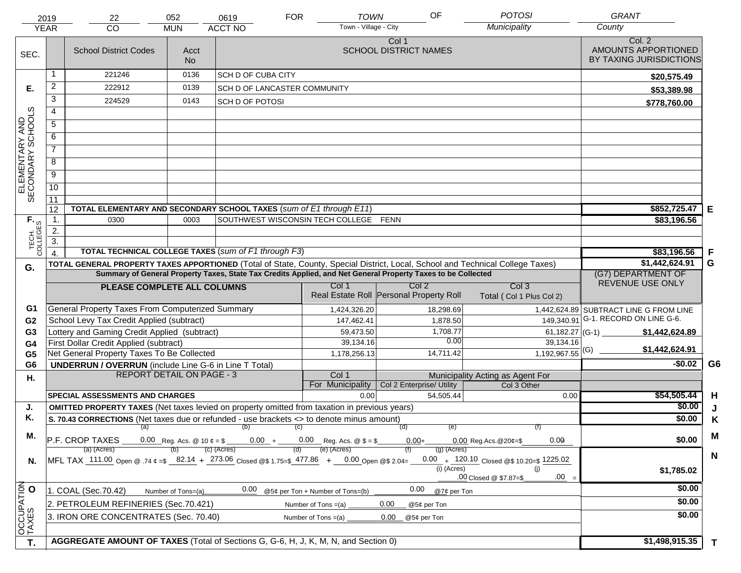|                                     | 2019                               | 22                                                                                                                             | 052                               | 0619                         | <b>FOR</b><br><b>TOWN</b>             | OF                                                                                                           | <b>POTOSI</b>                                   | <b>GRANT</b>                                             |                |
|-------------------------------------|------------------------------------|--------------------------------------------------------------------------------------------------------------------------------|-----------------------------------|------------------------------|---------------------------------------|--------------------------------------------------------------------------------------------------------------|-------------------------------------------------|----------------------------------------------------------|----------------|
|                                     | <b>YEAR</b>                        | CO                                                                                                                             | <b>MUN</b>                        | <b>ACCT NO</b>               | Town - Village - City                 |                                                                                                              | Municipality                                    | County                                                   |                |
| SEC.                                |                                    | <b>School District Codes</b>                                                                                                   | Acct<br><b>No</b>                 |                              |                                       | Col 1<br><b>SCHOOL DISTRICT NAMES</b>                                                                        |                                                 | Col. 2<br>AMOUNTS APPORTIONED<br>BY TAXING JURISDICTIONS |                |
|                                     | 1                                  | 221246                                                                                                                         | 0136                              | <b>SCH D OF CUBA CITY</b>    |                                       |                                                                                                              |                                                 | \$20,575.49                                              |                |
| Е.                                  | $\overline{2}$                     | 222912                                                                                                                         | 0139                              | SCH D OF LANCASTER COMMUNITY |                                       |                                                                                                              |                                                 | \$53,389.98                                              |                |
|                                     | 3                                  | 224529                                                                                                                         | 0143                              | <b>SCH D OF POTOSI</b>       |                                       |                                                                                                              |                                                 | \$778,760.00                                             |                |
|                                     | $\overline{4}$                     |                                                                                                                                |                                   |                              |                                       |                                                                                                              |                                                 |                                                          |                |
|                                     | $\overline{5}$                     |                                                                                                                                |                                   |                              |                                       |                                                                                                              |                                                 |                                                          |                |
|                                     | 6                                  |                                                                                                                                |                                   |                              |                                       |                                                                                                              |                                                 |                                                          |                |
|                                     | $\overline{7}$                     |                                                                                                                                |                                   |                              |                                       |                                                                                                              |                                                 |                                                          |                |
| ELEMENTARY AND<br>SECONDARY SCHOOLS | 8                                  |                                                                                                                                |                                   |                              |                                       |                                                                                                              |                                                 |                                                          |                |
|                                     | $\overline{9}$                     |                                                                                                                                |                                   |                              |                                       |                                                                                                              |                                                 |                                                          |                |
|                                     | 10                                 |                                                                                                                                |                                   |                              |                                       |                                                                                                              |                                                 |                                                          |                |
|                                     | $\overline{11}$                    |                                                                                                                                |                                   |                              |                                       |                                                                                                              |                                                 |                                                          |                |
|                                     | 12                                 | TOTAL ELEMENTARY AND SECONDARY SCHOOL TAXES (sum of E1 through E11)                                                            |                                   |                              |                                       |                                                                                                              |                                                 | \$852,725.47                                             | Е              |
|                                     | $\mathbf 1$ .                      | 0300                                                                                                                           | 0003                              |                              | SOUTHWEST WISCONSIN TECH COLLEGE FENN |                                                                                                              |                                                 | \$83,196.56                                              |                |
|                                     | 2.                                 |                                                                                                                                |                                   |                              |                                       |                                                                                                              |                                                 |                                                          |                |
| TECH. T                             | $\overline{3}$ .<br>$\overline{4}$ | TOTAL TECHNICAL COLLEGE TAXES (sum of F1 through F3)                                                                           |                                   | \$83,196.56                  | F                                     |                                                                                                              |                                                 |                                                          |                |
|                                     |                                    | TOTAL GENERAL PROPERTY TAXES APPORTIONED (Total of State, County, Special District, Local, School and Technical College Taxes) |                                   |                              |                                       |                                                                                                              |                                                 | \$1,442,624.91                                           | G              |
| G.                                  |                                    |                                                                                                                                |                                   |                              |                                       | Summary of General Property Taxes, State Tax Credits Applied, and Net General Property Taxes to be Collected |                                                 | (G7) DEPARTMENT OF                                       |                |
|                                     |                                    | PLEASE COMPLETE ALL COLUMNS                                                                                                    |                                   |                              | Col 1                                 | Col <sub>2</sub>                                                                                             | Col <sub>3</sub>                                | REVENUE USE ONLY                                         |                |
|                                     |                                    |                                                                                                                                |                                   |                              |                                       | Real Estate Roll Personal Property Roll                                                                      | Total (Col 1 Plus Col 2)                        |                                                          |                |
| G1                                  |                                    | General Property Taxes From Computerized Summary                                                                               |                                   |                              | 1,424,326.20                          | 18,298.69                                                                                                    |                                                 | 1,442,624.89 SUBTRACT LINE G FROM LINE                   |                |
| G <sub>2</sub>                      |                                    | School Levy Tax Credit Applied (subtract)                                                                                      |                                   |                              | 147,462.41                            | 1,878.50                                                                                                     | 149,340.91                                      | G-1. RECORD ON LINE G-6.                                 |                |
| G <sub>3</sub>                      |                                    | Lottery and Gaming Credit Applied (subtract)                                                                                   |                                   |                              | 59,473.50                             | 1,708.77                                                                                                     |                                                 | \$1,442,624.89                                           |                |
| G4                                  |                                    | First Dollar Credit Applied (subtract)                                                                                         |                                   |                              | 39,134.16                             | 0.00                                                                                                         | 39,134.16                                       | \$1,442,624.91                                           |                |
| G <sub>5</sub>                      |                                    | Net General Property Taxes To Be Collected                                                                                     |                                   |                              | 1,178,256.13                          | 14,711.42                                                                                                    | $1,192,967.55$ <sup>(G)</sup>                   |                                                          |                |
| G <sub>6</sub>                      |                                    | <b>UNDERRUN / OVERRUN</b> (include Line G-6 in Line T Total)<br><b>REPORT DETAIL ON PAGE - 3</b>                               |                                   |                              |                                       |                                                                                                              |                                                 | $-$0.02$                                                 | G <sub>6</sub> |
| Η.                                  |                                    |                                                                                                                                |                                   |                              | Col 1<br>For Municipality             | Col 2 Enterprise/ Utility                                                                                    | Municipality Acting as Agent For<br>Col 3 Other |                                                          |                |
|                                     |                                    | <b>SPECIAL ASSESSMENTS AND CHARGES</b>                                                                                         |                                   |                              | 0.00                                  | 54,505.44                                                                                                    | 0.00                                            | \$54,505.44                                              | H              |
| J.                                  |                                    | <b>OMITTED PROPERTY TAXES</b> (Net taxes levied on property omitted from taxation in previous years)                           |                                   |                              |                                       |                                                                                                              |                                                 | \$0.00                                                   | J              |
| Κ.                                  |                                    | S. 70.43 CORRECTIONS (Net taxes due or refunded - use brackets <> to denote minus amount)                                      |                                   |                              |                                       |                                                                                                              |                                                 | \$0.00                                                   | K              |
| М.                                  |                                    |                                                                                                                                |                                   | $(a)$ (b) (c)                |                                       | (e)<br>(d)                                                                                                   |                                                 |                                                          | M              |
|                                     |                                    | P.F. CROP TAXES                                                                                                                | 0.00<br>$0.00$ Reg. Acs. @ 20¢=\$ | \$0.00                       |                                       |                                                                                                              |                                                 |                                                          |                |
|                                     |                                    | (a) (Acres)<br>MFL TAX 111.00 Open @ .74 ¢ =\$ 82.14 + 273.06 Closed @\$ 1.75=\$ 477.86 + 0.00 Open @\$ 2.04=                  |                                   | (c) (Acres)                  | (e) (Acres)                           | $(g)$ (Acres)                                                                                                | $0.00 + 120.10$ Closed @\$ 10.20=\$ 1225.02     |                                                          | $\mathbf N$    |
| N.                                  |                                    |                                                                                                                                |                                   |                              |                                       | (i) (Acres)                                                                                                  | (i)                                             | \$1,785.02                                               |                |
|                                     |                                    |                                                                                                                                |                                   |                              |                                       |                                                                                                              | $.00 =$<br>.00 Closed @ \$7.87=\$               |                                                          |                |
|                                     |                                    | 1. COAL (Sec.70.42)                                                                                                            | Number of Tons=(a)                | 0.00                         | @5¢ per Ton + Number of Tons=(b)      | 0.00<br>@7¢ per Ton                                                                                          |                                                 | \$0.00                                                   |                |
|                                     |                                    | 2. PETROLEUM REFINERIES (Sec.70.421)                                                                                           |                                   |                              | Number of Tons $=(a)$                 | 0.00<br>@5¢ per Ton                                                                                          |                                                 | \$0.00                                                   |                |
|                                     |                                    | 3. IRON ORE CONCENTRATES (Sec. 70.40)                                                                                          |                                   |                              | Number of Tons $=(a)$                 | 0.00<br>@5¢ per Ton                                                                                          |                                                 | \$0.00                                                   |                |
| OCCUPATION                          |                                    |                                                                                                                                |                                   |                              |                                       |                                                                                                              |                                                 |                                                          |                |
| T.                                  |                                    | AGGREGATE AMOUNT OF TAXES (Total of Sections G, G-6, H, J, K, M, N, and Section 0)                                             |                                   |                              |                                       |                                                                                                              |                                                 | \$1,498,915.35                                           | $\mathbf{T}$   |
|                                     |                                    |                                                                                                                                |                                   |                              |                                       |                                                                                                              |                                                 |                                                          |                |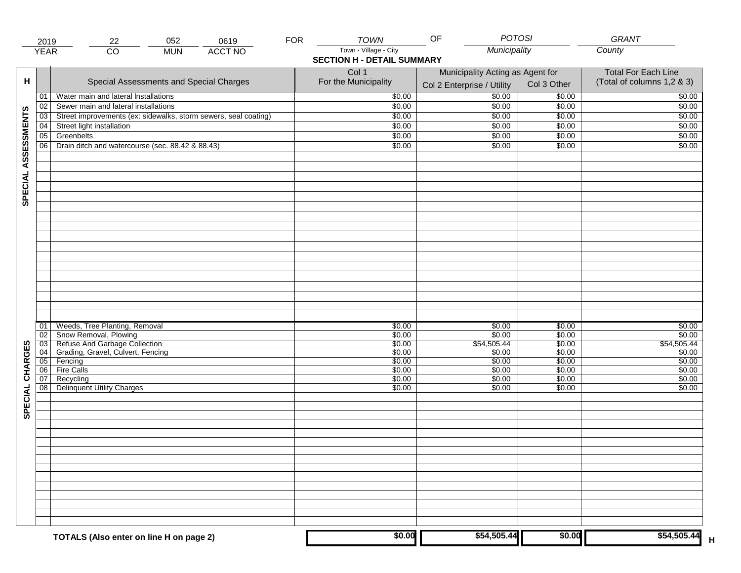|                     | 2019                       | 052<br>22                                                                                                                               | 0619           | <b>FOR</b> | <b>TOWN</b>                                                | OF                                                             |                                                     | <b>POTOSI</b>                                  | GRANT                                                    |
|---------------------|----------------------------|-----------------------------------------------------------------------------------------------------------------------------------------|----------------|------------|------------------------------------------------------------|----------------------------------------------------------------|-----------------------------------------------------|------------------------------------------------|----------------------------------------------------------|
|                     | <b>YEAR</b>                | $\overline{CO}$<br><b>MUN</b>                                                                                                           | <b>ACCT NO</b> |            | Town - Village - City<br><b>SECTION H - DETAIL SUMMARY</b> |                                                                | Municipality                                        |                                                | County                                                   |
| н                   |                            | Special Assessments and Special Charges                                                                                                 |                |            | Col 1<br>For the Municipality                              | Municipality Acting as Agent for<br>Col 2 Enterprise / Utility |                                                     | Col 3 Other                                    | <b>Total For Each Line</b><br>(Total of columns 1,2 & 3) |
|                     | 01                         | Water main and lateral Installations                                                                                                    |                |            | \$0.00                                                     |                                                                | $\frac{1}{00}$                                      | \$0.00                                         | \$0.00                                                   |
|                     | 02                         | Sewer main and lateral installations                                                                                                    |                |            | \$0.00                                                     |                                                                | \$0.00                                              | \$0.00                                         | \$0.00                                                   |
|                     | 03                         | Street improvements (ex: sidewalks, storm sewers, seal coating)                                                                         |                |            | \$0.00                                                     |                                                                | \$0.00                                              | \$0.00                                         | \$0.00                                                   |
|                     | 04                         | Street light installation                                                                                                               |                |            | \$0.00                                                     |                                                                | \$0.00                                              | $\sqrt{$0.00}$                                 | \$0.00                                                   |
|                     | 05                         | Greenbelts                                                                                                                              |                |            | \$0.00                                                     |                                                                | \$0.00                                              | \$0.00                                         | \$0.00                                                   |
|                     | 06                         | Drain ditch and watercourse (sec. 88.42 & 88.43)                                                                                        |                |            | \$0.00                                                     |                                                                | \$0.00                                              | \$0.00                                         | \$0.00                                                   |
| SPECIAL ASSESSMENTS |                            |                                                                                                                                         |                |            |                                                            |                                                                |                                                     |                                                |                                                          |
| CHARGES             | 01<br>02<br>03<br>04<br>05 | Weeds, Tree Planting, Removal<br>Snow Removal, Plowing<br>Refuse And Garbage Collection<br>Grading, Gravel, Culvert, Fencing<br>Fencing |                |            | \$0.00<br>\$0.00<br>\$0.00<br>\$0.00<br>\$0.00             |                                                                | \$0.00<br>\$0.00<br>\$54,505.44<br>\$0.00<br>\$0.00 | \$0.00<br>\$0.00<br>\$0.00<br>\$0.00<br>\$0.00 | \$0.00<br>\$0.00<br>\$54,505.44<br>\$0.00<br>\$0.00      |
| SPECIAL             | 06 <br>07<br>08            | Fire Calls<br>Recycling<br><b>Delinquent Utility Charges</b>                                                                            |                |            | \$0.00<br>\$0.00<br>\$0.00                                 |                                                                | \$0.00<br>\$0.00<br>\$0.00                          | \$0.00<br>\$0.00<br>\$0.00                     | \$0.00<br>\$0.00<br>\$0.00                               |
|                     |                            |                                                                                                                                         |                |            |                                                            |                                                                |                                                     |                                                |                                                          |
|                     |                            | TOTALS (Also enter on line H on page 2)                                                                                                 |                |            | \$0.00                                                     |                                                                | \$54,505.44                                         | \$0.00                                         | \$54,505.44                                              |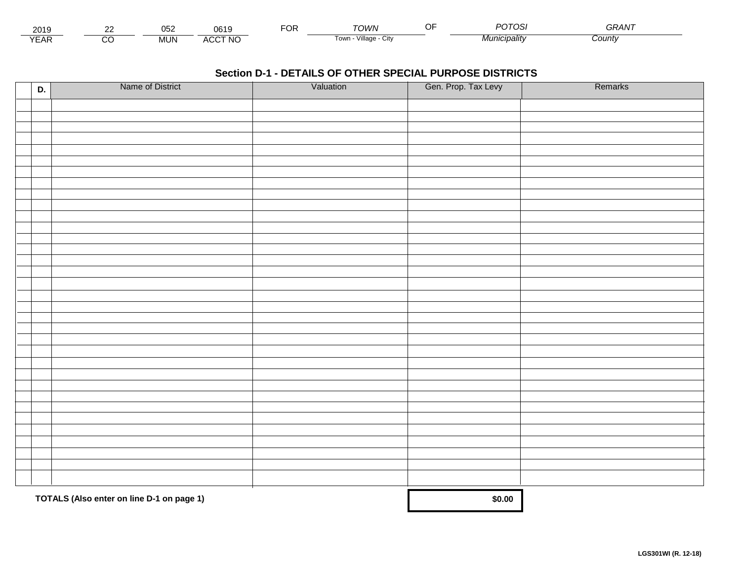| 2010<br>∠ບ≀ະ      |          | ~~~<br>∪∪∠             | 7010                 | -^'<br>◡ | <b>MWV.</b>             | $\bigcap \bigcap \bigcap \bigcap$<br>ັບເ | <b>__</b><br>GRAN |  |
|-------------------|----------|------------------------|----------------------|----------|-------------------------|------------------------------------------|-------------------|--|
| $\sqrt{2}$<br>'AN | $\cdots$ | $4 \text{IN}$<br>iviu. | <b>CCT NO</b><br>AU. |          | Village<br>i own<br>URV | ™ <i>lunıcipalitv</i>                    | Count             |  |

| D. | Name of District                          | Valuation | Gen. Prop. Tax Levy | Remarks |
|----|-------------------------------------------|-----------|---------------------|---------|
|    |                                           |           |                     |         |
|    |                                           |           |                     |         |
|    |                                           |           |                     |         |
|    |                                           |           |                     |         |
|    |                                           |           |                     |         |
|    |                                           |           |                     |         |
|    |                                           |           |                     |         |
|    |                                           |           |                     |         |
|    |                                           |           |                     |         |
|    |                                           |           |                     |         |
|    |                                           |           |                     |         |
|    |                                           |           |                     |         |
|    |                                           |           |                     |         |
|    |                                           |           |                     |         |
|    |                                           |           |                     |         |
|    |                                           |           |                     |         |
|    |                                           |           |                     |         |
|    |                                           |           |                     |         |
|    |                                           |           |                     |         |
|    |                                           |           |                     |         |
|    |                                           |           |                     |         |
|    |                                           |           |                     |         |
|    |                                           |           |                     |         |
|    |                                           |           |                     |         |
|    |                                           |           |                     |         |
|    |                                           |           |                     |         |
|    |                                           |           |                     |         |
|    |                                           |           |                     |         |
|    |                                           |           |                     |         |
|    |                                           |           |                     |         |
|    |                                           |           |                     |         |
|    | TOTALS (Also enter on line D-1 on page 1) |           | \$0.00              |         |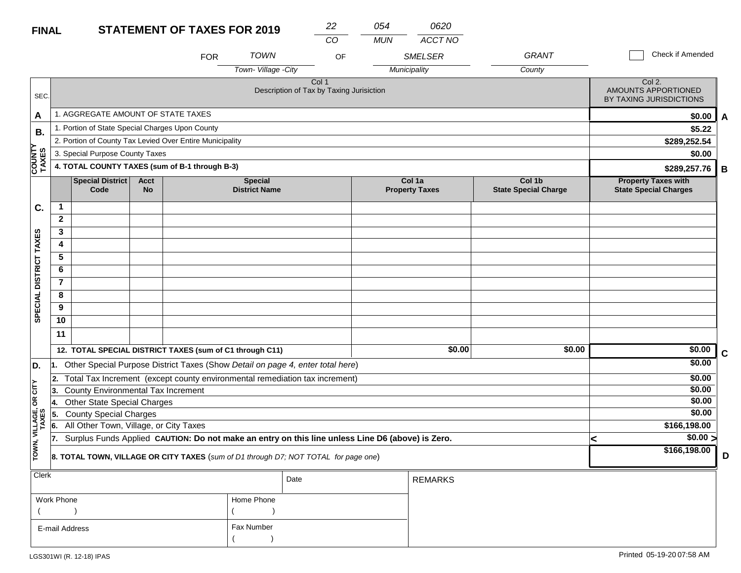#### **STATEMENT OF TA FINAL**

| <b>XES FOR 2019</b> | 22 | 054 |
|---------------------|----|-----|
|                     |    |     |

 $($ 

*CO MUN ACCT NO 0620*

| Town-Village - City<br>Municipality<br>County<br>Col 1<br>Col 2.<br>Description of Tax by Taxing Jurisiction<br>AMOUNTS APPORTIONED<br>SEC.<br>BY TAXING JURISDICTIONS<br>1. AGGREGATE AMOUNT OF STATE TAXES<br>A<br>\$0.00<br>A<br>1. Portion of State Special Charges Upon County<br>\$5.22<br>В.<br>2. Portion of County Tax Levied Over Entire Municipality<br>\$289,252.54<br>COUNTY<br>TAXES<br>3. Special Purpose County Taxes<br>\$0.00<br>4. TOTAL COUNTY TAXES (sum of B-1 through B-3)<br>\$289,257.76<br>В<br>Col 1b<br><b>Property Taxes with</b><br>Col 1a<br>Special District<br><b>Acct</b><br><b>Special</b><br><b>District Name</b><br><b>State Special Charges</b><br>Code<br><b>No</b><br><b>Property Taxes</b><br><b>State Special Charge</b><br>C.<br>1<br>$\mathbf{2}$<br>SPECIAL DISTRICT TAXES<br>3<br>4<br>5<br>6<br>$\overline{7}$<br>8<br>9<br>10<br>11<br>\$0.00<br>\$0.00<br>\$0.00<br>12. TOTAL SPECIAL DISTRICT TAXES (sum of C1 through C11)<br>C<br>\$0.00<br>Other Special Purpose District Taxes (Show Detail on page 4, enter total here)<br>D.<br>11.<br>Total Tax Increment (except county environmental remediation tax increment)<br>\$0.00<br>l2.<br>OR CITY<br>\$0.00<br><b>County Environmental Tax Increment</b><br>13.<br>\$0.00<br>Other State Special Charges<br>4.<br>TOWN, VILLAGE,<br>TAXES<br>\$0.00<br><b>County Special Charges</b><br>5.<br>All Other Town, Village, or City Taxes<br>\$166,198.00<br>6.<br>$\sqrt{$0.00}$<br>Surplus Funds Applied CAUTION: Do not make an entry on this line unless Line D6 (above) is Zero.<br>17.<br><<br>\$166,198.00<br>D<br>8. TOTAL TOWN, VILLAGE OR CITY TAXES (sum of D1 through D7; NOT TOTAL for page one)<br>Clerk<br>Date<br><b>REMARKS</b><br><b>Work Phone</b><br>Home Phone<br>Fax Number<br>E-mail Address |  |  |  |  | <b>FOR</b> | <b>TOWN</b> | OF |  | <b>SMELSER</b> | GRANT |  | Check if Amended |  |
|---------------------------------------------------------------------------------------------------------------------------------------------------------------------------------------------------------------------------------------------------------------------------------------------------------------------------------------------------------------------------------------------------------------------------------------------------------------------------------------------------------------------------------------------------------------------------------------------------------------------------------------------------------------------------------------------------------------------------------------------------------------------------------------------------------------------------------------------------------------------------------------------------------------------------------------------------------------------------------------------------------------------------------------------------------------------------------------------------------------------------------------------------------------------------------------------------------------------------------------------------------------------------------------------------------------------------------------------------------------------------------------------------------------------------------------------------------------------------------------------------------------------------------------------------------------------------------------------------------------------------------------------------------------------------------------------------------------------------------------------------------------------------------------------------------------------|--|--|--|--|------------|-------------|----|--|----------------|-------|--|------------------|--|
|                                                                                                                                                                                                                                                                                                                                                                                                                                                                                                                                                                                                                                                                                                                                                                                                                                                                                                                                                                                                                                                                                                                                                                                                                                                                                                                                                                                                                                                                                                                                                                                                                                                                                                                                                                                                                     |  |  |  |  |            |             |    |  |                |       |  |                  |  |
|                                                                                                                                                                                                                                                                                                                                                                                                                                                                                                                                                                                                                                                                                                                                                                                                                                                                                                                                                                                                                                                                                                                                                                                                                                                                                                                                                                                                                                                                                                                                                                                                                                                                                                                                                                                                                     |  |  |  |  |            |             |    |  |                |       |  |                  |  |
|                                                                                                                                                                                                                                                                                                                                                                                                                                                                                                                                                                                                                                                                                                                                                                                                                                                                                                                                                                                                                                                                                                                                                                                                                                                                                                                                                                                                                                                                                                                                                                                                                                                                                                                                                                                                                     |  |  |  |  |            |             |    |  |                |       |  |                  |  |
|                                                                                                                                                                                                                                                                                                                                                                                                                                                                                                                                                                                                                                                                                                                                                                                                                                                                                                                                                                                                                                                                                                                                                                                                                                                                                                                                                                                                                                                                                                                                                                                                                                                                                                                                                                                                                     |  |  |  |  |            |             |    |  |                |       |  |                  |  |
|                                                                                                                                                                                                                                                                                                                                                                                                                                                                                                                                                                                                                                                                                                                                                                                                                                                                                                                                                                                                                                                                                                                                                                                                                                                                                                                                                                                                                                                                                                                                                                                                                                                                                                                                                                                                                     |  |  |  |  |            |             |    |  |                |       |  |                  |  |
|                                                                                                                                                                                                                                                                                                                                                                                                                                                                                                                                                                                                                                                                                                                                                                                                                                                                                                                                                                                                                                                                                                                                                                                                                                                                                                                                                                                                                                                                                                                                                                                                                                                                                                                                                                                                                     |  |  |  |  |            |             |    |  |                |       |  |                  |  |
|                                                                                                                                                                                                                                                                                                                                                                                                                                                                                                                                                                                                                                                                                                                                                                                                                                                                                                                                                                                                                                                                                                                                                                                                                                                                                                                                                                                                                                                                                                                                                                                                                                                                                                                                                                                                                     |  |  |  |  |            |             |    |  |                |       |  |                  |  |
|                                                                                                                                                                                                                                                                                                                                                                                                                                                                                                                                                                                                                                                                                                                                                                                                                                                                                                                                                                                                                                                                                                                                                                                                                                                                                                                                                                                                                                                                                                                                                                                                                                                                                                                                                                                                                     |  |  |  |  |            |             |    |  |                |       |  |                  |  |
|                                                                                                                                                                                                                                                                                                                                                                                                                                                                                                                                                                                                                                                                                                                                                                                                                                                                                                                                                                                                                                                                                                                                                                                                                                                                                                                                                                                                                                                                                                                                                                                                                                                                                                                                                                                                                     |  |  |  |  |            |             |    |  |                |       |  |                  |  |
|                                                                                                                                                                                                                                                                                                                                                                                                                                                                                                                                                                                                                                                                                                                                                                                                                                                                                                                                                                                                                                                                                                                                                                                                                                                                                                                                                                                                                                                                                                                                                                                                                                                                                                                                                                                                                     |  |  |  |  |            |             |    |  |                |       |  |                  |  |
|                                                                                                                                                                                                                                                                                                                                                                                                                                                                                                                                                                                                                                                                                                                                                                                                                                                                                                                                                                                                                                                                                                                                                                                                                                                                                                                                                                                                                                                                                                                                                                                                                                                                                                                                                                                                                     |  |  |  |  |            |             |    |  |                |       |  |                  |  |
|                                                                                                                                                                                                                                                                                                                                                                                                                                                                                                                                                                                                                                                                                                                                                                                                                                                                                                                                                                                                                                                                                                                                                                                                                                                                                                                                                                                                                                                                                                                                                                                                                                                                                                                                                                                                                     |  |  |  |  |            |             |    |  |                |       |  |                  |  |
|                                                                                                                                                                                                                                                                                                                                                                                                                                                                                                                                                                                                                                                                                                                                                                                                                                                                                                                                                                                                                                                                                                                                                                                                                                                                                                                                                                                                                                                                                                                                                                                                                                                                                                                                                                                                                     |  |  |  |  |            |             |    |  |                |       |  |                  |  |
|                                                                                                                                                                                                                                                                                                                                                                                                                                                                                                                                                                                                                                                                                                                                                                                                                                                                                                                                                                                                                                                                                                                                                                                                                                                                                                                                                                                                                                                                                                                                                                                                                                                                                                                                                                                                                     |  |  |  |  |            |             |    |  |                |       |  |                  |  |
|                                                                                                                                                                                                                                                                                                                                                                                                                                                                                                                                                                                                                                                                                                                                                                                                                                                                                                                                                                                                                                                                                                                                                                                                                                                                                                                                                                                                                                                                                                                                                                                                                                                                                                                                                                                                                     |  |  |  |  |            |             |    |  |                |       |  |                  |  |
|                                                                                                                                                                                                                                                                                                                                                                                                                                                                                                                                                                                                                                                                                                                                                                                                                                                                                                                                                                                                                                                                                                                                                                                                                                                                                                                                                                                                                                                                                                                                                                                                                                                                                                                                                                                                                     |  |  |  |  |            |             |    |  |                |       |  |                  |  |
|                                                                                                                                                                                                                                                                                                                                                                                                                                                                                                                                                                                                                                                                                                                                                                                                                                                                                                                                                                                                                                                                                                                                                                                                                                                                                                                                                                                                                                                                                                                                                                                                                                                                                                                                                                                                                     |  |  |  |  |            |             |    |  |                |       |  |                  |  |
|                                                                                                                                                                                                                                                                                                                                                                                                                                                                                                                                                                                                                                                                                                                                                                                                                                                                                                                                                                                                                                                                                                                                                                                                                                                                                                                                                                                                                                                                                                                                                                                                                                                                                                                                                                                                                     |  |  |  |  |            |             |    |  |                |       |  |                  |  |
|                                                                                                                                                                                                                                                                                                                                                                                                                                                                                                                                                                                                                                                                                                                                                                                                                                                                                                                                                                                                                                                                                                                                                                                                                                                                                                                                                                                                                                                                                                                                                                                                                                                                                                                                                                                                                     |  |  |  |  |            |             |    |  |                |       |  |                  |  |
|                                                                                                                                                                                                                                                                                                                                                                                                                                                                                                                                                                                                                                                                                                                                                                                                                                                                                                                                                                                                                                                                                                                                                                                                                                                                                                                                                                                                                                                                                                                                                                                                                                                                                                                                                                                                                     |  |  |  |  |            |             |    |  |                |       |  |                  |  |
|                                                                                                                                                                                                                                                                                                                                                                                                                                                                                                                                                                                                                                                                                                                                                                                                                                                                                                                                                                                                                                                                                                                                                                                                                                                                                                                                                                                                                                                                                                                                                                                                                                                                                                                                                                                                                     |  |  |  |  |            |             |    |  |                |       |  |                  |  |
|                                                                                                                                                                                                                                                                                                                                                                                                                                                                                                                                                                                                                                                                                                                                                                                                                                                                                                                                                                                                                                                                                                                                                                                                                                                                                                                                                                                                                                                                                                                                                                                                                                                                                                                                                                                                                     |  |  |  |  |            |             |    |  |                |       |  |                  |  |
|                                                                                                                                                                                                                                                                                                                                                                                                                                                                                                                                                                                                                                                                                                                                                                                                                                                                                                                                                                                                                                                                                                                                                                                                                                                                                                                                                                                                                                                                                                                                                                                                                                                                                                                                                                                                                     |  |  |  |  |            |             |    |  |                |       |  |                  |  |
|                                                                                                                                                                                                                                                                                                                                                                                                                                                                                                                                                                                                                                                                                                                                                                                                                                                                                                                                                                                                                                                                                                                                                                                                                                                                                                                                                                                                                                                                                                                                                                                                                                                                                                                                                                                                                     |  |  |  |  |            |             |    |  |                |       |  |                  |  |
|                                                                                                                                                                                                                                                                                                                                                                                                                                                                                                                                                                                                                                                                                                                                                                                                                                                                                                                                                                                                                                                                                                                                                                                                                                                                                                                                                                                                                                                                                                                                                                                                                                                                                                                                                                                                                     |  |  |  |  |            |             |    |  |                |       |  |                  |  |
|                                                                                                                                                                                                                                                                                                                                                                                                                                                                                                                                                                                                                                                                                                                                                                                                                                                                                                                                                                                                                                                                                                                                                                                                                                                                                                                                                                                                                                                                                                                                                                                                                                                                                                                                                                                                                     |  |  |  |  |            |             |    |  |                |       |  |                  |  |
|                                                                                                                                                                                                                                                                                                                                                                                                                                                                                                                                                                                                                                                                                                                                                                                                                                                                                                                                                                                                                                                                                                                                                                                                                                                                                                                                                                                                                                                                                                                                                                                                                                                                                                                                                                                                                     |  |  |  |  |            |             |    |  |                |       |  |                  |  |
|                                                                                                                                                                                                                                                                                                                                                                                                                                                                                                                                                                                                                                                                                                                                                                                                                                                                                                                                                                                                                                                                                                                                                                                                                                                                                                                                                                                                                                                                                                                                                                                                                                                                                                                                                                                                                     |  |  |  |  |            |             |    |  |                |       |  |                  |  |
|                                                                                                                                                                                                                                                                                                                                                                                                                                                                                                                                                                                                                                                                                                                                                                                                                                                                                                                                                                                                                                                                                                                                                                                                                                                                                                                                                                                                                                                                                                                                                                                                                                                                                                                                                                                                                     |  |  |  |  |            |             |    |  |                |       |  |                  |  |
|                                                                                                                                                                                                                                                                                                                                                                                                                                                                                                                                                                                                                                                                                                                                                                                                                                                                                                                                                                                                                                                                                                                                                                                                                                                                                                                                                                                                                                                                                                                                                                                                                                                                                                                                                                                                                     |  |  |  |  |            |             |    |  |                |       |  |                  |  |
|                                                                                                                                                                                                                                                                                                                                                                                                                                                                                                                                                                                                                                                                                                                                                                                                                                                                                                                                                                                                                                                                                                                                                                                                                                                                                                                                                                                                                                                                                                                                                                                                                                                                                                                                                                                                                     |  |  |  |  |            |             |    |  |                |       |  |                  |  |
|                                                                                                                                                                                                                                                                                                                                                                                                                                                                                                                                                                                                                                                                                                                                                                                                                                                                                                                                                                                                                                                                                                                                                                                                                                                                                                                                                                                                                                                                                                                                                                                                                                                                                                                                                                                                                     |  |  |  |  |            |             |    |  |                |       |  |                  |  |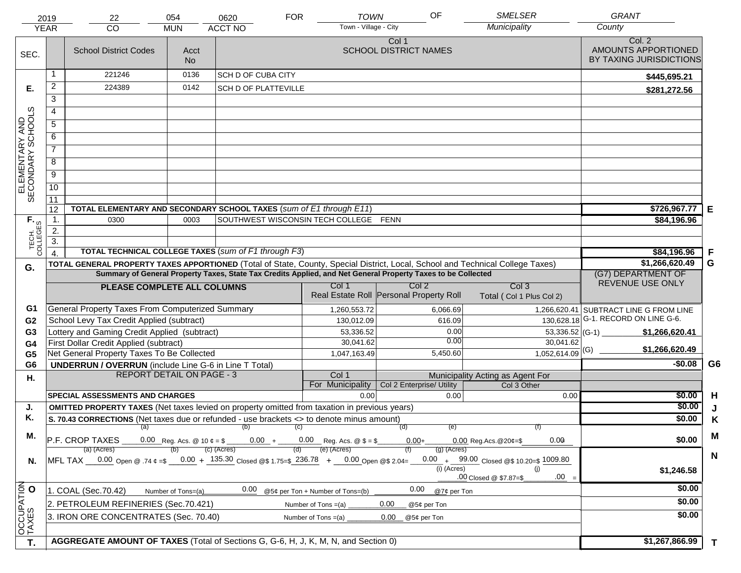|                                                                                                                                                                                                                | 2019                                                                                                                                                                                         | 22                                                                                                                             | 054                | 0620                                                 | <b>FOR</b>                            | OF<br><b>TOWN</b>                     | <b>SMELSER</b>                                  |                               | <b>GRANT</b>                                             |                |
|----------------------------------------------------------------------------------------------------------------------------------------------------------------------------------------------------------------|----------------------------------------------------------------------------------------------------------------------------------------------------------------------------------------------|--------------------------------------------------------------------------------------------------------------------------------|--------------------|------------------------------------------------------|---------------------------------------|---------------------------------------|-------------------------------------------------|-------------------------------|----------------------------------------------------------|----------------|
|                                                                                                                                                                                                                | <b>YEAR</b>                                                                                                                                                                                  | CO                                                                                                                             | <b>MUN</b>         | <b>ACCT NO</b>                                       |                                       | Town - Village - City                 | Municipality                                    |                               | County                                                   |                |
| SEC.                                                                                                                                                                                                           |                                                                                                                                                                                              | <b>School District Codes</b>                                                                                                   | Acct<br><b>No</b>  |                                                      |                                       | Col 1<br><b>SCHOOL DISTRICT NAMES</b> |                                                 |                               | Col. 2<br>AMOUNTS APPORTIONED<br>BY TAXING JURISDICTIONS |                |
|                                                                                                                                                                                                                | 1                                                                                                                                                                                            | 221246                                                                                                                         | 0136               | <b>SCH D OF CUBA CITY</b>                            |                                       |                                       |                                                 |                               | \$445,695.21                                             |                |
| Е.                                                                                                                                                                                                             | $\overline{2}$                                                                                                                                                                               | 224389                                                                                                                         | 0142               | <b>SCH D OF PLATTEVILLE</b>                          |                                       |                                       |                                                 |                               | \$281,272.56                                             |                |
|                                                                                                                                                                                                                | 3                                                                                                                                                                                            |                                                                                                                                |                    |                                                      |                                       |                                       |                                                 |                               |                                                          |                |
|                                                                                                                                                                                                                | $\overline{4}$                                                                                                                                                                               |                                                                                                                                |                    |                                                      |                                       |                                       |                                                 |                               |                                                          |                |
|                                                                                                                                                                                                                | $\overline{5}$                                                                                                                                                                               |                                                                                                                                |                    |                                                      |                                       |                                       |                                                 |                               |                                                          |                |
|                                                                                                                                                                                                                | 6                                                                                                                                                                                            |                                                                                                                                |                    |                                                      |                                       |                                       |                                                 |                               |                                                          |                |
| ELEMENTARY AND<br>SECONDARY SCHOOLS                                                                                                                                                                            | $\overline{7}$                                                                                                                                                                               |                                                                                                                                |                    |                                                      |                                       |                                       |                                                 |                               |                                                          |                |
|                                                                                                                                                                                                                | 8                                                                                                                                                                                            |                                                                                                                                |                    |                                                      |                                       |                                       |                                                 |                               |                                                          |                |
|                                                                                                                                                                                                                | $\overline{9}$                                                                                                                                                                               |                                                                                                                                |                    |                                                      |                                       |                                       |                                                 |                               |                                                          |                |
|                                                                                                                                                                                                                | 10                                                                                                                                                                                           |                                                                                                                                |                    |                                                      |                                       |                                       |                                                 |                               |                                                          |                |
|                                                                                                                                                                                                                | $\overline{11}$                                                                                                                                                                              |                                                                                                                                |                    |                                                      |                                       |                                       |                                                 |                               |                                                          |                |
|                                                                                                                                                                                                                | 12                                                                                                                                                                                           | TOTAL ELEMENTARY AND SECONDARY SCHOOL TAXES (sum of E1 through E11)                                                            |                    |                                                      |                                       |                                       |                                                 |                               | \$726,967.77                                             | Е              |
|                                                                                                                                                                                                                | $\mathbf 1$ .                                                                                                                                                                                | 0300                                                                                                                           | 0003               |                                                      | SOUTHWEST WISCONSIN TECH COLLEGE FENN |                                       |                                                 |                               | \$84,196.96                                              |                |
|                                                                                                                                                                                                                | 2.                                                                                                                                                                                           |                                                                                                                                |                    |                                                      |                                       |                                       |                                                 |                               |                                                          |                |
| TECH. T                                                                                                                                                                                                        | $\overline{3}$ .                                                                                                                                                                             |                                                                                                                                |                    | TOTAL TECHNICAL COLLEGE TAXES (sum of F1 through F3) |                                       |                                       |                                                 |                               |                                                          |                |
|                                                                                                                                                                                                                | $\overline{4}$                                                                                                                                                                               | TOTAL GENERAL PROPERTY TAXES APPORTIONED (Total of State, County, Special District, Local, School and Technical College Taxes) |                    |                                                      |                                       |                                       |                                                 |                               | \$84,196.96<br>\$1,266,620.49                            | F<br>G         |
| G.                                                                                                                                                                                                             |                                                                                                                                                                                              |                                                                                                                                |                    |                                                      |                                       |                                       |                                                 |                               | (G7) DEPARTMENT OF                                       |                |
|                                                                                                                                                                                                                | Summary of General Property Taxes, State Tax Credits Applied, and Net General Property Taxes to be Collected<br>Col <sub>2</sub><br>Col <sub>3</sub><br>Col 1<br>PLEASE COMPLETE ALL COLUMNS |                                                                                                                                |                    |                                                      |                                       |                                       |                                                 |                               | REVENUE USE ONLY                                         |                |
|                                                                                                                                                                                                                | Real Estate Roll Personal Property Roll<br>Total (Col 1 Plus Col 2)                                                                                                                          |                                                                                                                                |                    |                                                      |                                       |                                       |                                                 |                               |                                                          |                |
| G1                                                                                                                                                                                                             |                                                                                                                                                                                              | General Property Taxes From Computerized Summary                                                                               |                    |                                                      | 1,260,553.72                          |                                       | 6,066.69                                        |                               | 1,266,620.41 SUBTRACT LINE G FROM LINE                   |                |
| G <sub>2</sub>                                                                                                                                                                                                 |                                                                                                                                                                                              | School Levy Tax Credit Applied (subtract)                                                                                      |                    |                                                      | 130,012.09                            |                                       | 616.09                                          | 130,628.18                    | G-1. RECORD ON LINE G-6.                                 |                |
| G <sub>3</sub>                                                                                                                                                                                                 |                                                                                                                                                                                              | Lottery and Gaming Credit Applied (subtract)                                                                                   |                    |                                                      | 53,336.52                             |                                       | 0.00                                            | 53,336.52 (G-1) $-$           | \$1,266,620.41                                           |                |
| G4                                                                                                                                                                                                             |                                                                                                                                                                                              | First Dollar Credit Applied (subtract)                                                                                         |                    |                                                      | 30,041.62                             |                                       | 0.00                                            | 30,041.62                     | \$1,266,620.49                                           |                |
| G <sub>5</sub>                                                                                                                                                                                                 |                                                                                                                                                                                              | Net General Property Taxes To Be Collected                                                                                     |                    |                                                      | 1,047,163.49                          |                                       | 5,450.60                                        | $1,052,614.09$ <sup>(G)</sup> |                                                          |                |
| G <sub>6</sub>                                                                                                                                                                                                 |                                                                                                                                                                                              | <b>UNDERRUN / OVERRUN</b> (include Line G-6 in Line T Total)                                                                   |                    |                                                      |                                       |                                       |                                                 |                               | $-$0.08$                                                 | G <sub>6</sub> |
| Η.                                                                                                                                                                                                             |                                                                                                                                                                                              | <b>REPORT DETAIL ON PAGE - 3</b>                                                                                               |                    |                                                      | Col 1<br>For Municipality             | Col 2 Enterprise/ Utility             | Municipality Acting as Agent For<br>Col 3 Other |                               |                                                          |                |
|                                                                                                                                                                                                                |                                                                                                                                                                                              | <b>SPECIAL ASSESSMENTS AND CHARGES</b>                                                                                         |                    |                                                      |                                       | 0.00                                  | 0.00                                            | 0.00                          | \$0.00                                                   | H              |
| J.                                                                                                                                                                                                             |                                                                                                                                                                                              | <b>OMITTED PROPERTY TAXES</b> (Net taxes levied on property omitted from taxation in previous years)                           |                    |                                                      |                                       |                                       |                                                 |                               | \$0.00                                                   | J              |
| Κ.                                                                                                                                                                                                             |                                                                                                                                                                                              | S. 70.43 CORRECTIONS (Net taxes due or refunded - use brackets <> to denote minus amount)                                      |                    |                                                      |                                       |                                       |                                                 |                               | \$0.00                                                   | K              |
|                                                                                                                                                                                                                |                                                                                                                                                                                              |                                                                                                                                |                    | $(a)$ (b) (c)                                        |                                       | (d)                                   | (e)                                             |                               |                                                          |                |
| М.<br>0.00 Reg. Acs. @ 10 $\phi = $$ 0.00 + 0.00 Reg. Acs. @ \$ = \$<br>P.F. CROP TAXES<br>0.00<br>$0.00 +$<br>$0.00$ Reg. Acs. @ 20¢=\$                                                                       |                                                                                                                                                                                              |                                                                                                                                |                    |                                                      |                                       |                                       |                                                 | \$0.00                        | M                                                        |                |
| (e) (Acres)<br>(c) (Acres)<br>$(g)$ (Acres)<br>(a) (Acres)<br>MFL TAX 0.00 Open @ .74 $\epsilon = 0.00 + 135.30$ Closed @\$ 1.75=\$ 236.78 + 0.00 Open @\$ 2.04=<br>$0.00 + 99.00$ Closed @\$ 10.20=\$ 1009.80 |                                                                                                                                                                                              |                                                                                                                                |                    |                                                      |                                       |                                       |                                                 | $\mathbf N$                   |                                                          |                |
| N.                                                                                                                                                                                                             |                                                                                                                                                                                              |                                                                                                                                |                    |                                                      |                                       |                                       | $(i)$ (Acres)                                   | (i)                           | \$1,246.58                                               |                |
|                                                                                                                                                                                                                | $.00 =$<br>.00 Closed @ \$7.87=\$                                                                                                                                                            |                                                                                                                                |                    |                                                      |                                       |                                       |                                                 |                               |                                                          |                |
|                                                                                                                                                                                                                |                                                                                                                                                                                              | 1. COAL (Sec.70.42)                                                                                                            | Number of Tons=(a) | 0.00                                                 | @5¢ per Ton + Number of Tons=(b)      | 0.00                                  | @7¢ per Ton                                     |                               | \$0.00                                                   |                |
|                                                                                                                                                                                                                |                                                                                                                                                                                              | 2. PETROLEUM REFINERIES (Sec.70.421)                                                                                           |                    |                                                      | Number of Tons $=(a)$                 | 0.00<br>@5¢ per Ton                   |                                                 |                               | \$0.00                                                   |                |
|                                                                                                                                                                                                                |                                                                                                                                                                                              | 3. IRON ORE CONCENTRATES (Sec. 70.40)                                                                                          |                    |                                                      | Number of Tons $=(a)$                 | 0.00<br>@5¢ per Ton                   |                                                 |                               | \$0.00                                                   |                |
| OCCUPATION<br>TAXES O                                                                                                                                                                                          |                                                                                                                                                                                              |                                                                                                                                |                    |                                                      |                                       |                                       |                                                 |                               |                                                          |                |
| T.                                                                                                                                                                                                             |                                                                                                                                                                                              | AGGREGATE AMOUNT OF TAXES (Total of Sections G, G-6, H, J, K, M, N, and Section 0)                                             |                    |                                                      |                                       |                                       |                                                 |                               | \$1,267,866.99                                           | $\mathbf{T}$   |
|                                                                                                                                                                                                                |                                                                                                                                                                                              |                                                                                                                                |                    |                                                      |                                       |                                       |                                                 |                               |                                                          |                |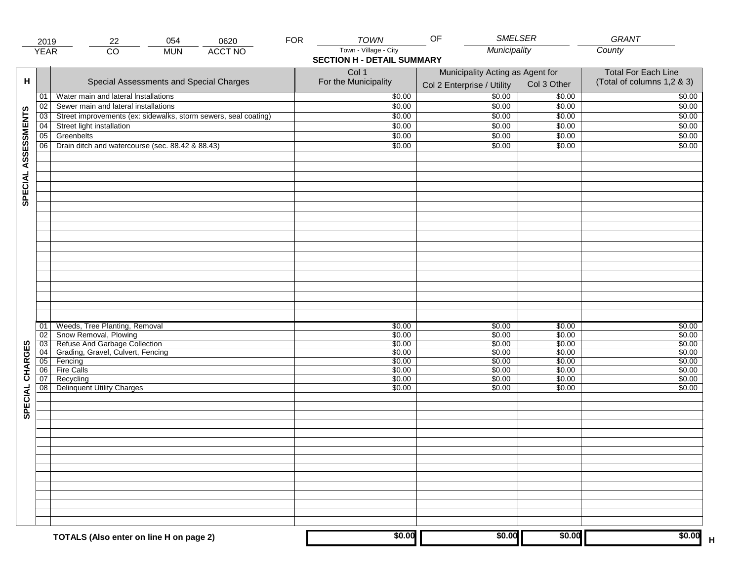|                     | 2019            | 054<br>0620<br>22                                                                       | <b>FOR</b> | <b>TOWN</b>                                                | <b>SMELSER</b><br>OF                                           |                            | <b>GRANT</b>                                             |
|---------------------|-----------------|-----------------------------------------------------------------------------------------|------------|------------------------------------------------------------|----------------------------------------------------------------|----------------------------|----------------------------------------------------------|
|                     | <b>YEAR</b>     | $\overline{CO}$<br><b>ACCT NO</b><br><b>MUN</b>                                         |            | Town - Village - City<br><b>SECTION H - DETAIL SUMMARY</b> | Municipality                                                   |                            | County                                                   |
| н                   |                 | Special Assessments and Special Charges                                                 |            | Col 1<br>For the Municipality                              | Municipality Acting as Agent for<br>Col 2 Enterprise / Utility | Col 3 Other                | <b>Total For Each Line</b><br>(Total of columns 1,2 & 3) |
|                     | 01              | Water main and lateral Installations                                                    |            | \$0.00                                                     | 50.00                                                          | \$0.00                     | \$0.00                                                   |
|                     | 02              | Sewer main and lateral installations                                                    |            | \$0.00                                                     | \$0.00                                                         | \$0.00                     | \$0.00                                                   |
|                     | 03              | Street improvements (ex: sidewalks, storm sewers, seal coating)                         |            | \$0.00                                                     | \$0.00                                                         | \$0.00                     | \$0.00                                                   |
|                     | 04              | Street light installation                                                               |            | \$0.00                                                     | \$0.00                                                         | \$0.00                     | \$0.00                                                   |
|                     | 05              | Greenbelts                                                                              |            | \$0.00                                                     | \$0.00                                                         | \$0.00                     | \$0.00                                                   |
|                     | 06              | Drain ditch and watercourse (sec. 88.42 & 88.43)                                        |            | \$0.00                                                     | \$0.00                                                         | \$0.00                     | \$0.00                                                   |
| SPECIAL ASSESSMENTS |                 |                                                                                         |            |                                                            |                                                                |                            |                                                          |
|                     | 01<br>02<br>03  | Weeds, Tree Planting, Removal<br>Snow Removal, Plowing<br>Refuse And Garbage Collection |            | \$0.00<br>\$0.00<br>\$0.00                                 | \$0.00<br>\$0.00<br>\$0.00                                     | \$0.00<br>\$0.00<br>\$0.00 | \$0.00<br>\$0.00<br>\$0.00                               |
|                     | 04              | Grading, Gravel, Culvert, Fencing                                                       |            | \$0.00                                                     | \$0.00                                                         | \$0.00                     | \$0.00                                                   |
|                     | 05              | Fencing                                                                                 |            | \$0.00                                                     | \$0.00                                                         | \$0.00                     | \$0.00                                                   |
| CHARGES<br>SPECIAL  | 06 <br>07<br>08 | Fire Calls<br>Recycling<br><b>Delinquent Utility Charges</b>                            |            | \$0.00<br>\$0.00<br>\$0.00                                 | \$0.00<br>\$0.00<br>\$0.00                                     | \$0.00<br>\$0.00<br>\$0.00 | \$0.00<br>\$0.00<br>\$0.00                               |
|                     |                 |                                                                                         |            |                                                            |                                                                |                            |                                                          |
|                     |                 |                                                                                         |            |                                                            |                                                                |                            |                                                          |
|                     |                 |                                                                                         |            |                                                            |                                                                |                            |                                                          |
|                     |                 | TOTALS (Also enter on line H on page 2)                                                 |            | \$0.00                                                     | \$0.00                                                         | \$0.00                     | \$0.00                                                   |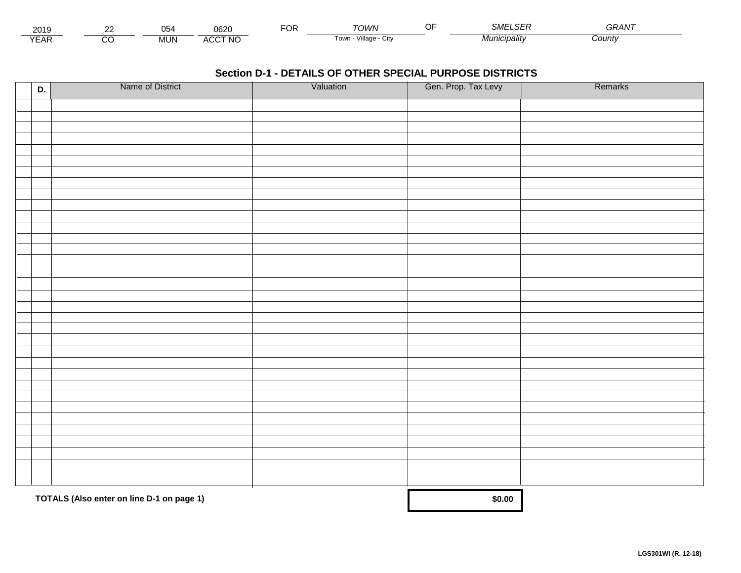| 201.                        | $\sim$ | $\sim$ $\sim$<br>. .<br>◡◡ | nenn<br>∪o∠∖                   | <sup>-</sup> OR | ™∩WN                         | $\sim$ $-$<br>$\sim$ $\sim$<br>' COL<br>80/11 | $\sim$ $\sim$ $\sim$ $\sim$<br>GRAN |  |
|-----------------------------|--------|----------------------------|--------------------------------|-----------------|------------------------------|-----------------------------------------------|-------------------------------------|--|
| $\sqrt{2}$<br>▵<br><b>L</b> |        | <b>MUN</b>                 | CCT NC،<br>$\mathbf{A}$<br>AUU |                 | .<br>Village<br>∣own<br>יווש | Municipalitv                                  | :ountv                              |  |

| D. | Name of District                          | Valuation | Gen. Prop. Tax Levy | Remarks |
|----|-------------------------------------------|-----------|---------------------|---------|
|    |                                           |           |                     |         |
|    |                                           |           |                     |         |
|    |                                           |           |                     |         |
|    |                                           |           |                     |         |
|    |                                           |           |                     |         |
|    |                                           |           |                     |         |
|    |                                           |           |                     |         |
|    |                                           |           |                     |         |
|    |                                           |           |                     |         |
|    |                                           |           |                     |         |
|    |                                           |           |                     |         |
|    |                                           |           |                     |         |
|    |                                           |           |                     |         |
|    |                                           |           |                     |         |
|    |                                           |           |                     |         |
|    |                                           |           |                     |         |
|    |                                           |           |                     |         |
|    |                                           |           |                     |         |
|    |                                           |           |                     |         |
|    |                                           |           |                     |         |
|    |                                           |           |                     |         |
|    |                                           |           |                     |         |
|    |                                           |           |                     |         |
|    |                                           |           |                     |         |
|    |                                           |           |                     |         |
|    |                                           |           |                     |         |
|    |                                           |           |                     |         |
|    |                                           |           |                     |         |
|    |                                           |           |                     |         |
|    |                                           |           |                     |         |
|    | TOTALS (Also enter on line D-1 on page 1) | \$0.00    |                     |         |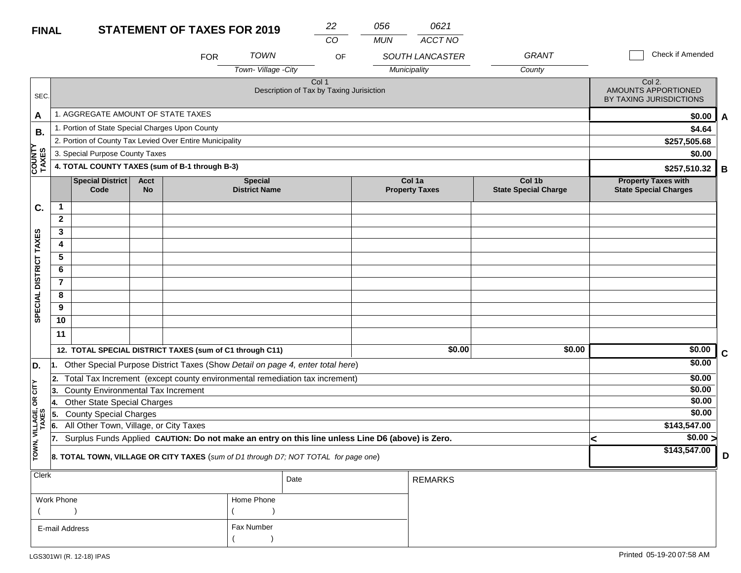| <b>FINAL</b>           |                                                                                                                                                  |                                                 |                   | <b>STATEMENT OF TAXES FOR 2019</b>                       |                                        | 22                                                                                  | 056        | 0621                            |                                       |                                                            |   |
|------------------------|--------------------------------------------------------------------------------------------------------------------------------------------------|-------------------------------------------------|-------------------|----------------------------------------------------------|----------------------------------------|-------------------------------------------------------------------------------------|------------|---------------------------------|---------------------------------------|------------------------------------------------------------|---|
|                        |                                                                                                                                                  |                                                 |                   |                                                          |                                        | CO                                                                                  | <b>MUN</b> | ACCT NO                         |                                       |                                                            |   |
|                        |                                                                                                                                                  |                                                 |                   | <b>FOR</b>                                               | <b>TOWN</b>                            | OF                                                                                  |            | SOUTH LANCASTER                 | <b>GRANT</b>                          | Check if Amended                                           |   |
|                        |                                                                                                                                                  |                                                 |                   |                                                          | Town- Village - City                   |                                                                                     |            | Municipality                    | County                                |                                                            |   |
| SEC.                   |                                                                                                                                                  |                                                 |                   |                                                          |                                        | Col 1<br>Description of Tax by Taxing Jurisiction                                   |            |                                 |                                       | Col 2.<br>AMOUNTS APPORTIONED<br>BY TAXING JURISDICTIONS   |   |
| A                      |                                                                                                                                                  | 1. AGGREGATE AMOUNT OF STATE TAXES              |                   |                                                          |                                        |                                                                                     |            |                                 |                                       | \$0.00                                                     | A |
|                        |                                                                                                                                                  | 1. Portion of State Special Charges Upon County |                   |                                                          |                                        |                                                                                     |            |                                 |                                       | \$4.64                                                     |   |
| В.                     |                                                                                                                                                  |                                                 |                   | 2. Portion of County Tax Levied Over Entire Municipality |                                        |                                                                                     |            |                                 |                                       | \$257,505.68                                               |   |
|                        |                                                                                                                                                  | 3. Special Purpose County Taxes                 |                   |                                                          |                                        |                                                                                     |            |                                 |                                       | \$0.00                                                     |   |
| <b>COUNTY</b><br>TAXES |                                                                                                                                                  |                                                 |                   | 4. TOTAL COUNTY TAXES (sum of B-1 through B-3)           |                                        |                                                                                     |            |                                 |                                       | \$257,510.32                                               | B |
|                        |                                                                                                                                                  | <b>Special District</b><br>Code                 | <b>Acct</b><br>No |                                                          | <b>Special</b><br><b>District Name</b> |                                                                                     |            | Col 1a<br><b>Property Taxes</b> | Col 1b<br><b>State Special Charge</b> | <b>Property Taxes with</b><br><b>State Special Charges</b> |   |
| C.                     | 1                                                                                                                                                |                                                 |                   |                                                          |                                        |                                                                                     |            |                                 |                                       |                                                            |   |
|                        | $\mathbf{2}$                                                                                                                                     |                                                 |                   |                                                          |                                        |                                                                                     |            |                                 |                                       |                                                            |   |
|                        | 3                                                                                                                                                |                                                 |                   |                                                          |                                        |                                                                                     |            |                                 |                                       |                                                            |   |
|                        | 4                                                                                                                                                |                                                 |                   |                                                          |                                        |                                                                                     |            |                                 |                                       |                                                            |   |
|                        | 5                                                                                                                                                |                                                 |                   |                                                          |                                        |                                                                                     |            |                                 |                                       |                                                            |   |
|                        | 6                                                                                                                                                |                                                 |                   |                                                          |                                        |                                                                                     |            |                                 |                                       |                                                            |   |
| SPECIAL DISTRICT TAXES | $\overline{7}$                                                                                                                                   |                                                 |                   |                                                          |                                        |                                                                                     |            |                                 |                                       |                                                            |   |
|                        | 8                                                                                                                                                |                                                 |                   |                                                          |                                        |                                                                                     |            |                                 |                                       |                                                            |   |
|                        | 9                                                                                                                                                |                                                 |                   |                                                          |                                        |                                                                                     |            |                                 |                                       |                                                            |   |
|                        | 10                                                                                                                                               |                                                 |                   |                                                          |                                        |                                                                                     |            |                                 |                                       |                                                            |   |
|                        | 11                                                                                                                                               |                                                 |                   |                                                          |                                        |                                                                                     |            |                                 |                                       |                                                            |   |
|                        |                                                                                                                                                  |                                                 |                   | 12. TOTAL SPECIAL DISTRICT TAXES (sum of C1 through C11) |                                        |                                                                                     |            | \$0.00                          | \$0.00                                | \$0.00                                                     | C |
| D.                     | 1.                                                                                                                                               |                                                 |                   |                                                          |                                        | Other Special Purpose District Taxes (Show Detail on page 4, enter total here)      |            |                                 |                                       | \$0.00                                                     |   |
|                        | 2.                                                                                                                                               |                                                 |                   |                                                          |                                        | Total Tax Increment (except county environmental remediation tax increment)         |            |                                 |                                       | \$0.00                                                     |   |
| ÌΣ                     | 3.                                                                                                                                               | County Environmental Tax Increment              |                   |                                                          |                                        |                                                                                     |            |                                 |                                       | \$0.00                                                     |   |
| Ιg                     | Ι4.                                                                                                                                              | <b>Other State Special Charges</b>              |                   |                                                          |                                        |                                                                                     |            |                                 |                                       | \$0.00                                                     |   |
|                        | 5.                                                                                                                                               | <b>County Special Charges</b>                   |                   |                                                          |                                        |                                                                                     |            |                                 |                                       | \$0.00                                                     |   |
| VILLAGE,<br>TAXES      | All Other Town, Village, or City Taxes<br>6.<br>Surplus Funds Applied CAUTION: Do not make an entry on this line unless Line D6 (above) is Zero. |                                                 |                   |                                                          |                                        |                                                                                     |            |                                 |                                       | \$143,547.00                                               |   |
|                        | 17.                                                                                                                                              |                                                 |                   |                                                          |                                        |                                                                                     |            |                                 |                                       | \$0.00 >                                                   |   |
| TOWN,                  |                                                                                                                                                  |                                                 |                   |                                                          |                                        | 8. TOTAL TOWN, VILLAGE OR CITY TAXES (sum of D1 through D7; NOT TOTAL for page one) |            |                                 |                                       | \$143,547.00                                               | D |
| Clerk                  |                                                                                                                                                  |                                                 |                   |                                                          |                                        | Date                                                                                |            | <b>REMARKS</b>                  |                                       |                                                            |   |
|                        | Work Phone                                                                                                                                       |                                                 |                   |                                                          | Home Phone                             |                                                                                     |            |                                 |                                       |                                                            |   |
|                        |                                                                                                                                                  |                                                 |                   |                                                          |                                        |                                                                                     |            |                                 |                                       |                                                            |   |
|                        | E-mail Address                                                                                                                                   |                                                 |                   |                                                          | Fax Number                             |                                                                                     |            |                                 |                                       |                                                            |   |

 $($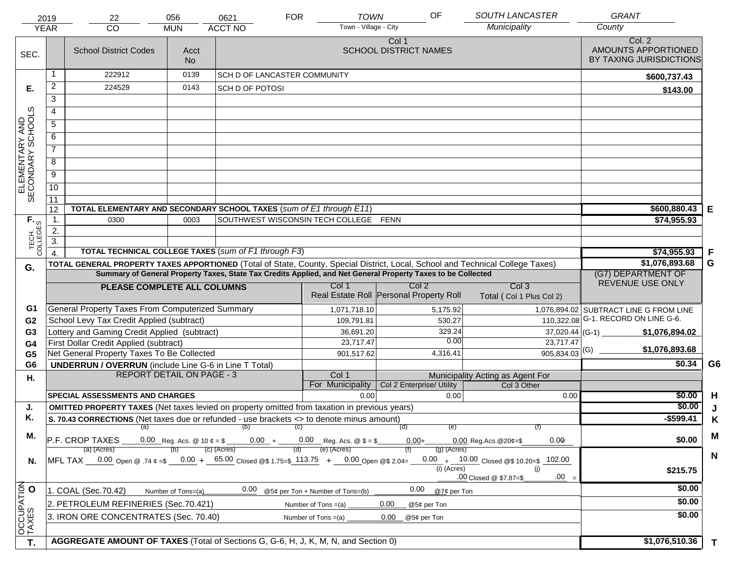|                                     | 2019             | 22                                                                                                                             | 056                | 0621                                                                                                 | <b>FOR</b> | <b>TOWN</b>                           | OF                                      | SOUTH LANCASTER                           | <b>GRANT</b>                                             |                |
|-------------------------------------|------------------|--------------------------------------------------------------------------------------------------------------------------------|--------------------|------------------------------------------------------------------------------------------------------|------------|---------------------------------------|-----------------------------------------|-------------------------------------------|----------------------------------------------------------|----------------|
|                                     | <b>YEAR</b>      | CO                                                                                                                             | <b>MUN</b>         | <b>ACCT NO</b>                                                                                       |            | Town - Village - City                 |                                         | Municipality                              | County                                                   |                |
| SEC.                                |                  | <b>School District Codes</b>                                                                                                   | Acct<br><b>No</b>  |                                                                                                      |            |                                       | Col 1<br><b>SCHOOL DISTRICT NAMES</b>   |                                           | Col. 2<br>AMOUNTS APPORTIONED<br>BY TAXING JURISDICTIONS |                |
|                                     |                  | 222912                                                                                                                         | 0139               | SCH D OF LANCASTER COMMUNITY                                                                         |            |                                       |                                         |                                           | \$600,737.43                                             |                |
| Е.                                  | $\overline{2}$   | 224529                                                                                                                         | 0143               | SCH D OF POTOSI                                                                                      |            |                                       |                                         |                                           | \$143.00                                                 |                |
|                                     | 3                |                                                                                                                                |                    |                                                                                                      |            |                                       |                                         |                                           |                                                          |                |
|                                     | 4                |                                                                                                                                |                    |                                                                                                      |            |                                       |                                         |                                           |                                                          |                |
|                                     | 5                |                                                                                                                                |                    |                                                                                                      |            |                                       |                                         |                                           |                                                          |                |
|                                     | 6                |                                                                                                                                |                    |                                                                                                      |            |                                       |                                         |                                           |                                                          |                |
|                                     | $\overline{7}$   |                                                                                                                                |                    |                                                                                                      |            |                                       |                                         |                                           |                                                          |                |
|                                     | 8                |                                                                                                                                |                    |                                                                                                      |            |                                       |                                         |                                           |                                                          |                |
|                                     | $\overline{9}$   |                                                                                                                                |                    |                                                                                                      |            |                                       |                                         |                                           |                                                          |                |
| ELEMENTARY AND<br>SECONDARY SCHOOLS | 10               |                                                                                                                                |                    |                                                                                                      |            |                                       |                                         |                                           |                                                          |                |
|                                     | 11               |                                                                                                                                |                    |                                                                                                      |            |                                       |                                         |                                           |                                                          |                |
|                                     | 12               | TOTAL ELEMENTARY AND SECONDARY SCHOOL TAXES (sum of E1 through E11)                                                            |                    |                                                                                                      |            |                                       |                                         |                                           | $$600,880.43$ E                                          |                |
|                                     | $\mathbf{1}$ .   | 0300                                                                                                                           | 0003               |                                                                                                      |            | SOUTHWEST WISCONSIN TECH COLLEGE FENN |                                         |                                           | \$74,955.93                                              |                |
|                                     | 2.               |                                                                                                                                |                    |                                                                                                      |            |                                       |                                         |                                           |                                                          |                |
| TECH. T                             | $\overline{3}$ . | TOTAL TECHNICAL COLLEGE TAXES (sum of F1 through F3)                                                                           |                    |                                                                                                      |            |                                       |                                         |                                           | \$74,955.93                                              | F              |
|                                     |                  | TOTAL GENERAL PROPERTY TAXES APPORTIONED (Total of State, County, Special District, Local, School and Technical College Taxes) |                    |                                                                                                      |            |                                       |                                         |                                           | \$1,076,893.68                                           | G              |
| G.                                  |                  | Summary of General Property Taxes, State Tax Credits Applied, and Net General Property Taxes to be Collected                   |                    | (G7) DEPARTMENT OF                                                                                   |            |                                       |                                         |                                           |                                                          |                |
|                                     |                  | PLEASE COMPLETE ALL COLUMNS                                                                                                    |                    |                                                                                                      |            | Col 1                                 | Col 2                                   | Col <sub>3</sub>                          | REVENUE USE ONLY                                         |                |
|                                     |                  |                                                                                                                                |                    |                                                                                                      |            |                                       | Real Estate Roll Personal Property Roll | Total (Col 1 Plus Col 2)                  |                                                          |                |
| G1                                  |                  | General Property Taxes From Computerized Summary                                                                               |                    |                                                                                                      |            | 1,071,718.10                          | 5,175.92                                |                                           | 1,076,894.02 SUBTRACT LINE G FROM LINE                   |                |
| G <sub>2</sub>                      |                  | School Levy Tax Credit Applied (subtract)                                                                                      |                    |                                                                                                      |            | 109,791.81                            | 530.27                                  |                                           | 110,322.08 G-1. RECORD ON LINE G-6.                      |                |
| G <sub>3</sub>                      |                  | Lottery and Gaming Credit Applied (subtract)                                                                                   |                    |                                                                                                      |            | 36,691.20                             | 329.24<br>0.00                          | $37,020.44$ (G-1)                         | \$1,076,894.02                                           |                |
| G <sub>4</sub>                      |                  | First Dollar Credit Applied (subtract)                                                                                         |                    |                                                                                                      |            | 23,717.47                             | 4,316.41                                | 23,717.47<br>$905,834.03$ <sup>(G)</sup>  | \$1,076,893.68                                           |                |
| G <sub>5</sub><br>G <sub>6</sub>    |                  | Net General Property Taxes To Be Collected<br><b>UNDERRUN / OVERRUN</b> (include Line G-6 in Line T Total)                     |                    |                                                                                                      |            | 901,517.62                            |                                         |                                           | \$0.34                                                   | G <sub>6</sub> |
| Н.                                  |                  | <b>REPORT DETAIL ON PAGE - 3</b>                                                                                               |                    |                                                                                                      |            | Col 1                                 |                                         | Municipality Acting as Agent For          |                                                          |                |
|                                     |                  |                                                                                                                                |                    |                                                                                                      |            | For Municipality                      | Col 2 Enterprise/ Utility               | Col 3 Other                               |                                                          |                |
|                                     |                  | <b>SPECIAL ASSESSMENTS AND CHARGES</b>                                                                                         |                    |                                                                                                      |            | 0.00                                  | 0.00                                    | 0.00                                      | \$0.00                                                   | H              |
| J.                                  |                  | <b>OMITTED PROPERTY TAXES</b> (Net taxes levied on property omitted from taxation in previous years)                           |                    |                                                                                                      |            |                                       |                                         |                                           | \$0.00                                                   |                |
| Κ.                                  |                  | S. 70.43 CORRECTIONS (Net taxes due or refunded - use brackets <> to denote minus amount)<br>(a)                               |                    | (b)                                                                                                  | (c)        |                                       | (e)<br>(d)                              |                                           | $-$599.41$                                               | K              |
| М.                                  |                  | P.F. CROP TAXES                                                                                                                |                    |                                                                                                      |            |                                       |                                         |                                           | \$0.00                                                   | M              |
|                                     |                  | (a) (Acres)                                                                                                                    |                    | 0.00 Reg. Acs. @ 10 $\ell = \frac{1}{2}$ 0.00 + 0.00 Reg. Acs. @ $\ell = \frac{1}{2}$<br>(c) (Acres) |            | (e) (Acres)                           | $0.00+$<br>$(g)$ (Acres)                | 0.00<br>$0.00$ Reg.Acs. @20¢=\$           |                                                          |                |
| N.                                  |                  | MFL TAX 0.00 Open @ .74 $\epsilon = 0.00 + 65.00$ Closed @\$ 1.75=\$ 113.75 + 0.00 Open @\$ 2.04=                              |                    |                                                                                                      |            |                                       |                                         | $0.00 + 10.00$ Closed @\$ 10.20=\$ 102.00 |                                                          | N              |
|                                     |                  |                                                                                                                                | (i) (Acres)<br>(i) | \$215.75                                                                                             |            |                                       |                                         |                                           |                                                          |                |
|                                     |                  |                                                                                                                                |                    | 0.00                                                                                                 |            | @5¢ per Ton + Number of Tons=(b)      | 0.00                                    | .00 Closed @ \$7.87=\$<br>$.00 =$         | \$0.00                                                   |                |
|                                     |                  | 1. COAL (Sec.70.42)<br>Number of Tons=(a)                                                                                      | @7¢ per Ton        |                                                                                                      |            |                                       |                                         |                                           |                                                          |                |
| OCCUPATION                          |                  | 2. PETROLEUM REFINERIES (Sec.70.421)                                                                                           |                    | \$0.00                                                                                               |            |                                       |                                         |                                           |                                                          |                |
|                                     |                  | 3. IRON ORE CONCENTRATES (Sec. 70.40)                                                                                          |                    |                                                                                                      |            | Number of Tons $=(a)$                 | 0.00<br>@5¢ per Ton                     |                                           | \$0.00                                                   |                |
|                                     |                  |                                                                                                                                |                    |                                                                                                      |            |                                       |                                         |                                           |                                                          |                |
| T.                                  |                  | AGGREGATE AMOUNT OF TAXES (Total of Sections G, G-6, H, J, K, M, N, and Section 0)                                             |                    |                                                                                                      |            |                                       |                                         |                                           | \$1,076,510.36                                           | $\mathbf{T}$   |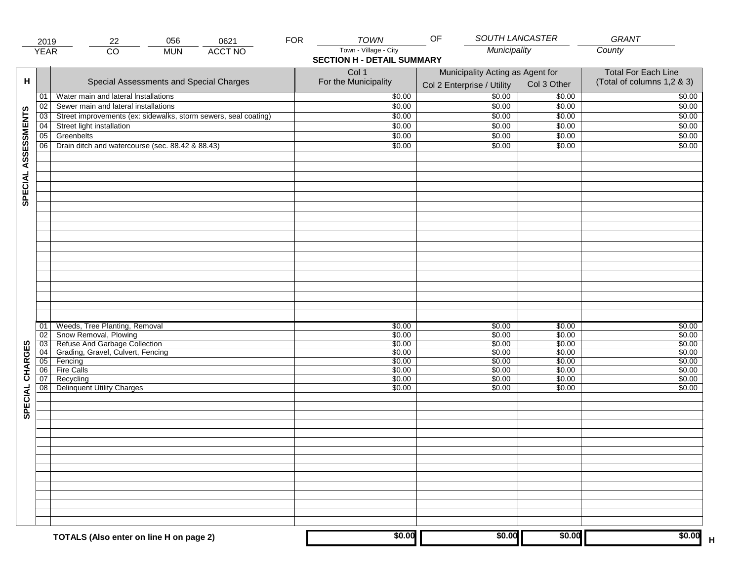|                     | 2019            | 22                                                                       | 056        | 0621           | <b>FOR</b> | <b>TOWN</b>                                                | OF                                                             | SOUTH LANCASTER  | <b>GRANT</b>                                             |
|---------------------|-----------------|--------------------------------------------------------------------------|------------|----------------|------------|------------------------------------------------------------|----------------------------------------------------------------|------------------|----------------------------------------------------------|
|                     | <b>YEAR</b>     | $\overline{CO}$                                                          | <b>MUN</b> | <b>ACCT NO</b> |            | Town - Village - City<br><b>SECTION H - DETAIL SUMMARY</b> | Municipality                                                   |                  | County                                                   |
| н                   |                 | Special Assessments and Special Charges                                  |            |                |            | Col 1<br>For the Municipality                              | Municipality Acting as Agent for<br>Col 2 Enterprise / Utility | Col 3 Other      | <b>Total For Each Line</b><br>(Total of columns 1,2 & 3) |
|                     | 01              | Water main and lateral Installations                                     |            |                |            | \$0.00                                                     | $\frac{1}{00}$                                                 | \$0.00           | \$0.00                                                   |
|                     | 02              | Sewer main and lateral installations                                     |            |                |            | \$0.00                                                     | \$0.00                                                         | \$0.00           | \$0.00                                                   |
|                     | $\overline{03}$ | Street improvements (ex: sidewalks, storm sewers, seal coating)          |            |                |            | \$0.00                                                     | \$0.00                                                         | \$0.00           | \$0.00                                                   |
|                     | 04              | Street light installation                                                |            |                |            | \$0.00                                                     | \$0.00                                                         | \$0.00           | \$0.00                                                   |
|                     | 05              | Greenbelts                                                               |            |                |            | \$0.00                                                     | \$0.00                                                         | \$0.00           | \$0.00                                                   |
|                     | 06              | Drain ditch and watercourse (sec. 88.42 & 88.43)                         |            |                |            | \$0.00                                                     | \$0.00                                                         | \$0.00           | \$0.00                                                   |
| SPECIAL ASSESSMENTS |                 |                                                                          |            |                |            |                                                            |                                                                |                  |                                                          |
|                     |                 |                                                                          |            |                |            |                                                            |                                                                |                  |                                                          |
|                     | 01              | Weeds, Tree Planting, Removal                                            |            |                |            | \$0.00                                                     | \$0.00                                                         | \$0.00           | \$0.00                                                   |
|                     | 02              | Snow Removal, Plowing                                                    |            |                |            | \$0.00<br>\$0.00                                           | \$0.00<br>\$0.00                                               | \$0.00<br>\$0.00 | \$0.00                                                   |
| CHARGES             |                 | 03 Refuse And Garbage Collection<br>04 Grading, Gravel, Culvert, Fencing |            |                |            | \$0.00                                                     | \$0.00                                                         | \$0.00           | \$0.00<br>\$0.00                                         |
|                     |                 | 05 Fencing                                                               |            |                |            | \$0.00                                                     | \$0.00                                                         | \$0.00           | \$0.00                                                   |
|                     | 06              | <b>Fire Calls</b>                                                        |            |                |            | \$0.00                                                     | \$0.00                                                         | \$0.00           | \$0.00                                                   |
|                     | 07<br>08        | Recycling<br><b>Delinquent Utility Charges</b>                           |            |                |            | \$0.00<br>\$0.00                                           | \$0.00<br>\$0.00                                               | \$0.00<br>\$0.00 | \$0.00<br>\$0.00                                         |
| SPECIAL             |                 |                                                                          |            |                |            |                                                            |                                                                |                  |                                                          |
|                     |                 |                                                                          |            |                |            |                                                            |                                                                |                  |                                                          |
|                     |                 |                                                                          |            |                |            |                                                            |                                                                |                  |                                                          |
|                     |                 |                                                                          |            |                |            |                                                            |                                                                |                  |                                                          |
|                     |                 | TOTALS (Also enter on line H on page 2)                                  |            |                |            | \$0.00                                                     | \$0.00                                                         | \$0.00           | \$0.00                                                   |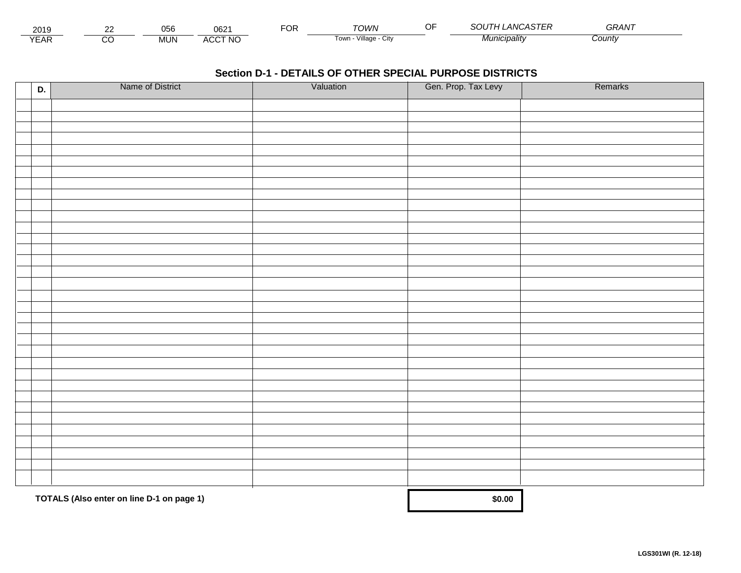| 2019              | $\sim$ | $\mathbf{v} = \mathbf{v}$<br>vuc | 0621           | $\overline{O}R$ | TOWN                  | ~- | <br>,,,,<br>UA J L L | GRAN1  |  |
|-------------------|--------|----------------------------------|----------------|-----------------|-----------------------|----|----------------------|--------|--|
| $\sqrt{2}$<br>EAR |        | .JUN                             | <b>ACCT NO</b> |                 | Village<br>≀∪W⊓<br>UN |    | <i>Municipality</i>  | County |  |

| D. | Name of District                          | Valuation | Gen. Prop. Tax Levy | Remarks |
|----|-------------------------------------------|-----------|---------------------|---------|
|    |                                           |           |                     |         |
|    |                                           |           |                     |         |
|    |                                           |           |                     |         |
|    |                                           |           |                     |         |
|    |                                           |           |                     |         |
|    |                                           |           |                     |         |
|    |                                           |           |                     |         |
|    |                                           |           |                     |         |
|    |                                           |           |                     |         |
|    |                                           |           |                     |         |
|    |                                           |           |                     |         |
|    |                                           |           |                     |         |
|    |                                           |           |                     |         |
|    |                                           |           |                     |         |
|    |                                           |           |                     |         |
|    |                                           |           |                     |         |
|    |                                           |           |                     |         |
|    |                                           |           |                     |         |
|    |                                           |           |                     |         |
|    |                                           |           |                     |         |
|    |                                           |           |                     |         |
|    |                                           |           |                     |         |
|    |                                           |           |                     |         |
|    |                                           |           |                     |         |
|    |                                           |           |                     |         |
|    |                                           |           |                     |         |
|    |                                           |           |                     |         |
|    |                                           |           |                     |         |
|    |                                           |           |                     |         |
|    |                                           |           |                     |         |
|    | TOTALS (Also enter on line D-1 on page 1) |           | \$0.00              |         |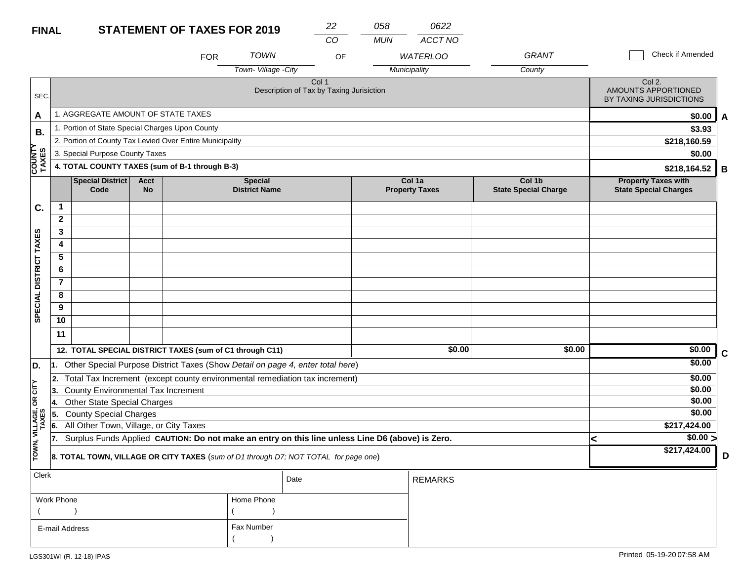### **STATEMENT OF TAXES FINAL**

| <b>FOR 2019</b> | 22 | 058 |
|-----------------|----|-----|
|                 |    |     |

*CO MUN ACCT NO*

*0622*

|                        |                                                                                                         |                                                                                     |                          | <b>FOR</b>                                               | <b>TOWN</b>                            | OF                                                                             |  | <b>WATERLOO</b>                 | <b>GRANT</b>                          |              | Check if Amended                                           |             |
|------------------------|---------------------------------------------------------------------------------------------------------|-------------------------------------------------------------------------------------|--------------------------|----------------------------------------------------------|----------------------------------------|--------------------------------------------------------------------------------|--|---------------------------------|---------------------------------------|--------------|------------------------------------------------------------|-------------|
|                        |                                                                                                         |                                                                                     |                          |                                                          | Town- Village - City                   |                                                                                |  | Municipality                    | County                                |              |                                                            |             |
| SEC.                   |                                                                                                         |                                                                                     |                          |                                                          |                                        | Col <sub>1</sub><br>Description of Tax by Taxing Jurisiction                   |  |                                 |                                       |              | Col 2.<br>AMOUNTS APPORTIONED<br>BY TAXING JURISDICTIONS   |             |
| A                      |                                                                                                         | 1. AGGREGATE AMOUNT OF STATE TAXES                                                  |                          |                                                          |                                        |                                                                                |  |                                 |                                       |              | \$0.00                                                     | A           |
| В.                     |                                                                                                         | 1. Portion of State Special Charges Upon County                                     |                          |                                                          |                                        |                                                                                |  |                                 |                                       |              | \$3.93                                                     |             |
| 5                      |                                                                                                         |                                                                                     |                          | 2. Portion of County Tax Levied Over Entire Municipality |                                        |                                                                                |  |                                 |                                       | \$218,160.59 |                                                            |             |
|                        |                                                                                                         | 3. Special Purpose County Taxes                                                     |                          |                                                          |                                        |                                                                                |  |                                 |                                       |              | \$0.00                                                     |             |
| <b>COUNT</b><br>TAXES  |                                                                                                         |                                                                                     |                          | 4. TOTAL COUNTY TAXES (sum of B-1 through B-3)           |                                        |                                                                                |  |                                 |                                       | \$218,164.52 |                                                            |             |
|                        |                                                                                                         | Special District<br>Code                                                            | <b>Acct</b><br><b>No</b> |                                                          | <b>Special</b><br><b>District Name</b> |                                                                                |  | Col 1a<br><b>Property Taxes</b> | Col 1b<br><b>State Special Charge</b> |              | <b>Property Taxes with</b><br><b>State Special Charges</b> | B           |
| C.                     | $\mathbf{1}$                                                                                            |                                                                                     |                          |                                                          |                                        |                                                                                |  |                                 |                                       |              |                                                            |             |
|                        | $\mathbf{2}$                                                                                            |                                                                                     |                          |                                                          |                                        |                                                                                |  |                                 |                                       |              |                                                            |             |
|                        | 3                                                                                                       |                                                                                     |                          |                                                          |                                        |                                                                                |  |                                 |                                       |              |                                                            |             |
|                        | 4                                                                                                       |                                                                                     |                          |                                                          |                                        |                                                                                |  |                                 |                                       |              |                                                            |             |
|                        | 5                                                                                                       |                                                                                     |                          |                                                          |                                        |                                                                                |  |                                 |                                       |              |                                                            |             |
|                        | 6                                                                                                       |                                                                                     |                          |                                                          |                                        |                                                                                |  |                                 |                                       |              |                                                            |             |
|                        | $\overline{7}$                                                                                          |                                                                                     |                          |                                                          |                                        |                                                                                |  |                                 |                                       |              |                                                            |             |
| SPECIAL DISTRICT TAXES | 8                                                                                                       |                                                                                     |                          |                                                          |                                        |                                                                                |  |                                 |                                       |              |                                                            |             |
|                        | 9                                                                                                       |                                                                                     |                          |                                                          |                                        |                                                                                |  |                                 |                                       |              |                                                            |             |
|                        | 10                                                                                                      |                                                                                     |                          |                                                          |                                        |                                                                                |  |                                 |                                       |              |                                                            |             |
|                        | 11                                                                                                      |                                                                                     |                          |                                                          |                                        |                                                                                |  |                                 |                                       |              |                                                            |             |
|                        |                                                                                                         |                                                                                     |                          | 12. TOTAL SPECIAL DISTRICT TAXES (sum of C1 through C11) |                                        |                                                                                |  | \$0.00                          | \$0.00                                |              | \$0.00                                                     |             |
| D.                     | 11.                                                                                                     |                                                                                     |                          |                                                          |                                        | Other Special Purpose District Taxes (Show Detail on page 4, enter total here) |  |                                 |                                       |              | \$0.00                                                     | $\mathbf c$ |
|                        | 2.                                                                                                      |                                                                                     |                          |                                                          |                                        | Total Tax Increment (except county environmental remediation tax increment)    |  |                                 |                                       |              | \$0.00                                                     |             |
| OR CITY                | 3.                                                                                                      | County Environmental Tax Increment                                                  |                          |                                                          |                                        |                                                                                |  |                                 |                                       |              | \$0.00                                                     |             |
|                        | Ι4.                                                                                                     | <b>Other State Special Charges</b>                                                  |                          |                                                          |                                        |                                                                                |  |                                 |                                       |              | \$0.00                                                     |             |
|                        | 55.                                                                                                     | <b>County Special Charges</b>                                                       |                          |                                                          |                                        |                                                                                |  |                                 |                                       |              | \$0.00                                                     |             |
| VILLAGE,<br>TAXES      | All Other Town, Village, or City Taxes<br>6.                                                            |                                                                                     |                          |                                                          |                                        |                                                                                |  |                                 |                                       |              | \$217,424.00                                               |             |
|                        | Surplus Funds Applied CAUTION: Do not make an entry on this line unless Line D6 (above) is Zero.<br>17. |                                                                                     |                          |                                                          |                                        |                                                                                |  |                                 |                                       |              | $\frac{1}{0.00}$                                           |             |
| TOWN,                  |                                                                                                         | 8. TOTAL TOWN, VILLAGE OR CITY TAXES (sum of D1 through D7; NOT TOTAL for page one) |                          |                                                          | \$217,424.00                           | D                                                                              |  |                                 |                                       |              |                                                            |             |
| Clerk                  | Date                                                                                                    |                                                                                     |                          |                                                          |                                        |                                                                                |  |                                 |                                       |              |                                                            |             |
|                        | Work Phone                                                                                              |                                                                                     |                          |                                                          | Home Phone                             |                                                                                |  |                                 |                                       |              |                                                            |             |
|                        |                                                                                                         |                                                                                     |                          |                                                          |                                        |                                                                                |  |                                 |                                       |              |                                                            |             |

Fax Number

 $($ 

LGS301WI (R. 12-18) IPAS

E-mail Address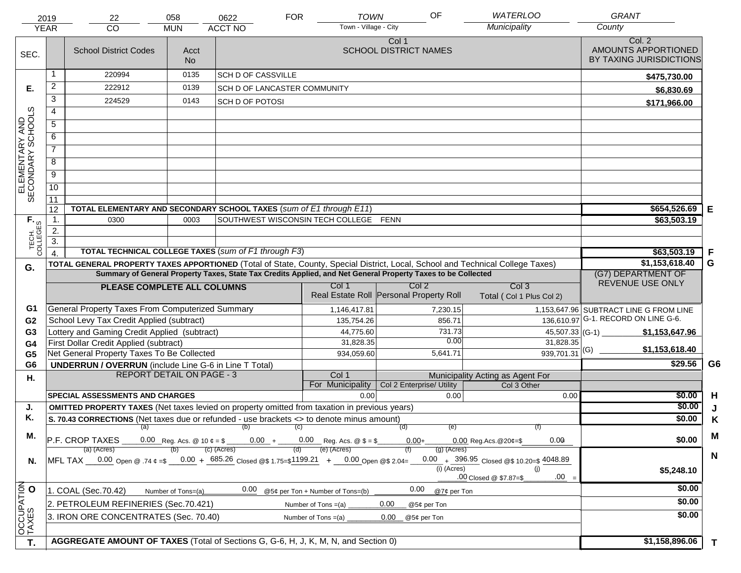|                                     | 2019<br><b>YEAR</b> | 22<br>CO                                                                                                                       | 058<br><b>MUN</b>                 | 0622<br><b>ACCT NO</b>       | <b>FOR</b>                            | <b>TOWN</b><br>Town - Village - City | OF                                      | <b>WATERLOO</b><br>Municipality                    | <b>GRANT</b><br>County                                   |                |
|-------------------------------------|---------------------|--------------------------------------------------------------------------------------------------------------------------------|-----------------------------------|------------------------------|---------------------------------------|--------------------------------------|-----------------------------------------|----------------------------------------------------|----------------------------------------------------------|----------------|
| SEC.                                |                     | <b>School District Codes</b>                                                                                                   | Acct<br>No.                       |                              |                                       | Col 1                                | <b>SCHOOL DISTRICT NAMES</b>            |                                                    | Col. 2<br>AMOUNTS APPORTIONED<br>BY TAXING JURISDICTIONS |                |
|                                     | 1                   | 220994                                                                                                                         | 0135                              | <b>SCH D OF CASSVILLE</b>    |                                       |                                      |                                         |                                                    | \$475,730.00                                             |                |
| Е.                                  | $\overline{2}$      | 222912                                                                                                                         | 0139                              | SCH D OF LANCASTER COMMUNITY |                                       |                                      |                                         |                                                    | \$6,830.69                                               |                |
|                                     | $\overline{3}$      | 224529                                                                                                                         | 0143                              | <b>SCH D OF POTOSI</b>       |                                       |                                      |                                         |                                                    | \$171,966.00                                             |                |
|                                     | 4                   |                                                                                                                                |                                   |                              |                                       |                                      |                                         |                                                    |                                                          |                |
|                                     | $\overline{5}$      |                                                                                                                                |                                   |                              |                                       |                                      |                                         |                                                    |                                                          |                |
|                                     | 6                   |                                                                                                                                |                                   |                              |                                       |                                      |                                         |                                                    |                                                          |                |
|                                     | $\overline{7}$      |                                                                                                                                |                                   |                              |                                       |                                      |                                         |                                                    |                                                          |                |
| ELEMENTARY AND<br>SECONDARY SCHOOLS | $\overline{8}$      |                                                                                                                                |                                   |                              |                                       |                                      |                                         |                                                    |                                                          |                |
|                                     | $\overline{9}$      |                                                                                                                                |                                   |                              |                                       |                                      |                                         |                                                    |                                                          |                |
|                                     | 10                  |                                                                                                                                |                                   |                              |                                       |                                      |                                         |                                                    |                                                          |                |
|                                     | $\overline{11}$     |                                                                                                                                |                                   |                              |                                       |                                      |                                         |                                                    |                                                          |                |
|                                     | 12                  | TOTAL ELEMENTARY AND SECONDARY SCHOOL TAXES (sum of E1 through E11)                                                            |                                   |                              |                                       |                                      |                                         |                                                    | \$654,526.69                                             | Е              |
|                                     | $\mathbf{1}$ .      | 0300                                                                                                                           | 0003                              |                              | SOUTHWEST WISCONSIN TECH COLLEGE FENN |                                      |                                         |                                                    | \$63,503.19                                              |                |
|                                     | 2.                  |                                                                                                                                |                                   |                              |                                       |                                      |                                         |                                                    |                                                          |                |
| TECH. T                             | $\overline{3}$ .    | <b>TOTAL TECHNICAL COLLEGE TAXES (sum of F1 through F3)</b>                                                                    |                                   |                              |                                       |                                      |                                         |                                                    |                                                          |                |
|                                     |                     | TOTAL GENERAL PROPERTY TAXES APPORTIONED (Total of State, County, Special District, Local, School and Technical College Taxes) |                                   |                              |                                       |                                      |                                         |                                                    | \$63,503.19<br>\$1,153,618.40                            | F<br>G         |
| G.                                  |                     | Summary of General Property Taxes, State Tax Credits Applied, and Net General Property Taxes to be Collected                   |                                   | (G7) DEPARTMENT OF           |                                       |                                      |                                         |                                                    |                                                          |                |
|                                     |                     | PLEASE COMPLETE ALL COLUMNS                                                                                                    |                                   |                              | Col 1                                 |                                      | Col <sub>2</sub>                        | Col <sub>3</sub>                                   | REVENUE USE ONLY                                         |                |
|                                     |                     |                                                                                                                                |                                   |                              |                                       |                                      | Real Estate Roll Personal Property Roll | Total (Col 1 Plus Col 2)                           |                                                          |                |
| G1                                  |                     | General Property Taxes From Computerized Summary                                                                               |                                   |                              | 1,146,417.81                          |                                      | 7,230.15                                |                                                    | 1,153,647.96 SUBTRACT LINE G FROM LINE                   |                |
| G <sub>2</sub>                      |                     | School Levy Tax Credit Applied (subtract)                                                                                      |                                   |                              | 135,754.26                            |                                      | 856.71                                  |                                                    | 136,610.97 G-1. RECORD ON LINE G-6.                      |                |
| G <sub>3</sub>                      |                     | Lottery and Gaming Credit Applied (subtract)                                                                                   |                                   |                              |                                       | 44,775.60                            | 731.73                                  |                                                    | $45,507.33$ (G-1)<br>\$1,153,647.96                      |                |
| G <sub>4</sub>                      |                     | First Dollar Credit Applied (subtract)                                                                                         |                                   |                              |                                       | 31,828.35                            | 0.00                                    | 31,828.35                                          | \$1,153,618.40                                           |                |
| G <sub>5</sub>                      |                     | Net General Property Taxes To Be Collected                                                                                     |                                   |                              | 934,059.60                            |                                      | 5,641.71                                | $939,701.31$ <sup>(G)</sup>                        |                                                          |                |
| G <sub>6</sub>                      |                     | <b>UNDERRUN / OVERRUN</b> (include Line G-6 in Line T Total)                                                                   |                                   |                              |                                       |                                      |                                         |                                                    | \$29.56                                                  | G <sub>6</sub> |
| Η.                                  |                     |                                                                                                                                | <b>REPORT DETAIL ON PAGE - 3</b>  |                              | Col 1<br>For Municipality             |                                      | Col 2 Enterprise/ Utility               | Municipality Acting as Agent For<br>Col 3 Other    |                                                          |                |
|                                     |                     | SPECIAL ASSESSMENTS AND CHARGES                                                                                                |                                   |                              |                                       | 0.00                                 | 0.00                                    | 0.00                                               | \$0.00                                                   | H              |
| J.                                  |                     | OMITTED PROPERTY TAXES (Net taxes levied on property omitted from taxation in previous years)                                  |                                   |                              |                                       |                                      |                                         |                                                    | \$0.00                                                   | J              |
| Κ.                                  |                     | S. 70.43 CORRECTIONS (Net taxes due or refunded - use brackets <> to denote minus amount)                                      |                                   |                              |                                       |                                      |                                         |                                                    | \$0.00                                                   | K              |
|                                     |                     |                                                                                                                                |                                   | $(a)$ (b) (c)                |                                       |                                      | (e)<br>(d)                              |                                                    |                                                          |                |
| М.                                  |                     | $P.F. CROP TAXES 0.00 Reg. As. @ 10 \phi = $ 0.00 + 0.00 Reg. As. @ $5 = $$                                                    |                                   |                              |                                       |                                      | $0.00 +$                                | 0.00<br>$0.00$ Reg. Acs. @ 20¢=\$                  | \$0.00                                                   | M              |
|                                     |                     | (a) (Acres)                                                                                                                    |                                   | (c) (Acres)                  | (e) (Acres)<br>(d)                    |                                      | $(g)$ (Acres)                           |                                                    |                                                          | $\mathsf{N}$   |
| N.                                  |                     | MFL TAX 0.00 Open @ .74 $\epsilon = 0.00 + 685.26$ Closed @\$ 1.75=\$1199.21 + 0.00 Open @\$ 2.04=                             |                                   |                              |                                       |                                      | (i) (Acres)                             | 0.00 $+$ 396.95 Closed @\$ 10.20=\$ 4048.89<br>(i) | \$5,248.10                                               |                |
|                                     |                     |                                                                                                                                | $.00 =$<br>.00 Closed @ \$7.87=\$ |                              |                                       |                                      |                                         |                                                    |                                                          |                |
|                                     |                     | 1. COAL (Sec.70.42)                                                                                                            | Number of Tons=(a)                | 0.00                         | @5¢ per Ton + Number of Tons=(b)      |                                      | 0.00<br>@7¢ per Ton                     |                                                    | \$0.00                                                   |                |
|                                     |                     | 2. PETROLEUM REFINERIES (Sec.70.421)                                                                                           |                                   |                              | Number of Tons $=(a)$                 | 0.00                                 | @5¢ per Ton                             |                                                    | \$0.00                                                   |                |
|                                     |                     | 3. IRON ORE CONCENTRATES (Sec. 70.40)                                                                                          |                                   |                              | Number of Tons $=(a)$                 | 0.00                                 | @5¢ per Ton                             |                                                    | \$0.00                                                   |                |
| OCCUPATION                          |                     |                                                                                                                                |                                   |                              |                                       |                                      |                                         |                                                    |                                                          |                |
| $\overline{\mathsf{T}}$ .           |                     | AGGREGATE AMOUNT OF TAXES (Total of Sections G, G-6, H, J, K, M, N, and Section 0)                                             |                                   |                              |                                       |                                      |                                         |                                                    | \$1,158,896.06                                           | $\mathbf{T}$   |
|                                     |                     |                                                                                                                                |                                   |                              |                                       |                                      |                                         |                                                    |                                                          |                |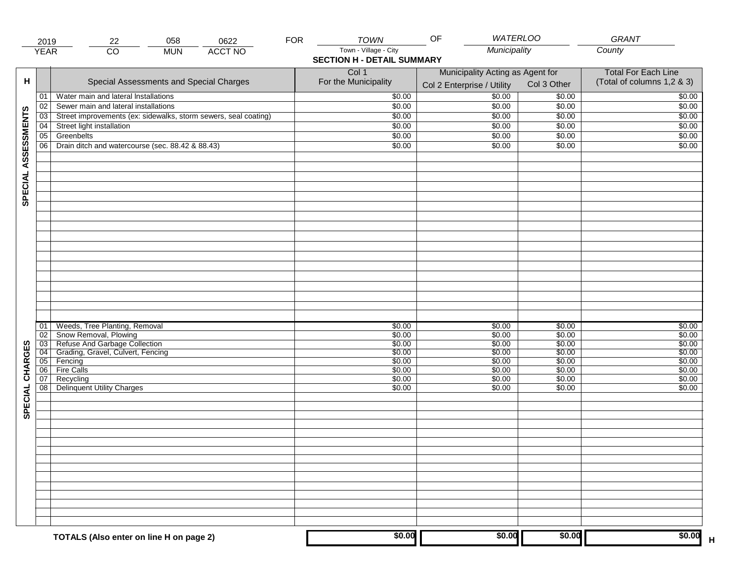|                     | 2019            | 058<br>22                                                                                                                          | 0622           | <b>FOR</b> | <b>TOWN</b>                                                | <b>WATERLOO</b><br>OF                                          |                                      | GRANT                                                    |
|---------------------|-----------------|------------------------------------------------------------------------------------------------------------------------------------|----------------|------------|------------------------------------------------------------|----------------------------------------------------------------|--------------------------------------|----------------------------------------------------------|
|                     | <b>YEAR</b>     | $\overline{CO}$<br><b>MUN</b>                                                                                                      | <b>ACCT NO</b> |            | Town - Village - City<br><b>SECTION H - DETAIL SUMMARY</b> | Municipality                                                   |                                      | County                                                   |
| н                   |                 | Special Assessments and Special Charges                                                                                            |                |            | Col 1<br>For the Municipality                              | Municipality Acting as Agent for<br>Col 2 Enterprise / Utility | Col 3 Other                          | <b>Total For Each Line</b><br>(Total of columns 1,2 & 3) |
|                     | 01              | Water main and lateral Installations                                                                                               |                |            | \$0.00                                                     | $\frac{1}{00}$                                                 | \$0.00                               | \$0.00                                                   |
|                     | 02              | Sewer main and lateral installations                                                                                               |                |            | \$0.00                                                     | \$0.00                                                         | \$0.00                               | \$0.00                                                   |
|                     | $\overline{03}$ | Street improvements (ex: sidewalks, storm sewers, seal coating)                                                                    |                |            | \$0.00                                                     | \$0.00                                                         | \$0.00                               | \$0.00                                                   |
|                     | 04              | Street light installation                                                                                                          |                |            | \$0.00                                                     | \$0.00                                                         | \$0.00                               | \$0.00                                                   |
|                     | 05              | Greenbelts                                                                                                                         |                |            | \$0.00                                                     | \$0.00                                                         | \$0.00                               | \$0.00                                                   |
|                     | 06              | Drain ditch and watercourse (sec. 88.42 & 88.43)                                                                                   |                |            | \$0.00                                                     | \$0.00                                                         | \$0.00                               | \$0.00                                                   |
| SPECIAL ASSESSMENTS |                 |                                                                                                                                    |                |            |                                                            |                                                                |                                      |                                                          |
| CHARGES             | 01<br>02        | Weeds, Tree Planting, Removal<br>Snow Removal, Plowing<br>03 Refuse And Garbage Collection<br>04 Grading, Gravel, Culvert, Fencing |                |            | \$0.00<br>\$0.00<br>\$0.00<br>\$0.00                       | \$0.00<br>\$0.00<br>\$0.00<br>\$0.00                           | \$0.00<br>\$0.00<br>\$0.00<br>\$0.00 | \$0.00<br>\$0.00<br>\$0.00<br>\$0.00                     |
|                     |                 | 05 Fencing                                                                                                                         |                |            | \$0.00                                                     | \$0.00                                                         | \$0.00                               | \$0.00                                                   |
|                     | 06              | <b>Fire Calls</b>                                                                                                                  |                |            | \$0.00                                                     | \$0.00                                                         | \$0.00                               | \$0.00                                                   |
| SPECIAL             | 07<br>08        | Recycling<br><b>Delinquent Utility Charges</b>                                                                                     |                |            | \$0.00<br>\$0.00                                           | \$0.00<br>\$0.00                                               | \$0.00<br>\$0.00                     | \$0.00<br>\$0.00                                         |
|                     |                 |                                                                                                                                    |                |            |                                                            |                                                                |                                      |                                                          |
|                     |                 | TOTALS (Also enter on line H on page 2)                                                                                            |                |            | \$0.00                                                     | \$0.00                                                         | \$0.00                               | \$0.00                                                   |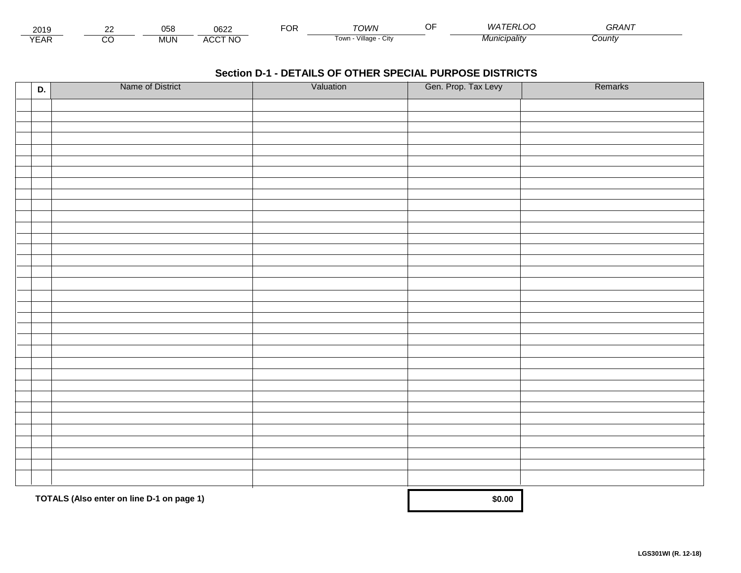| - - -<br>201.               | $\sim$ | $\sim$ $\sim$ $\sim$<br>ັບວິບ | nenn<br>∪ບ∠⊾                  | -OR | TOM/N<br>. .                      | <i>AI A</i><br>$\tilde{\phantom{a}}$ | -----<br><i>GRAN</i> |  |
|-----------------------------|--------|-------------------------------|-------------------------------|-----|-----------------------------------|--------------------------------------|----------------------|--|
| $\sqrt{2}$<br>▵<br><b>L</b> |        | <b>MUN</b>                    | CCT NC،<br>$\mathbf{u}$<br>nu |     | $\cdots$<br>Village<br>∣own<br>u۱ | ` <i>¶⊔nıcipalitv</i>                | :ountv               |  |

| D. | Name of District                          | Valuation | Gen. Prop. Tax Levy | Remarks |
|----|-------------------------------------------|-----------|---------------------|---------|
|    |                                           |           |                     |         |
|    |                                           |           |                     |         |
|    |                                           |           |                     |         |
|    |                                           |           |                     |         |
|    |                                           |           |                     |         |
|    |                                           |           |                     |         |
|    |                                           |           |                     |         |
|    |                                           |           |                     |         |
|    |                                           |           |                     |         |
|    |                                           |           |                     |         |
|    |                                           |           |                     |         |
|    |                                           |           |                     |         |
|    |                                           |           |                     |         |
|    |                                           |           |                     |         |
|    |                                           |           |                     |         |
|    |                                           |           |                     |         |
|    |                                           |           |                     |         |
|    |                                           |           |                     |         |
|    |                                           |           |                     |         |
|    |                                           |           |                     |         |
|    |                                           |           |                     |         |
|    |                                           |           |                     |         |
|    |                                           |           |                     |         |
|    |                                           |           |                     |         |
|    |                                           |           |                     |         |
|    |                                           |           |                     |         |
|    |                                           |           |                     |         |
|    |                                           |           |                     |         |
|    |                                           |           |                     |         |
|    |                                           |           |                     |         |
|    | TOTALS (Also enter on line D-1 on page 1) |           | \$0.00              |         |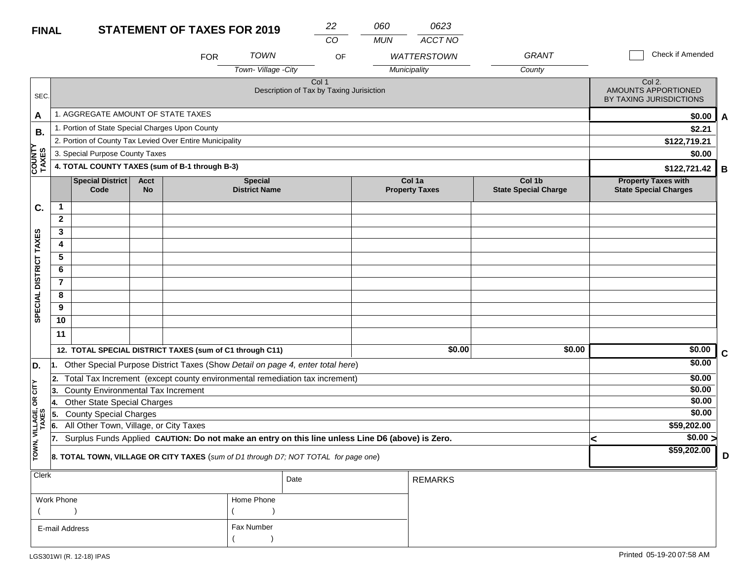| <b>STATEMENT OF TAXES FOR 2019</b><br><b>FINAL</b> |  |
|----------------------------------------------------|--|
|----------------------------------------------------|--|

| <b>FINAL</b>           |                |                                                                                                  |                          | <b>STATEMENT OF TAXES FOR 2019</b> |                                        | 22<br>CO                                          | 060<br><b>MUN</b> | 0623<br>ACCT NO                 |                                       |                                                            |                       |
|------------------------|----------------|--------------------------------------------------------------------------------------------------|--------------------------|------------------------------------|----------------------------------------|---------------------------------------------------|-------------------|---------------------------------|---------------------------------------|------------------------------------------------------------|-----------------------|
|                        |                |                                                                                                  |                          | <b>FOR</b>                         | <b>TOWN</b>                            | OF                                                |                   | <b>WATTERSTOWN</b>              | <b>GRANT</b>                          | Check if Amended                                           |                       |
|                        |                |                                                                                                  |                          |                                    | Town-Village -City                     |                                                   |                   | Municipality                    | County                                |                                                            |                       |
| SEC.                   |                |                                                                                                  |                          |                                    |                                        | Col 1<br>Description of Tax by Taxing Jurisiction |                   |                                 |                                       | Col 2.<br>AMOUNTS APPORTIONED<br>BY TAXING JURISDICTIONS   |                       |
| A                      |                | 1. AGGREGATE AMOUNT OF STATE TAXES                                                               |                          |                                    |                                        |                                                   |                   |                                 |                                       |                                                            | \$0.00<br>A           |
| В.                     |                | 1. Portion of State Special Charges Upon County                                                  |                          |                                    |                                        |                                                   |                   |                                 |                                       |                                                            | \$2.21                |
|                        |                | 2. Portion of County Tax Levied Over Entire Municipality                                         |                          |                                    |                                        |                                                   |                   |                                 |                                       | \$122,719.21                                               |                       |
|                        |                | 3. Special Purpose County Taxes                                                                  |                          |                                    |                                        |                                                   |                   |                                 |                                       |                                                            | \$0.00                |
| <b>COUNTY</b><br>TAXES |                | 4. TOTAL COUNTY TAXES (sum of B-1 through B-3)                                                   |                          |                                    |                                        |                                                   |                   |                                 |                                       | \$122,721.42                                               | B                     |
|                        |                | <b>Special District</b><br>Code                                                                  | <b>Acct</b><br><b>No</b> |                                    | <b>Special</b><br><b>District Name</b> |                                                   |                   | Col 1a<br><b>Property Taxes</b> | Col 1b<br><b>State Special Charge</b> | <b>Property Taxes with</b><br><b>State Special Charges</b> |                       |
| C.                     | $\mathbf 1$    |                                                                                                  |                          |                                    |                                        |                                                   |                   |                                 |                                       |                                                            |                       |
|                        | $\mathbf{2}$   |                                                                                                  |                          |                                    |                                        |                                                   |                   |                                 |                                       |                                                            |                       |
|                        | 3              |                                                                                                  |                          |                                    |                                        |                                                   |                   |                                 |                                       |                                                            |                       |
|                        | 4              |                                                                                                  |                          |                                    |                                        |                                                   |                   |                                 |                                       |                                                            |                       |
|                        | 5              |                                                                                                  |                          |                                    |                                        |                                                   |                   |                                 |                                       |                                                            |                       |
|                        | 6              |                                                                                                  |                          |                                    |                                        |                                                   |                   |                                 |                                       |                                                            |                       |
|                        | $\overline{7}$ |                                                                                                  |                          |                                    |                                        |                                                   |                   |                                 |                                       |                                                            |                       |
|                        | 8              |                                                                                                  |                          |                                    |                                        |                                                   |                   |                                 |                                       |                                                            |                       |
| SPECIAL DISTRICT TAXES | 9              |                                                                                                  |                          |                                    |                                        |                                                   |                   |                                 |                                       |                                                            |                       |
|                        | 10             |                                                                                                  |                          |                                    |                                        |                                                   |                   |                                 |                                       |                                                            |                       |
|                        | 11             |                                                                                                  |                          |                                    |                                        |                                                   |                   |                                 |                                       |                                                            |                       |
|                        |                | 12. TOTAL SPECIAL DISTRICT TAXES (sum of C1 through C11)                                         |                          |                                    |                                        |                                                   |                   | \$0.00                          | \$0.00                                |                                                            | \$0.00<br>$\mathbf C$ |
| D.                     | 11.            | Other Special Purpose District Taxes (Show Detail on page 4, enter total here)                   |                          |                                    |                                        |                                                   |                   |                                 |                                       |                                                            | \$0.00                |
|                        | 2.             | Total Tax Increment (except county environmental remediation tax increment)                      |                          |                                    |                                        |                                                   |                   |                                 |                                       |                                                            | \$0.00                |
| CITY                   | 3.             | <b>County Environmental Tax Increment</b>                                                        |                          |                                    |                                        |                                                   |                   |                                 |                                       |                                                            | \$0.00                |
| g                      | Ι4.            | <b>Other State Special Charges</b>                                                               |                          |                                    |                                        |                                                   |                   |                                 |                                       |                                                            | \$0.00                |
| VILLAGE,<br>TAXES      | 5              | <b>County Special Charges</b>                                                                    |                          |                                    |                                        |                                                   |                   |                                 |                                       |                                                            | \$0.00                |
|                        | 66.            | All Other Town, Village, or City Taxes                                                           |                          |                                    |                                        |                                                   |                   |                                 |                                       | \$59,202.00                                                |                       |
|                        | 17.            | Surplus Funds Applied CAUTION: Do not make an entry on this line unless Line D6 (above) is Zero. |                          |                                    |                                        |                                                   |                   |                                 |                                       | <                                                          | \$0.00 >              |
| TOWN,                  |                | 8. TOTAL TOWN, VILLAGE OR CITY TAXES (sum of D1 through D7; NOT TOTAL for page one)              |                          |                                    |                                        |                                                   |                   |                                 |                                       | \$59,202.00                                                | D                     |
| <b>Clerk</b>           |                | Date<br><b>REMARKS</b>                                                                           |                          |                                    |                                        |                                                   |                   |                                 |                                       |                                                            |                       |

| $\sim$         |            | Date | REMARKS |
|----------------|------------|------|---------|
| Work Phone     | Home Phone |      |         |
|                |            |      |         |
| E-mail Address | Fax Number |      |         |
|                |            |      |         |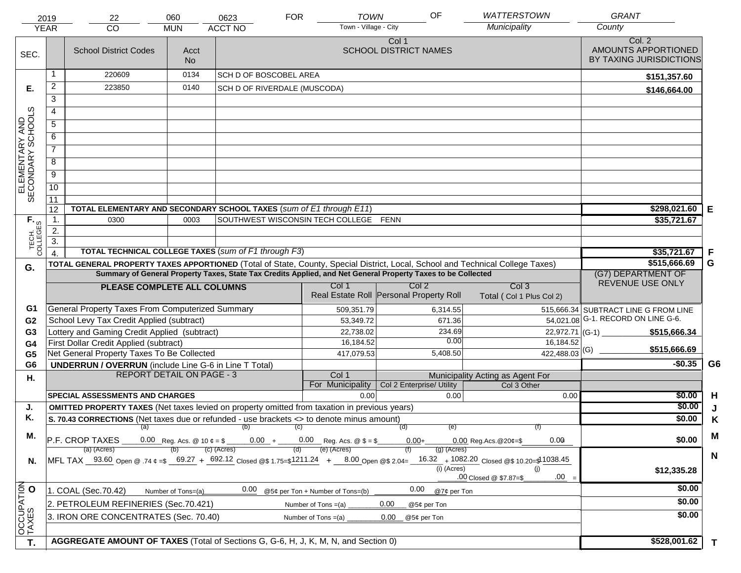|                                     | 2019                                                                                                                                                                       | 22                                                                                                           | 060                                                                                                                            | 0623                               | <b>FOR</b> | <b>TOWN</b>                      | OF                                                          | <b>WATTERSTOWN</b>                | <b>GRANT</b>                                             |    |
|-------------------------------------|----------------------------------------------------------------------------------------------------------------------------------------------------------------------------|--------------------------------------------------------------------------------------------------------------|--------------------------------------------------------------------------------------------------------------------------------|------------------------------------|------------|----------------------------------|-------------------------------------------------------------|-----------------------------------|----------------------------------------------------------|----|
|                                     | <b>YEAR</b>                                                                                                                                                                | <b>CO</b>                                                                                                    | <b>MUN</b>                                                                                                                     | <b>ACCT NO</b>                     |            | Town - Village - City            |                                                             | Municipality                      | County                                                   |    |
| SEC.                                |                                                                                                                                                                            | <b>School District Codes</b>                                                                                 | Acct<br><b>No</b>                                                                                                              |                                    |            |                                  | Col 1<br><b>SCHOOL DISTRICT NAMES</b>                       |                                   | Col. 2<br>AMOUNTS APPORTIONED<br>BY TAXING JURISDICTIONS |    |
|                                     | 1                                                                                                                                                                          | 220609                                                                                                       | 0134                                                                                                                           | <b>SCH D OF BOSCOBEL AREA</b>      |            |                                  |                                                             |                                   | \$151,357.60                                             |    |
| Е.                                  | $\overline{2}$                                                                                                                                                             | 223850                                                                                                       | 0140                                                                                                                           | SCH D OF RIVERDALE (MUSCODA)       |            |                                  |                                                             |                                   | \$146,664.00                                             |    |
|                                     | $\overline{3}$                                                                                                                                                             |                                                                                                              |                                                                                                                                |                                    |            |                                  |                                                             |                                   |                                                          |    |
|                                     | $\overline{4}$                                                                                                                                                             |                                                                                                              |                                                                                                                                |                                    |            |                                  |                                                             |                                   |                                                          |    |
|                                     | $\overline{5}$                                                                                                                                                             |                                                                                                              |                                                                                                                                |                                    |            |                                  |                                                             |                                   |                                                          |    |
|                                     | 6                                                                                                                                                                          |                                                                                                              |                                                                                                                                |                                    |            |                                  |                                                             |                                   |                                                          |    |
|                                     | $\overline{7}$                                                                                                                                                             |                                                                                                              |                                                                                                                                |                                    |            |                                  |                                                             |                                   |                                                          |    |
| ELEMENTARY AND<br>SECONDARY SCHOOLS | $\overline{8}$                                                                                                                                                             |                                                                                                              |                                                                                                                                |                                    |            |                                  |                                                             |                                   |                                                          |    |
|                                     | $\overline{9}$                                                                                                                                                             |                                                                                                              |                                                                                                                                |                                    |            |                                  |                                                             |                                   |                                                          |    |
|                                     | 10                                                                                                                                                                         |                                                                                                              |                                                                                                                                |                                    |            |                                  |                                                             |                                   |                                                          |    |
|                                     | 11                                                                                                                                                                         |                                                                                                              |                                                                                                                                |                                    |            |                                  |                                                             |                                   |                                                          |    |
|                                     | 12                                                                                                                                                                         | TOTAL ELEMENTARY AND SECONDARY SCHOOL TAXES (sum of E1 through E11)                                          | \$298,021.60                                                                                                                   | E                                  |            |                                  |                                                             |                                   |                                                          |    |
|                                     | $\mathbf{1}$ .                                                                                                                                                             | 0300                                                                                                         | \$35,721.67                                                                                                                    |                                    |            |                                  |                                                             |                                   |                                                          |    |
|                                     | 2.                                                                                                                                                                         |                                                                                                              |                                                                                                                                |                                    |            |                                  |                                                             |                                   |                                                          |    |
| TECH. T                             | $\overline{3}$ .                                                                                                                                                           |                                                                                                              |                                                                                                                                |                                    |            |                                  |                                                             |                                   |                                                          |    |
|                                     | $\overline{4}$                                                                                                                                                             | TOTAL TECHNICAL COLLEGE TAXES (sum of F1 through F3)                                                         | \$35,721.67                                                                                                                    | F                                  |            |                                  |                                                             |                                   |                                                          |    |
| G.                                  |                                                                                                                                                                            | Summary of General Property Taxes, State Tax Credits Applied, and Net General Property Taxes to be Collected | TOTAL GENERAL PROPERTY TAXES APPORTIONED (Total of State, County, Special District, Local, School and Technical College Taxes) | \$515,666.69<br>(G7) DEPARTMENT OF | G          |                                  |                                                             |                                   |                                                          |    |
|                                     |                                                                                                                                                                            |                                                                                                              | Col <sub>3</sub>                                                                                                               | REVENUE USE ONLY                   |            |                                  |                                                             |                                   |                                                          |    |
|                                     |                                                                                                                                                                            | PLEASE COMPLETE ALL COLUMNS                                                                                  |                                                                                                                                |                                    |            | Col 1                            | Col <sub>2</sub><br>Real Estate Roll Personal Property Roll | Total (Col 1 Plus Col 2)          |                                                          |    |
| G1                                  |                                                                                                                                                                            | General Property Taxes From Computerized Summary                                                             |                                                                                                                                |                                    |            | 509,351.79                       | 6,314.55                                                    |                                   | 515,666.34 SUBTRACT LINE G FROM LINE                     |    |
| G <sub>2</sub>                      |                                                                                                                                                                            | School Levy Tax Credit Applied (subtract)                                                                    |                                                                                                                                |                                    |            | 53,349.72                        | 671.36                                                      |                                   | 54,021.08 G-1. RECORD ON LINE G-6.                       |    |
| G <sub>3</sub>                      |                                                                                                                                                                            | Lottery and Gaming Credit Applied (subtract)                                                                 |                                                                                                                                |                                    |            | 22,738.02                        | 234.69                                                      | $22,972.71$ (G-1)                 | \$515,666.34                                             |    |
| G4                                  |                                                                                                                                                                            | First Dollar Credit Applied (subtract)                                                                       |                                                                                                                                |                                    |            | 16,184.52                        | 0.00                                                        | 16,184.52                         | \$515,666.69                                             |    |
| G <sub>5</sub>                      |                                                                                                                                                                            | Net General Property Taxes To Be Collected                                                                   |                                                                                                                                |                                    |            | 417,079.53                       | 5,408.50                                                    | $422,488.03$ <sup>(G)</sup>       | $-$0.35$                                                 | G6 |
| G <sub>6</sub>                      |                                                                                                                                                                            | <b>UNDERRUN / OVERRUN</b> (include Line G-6 in Line T Total)<br><b>REPORT DETAIL ON PAGE - 3</b>             |                                                                                                                                |                                    |            | Col 1                            |                                                             | Municipality Acting as Agent For  |                                                          |    |
| Η.                                  |                                                                                                                                                                            |                                                                                                              |                                                                                                                                |                                    |            | For Municipality                 | Col 2 Enterprise/ Utility                                   | Col 3 Other                       |                                                          |    |
|                                     |                                                                                                                                                                            | <b>SPECIAL ASSESSMENTS AND CHARGES</b>                                                                       |                                                                                                                                |                                    |            | 0.00                             | 0.00                                                        | 0.00                              | \$0.00                                                   | H  |
| J.                                  |                                                                                                                                                                            | <b>OMITTED PROPERTY TAXES</b> (Net taxes levied on property omitted from taxation in previous years)         |                                                                                                                                |                                    |            |                                  |                                                             |                                   | \$0.00                                                   | J  |
| Κ.                                  |                                                                                                                                                                            | S. 70.43 CORRECTIONS (Net taxes due or refunded - use brackets <> to denote minus amount)                    |                                                                                                                                | \$0.00                             | K          |                                  |                                                             |                                   |                                                          |    |
| М.                                  |                                                                                                                                                                            | (a)                                                                                                          | (f)                                                                                                                            |                                    | M          |                                  |                                                             |                                   |                                                          |    |
|                                     |                                                                                                                                                                            | P.F. CROP TAXES<br>(a) (Acres)                                                                               |                                                                                                                                | (c) (Acres)                        |            | (e) (Acres)                      | $0.00 +$<br>$(g)$ (Acres)                                   | 0.00<br>$0.00$ Reg. Acs. @ 20¢=\$ | \$0.00                                                   |    |
| N.                                  | MFL TAX _ 93.60 Open @ .74 ¢ =\$ _ 69.27 + _692.12 Closed @\$ 1.75=\$1211.24 + _ 8.00 Open @\$ 2.04= _ 16.32 _ + 1082.20 Closed @\$ 10.20=\$11038.45<br>(i) (Acres)<br>(i) |                                                                                                              |                                                                                                                                |                                    |            |                                  |                                                             |                                   | \$12,335.28                                              | N  |
|                                     |                                                                                                                                                                            |                                                                                                              |                                                                                                                                | 0.00                               |            |                                  | 0.00                                                        | $.00 =$<br>.00 Closed @ \$7.87=\$ | \$0.00                                                   |    |
|                                     |                                                                                                                                                                            | 1. COAL (Sec.70.42)                                                                                          | Number of Tons=(a)                                                                                                             |                                    |            | @5¢ per Ton + Number of Tons=(b) | @7¢ per Ton                                                 |                                   | \$0.00                                                   |    |
|                                     |                                                                                                                                                                            | 2. PETROLEUM REFINERIES (Sec.70.421)                                                                         |                                                                                                                                |                                    |            | Number of Tons $=(a)$            | 0.00<br>@5¢ per Ton                                         |                                   |                                                          |    |
| OCCUPATION                          |                                                                                                                                                                            | 3. IRON ORE CONCENTRATES (Sec. 70.40)                                                                        |                                                                                                                                |                                    |            | Number of Tons $=(a)$            | 0.00<br>@5¢ per Ton                                         |                                   | \$0.00                                                   |    |
| T.                                  |                                                                                                                                                                            | AGGREGATE AMOUNT OF TAXES (Total of Sections G, G-6, H, J, K, M, N, and Section 0)                           | \$528,001.62                                                                                                                   | T                                  |            |                                  |                                                             |                                   |                                                          |    |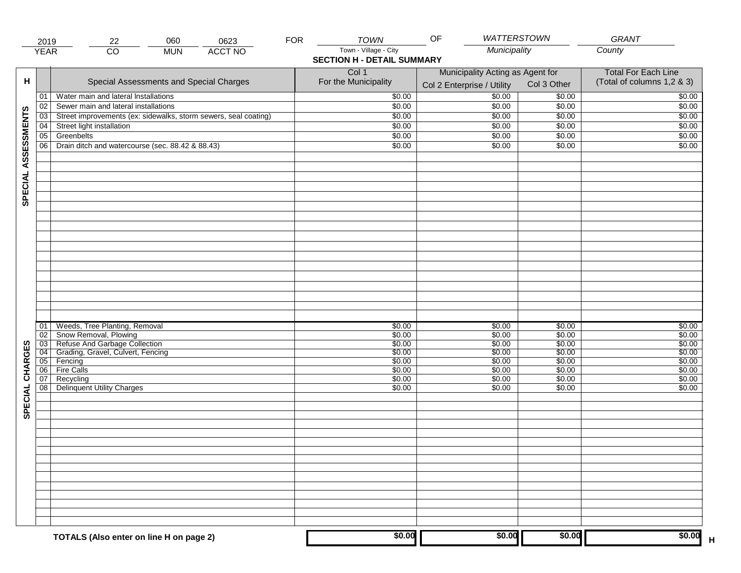|                     | 2019            | 060<br>22                                                                | 0623           | <b>FOR</b> | <b>TOWN</b>                                                | OF                                                             | WATTERSTOWN      | GRANT                                                    |
|---------------------|-----------------|--------------------------------------------------------------------------|----------------|------------|------------------------------------------------------------|----------------------------------------------------------------|------------------|----------------------------------------------------------|
|                     | <b>YEAR</b>     | $\overline{CO}$<br><b>MUN</b>                                            | <b>ACCT NO</b> |            | Town - Village - City<br><b>SECTION H - DETAIL SUMMARY</b> | Municipality                                                   |                  | County                                                   |
| н                   |                 | Special Assessments and Special Charges                                  |                |            | Col 1<br>For the Municipality                              | Municipality Acting as Agent for<br>Col 2 Enterprise / Utility | Col 3 Other      | <b>Total For Each Line</b><br>(Total of columns 1,2 & 3) |
|                     | 01              | Water main and lateral Installations                                     |                |            | \$0.00                                                     | $\frac{1}{00}$                                                 | \$0.00           | \$0.00                                                   |
|                     | 02              | Sewer main and lateral installations                                     |                |            | \$0.00                                                     | \$0.00                                                         | \$0.00           | \$0.00                                                   |
|                     | $\overline{03}$ | Street improvements (ex: sidewalks, storm sewers, seal coating)          |                |            | \$0.00                                                     | \$0.00                                                         | \$0.00           | \$0.00                                                   |
|                     | 04              | Street light installation                                                |                |            | \$0.00                                                     | \$0.00                                                         | \$0.00           | \$0.00                                                   |
|                     | 05              | Greenbelts                                                               |                |            | \$0.00                                                     | \$0.00                                                         | \$0.00           | \$0.00                                                   |
|                     | 06              | Drain ditch and watercourse (sec. 88.42 & 88.43)                         |                |            | \$0.00                                                     | \$0.00                                                         | \$0.00           | \$0.00                                                   |
| SPECIAL ASSESSMENTS |                 |                                                                          |                |            |                                                            |                                                                |                  |                                                          |
|                     |                 |                                                                          |                |            |                                                            |                                                                |                  |                                                          |
|                     |                 |                                                                          |                |            |                                                            |                                                                |                  |                                                          |
|                     | 01<br>02        | Weeds, Tree Planting, Removal<br>Snow Removal, Plowing                   |                |            | \$0.00<br>\$0.00                                           | \$0.00<br>\$0.00                                               | \$0.00<br>\$0.00 | \$0.00<br>\$0.00                                         |
|                     |                 |                                                                          |                |            | \$0.00                                                     | \$0.00                                                         | \$0.00           | \$0.00                                                   |
|                     |                 | 03 Refuse And Garbage Collection<br>04 Grading, Gravel, Culvert, Fencing |                |            | \$0.00                                                     | \$0.00                                                         | \$0.00           | \$0.00                                                   |
|                     |                 | 05 Fencing                                                               |                |            | \$0.00                                                     | \$0.00                                                         | \$0.00           | \$0.00                                                   |
| CHARGES             | 06              | <b>Fire Calls</b>                                                        |                |            | \$0.00                                                     | \$0.00                                                         | \$0.00           | \$0.00                                                   |
|                     | 07<br>08        | Recycling<br><b>Delinquent Utility Charges</b>                           |                |            | \$0.00<br>\$0.00                                           | \$0.00<br>\$0.00                                               | \$0.00<br>\$0.00 | \$0.00<br>\$0.00                                         |
| SPECIAL             |                 |                                                                          |                |            |                                                            |                                                                |                  |                                                          |
|                     |                 |                                                                          |                |            |                                                            |                                                                |                  |                                                          |
|                     |                 |                                                                          |                |            |                                                            |                                                                |                  |                                                          |
|                     |                 |                                                                          |                |            |                                                            |                                                                |                  |                                                          |
|                     |                 |                                                                          |                |            |                                                            |                                                                |                  |                                                          |
|                     |                 | TOTALS (Also enter on line H on page 2)                                  |                |            | \$0.00                                                     | \$0.00                                                         | \$0.00           | \$0.00                                                   |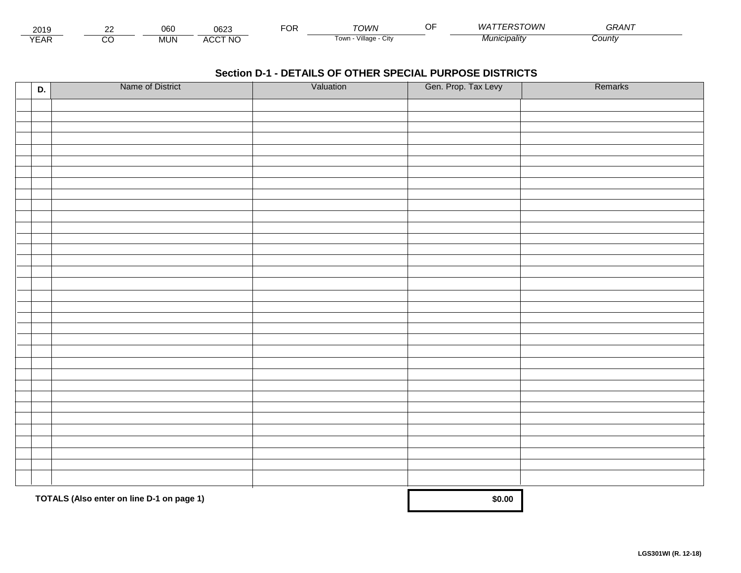| 2015                        | $\sim$ | $\sim$<br>UDC | ∩െ∩<br>∪o∠.                 | $\neg$ $\cap$<br>◡┍ | TOWN                    | - - | <b>PSTOWN</b><br>WА | $\sim$ $\sim$<br>GRAN |  |
|-----------------------------|--------|---------------|-----------------------------|---------------------|-------------------------|-----|---------------------|-----------------------|--|
| $\sqrt{2}$<br>▵<br><b>L</b> |        | .viun.        | CCT NC،<br>$\Lambda$<br>nuu |                     | Village<br>UN<br>' OWLL |     | <i>Municipality</i> | Count                 |  |

| D. | Name of District                          | Valuation | Gen. Prop. Tax Levy | Remarks |
|----|-------------------------------------------|-----------|---------------------|---------|
|    |                                           |           |                     |         |
|    |                                           |           |                     |         |
|    |                                           |           |                     |         |
|    |                                           |           |                     |         |
|    |                                           |           |                     |         |
|    |                                           |           |                     |         |
|    |                                           |           |                     |         |
|    |                                           |           |                     |         |
|    |                                           |           |                     |         |
|    |                                           |           |                     |         |
|    |                                           |           |                     |         |
|    |                                           |           |                     |         |
|    |                                           |           |                     |         |
|    |                                           |           |                     |         |
|    |                                           |           |                     |         |
|    |                                           |           |                     |         |
|    |                                           |           |                     |         |
|    |                                           |           |                     |         |
|    |                                           |           |                     |         |
|    |                                           |           |                     |         |
|    |                                           |           |                     |         |
|    |                                           |           |                     |         |
|    |                                           |           |                     |         |
|    |                                           |           |                     |         |
|    |                                           |           |                     |         |
|    |                                           |           |                     |         |
|    |                                           |           |                     |         |
|    |                                           |           |                     |         |
|    |                                           |           |                     |         |
|    |                                           |           |                     |         |
|    |                                           |           |                     |         |
|    |                                           |           |                     |         |
|    | TOTALS (Also enter on line D-1 on page 1) |           | \$0.00              |         |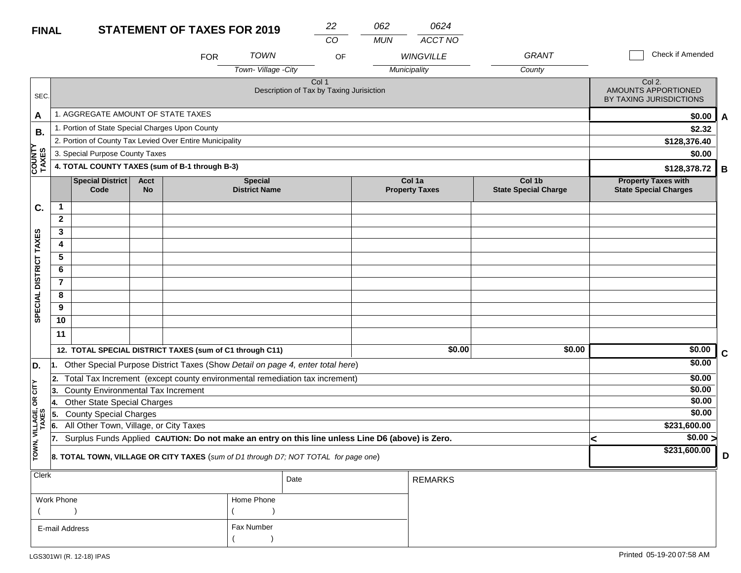### **STATEMENT OF TAXES FOR 2019 FINAL**

| <b>OF TAXES FOR 2019</b> |      | າາ | 062 | 0624             |      |
|--------------------------|------|----|-----|------------------|------|
|                          |      | CO | MUN | ACCT NO          |      |
| FOR                      | TOWN | ΩE |     | <i>WINGVILLE</i> | GRAN |

| Check if Amended |  |  |  |
|------------------|--|--|--|
|                  |  |  |  |

|                                     |                         |                                                          |                          | <b>FOR</b> | <b>TOWN</b>                            | OF                                                                                               |  | <b>WINGVILLE</b>                | <b>GRANT</b>                          |   | Check if Amended                                           |   |
|-------------------------------------|-------------------------|----------------------------------------------------------|--------------------------|------------|----------------------------------------|--------------------------------------------------------------------------------------------------|--|---------------------------------|---------------------------------------|---|------------------------------------------------------------|---|
|                                     |                         |                                                          |                          |            | Town-Village -City                     |                                                                                                  |  | Municipality                    | County                                |   |                                                            |   |
| SEC.                                |                         |                                                          |                          |            |                                        | Col <sub>1</sub><br>Description of Tax by Taxing Jurisiction                                     |  |                                 |                                       |   | Col 2.<br>AMOUNTS APPORTIONED<br>BY TAXING JURISDICTIONS   |   |
| A                                   |                         | 1. AGGREGATE AMOUNT OF STATE TAXES                       |                          |            |                                        |                                                                                                  |  |                                 |                                       |   | \$0.00                                                     | A |
| В.                                  |                         | 1. Portion of State Special Charges Upon County          |                          |            |                                        |                                                                                                  |  |                                 |                                       |   | \$2.32                                                     |   |
|                                     |                         | 2. Portion of County Tax Levied Over Entire Municipality |                          |            |                                        |                                                                                                  |  |                                 |                                       |   | \$128,376.40                                               |   |
|                                     |                         | 3. Special Purpose County Taxes                          |                          |            |                                        |                                                                                                  |  |                                 |                                       |   | \$0.00                                                     |   |
| COUNTY<br>TAXES                     |                         | 4. TOTAL COUNTY TAXES (sum of B-1 through B-3)           |                          |            |                                        |                                                                                                  |  |                                 |                                       |   | \$128,378.72                                               | B |
|                                     |                         | <b>Special District</b><br>Code                          | <b>Acct</b><br><b>No</b> |            | <b>Special</b><br><b>District Name</b> |                                                                                                  |  | Col 1a<br><b>Property Taxes</b> | Col 1b<br><b>State Special Charge</b> |   | <b>Property Taxes with</b><br><b>State Special Charges</b> |   |
| C.                                  | 1                       |                                                          |                          |            |                                        |                                                                                                  |  |                                 |                                       |   |                                                            |   |
|                                     | $\mathbf{2}$            |                                                          |                          |            |                                        |                                                                                                  |  |                                 |                                       |   |                                                            |   |
|                                     | 3                       |                                                          |                          |            |                                        |                                                                                                  |  |                                 |                                       |   |                                                            |   |
|                                     | $\overline{\mathbf{4}}$ |                                                          |                          |            |                                        |                                                                                                  |  |                                 |                                       |   |                                                            |   |
|                                     | 5                       |                                                          |                          |            |                                        |                                                                                                  |  |                                 |                                       |   |                                                            |   |
|                                     | 6                       |                                                          |                          |            |                                        |                                                                                                  |  |                                 |                                       |   |                                                            |   |
|                                     | $\overline{7}$          |                                                          |                          |            |                                        |                                                                                                  |  |                                 |                                       |   |                                                            |   |
|                                     | 8                       |                                                          |                          |            |                                        |                                                                                                  |  |                                 |                                       |   |                                                            |   |
| SPECIAL DISTRICT TAXES              | 9                       |                                                          |                          |            |                                        |                                                                                                  |  |                                 |                                       |   |                                                            |   |
|                                     | 10                      |                                                          |                          |            |                                        |                                                                                                  |  |                                 |                                       |   |                                                            |   |
|                                     | 11                      |                                                          |                          |            |                                        |                                                                                                  |  |                                 |                                       |   |                                                            |   |
|                                     |                         | 12. TOTAL SPECIAL DISTRICT TAXES (sum of C1 through C11) |                          |            |                                        |                                                                                                  |  | \$0.00                          | \$0.00                                |   | \$0.00                                                     | C |
| D.                                  |                         |                                                          |                          |            |                                        | 1. Other Special Purpose District Taxes (Show Detail on page 4, enter total here)                |  |                                 |                                       |   | \$0.00                                                     |   |
|                                     | 2.                      |                                                          |                          |            |                                        | Total Tax Increment (except county environmental remediation tax increment)                      |  |                                 |                                       |   | \$0.00                                                     |   |
|                                     | 3.                      | County Environmental Tax Increment                       |                          |            |                                        |                                                                                                  |  |                                 |                                       |   | \$0.00                                                     |   |
| OR CITY                             | 14.                     | <b>Other State Special Charges</b>                       |                          |            |                                        |                                                                                                  |  |                                 |                                       |   | \$0.00                                                     |   |
|                                     | 5.                      | <b>County Special Charges</b>                            |                          |            |                                        |                                                                                                  |  |                                 |                                       |   | \$0.00                                                     |   |
|                                     | 6.                      | All Other Town, Village, or City Taxes                   |                          |            |                                        |                                                                                                  |  |                                 |                                       |   | \$231,600.00                                               |   |
|                                     | 17.                     |                                                          |                          |            |                                        | Surplus Funds Applied CAUTION: Do not make an entry on this line unless Line D6 (above) is Zero. |  |                                 |                                       | k | $\sqrt{$0.00}$                                             |   |
| TOWN, VILLAGE,<br>TAXES             |                         |                                                          |                          |            |                                        | 8. TOTAL TOWN, VILLAGE OR CITY TAXES (sum of D1 through D7; NOT TOTAL for page one)              |  |                                 |                                       |   | \$231,600.00                                               | D |
| Clerk                               |                         |                                                          |                          |            |                                        | Date                                                                                             |  | <b>REMARKS</b>                  |                                       |   |                                                            |   |
|                                     | Work Phone              |                                                          |                          |            | Home Phone                             |                                                                                                  |  |                                 |                                       |   |                                                            |   |
|                                     |                         |                                                          |                          |            |                                        |                                                                                                  |  |                                 |                                       |   |                                                            |   |
| <b>Fax Number</b><br>E-mail Address |                         |                                                          |                          |            |                                        |                                                                                                  |  |                                 |                                       |   |                                                            |   |

 $($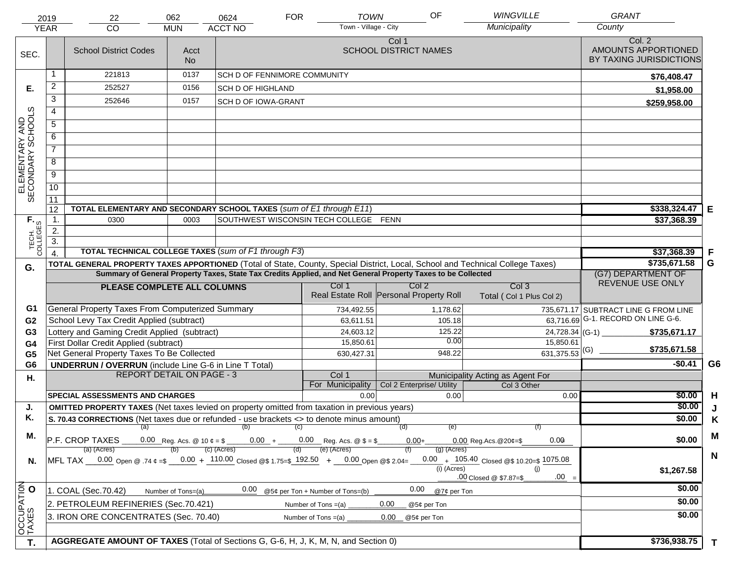|                                     | 2019             | 22                                                                                                                | 062                                                                                                                            | 0624                                                           | <b>FOR</b>            | <b>TOWN</b>                      | OF                                                          | <b>WINGVILLE</b>                                | <b>GRANT</b>                                             |              |
|-------------------------------------|------------------|-------------------------------------------------------------------------------------------------------------------|--------------------------------------------------------------------------------------------------------------------------------|----------------------------------------------------------------|-----------------------|----------------------------------|-------------------------------------------------------------|-------------------------------------------------|----------------------------------------------------------|--------------|
|                                     | <b>YEAR</b>      | CO                                                                                                                | <b>MUN</b>                                                                                                                     | <b>ACCT NO</b>                                                 |                       | Town - Village - City            |                                                             | Municipality                                    | County                                                   |              |
| SEC.                                |                  | <b>School District Codes</b>                                                                                      | Acct<br>No.                                                                                                                    |                                                                |                       |                                  | Col 1<br><b>SCHOOL DISTRICT NAMES</b>                       |                                                 | Col. 2<br>AMOUNTS APPORTIONED<br>BY TAXING JURISDICTIONS |              |
|                                     |                  | 221813                                                                                                            | 0137                                                                                                                           | SCH D OF FENNIMORE COMMUNITY                                   |                       |                                  |                                                             |                                                 | \$76,408.47                                              |              |
| Е.                                  | $\overline{c}$   | 252527                                                                                                            | 0156                                                                                                                           | <b>SCH D OF HIGHLAND</b>                                       |                       |                                  |                                                             |                                                 | \$1,958.00                                               |              |
|                                     | 3                | 252646                                                                                                            | 0157                                                                                                                           | <b>SCH D OF IOWA-GRANT</b>                                     |                       |                                  |                                                             |                                                 | \$259,958.00                                             |              |
|                                     | $\overline{4}$   |                                                                                                                   |                                                                                                                                |                                                                |                       |                                  |                                                             |                                                 |                                                          |              |
|                                     | $\overline{5}$   |                                                                                                                   |                                                                                                                                |                                                                |                       |                                  |                                                             |                                                 |                                                          |              |
| ELEMENTARY AND<br>SECONDARY SCHOOLS | 6                |                                                                                                                   |                                                                                                                                |                                                                |                       |                                  |                                                             |                                                 |                                                          |              |
|                                     | $\overline{7}$   |                                                                                                                   |                                                                                                                                |                                                                |                       |                                  |                                                             |                                                 |                                                          |              |
|                                     | 8                |                                                                                                                   |                                                                                                                                |                                                                |                       |                                  |                                                             |                                                 |                                                          |              |
|                                     | $\overline{9}$   |                                                                                                                   |                                                                                                                                |                                                                |                       |                                  |                                                             |                                                 |                                                          |              |
|                                     | 10               |                                                                                                                   |                                                                                                                                |                                                                |                       |                                  |                                                             |                                                 |                                                          |              |
|                                     | 11               |                                                                                                                   |                                                                                                                                |                                                                |                       |                                  |                                                             |                                                 |                                                          |              |
|                                     | 12               | TOTAL ELEMENTARY AND SECONDARY SCHOOL TAXES (sum of E1 through E11)                                               |                                                                                                                                |                                                                |                       |                                  |                                                             |                                                 | \$338,324.47                                             | Е            |
| TECH. T                             | 1.               | 0300                                                                                                              |                                                                                                                                | \$37,368.39                                                    |                       |                                  |                                                             |                                                 |                                                          |              |
|                                     | 2.               |                                                                                                                   |                                                                                                                                |                                                                |                       |                                  |                                                             |                                                 |                                                          |              |
|                                     | $\overline{3}$ . | TOTAL TECHNICAL COLLEGE TAXES (sum of F1 through F3)                                                              |                                                                                                                                |                                                                |                       |                                  |                                                             |                                                 |                                                          |              |
|                                     | $\overline{4}$   |                                                                                                                   | \$37,368.39<br>\$735,671.58                                                                                                    | F<br>G                                                         |                       |                                  |                                                             |                                                 |                                                          |              |
| G.                                  |                  | Summary of General Property Taxes, State Tax Credits Applied, and Net General Property Taxes to be Collected      | TOTAL GENERAL PROPERTY TAXES APPORTIONED (Total of State, County, Special District, Local, School and Technical College Taxes) | (G7) DEPARTMENT OF                                             |                       |                                  |                                                             |                                                 |                                                          |              |
|                                     |                  | PLEASE COMPLETE ALL COLUMNS                                                                                       | Col <sub>3</sub>                                                                                                               | REVENUE USE ONLY                                               |                       |                                  |                                                             |                                                 |                                                          |              |
|                                     |                  |                                                                                                                   |                                                                                                                                |                                                                |                       | Col 1                            | Col <sub>2</sub><br>Real Estate Roll Personal Property Roll | Total (Col 1 Plus Col 2)                        |                                                          |              |
| G1                                  |                  | General Property Taxes From Computerized Summary                                                                  |                                                                                                                                |                                                                |                       | 734,492.55                       | 1,178.62                                                    |                                                 | 735,671.17 SUBTRACT LINE G FROM LINE                     |              |
| G <sub>2</sub>                      |                  | School Levy Tax Credit Applied (subtract)                                                                         |                                                                                                                                |                                                                |                       | 63,611.51                        | 105.18                                                      | 63,716.69                                       | G-1. RECORD ON LINE G-6.                                 |              |
| G3                                  |                  | Lottery and Gaming Credit Applied (subtract)                                                                      |                                                                                                                                |                                                                |                       | 24,603.12                        | 125.22                                                      |                                                 | $24,728.34$ (G-1)<br>\$735,671.17                        |              |
| G4                                  |                  | First Dollar Credit Applied (subtract)                                                                            |                                                                                                                                |                                                                |                       | 15,850.61                        | 0.00                                                        | 15,850.61                                       | \$735,671.58                                             |              |
| G <sub>5</sub>                      |                  | Net General Property Taxes To Be Collected                                                                        |                                                                                                                                |                                                                |                       | 630,427.31                       | 948.22                                                      | $\frac{1}{631,375.53}$ (G)                      |                                                          |              |
| G <sub>6</sub>                      |                  | <b>UNDERRUN / OVERRUN</b> (include Line G-6 in Line T Total)                                                      | <b>REPORT DETAIL ON PAGE - 3</b>                                                                                               |                                                                |                       | Col 1                            |                                                             |                                                 | $-$0.41$                                                 | G6           |
| Η.                                  |                  |                                                                                                                   |                                                                                                                                |                                                                |                       | For Municipality                 | Col 2 Enterprise/ Utility                                   | Municipality Acting as Agent For<br>Col 3 Other |                                                          |              |
|                                     |                  | <b>SPECIAL ASSESSMENTS AND CHARGES</b>                                                                            |                                                                                                                                |                                                                |                       | 0.00                             | 0.00                                                        | 0.00                                            | \$0.00                                                   | H            |
| J.                                  |                  | <b>OMITTED PROPERTY TAXES</b> (Net taxes levied on property omitted from taxation in previous years)              |                                                                                                                                |                                                                |                       |                                  |                                                             |                                                 | \$0.00                                                   | J            |
| Κ.                                  |                  | S. 70.43 CORRECTIONS (Net taxes due or refunded - use brackets <> to denote minus amount)                         |                                                                                                                                |                                                                |                       |                                  | (e)                                                         |                                                 | \$0.00                                                   | K            |
| М.                                  |                  | $\overline{a}$ (a) (b) (c)                                                                                        |                                                                                                                                |                                                                | M                     |                                  |                                                             |                                                 |                                                          |              |
|                                     |                  | P.F. CROP TAXES                                                                                                   |                                                                                                                                | 0.00 Reg. Acs. @ 10 $\phi = $$ 0.00 + 0.00 Reg. Acs. @ \$ = \$ |                       |                                  | $0.00 +$                                                    | 0.00<br>$0.00$ Reg. Acs. @ 20¢=\$               | \$0.00                                                   |              |
|                                     |                  | (a) (Acres)<br>MFL TAX 0.00 Open @ .74 $\epsilon = 0.00 + 110.00$ Closed @\$ 1.75=\$ 192.50 + 0.00 Open @\$ 2.04= |                                                                                                                                | (c) (Acres)                                                    |                       | (e) (Acres)                      | $(g)$ (Acres)                                               | $0.00 + 105.40$ Closed @\$ 10.20=\$ 1075.08     |                                                          | $\mathbf N$  |
| N.                                  |                  |                                                                                                                   |                                                                                                                                |                                                                |                       |                                  | (i) (Acres)                                                 | (i)                                             | \$1,267.58                                               |              |
|                                     |                  |                                                                                                                   |                                                                                                                                |                                                                |                       |                                  |                                                             | $.00 =$<br>.00 Closed @ \$7.87=\$               |                                                          |              |
|                                     |                  | 1. COAL (Sec.70.42)                                                                                               | Number of Tons=(a)                                                                                                             | 0.00                                                           |                       | @5¢ per Ton + Number of Tons=(b) | 0.00<br>@7¢ per Ton                                         |                                                 | \$0.00                                                   |              |
|                                     |                  | 2. PETROLEUM REFINERIES (Sec.70.421)                                                                              |                                                                                                                                |                                                                | Number of Tons $=(a)$ |                                  | 0.00<br>@5¢ per Ton                                         |                                                 | \$0.00                                                   |              |
|                                     |                  | 3. IRON ORE CONCENTRATES (Sec. 70.40)                                                                             |                                                                                                                                |                                                                | Number of Tons $=(a)$ |                                  | 0.00<br>@5¢ per Ton                                         |                                                 | \$0.00                                                   |              |
| OCCUPATION<br>TAXES O               |                  |                                                                                                                   |                                                                                                                                |                                                                |                       |                                  |                                                             |                                                 |                                                          |              |
| T.                                  |                  | AGGREGATE AMOUNT OF TAXES (Total of Sections G, G-6, H, J, K, M, N, and Section 0)                                |                                                                                                                                |                                                                |                       |                                  |                                                             |                                                 | \$736,938.75                                             | $\mathbf{T}$ |
|                                     |                  |                                                                                                                   |                                                                                                                                |                                                                |                       |                                  |                                                             |                                                 |                                                          |              |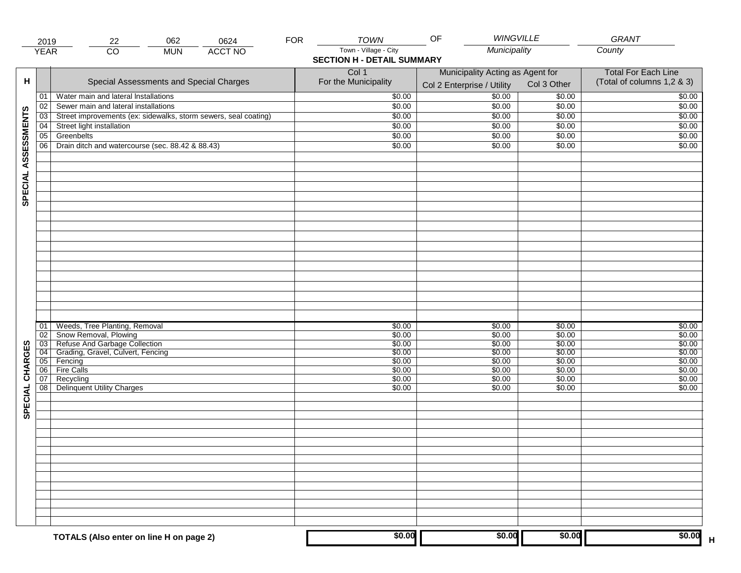|                     | 2019            | 062<br>22                                                                | 0624           | <b>FOR</b> | <b>TOWN</b>                                                | <b>WINGVILLE</b><br>OF                                         |                  | GRANT                                                    |
|---------------------|-----------------|--------------------------------------------------------------------------|----------------|------------|------------------------------------------------------------|----------------------------------------------------------------|------------------|----------------------------------------------------------|
|                     | <b>YEAR</b>     | $\overline{CO}$<br><b>MUN</b>                                            | <b>ACCT NO</b> |            | Town - Village - City<br><b>SECTION H - DETAIL SUMMARY</b> | Municipality                                                   |                  | County                                                   |
| н                   |                 | Special Assessments and Special Charges                                  |                |            | Col 1<br>For the Municipality                              | Municipality Acting as Agent for<br>Col 2 Enterprise / Utility | Col 3 Other      | <b>Total For Each Line</b><br>(Total of columns 1,2 & 3) |
|                     | 01              | Water main and lateral Installations                                     |                |            | \$0.00                                                     | $\frac{1}{00}$                                                 | \$0.00           | \$0.00                                                   |
|                     | 02              | Sewer main and lateral installations                                     |                |            | \$0.00                                                     | \$0.00                                                         | \$0.00           | \$0.00                                                   |
|                     | $\overline{03}$ | Street improvements (ex: sidewalks, storm sewers, seal coating)          |                |            | \$0.00                                                     | \$0.00                                                         | \$0.00           | \$0.00                                                   |
|                     | 04              | Street light installation                                                |                |            | \$0.00                                                     | \$0.00                                                         | \$0.00           | \$0.00                                                   |
|                     | 05              | Greenbelts                                                               |                |            | \$0.00                                                     | \$0.00                                                         | \$0.00           | \$0.00                                                   |
|                     | 06              | Drain ditch and watercourse (sec. 88.42 & 88.43)                         |                |            | \$0.00                                                     | \$0.00                                                         | \$0.00           | \$0.00                                                   |
| SPECIAL ASSESSMENTS |                 |                                                                          |                |            |                                                            |                                                                |                  |                                                          |
|                     | 01<br>02        | Weeds, Tree Planting, Removal<br>Snow Removal, Plowing                   |                |            | \$0.00<br>\$0.00                                           | \$0.00<br>\$0.00                                               | \$0.00<br>\$0.00 | \$0.00<br>\$0.00                                         |
|                     |                 | 03 Refuse And Garbage Collection<br>04 Grading, Gravel, Culvert, Fencing |                |            | \$0.00                                                     | \$0.00                                                         | \$0.00           | \$0.00                                                   |
| CHARGES             |                 |                                                                          |                |            | \$0.00                                                     | \$0.00                                                         | \$0.00           | \$0.00                                                   |
|                     |                 | 05 Fencing                                                               |                |            | \$0.00                                                     | \$0.00                                                         | \$0.00           | \$0.00                                                   |
|                     | 06              | <b>Fire Calls</b>                                                        |                |            | \$0.00                                                     | \$0.00                                                         | \$0.00           | \$0.00                                                   |
| SPECIAL             | 07<br>08        | Recycling<br><b>Delinquent Utility Charges</b>                           |                |            | \$0.00<br>\$0.00                                           | \$0.00<br>\$0.00                                               | \$0.00<br>\$0.00 | \$0.00<br>\$0.00                                         |
|                     |                 |                                                                          |                |            |                                                            |                                                                |                  |                                                          |
|                     |                 |                                                                          |                |            |                                                            |                                                                |                  |                                                          |
|                     |                 |                                                                          |                |            |                                                            |                                                                |                  |                                                          |
|                     |                 |                                                                          |                |            |                                                            |                                                                |                  |                                                          |
|                     |                 | TOTALS (Also enter on line H on page 2)                                  |                |            | \$0.00                                                     | \$0.00                                                         | \$0.00           | \$0.00                                                   |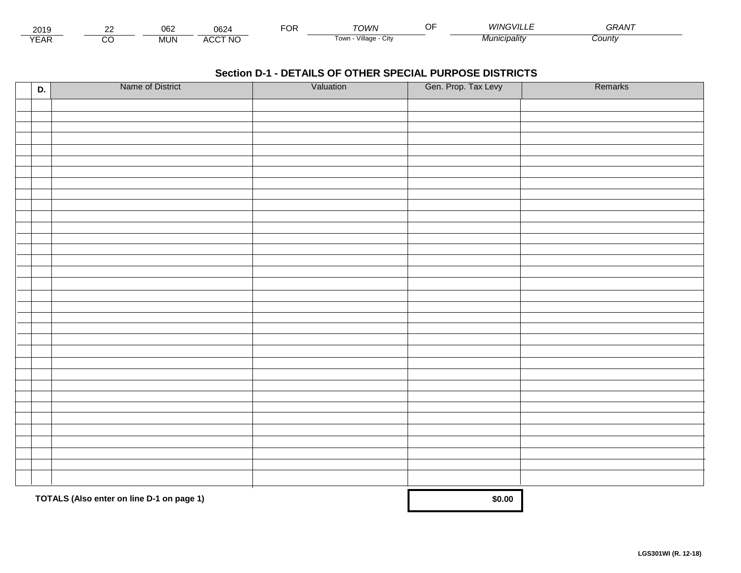| - - -<br>201.   | $\sim$ | $\sim$<br>∪∪∠ | nen.<br>שט∠                   | ™C | ⊤∩M/N<br><b>. .</b>               | A/IR<br>www.cvii i = | -----<br><i>GRAN</i> |  |
|-----------------|--------|---------------|-------------------------------|----|-----------------------------------|----------------------|----------------------|--|
| $\sqrt{2}$<br>▵ |        | <b>MUN</b>    | CCT NC،<br>$\mathbf{u}$<br>nu |    | $\cdots$<br>Village<br>∣own<br>u۱ | Vlunıcıpalıtv        | :ountv               |  |

| D. | Name of District                          | Valuation | Gen. Prop. Tax Levy | Remarks |
|----|-------------------------------------------|-----------|---------------------|---------|
|    |                                           |           |                     |         |
|    |                                           |           |                     |         |
|    |                                           |           |                     |         |
|    |                                           |           |                     |         |
|    |                                           |           |                     |         |
|    |                                           |           |                     |         |
|    |                                           |           |                     |         |
|    |                                           |           |                     |         |
|    |                                           |           |                     |         |
|    |                                           |           |                     |         |
|    |                                           |           |                     |         |
|    |                                           |           |                     |         |
|    |                                           |           |                     |         |
|    |                                           |           |                     |         |
|    |                                           |           |                     |         |
|    |                                           |           |                     |         |
|    |                                           |           |                     |         |
|    |                                           |           |                     |         |
|    |                                           |           |                     |         |
|    |                                           |           |                     |         |
|    |                                           |           |                     |         |
|    |                                           |           |                     |         |
|    |                                           |           |                     |         |
|    |                                           |           |                     |         |
|    |                                           |           |                     |         |
|    |                                           |           |                     |         |
|    |                                           |           |                     |         |
|    |                                           |           |                     |         |
|    |                                           |           |                     |         |
|    |                                           |           |                     |         |
|    |                                           |           |                     |         |
|    | TOTALS (Also enter on line D-1 on page 1) |           | \$0.00              |         |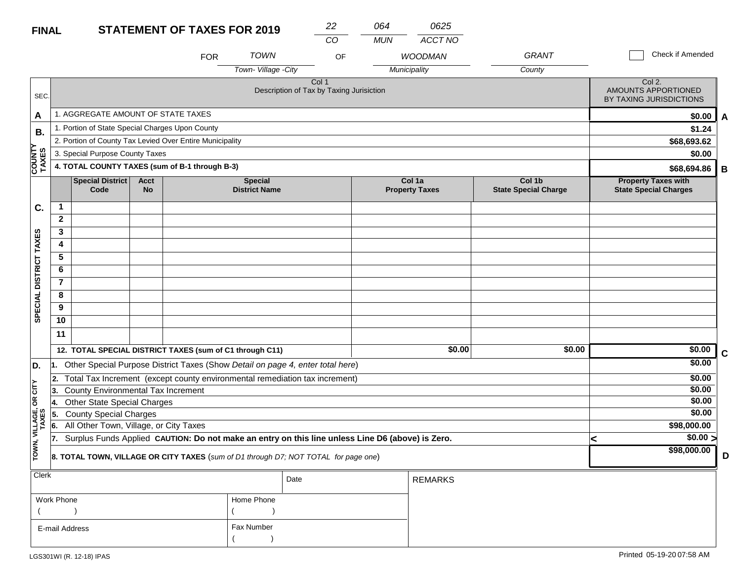# **FI**

| <b>FINAL</b>            |                |                                                          |                          | <b>STATEMENT OF TAXES FOR 2019</b> |                                                                                                  | 22    | 064<br>0625 |                                 |                                       |                                                            |             |  |
|-------------------------|----------------|----------------------------------------------------------|--------------------------|------------------------------------|--------------------------------------------------------------------------------------------------|-------|-------------|---------------------------------|---------------------------------------|------------------------------------------------------------|-------------|--|
|                         |                |                                                          |                          |                                    |                                                                                                  | CO    | <b>MUN</b>  | ACCT NO                         |                                       |                                                            |             |  |
|                         |                |                                                          |                          | <b>FOR</b>                         | <b>TOWN</b>                                                                                      | OF    |             | <b>WOODMAN</b>                  | GRANT                                 | Check if Amended                                           |             |  |
|                         |                |                                                          |                          |                                    | Town-Village -City                                                                               |       |             | Municipality                    | County                                |                                                            |             |  |
| SEC.                    |                |                                                          |                          |                                    | Description of Tax by Taxing Jurisiction                                                         | Col 1 |             |                                 |                                       | Col 2.<br>AMOUNTS APPORTIONED<br>BY TAXING JURISDICTIONS   |             |  |
| A                       |                | 1. AGGREGATE AMOUNT OF STATE TAXES                       |                          |                                    |                                                                                                  |       |             |                                 |                                       | \$0.00                                                     | A           |  |
| В.                      |                | 1. Portion of State Special Charges Upon County          |                          |                                    |                                                                                                  |       |             |                                 |                                       | \$1.24                                                     |             |  |
|                         |                | 2. Portion of County Tax Levied Over Entire Municipality |                          |                                    |                                                                                                  |       |             |                                 |                                       | \$68,693.62                                                |             |  |
|                         |                | 3. Special Purpose County Taxes                          |                          |                                    |                                                                                                  |       |             |                                 |                                       | \$0.00                                                     |             |  |
| <b>COUNTY</b><br>TAXES  |                | 4. TOTAL COUNTY TAXES (sum of B-1 through B-3)           | \$68,694.86              | B                                  |                                                                                                  |       |             |                                 |                                       |                                                            |             |  |
|                         |                | <b>Special District</b><br>Code                          | <b>Acct</b><br><b>No</b> |                                    | <b>Special</b><br><b>District Name</b>                                                           |       |             | Col 1a<br><b>Property Taxes</b> | Col 1b<br><b>State Special Charge</b> | <b>Property Taxes with</b><br><b>State Special Charges</b> |             |  |
| C.                      | 1              |                                                          |                          |                                    |                                                                                                  |       |             |                                 |                                       |                                                            |             |  |
|                         | $\mathbf{2}$   |                                                          |                          |                                    |                                                                                                  |       |             |                                 |                                       |                                                            |             |  |
|                         | 3              |                                                          |                          |                                    |                                                                                                  |       |             |                                 |                                       |                                                            |             |  |
|                         | 4              |                                                          |                          |                                    |                                                                                                  |       |             |                                 |                                       |                                                            |             |  |
|                         | 5              |                                                          |                          |                                    |                                                                                                  |       |             |                                 |                                       |                                                            |             |  |
|                         | 6              |                                                          |                          |                                    |                                                                                                  |       |             |                                 |                                       |                                                            |             |  |
| DISTRICT TAXES          | $\overline{7}$ |                                                          |                          |                                    |                                                                                                  |       |             |                                 |                                       |                                                            |             |  |
|                         | 8              |                                                          |                          |                                    |                                                                                                  |       |             |                                 |                                       |                                                            |             |  |
| SPECIAL                 | 9              |                                                          |                          |                                    |                                                                                                  |       |             |                                 |                                       |                                                            |             |  |
|                         | 10             |                                                          |                          |                                    |                                                                                                  |       |             |                                 |                                       |                                                            |             |  |
|                         | 11             |                                                          |                          |                                    |                                                                                                  |       |             |                                 |                                       |                                                            |             |  |
|                         |                | 12. TOTAL SPECIAL DISTRICT TAXES (sum of C1 through C11) |                          |                                    |                                                                                                  |       |             | \$0.00                          | \$0.00                                | \$0.00                                                     | $\mathbf c$ |  |
| D.                      | 1.             |                                                          |                          |                                    | Other Special Purpose District Taxes (Show Detail on page 4, enter total here)                   |       |             |                                 |                                       | \$0.00                                                     |             |  |
|                         | 2.             |                                                          |                          |                                    | Total Tax Increment (except county environmental remediation tax increment)                      |       |             |                                 |                                       | \$0.00                                                     |             |  |
| $OR$ $CITY$             | 3.             | County Environmental Tax Increment                       |                          |                                    |                                                                                                  |       |             |                                 |                                       | \$0.00                                                     |             |  |
|                         |                | Other State Special Charges                              |                          |                                    |                                                                                                  |       |             |                                 |                                       | \$0.00                                                     |             |  |
|                         |                | <b>County Special Charges</b>                            |                          |                                    |                                                                                                  |       |             |                                 |                                       | \$0.00                                                     |             |  |
|                         | 16.            | All Other Town, Village, or City Taxes                   |                          |                                    |                                                                                                  |       |             |                                 |                                       | \$98,000.00                                                |             |  |
|                         |                |                                                          |                          |                                    | Surplus Funds Applied CAUTION: Do not make an entry on this line unless Line D6 (above) is Zero. |       |             |                                 |                                       | \$0.00 ><br><                                              |             |  |
| TOWN, VILLAGE,<br>TAXES |                |                                                          |                          |                                    | 8. TOTAL TOWN, VILLAGE OR CITY TAXES (sum of D1 through D7; NOT TOTAL for page one)              |       |             |                                 |                                       | \$98,000.00                                                | D           |  |
| $\sqrt{C\log E}$        |                |                                                          |                          |                                    |                                                                                                  |       |             |                                 |                                       |                                                            |             |  |

| $ $ Clerk                    |            | Date | <b>REMARKS</b> |
|------------------------------|------------|------|----------------|
| Work Phone                   | Home Phone |      |                |
|                              |            |      |                |
| Fax Number<br>E-mail Address |            |      |                |
|                              |            |      |                |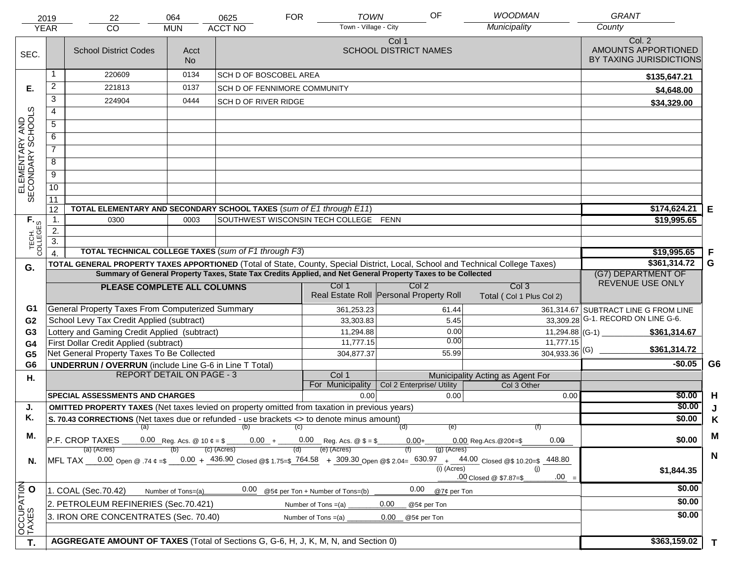|                                     | 2019                   | 22                                                                                                                                        | 064                              | 0625                                                                                                         | <b>FOR</b>                              | <b>TOWN</b>                           | OF               | <b>WOODMAN</b>                    | <b>GRANT</b>                                             |    |
|-------------------------------------|------------------------|-------------------------------------------------------------------------------------------------------------------------------------------|----------------------------------|--------------------------------------------------------------------------------------------------------------|-----------------------------------------|---------------------------------------|------------------|-----------------------------------|----------------------------------------------------------|----|
|                                     | <b>YEAR</b>            | CO                                                                                                                                        | <b>MUN</b>                       | <b>ACCT NO</b>                                                                                               |                                         | Town - Village - City                 |                  | Municipality                      | County                                                   |    |
| SEC.                                |                        | <b>School District Codes</b>                                                                                                              | Acct<br><b>No</b>                |                                                                                                              |                                         | Col 1<br><b>SCHOOL DISTRICT NAMES</b> |                  |                                   | Col. 2<br>AMOUNTS APPORTIONED<br>BY TAXING JURISDICTIONS |    |
|                                     | 1                      | 220609                                                                                                                                    | 0134                             | <b>SCH D OF BOSCOBEL AREA</b>                                                                                |                                         |                                       |                  |                                   | \$135,647.21                                             |    |
| Е.                                  | $\overline{c}$         | 221813                                                                                                                                    | 0137                             | <b>SCH D OF FENNIMORE COMMUNITY</b>                                                                          |                                         |                                       |                  |                                   | \$4,648.00                                               |    |
|                                     | 3                      | 224904                                                                                                                                    | 0444                             | <b>SCH D OF RIVER RIDGE</b>                                                                                  |                                         |                                       |                  |                                   | \$34,329.00                                              |    |
|                                     | 4                      |                                                                                                                                           |                                  |                                                                                                              |                                         |                                       |                  |                                   |                                                          |    |
|                                     | $\overline{5}$         |                                                                                                                                           |                                  |                                                                                                              |                                         |                                       |                  |                                   |                                                          |    |
|                                     | 6                      |                                                                                                                                           |                                  |                                                                                                              |                                         |                                       |                  |                                   |                                                          |    |
|                                     | $\overline{7}$         |                                                                                                                                           |                                  |                                                                                                              |                                         |                                       |                  |                                   |                                                          |    |
| ELEMENTARY AND<br>SECONDARY SCHOOLS | 8                      |                                                                                                                                           |                                  |                                                                                                              |                                         |                                       |                  |                                   |                                                          |    |
|                                     | $\overline{9}$         |                                                                                                                                           |                                  |                                                                                                              |                                         |                                       |                  |                                   |                                                          |    |
|                                     | 10                     |                                                                                                                                           |                                  |                                                                                                              |                                         |                                       |                  |                                   |                                                          |    |
|                                     | $\overline{11}$        |                                                                                                                                           |                                  |                                                                                                              |                                         |                                       |                  |                                   |                                                          |    |
|                                     | 12                     | TOTAL ELEMENTARY AND SECONDARY SCHOOL TAXES (sum of E1 through E11)                                                                       |                                  |                                                                                                              |                                         |                                       |                  |                                   | $$174,624.21$ E                                          |    |
|                                     | $\mathbf{1}$ .         | 0300                                                                                                                                      | 0003                             |                                                                                                              | SOUTHWEST WISCONSIN TECH COLLEGE FENN   |                                       |                  |                                   | \$19,995.65                                              |    |
|                                     | 2.<br>$\overline{3}$ . |                                                                                                                                           |                                  |                                                                                                              |                                         |                                       |                  |                                   |                                                          |    |
| TECH. T                             | $\overline{A}$         | <b>TOTAL TECHNICAL COLLEGE TAXES (sum of F1 through F3)</b>                                                                               |                                  |                                                                                                              |                                         |                                       |                  |                                   | \$19,995.65                                              | F  |
|                                     |                        | TOTAL GENERAL PROPERTY TAXES APPORTIONED (Total of State, County, Special District, Local, School and Technical College Taxes)            |                                  |                                                                                                              |                                         |                                       |                  |                                   | \$361,314.72                                             | G  |
| G.                                  |                        |                                                                                                                                           |                                  | Summary of General Property Taxes, State Tax Credits Applied, and Net General Property Taxes to be Collected |                                         |                                       |                  |                                   | (G7) DEPARTMENT OF                                       |    |
|                                     |                        | PLEASE COMPLETE ALL COLUMNS                                                                                                               |                                  |                                                                                                              | Col 1                                   |                                       | Col <sub>2</sub> | Col <sub>3</sub>                  | REVENUE USE ONLY                                         |    |
|                                     |                        |                                                                                                                                           |                                  |                                                                                                              | Real Estate Roll Personal Property Roll |                                       |                  | Total (Col 1 Plus Col 2)          |                                                          |    |
| G1                                  |                        | General Property Taxes From Computerized Summary                                                                                          |                                  |                                                                                                              | 361,253.23                              |                                       | 61.44            |                                   | 361,314.67 SUBTRACT LINE G FROM LINE                     |    |
| G <sub>2</sub>                      |                        | School Levy Tax Credit Applied (subtract)                                                                                                 |                                  |                                                                                                              | 33,303.83                               |                                       | 5.45             |                                   | 33,309.28 G-1. RECORD ON LINE G-6.                       |    |
| G <sub>3</sub>                      |                        | Lottery and Gaming Credit Applied (subtract)                                                                                              |                                  |                                                                                                              | 11,294.88                               |                                       | 0.00             | 11,294.88 (G-1)                   | \$361,314.67                                             |    |
| G <sub>4</sub>                      |                        | First Dollar Credit Applied (subtract)                                                                                                    |                                  |                                                                                                              | 11,777.15                               |                                       | 0.00             | 11,777.15                         | \$361,314.72                                             |    |
| G <sub>5</sub>                      |                        | Net General Property Taxes To Be Collected                                                                                                |                                  |                                                                                                              | 304,877.37                              |                                       | 55.99            | $304,933.36$ <sup>(G)</sup>       | $-$0.05$                                                 | G6 |
| G <sub>6</sub>                      |                        | <b>UNDERRUN / OVERRUN</b> (include Line G-6 in Line T Total)                                                                              | <b>REPORT DETAIL ON PAGE - 3</b> |                                                                                                              | Col 1                                   |                                       |                  | Municipality Acting as Agent For  |                                                          |    |
| Η.                                  |                        |                                                                                                                                           |                                  |                                                                                                              | For Municipality                        | Col 2 Enterprise/ Utility             |                  | Col 3 Other                       |                                                          |    |
|                                     |                        | <b>SPECIAL ASSESSMENTS AND CHARGES</b>                                                                                                    |                                  |                                                                                                              |                                         | 0.00                                  | 0.00             | 0.00                              | \$0.00                                                   | H  |
| J.                                  |                        | <b>OMITTED PROPERTY TAXES</b> (Net taxes levied on property omitted from taxation in previous years)                                      |                                  |                                                                                                              |                                         |                                       |                  |                                   | \$0.00                                                   |    |
| Κ.                                  |                        | S. 70.43 CORRECTIONS (Net taxes due or refunded - use brackets <> to denote minus amount)                                                 |                                  |                                                                                                              |                                         |                                       |                  |                                   | \$0.00                                                   | K  |
| М.                                  |                        |                                                                                                                                           |                                  | (a) (b) (c)                                                                                                  |                                         | (d)                                   | (e)              |                                   |                                                          | M  |
|                                     |                        | P.F. CROP TAXES<br>(a) (Acres)                                                                                                            |                                  | 0.00 Reg. Acs. @ 10 $\phi = \$$ 0.00 + 0.00 Reg. Acs. @ $\$ = \$$<br>(c) (Acres)                             | (e) (Acres)<br>(d)                      | $0.00 +$                              | (g) (Acres)      | 0.00<br>$0.00$ Reg. Acs. @ 20¢=\$ | \$0.00                                                   |    |
| N.                                  |                        | MFL TAX 0.00 Open @ .74 $\epsilon$ =\$ 0.00 + 436.90 Closed @\$ 1.75=\$ 764.58 + 309.30 Open @\$ 2.04= 630.97 + 44.00 Closed @\$ 10.20=\$ |                                  |                                                                                                              |                                         |                                       |                  | 448.80                            |                                                          | N  |
|                                     |                        |                                                                                                                                           |                                  |                                                                                                              |                                         |                                       | (i) (Acres)      | (i)                               | \$1,844.35                                               |    |
|                                     |                        |                                                                                                                                           |                                  |                                                                                                              |                                         |                                       |                  | $.00 =$<br>.00 Closed @ \$7.87=\$ | \$0.00                                                   |    |
|                                     |                        | 1. COAL (Sec.70.42)                                                                                                                       | Number of Tons=(a)               | 0.00                                                                                                         | @5¢ per Ton + Number of Tons=(b)        | 0.00                                  | @7¢ per Ton      |                                   |                                                          |    |
|                                     |                        | 2. PETROLEUM REFINERIES (Sec.70.421)                                                                                                      |                                  |                                                                                                              | Number of Tons $=(a)$                   | 0.00                                  | @5¢ per Ton      |                                   | \$0.00                                                   |    |
|                                     |                        | 3. IRON ORE CONCENTRATES (Sec. 70.40)                                                                                                     |                                  |                                                                                                              | Number of Tons $=(a)$                   | 0.00                                  | @5¢ per Ton      |                                   | \$0.00                                                   |    |
| OCCUPATION                          |                        |                                                                                                                                           |                                  |                                                                                                              |                                         |                                       |                  |                                   |                                                          |    |
| T.                                  |                        | AGGREGATE AMOUNT OF TAXES (Total of Sections G, G-6, H, J, K, M, N, and Section 0)                                                        | \$363,159.02                     | $\mathbf{T}$                                                                                                 |                                         |                                       |                  |                                   |                                                          |    |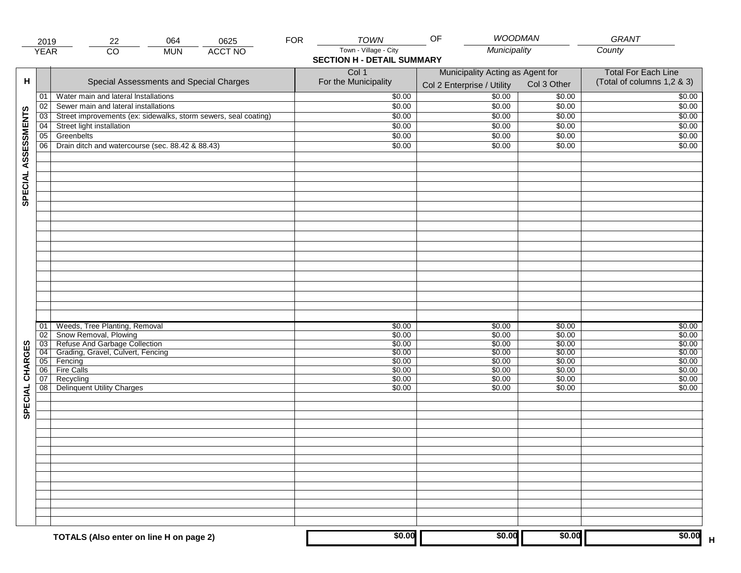|                     | 2019           | 064<br>0625<br>22                                                                       | <b>FOR</b> | <b>TOWN</b>                                                | <b>WOODMAN</b><br>OF                                           |                            | GRANT                                                    |
|---------------------|----------------|-----------------------------------------------------------------------------------------|------------|------------------------------------------------------------|----------------------------------------------------------------|----------------------------|----------------------------------------------------------|
|                     | <b>YEAR</b>    | $\overline{CO}$<br><b>ACCT NO</b><br><b>MUN</b>                                         |            | Town - Village - City<br><b>SECTION H - DETAIL SUMMARY</b> | Municipality                                                   |                            | County                                                   |
| н                   |                | Special Assessments and Special Charges                                                 |            | Col 1<br>For the Municipality                              | Municipality Acting as Agent for<br>Col 2 Enterprise / Utility | Col 3 Other                | <b>Total For Each Line</b><br>(Total of columns 1,2 & 3) |
|                     | 01             | Water main and lateral Installations                                                    |            | \$0.00                                                     | 50.00                                                          | \$0.00                     | \$0.00                                                   |
|                     | 02             | Sewer main and lateral installations                                                    |            | \$0.00                                                     | \$0.00                                                         | \$0.00                     | \$0.00                                                   |
|                     | 03             | Street improvements (ex: sidewalks, storm sewers, seal coating)                         |            | \$0.00                                                     | \$0.00                                                         | \$0.00                     | \$0.00                                                   |
|                     | 04             | Street light installation                                                               |            | \$0.00                                                     | \$0.00                                                         | \$0.00                     | \$0.00                                                   |
|                     | 05             | Greenbelts                                                                              |            | \$0.00                                                     | \$0.00                                                         | \$0.00                     | \$0.00                                                   |
|                     | 06             | Drain ditch and watercourse (sec. 88.42 & 88.43)                                        |            | \$0.00                                                     | \$0.00                                                         | \$0.00                     | \$0.00                                                   |
| SPECIAL ASSESSMENTS |                |                                                                                         |            |                                                            |                                                                |                            |                                                          |
|                     | 01<br>02<br>03 | Weeds, Tree Planting, Removal<br>Snow Removal, Plowing<br>Refuse And Garbage Collection |            | \$0.00<br>\$0.00<br>\$0.00                                 | \$0.00<br>\$0.00<br>\$0.00                                     | \$0.00<br>\$0.00<br>\$0.00 | \$0.00<br>\$0.00<br>\$0.00                               |
|                     | 04             | Grading, Gravel, Culvert, Fencing                                                       |            | \$0.00                                                     | \$0.00                                                         | \$0.00                     | \$0.00                                                   |
|                     | 05<br>06       | Fencing<br>Fire Calls                                                                   |            | \$0.00                                                     | \$0.00<br>\$0.00                                               | \$0.00                     | \$0.00                                                   |
| CHARGES<br>SPECIAL  | 07<br>08       | Recycling<br><b>Delinquent Utility Charges</b>                                          |            | \$0.00<br>\$0.00<br>\$0.00                                 | \$0.00<br>\$0.00                                               | \$0.00<br>\$0.00<br>\$0.00 | \$0.00<br>\$0.00<br>\$0.00                               |
|                     |                |                                                                                         |            |                                                            |                                                                |                            |                                                          |
|                     |                |                                                                                         |            |                                                            |                                                                |                            |                                                          |
|                     |                | TOTALS (Also enter on line H on page 2)                                                 |            | \$0.00                                                     | \$0.00                                                         | \$0.00                     | \$0.00                                                   |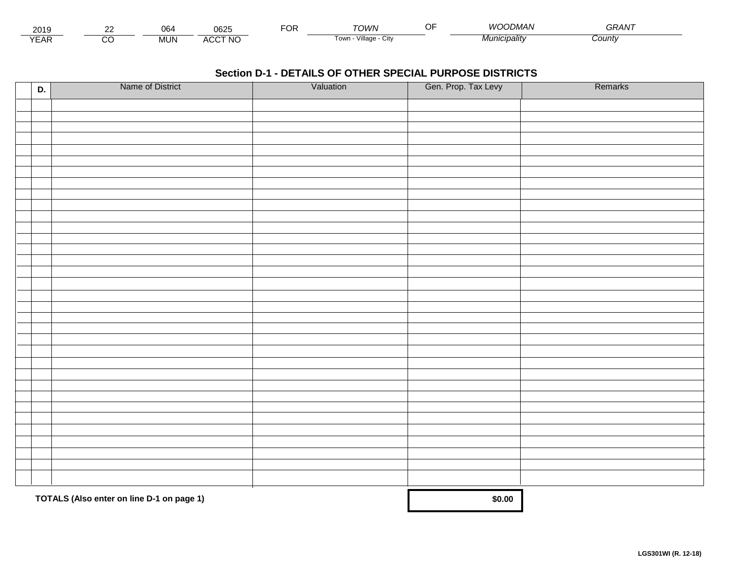| 201:                        | $\sim$ | $\sim$<br>Ub4 | 0625            | ◡┌ | <b>COMVN</b>                       | 11 I<br><i>IMAN</i> | $\sim$ $\sim$ $\sim$ $\sim$ $\sim$<br>UKAIV. |  |
|-----------------------------|--------|---------------|-----------------|----|------------------------------------|---------------------|----------------------------------------------|--|
| $\sqrt{2}$<br>▵<br><b>L</b> |        | <b>MUN</b>    | .CCT NO<br>A(x) |    | Village<br>Tow <sub>i</sub><br>Jit | Municipality        | <i>County</i>                                |  |

| D. | Name of District                          | Valuation | Gen. Prop. Tax Levy | Remarks |
|----|-------------------------------------------|-----------|---------------------|---------|
|    |                                           |           |                     |         |
|    |                                           |           |                     |         |
|    |                                           |           |                     |         |
|    |                                           |           |                     |         |
|    |                                           |           |                     |         |
|    |                                           |           |                     |         |
|    |                                           |           |                     |         |
|    |                                           |           |                     |         |
|    |                                           |           |                     |         |
|    |                                           |           |                     |         |
|    |                                           |           |                     |         |
|    |                                           |           |                     |         |
|    |                                           |           |                     |         |
|    |                                           |           |                     |         |
|    |                                           |           |                     |         |
|    |                                           |           |                     |         |
|    |                                           |           |                     |         |
|    |                                           |           |                     |         |
|    |                                           |           |                     |         |
|    |                                           |           |                     |         |
|    |                                           |           |                     |         |
|    |                                           |           |                     |         |
|    |                                           |           |                     |         |
|    |                                           |           |                     |         |
|    |                                           |           |                     |         |
|    |                                           |           |                     |         |
|    |                                           |           |                     |         |
|    |                                           |           |                     |         |
|    |                                           |           |                     |         |
|    |                                           |           |                     |         |
|    | TOTALS (Also enter on line D-1 on page 1) |           | \$0.00              |         |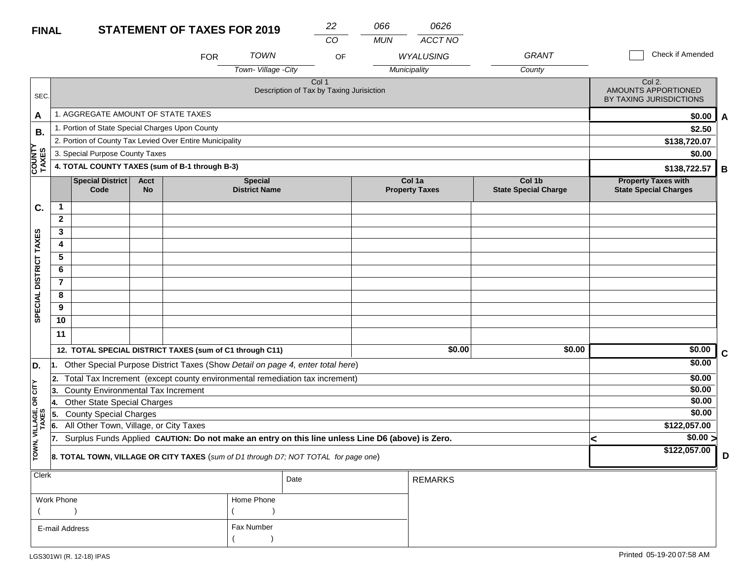### **STATEMENT OF TAXES FOR FINAL**

| R 2019 | 22  | 066 |  |
|--------|-----|-----|--|
|        | CO. | MUN |  |

| <b>MUN</b> | ACCT NO |
|------------|---------|
|            |         |

*0626*

|                        |                |                                                 |                          | <b>FOR</b>                                               | <b>TOWN</b>                                                                                      | OF                                                |              | <b>WYALUSING</b>                | <b>GRANT</b>                          |              | Check if Amended                                           |  |  |
|------------------------|----------------|-------------------------------------------------|--------------------------|----------------------------------------------------------|--------------------------------------------------------------------------------------------------|---------------------------------------------------|--------------|---------------------------------|---------------------------------------|--------------|------------------------------------------------------------|--|--|
|                        |                |                                                 |                          |                                                          | Town-Village -City                                                                               |                                                   | Municipality |                                 | County                                |              |                                                            |  |  |
| SEC.                   |                |                                                 |                          |                                                          |                                                                                                  | Col 1<br>Description of Tax by Taxing Jurisiction |              |                                 |                                       |              | Col 2.<br>AMOUNTS APPORTIONED<br>BY TAXING JURISDICTIONS   |  |  |
| A                      |                | 1. AGGREGATE AMOUNT OF STATE TAXES              |                          |                                                          |                                                                                                  |                                                   |              |                                 |                                       |              | \$0.00<br>A                                                |  |  |
| В.                     |                | 1. Portion of State Special Charges Upon County |                          |                                                          |                                                                                                  |                                                   |              |                                 |                                       | \$2.50       |                                                            |  |  |
| ≻                      |                |                                                 |                          | 2. Portion of County Tax Levied Over Entire Municipality |                                                                                                  |                                                   |              |                                 |                                       | \$138,720.07 |                                                            |  |  |
|                        |                | 3. Special Purpose County Taxes                 |                          |                                                          |                                                                                                  |                                                   |              |                                 |                                       |              | \$0.00                                                     |  |  |
| <b>COUNTY</b><br>TAXES |                |                                                 |                          | 4. TOTAL COUNTY TAXES (sum of B-1 through B-3)           |                                                                                                  |                                                   |              |                                 |                                       |              | \$138,722.57<br>В                                          |  |  |
|                        |                | <b>Special District</b><br>Code                 | <b>Acct</b><br><b>No</b> |                                                          | <b>Special</b><br><b>District Name</b>                                                           |                                                   |              | Col 1a<br><b>Property Taxes</b> | Col 1b<br><b>State Special Charge</b> |              | <b>Property Taxes with</b><br><b>State Special Charges</b> |  |  |
| C.                     | 1              |                                                 |                          |                                                          |                                                                                                  |                                                   |              |                                 |                                       |              |                                                            |  |  |
|                        | $\mathbf{2}$   |                                                 |                          |                                                          |                                                                                                  |                                                   |              |                                 |                                       |              |                                                            |  |  |
|                        | 3              |                                                 |                          |                                                          |                                                                                                  |                                                   |              |                                 |                                       |              |                                                            |  |  |
|                        | 4              |                                                 |                          |                                                          |                                                                                                  |                                                   |              |                                 |                                       |              |                                                            |  |  |
|                        | 5              |                                                 |                          |                                                          |                                                                                                  |                                                   |              |                                 |                                       |              |                                                            |  |  |
|                        | 6              |                                                 |                          |                                                          |                                                                                                  |                                                   |              |                                 |                                       |              |                                                            |  |  |
|                        | $\overline{7}$ |                                                 |                          |                                                          |                                                                                                  |                                                   |              |                                 |                                       |              |                                                            |  |  |
| SPECIAL DISTRICT TAXES | 8              |                                                 |                          |                                                          |                                                                                                  |                                                   |              |                                 |                                       |              |                                                            |  |  |
|                        | 9              |                                                 |                          |                                                          |                                                                                                  |                                                   |              |                                 |                                       |              |                                                            |  |  |
|                        | 10             |                                                 |                          |                                                          |                                                                                                  |                                                   |              |                                 |                                       |              |                                                            |  |  |
|                        | 11             |                                                 |                          |                                                          |                                                                                                  |                                                   |              |                                 |                                       |              |                                                            |  |  |
|                        |                |                                                 |                          | 12. TOTAL SPECIAL DISTRICT TAXES (sum of C1 through C11) |                                                                                                  |                                                   |              | \$0.00                          | \$0.00                                |              | \$0.00<br>C                                                |  |  |
| D.                     | 11.            |                                                 |                          |                                                          | Other Special Purpose District Taxes (Show Detail on page 4, enter total here)                   |                                                   |              |                                 |                                       |              | \$0.00                                                     |  |  |
|                        |                |                                                 |                          |                                                          | 2. Total Tax Increment (except county environmental remediation tax increment)                   |                                                   |              |                                 |                                       |              | \$0.00                                                     |  |  |
| CITY                   | 13.            | County Environmental Tax Increment              |                          |                                                          |                                                                                                  |                                                   |              |                                 |                                       |              | \$0.00                                                     |  |  |
| δŔ                     | 14.            | <b>Other State Special Charges</b>              |                          |                                                          |                                                                                                  |                                                   |              |                                 |                                       |              | \$0.00                                                     |  |  |
| VILLAGE,<br>TAXES      | 5.             | <b>County Special Charges</b>                   |                          |                                                          |                                                                                                  |                                                   |              |                                 |                                       |              | \$0.00                                                     |  |  |
|                        | 6.             | All Other Town, Village, or City Taxes          |                          |                                                          |                                                                                                  |                                                   |              |                                 |                                       |              | \$122,057.00                                               |  |  |
| TOWN,                  | 17.            |                                                 |                          |                                                          | Surplus Funds Applied CAUTION: Do not make an entry on this line unless Line D6 (above) is Zero. |                                                   |              |                                 |                                       | k            | \$0.00 ><br>\$122,057.00                                   |  |  |
|                        |                |                                                 |                          |                                                          | 8. TOTAL TOWN, VILLAGE OR CITY TAXES (sum of D1 through D7; NOT TOTAL for page one)              |                                                   |              |                                 |                                       |              | D                                                          |  |  |
| <b>Clerk</b>           |                |                                                 |                          |                                                          | Date                                                                                             |                                                   |              | <b>REMARKS</b>                  |                                       |              |                                                            |  |  |

|                |            | Date | I REMARKS. |
|----------------|------------|------|------------|
| Work Phone     | Home Phone |      |            |
|                |            |      |            |
| E-mail Address | Fax Number |      |            |
|                |            |      |            |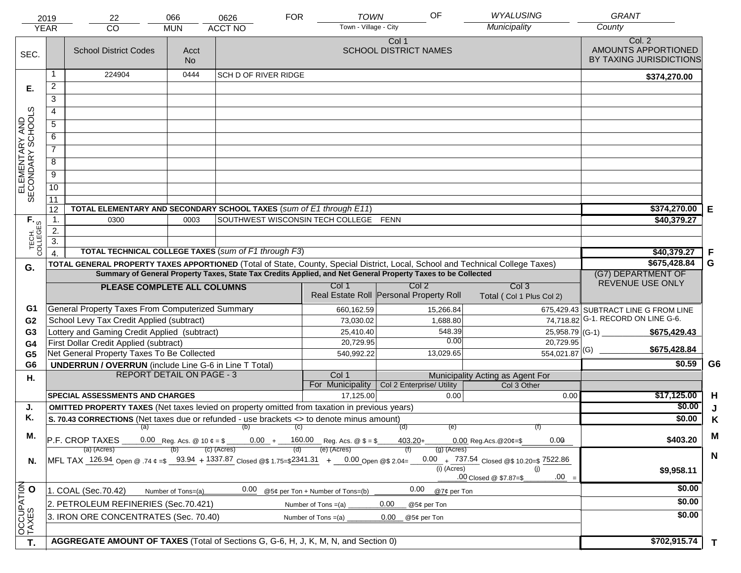|                                     | 2019                  | 22                                                                                                                             | 066                | 0626                        | <b>FOR</b>                                                       | OF<br><b>TOWN</b>                                                                                            | <b>WYALUSING</b>                                   | <b>GRANT</b>                                             |                |
|-------------------------------------|-----------------------|--------------------------------------------------------------------------------------------------------------------------------|--------------------|-----------------------------|------------------------------------------------------------------|--------------------------------------------------------------------------------------------------------------|----------------------------------------------------|----------------------------------------------------------|----------------|
|                                     | <b>YEAR</b>           | CO                                                                                                                             | <b>MUN</b>         | <b>ACCT NO</b>              | Town - Village - City                                            |                                                                                                              | Municipality                                       | County                                                   |                |
| SEC.                                |                       | <b>School District Codes</b>                                                                                                   | Acct<br><b>No</b>  |                             |                                                                  | Col 1<br><b>SCHOOL DISTRICT NAMES</b>                                                                        |                                                    | Col. 2<br>AMOUNTS APPORTIONED<br>BY TAXING JURISDICTIONS |                |
|                                     | 1                     | 224904                                                                                                                         | 0444               | <b>SCH D OF RIVER RIDGE</b> |                                                                  |                                                                                                              |                                                    | \$374,270.00                                             |                |
| Е.                                  | $\overline{2}$        |                                                                                                                                |                    |                             |                                                                  |                                                                                                              |                                                    |                                                          |                |
|                                     | 3                     |                                                                                                                                |                    |                             |                                                                  |                                                                                                              |                                                    |                                                          |                |
|                                     | 4                     |                                                                                                                                |                    |                             |                                                                  |                                                                                                              |                                                    |                                                          |                |
|                                     | $\overline{5}$        |                                                                                                                                |                    |                             |                                                                  |                                                                                                              |                                                    |                                                          |                |
|                                     | 6                     |                                                                                                                                |                    |                             |                                                                  |                                                                                                              |                                                    |                                                          |                |
| ELEMENTARY AND<br>SECONDARY SCHOOLS | $\overline{7}$        |                                                                                                                                |                    |                             |                                                                  |                                                                                                              |                                                    |                                                          |                |
|                                     | 8                     |                                                                                                                                |                    |                             |                                                                  |                                                                                                              |                                                    |                                                          |                |
|                                     | $\overline{9}$        |                                                                                                                                |                    |                             |                                                                  |                                                                                                              |                                                    |                                                          |                |
|                                     | 10                    |                                                                                                                                |                    |                             |                                                                  |                                                                                                              |                                                    |                                                          |                |
|                                     |                       |                                                                                                                                |                    |                             |                                                                  |                                                                                                              |                                                    |                                                          |                |
|                                     | $\overline{11}$<br>12 | TOTAL ELEMENTARY AND SECONDARY SCHOOL TAXES (sum of E1 through E11)                                                            | \$374,270.00       | Е                           |                                                                  |                                                                                                              |                                                    |                                                          |                |
|                                     | 1.                    | 0300                                                                                                                           | 0003               |                             | SOUTHWEST WISCONSIN TECH COLLEGE FENN                            |                                                                                                              |                                                    | \$40,379.27                                              |                |
| TECH. T                             | 2.                    |                                                                                                                                |                    |                             |                                                                  |                                                                                                              |                                                    |                                                          |                |
|                                     | $\overline{3}$ .      |                                                                                                                                |                    |                             |                                                                  |                                                                                                              |                                                    |                                                          |                |
|                                     | $\overline{4}$        | TOTAL TECHNICAL COLLEGE TAXES (sum of F1 through F3)                                                                           |                    |                             |                                                                  |                                                                                                              |                                                    | \$40,379.27                                              | F              |
| G.                                  |                       | TOTAL GENERAL PROPERTY TAXES APPORTIONED (Total of State, County, Special District, Local, School and Technical College Taxes) |                    |                             |                                                                  |                                                                                                              |                                                    | \$675,428.84                                             | G              |
|                                     |                       |                                                                                                                                |                    |                             |                                                                  | Summary of General Property Taxes, State Tax Credits Applied, and Net General Property Taxes to be Collected |                                                    | (G7) DEPARTMENT OF<br>REVENUE USE ONLY                   |                |
|                                     |                       | PLEASE COMPLETE ALL COLUMNS                                                                                                    |                    |                             | Col 1                                                            | Col <sub>2</sub><br>Real Estate Roll Personal Property Roll                                                  | Col <sub>3</sub><br>Total (Col 1 Plus Col 2)       |                                                          |                |
| G1                                  |                       | General Property Taxes From Computerized Summary                                                                               |                    |                             | 660,162.59                                                       | 15,266.84                                                                                                    |                                                    | 675,429.43 SUBTRACT LINE G FROM LINE                     |                |
| G <sub>2</sub>                      |                       | School Levy Tax Credit Applied (subtract)                                                                                      |                    |                             | 73,030.02                                                        | 1,688.80                                                                                                     |                                                    | 74,718.82 G-1. RECORD ON LINE G-6.                       |                |
| G3                                  |                       | Lottery and Gaming Credit Applied (subtract)                                                                                   |                    |                             | 25,410.40                                                        | 548.39                                                                                                       | 25,958.79 (G-1) $-$                                | \$675,429.43                                             |                |
| G4                                  |                       | First Dollar Credit Applied (subtract)                                                                                         |                    |                             | 20,729.95                                                        | 0.00                                                                                                         | 20,729.95                                          | \$675,428.84                                             |                |
| G <sub>5</sub>                      |                       | Net General Property Taxes To Be Collected                                                                                     |                    |                             | 540,992.22                                                       | 13,029.65                                                                                                    | $554,021.87$ <sup>(G)</sup>                        |                                                          |                |
| G <sub>6</sub>                      |                       | <b>UNDERRUN / OVERRUN</b> (include Line G-6 in Line T Total)<br><b>REPORT DETAIL ON PAGE - 3</b>                               |                    |                             |                                                                  |                                                                                                              |                                                    | \$0.59                                                   | G <sub>6</sub> |
| Η.                                  |                       |                                                                                                                                |                    |                             | Col 1<br>For Municipality                                        | Col 2 Enterprise/ Utility                                                                                    | Municipality Acting as Agent For<br>Col 3 Other    |                                                          |                |
|                                     |                       | <b>SPECIAL ASSESSMENTS AND CHARGES</b>                                                                                         |                    |                             | 17,125.00                                                        | 0.00                                                                                                         | 0.00                                               | \$17,125.00                                              | H              |
| J.                                  |                       | <b>OMITTED PROPERTY TAXES</b> (Net taxes levied on property omitted from taxation in previous years)                           |                    |                             |                                                                  |                                                                                                              |                                                    | \$0.00                                                   | J              |
| Κ.                                  |                       | S. 70.43 CORRECTIONS (Net taxes due or refunded - use brackets <> to denote minus amount)                                      |                    |                             |                                                                  |                                                                                                              |                                                    | \$0.00                                                   | K              |
|                                     |                       |                                                                                                                                |                    | (a) (b) (c)                 |                                                                  | (e)<br>(d)                                                                                                   |                                                    |                                                          |                |
| М.                                  |                       | P.F. CROP TAXES                                                                                                                |                    |                             | 0.00 Reg. Acs. @ 10 $\phi = $$ 0.00 + 160.00 Reg. Acs. @ $$ = $$ | $403.20 +$                                                                                                   | 0.00<br>$0.00$ Reg. Acs. @ 20¢=\$                  | \$403.20                                                 | M              |
|                                     |                       | (a) (Acres)                                                                                                                    |                    | (c) (Acres)                 | (e) (Acres)                                                      | $(g)$ (Acres)                                                                                                |                                                    |                                                          | $\mathbf N$    |
| N.                                  |                       | MFL TAX 126.94 Open @ 74 ¢ = \$ 93.94 + 1337.87 Closed @ \$ 1.75= \$2341.31 + 0.00 Open @ \$ 2.04=                             |                    |                             |                                                                  | $(i)$ (Acres)                                                                                                | 0.00 + $737.54$ Closed @\$ 10.20=\$ 7522.86<br>(i) | \$9,958.11                                               |                |
|                                     |                       |                                                                                                                                |                    |                             |                                                                  |                                                                                                              | $.00 =$<br>.00 Closed @ \$7.87=\$                  |                                                          |                |
|                                     |                       | 1. COAL (Sec.70.42)                                                                                                            | Number of Tons=(a) | 0.00                        | @5¢ per Ton + Number of Tons=(b)                                 | 0.00<br>@7¢ per Ton                                                                                          |                                                    | \$0.00                                                   |                |
|                                     |                       | 2. PETROLEUM REFINERIES (Sec.70.421)                                                                                           |                    |                             | Number of Tons $=(a)$                                            | 0.00<br>@5¢ per Ton                                                                                          |                                                    | \$0.00                                                   |                |
| OCCUPATION                          |                       | 3. IRON ORE CONCENTRATES (Sec. 70.40)                                                                                          |                    |                             | Number of Tons $=(a)$                                            | 0.00<br>@5¢ per Ton                                                                                          |                                                    | \$0.00                                                   |                |
|                                     |                       |                                                                                                                                |                    |                             |                                                                  |                                                                                                              |                                                    |                                                          |                |
| T.                                  |                       | AGGREGATE AMOUNT OF TAXES (Total of Sections G, G-6, H, J, K, M, N, and Section 0)                                             | \$702,915.74       | $\mathbf T$                 |                                                                  |                                                                                                              |                                                    |                                                          |                |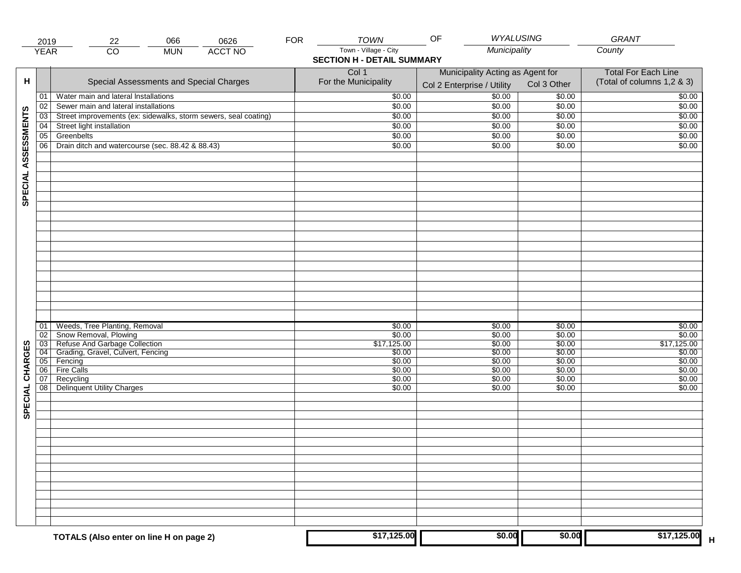|                     | 2019                  | 066<br>22                                                       | 0626           | <b>FOR</b> | <b>TOWN</b>                       | OF                                                             | WYALUSING        | GRANT                                                    |
|---------------------|-----------------------|-----------------------------------------------------------------|----------------|------------|-----------------------------------|----------------------------------------------------------------|------------------|----------------------------------------------------------|
|                     | <b>YEAR</b>           | $\overline{CO}$<br><b>MUN</b>                                   | <b>ACCT NO</b> |            | Town - Village - City             | Municipality                                                   |                  | County                                                   |
|                     |                       |                                                                 |                |            | <b>SECTION H - DETAIL SUMMARY</b> |                                                                |                  |                                                          |
| н                   |                       | Special Assessments and Special Charges                         |                |            | Col 1<br>For the Municipality     | Municipality Acting as Agent for<br>Col 2 Enterprise / Utility | Col 3 Other      | <b>Total For Each Line</b><br>(Total of columns 1,2 & 3) |
|                     | 01                    | Water main and lateral Installations                            |                |            | \$0.00                            | 50.00                                                          | \$0.00           | \$0.00                                                   |
|                     | 02                    | Sewer main and lateral installations                            |                |            | \$0.00                            | \$0.00                                                         | \$0.00           | \$0.00                                                   |
|                     | $\overline{03}$       | Street improvements (ex: sidewalks, storm sewers, seal coating) |                |            | \$0.00                            | \$0.00                                                         | \$0.00           | \$0.00                                                   |
|                     | 04                    | Street light installation                                       |                |            | \$0.00                            | \$0.00                                                         | \$0.00           | \$0.00                                                   |
|                     | 05                    | Greenbelts                                                      |                |            | \$0.00                            | \$0.00                                                         | \$0.00           | \$0.00                                                   |
|                     | 06                    | Drain ditch and watercourse (sec. 88.42 & 88.43)                |                |            | \$0.00                            | \$0.00                                                         | \$0.00           | \$0.00                                                   |
| SPECIAL ASSESSMENTS |                       |                                                                 |                |            |                                   |                                                                |                  |                                                          |
|                     |                       |                                                                 |                |            |                                   |                                                                |                  |                                                          |
|                     |                       |                                                                 |                |            |                                   |                                                                |                  |                                                          |
|                     |                       |                                                                 |                |            |                                   |                                                                |                  |                                                          |
|                     |                       |                                                                 |                |            |                                   |                                                                |                  |                                                          |
|                     |                       |                                                                 |                |            |                                   |                                                                |                  |                                                          |
|                     |                       |                                                                 |                |            |                                   |                                                                |                  |                                                          |
|                     |                       |                                                                 |                |            |                                   |                                                                |                  |                                                          |
|                     | 01                    | Weeds, Tree Planting, Removal                                   |                |            | \$0.00                            | \$0.00                                                         | \$0.00           | \$0.00                                                   |
|                     | 02<br>$\overline{03}$ | Show Removal, Plowing<br>Refuse And Garbage Collection          |                |            | \$0.00<br>\$17,125.00             | \$0.00<br>\$0.00                                               | \$0.00<br>\$0.00 | \$0.00<br>\$17,125.00                                    |
| CHARGES             | 04                    | Grading, Gravel, Culvert, Fencing                               |                |            | \$0.00                            | \$0.00                                                         | \$0.00           | \$0.00                                                   |
|                     | 05                    | Fencing                                                         |                |            | \$0.00                            | \$0.00                                                         | \$0.00           | \$0.00                                                   |
|                     | 06                    | <b>Fire Calls</b>                                               |                |            | \$0.00                            | \$0.00                                                         | \$0.00           | \$0.00                                                   |
|                     | 07                    | Recycling                                                       |                |            | \$0.00                            | \$0.00                                                         | \$0.00           | \$0.00                                                   |
| SPECIAL             | 08 <sub>1</sub>       | <b>Delinquent Utility Charges</b>                               |                |            | \$0.00                            | \$0.00                                                         | \$0.00           | \$0.00                                                   |
|                     |                       |                                                                 |                |            |                                   |                                                                |                  |                                                          |
|                     |                       |                                                                 |                |            |                                   |                                                                |                  |                                                          |
|                     |                       |                                                                 |                |            |                                   |                                                                |                  |                                                          |
|                     |                       |                                                                 |                |            |                                   |                                                                |                  |                                                          |
|                     |                       |                                                                 |                |            |                                   |                                                                |                  |                                                          |
|                     |                       |                                                                 |                |            |                                   |                                                                |                  |                                                          |
|                     |                       |                                                                 |                |            |                                   |                                                                |                  |                                                          |
|                     |                       | TOTALS (Also enter on line H on page 2)                         |                |            | \$17,125.00                       | \$0.00                                                         | \$0.00           | \$17,125.00                                              |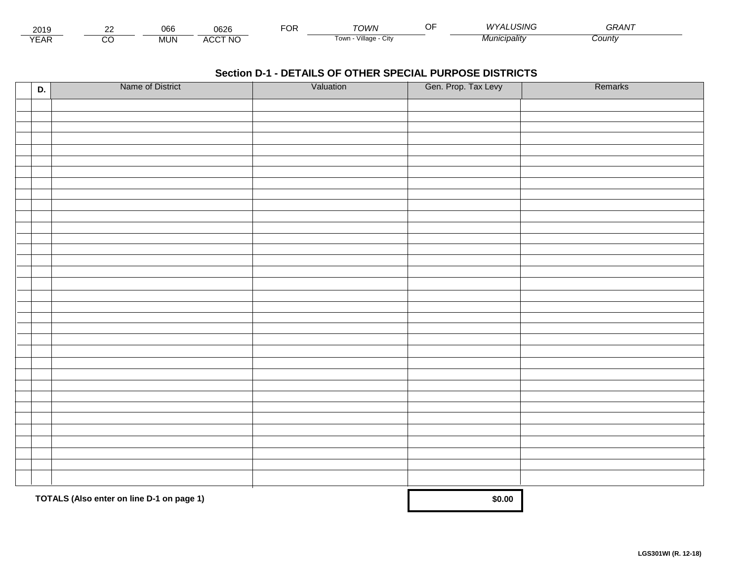| - - -<br>201.        | $\sim$ | $\sim$<br>UU- | nene<br>υο∠ເ                   | $\neg$ $\wedge$ r.<br>vη | ⊤∩WN                                | USING<br>$\lambda$<br>$\overline{\phantom{a}}$ | <b>^^</b><br>GRAN |  |
|----------------------|--------|---------------|--------------------------------|--------------------------|-------------------------------------|------------------------------------------------|-------------------|--|
| $\sqrt{2}$<br>▵<br>. |        | .viUN         | CCT NC،<br>$\mathbf{A}$<br>へいし |                          | $\cdots$<br>Villade<br>UN<br>∣ ∪wii | Vlunicipalitv                                  | Count             |  |

| D. | Name of District                          | Valuation | Gen. Prop. Tax Levy | Remarks |
|----|-------------------------------------------|-----------|---------------------|---------|
|    |                                           |           |                     |         |
|    |                                           |           |                     |         |
|    |                                           |           |                     |         |
|    |                                           |           |                     |         |
|    |                                           |           |                     |         |
|    |                                           |           |                     |         |
|    |                                           |           |                     |         |
|    |                                           |           |                     |         |
|    |                                           |           |                     |         |
|    |                                           |           |                     |         |
|    |                                           |           |                     |         |
|    |                                           |           |                     |         |
|    |                                           |           |                     |         |
|    |                                           |           |                     |         |
|    |                                           |           |                     |         |
|    |                                           |           |                     |         |
|    |                                           |           |                     |         |
|    |                                           |           |                     |         |
|    |                                           |           |                     |         |
|    |                                           |           |                     |         |
|    |                                           |           |                     |         |
|    |                                           |           |                     |         |
|    |                                           |           |                     |         |
|    |                                           |           |                     |         |
|    |                                           |           |                     |         |
|    |                                           |           |                     |         |
|    |                                           |           |                     |         |
|    |                                           |           |                     |         |
|    |                                           |           |                     |         |
|    |                                           |           |                     |         |
|    | TOTALS (Also enter on line D-1 on page 1) |           | \$0.00              |         |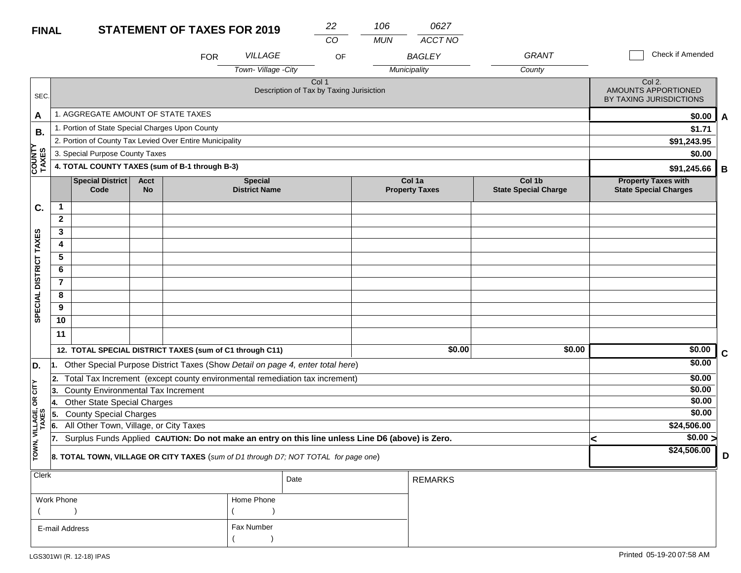#### **STATEMENT OF TAXES FOR 2019 FINAL**

| <b>FINAL</b>             |                                                                                     |                                                          |                          |            | <b>STATEMENT OF TAXES FOR 2019</b>     | 22                                                                                               | 106        | 0627                            |                                       |   |                                                            |             |
|--------------------------|-------------------------------------------------------------------------------------|----------------------------------------------------------|--------------------------|------------|----------------------------------------|--------------------------------------------------------------------------------------------------|------------|---------------------------------|---------------------------------------|---|------------------------------------------------------------|-------------|
|                          |                                                                                     |                                                          |                          |            |                                        | CO                                                                                               | <b>MUN</b> | ACCT NO                         |                                       |   |                                                            |             |
|                          |                                                                                     |                                                          |                          | <b>FOR</b> | <b>VILLAGE</b>                         | OF                                                                                               |            | <b>BAGLEY</b>                   | <b>GRANT</b>                          |   | Check if Amended                                           |             |
|                          |                                                                                     |                                                          |                          |            | Town-Village -City                     |                                                                                                  |            | Municipality                    | County                                |   |                                                            |             |
| SEC.                     |                                                                                     |                                                          |                          |            |                                        | Col <sub>1</sub><br>Description of Tax by Taxing Jurisiction                                     |            |                                 |                                       |   | Col 2.<br>AMOUNTS APPORTIONED<br>BY TAXING JURISDICTIONS   |             |
| A                        |                                                                                     | 1. AGGREGATE AMOUNT OF STATE TAXES                       |                          |            |                                        |                                                                                                  |            |                                 |                                       |   | \$0.00                                                     | A           |
| В.                       |                                                                                     | 1. Portion of State Special Charges Upon County          |                          |            |                                        |                                                                                                  |            |                                 |                                       |   | \$1.71                                                     |             |
|                          |                                                                                     | 2. Portion of County Tax Levied Over Entire Municipality |                          |            |                                        |                                                                                                  |            |                                 |                                       |   | \$91,243.95                                                |             |
|                          |                                                                                     | 3. Special Purpose County Taxes                          |                          |            |                                        |                                                                                                  |            |                                 |                                       |   | \$0.00                                                     |             |
| COUNTY<br>TAXES<br>TAXES | 4. TOTAL COUNTY TAXES (sum of B-1 through B-3)                                      |                                                          |                          |            |                                        |                                                                                                  |            |                                 |                                       |   | \$91,245.66                                                | B           |
|                          |                                                                                     | Special District<br>Code                                 | <b>Acct</b><br><b>No</b> |            | <b>Special</b><br><b>District Name</b> |                                                                                                  |            | Col 1a<br><b>Property Taxes</b> | Col 1b<br><b>State Special Charge</b> |   | <b>Property Taxes with</b><br><b>State Special Charges</b> |             |
| C.                       | $\mathbf{1}$                                                                        |                                                          |                          |            |                                        |                                                                                                  |            |                                 |                                       |   |                                                            |             |
|                          | $\mathbf{2}$                                                                        |                                                          |                          |            |                                        |                                                                                                  |            |                                 |                                       |   |                                                            |             |
|                          | 3                                                                                   |                                                          |                          |            |                                        |                                                                                                  |            |                                 |                                       |   |                                                            |             |
| SPECIAL DISTRICT TAXES   | 4                                                                                   |                                                          |                          |            |                                        |                                                                                                  |            |                                 |                                       |   |                                                            |             |
|                          | 5                                                                                   |                                                          |                          |            |                                        |                                                                                                  |            |                                 |                                       |   |                                                            |             |
|                          | 6                                                                                   |                                                          |                          |            |                                        |                                                                                                  |            |                                 |                                       |   |                                                            |             |
|                          | $\overline{7}$                                                                      |                                                          |                          |            |                                        |                                                                                                  |            |                                 |                                       |   |                                                            |             |
|                          | 8                                                                                   |                                                          |                          |            |                                        |                                                                                                  |            |                                 |                                       |   |                                                            |             |
|                          | 9                                                                                   |                                                          |                          |            |                                        |                                                                                                  |            |                                 |                                       |   |                                                            |             |
|                          | 10                                                                                  |                                                          |                          |            |                                        |                                                                                                  |            |                                 |                                       |   |                                                            |             |
|                          | 11                                                                                  |                                                          |                          |            |                                        |                                                                                                  |            |                                 |                                       |   |                                                            |             |
|                          |                                                                                     | 12. TOTAL SPECIAL DISTRICT TAXES (sum of C1 through C11) |                          |            |                                        |                                                                                                  |            | $\sqrt{$0.00}$                  | \$0.00                                |   | \$0.00                                                     | $\mathbf C$ |
| D.                       | 11.                                                                                 |                                                          |                          |            |                                        | Other Special Purpose District Taxes (Show Detail on page 4, enter total here)                   |            |                                 |                                       |   | \$0.00                                                     |             |
|                          |                                                                                     |                                                          |                          |            |                                        | 2. Total Tax Increment (except county environmental remediation tax increment)                   |            |                                 |                                       |   | \$0.00                                                     |             |
| čL                       | 3.                                                                                  | County Environmental Tax Increment                       |                          |            |                                        |                                                                                                  |            |                                 |                                       |   | \$0.00                                                     |             |
| g                        | 14.                                                                                 | <b>Other State Special Charges</b>                       |                          |            |                                        |                                                                                                  |            |                                 |                                       |   | \$0.00                                                     |             |
|                          | 5.                                                                                  | <b>County Special Charges</b>                            |                          |            |                                        |                                                                                                  |            |                                 |                                       |   | \$0.00                                                     |             |
| VILLAGE,<br>TAXES        | 16.                                                                                 | All Other Town, Village, or City Taxes                   |                          |            |                                        |                                                                                                  |            |                                 |                                       |   | \$24,506.00                                                |             |
|                          | 17.                                                                                 |                                                          |                          |            |                                        | Surplus Funds Applied CAUTION: Do not make an entry on this line unless Line D6 (above) is Zero. |            |                                 |                                       | < | $\sqrt{$0.00}$                                             |             |
| TOWN,                    | 8. TOTAL TOWN, VILLAGE OR CITY TAXES (sum of D1 through D7; NOT TOTAL for page one) |                                                          |                          |            |                                        |                                                                                                  |            | \$24,506.00                     | D                                     |   |                                                            |             |
| <b>Clerk</b>             |                                                                                     | Date<br><b>REMARKS</b>                                   |                          |            |                                        |                                                                                                  |            |                                 |                                       |   |                                                            |             |

| $\sim$         |            | Date | REMARKS |
|----------------|------------|------|---------|
| Work Phone     | Home Phone |      |         |
|                |            |      |         |
| E-mail Address | Fax Number |      |         |
|                |            |      |         |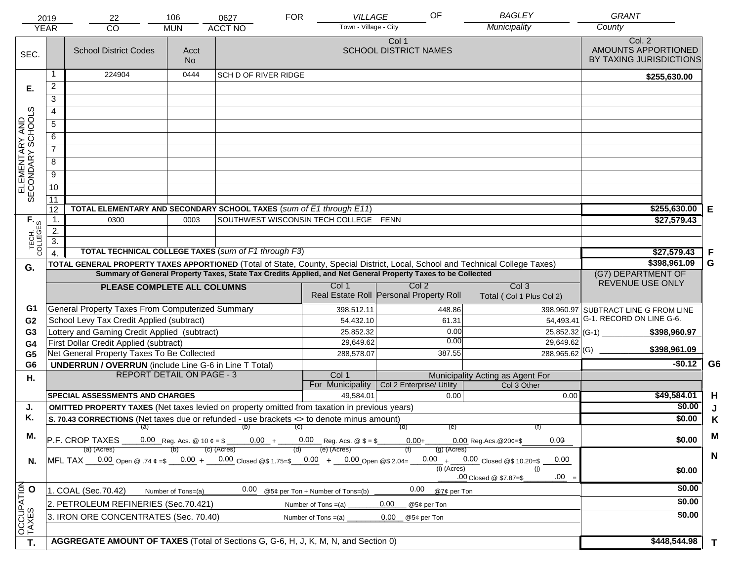|                                     | 2019                                                                                                                                                                                                                                           | 22                                                                                                                                                           | 106                | 0627                        | <b>FOR</b> | VILLAGE                                 |                                       | OF            | <b>BAGLEY</b>                            | <b>GRANT</b>                                                    |                |
|-------------------------------------|------------------------------------------------------------------------------------------------------------------------------------------------------------------------------------------------------------------------------------------------|--------------------------------------------------------------------------------------------------------------------------------------------------------------|--------------------|-----------------------------|------------|-----------------------------------------|---------------------------------------|---------------|------------------------------------------|-----------------------------------------------------------------|----------------|
|                                     | <b>YEAR</b>                                                                                                                                                                                                                                    | CO                                                                                                                                                           | <b>MUN</b>         | <b>ACCT NO</b>              |            | Town - Village - City                   |                                       |               | Municipality                             | County                                                          |                |
| SEC.                                |                                                                                                                                                                                                                                                | <b>School District Codes</b>                                                                                                                                 | Acct<br><b>No</b>  |                             |            |                                         | Col 1<br><b>SCHOOL DISTRICT NAMES</b> |               |                                          | Col. 2<br>AMOUNTS APPORTIONED<br><b>BY TAXING JURISDICTIONS</b> |                |
|                                     | -1                                                                                                                                                                                                                                             | 224904                                                                                                                                                       | 0444               | <b>SCH D OF RIVER RIDGE</b> |            |                                         |                                       |               |                                          | \$255,630.00                                                    |                |
| Е.                                  | 2                                                                                                                                                                                                                                              |                                                                                                                                                              |                    |                             |            |                                         |                                       |               |                                          |                                                                 |                |
|                                     | $\overline{3}$                                                                                                                                                                                                                                 |                                                                                                                                                              |                    |                             |            |                                         |                                       |               |                                          |                                                                 |                |
|                                     | 4                                                                                                                                                                                                                                              |                                                                                                                                                              |                    |                             |            |                                         |                                       |               |                                          |                                                                 |                |
|                                     | $\overline{5}$                                                                                                                                                                                                                                 |                                                                                                                                                              |                    |                             |            |                                         |                                       |               |                                          |                                                                 |                |
|                                     | 6                                                                                                                                                                                                                                              |                                                                                                                                                              |                    |                             |            |                                         |                                       |               |                                          |                                                                 |                |
|                                     | $\overline{7}$                                                                                                                                                                                                                                 |                                                                                                                                                              |                    |                             |            |                                         |                                       |               |                                          |                                                                 |                |
| ELEMENTARY AND<br>SECONDARY SCHOOLS | 8                                                                                                                                                                                                                                              |                                                                                                                                                              |                    |                             |            |                                         |                                       |               |                                          |                                                                 |                |
|                                     | $\overline{9}$                                                                                                                                                                                                                                 |                                                                                                                                                              |                    |                             |            |                                         |                                       |               |                                          |                                                                 |                |
|                                     | 10                                                                                                                                                                                                                                             |                                                                                                                                                              |                    |                             |            |                                         |                                       |               |                                          |                                                                 |                |
|                                     | $\overline{11}$                                                                                                                                                                                                                                |                                                                                                                                                              |                    |                             |            |                                         |                                       |               |                                          |                                                                 |                |
|                                     | 12                                                                                                                                                                                                                                             | TOTAL ELEMENTARY AND SECONDARY SCHOOL TAXES (sum of E1 through E11)                                                                                          |                    |                             |            |                                         |                                       |               |                                          | \$255,630.00                                                    | Е              |
|                                     | $\mathbf{1}$ .                                                                                                                                                                                                                                 | 0300                                                                                                                                                         | 0003               |                             |            | SOUTHWEST WISCONSIN TECH COLLEGE FENN   |                                       |               |                                          | \$27,579.43                                                     |                |
|                                     | 2.                                                                                                                                                                                                                                             |                                                                                                                                                              |                    |                             |            |                                         |                                       |               |                                          |                                                                 |                |
| TECH. T                             | $\overline{3}$ .                                                                                                                                                                                                                               |                                                                                                                                                              |                    |                             |            |                                         |                                       |               |                                          |                                                                 |                |
|                                     | $\overline{4}$                                                                                                                                                                                                                                 | TOTAL TECHNICAL COLLEGE TAXES (sum of F1 through F3)                                                                                                         |                    | \$27,579.43                 | F          |                                         |                                       |               |                                          |                                                                 |                |
| G.                                  | TOTAL GENERAL PROPERTY TAXES APPORTIONED (Total of State, County, Special District, Local, School and Technical College Taxes)<br>Summary of General Property Taxes, State Tax Credits Applied, and Net General Property Taxes to be Collected |                                                                                                                                                              |                    |                             |            |                                         |                                       |               |                                          | \$398,961.09<br>(G7) DEPARTMENT OF                              | G              |
|                                     |                                                                                                                                                                                                                                                |                                                                                                                                                              |                    |                             |            | Col 1                                   | Col <sub>2</sub>                      |               | Col <sub>3</sub>                         | REVENUE USE ONLY                                                |                |
|                                     |                                                                                                                                                                                                                                                | PLEASE COMPLETE ALL COLUMNS                                                                                                                                  |                    |                             |            | Real Estate Roll Personal Property Roll |                                       |               | Total (Col 1 Plus Col 2)                 |                                                                 |                |
| G1                                  |                                                                                                                                                                                                                                                | General Property Taxes From Computerized Summary                                                                                                             |                    |                             |            | 398,512.11                              |                                       | 448.86        |                                          | 398,960.97 SUBTRACT LINE G FROM LINE                            |                |
| G <sub>2</sub>                      |                                                                                                                                                                                                                                                | School Levy Tax Credit Applied (subtract)                                                                                                                    |                    |                             |            | 54,432.10                               |                                       | 61.31         | 54,493.41                                | G-1. RECORD ON LINE G-6.                                        |                |
| G <sub>3</sub>                      |                                                                                                                                                                                                                                                | Lottery and Gaming Credit Applied (subtract)                                                                                                                 |                    |                             |            | 25,852.32                               |                                       | 0.00          | 25,852.32 (G-1) $-$                      | \$398,960.97                                                    |                |
| G <sub>4</sub>                      |                                                                                                                                                                                                                                                | First Dollar Credit Applied (subtract)                                                                                                                       |                    |                             |            | 29,649.62                               |                                       | 0.00          | 29,649.62<br>$288,965.62$ <sup>(G)</sup> | \$398,961.09                                                    |                |
| G <sub>5</sub>                      |                                                                                                                                                                                                                                                | Net General Property Taxes To Be Collected                                                                                                                   |                    |                             |            | 288,578.07                              |                                       | 387.55        |                                          | $-$0.12$                                                        | G <sub>6</sub> |
| G <sub>6</sub>                      |                                                                                                                                                                                                                                                | <b>UNDERRUN / OVERRUN</b> (include Line G-6 in Line T Total)<br><b>REPORT DETAIL ON PAGE - 3</b>                                                             |                    |                             |            | Col 1                                   |                                       |               | Municipality Acting as Agent For         |                                                                 |                |
| Η.                                  |                                                                                                                                                                                                                                                |                                                                                                                                                              |                    |                             |            | For Municipality                        | Col 2 Enterprise/ Utility             |               | Col 3 Other                              |                                                                 |                |
|                                     |                                                                                                                                                                                                                                                | <b>SPECIAL ASSESSMENTS AND CHARGES</b>                                                                                                                       |                    |                             |            | 49,584.01                               |                                       | 0.00          | 0.00                                     | \$49,584.01                                                     | H              |
| J.                                  |                                                                                                                                                                                                                                                | <b>OMITTED PROPERTY TAXES</b> (Net taxes levied on property omitted from taxation in previous years)                                                         |                    |                             |            |                                         |                                       |               |                                          | \$0.00                                                          | J              |
| Κ.                                  |                                                                                                                                                                                                                                                | S. 70.43 CORRECTIONS (Net taxes due or refunded - use brackets <> to denote minus amount)                                                                    |                    |                             |            |                                         |                                       |               |                                          | \$0.00                                                          | K              |
| М.                                  |                                                                                                                                                                                                                                                |                                                                                                                                                              |                    | $(a)$ (b) (c)               |            |                                         | (d)                                   | (e)           |                                          |                                                                 | M              |
|                                     | $ P.F. \text{ CROP TAXES}$ 0.00 Reg. Acs. @ 10 $\ell = \$$ 0.00 + 0.00 Reg. Acs. @ $\$ = \$$<br>0.00<br>$0.00+$<br>$0.00$ Reg. Acs. @ 20¢=\$<br>(e) (Acres)<br>(c) (Acres)<br>(a) (Acres)<br>$(g)$ (Acres)                                     |                                                                                                                                                              |                    |                             |            |                                         |                                       |               |                                          | \$0.00                                                          |                |
| N.                                  |                                                                                                                                                                                                                                                | MFL TAX $-$ 0.00 Open @ .74 $\epsilon$ =\$ $-$ 0.00 + $-$ 0.00 Closed @\$ 1.75=\$ $-$ 0.00 + $-$ 0.00 Open @\$ 2.04= $-$ 0.00 + $-$ 0.00 Closed @\$ 10.20=\$ |                    |                             |            |                                         |                                       |               | 0.00                                     |                                                                 | $\mathbf N$    |
|                                     |                                                                                                                                                                                                                                                |                                                                                                                                                              |                    |                             |            |                                         |                                       | $(i)$ (Acres) | (i)                                      | \$0.00                                                          |                |
|                                     |                                                                                                                                                                                                                                                |                                                                                                                                                              |                    |                             |            |                                         |                                       |               | $.00 =$<br>.00 Closed @ \$7.87=\$        |                                                                 |                |
|                                     |                                                                                                                                                                                                                                                | 1. COAL (Sec.70.42)                                                                                                                                          | Number of Tons=(a) | 0.00                        |            | @5¢ per Ton + Number of Tons=(b)        | 0.00                                  | @7¢ per Ton   |                                          | \$0.00                                                          |                |
|                                     |                                                                                                                                                                                                                                                | 2. PETROLEUM REFINERIES (Sec.70.421)                                                                                                                         |                    |                             |            | Number of Tons $=(a)$                   | 0.00<br>@5¢ per Ton                   |               |                                          | \$0.00                                                          |                |
|                                     |                                                                                                                                                                                                                                                | 3. IRON ORE CONCENTRATES (Sec. 70.40)                                                                                                                        |                    |                             |            | Number of Tons $=(a)$                   | 0.00<br>@5¢ per Ton                   |               |                                          | \$0.00                                                          |                |
| OCCUPATION                          |                                                                                                                                                                                                                                                |                                                                                                                                                              |                    |                             |            |                                         |                                       |               |                                          |                                                                 |                |
| T.                                  |                                                                                                                                                                                                                                                | AGGREGATE AMOUNT OF TAXES (Total of Sections G, G-6, H, J, K, M, N, and Section 0)                                                                           |                    |                             |            |                                         |                                       |               |                                          | \$448,544.98                                                    | $\mathbf{T}$   |
|                                     |                                                                                                                                                                                                                                                |                                                                                                                                                              |                    |                             |            |                                         |                                       |               |                                          |                                                                 |                |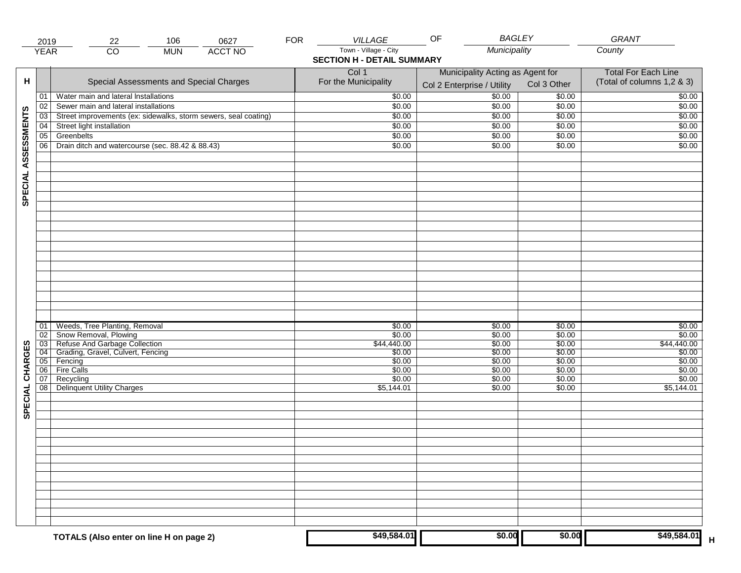|                     | 2019            | 22                                                              | 106        | 0627           | <b>FOR</b> | <b>VILLAGE</b>                    | <b>BAGLEY</b><br>OF              |                  | GRANT                      |
|---------------------|-----------------|-----------------------------------------------------------------|------------|----------------|------------|-----------------------------------|----------------------------------|------------------|----------------------------|
|                     | <b>YEAR</b>     | $\overline{CO}$                                                 | <b>MUN</b> | <b>ACCT NO</b> |            | Town - Village - City             | Municipality                     |                  | County                     |
|                     |                 |                                                                 |            |                |            | <b>SECTION H - DETAIL SUMMARY</b> |                                  |                  |                            |
|                     |                 |                                                                 |            |                |            | Col 1                             | Municipality Acting as Agent for |                  | <b>Total For Each Line</b> |
| н                   |                 | Special Assessments and Special Charges                         |            |                |            | For the Municipality              | Col 2 Enterprise / Utility       | Col 3 Other      | (Total of columns 1,2 & 3) |
|                     | 01              | Water main and lateral Installations                            |            |                |            | \$0.00                            | 50.00                            | \$0.00           | \$0.00                     |
|                     | 02              | Sewer main and lateral installations                            |            |                |            | \$0.00                            | \$0.00                           | \$0.00           | \$0.00                     |
|                     | $\overline{03}$ | Street improvements (ex: sidewalks, storm sewers, seal coating) |            |                |            | \$0.00                            | \$0.00                           | \$0.00           | \$0.00                     |
|                     | 04              | Street light installation                                       |            |                |            | \$0.00                            | \$0.00                           | \$0.00           | \$0.00                     |
|                     | 05              | Greenbelts                                                      |            |                |            | \$0.00                            | \$0.00                           | \$0.00           | \$0.00                     |
| SPECIAL ASSESSMENTS | 06              | Drain ditch and watercourse (sec. 88.42 & 88.43)                |            |                |            | \$0.00                            | \$0.00                           | \$0.00           | \$0.00                     |
|                     |                 |                                                                 |            |                |            |                                   |                                  |                  |                            |
|                     |                 |                                                                 |            |                |            |                                   |                                  |                  |                            |
|                     |                 |                                                                 |            |                |            |                                   |                                  |                  |                            |
|                     |                 |                                                                 |            |                |            |                                   |                                  |                  |                            |
|                     |                 |                                                                 |            |                |            |                                   |                                  |                  |                            |
|                     |                 |                                                                 |            |                |            |                                   |                                  |                  |                            |
|                     |                 |                                                                 |            |                |            |                                   |                                  |                  |                            |
|                     |                 |                                                                 |            |                |            |                                   |                                  |                  |                            |
|                     |                 |                                                                 |            |                |            |                                   |                                  |                  |                            |
|                     |                 |                                                                 |            |                |            |                                   |                                  |                  |                            |
|                     |                 |                                                                 |            |                |            |                                   |                                  |                  |                            |
|                     |                 |                                                                 |            |                |            |                                   |                                  |                  |                            |
|                     |                 |                                                                 |            |                |            |                                   |                                  |                  |                            |
|                     |                 |                                                                 |            |                |            |                                   |                                  |                  |                            |
|                     |                 |                                                                 |            |                |            |                                   |                                  |                  |                            |
|                     |                 |                                                                 |            |                |            |                                   |                                  |                  |                            |
|                     | 01<br>02        | Weeds, Tree Planting, Removal                                   |            |                |            | \$0.00<br>\$0.00                  | \$0.00<br>\$0.00                 | \$0.00<br>\$0.00 | \$0.00<br>\$0.00           |
|                     | 03              | Snow Removal, Plowing<br>Refuse And Garbage Collection          |            |                |            | \$44,440.00                       | \$0.00                           | \$0.00           | \$44,440.00                |
|                     | 04              | Grading, Gravel, Culvert, Fencing                               |            |                |            | \$0.00                            | \$0.00                           | \$0.00           | \$0.00                     |
| CHARGES             | 05              | Fencing                                                         |            |                |            | \$0.00                            | \$0.00                           | \$0.00           | \$0.00                     |
|                     | 06              | <b>Fire Calls</b>                                               |            |                |            | \$0.00                            | \$0.00                           | \$0.00           | \$0.00                     |
|                     | 07<br>08        | Recycling<br><b>Delinquent Utility Charges</b>                  |            |                |            | \$0.00<br>\$5,144.01              | \$0.00<br>\$0.00                 | \$0.00<br>\$0.00 | \$0.00<br>\$5,144.01       |
|                     |                 |                                                                 |            |                |            |                                   |                                  |                  |                            |
| SPECIAL             |                 |                                                                 |            |                |            |                                   |                                  |                  |                            |
|                     |                 |                                                                 |            |                |            |                                   |                                  |                  |                            |
|                     |                 |                                                                 |            |                |            |                                   |                                  |                  |                            |
|                     |                 |                                                                 |            |                |            |                                   |                                  |                  |                            |
|                     |                 |                                                                 |            |                |            |                                   |                                  |                  |                            |
|                     |                 |                                                                 |            |                |            |                                   |                                  |                  |                            |
|                     |                 |                                                                 |            |                |            |                                   |                                  |                  |                            |
|                     |                 |                                                                 |            |                |            |                                   |                                  |                  |                            |
|                     |                 |                                                                 |            |                |            |                                   |                                  |                  |                            |
|                     |                 |                                                                 |            |                |            |                                   |                                  |                  |                            |
|                     |                 |                                                                 |            |                |            |                                   |                                  |                  |                            |
|                     |                 |                                                                 |            |                |            |                                   |                                  |                  |                            |
|                     |                 | TOTALS (Also enter on line H on page 2)                         |            |                |            | \$49,584.01                       | \$0.00                           | \$0.00           | \$49,584.01                |
|                     |                 |                                                                 |            |                |            |                                   |                                  |                  |                            |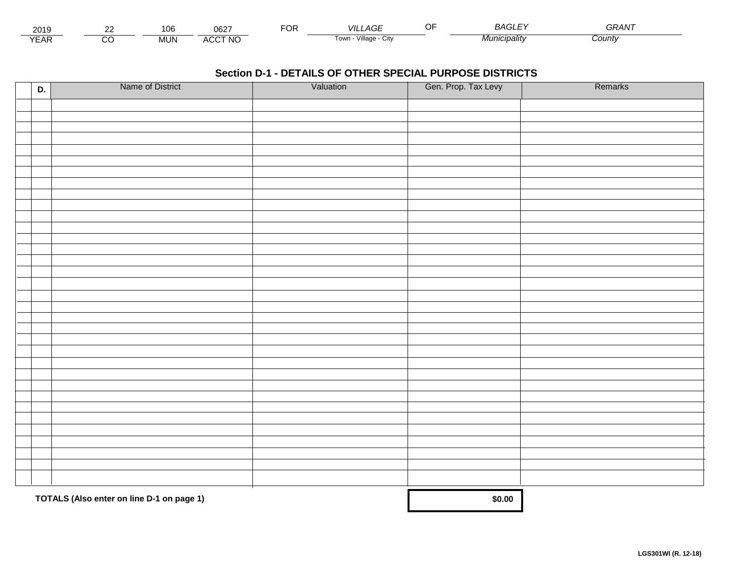| 2015                        | $\sim$ | 106    | 0027<br>שט∠           | ட்்<br>◡┍ | _AGF<br>VII I           | $\sim$<br>. SA      | <b>^^</b><br>GRAN |  |
|-----------------------------|--------|--------|-----------------------|-----------|-------------------------|---------------------|-------------------|--|
| $\sqrt{2}$<br>▵<br><b>L</b> |        | .viun. | CCT NC،<br>-41<br>nuu |           | Village<br>' OWLL<br>UN | <i>Municipality</i> | Count             |  |

| D. | Name of District                          | Valuation | Gen. Prop. Tax Levy | Remarks |
|----|-------------------------------------------|-----------|---------------------|---------|
|    |                                           |           |                     |         |
|    |                                           |           |                     |         |
|    |                                           |           |                     |         |
|    |                                           |           |                     |         |
|    |                                           |           |                     |         |
|    |                                           |           |                     |         |
|    |                                           |           |                     |         |
|    |                                           |           |                     |         |
|    |                                           |           |                     |         |
|    |                                           |           |                     |         |
|    |                                           |           |                     |         |
|    |                                           |           |                     |         |
|    |                                           |           |                     |         |
|    |                                           |           |                     |         |
|    |                                           |           |                     |         |
|    |                                           |           |                     |         |
|    |                                           |           |                     |         |
|    |                                           |           |                     |         |
|    |                                           |           |                     |         |
|    |                                           |           |                     |         |
|    |                                           |           |                     |         |
|    |                                           |           |                     |         |
|    |                                           |           |                     |         |
|    |                                           |           |                     |         |
|    |                                           |           |                     |         |
|    |                                           |           |                     |         |
|    |                                           |           |                     |         |
|    |                                           |           |                     |         |
|    |                                           |           |                     |         |
|    |                                           |           |                     |         |
|    | TOTALS (Also enter on line D-1 on page 1) |           | \$0.00              |         |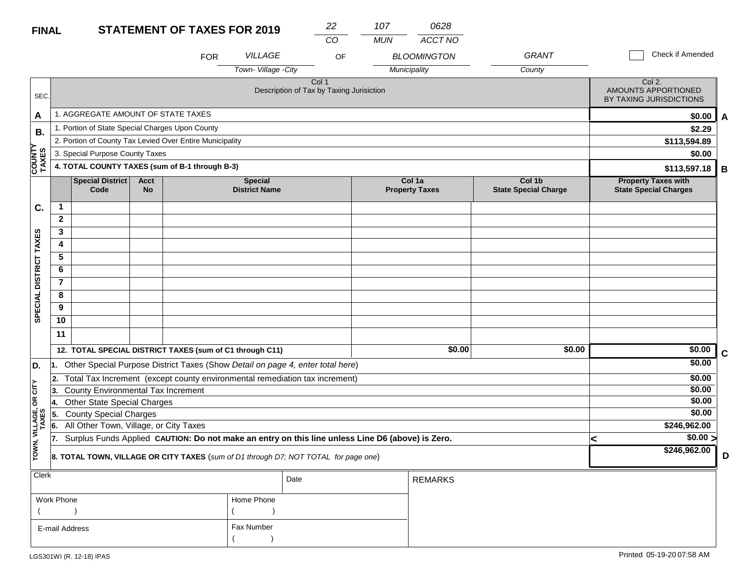#### **STATEMENT OF TAVES FOR 2010 FINAL**

| <b>FINAL</b>            |                                                                                                                                                                                   |                                                 |  | <b>STATEMENT OF TAXES FOR 2019</b>                                                               |                                       | 22<br>CO                                          |    | 107<br><b>MUN</b> | 0628<br>ACCT NO                    |                        |                                                            |                                                          |   |
|-------------------------|-----------------------------------------------------------------------------------------------------------------------------------------------------------------------------------|-------------------------------------------------|--|--------------------------------------------------------------------------------------------------|---------------------------------------|---------------------------------------------------|----|-------------------|------------------------------------|------------------------|------------------------------------------------------------|----------------------------------------------------------|---|
|                         |                                                                                                                                                                                   |                                                 |  | <b>FOR</b>                                                                                       | <b>VILLAGE</b><br>Town-Village - City |                                                   | OF |                   | <b>BLOOMINGTON</b><br>Municipality | <b>GRANT</b><br>County |                                                            | Check if Amended                                         |   |
| SEC.                    |                                                                                                                                                                                   |                                                 |  |                                                                                                  |                                       | Col 1<br>Description of Tax by Taxing Jurisiction |    |                   |                                    |                        |                                                            | Col 2.<br>AMOUNTS APPORTIONED<br>BY TAXING JURISDICTIONS |   |
| A                       |                                                                                                                                                                                   | 1. AGGREGATE AMOUNT OF STATE TAXES              |  |                                                                                                  |                                       |                                                   |    |                   |                                    |                        |                                                            | \$0.00                                                   | A |
| <b>B.</b>               |                                                                                                                                                                                   | 1. Portion of State Special Charges Upon County |  |                                                                                                  |                                       |                                                   |    |                   |                                    |                        |                                                            | \$2.29                                                   |   |
|                         |                                                                                                                                                                                   |                                                 |  | 2. Portion of County Tax Levied Over Entire Municipality                                         |                                       |                                                   |    |                   |                                    |                        |                                                            | \$113,594.89                                             |   |
|                         |                                                                                                                                                                                   | 3. Special Purpose County Taxes                 |  |                                                                                                  |                                       |                                                   |    |                   |                                    |                        |                                                            | \$0.00                                                   |   |
| <b>COUNTY</b><br>TAXES  |                                                                                                                                                                                   |                                                 |  | 4. TOTAL COUNTY TAXES (sum of B-1 through B-3)                                                   |                                       |                                                   |    |                   |                                    |                        |                                                            | \$113,597.18                                             | В |
|                         | <b>Special District</b><br><b>Acct</b><br><b>Special</b><br>Col 1a<br>Col 1b<br><b>State Special Charge</b><br>Code<br><b>No</b><br><b>District Name</b><br><b>Property Taxes</b> |                                                 |  |                                                                                                  |                                       |                                                   |    |                   |                                    |                        | <b>Property Taxes with</b><br><b>State Special Charges</b> |                                                          |   |
| C.                      | $\mathbf{1}$                                                                                                                                                                      |                                                 |  |                                                                                                  |                                       |                                                   |    |                   |                                    |                        |                                                            |                                                          |   |
|                         | $\mathbf{2}$                                                                                                                                                                      |                                                 |  |                                                                                                  |                                       |                                                   |    |                   |                                    |                        |                                                            |                                                          |   |
|                         | 3                                                                                                                                                                                 |                                                 |  |                                                                                                  |                                       |                                                   |    |                   |                                    |                        |                                                            |                                                          |   |
| SPECIAL DISTRICT TAXES  | 4                                                                                                                                                                                 |                                                 |  |                                                                                                  |                                       |                                                   |    |                   |                                    |                        |                                                            |                                                          |   |
|                         | 5                                                                                                                                                                                 |                                                 |  |                                                                                                  |                                       |                                                   |    |                   |                                    |                        |                                                            |                                                          |   |
|                         | 6                                                                                                                                                                                 |                                                 |  |                                                                                                  |                                       |                                                   |    |                   |                                    |                        |                                                            |                                                          |   |
|                         | $\overline{7}$                                                                                                                                                                    |                                                 |  |                                                                                                  |                                       |                                                   |    |                   |                                    |                        |                                                            |                                                          |   |
|                         | 8                                                                                                                                                                                 |                                                 |  |                                                                                                  |                                       |                                                   |    |                   |                                    |                        |                                                            |                                                          |   |
|                         | 9                                                                                                                                                                                 |                                                 |  |                                                                                                  |                                       |                                                   |    |                   |                                    |                        |                                                            |                                                          |   |
|                         | 10                                                                                                                                                                                |                                                 |  |                                                                                                  |                                       |                                                   |    |                   |                                    |                        |                                                            |                                                          |   |
|                         | 11                                                                                                                                                                                |                                                 |  |                                                                                                  |                                       |                                                   |    |                   |                                    |                        |                                                            |                                                          |   |
|                         |                                                                                                                                                                                   |                                                 |  | 12. TOTAL SPECIAL DISTRICT TAXES (sum of C1 through C11)                                         |                                       |                                                   |    |                   | \$0.00                             | \$0.00                 |                                                            | \$0.00                                                   | C |
| D.                      |                                                                                                                                                                                   |                                                 |  | 1. Other Special Purpose District Taxes (Show Detail on page 4, enter total here)                |                                       |                                                   |    |                   |                                    |                        |                                                            | \$0.00                                                   |   |
|                         | 2.                                                                                                                                                                                |                                                 |  | Total Tax Increment (except county environmental remediation tax increment)                      |                                       |                                                   |    |                   |                                    |                        |                                                            | \$0.00                                                   |   |
| <b>CITY</b>             | County Environmental Tax Increment<br>3.                                                                                                                                          |                                                 |  |                                                                                                  |                                       |                                                   |    |                   |                                    |                        |                                                            | \$0.00                                                   |   |
| δŔ                      | Ι4.                                                                                                                                                                               | Other State Special Charges                     |  |                                                                                                  |                                       |                                                   |    |                   |                                    |                        |                                                            | \$0.00                                                   |   |
|                         | 5.                                                                                                                                                                                | <b>County Special Charges</b>                   |  |                                                                                                  |                                       |                                                   |    |                   |                                    |                        |                                                            | \$0.00                                                   |   |
|                         | 6.                                                                                                                                                                                | All Other Town, Village, or City Taxes          |  |                                                                                                  |                                       |                                                   |    |                   |                                    |                        |                                                            | \$246,962.00                                             |   |
|                         | 17.                                                                                                                                                                               |                                                 |  | Surplus Funds Applied CAUTION: Do not make an entry on this line unless Line D6 (above) is Zero. |                                       |                                                   |    |                   |                                    |                        | K                                                          | $\sqrt{$0.00}$                                           |   |
| TOWN, VILLAGE,<br>TAXES |                                                                                                                                                                                   |                                                 |  | 8. TOTAL TOWN, VILLAGE OR CITY TAXES (sum of D1 through D7; NOT TOTAL for page one)              |                                       |                                                   |    |                   |                                    |                        |                                                            | \$246,962.00                                             | D |
| <b>Clerk</b>            |                                                                                                                                                                                   | Date<br><b>REMARKS</b>                          |  |                                                                                                  |                                       |                                                   |    |                   |                                    |                        |                                                            |                                                          |   |

|                | Dale       | REIVIARNO |
|----------------|------------|-----------|
| Work Phone     | Home Phone |           |
|                |            |           |
| E-mail Address | Fax Number |           |
|                |            |           |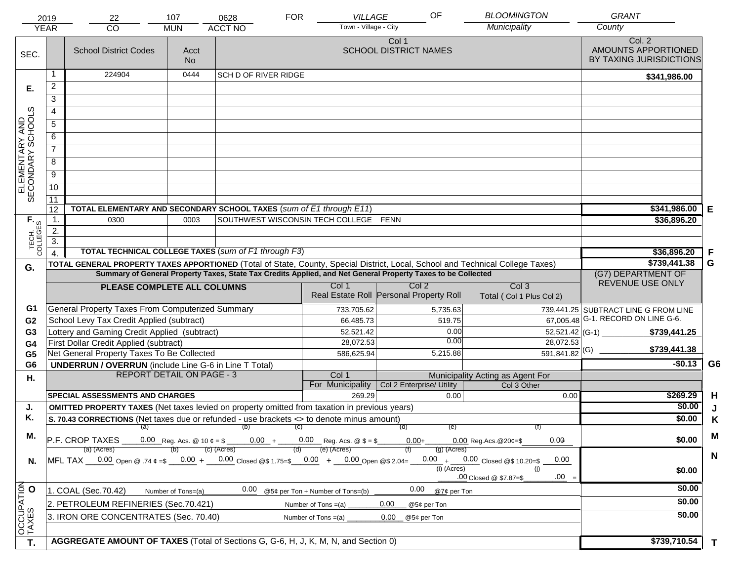|                                     | 2019<br><b>YEAR</b>                                                                                                                                                                          | 22<br><b>CO</b>                                                                                                                                                                                                                                | 107<br><b>MUN</b>  | 0628<br><b>ACCT NO</b>                | <b>FOR</b> | VILLAGE<br>Town - Village - City        |                                       | OF            | <b>BLOOMINGTON</b><br>Municipality        | <b>GRANT</b><br>County                                   |             |
|-------------------------------------|----------------------------------------------------------------------------------------------------------------------------------------------------------------------------------------------|------------------------------------------------------------------------------------------------------------------------------------------------------------------------------------------------------------------------------------------------|--------------------|---------------------------------------|------------|-----------------------------------------|---------------------------------------|---------------|-------------------------------------------|----------------------------------------------------------|-------------|
| SEC.                                |                                                                                                                                                                                              | <b>School District Codes</b>                                                                                                                                                                                                                   | Acct<br><b>No</b>  |                                       |            |                                         | Col 1<br><b>SCHOOL DISTRICT NAMES</b> |               |                                           | Col. 2<br>AMOUNTS APPORTIONED<br>BY TAXING JURISDICTIONS |             |
|                                     |                                                                                                                                                                                              | 224904                                                                                                                                                                                                                                         | 0444               | <b>SCH D OF RIVER RIDGE</b>           |            |                                         |                                       |               |                                           | \$341,986.00                                             |             |
| Е.                                  | $\overline{2}$                                                                                                                                                                               |                                                                                                                                                                                                                                                |                    |                                       |            |                                         |                                       |               |                                           |                                                          |             |
|                                     | 3                                                                                                                                                                                            |                                                                                                                                                                                                                                                |                    |                                       |            |                                         |                                       |               |                                           |                                                          |             |
|                                     | $\overline{4}$                                                                                                                                                                               |                                                                                                                                                                                                                                                |                    |                                       |            |                                         |                                       |               |                                           |                                                          |             |
|                                     | 5                                                                                                                                                                                            |                                                                                                                                                                                                                                                |                    |                                       |            |                                         |                                       |               |                                           |                                                          |             |
|                                     | 6                                                                                                                                                                                            |                                                                                                                                                                                                                                                |                    |                                       |            |                                         |                                       |               |                                           |                                                          |             |
| ELEMENTARY AND<br>SECONDARY SCHOOLS | $\overline{7}$                                                                                                                                                                               |                                                                                                                                                                                                                                                |                    |                                       |            |                                         |                                       |               |                                           |                                                          |             |
|                                     | 8                                                                                                                                                                                            |                                                                                                                                                                                                                                                |                    |                                       |            |                                         |                                       |               |                                           |                                                          |             |
|                                     |                                                                                                                                                                                              |                                                                                                                                                                                                                                                |                    |                                       |            |                                         |                                       |               |                                           |                                                          |             |
|                                     | $\overline{9}$                                                                                                                                                                               |                                                                                                                                                                                                                                                |                    |                                       |            |                                         |                                       |               |                                           |                                                          |             |
|                                     | 10                                                                                                                                                                                           |                                                                                                                                                                                                                                                |                    |                                       |            |                                         |                                       |               |                                           |                                                          |             |
|                                     | 11<br>12                                                                                                                                                                                     | TOTAL ELEMENTARY AND SECONDARY SCHOOL TAXES (sum of E1 through E11)                                                                                                                                                                            | \$341,986.00       | Е                                     |            |                                         |                                       |               |                                           |                                                          |             |
|                                     | $\mathbf 1$ .                                                                                                                                                                                | 0300                                                                                                                                                                                                                                           | 0003               | SOUTHWEST WISCONSIN TECH COLLEGE FENN |            |                                         | \$36,896.20                           |               |                                           |                                                          |             |
| TECH. T                             | 2.                                                                                                                                                                                           |                                                                                                                                                                                                                                                |                    |                                       |            |                                         |                                       |               |                                           |                                                          |             |
|                                     | 3.<br><b>TOTAL TECHNICAL COLLEGE TAXES (sum of F1 through F3)</b>                                                                                                                            |                                                                                                                                                                                                                                                |                    |                                       |            |                                         |                                       |               |                                           |                                                          |             |
|                                     | $\overline{4}$                                                                                                                                                                               |                                                                                                                                                                                                                                                |                    | \$36,896.20                           | F          |                                         |                                       |               |                                           |                                                          |             |
| G.                                  |                                                                                                                                                                                              | TOTAL GENERAL PROPERTY TAXES APPORTIONED (Total of State, County, Special District, Local, School and Technical College Taxes)<br>Summary of General Property Taxes, State Tax Credits Applied, and Net General Property Taxes to be Collected |                    | \$739,441.38                          | G          |                                         |                                       |               |                                           |                                                          |             |
|                                     |                                                                                                                                                                                              |                                                                                                                                                                                                                                                |                    |                                       |            | Col 1                                   | Col <sub>2</sub>                      |               | Col <sub>3</sub>                          | (G7) DEPARTMENT OF<br>REVENUE USE ONLY                   |             |
|                                     |                                                                                                                                                                                              | PLEASE COMPLETE ALL COLUMNS                                                                                                                                                                                                                    |                    |                                       |            | Real Estate Roll Personal Property Roll |                                       |               | Total (Col 1 Plus Col 2)                  |                                                          |             |
| G1                                  |                                                                                                                                                                                              | General Property Taxes From Computerized Summary                                                                                                                                                                                               |                    |                                       |            | 733,705.62                              |                                       | 5,735.63      |                                           | 739,441.25 SUBTRACT LINE G FROM LINE                     |             |
| G <sub>2</sub>                      |                                                                                                                                                                                              | School Levy Tax Credit Applied (subtract)                                                                                                                                                                                                      |                    |                                       |            | 66,485.73                               |                                       | 519.75        |                                           | 67,005.48 G-1. RECORD ON LINE G-6.                       |             |
| G <sub>3</sub>                      |                                                                                                                                                                                              | Lottery and Gaming Credit Applied (subtract)                                                                                                                                                                                                   |                    |                                       |            | 52,521.42                               |                                       | 0.00<br>0.00  |                                           | $52,521.42$ (G-1)<br>\$739,441.25                        |             |
| G4                                  |                                                                                                                                                                                              | First Dollar Credit Applied (subtract)                                                                                                                                                                                                         |                    |                                       |            | 28,072.53                               |                                       | 5,215.88      | 28,072.53<br>$\overline{591,841.82}$ (G)  | \$739,441.38                                             |             |
| G <sub>5</sub><br>G <sub>6</sub>    |                                                                                                                                                                                              | Net General Property Taxes To Be Collected<br><b>UNDERRUN / OVERRUN</b> (include Line G-6 in Line T Total)                                                                                                                                     |                    |                                       |            | 586,625.94                              |                                       |               |                                           | $-$0.13$                                                 | G6          |
| Η.                                  |                                                                                                                                                                                              | <b>REPORT DETAIL ON PAGE - 3</b>                                                                                                                                                                                                               |                    |                                       |            | Col 1                                   |                                       |               | Municipality Acting as Agent For          |                                                          |             |
|                                     |                                                                                                                                                                                              |                                                                                                                                                                                                                                                |                    |                                       |            | For Municipality                        | Col 2 Enterprise/ Utility             |               | Col 3 Other                               |                                                          |             |
|                                     |                                                                                                                                                                                              | <b>SPECIAL ASSESSMENTS AND CHARGES</b>                                                                                                                                                                                                         |                    |                                       |            | 269.29                                  |                                       | 0.00          | 0.00                                      | \$269.29                                                 | H           |
| J.                                  |                                                                                                                                                                                              | <b>OMITTED PROPERTY TAXES</b> (Net taxes levied on property omitted from taxation in previous years)                                                                                                                                           |                    |                                       |            |                                         |                                       |               |                                           | \$0.00                                                   | J           |
| Κ.                                  |                                                                                                                                                                                              | S. 70.43 CORRECTIONS (Net taxes due or refunded - use brackets <> to denote minus amount)                                                                                                                                                      |                    | (b)                                   |            |                                         |                                       |               |                                           | \$0.00                                                   | K           |
| М.                                  |                                                                                                                                                                                              | (a)                                                                                                                                                                                                                                            |                    |                                       | (C)        |                                         | (d)                                   | (e)           | (f)<br>0.00                               | \$0.00                                                   | M           |
|                                     | P.F. CROP TAXES<br>0.00 Reg. Acs. @ 10 $\phi = \$$ 0.00 + 0.00 Reg. Acs. @ $\$ = \$$<br>$0.00+$<br>$0.00$ Reg. Acs. @ 20¢=\$<br>(e) (Acres)<br>$(c)$ (Acres)<br>$(g)$ (Acres)<br>(a) (Acres) |                                                                                                                                                                                                                                                |                    |                                       |            |                                         |                                       |               |                                           |                                                          |             |
| N.                                  |                                                                                                                                                                                              | MFL TAX $-$ 0.00 Open @ .74 $\varphi$ =\$ $-$ 0.00 + $-$ 0.00 Closed @\$ 1.75=\$ $-$ 0.00 + $-$ 0.00 Open @\$ 2.04=                                                                                                                            |                    |                                       |            |                                         |                                       |               | $0.00 + 0.00$ Closed @\$ 10.20=\$<br>0.00 |                                                          | $\mathbf N$ |
|                                     |                                                                                                                                                                                              |                                                                                                                                                                                                                                                |                    |                                       |            |                                         |                                       | $(i)$ (Acres) | (i)                                       | \$0.00                                                   |             |
|                                     |                                                                                                                                                                                              |                                                                                                                                                                                                                                                |                    |                                       |            |                                         |                                       |               | $.00 =$<br>.00 Closed @ \$7.87=\$         | \$0.00                                                   |             |
|                                     |                                                                                                                                                                                              | 1. COAL (Sec.70.42)                                                                                                                                                                                                                            | Number of Tons=(a) | 0.00                                  |            | @5¢ per Ton + Number of Tons=(b)        | 0.00                                  | @7¢ per Ton   |                                           |                                                          |             |
|                                     |                                                                                                                                                                                              | 2. PETROLEUM REFINERIES (Sec.70.421)                                                                                                                                                                                                           |                    |                                       |            | Number of Tons $=(a)$                   | 0.00<br>@5¢ per Ton                   |               |                                           | \$0.00                                                   |             |
| OCCUPATION                          |                                                                                                                                                                                              | 3. IRON ORE CONCENTRATES (Sec. 70.40)                                                                                                                                                                                                          |                    |                                       |            | Number of Tons $=(a)$                   | 0.00<br>@5¢ per Ton                   |               |                                           | \$0.00                                                   |             |
| T.                                  |                                                                                                                                                                                              | AGGREGATE AMOUNT OF TAXES (Total of Sections G, G-6, H, J, K, M, N, and Section 0)                                                                                                                                                             |                    |                                       |            |                                         |                                       |               |                                           | \$739,710.54                                             | T.          |
|                                     |                                                                                                                                                                                              |                                                                                                                                                                                                                                                |                    |                                       |            |                                         |                                       |               |                                           |                                                          |             |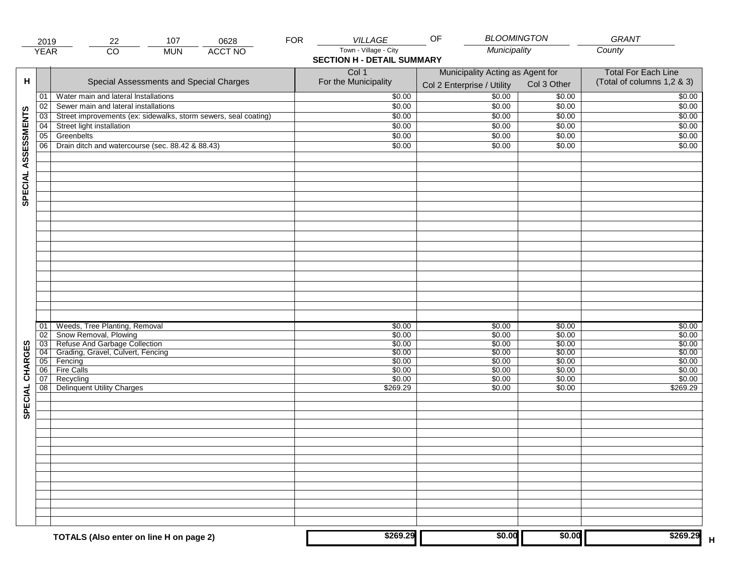|                     | 2019                                    | 107<br>0628<br>22                                                                                                                                                  | <b>FOR</b> | <b>VILLAGE</b>                                                     | <b>BLOOMINGTON</b><br>OF                                           |                                                                    | GRANT                                                              |
|---------------------|-----------------------------------------|--------------------------------------------------------------------------------------------------------------------------------------------------------------------|------------|--------------------------------------------------------------------|--------------------------------------------------------------------|--------------------------------------------------------------------|--------------------------------------------------------------------|
|                     | <b>YEAR</b>                             | $\overline{CO}$<br><b>ACCT NO</b><br><b>MUN</b>                                                                                                                    |            | Town - Village - City<br><b>SECTION H - DETAIL SUMMARY</b>         | Municipality                                                       |                                                                    | County                                                             |
| н                   |                                         | Special Assessments and Special Charges                                                                                                                            |            | Col 1<br>For the Municipality                                      | Municipality Acting as Agent for<br>Col 2 Enterprise / Utility     | Col 3 Other                                                        | <b>Total For Each Line</b><br>(Total of columns 1,2 & 3)           |
|                     | 01                                      | Water main and lateral Installations                                                                                                                               |            | \$0.00                                                             | 50.00                                                              | \$0.00                                                             | \$0.00                                                             |
|                     | 02                                      | Sewer main and lateral installations                                                                                                                               |            | \$0.00                                                             | \$0.00                                                             | \$0.00                                                             | \$0.00                                                             |
|                     | 03                                      | Street improvements (ex: sidewalks, storm sewers, seal coating)                                                                                                    |            | \$0.00                                                             | \$0.00                                                             | \$0.00                                                             | \$0.00                                                             |
|                     | 04                                      | Street light installation                                                                                                                                          |            | \$0.00                                                             | \$0.00                                                             | \$0.00                                                             | \$0.00                                                             |
|                     | 05                                      | Greenbelts                                                                                                                                                         |            | \$0.00                                                             | \$0.00                                                             | \$0.00                                                             | \$0.00                                                             |
|                     | 06                                      | Drain ditch and watercourse (sec. 88.42 & 88.43)                                                                                                                   |            | \$0.00                                                             | \$0.00                                                             | \$0.00                                                             | \$0.00                                                             |
| SPECIAL ASSESSMENTS |                                         |                                                                                                                                                                    |            |                                                                    |                                                                    |                                                                    |                                                                    |
| CHARGES             | 01<br>02<br>03<br>04<br>05<br>06 <br>07 | Weeds, Tree Planting, Removal<br>Snow Removal, Plowing<br>Refuse And Garbage Collection<br>Grading, Gravel, Culvert, Fencing<br>Fencing<br>Fire Calls<br>Recycling |            | \$0.00<br>\$0.00<br>\$0.00<br>\$0.00<br>\$0.00<br>\$0.00<br>\$0.00 | \$0.00<br>\$0.00<br>\$0.00<br>\$0.00<br>\$0.00<br>\$0.00<br>\$0.00 | \$0.00<br>\$0.00<br>\$0.00<br>\$0.00<br>\$0.00<br>\$0.00<br>\$0.00 | \$0.00<br>\$0.00<br>\$0.00<br>\$0.00<br>\$0.00<br>\$0.00<br>\$0.00 |
| SPECIAL             | 08                                      | <b>Delinquent Utility Charges</b>                                                                                                                                  |            | \$269.29                                                           | \$0.00                                                             | \$0.00                                                             | \$269.29                                                           |
|                     |                                         |                                                                                                                                                                    |            |                                                                    |                                                                    |                                                                    |                                                                    |
|                     |                                         | TOTALS (Also enter on line H on page 2)                                                                                                                            |            | \$269.29                                                           | \$0.00                                                             | \$0.00                                                             | \$269.29                                                           |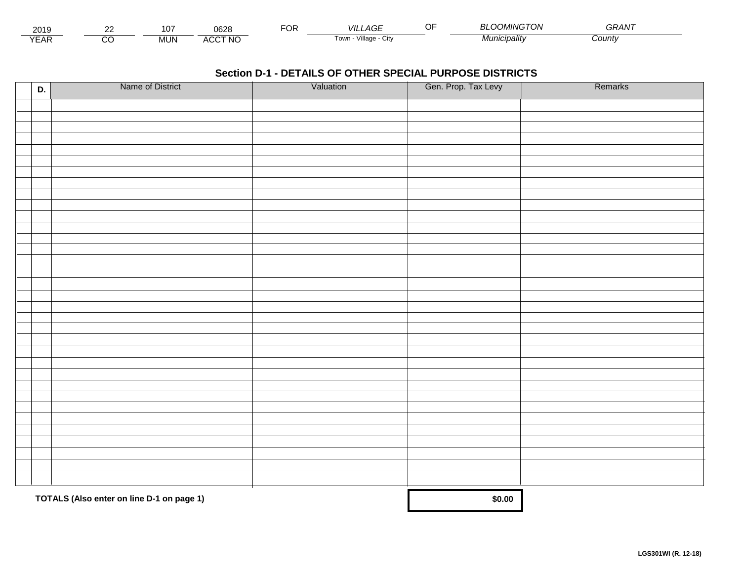| 2019                        | co | $10^{-7}$<br>∣∪≀ | 0628                           | $\overline{O}$ R | VIL<br>_AGF                  | <b>MINGTON</b><br>. UI <sup>v</sup> | $\sim$ $\sim$ $\sim$ $\sim$<br>GRAN |  |
|-----------------------------|----|------------------|--------------------------------|------------------|------------------------------|-------------------------------------|-------------------------------------|--|
| $\sqrt{2}$<br>▵<br><b>L</b> |    | MUN.             | CCT NC،<br>$\mathbf{u}$<br>AUU |                  | .<br>Village<br>i own<br>UIN | * <i>¶unicipalit∨</i>               | ∴ountv                              |  |

| D. | Name of District                          | Valuation | Gen. Prop. Tax Levy | Remarks |
|----|-------------------------------------------|-----------|---------------------|---------|
|    |                                           |           |                     |         |
|    |                                           |           |                     |         |
|    |                                           |           |                     |         |
|    |                                           |           |                     |         |
|    |                                           |           |                     |         |
|    |                                           |           |                     |         |
|    |                                           |           |                     |         |
|    |                                           |           |                     |         |
|    |                                           |           |                     |         |
|    |                                           |           |                     |         |
|    |                                           |           |                     |         |
|    |                                           |           |                     |         |
|    |                                           |           |                     |         |
|    |                                           |           |                     |         |
|    |                                           |           |                     |         |
|    |                                           |           |                     |         |
|    |                                           |           |                     |         |
|    |                                           |           |                     |         |
|    |                                           |           |                     |         |
|    |                                           |           |                     |         |
|    |                                           |           |                     |         |
|    |                                           |           |                     |         |
|    |                                           |           |                     |         |
|    |                                           |           |                     |         |
|    |                                           |           |                     |         |
|    |                                           |           |                     |         |
|    |                                           |           |                     |         |
|    |                                           |           |                     |         |
|    |                                           |           |                     |         |
|    |                                           |           |                     |         |
|    |                                           |           |                     |         |
|    | TOTALS (Also enter on line D-1 on page 1) |           | \$0.00              |         |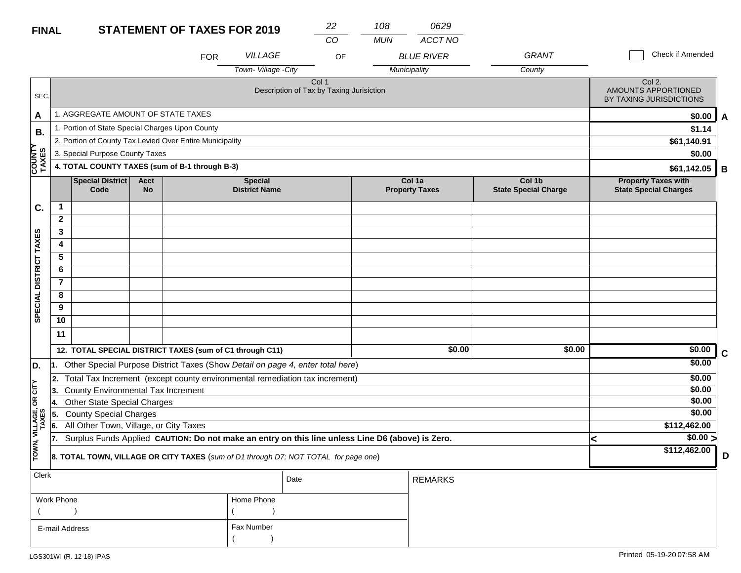#### **STATEMENT OF TAYES EOP 2010 FINAL**

| <b>FINAL</b>            |                                                                                                                         |                                                                                     |                          | <b>STATEMENT OF TAXES FOR 2019</b> |                                                                                                  | 22   | 108        | 0629                            |                                                          |                                                            |             |
|-------------------------|-------------------------------------------------------------------------------------------------------------------------|-------------------------------------------------------------------------------------|--------------------------|------------------------------------|--------------------------------------------------------------------------------------------------|------|------------|---------------------------------|----------------------------------------------------------|------------------------------------------------------------|-------------|
|                         |                                                                                                                         |                                                                                     |                          |                                    |                                                                                                  | CO   | <b>MUN</b> | ACCT NO                         | <b>GRANT</b>                                             | Check if Amended                                           |             |
|                         |                                                                                                                         |                                                                                     |                          | <b>FOR</b>                         | <b>VILLAGE</b>                                                                                   | OF   |            | <b>BLUE RIVER</b>               |                                                          |                                                            |             |
|                         |                                                                                                                         |                                                                                     |                          |                                    | Town-Village - City                                                                              |      |            | Municipality                    | County                                                   |                                                            |             |
| SEC.                    | Col 1<br>Description of Tax by Taxing Jurisiction                                                                       |                                                                                     |                          |                                    |                                                                                                  |      |            |                                 | Col 2.<br>AMOUNTS APPORTIONED<br>BY TAXING JURISDICTIONS |                                                            |             |
| A                       | 1. AGGREGATE AMOUNT OF STATE TAXES                                                                                      |                                                                                     |                          |                                    |                                                                                                  |      |            | \$0.00<br>A                     |                                                          |                                                            |             |
| В.                      |                                                                                                                         | 1. Portion of State Special Charges Upon County                                     | \$1.14                   |                                    |                                                                                                  |      |            |                                 |                                                          |                                                            |             |
|                         |                                                                                                                         | 2. Portion of County Tax Levied Over Entire Municipality                            | \$61,140.91              |                                    |                                                                                                  |      |            |                                 |                                                          |                                                            |             |
|                         |                                                                                                                         | 3. Special Purpose County Taxes                                                     | \$0.00                   |                                    |                                                                                                  |      |            |                                 |                                                          |                                                            |             |
| <b>COUNTY<br/>TAXES</b> |                                                                                                                         | 4. TOTAL COUNTY TAXES (sum of B-1 through B-3)                                      |                          |                                    |                                                                                                  |      |            |                                 |                                                          | \$61,142.05                                                | B           |
|                         |                                                                                                                         | <b>Special District</b><br>Code                                                     | <b>Acct</b><br><b>No</b> |                                    | <b>Special</b><br><b>District Name</b>                                                           |      |            | Col 1a<br><b>Property Taxes</b> | Col 1b<br><b>State Special Charge</b>                    | <b>Property Taxes with</b><br><b>State Special Charges</b> |             |
| C.                      | $\mathbf{1}$                                                                                                            |                                                                                     |                          |                                    |                                                                                                  |      |            |                                 |                                                          |                                                            |             |
|                         | $\mathbf{2}$                                                                                                            |                                                                                     |                          |                                    |                                                                                                  |      |            |                                 |                                                          |                                                            |             |
| SPECIAL DISTRICT TAXES  | 3                                                                                                                       |                                                                                     |                          |                                    |                                                                                                  |      |            |                                 |                                                          |                                                            |             |
|                         | 4                                                                                                                       |                                                                                     |                          |                                    |                                                                                                  |      |            |                                 |                                                          |                                                            |             |
|                         | 5                                                                                                                       |                                                                                     |                          |                                    |                                                                                                  |      |            |                                 |                                                          |                                                            |             |
|                         | 6                                                                                                                       |                                                                                     |                          |                                    |                                                                                                  |      |            |                                 |                                                          |                                                            |             |
|                         | $\overline{7}$                                                                                                          |                                                                                     |                          |                                    |                                                                                                  |      |            |                                 |                                                          |                                                            |             |
|                         | 8                                                                                                                       |                                                                                     |                          |                                    |                                                                                                  |      |            |                                 |                                                          |                                                            |             |
|                         | 9                                                                                                                       |                                                                                     |                          |                                    |                                                                                                  |      |            |                                 |                                                          |                                                            |             |
|                         | 10                                                                                                                      |                                                                                     |                          |                                    |                                                                                                  |      |            |                                 |                                                          |                                                            |             |
|                         | 11                                                                                                                      |                                                                                     |                          |                                    |                                                                                                  |      |            |                                 |                                                          |                                                            |             |
|                         |                                                                                                                         | 12. TOTAL SPECIAL DISTRICT TAXES (sum of C1 through C11)                            |                          |                                    |                                                                                                  |      |            | \$0.00                          | \$0.00                                                   | \$0.00                                                     | $\mathbf c$ |
| D.                      | 11.                                                                                                                     |                                                                                     |                          |                                    | Other Special Purpose District Taxes (Show Detail on page 4, enter total here)                   |      |            |                                 |                                                          | \$0.00                                                     |             |
|                         | 2.                                                                                                                      |                                                                                     |                          |                                    |                                                                                                  |      |            |                                 |                                                          | \$0.00                                                     |             |
| CITY                    | Total Tax Increment (except county environmental remediation tax increment)<br>County Environmental Tax Increment<br>3. |                                                                                     |                          |                                    |                                                                                                  |      |            |                                 |                                                          | \$0.00                                                     |             |
| б                       | 4.                                                                                                                      | <b>Other State Special Charges</b>                                                  |                          |                                    |                                                                                                  |      |            |                                 |                                                          | \$0.00                                                     |             |
|                         | 5.                                                                                                                      | <b>County Special Charges</b>                                                       |                          |                                    |                                                                                                  |      |            |                                 |                                                          | \$0.00                                                     |             |
|                         | 6.                                                                                                                      | All Other Town, Village, or City Taxes                                              |                          |                                    |                                                                                                  |      |            |                                 |                                                          | \$112,462.00                                               |             |
|                         | 17.                                                                                                                     |                                                                                     |                          |                                    | Surplus Funds Applied CAUTION: Do not make an entry on this line unless Line D6 (above) is Zero. |      |            |                                 |                                                          | \$0.00 ><br><                                              |             |
| TOWN, VILLAGE,<br>TAXES |                                                                                                                         | 8. TOTAL TOWN, VILLAGE OR CITY TAXES (sum of D1 through D7; NOT TOTAL for page one) | \$112,462.00             | D                                  |                                                                                                  |      |            |                                 |                                                          |                                                            |             |
| Clerk                   |                                                                                                                         |                                                                                     |                          |                                    |                                                                                                  | Date |            | DEMADIC                         |                                                          |                                                            |             |

| $ $ Clerk      |            | Date | <b>REMARKS</b> |
|----------------|------------|------|----------------|
| Work Phone     | Home Phone |      |                |
|                |            |      |                |
| E-mail Address | Fax Number |      |                |
|                |            |      |                |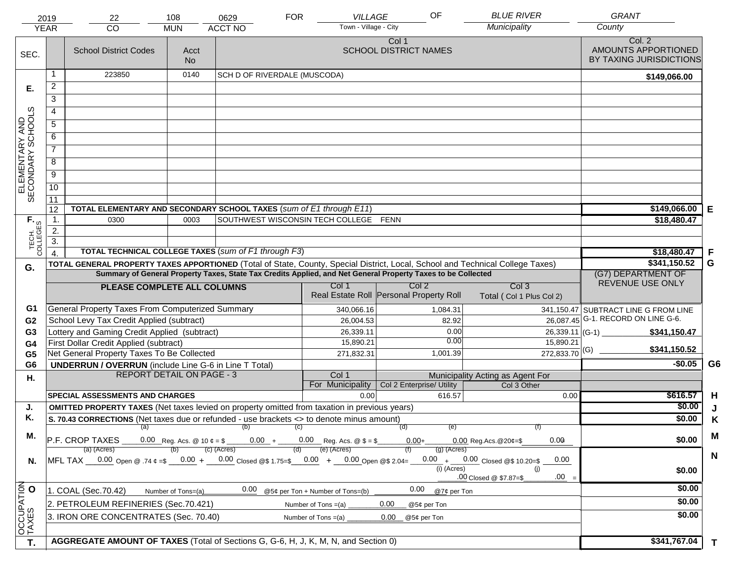|                                     | 2019<br><b>YEAR</b>                                                                                                                                                                                                                                                                                | 22<br>CO                                                                                                                                                                                                                                                                                                     | 108<br><b>MUN</b>                | 0629<br><b>ACCT NO</b>                                                                                       | <b>FOR</b> | <b>VILLAGE</b><br>Town - Village - City          |                                       | OF          | <b>BLUE RIVER</b><br>Municipality            | <b>GRANT</b><br>County                                   |                |
|-------------------------------------|----------------------------------------------------------------------------------------------------------------------------------------------------------------------------------------------------------------------------------------------------------------------------------------------------|--------------------------------------------------------------------------------------------------------------------------------------------------------------------------------------------------------------------------------------------------------------------------------------------------------------|----------------------------------|--------------------------------------------------------------------------------------------------------------|------------|--------------------------------------------------|---------------------------------------|-------------|----------------------------------------------|----------------------------------------------------------|----------------|
| SEC.                                |                                                                                                                                                                                                                                                                                                    | <b>School District Codes</b>                                                                                                                                                                                                                                                                                 | Acct<br><b>No</b>                |                                                                                                              |            |                                                  | Col 1<br><b>SCHOOL DISTRICT NAMES</b> |             |                                              | Col. 2<br>AMOUNTS APPORTIONED<br>BY TAXING JURISDICTIONS |                |
|                                     |                                                                                                                                                                                                                                                                                                    | 223850                                                                                                                                                                                                                                                                                                       | 0140                             | SCH D OF RIVERDALE (MUSCODA)                                                                                 |            |                                                  |                                       |             |                                              | \$149,066.00                                             |                |
| Е.                                  | $\overline{c}$                                                                                                                                                                                                                                                                                     |                                                                                                                                                                                                                                                                                                              |                                  |                                                                                                              |            |                                                  |                                       |             |                                              |                                                          |                |
|                                     | $\overline{3}$                                                                                                                                                                                                                                                                                     |                                                                                                                                                                                                                                                                                                              |                                  |                                                                                                              |            |                                                  |                                       |             |                                              |                                                          |                |
|                                     | 4                                                                                                                                                                                                                                                                                                  |                                                                                                                                                                                                                                                                                                              |                                  |                                                                                                              |            |                                                  |                                       |             |                                              |                                                          |                |
|                                     | $\overline{5}$                                                                                                                                                                                                                                                                                     |                                                                                                                                                                                                                                                                                                              |                                  |                                                                                                              |            |                                                  |                                       |             |                                              |                                                          |                |
|                                     | 6                                                                                                                                                                                                                                                                                                  |                                                                                                                                                                                                                                                                                                              |                                  |                                                                                                              |            |                                                  |                                       |             |                                              |                                                          |                |
| ELEMENTARY AND<br>SECONDARY SCHOOLS | $\overline{7}$                                                                                                                                                                                                                                                                                     |                                                                                                                                                                                                                                                                                                              |                                  |                                                                                                              |            |                                                  |                                       |             |                                              |                                                          |                |
|                                     | $\overline{8}$                                                                                                                                                                                                                                                                                     |                                                                                                                                                                                                                                                                                                              |                                  |                                                                                                              |            |                                                  |                                       |             |                                              |                                                          |                |
|                                     | $\overline{9}$                                                                                                                                                                                                                                                                                     |                                                                                                                                                                                                                                                                                                              |                                  |                                                                                                              |            |                                                  |                                       |             |                                              |                                                          |                |
|                                     |                                                                                                                                                                                                                                                                                                    |                                                                                                                                                                                                                                                                                                              |                                  |                                                                                                              |            |                                                  |                                       |             |                                              |                                                          |                |
|                                     | 10                                                                                                                                                                                                                                                                                                 |                                                                                                                                                                                                                                                                                                              |                                  |                                                                                                              |            |                                                  |                                       |             |                                              |                                                          |                |
|                                     | 11<br>12                                                                                                                                                                                                                                                                                           | TOTAL ELEMENTARY AND SECONDARY SCHOOL TAXES (sum of E1 through E11)                                                                                                                                                                                                                                          |                                  |                                                                                                              |            |                                                  |                                       |             |                                              | \$149,066.00                                             | Е              |
|                                     | 1.                                                                                                                                                                                                                                                                                                 | 0300                                                                                                                                                                                                                                                                                                         | 0003                             |                                                                                                              |            | SOUTHWEST WISCONSIN TECH COLLEGE FENN            |                                       |             |                                              | \$18,480.47                                              |                |
|                                     | 2.                                                                                                                                                                                                                                                                                                 |                                                                                                                                                                                                                                                                                                              |                                  |                                                                                                              |            |                                                  |                                       |             |                                              |                                                          |                |
| TECH. T                             | $\overline{3}$ .                                                                                                                                                                                                                                                                                   |                                                                                                                                                                                                                                                                                                              |                                  |                                                                                                              |            |                                                  |                                       |             |                                              |                                                          |                |
|                                     |                                                                                                                                                                                                                                                                                                    | <b>TOTAL TECHNICAL COLLEGE TAXES (sum of F1 through F3)</b>                                                                                                                                                                                                                                                  |                                  |                                                                                                              |            |                                                  |                                       |             |                                              | \$18,480.47                                              | F              |
| G.                                  |                                                                                                                                                                                                                                                                                                    | TOTAL GENERAL PROPERTY TAXES APPORTIONED (Total of State, County, Special District, Local, School and Technical College Taxes)                                                                                                                                                                               |                                  |                                                                                                              |            |                                                  |                                       |             |                                              | \$341,150.52                                             | G              |
|                                     |                                                                                                                                                                                                                                                                                                    |                                                                                                                                                                                                                                                                                                              |                                  | Summary of General Property Taxes, State Tax Credits Applied, and Net General Property Taxes to be Collected |            |                                                  |                                       |             |                                              | (G7) DEPARTMENT OF<br>REVENUE USE ONLY                   |                |
|                                     |                                                                                                                                                                                                                                                                                                    | PLEASE COMPLETE ALL COLUMNS                                                                                                                                                                                                                                                                                  |                                  |                                                                                                              |            | Col 1<br>Real Estate Roll Personal Property Roll | Col <sub>2</sub>                      |             | Col <sub>3</sub><br>Total (Col 1 Plus Col 2) |                                                          |                |
| G1                                  |                                                                                                                                                                                                                                                                                                    | General Property Taxes From Computerized Summary                                                                                                                                                                                                                                                             |                                  |                                                                                                              |            | 340,066.16                                       |                                       | 1,084.31    |                                              | 341,150.47 SUBTRACT LINE G FROM LINE                     |                |
| G <sub>2</sub>                      |                                                                                                                                                                                                                                                                                                    | School Levy Tax Credit Applied (subtract)                                                                                                                                                                                                                                                                    |                                  |                                                                                                              |            | 26,004.53                                        |                                       | 82.92       |                                              | $\overline{26,087.45}$ G-1. RECORD ON LINE G-6.          |                |
| G <sub>3</sub>                      |                                                                                                                                                                                                                                                                                                    | Lottery and Gaming Credit Applied (subtract)                                                                                                                                                                                                                                                                 |                                  |                                                                                                              |            | 26,339.11                                        |                                       | 0.00        | 26,339.11 (G-1)                              | \$341,150.47                                             |                |
| G4                                  |                                                                                                                                                                                                                                                                                                    | First Dollar Credit Applied (subtract)                                                                                                                                                                                                                                                                       |                                  |                                                                                                              |            | 15,890.21                                        |                                       | 0.00        | 15,890.21                                    | \$341,150.52                                             |                |
| G <sub>5</sub>                      |                                                                                                                                                                                                                                                                                                    | Net General Property Taxes To Be Collected                                                                                                                                                                                                                                                                   |                                  |                                                                                                              |            | 271,832.31                                       |                                       | 1,001.39    | $272,833.70$ <sup>(G)</sup>                  | $-$0.05$                                                 | G <sub>6</sub> |
| G <sub>6</sub>                      |                                                                                                                                                                                                                                                                                                    | <b>UNDERRUN / OVERRUN</b> (include Line G-6 in Line T Total)                                                                                                                                                                                                                                                 | <b>REPORT DETAIL ON PAGE - 3</b> |                                                                                                              |            | Col 1                                            |                                       |             | Municipality Acting as Agent For             |                                                          |                |
| Η.                                  |                                                                                                                                                                                                                                                                                                    |                                                                                                                                                                                                                                                                                                              |                                  |                                                                                                              |            | For Municipality                                 | Col 2 Enterprise/ Utility             |             | Col 3 Other                                  |                                                          |                |
|                                     |                                                                                                                                                                                                                                                                                                    | <b>SPECIAL ASSESSMENTS AND CHARGES</b>                                                                                                                                                                                                                                                                       |                                  |                                                                                                              |            | 0.00                                             |                                       | 616.57      | 0.00                                         | \$616.57                                                 | H              |
| J.                                  |                                                                                                                                                                                                                                                                                                    | <b>OMITTED PROPERTY TAXES</b> (Net taxes levied on property omitted from taxation in previous years)                                                                                                                                                                                                         |                                  |                                                                                                              |            |                                                  |                                       |             |                                              | \$0.00                                                   | J              |
| Κ.                                  |                                                                                                                                                                                                                                                                                                    | S. 70.43 CORRECTIONS (Net taxes due or refunded - use brackets <> to denote minus amount)                                                                                                                                                                                                                    |                                  |                                                                                                              |            |                                                  |                                       |             |                                              | \$0.00                                                   | K              |
| М.                                  |                                                                                                                                                                                                                                                                                                    |                                                                                                                                                                                                                                                                                                              |                                  | (a) (b) (c)                                                                                                  |            |                                                  | (d)                                   | (e)         |                                              |                                                          | M              |
|                                     |                                                                                                                                                                                                                                                                                                    | $P.F. CROP TAXES 0.00 Reg. As. @ 10 \phi = $ 0.00 + 0.00 Reg. As. @ $5 = $ 0.00 g = 0.00 g = 0.00 g = 0.00 g = 0.00 g = 0.00 g = 0.00 g = 0.00 g = 0.00 g = 0.00 g = 0.00 g = 0.00 g = 0.00 g = 0.00 g = 0.00 g = 0.00 g = 0.00 g = 0.00 g = 0.00 g = 0.00 g = 0.00 g = 0.00 g = 0.00 g = 0.00 g = 0.00 g =$ |                                  |                                                                                                              |            |                                                  | $0.00+$                               |             | 0.00<br>$0.00$ Reg. Acs. @ 20¢=\$            | \$0.00                                                   |                |
| N.                                  | (e) (Acres)<br>$(c)$ (Acres)<br>(a) (Acres)<br>(d)<br>$(g)$ (Acres)<br>$0.00 + 0.00$ Closed @\$ 10.20=\$<br>MFL TAX $-$ 0.00 Open @ .74 $\varphi$ =\$ $-$ 0.00 + $-$ 0.00 Closed @\$ 1.75=\$ $-$ 0.00 + $-$ 0.00 Open @\$ 2.04=<br>0.00<br>(i) (Acres)<br>(i)<br>$.00 =$<br>.00 Closed @ \$7.87=\$ |                                                                                                                                                                                                                                                                                                              |                                  |                                                                                                              |            |                                                  |                                       |             |                                              | \$0.00                                                   | $\mathsf{N}$   |
|                                     |                                                                                                                                                                                                                                                                                                    | 1. COAL (Sec.70.42)                                                                                                                                                                                                                                                                                          | Number of Tons=(a)               | 0.00                                                                                                         |            | @5¢ per Ton + Number of Tons=(b)                 | 0.00                                  | @7¢ per Ton |                                              | \$0.00                                                   |                |
|                                     |                                                                                                                                                                                                                                                                                                    |                                                                                                                                                                                                                                                                                                              |                                  |                                                                                                              |            |                                                  |                                       |             |                                              | \$0.00                                                   |                |
|                                     |                                                                                                                                                                                                                                                                                                    | 2. PETROLEUM REFINERIES (Sec.70.421)                                                                                                                                                                                                                                                                         |                                  |                                                                                                              |            | Number of Tons $=(a)$                            | 0.00<br>@5¢ per Ton                   |             |                                              | \$0.00                                                   |                |
| OCCUPATION                          |                                                                                                                                                                                                                                                                                                    | 3. IRON ORE CONCENTRATES (Sec. 70.40)                                                                                                                                                                                                                                                                        |                                  |                                                                                                              |            | Number of Tons $=(a)$                            | $0.00\,$<br>@5¢ per Ton               |             |                                              |                                                          |                |
| T.                                  |                                                                                                                                                                                                                                                                                                    | AGGREGATE AMOUNT OF TAXES (Total of Sections G, G-6, H, J, K, M, N, and Section 0)                                                                                                                                                                                                                           |                                  |                                                                                                              |            |                                                  |                                       |             |                                              | \$341,767.04                                             | $\mathbf{T}$   |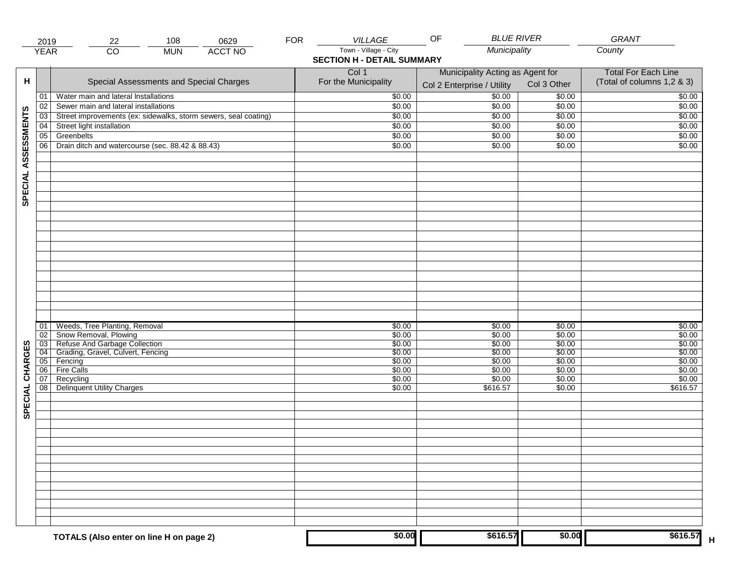|                     | 2019            | 22                                                                                                                                               | 108        | 0629           | <b>FOR</b> | <b>VILLAGE</b>                                             | <b>BLUE RIVER</b><br>OF                                        |                                                | GRANT                                                    |
|---------------------|-----------------|--------------------------------------------------------------------------------------------------------------------------------------------------|------------|----------------|------------|------------------------------------------------------------|----------------------------------------------------------------|------------------------------------------------|----------------------------------------------------------|
|                     | <b>YEAR</b>     | $\overline{CO}$                                                                                                                                  | <b>MUN</b> | <b>ACCT NO</b> |            | Town - Village - City<br><b>SECTION H - DETAIL SUMMARY</b> | Municipality                                                   |                                                | County                                                   |
| н                   |                 | Special Assessments and Special Charges                                                                                                          |            |                |            | Col 1<br>For the Municipality                              | Municipality Acting as Agent for<br>Col 2 Enterprise / Utility | Col 3 Other                                    | <b>Total For Each Line</b><br>(Total of columns 1,2 & 3) |
|                     | 01              | Water main and lateral Installations                                                                                                             |            |                |            | \$0.00                                                     | $\frac{1}{00}$                                                 | \$0.00                                         | \$0.00                                                   |
|                     | 02              | Sewer main and lateral installations                                                                                                             |            |                |            | \$0.00                                                     | \$0.00                                                         | \$0.00                                         | \$0.00                                                   |
|                     | $\overline{03}$ | Street improvements (ex: sidewalks, storm sewers, seal coating)                                                                                  |            |                |            | \$0.00                                                     | \$0.00                                                         | \$0.00                                         | \$0.00                                                   |
|                     | 04              | Street light installation                                                                                                                        |            |                |            | \$0.00                                                     | \$0.00                                                         | \$0.00                                         | \$0.00                                                   |
|                     | 05              | Greenbelts                                                                                                                                       |            |                |            | \$0.00                                                     | \$0.00                                                         | \$0.00                                         | \$0.00                                                   |
|                     | 06              | Drain ditch and watercourse (sec. 88.42 & 88.43)                                                                                                 |            |                |            | \$0.00                                                     | \$0.00                                                         | \$0.00                                         | \$0.00                                                   |
| SPECIAL ASSESSMENTS |                 |                                                                                                                                                  |            |                |            |                                                            |                                                                |                                                |                                                          |
| CHARGES             | 01<br>02        | Weeds, Tree Planting, Removal<br>Snow Removal, Plowing<br>03 Refuse And Garbage Collection<br>04 Grading, Gravel, Culvert, Fencing<br>05 Fencing |            |                |            | \$0.00<br>\$0.00<br>\$0.00<br>\$0.00<br>\$0.00             | \$0.00<br>\$0.00<br>\$0.00<br>\$0.00<br>\$0.00                 | \$0.00<br>\$0.00<br>\$0.00<br>\$0.00<br>\$0.00 | \$0.00<br>\$0.00<br>\$0.00<br>\$0.00<br>\$0.00           |
|                     | 06              | <b>Fire Calls</b>                                                                                                                                |            |                |            | \$0.00                                                     | \$0.00                                                         | \$0.00                                         | \$0.00                                                   |
| SPECIAL             | 07<br>08        | Recycling<br><b>Delinquent Utility Charges</b>                                                                                                   |            |                |            | \$0.00<br>\$0.00                                           | \$0.00<br>\$616.57                                             | \$0.00<br>\$0.00                               | \$0.00<br>\$616.57                                       |
|                     |                 |                                                                                                                                                  |            |                |            |                                                            |                                                                |                                                |                                                          |
|                     |                 | TOTALS (Also enter on line H on page 2)                                                                                                          |            |                |            | \$0.00                                                     | \$616.57                                                       | \$0.00                                         | \$616.57                                                 |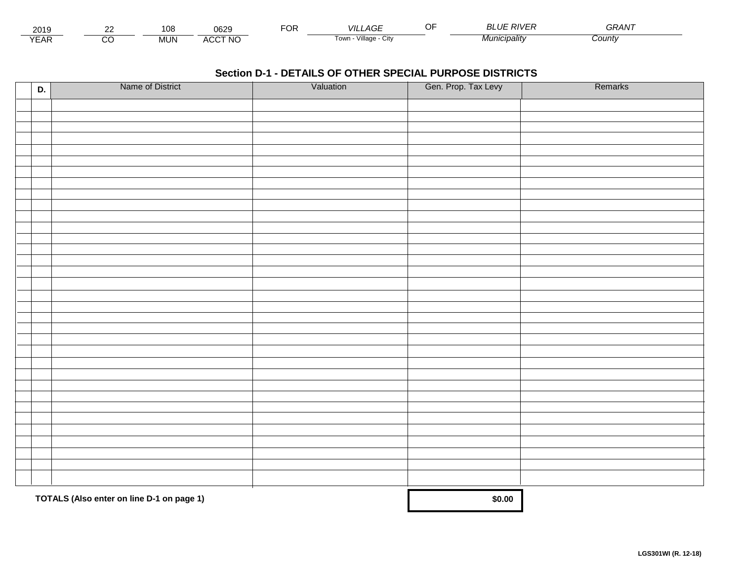| 201.                        | $\sim$ | $\sim$<br>ט י | nenc<br>∪o∠                    | ™CR | VIL<br>_AGE                        | ח־וווח          | $\sim$ $\sim$ $\sim$ $\sim$<br>GRAN |  |
|-----------------------------|--------|---------------|--------------------------------|-----|------------------------------------|-----------------|-------------------------------------|--|
| $\sqrt{2}$<br>▵<br><b>L</b> |        | <b>MUN</b>    | CCT NC،<br>$\mathbf{u}$<br>nuu |     | $\cdots$<br>Village<br>∣own<br>UIN | * "unicipality" | :ountv                              |  |

| D. | Name of District                          | Valuation | Gen. Prop. Tax Levy | Remarks |
|----|-------------------------------------------|-----------|---------------------|---------|
|    |                                           |           |                     |         |
|    |                                           |           |                     |         |
|    |                                           |           |                     |         |
|    |                                           |           |                     |         |
|    |                                           |           |                     |         |
|    |                                           |           |                     |         |
|    |                                           |           |                     |         |
|    |                                           |           |                     |         |
|    |                                           |           |                     |         |
|    |                                           |           |                     |         |
|    |                                           |           |                     |         |
|    |                                           |           |                     |         |
|    |                                           |           |                     |         |
|    |                                           |           |                     |         |
|    |                                           |           |                     |         |
|    |                                           |           |                     |         |
|    |                                           |           |                     |         |
|    |                                           |           |                     |         |
|    |                                           |           |                     |         |
|    |                                           |           |                     |         |
|    |                                           |           |                     |         |
|    |                                           |           |                     |         |
|    |                                           |           |                     |         |
|    |                                           |           |                     |         |
|    |                                           |           |                     |         |
|    |                                           |           |                     |         |
|    |                                           |           |                     |         |
|    |                                           |           |                     |         |
|    |                                           |           |                     |         |
|    |                                           |           |                     |         |
|    | TOTALS (Also enter on line D-1 on page 1) |           | \$0.00              |         |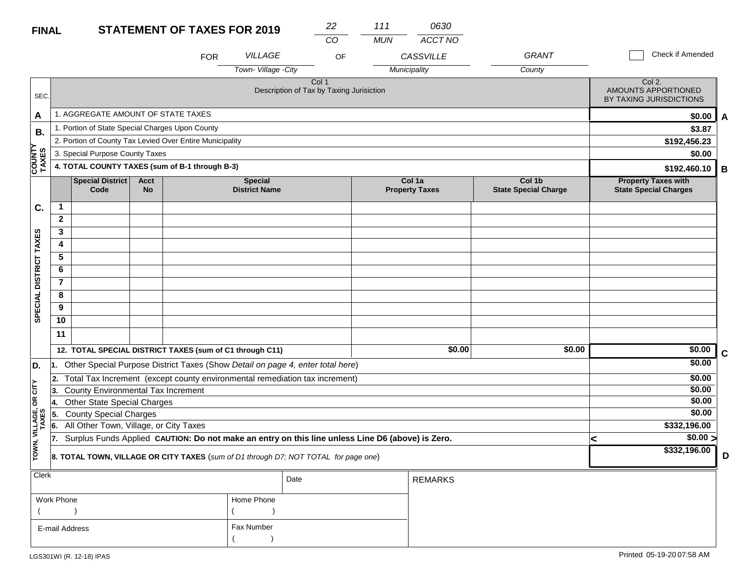#### **STATEMENT OF TAVES EOD 2010 FINAL**

| <b>FINAL</b>           |                                                |                                                                                                  |                          | <b>STATEMENT OF TAXES FOR 2019</b> |                                                                                | 22                                                | 111        | 0630                            |                                       |                                                            |             |
|------------------------|------------------------------------------------|--------------------------------------------------------------------------------------------------|--------------------------|------------------------------------|--------------------------------------------------------------------------------|---------------------------------------------------|------------|---------------------------------|---------------------------------------|------------------------------------------------------------|-------------|
|                        |                                                |                                                                                                  |                          |                                    |                                                                                | CO                                                | <b>MUN</b> | ACCT NO                         |                                       |                                                            |             |
|                        |                                                |                                                                                                  |                          | <b>FOR</b>                         | VILLAGE                                                                        | OF                                                |            | <b>CASSVILLE</b>                | GRANT                                 | <b>Check if Amended</b>                                    |             |
|                        |                                                |                                                                                                  |                          |                                    | Town-Village - City                                                            |                                                   |            | Municipality                    | County                                |                                                            |             |
| SEC.                   |                                                |                                                                                                  |                          |                                    |                                                                                | Col 1<br>Description of Tax by Taxing Jurisiction |            |                                 |                                       | Col 2.<br>AMOUNTS APPORTIONED<br>BY TAXING JURISDICTIONS   |             |
| A                      |                                                | 1. AGGREGATE AMOUNT OF STATE TAXES                                                               |                          |                                    |                                                                                |                                                   |            |                                 |                                       | \$0.00                                                     | A           |
| В.                     |                                                | 1. Portion of State Special Charges Upon County                                                  |                          |                                    |                                                                                |                                                   |            |                                 |                                       | \$3.87                                                     |             |
|                        |                                                | 2. Portion of County Tax Levied Over Entire Municipality                                         |                          |                                    |                                                                                |                                                   |            |                                 |                                       | \$192,456.23                                               |             |
|                        |                                                | 3. Special Purpose County Taxes                                                                  |                          |                                    |                                                                                |                                                   |            |                                 |                                       | \$0.00                                                     |             |
| <b>COUNTY</b><br>TAXES | 4. TOTAL COUNTY TAXES (sum of B-1 through B-3) |                                                                                                  |                          |                                    |                                                                                |                                                   |            |                                 |                                       | \$192,460.10                                               | B           |
|                        |                                                | <b>Special District</b><br>Code                                                                  | <b>Acct</b><br><b>No</b> |                                    | <b>Special</b><br><b>District Name</b>                                         |                                                   |            | Col 1a<br><b>Property Taxes</b> | Col 1b<br><b>State Special Charge</b> | <b>Property Taxes with</b><br><b>State Special Charges</b> |             |
| C.                     | $\mathbf{1}$                                   |                                                                                                  |                          |                                    |                                                                                |                                                   |            |                                 |                                       |                                                            |             |
|                        | $\mathbf{2}$                                   |                                                                                                  |                          |                                    |                                                                                |                                                   |            |                                 |                                       |                                                            |             |
|                        | 3                                              |                                                                                                  |                          |                                    |                                                                                |                                                   |            |                                 |                                       |                                                            |             |
|                        | 4                                              |                                                                                                  |                          |                                    |                                                                                |                                                   |            |                                 |                                       |                                                            |             |
|                        | 5                                              |                                                                                                  |                          |                                    |                                                                                |                                                   |            |                                 |                                       |                                                            |             |
|                        | 6                                              |                                                                                                  |                          |                                    |                                                                                |                                                   |            |                                 |                                       |                                                            |             |
| SPECIAL DISTRICT TAXES | 7                                              |                                                                                                  |                          |                                    |                                                                                |                                                   |            |                                 |                                       |                                                            |             |
|                        | 8                                              |                                                                                                  |                          |                                    |                                                                                |                                                   |            |                                 |                                       |                                                            |             |
|                        | 9                                              |                                                                                                  |                          |                                    |                                                                                |                                                   |            |                                 |                                       |                                                            |             |
|                        | 10                                             |                                                                                                  |                          |                                    |                                                                                |                                                   |            |                                 |                                       |                                                            |             |
|                        | 11                                             |                                                                                                  |                          |                                    |                                                                                |                                                   |            |                                 |                                       |                                                            |             |
|                        |                                                | 12. TOTAL SPECIAL DISTRICT TAXES (sum of C1 through C11)                                         |                          |                                    |                                                                                |                                                   |            | \$0.00                          | \$0.00                                | \$0.00                                                     | $\mathbf c$ |
| D.                     | 11.                                            |                                                                                                  |                          |                                    | Other Special Purpose District Taxes (Show Detail on page 4, enter total here) |                                                   |            |                                 |                                       | \$0.00                                                     |             |
|                        | 12.                                            |                                                                                                  |                          |                                    | Total Tax Increment (except county environmental remediation tax increment)    |                                                   |            |                                 |                                       | \$0.00                                                     |             |
| CITY                   | 13.                                            | <b>County Environmental Tax Increment</b>                                                        |                          |                                    |                                                                                |                                                   |            |                                 |                                       | \$0.00                                                     |             |
| бR                     | 14.                                            | Other State Special Charges                                                                      |                          |                                    |                                                                                |                                                   |            |                                 |                                       | \$0.00                                                     |             |
|                        | 5.                                             | <b>County Special Charges</b>                                                                    |                          |                                    |                                                                                |                                                   |            |                                 |                                       | \$0.00                                                     |             |
| VILLAGE,<br>TAXES      | 6.                                             | All Other Town, Village, or City Taxes                                                           |                          | \$332,196.00                       |                                                                                |                                                   |            |                                 |                                       |                                                            |             |
|                        | 17.                                            | Surplus Funds Applied CAUTION: Do not make an entry on this line unless Line D6 (above) is Zero. |                          |                                    | \$0.00 ><br><                                                                  |                                                   |            |                                 |                                       |                                                            |             |
| TOWN,                  |                                                | 8. TOTAL TOWN, VILLAGE OR CITY TAXES (sum of D1 through D7; NOT TOTAL for page one)              | \$332,196.00             | D                                  |                                                                                |                                                   |            |                                 |                                       |                                                            |             |
| Clerk                  |                                                |                                                                                                  |                          |                                    |                                                                                | Date                                              |            | <b>REMARKS</b>                  |                                       |                                                            |             |

| יייטיש ו       | Date       |  | REMARKS |
|----------------|------------|--|---------|
| Work Phone     | Home Phone |  |         |
|                |            |  |         |
| E-mail Address | Fax Number |  |         |
|                |            |  |         |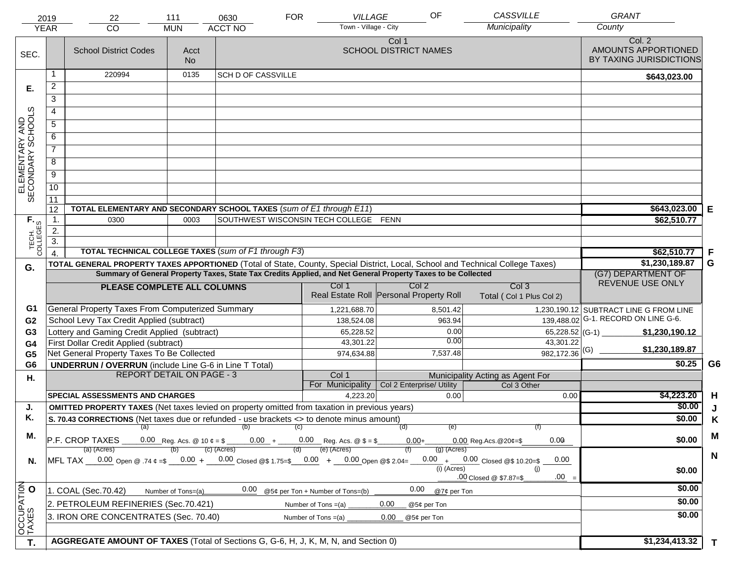|                                                                                      | 2019             | 22                                                                                                                                                                                                                                             | 111                                    | 0630                      | <b>FOR</b>                                       | VILLAGE                               | OF                        | <b>CASSVILLE</b>                             | <b>GRANT</b>                                             |                |
|--------------------------------------------------------------------------------------|------------------|------------------------------------------------------------------------------------------------------------------------------------------------------------------------------------------------------------------------------------------------|----------------------------------------|---------------------------|--------------------------------------------------|---------------------------------------|---------------------------|----------------------------------------------|----------------------------------------------------------|----------------|
|                                                                                      | <b>YEAR</b>      | CO                                                                                                                                                                                                                                             | <b>MUN</b>                             | <b>ACCT NO</b>            |                                                  | Town - Village - City                 |                           | Municipality                                 | County                                                   |                |
| SEC.                                                                                 |                  | <b>School District Codes</b>                                                                                                                                                                                                                   | Acct<br><b>No</b>                      |                           |                                                  | Col 1<br><b>SCHOOL DISTRICT NAMES</b> |                           |                                              | Col. 2<br>AMOUNTS APPORTIONED<br>BY TAXING JURISDICTIONS |                |
|                                                                                      | 1                | 220994                                                                                                                                                                                                                                         | 0135                                   | <b>SCH D OF CASSVILLE</b> |                                                  |                                       |                           |                                              | \$643,023.00                                             |                |
| Е.                                                                                   | $\overline{2}$   |                                                                                                                                                                                                                                                |                                        |                           |                                                  |                                       |                           |                                              |                                                          |                |
|                                                                                      | 3                |                                                                                                                                                                                                                                                |                                        |                           |                                                  |                                       |                           |                                              |                                                          |                |
|                                                                                      | 4                |                                                                                                                                                                                                                                                |                                        |                           |                                                  |                                       |                           |                                              |                                                          |                |
|                                                                                      | $\overline{5}$   |                                                                                                                                                                                                                                                |                                        |                           |                                                  |                                       |                           |                                              |                                                          |                |
|                                                                                      | 6                |                                                                                                                                                                                                                                                |                                        |                           |                                                  |                                       |                           |                                              |                                                          |                |
|                                                                                      | $\overline{7}$   |                                                                                                                                                                                                                                                |                                        |                           |                                                  |                                       |                           |                                              |                                                          |                |
| ELEMENTARY AND<br>SECONDARY SCHOOLS                                                  | 8                |                                                                                                                                                                                                                                                |                                        |                           |                                                  |                                       |                           |                                              |                                                          |                |
|                                                                                      | $\overline{9}$   |                                                                                                                                                                                                                                                |                                        |                           |                                                  |                                       |                           |                                              |                                                          |                |
|                                                                                      | 10               |                                                                                                                                                                                                                                                |                                        |                           |                                                  |                                       |                           |                                              |                                                          |                |
|                                                                                      | $\overline{11}$  |                                                                                                                                                                                                                                                |                                        |                           |                                                  |                                       |                           |                                              |                                                          |                |
|                                                                                      | 12               | TOTAL ELEMENTARY AND SECONDARY SCHOOL TAXES (sum of E1 through E11)                                                                                                                                                                            |                                        |                           |                                                  |                                       |                           |                                              | \$643,023.00                                             | Е              |
|                                                                                      | $\mathbf 1$ .    | 0300                                                                                                                                                                                                                                           | 0003                                   |                           | SOUTHWEST WISCONSIN TECH COLLEGE FENN            |                                       |                           |                                              | \$62,510.77                                              |                |
| TECH. T                                                                              | 2.               |                                                                                                                                                                                                                                                |                                        |                           |                                                  |                                       |                           |                                              |                                                          |                |
|                                                                                      | $\overline{3}$ . |                                                                                                                                                                                                                                                |                                        |                           |                                                  |                                       |                           |                                              |                                                          |                |
|                                                                                      | $\overline{4}$   | TOTAL TECHNICAL COLLEGE TAXES (sum of F1 through F3)                                                                                                                                                                                           |                                        | \$62,510.77               | F                                                |                                       |                           |                                              |                                                          |                |
| G.                                                                                   |                  | TOTAL GENERAL PROPERTY TAXES APPORTIONED (Total of State, County, Special District, Local, School and Technical College Taxes)<br>Summary of General Property Taxes, State Tax Credits Applied, and Net General Property Taxes to be Collected |                                        | \$1,230,189.87            | G                                                |                                       |                           |                                              |                                                          |                |
|                                                                                      |                  |                                                                                                                                                                                                                                                | (G7) DEPARTMENT OF<br>REVENUE USE ONLY |                           |                                                  |                                       |                           |                                              |                                                          |                |
|                                                                                      |                  | PLEASE COMPLETE ALL COLUMNS                                                                                                                                                                                                                    |                                        |                           | Col 1<br>Real Estate Roll Personal Property Roll |                                       | Col <sub>2</sub>          | Col <sub>3</sub><br>Total (Col 1 Plus Col 2) |                                                          |                |
| G1                                                                                   |                  | General Property Taxes From Computerized Summary                                                                                                                                                                                               |                                        |                           | 1,221,688.70                                     |                                       | 8,501.42                  |                                              | 1,230,190.12 SUBTRACT LINE G FROM LINE                   |                |
| G <sub>2</sub>                                                                       |                  | School Levy Tax Credit Applied (subtract)                                                                                                                                                                                                      |                                        |                           | 138,524.08                                       |                                       | 963.94                    |                                              | 139,488.02 G-1. RECORD ON LINE G-6.                      |                |
| G3                                                                                   |                  | Lottery and Gaming Credit Applied (subtract)                                                                                                                                                                                                   |                                        |                           | 65,228.52                                        |                                       | 0.00                      | 65,228.52 (G-1) $-$                          | \$1,230,190.12                                           |                |
| G4                                                                                   |                  | First Dollar Credit Applied (subtract)                                                                                                                                                                                                         |                                        |                           | 43,301.22                                        |                                       | 0.00                      | 43,301.22                                    | \$1,230,189.87                                           |                |
| G <sub>5</sub>                                                                       |                  | Net General Property Taxes To Be Collected                                                                                                                                                                                                     |                                        |                           | 974,634.88                                       |                                       | 7,537.48                  | $982,172.36$ <sup>(G)</sup>                  | \$0.25                                                   | G <sub>6</sub> |
| G <sub>6</sub>                                                                       |                  | <b>UNDERRUN / OVERRUN</b> (include Line G-6 in Line T Total)<br><b>REPORT DETAIL ON PAGE - 3</b>                                                                                                                                               |                                        |                           | Col 1                                            |                                       |                           | Municipality Acting as Agent For             |                                                          |                |
| Η.                                                                                   |                  |                                                                                                                                                                                                                                                |                                        |                           | For Municipality                                 |                                       | Col 2 Enterprise/ Utility | Col 3 Other                                  |                                                          |                |
|                                                                                      |                  | <b>SPECIAL ASSESSMENTS AND CHARGES</b>                                                                                                                                                                                                         |                                        |                           | 4,223.20                                         |                                       | 0.00                      | 0.00                                         | \$4,223.20                                               | H              |
| J.                                                                                   |                  | <b>OMITTED PROPERTY TAXES</b> (Net taxes levied on property omitted from taxation in previous years)                                                                                                                                           |                                        |                           |                                                  |                                       |                           |                                              | \$0.00                                                   | J              |
| Κ.                                                                                   |                  | S. 70.43 CORRECTIONS (Net taxes due or refunded - use brackets <> to denote minus amount)                                                                                                                                                      |                                        |                           |                                                  |                                       |                           |                                              | \$0.00                                                   | K              |
| М.                                                                                   |                  |                                                                                                                                                                                                                                                |                                        | (a) (b) (c)               |                                                  | (d)                                   | (e)                       |                                              |                                                          | M              |
|                                                                                      |                  | $\overline{P.F.}$ CROP TAXES 0.00 Reg. Acs. @ 10 $\ell = \$$ 0.00 + 0.00 Reg. Acs. @ $\ell = \$$                                                                                                                                               | 0.00<br>$0.00$ Reg. Acs. @ 20¢=\$      | \$0.00                    |                                                  |                                       |                           |                                              |                                                          |                |
|                                                                                      |                  | (a) (Acres)<br>MFL TAX 0.00 Open @ .74 ¢ =\$ 0.00 + 0.00 Closed @\$ 1.75=\$ 0.00 + 0.00 Open @\$ 2.04=                                                                                                                                         |                                        | $(c)$ (Acres)             | (e) (Acres)<br>(d)                               |                                       | $(g)$ (Acres)             | $0.00 + 0.00$ Closed @\$ 10.20=\$<br>0.00    |                                                          | $\mathbf N$    |
| N.                                                                                   |                  |                                                                                                                                                                                                                                                |                                        |                           |                                                  |                                       | $(i)$ (Acres)             | (i)                                          | \$0.00                                                   |                |
|                                                                                      |                  |                                                                                                                                                                                                                                                |                                        |                           |                                                  |                                       |                           | $.00 =$<br>.00 Closed @ \$7.87=\$            |                                                          |                |
|                                                                                      |                  | 1. COAL (Sec.70.42)                                                                                                                                                                                                                            | Number of Tons=(a)                     | 0.00                      | @5¢ per Ton + Number of Tons=(b)                 |                                       | 0.00<br>@7¢ per Ton       |                                              | \$0.00                                                   |                |
| 2. PETROLEUM REFINERIES (Sec.70.421)<br>0.00<br>Number of Tons $=(a)$<br>@5¢ per Ton |                  |                                                                                                                                                                                                                                                |                                        |                           |                                                  |                                       |                           |                                              | \$0.00                                                   |                |
|                                                                                      |                  | 3. IRON ORE CONCENTRATES (Sec. 70.40)                                                                                                                                                                                                          |                                        |                           | Number of Tons $=(a)$                            | 0.00                                  | @5¢ per Ton               |                                              | \$0.00                                                   |                |
| OCCUPATION<br>TAXES O                                                                |                  |                                                                                                                                                                                                                                                |                                        |                           |                                                  |                                       |                           |                                              |                                                          |                |
| T.                                                                                   |                  | AGGREGATE AMOUNT OF TAXES (Total of Sections G, G-6, H, J, K, M, N, and Section 0)                                                                                                                                                             |                                        |                           |                                                  |                                       |                           |                                              | \$1,234,413.32                                           | $\mathbf{T}$   |
|                                                                                      |                  |                                                                                                                                                                                                                                                |                                        |                           |                                                  |                                       |                           |                                              |                                                          |                |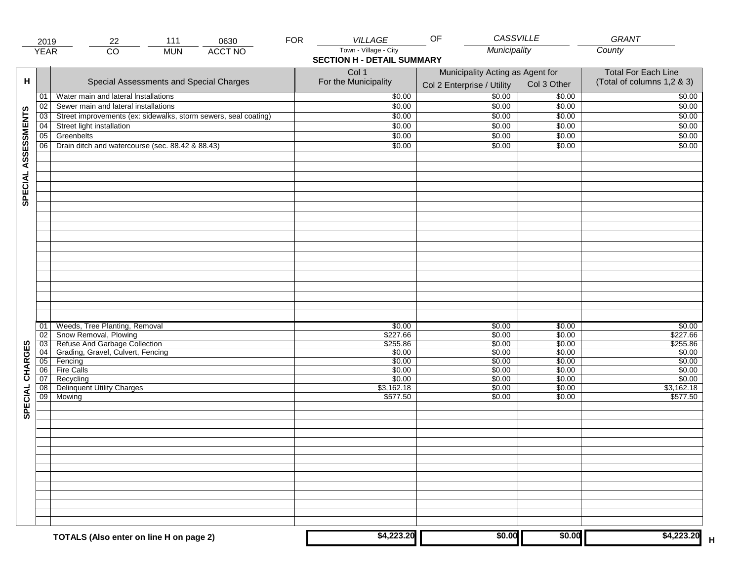|                     | 2019            | 22                                                              | 111        | 0630           | <b>FOR</b> | <b>VILLAGE</b>                    | <b>CASSVILLE</b><br>OF           |                  | GRANT                      |
|---------------------|-----------------|-----------------------------------------------------------------|------------|----------------|------------|-----------------------------------|----------------------------------|------------------|----------------------------|
|                     | <b>YEAR</b>     | $\overline{CO}$                                                 | <b>MUN</b> | <b>ACCT NO</b> |            | Town - Village - City             | Municipality                     |                  | County                     |
|                     |                 |                                                                 |            |                |            | <b>SECTION H - DETAIL SUMMARY</b> |                                  |                  |                            |
|                     |                 |                                                                 |            |                |            | Col 1                             | Municipality Acting as Agent for |                  | <b>Total For Each Line</b> |
| н                   |                 | Special Assessments and Special Charges                         |            |                |            | For the Municipality              | Col 2 Enterprise / Utility       | Col 3 Other      | (Total of columns 1,2 & 3) |
|                     | 01              | Water main and lateral Installations                            |            |                |            | \$0.00                            | 50.00                            | \$0.00           | \$0.00                     |
|                     | 02              | Sewer main and lateral installations                            |            |                |            | \$0.00                            | \$0.00                           | \$0.00           | \$0.00                     |
|                     | $\overline{03}$ | Street improvements (ex: sidewalks, storm sewers, seal coating) |            |                |            | \$0.00                            | \$0.00                           | \$0.00           | \$0.00                     |
|                     | 04              | Street light installation                                       |            |                |            | \$0.00                            | \$0.00                           | \$0.00           | \$0.00                     |
|                     | 05              | Greenbelts                                                      |            |                |            | \$0.00                            | \$0.00                           | \$0.00           | \$0.00                     |
| SPECIAL ASSESSMENTS | 06              | Drain ditch and watercourse (sec. 88.42 & 88.43)                |            |                |            | \$0.00                            | \$0.00                           | \$0.00           | \$0.00                     |
|                     |                 |                                                                 |            |                |            |                                   |                                  |                  |                            |
|                     |                 |                                                                 |            |                |            |                                   |                                  |                  |                            |
|                     |                 |                                                                 |            |                |            |                                   |                                  |                  |                            |
|                     |                 |                                                                 |            |                |            |                                   |                                  |                  |                            |
|                     |                 |                                                                 |            |                |            |                                   |                                  |                  |                            |
|                     |                 |                                                                 |            |                |            |                                   |                                  |                  |                            |
|                     |                 |                                                                 |            |                |            |                                   |                                  |                  |                            |
|                     |                 |                                                                 |            |                |            |                                   |                                  |                  |                            |
|                     |                 |                                                                 |            |                |            |                                   |                                  |                  |                            |
|                     |                 |                                                                 |            |                |            |                                   |                                  |                  |                            |
|                     |                 |                                                                 |            |                |            |                                   |                                  |                  |                            |
|                     |                 |                                                                 |            |                |            |                                   |                                  |                  |                            |
|                     |                 |                                                                 |            |                |            |                                   |                                  |                  |                            |
|                     |                 |                                                                 |            |                |            |                                   |                                  |                  |                            |
|                     |                 |                                                                 |            |                |            |                                   |                                  |                  |                            |
|                     |                 |                                                                 |            |                |            |                                   |                                  |                  |                            |
|                     | 01<br>02        | Weeds, Tree Planting, Removal<br>Snow Removal, Plowing          |            |                |            | \$0.00<br>\$227.66                | \$0.00<br>\$0.00                 | \$0.00<br>\$0.00 | \$0.00<br>\$227.66         |
|                     | 03              | Refuse And Garbage Collection                                   |            |                |            | \$255.86                          | \$0.00                           | \$0.00           | \$255.86                   |
|                     | 04              | Grading, Gravel, Culvert, Fencing                               |            |                |            | \$0.00                            | \$0.00                           | \$0.00           | \$0.00                     |
| CHARGES             | 05              | Fencing                                                         |            |                |            | \$0.00                            | \$0.00                           | \$0.00           | \$0.00                     |
|                     | 06              | <b>Fire Calls</b>                                               |            |                |            | \$0.00                            | \$0.00                           | \$0.00           | \$0.00                     |
|                     | 07<br>08        | Recycling<br><b>Delinquent Utility Charges</b>                  |            |                |            | \$0.00<br>\$3,162.18              | \$0.00<br>\$0.00                 | \$0.00<br>\$0.00 | \$0.00<br>\$3,162.18       |
| SPECIAL             | $\overline{09}$ | Mowing                                                          |            |                |            | \$577.50                          | \$0.00                           | \$0.00           | \$577.50                   |
|                     |                 |                                                                 |            |                |            |                                   |                                  |                  |                            |
|                     |                 |                                                                 |            |                |            |                                   |                                  |                  |                            |
|                     |                 |                                                                 |            |                |            |                                   |                                  |                  |                            |
|                     |                 |                                                                 |            |                |            |                                   |                                  |                  |                            |
|                     |                 |                                                                 |            |                |            |                                   |                                  |                  |                            |
|                     |                 |                                                                 |            |                |            |                                   |                                  |                  |                            |
|                     |                 |                                                                 |            |                |            |                                   |                                  |                  |                            |
|                     |                 |                                                                 |            |                |            |                                   |                                  |                  |                            |
|                     |                 |                                                                 |            |                |            |                                   |                                  |                  |                            |
|                     |                 |                                                                 |            |                |            |                                   |                                  |                  |                            |
|                     |                 |                                                                 |            |                |            |                                   |                                  |                  |                            |
|                     |                 |                                                                 |            |                |            |                                   |                                  |                  |                            |
|                     |                 | TOTALS (Also enter on line H on page 2)                         |            |                |            | \$4,223.20                        | \$0.00                           | \$0.00           | \$4,223.20                 |
|                     |                 |                                                                 |            |                |            |                                   |                                  |                  |                            |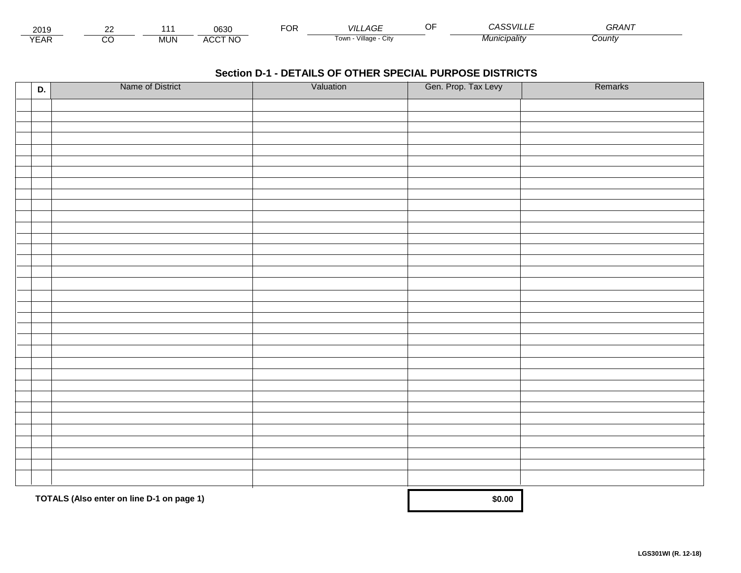| 2015                 | $\sim$ |        | ∩െ∩<br>υοσυ                 | ட்்<br>◡┍ | _AGF<br>VII I             | $   -$<br>``VIL∟.   | <b>^^</b><br>GRAN |  |
|----------------------|--------|--------|-----------------------------|-----------|---------------------------|---------------------|-------------------|--|
| $\sqrt{2}$<br>▵<br>. |        | .viun. | CCT NC،<br>$\Lambda$<br>nuu |           | Village<br>' OWLL<br>◡៲៶៶ | <i>Municipality</i> | Count             |  |

| D. | Name of District                          | Valuation | Gen. Prop. Tax Levy | Remarks |
|----|-------------------------------------------|-----------|---------------------|---------|
|    |                                           |           |                     |         |
|    |                                           |           |                     |         |
|    |                                           |           |                     |         |
|    |                                           |           |                     |         |
|    |                                           |           |                     |         |
|    |                                           |           |                     |         |
|    |                                           |           |                     |         |
|    |                                           |           |                     |         |
|    |                                           |           |                     |         |
|    |                                           |           |                     |         |
|    |                                           |           |                     |         |
|    |                                           |           |                     |         |
|    |                                           |           |                     |         |
|    |                                           |           |                     |         |
|    |                                           |           |                     |         |
|    |                                           |           |                     |         |
|    |                                           |           |                     |         |
|    |                                           |           |                     |         |
|    |                                           |           |                     |         |
|    |                                           |           |                     |         |
|    |                                           |           |                     |         |
|    |                                           |           |                     |         |
|    |                                           |           |                     |         |
|    |                                           |           |                     |         |
|    |                                           |           |                     |         |
|    |                                           |           |                     |         |
|    |                                           |           |                     |         |
|    |                                           |           |                     |         |
|    |                                           |           |                     |         |
|    |                                           |           |                     |         |
|    | TOTALS (Also enter on line D-1 on page 1) |           | \$0.00              |         |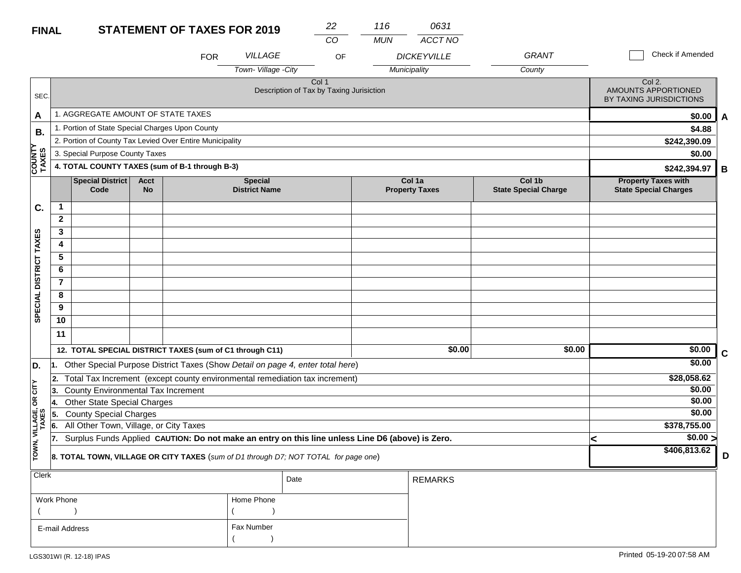| <b>FINAL</b>            |                                                  |                                                                                                  |                          | <b>STATEMENT OF TAXES FOR 2019</b> |                                                                                     | 22<br>CO                                          | 116<br><b>MUN</b> | 0631                            |                                       |                                                            |             |
|-------------------------|--------------------------------------------------|--------------------------------------------------------------------------------------------------|--------------------------|------------------------------------|-------------------------------------------------------------------------------------|---------------------------------------------------|-------------------|---------------------------------|---------------------------------------|------------------------------------------------------------|-------------|
|                         |                                                  |                                                                                                  |                          | <b>FOR</b>                         | VILLAGE                                                                             | OF                                                |                   | ACCT NO<br><b>DICKEYVILLE</b>   | <b>GRANT</b>                          | Check if Amended                                           |             |
|                         |                                                  |                                                                                                  |                          |                                    | Town-Village -City                                                                  |                                                   |                   | Municipality                    | County                                |                                                            |             |
| SEC.                    |                                                  |                                                                                                  |                          |                                    |                                                                                     | Col 1<br>Description of Tax by Taxing Jurisiction |                   |                                 |                                       | Col 2.<br>AMOUNTS APPORTIONED<br>BY TAXING JURISDICTIONS   |             |
| A                       |                                                  | 1. AGGREGATE AMOUNT OF STATE TAXES                                                               |                          |                                    |                                                                                     |                                                   |                   |                                 |                                       | \$0.00                                                     | A           |
| В.                      |                                                  | 1. Portion of State Special Charges Upon County                                                  |                          |                                    |                                                                                     |                                                   |                   |                                 |                                       | \$4.88                                                     |             |
|                         |                                                  | 2. Portion of County Tax Levied Over Entire Municipality                                         |                          |                                    |                                                                                     |                                                   |                   |                                 |                                       | \$242,390.09                                               |             |
|                         |                                                  | 3. Special Purpose County Taxes                                                                  |                          |                                    |                                                                                     |                                                   |                   |                                 |                                       | \$0.00                                                     |             |
| <b>COUNTY<br/>TAXES</b> |                                                  | 4. TOTAL COUNTY TAXES (sum of B-1 through B-3)                                                   |                          |                                    |                                                                                     |                                                   |                   |                                 |                                       | \$242,394.97                                               | B           |
|                         |                                                  | Special District<br>Code                                                                         | <b>Acct</b><br><b>No</b> |                                    | <b>Special</b><br><b>District Name</b>                                              |                                                   |                   | Col 1a<br><b>Property Taxes</b> | Col 1b<br><b>State Special Charge</b> | <b>Property Taxes with</b><br><b>State Special Charges</b> |             |
| C.                      | $\mathbf{1}$                                     |                                                                                                  |                          |                                    |                                                                                     |                                                   |                   |                                 |                                       |                                                            |             |
|                         | $\mathbf{2}$                                     |                                                                                                  |                          |                                    |                                                                                     |                                                   |                   |                                 |                                       |                                                            |             |
|                         | 3                                                |                                                                                                  |                          |                                    |                                                                                     |                                                   |                   |                                 |                                       |                                                            |             |
|                         | 4                                                |                                                                                                  |                          |                                    |                                                                                     |                                                   |                   |                                 |                                       |                                                            |             |
|                         | 5                                                |                                                                                                  |                          |                                    |                                                                                     |                                                   |                   |                                 |                                       |                                                            |             |
|                         | 6                                                |                                                                                                  |                          |                                    |                                                                                     |                                                   |                   |                                 |                                       |                                                            |             |
| SPECIAL DISTRICT TAXES  | $\overline{7}$                                   |                                                                                                  |                          |                                    |                                                                                     |                                                   |                   |                                 |                                       |                                                            |             |
|                         | 8                                                |                                                                                                  |                          |                                    |                                                                                     |                                                   |                   |                                 |                                       |                                                            |             |
|                         | 9                                                |                                                                                                  |                          |                                    |                                                                                     |                                                   |                   |                                 |                                       |                                                            |             |
|                         | 10                                               |                                                                                                  |                          |                                    |                                                                                     |                                                   |                   |                                 |                                       |                                                            |             |
|                         | 11                                               |                                                                                                  |                          |                                    |                                                                                     |                                                   |                   |                                 |                                       |                                                            |             |
|                         |                                                  | 12. TOTAL SPECIAL DISTRICT TAXES (sum of C1 through C11)                                         |                          |                                    |                                                                                     |                                                   |                   | \$0.00                          | \$0.00                                | \$0.00                                                     | $\mathbf c$ |
| D.                      | 11.                                              |                                                                                                  |                          |                                    | Other Special Purpose District Taxes (Show Detail on page 4, enter total here)      |                                                   |                   |                                 |                                       | \$0.00                                                     |             |
|                         | 2.                                               |                                                                                                  |                          |                                    | Total Tax Increment (except county environmental remediation tax increment)         |                                                   |                   |                                 |                                       | \$28,058.62                                                |             |
| CITY                    | <b>County Environmental Tax Increment</b><br>13. |                                                                                                  |                          |                                    |                                                                                     |                                                   |                   |                                 |                                       | \$0.00                                                     |             |
| g                       | 14.                                              | <b>Other State Special Charges</b>                                                               |                          |                                    |                                                                                     |                                                   |                   |                                 |                                       | \$0.00                                                     |             |
|                         | 15.                                              | <b>County Special Charges</b>                                                                    |                          |                                    |                                                                                     |                                                   |                   |                                 |                                       | \$0.00                                                     |             |
| VILLAGE,<br>TAXES       | 6.                                               | All Other Town, Village, or City Taxes                                                           |                          | \$378,755.00                       |                                                                                     |                                                   |                   |                                 |                                       |                                                            |             |
|                         | 17.                                              | Surplus Funds Applied CAUTION: Do not make an entry on this line unless Line D6 (above) is Zero. | $\sqrt{$0.00}$<br><      |                                    |                                                                                     |                                                   |                   |                                 |                                       |                                                            |             |
| TOWN,                   |                                                  |                                                                                                  |                          |                                    | 8. TOTAL TOWN, VILLAGE OR CITY TAXES (sum of D1 through D7; NOT TOTAL for page one) |                                                   |                   |                                 |                                       | \$406,813.62                                               | D           |
| <b>Clerk</b>            |                                                  |                                                                                                  |                          |                                    |                                                                                     | Date                                              |                   | <b>REMARKS</b>                  |                                       |                                                            |             |

| יייטיש ו       |            | Date | REMARKS |
|----------------|------------|------|---------|
| Work Phone     | Home Phone |      |         |
|                |            |      |         |
| E-mail Address | Fax Number |      |         |
|                |            |      |         |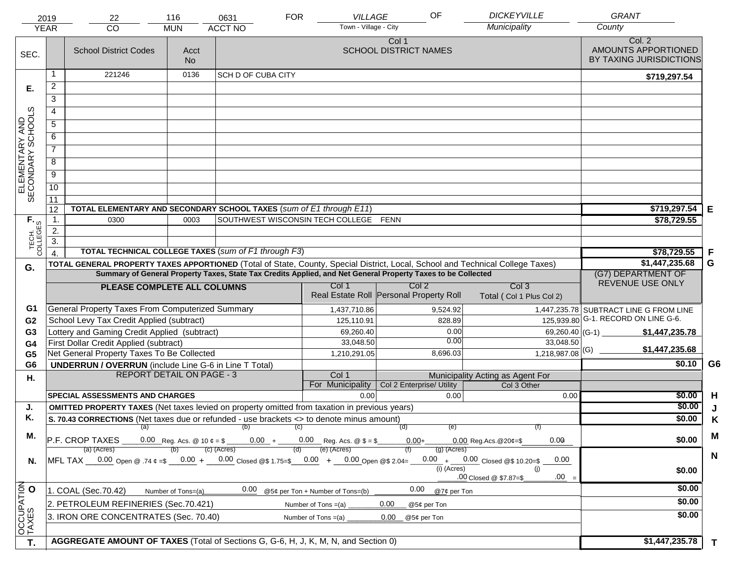|                                     | 2019                   | 22                                                                                                                             | 116                              | 0631                                  | <b>FOR</b> | <b>VILLAGE</b>                   | OF                                      |               | <b>DICKEYVILLE</b>                           | <b>GRANT</b>                                             |              |
|-------------------------------------|------------------------|--------------------------------------------------------------------------------------------------------------------------------|----------------------------------|---------------------------------------|------------|----------------------------------|-----------------------------------------|---------------|----------------------------------------------|----------------------------------------------------------|--------------|
|                                     | <b>YEAR</b>            | CO                                                                                                                             | <b>MUN</b>                       | <b>ACCT NO</b>                        |            | Town - Village - City            |                                         |               | Municipality                                 | County                                                   |              |
| SEC.                                |                        | <b>School District Codes</b>                                                                                                   | Acct<br><b>No</b>                |                                       |            |                                  | Col 1<br><b>SCHOOL DISTRICT NAMES</b>   |               |                                              | Col. 2<br>AMOUNTS APPORTIONED<br>BY TAXING JURISDICTIONS |              |
|                                     | -1                     | 221246                                                                                                                         | 0136                             | <b>SCH D OF CUBA CITY</b>             |            |                                  |                                         |               |                                              | \$719,297.54                                             |              |
| Е.                                  | $\overline{c}$         |                                                                                                                                |                                  |                                       |            |                                  |                                         |               |                                              |                                                          |              |
|                                     | 3                      |                                                                                                                                |                                  |                                       |            |                                  |                                         |               |                                              |                                                          |              |
|                                     | 4                      |                                                                                                                                |                                  |                                       |            |                                  |                                         |               |                                              |                                                          |              |
|                                     | $\overline{5}$         |                                                                                                                                |                                  |                                       |            |                                  |                                         |               |                                              |                                                          |              |
|                                     | 6                      |                                                                                                                                |                                  |                                       |            |                                  |                                         |               |                                              |                                                          |              |
|                                     | $\overline{7}$         |                                                                                                                                |                                  |                                       |            |                                  |                                         |               |                                              |                                                          |              |
|                                     | 8                      |                                                                                                                                |                                  |                                       |            |                                  |                                         |               |                                              |                                                          |              |
|                                     | $\overline{9}$         |                                                                                                                                |                                  |                                       |            |                                  |                                         |               |                                              |                                                          |              |
| ELEMENTARY AND<br>SECONDARY SCHOOLS | 10                     |                                                                                                                                |                                  |                                       |            |                                  |                                         |               |                                              |                                                          |              |
|                                     | $\overline{11}$        |                                                                                                                                |                                  |                                       |            |                                  |                                         |               |                                              |                                                          |              |
|                                     | 12                     | TOTAL ELEMENTARY AND SECONDARY SCHOOL TAXES (sum of E1 through E11)                                                            |                                  |                                       |            |                                  |                                         |               |                                              | $$719,297.54$ E                                          |              |
|                                     | $\mathbf{1}$ .         | 0300                                                                                                                           | 0003                             | SOUTHWEST WISCONSIN TECH COLLEGE FENN |            |                                  |                                         |               |                                              | \$78,729.55                                              |              |
|                                     | 2.                     |                                                                                                                                |                                  |                                       |            |                                  |                                         |               |                                              |                                                          |              |
| TECH. T                             | $\overline{3}$ .       | TOTAL TECHNICAL COLLEGE TAXES (sum of F1 through F3)                                                                           |                                  |                                       |            |                                  |                                         |               |                                              |                                                          |              |
|                                     | $\boldsymbol{\Lambda}$ | TOTAL GENERAL PROPERTY TAXES APPORTIONED (Total of State, County, Special District, Local, School and Technical College Taxes) |                                  | \$78,729.55<br>\$1,447,235.68         | F<br>G     |                                  |                                         |               |                                              |                                                          |              |
| G.                                  |                        | Summary of General Property Taxes, State Tax Credits Applied, and Net General Property Taxes to be Collected                   |                                  | (G7) DEPARTMENT OF                    |            |                                  |                                         |               |                                              |                                                          |              |
|                                     |                        | PLEASE COMPLETE ALL COLUMNS                                                                                                    | REVENUE USE ONLY                 |                                       |            |                                  |                                         |               |                                              |                                                          |              |
|                                     |                        |                                                                                                                                |                                  |                                       |            |                                  | Real Estate Roll Personal Property Roll |               | Col <sub>3</sub><br>Total (Col 1 Plus Col 2) |                                                          |              |
| G1                                  |                        | General Property Taxes From Computerized Summary                                                                               |                                  |                                       |            | 1,437,710.86                     |                                         | 9,524.92      |                                              | 1,447,235.78 SUBTRACT LINE G FROM LINE                   |              |
| G <sub>2</sub>                      |                        | School Levy Tax Credit Applied (subtract)                                                                                      |                                  |                                       |            | 125,110.91                       |                                         | 828.89        |                                              | 125,939.80 G-1. RECORD ON LINE G-6.                      |              |
| G <sub>3</sub>                      |                        | Lottery and Gaming Credit Applied (subtract)                                                                                   |                                  |                                       |            | 69,260.40                        |                                         | 0.00          | 69,260.40 (G-1)                              | \$1,447,235.78                                           |              |
| G <sub>4</sub>                      |                        | First Dollar Credit Applied (subtract)                                                                                         |                                  |                                       |            | 33,048.50                        |                                         | 0.00          | 33,048.50                                    | \$1,447,235.68                                           |              |
| G <sub>5</sub>                      |                        | Net General Property Taxes To Be Collected                                                                                     |                                  |                                       |            | 1,210,291.05                     |                                         | 8,696.03      | $1,218,987.08$ <sup>(G)</sup>                |                                                          |              |
| G <sub>6</sub>                      |                        | <b>UNDERRUN / OVERRUN</b> (include Line G-6 in Line T Total)                                                                   | <b>REPORT DETAIL ON PAGE - 3</b> |                                       |            | Col 1                            |                                         |               | Municipality Acting as Agent For             | \$0.10                                                   | G6           |
| Η.                                  |                        |                                                                                                                                |                                  |                                       |            | For Municipality                 | Col 2 Enterprise/ Utility               |               | Col 3 Other                                  |                                                          |              |
|                                     |                        | <b>SPECIAL ASSESSMENTS AND CHARGES</b>                                                                                         |                                  |                                       |            | 0.00                             |                                         | 0.00          | 0.00                                         | \$0.00                                                   | H            |
| J.                                  |                        | <b>OMITTED PROPERTY TAXES</b> (Net taxes levied on property omitted from taxation in previous years)                           |                                  |                                       |            |                                  |                                         |               |                                              | \$0.00                                                   |              |
| Κ.                                  |                        | S. 70.43 CORRECTIONS (Net taxes due or refunded - use brackets <> to denote minus amount)                                      |                                  |                                       |            |                                  |                                         |               |                                              | \$0.00                                                   | K            |
| М.                                  |                        |                                                                                                                                |                                  | (a) (b) (c)                           |            |                                  | (d)                                     | (e)           |                                              |                                                          | M            |
|                                     |                        | P.F. CROP TAXES 0.00 Reg. Acs. @ 10 $\ell = \ell$ 0.00 + 0.00 Reg. Acs. @ $\ell = \ell$ 0.00+<br>(a) (Acres)                   |                                  | (c) (Acres)                           | (d)        | (e) (Acres)                      |                                         | (g) (Acres)   | 0.00<br>$0.00$ Reg. Acs. @ 20¢=\$            | \$0.00                                                   |              |
| N.                                  |                        | MFL TAX 0.00 Open @ .74 ¢ =\$ 0.00 + 0.00 Closed @\$ 1.75=\$ 0.00 + 0.00 Open @\$ 2.04=                                        |                                  |                                       |            |                                  |                                         |               | $0.00 + 0.00$ Closed @\$ 10.20=\$<br>0.00    |                                                          | N            |
|                                     |                        |                                                                                                                                |                                  |                                       |            |                                  |                                         | $(i)$ (Acres) | (i)                                          | \$0.00                                                   |              |
|                                     |                        |                                                                                                                                |                                  |                                       |            |                                  |                                         |               | $.00 =$<br>.00 Closed @ \$7.87=\$            |                                                          |              |
|                                     |                        | 1. COAL (Sec.70.42)                                                                                                            | Number of Tons=(a)               | 0.00                                  |            | @5¢ per Ton + Number of Tons=(b) | 0.00                                    | @7¢ per Ton   |                                              | \$0.00                                                   |              |
| OCCUPATION                          |                        | 2. PETROLEUM REFINERIES (Sec.70.421)                                                                                           |                                  |                                       |            | Number of Tons $=(a)$            | 0.00<br>@5¢ per Ton                     |               |                                              | \$0.00                                                   |              |
|                                     |                        | 3. IRON ORE CONCENTRATES (Sec. 70.40)                                                                                          |                                  |                                       |            | Number of Tons $=(a)$            | 0.00<br>@5¢ per Ton                     |               |                                              | \$0.00                                                   |              |
|                                     |                        |                                                                                                                                |                                  |                                       |            |                                  |                                         |               |                                              |                                                          |              |
| T.                                  |                        | AGGREGATE AMOUNT OF TAXES (Total of Sections G, G-6, H, J, K, M, N, and Section 0)                                             |                                  |                                       |            |                                  |                                         |               |                                              | \$1,447,235.78                                           | $\mathbf{T}$ |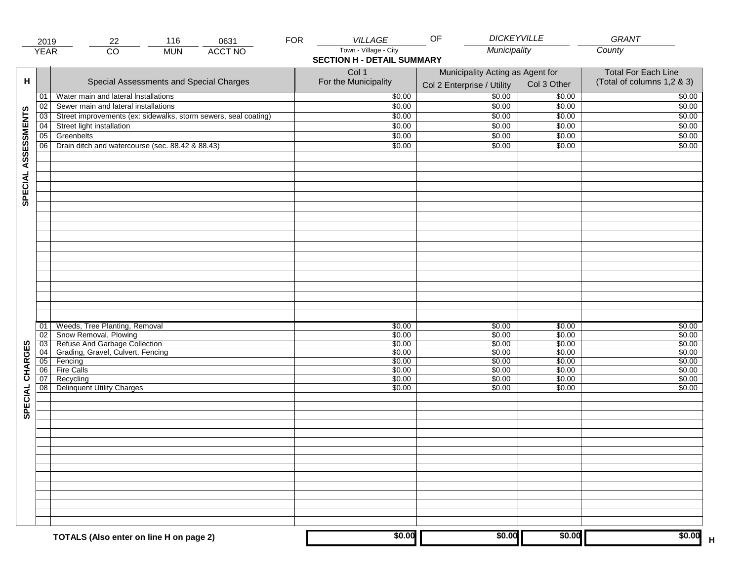|                     | 2019            | 116<br>0631<br>22                                                        | <b>FOR</b> | <b>VILLAGE</b>                                             | <b>DICKEYVILLE</b><br>OF                                       |                  | GRANT                                                    |
|---------------------|-----------------|--------------------------------------------------------------------------|------------|------------------------------------------------------------|----------------------------------------------------------------|------------------|----------------------------------------------------------|
|                     | <b>YEAR</b>     | $\overline{CO}$<br><b>ACCT NO</b><br><b>MUN</b>                          |            | Town - Village - City<br><b>SECTION H - DETAIL SUMMARY</b> | Municipality                                                   |                  | County                                                   |
| н                   |                 | Special Assessments and Special Charges                                  |            | Col 1<br>For the Municipality                              | Municipality Acting as Agent for<br>Col 2 Enterprise / Utility | Col 3 Other      | <b>Total For Each Line</b><br>(Total of columns 1,2 & 3) |
|                     | 01              | Water main and lateral Installations                                     |            | \$0.00                                                     | $\frac{1}{00}$                                                 | \$0.00           | \$0.00                                                   |
|                     | 02              | Sewer main and lateral installations                                     |            | \$0.00                                                     | \$0.00                                                         | \$0.00           | \$0.00                                                   |
|                     | $\overline{03}$ | Street improvements (ex: sidewalks, storm sewers, seal coating)          |            | \$0.00                                                     | \$0.00                                                         | \$0.00           | \$0.00                                                   |
|                     | 04              | Street light installation                                                |            | \$0.00                                                     | \$0.00                                                         | \$0.00           | \$0.00                                                   |
|                     | 05              | Greenbelts                                                               |            | \$0.00                                                     | \$0.00                                                         | \$0.00           | \$0.00                                                   |
|                     | 06              | Drain ditch and watercourse (sec. 88.42 & 88.43)                         |            | \$0.00                                                     | \$0.00                                                         | \$0.00           | \$0.00                                                   |
| SPECIAL ASSESSMENTS |                 |                                                                          |            |                                                            |                                                                |                  |                                                          |
|                     |                 |                                                                          |            |                                                            |                                                                |                  |                                                          |
|                     | 01<br>02        | Weeds, Tree Planting, Removal<br>Snow Removal, Plowing                   |            | \$0.00<br>\$0.00                                           | \$0.00<br>\$0.00                                               | \$0.00<br>\$0.00 | \$0.00<br>\$0.00                                         |
|                     |                 | 03 Refuse And Garbage Collection<br>04 Grading, Gravel, Culvert, Fencing |            | \$0.00                                                     | \$0.00                                                         | \$0.00           | \$0.00                                                   |
| CHARGES             |                 |                                                                          |            | \$0.00                                                     | \$0.00                                                         | \$0.00           | \$0.00                                                   |
|                     |                 | 05 Fencing                                                               |            | \$0.00                                                     | \$0.00                                                         | \$0.00           | \$0.00                                                   |
|                     | 06              | <b>Fire Calls</b>                                                        |            | \$0.00                                                     | \$0.00                                                         | \$0.00           | \$0.00                                                   |
| SPECIAL             | 07<br>08        | Recycling<br><b>Delinquent Utility Charges</b>                           |            | \$0.00<br>\$0.00                                           | \$0.00<br>\$0.00                                               | \$0.00<br>\$0.00 | \$0.00<br>\$0.00                                         |
|                     |                 |                                                                          |            |                                                            |                                                                |                  |                                                          |
|                     |                 |                                                                          |            |                                                            |                                                                |                  |                                                          |
|                     |                 |                                                                          |            |                                                            |                                                                |                  |                                                          |
|                     |                 |                                                                          |            |                                                            |                                                                |                  |                                                          |
|                     |                 |                                                                          |            |                                                            |                                                                |                  |                                                          |
|                     |                 | TOTALS (Also enter on line H on page 2)                                  |            | \$0.00                                                     | \$0.00                                                         | \$0.00           | \$0.00                                                   |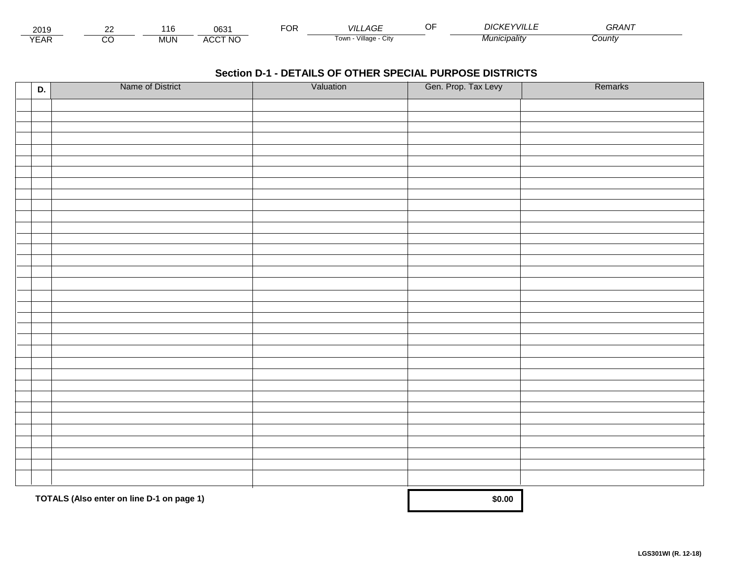| 2015                 | $\sim$ | 1 t   | 000<br>∪ხა                     | ட்்<br>◡┍ | _AGF<br>VII I                  | <b>DICKE</b><br>$-$ YVIII $\sim$ | <b>^^</b><br>GRAN |  |
|----------------------|--------|-------|--------------------------------|-----------|--------------------------------|----------------------------------|-------------------|--|
| $\sqrt{2}$<br>▵<br>. |        | .viUN | CCT NC،<br>$\mathbf{A}$<br>nuu |           | .<br>Villade<br>' UWII<br>◡៲៶៶ | Municipalitv                     | Count             |  |

| D. | Name of District                          | Valuation | Gen. Prop. Tax Levy | Remarks |
|----|-------------------------------------------|-----------|---------------------|---------|
|    |                                           |           |                     |         |
|    |                                           |           |                     |         |
|    |                                           |           |                     |         |
|    |                                           |           |                     |         |
|    |                                           |           |                     |         |
|    |                                           |           |                     |         |
|    |                                           |           |                     |         |
|    |                                           |           |                     |         |
|    |                                           |           |                     |         |
|    |                                           |           |                     |         |
|    |                                           |           |                     |         |
|    |                                           |           |                     |         |
|    |                                           |           |                     |         |
|    |                                           |           |                     |         |
|    |                                           |           |                     |         |
|    |                                           |           |                     |         |
|    |                                           |           |                     |         |
|    |                                           |           |                     |         |
|    |                                           |           |                     |         |
|    |                                           |           |                     |         |
|    |                                           |           |                     |         |
|    |                                           |           |                     |         |
|    |                                           |           |                     |         |
|    |                                           |           |                     |         |
|    |                                           |           |                     |         |
|    |                                           |           |                     |         |
|    |                                           |           |                     |         |
|    |                                           |           |                     |         |
|    |                                           |           |                     |         |
|    |                                           |           |                     |         |
|    | TOTALS (Also enter on line D-1 on page 1) |           | \$0.00              |         |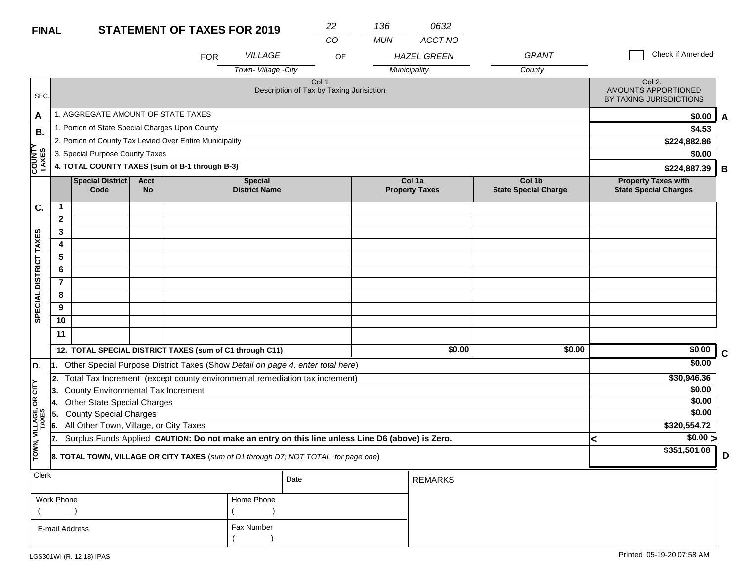| <b>FINAL</b>            |                |                                                 |                          | <b>STATEMENT OF TAXES FOR 2019</b>                                                               |                                        | 22                                                           | 136        | 0632                            |                                       |   |                                                            |             |
|-------------------------|----------------|-------------------------------------------------|--------------------------|--------------------------------------------------------------------------------------------------|----------------------------------------|--------------------------------------------------------------|------------|---------------------------------|---------------------------------------|---|------------------------------------------------------------|-------------|
|                         |                |                                                 |                          | <b>FOR</b>                                                                                       | VILLAGE                                | CO<br>OF                                                     | <b>MUN</b> | ACCT NO<br><b>HAZEL GREEN</b>   | <b>GRANT</b>                          |   | Check if Amended                                           |             |
|                         |                |                                                 |                          |                                                                                                  | Town-Village - City                    |                                                              |            | Municipality                    | County                                |   |                                                            |             |
| SEC.                    |                |                                                 |                          |                                                                                                  |                                        | Col <sub>1</sub><br>Description of Tax by Taxing Jurisiction |            |                                 |                                       |   | Col 2.<br>AMOUNTS APPORTIONED<br>BY TAXING JURISDICTIONS   |             |
| A                       |                | 1. AGGREGATE AMOUNT OF STATE TAXES              |                          |                                                                                                  |                                        |                                                              |            |                                 |                                       |   | \$0.00                                                     | A           |
| В.                      |                | 1. Portion of State Special Charges Upon County |                          |                                                                                                  |                                        |                                                              |            |                                 |                                       |   | \$4.53                                                     |             |
|                         |                |                                                 |                          | 2. Portion of County Tax Levied Over Entire Municipality                                         |                                        |                                                              |            |                                 |                                       |   | \$224,882.86                                               |             |
|                         |                | 3. Special Purpose County Taxes                 |                          |                                                                                                  |                                        |                                                              |            |                                 |                                       |   | \$0.00                                                     |             |
| <b>COUNTY</b><br>TAXES  |                |                                                 |                          | 4. TOTAL COUNTY TAXES (sum of B-1 through B-3)                                                   |                                        |                                                              |            |                                 |                                       |   | \$224,887.39                                               | В           |
|                         |                | <b>Special District</b><br>Code                 | <b>Acct</b><br><b>No</b> |                                                                                                  | <b>Special</b><br><b>District Name</b> |                                                              |            | Col 1a<br><b>Property Taxes</b> | Col 1b<br><b>State Special Charge</b> |   | <b>Property Taxes with</b><br><b>State Special Charges</b> |             |
| C.                      | $\mathbf{1}$   |                                                 |                          |                                                                                                  |                                        |                                                              |            |                                 |                                       |   |                                                            |             |
|                         | $\mathbf{2}$   |                                                 |                          |                                                                                                  |                                        |                                                              |            |                                 |                                       |   |                                                            |             |
|                         | 3              |                                                 |                          |                                                                                                  |                                        |                                                              |            |                                 |                                       |   |                                                            |             |
|                         | 4              |                                                 |                          |                                                                                                  |                                        |                                                              |            |                                 |                                       |   |                                                            |             |
|                         | 5              |                                                 |                          |                                                                                                  |                                        |                                                              |            |                                 |                                       |   |                                                            |             |
|                         | 6              |                                                 |                          |                                                                                                  |                                        |                                                              |            |                                 |                                       |   |                                                            |             |
|                         | $\overline{7}$ |                                                 |                          |                                                                                                  |                                        |                                                              |            |                                 |                                       |   |                                                            |             |
|                         | 8              |                                                 |                          |                                                                                                  |                                        |                                                              |            |                                 |                                       |   |                                                            |             |
| SPECIAL DISTRICT TAXES  | 9              |                                                 |                          |                                                                                                  |                                        |                                                              |            |                                 |                                       |   |                                                            |             |
|                         | 10             |                                                 |                          |                                                                                                  |                                        |                                                              |            |                                 |                                       |   |                                                            |             |
|                         | 11             |                                                 |                          |                                                                                                  |                                        |                                                              |            |                                 |                                       |   |                                                            |             |
|                         |                |                                                 |                          | 12. TOTAL SPECIAL DISTRICT TAXES (sum of C1 through C11)                                         |                                        |                                                              |            | \$0.00                          | \$0.00                                |   | \$0.00                                                     | $\mathbf c$ |
| D.                      |                |                                                 |                          | 1. Other Special Purpose District Taxes (Show Detail on page 4, enter total here)                |                                        |                                                              |            |                                 |                                       |   | \$0.00                                                     |             |
|                         | 2.             |                                                 |                          | Total Tax Increment (except county environmental remediation tax increment)                      |                                        |                                                              |            |                                 |                                       |   | \$30,946.36                                                |             |
| <b>CITY</b>             | 13.            | County Environmental Tax Increment              |                          |                                                                                                  |                                        |                                                              |            |                                 |                                       |   | \$0.00                                                     |             |
| δŔ                      | 4.             | <b>Other State Special Charges</b>              |                          |                                                                                                  |                                        |                                                              |            |                                 |                                       |   | \$0.00                                                     |             |
|                         | 5.             | <b>County Special Charges</b>                   |                          |                                                                                                  |                                        |                                                              |            |                                 |                                       |   | \$0.00                                                     |             |
|                         | 6.             | All Other Town, Village, or City Taxes          |                          |                                                                                                  |                                        |                                                              |            |                                 |                                       |   | \$320,554.72                                               |             |
|                         | 17.            |                                                 |                          | Surplus Funds Applied CAUTION: Do not make an entry on this line unless Line D6 (above) is Zero. |                                        |                                                              |            |                                 |                                       | < | \$0.00 >                                                   |             |
| TOWN, VILLAGE,<br>TAXES |                |                                                 |                          | 8. TOTAL TOWN, VILLAGE OR CITY TAXES (sum of D1 through D7; NOT TOTAL for page one)              |                                        |                                                              |            |                                 |                                       |   | \$351,501.08                                               | D           |
| <b>Clerk</b>            |                |                                                 |                          |                                                                                                  |                                        | Date                                                         |            | <b>REMARKS</b>                  |                                       |   |                                                            |             |

| $\ddotsc$      |            | Date | REMARKS |
|----------------|------------|------|---------|
| Work Phone     | Home Phone |      |         |
|                |            |      |         |
| E-mail Address | Fax Number |      |         |
|                |            |      |         |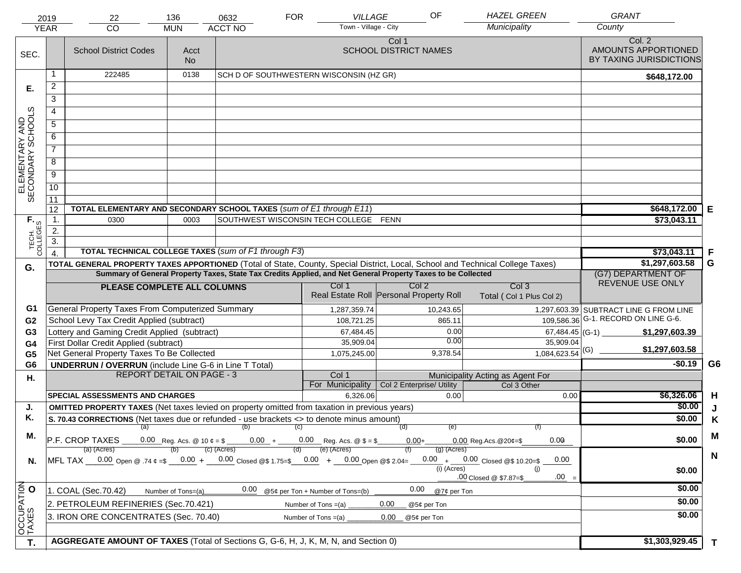|                                     | 2019                                                                                                                                                                                                                      | 22                                                                                                                             | 136                | 0632                                                                                                         | <b>FOR</b>            | VILLAGE                          | OF                                                          |                                   | <b>HAZEL GREEN</b>                           | <b>GRANT</b>                                             |                |
|-------------------------------------|---------------------------------------------------------------------------------------------------------------------------------------------------------------------------------------------------------------------------|--------------------------------------------------------------------------------------------------------------------------------|--------------------|--------------------------------------------------------------------------------------------------------------|-----------------------|----------------------------------|-------------------------------------------------------------|-----------------------------------|----------------------------------------------|----------------------------------------------------------|----------------|
|                                     | <b>YEAR</b>                                                                                                                                                                                                               | CO                                                                                                                             | <b>MUN</b>         | <b>ACCT NO</b>                                                                                               |                       | Town - Village - City            |                                                             |                                   | Municipality                                 | County                                                   |                |
| SEC.                                |                                                                                                                                                                                                                           | <b>School District Codes</b>                                                                                                   | Acct<br><b>No</b>  |                                                                                                              |                       |                                  | Col 1<br><b>SCHOOL DISTRICT NAMES</b>                       |                                   |                                              | Col. 2<br>AMOUNTS APPORTIONED<br>BY TAXING JURISDICTIONS |                |
|                                     | 1                                                                                                                                                                                                                         | 222485                                                                                                                         | 0138               | SCH D OF SOUTHWESTERN WISCONSIN (HZ GR)                                                                      |                       |                                  |                                                             |                                   |                                              | \$648,172.00                                             |                |
| Е.                                  | $\overline{2}$                                                                                                                                                                                                            |                                                                                                                                |                    |                                                                                                              |                       |                                  |                                                             |                                   |                                              |                                                          |                |
|                                     | 3                                                                                                                                                                                                                         |                                                                                                                                |                    |                                                                                                              |                       |                                  |                                                             |                                   |                                              |                                                          |                |
|                                     | 4                                                                                                                                                                                                                         |                                                                                                                                |                    |                                                                                                              |                       |                                  |                                                             |                                   |                                              |                                                          |                |
|                                     | $\overline{5}$                                                                                                                                                                                                            |                                                                                                                                |                    |                                                                                                              |                       |                                  |                                                             |                                   |                                              |                                                          |                |
|                                     | 6                                                                                                                                                                                                                         |                                                                                                                                |                    |                                                                                                              |                       |                                  |                                                             |                                   |                                              |                                                          |                |
| ELEMENTARY AND<br>SECONDARY SCHOOLS | $\overline{7}$                                                                                                                                                                                                            |                                                                                                                                |                    |                                                                                                              |                       |                                  |                                                             |                                   |                                              |                                                          |                |
|                                     | 8                                                                                                                                                                                                                         |                                                                                                                                |                    |                                                                                                              |                       |                                  |                                                             |                                   |                                              |                                                          |                |
|                                     | $\overline{9}$                                                                                                                                                                                                            |                                                                                                                                |                    |                                                                                                              |                       |                                  |                                                             |                                   |                                              |                                                          |                |
|                                     | 10                                                                                                                                                                                                                        |                                                                                                                                |                    |                                                                                                              |                       |                                  |                                                             |                                   |                                              |                                                          |                |
|                                     | $\overline{11}$                                                                                                                                                                                                           |                                                                                                                                |                    |                                                                                                              |                       |                                  |                                                             |                                   |                                              |                                                          |                |
|                                     | 12                                                                                                                                                                                                                        | TOTAL ELEMENTARY AND SECONDARY SCHOOL TAXES (sum of E1 through E11)                                                            |                    |                                                                                                              |                       |                                  |                                                             |                                   |                                              | \$648,172.00                                             | Е              |
|                                     | 1.                                                                                                                                                                                                                        | 0300                                                                                                                           | 0003               | SOUTHWEST WISCONSIN TECH COLLEGE FENN                                                                        |                       |                                  |                                                             |                                   |                                              | \$73,043.11                                              |                |
|                                     | 2.                                                                                                                                                                                                                        |                                                                                                                                |                    |                                                                                                              |                       |                                  |                                                             |                                   |                                              |                                                          |                |
| TECH. T                             | $\overline{3}$ .                                                                                                                                                                                                          |                                                                                                                                |                    |                                                                                                              |                       |                                  |                                                             |                                   |                                              |                                                          |                |
|                                     | $\overline{4}$                                                                                                                                                                                                            | TOTAL TECHNICAL COLLEGE TAXES (sum of F1 through F3)                                                                           |                    | \$73,043.11                                                                                                  | F                     |                                  |                                                             |                                   |                                              |                                                          |                |
| G.                                  |                                                                                                                                                                                                                           | TOTAL GENERAL PROPERTY TAXES APPORTIONED (Total of State, County, Special District, Local, School and Technical College Taxes) |                    | $\overline{51,297,603.58}$                                                                                   | G                     |                                  |                                                             |                                   |                                              |                                                          |                |
|                                     |                                                                                                                                                                                                                           |                                                                                                                                |                    | Summary of General Property Taxes, State Tax Credits Applied, and Net General Property Taxes to be Collected |                       |                                  |                                                             |                                   |                                              | (G7) DEPARTMENT OF<br>REVENUE USE ONLY                   |                |
|                                     |                                                                                                                                                                                                                           | PLEASE COMPLETE ALL COLUMNS                                                                                                    |                    |                                                                                                              |                       | Col 1                            | Col <sub>2</sub><br>Real Estate Roll Personal Property Roll |                                   | Col <sub>3</sub><br>Total (Col 1 Plus Col 2) |                                                          |                |
| G1                                  |                                                                                                                                                                                                                           | General Property Taxes From Computerized Summary                                                                               |                    |                                                                                                              |                       | 1,287,359.74                     |                                                             | 10,243.65                         |                                              | 1,297,603.39 SUBTRACT LINE G FROM LINE                   |                |
| G <sub>2</sub>                      |                                                                                                                                                                                                                           | School Levy Tax Credit Applied (subtract)                                                                                      |                    |                                                                                                              |                       | 108,721.25                       |                                                             | 865.11                            | 109,586.36                                   | G-1. RECORD ON LINE G-6.                                 |                |
| G3                                  |                                                                                                                                                                                                                           | Lottery and Gaming Credit Applied (subtract)                                                                                   |                    |                                                                                                              |                       | 67,484.45                        |                                                             | 0.00<br>0.00                      | 67,484.45 (G-1) $-$                          | \$1,297,603.39                                           |                |
| G4                                  |                                                                                                                                                                                                                           | First Dollar Credit Applied (subtract)                                                                                         |                    |                                                                                                              |                       | 35,909.04                        |                                                             | 9,378.54                          | 35,909.04<br>$1,084,623.54$ <sup>(G)</sup>   | \$1,297,603.58                                           |                |
| G <sub>5</sub><br>G <sub>6</sub>    |                                                                                                                                                                                                                           | Net General Property Taxes To Be Collected<br><b>UNDERRUN / OVERRUN</b> (include Line G-6 in Line T Total)                     |                    |                                                                                                              |                       | 1,075,245.00                     |                                                             |                                   |                                              | $-$0.19$                                                 | G <sub>6</sub> |
|                                     |                                                                                                                                                                                                                           | <b>REPORT DETAIL ON PAGE - 3</b>                                                                                               |                    |                                                                                                              |                       | Col 1                            |                                                             | Municipality Acting as Agent For  |                                              |                                                          |                |
| Η.                                  |                                                                                                                                                                                                                           |                                                                                                                                |                    |                                                                                                              |                       | For Municipality                 | Col 2 Enterprise/ Utility                                   |                                   | Col 3 Other                                  |                                                          |                |
|                                     |                                                                                                                                                                                                                           | <b>SPECIAL ASSESSMENTS AND CHARGES</b>                                                                                         |                    |                                                                                                              |                       | 6,326.06                         |                                                             | 0.00                              | 0.00                                         | \$6,326.06                                               | H              |
| J.                                  |                                                                                                                                                                                                                           | <b>OMITTED PROPERTY TAXES</b> (Net taxes levied on property omitted from taxation in previous years)                           |                    |                                                                                                              |                       |                                  |                                                             |                                   |                                              | \$0.00                                                   | J              |
| Κ.                                  |                                                                                                                                                                                                                           | S. 70.43 CORRECTIONS (Net taxes due or refunded - use brackets <> to denote minus amount)                                      |                    |                                                                                                              |                       |                                  |                                                             |                                   |                                              | \$0.00                                                   | K              |
| М.                                  |                                                                                                                                                                                                                           |                                                                                                                                |                    | (a) (b) (c)                                                                                                  |                       |                                  | (d)                                                         | (e)                               |                                              |                                                          | M              |
|                                     | $\overline{P.F.}$ CROP TAXES 0.00 Reg. Acs. @ 10 $\ell = \$$ 0.00 + 0.00 Reg. Acs. @ $\ell = \$$<br>0.00<br>$0.00+$<br>$0.00$ Reg. Acs. $@20¢=$ \$<br>(e) (Acres)<br>$(c)$ (Acres)<br>$(g)$ (Acres)<br>(a) (Acres)<br>(d) |                                                                                                                                |                    |                                                                                                              |                       |                                  |                                                             |                                   |                                              | \$0.00                                                   |                |
| N.                                  |                                                                                                                                                                                                                           | MFL TAX 0.00 Open @ .74 ¢ =\$ 0.00 + 0.00 Closed @\$ 1.75=\$ 0.00 + 0.00 Open @\$ 2.04=                                        |                    |                                                                                                              |                       |                                  |                                                             | $0.00 + 0.00$ Closed @\$ 10.20=\$ | 0.00                                         |                                                          | $\mathbf N$    |
|                                     |                                                                                                                                                                                                                           |                                                                                                                                |                    |                                                                                                              |                       |                                  |                                                             | $(i)$ (Acres)                     | (i)                                          | \$0.00                                                   |                |
|                                     |                                                                                                                                                                                                                           |                                                                                                                                |                    |                                                                                                              |                       |                                  |                                                             | .00 Closed @ \$7.87=\$            | $.00 =$                                      |                                                          |                |
|                                     |                                                                                                                                                                                                                           | 1. COAL (Sec.70.42)                                                                                                            | Number of Tons=(a) | 0.00                                                                                                         |                       | @5¢ per Ton + Number of Tons=(b) | 0.00                                                        | @7¢ per Ton                       |                                              | \$0.00                                                   |                |
|                                     |                                                                                                                                                                                                                           | 2. PETROLEUM REFINERIES (Sec.70.421)                                                                                           |                    |                                                                                                              | Number of Tons $=(a)$ |                                  | 0.00<br>@5¢ per Ton                                         |                                   |                                              | \$0.00                                                   |                |
|                                     |                                                                                                                                                                                                                           | 3. IRON ORE CONCENTRATES (Sec. 70.40)                                                                                          |                    |                                                                                                              | Number of Tons $=(a)$ |                                  | 0.00<br>@5¢ per Ton                                         |                                   |                                              | \$0.00                                                   |                |
| OCCUPATION<br>TAXES O               |                                                                                                                                                                                                                           |                                                                                                                                |                    |                                                                                                              |                       |                                  |                                                             |                                   |                                              |                                                          |                |
| T.                                  |                                                                                                                                                                                                                           | AGGREGATE AMOUNT OF TAXES (Total of Sections G, G-6, H, J, K, M, N, and Section 0)                                             |                    |                                                                                                              |                       |                                  |                                                             |                                   |                                              | \$1,303,929.45                                           | $\mathbf{T}$   |
|                                     |                                                                                                                                                                                                                           |                                                                                                                                |                    |                                                                                                              |                       |                                  |                                                             |                                   |                                              |                                                          |                |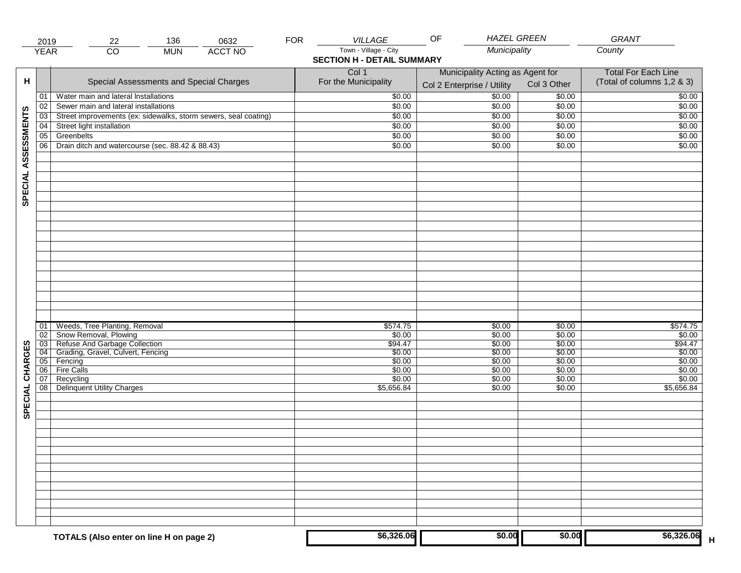|                     | 2019            | 136<br>22                                                       | 0632           | <b>FOR</b> | VILLAGE                                                    | OF                               | <b>HAZEL GREEN</b> | GRANT                      |
|---------------------|-----------------|-----------------------------------------------------------------|----------------|------------|------------------------------------------------------------|----------------------------------|--------------------|----------------------------|
|                     | <b>YEAR</b>     | $\overline{CO}$<br><b>MUN</b>                                   | <b>ACCT NO</b> |            | Town - Village - City<br><b>SECTION H - DETAIL SUMMARY</b> |                                  | Municipality       | County                     |
|                     |                 |                                                                 |                |            | Col 1                                                      | Municipality Acting as Agent for |                    | <b>Total For Each Line</b> |
| н                   |                 | Special Assessments and Special Charges                         |                |            | For the Municipality                                       | Col 2 Enterprise / Utility       | Col 3 Other        | (Total of columns 1,2 & 3) |
|                     | 01              | Water main and lateral Installations                            |                |            | \$0.00                                                     | 50.00                            | \$0.00             | \$0.00                     |
|                     | 02              | Sewer main and lateral installations                            |                |            | \$0.00                                                     | \$0.00                           | \$0.00             | \$0.00                     |
|                     | $\overline{03}$ | Street improvements (ex: sidewalks, storm sewers, seal coating) |                |            | \$0.00                                                     | \$0.00                           | \$0.00             | \$0.00                     |
|                     | 04              | Street light installation                                       |                |            | \$0.00                                                     | \$0.00                           | \$0.00             | \$0.00                     |
|                     | 05              | Greenbelts                                                      |                |            | \$0.00                                                     | \$0.00                           | \$0.00             | \$0.00                     |
|                     | 06              | Drain ditch and watercourse (sec. 88.42 & 88.43)                |                |            | \$0.00                                                     | \$0.00                           | \$0.00             | \$0.00                     |
| SPECIAL ASSESSMENTS |                 |                                                                 |                |            |                                                            |                                  |                    |                            |
|                     |                 |                                                                 |                |            |                                                            |                                  |                    |                            |
|                     |                 |                                                                 |                |            |                                                            |                                  |                    |                            |
|                     |                 |                                                                 |                |            |                                                            |                                  |                    |                            |
|                     |                 |                                                                 |                |            |                                                            |                                  |                    |                            |
|                     |                 |                                                                 |                |            |                                                            |                                  |                    |                            |
|                     |                 |                                                                 |                |            |                                                            |                                  |                    |                            |
|                     |                 |                                                                 |                |            |                                                            |                                  |                    |                            |
|                     | 01              | Weeds, Tree Planting, Removal                                   |                |            | \$574.75                                                   | \$0.00                           | \$0.00             | \$574.75                   |
|                     | 02              | Show Removal, Plowing<br>Refuse And Garbage Collection          |                |            | \$0.00                                                     | \$0.00                           | \$0.00             | \$0.00                     |
| CHARGES             | $\overline{03}$ | Grading, Gravel, Culvert, Fencing                               |                |            | \$94.47                                                    | \$0.00                           | \$0.00             | \$94.47<br>\$0.00          |
|                     | 04<br> 05       | Fencing                                                         |                |            | \$0.00<br>\$0.00                                           | \$0.00<br>\$0.00                 | \$0.00<br>\$0.00   | \$0.00                     |
|                     | 06              | <b>Fire Calls</b>                                               |                |            | \$0.00                                                     | \$0.00                           | \$0.00             | \$0.00                     |
|                     | 07              | Recycling                                                       |                |            | \$0.00                                                     | \$0.00                           | \$0.00             | \$0.00                     |
| SPECIAL             | 08 <sup>1</sup> | <b>Delinquent Utility Charges</b>                               |                |            | \$5,656.84                                                 | \$0.00                           | \$0.00             | \$5,656.84                 |
|                     |                 |                                                                 |                |            |                                                            |                                  |                    |                            |
|                     |                 |                                                                 |                |            |                                                            |                                  |                    |                            |
|                     |                 |                                                                 |                |            |                                                            |                                  |                    |                            |
|                     |                 |                                                                 |                |            |                                                            |                                  |                    |                            |
|                     |                 |                                                                 |                |            |                                                            |                                  |                    |                            |
|                     |                 |                                                                 |                |            |                                                            |                                  |                    |                            |
|                     |                 |                                                                 |                |            |                                                            |                                  |                    |                            |
|                     |                 | TOTALS (Also enter on line H on page 2)                         |                |            | \$6,326.06                                                 |                                  | \$0.00<br>\$0.00   | \$6,326.06                 |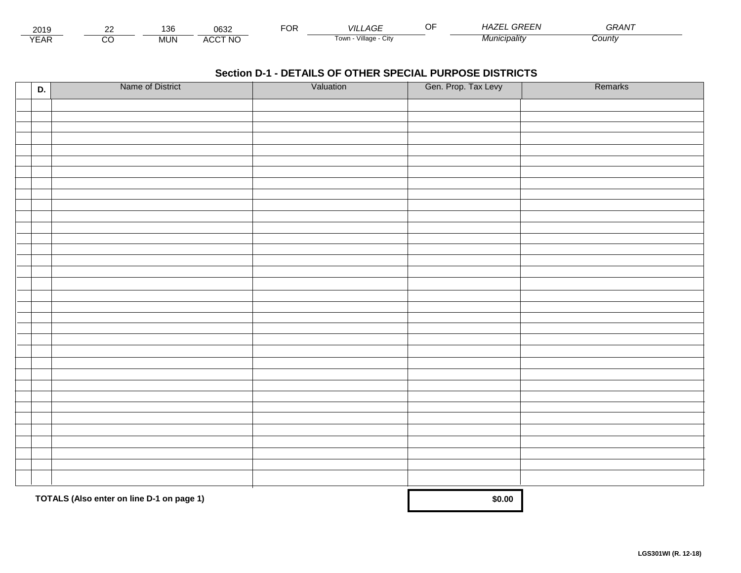| 2019                 | $\sim$ | $\overline{\phantom{a}}$<br>l 36 | 0632            | $\neg$<br>Ur | VIL<br>LAGE.                         | ᅐ<br>$\cdot$ $\prime$ $\cdot$ | GREEN<br>. - -<br>. .<br>- <i>HAZ</i> | $\sim$ $\sim$ $\sim$ $\sim$<br><u>итка.</u> |  |
|----------------------|--------|----------------------------------|-----------------|--------------|--------------------------------------|-------------------------------|---------------------------------------|---------------------------------------------|--|
| $\sqrt{2}$<br>⊷<br>. |        | MUN                              | CCT NC،<br>A(x) |              | .<br>Village -<br><b>Town</b><br>ستت |                               | <i>JIUNICIDAIItY</i>                  | Count∨                                      |  |

| D. | Name of District                          | Valuation | Gen. Prop. Tax Levy | Remarks |
|----|-------------------------------------------|-----------|---------------------|---------|
|    |                                           |           |                     |         |
|    |                                           |           |                     |         |
|    |                                           |           |                     |         |
|    |                                           |           |                     |         |
|    |                                           |           |                     |         |
|    |                                           |           |                     |         |
|    |                                           |           |                     |         |
|    |                                           |           |                     |         |
|    |                                           |           |                     |         |
|    |                                           |           |                     |         |
|    |                                           |           |                     |         |
|    |                                           |           |                     |         |
|    |                                           |           |                     |         |
|    |                                           |           |                     |         |
|    |                                           |           |                     |         |
|    |                                           |           |                     |         |
|    |                                           |           |                     |         |
|    |                                           |           |                     |         |
|    |                                           |           |                     |         |
|    |                                           |           |                     |         |
|    |                                           |           |                     |         |
|    |                                           |           |                     |         |
|    |                                           |           |                     |         |
|    |                                           |           |                     |         |
|    |                                           |           |                     |         |
|    |                                           |           |                     |         |
|    |                                           |           |                     |         |
|    |                                           |           |                     |         |
|    |                                           |           |                     |         |
|    |                                           |           |                     |         |
|    | TOTALS (Also enter on line D-1 on page 1) |           | \$0.00              |         |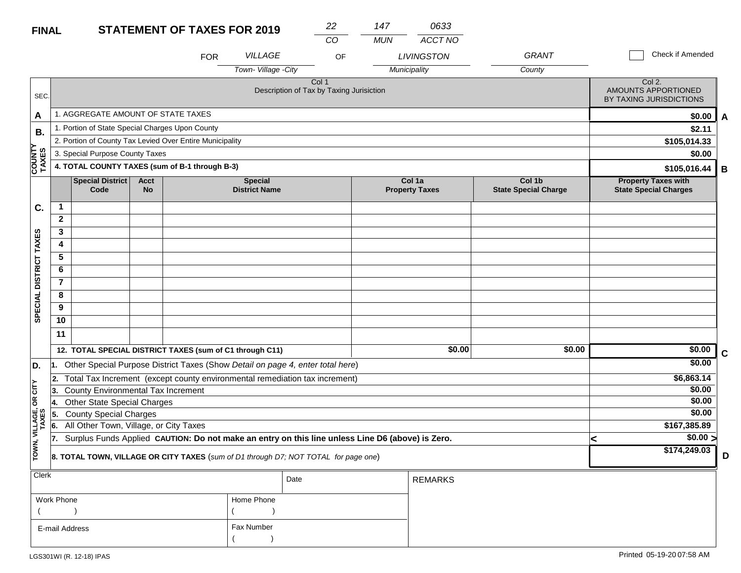| <b>FINAL</b>            |                                           |                                                                                                  |                          | <b>STATEMENT OF TAXES FOR 2019</b>                                                  |                                        | 22                                                           | 147        | 0633                            |                                       |  |                                                            |             |
|-------------------------|-------------------------------------------|--------------------------------------------------------------------------------------------------|--------------------------|-------------------------------------------------------------------------------------|----------------------------------------|--------------------------------------------------------------|------------|---------------------------------|---------------------------------------|--|------------------------------------------------------------|-------------|
|                         |                                           |                                                                                                  |                          | <b>FOR</b>                                                                          | VILLAGE                                | CO<br>OF                                                     | <b>MUN</b> | ACCT NO<br><b>LIVINGSTON</b>    | <b>GRANT</b>                          |  | <b>Check if Amended</b>                                    |             |
|                         |                                           |                                                                                                  |                          |                                                                                     | Town-Village -City                     |                                                              |            | Municipality                    | County                                |  |                                                            |             |
| SEC.                    |                                           |                                                                                                  |                          |                                                                                     |                                        | Col <sub>1</sub><br>Description of Tax by Taxing Jurisiction |            |                                 |                                       |  | Col 2.<br>AMOUNTS APPORTIONED<br>BY TAXING JURISDICTIONS   |             |
| A                       |                                           | 1. AGGREGATE AMOUNT OF STATE TAXES                                                               |                          |                                                                                     |                                        |                                                              |            |                                 |                                       |  | \$0.00                                                     | A           |
| В.                      |                                           | 1. Portion of State Special Charges Upon County                                                  |                          |                                                                                     |                                        |                                                              |            |                                 |                                       |  | \$2.11                                                     |             |
|                         |                                           |                                                                                                  |                          | 2. Portion of County Tax Levied Over Entire Municipality                            |                                        |                                                              |            |                                 |                                       |  | \$105,014.33                                               |             |
|                         |                                           | 3. Special Purpose County Taxes                                                                  |                          |                                                                                     |                                        |                                                              | \$0.00     |                                 |                                       |  |                                                            |             |
| COUNTY<br>TAXES         |                                           |                                                                                                  |                          | 4. TOTAL COUNTY TAXES (sum of B-1 through B-3)                                      |                                        |                                                              |            |                                 |                                       |  | \$105,016.44                                               | В           |
|                         |                                           | <b>Special District</b><br>Code                                                                  | <b>Acct</b><br><b>No</b> |                                                                                     | <b>Special</b><br><b>District Name</b> |                                                              |            | Col 1a<br><b>Property Taxes</b> | Col 1b<br><b>State Special Charge</b> |  | <b>Property Taxes with</b><br><b>State Special Charges</b> |             |
| C.                      | $\mathbf{1}$                              |                                                                                                  |                          |                                                                                     |                                        |                                                              |            |                                 |                                       |  |                                                            |             |
|                         | $\mathbf{2}$                              |                                                                                                  |                          |                                                                                     |                                        |                                                              |            |                                 |                                       |  |                                                            |             |
|                         | 3                                         |                                                                                                  |                          |                                                                                     |                                        |                                                              |            |                                 |                                       |  |                                                            |             |
|                         | 4                                         |                                                                                                  |                          |                                                                                     |                                        |                                                              |            |                                 |                                       |  |                                                            |             |
|                         | 5                                         |                                                                                                  |                          |                                                                                     |                                        |                                                              |            |                                 |                                       |  |                                                            |             |
|                         | 6                                         |                                                                                                  |                          |                                                                                     |                                        |                                                              |            |                                 |                                       |  |                                                            |             |
| SPECIAL DISTRICT TAXES  | $\overline{7}$                            |                                                                                                  |                          |                                                                                     |                                        |                                                              |            |                                 |                                       |  |                                                            |             |
|                         | 8                                         |                                                                                                  |                          |                                                                                     |                                        |                                                              |            |                                 |                                       |  |                                                            |             |
|                         | 9                                         |                                                                                                  |                          |                                                                                     |                                        |                                                              |            |                                 |                                       |  |                                                            |             |
|                         | 10                                        |                                                                                                  |                          |                                                                                     |                                        |                                                              |            |                                 |                                       |  |                                                            |             |
|                         | 11                                        |                                                                                                  |                          |                                                                                     |                                        |                                                              |            |                                 |                                       |  |                                                            |             |
|                         |                                           |                                                                                                  |                          | 12. TOTAL SPECIAL DISTRICT TAXES (sum of C1 through C11)                            |                                        |                                                              |            | \$0.00                          | \$0.00                                |  | \$0.00                                                     | $\mathbf c$ |
| D.                      | 11.                                       |                                                                                                  |                          | Other Special Purpose District Taxes (Show Detail on page 4, enter total here)      |                                        |                                                              |            |                                 |                                       |  | \$0.00                                                     |             |
|                         | 2.                                        |                                                                                                  |                          | Total Tax Increment (except county environmental remediation tax increment)         |                                        |                                                              |            |                                 |                                       |  | \$6,863.14                                                 |             |
| <b>CITY</b>             | County Environmental Tax Increment<br>13. |                                                                                                  |                          |                                                                                     |                                        |                                                              |            |                                 |                                       |  | \$0.00                                                     |             |
| бR                      | 14.                                       | <b>Other State Special Charges</b>                                                               |                          |                                                                                     | \$0.00                                 |                                                              |            |                                 |                                       |  |                                                            |             |
|                         | 5.                                        | <b>County Special Charges</b>                                                                    |                          |                                                                                     |                                        |                                                              |            |                                 |                                       |  | \$0.00                                                     |             |
|                         | 6.                                        | All Other Town, Village, or City Taxes                                                           |                          |                                                                                     |                                        |                                                              |            |                                 |                                       |  | \$167,385.89                                               |             |
| TOWN, VILLAGE,<br>TAXES | 17.                                       | Surplus Funds Applied CAUTION: Do not make an entry on this line unless Line D6 (above) is Zero. |                          |                                                                                     |                                        |                                                              |            |                                 |                                       |  | $\sqrt{$0.00}$                                             |             |
|                         |                                           |                                                                                                  |                          | 8. TOTAL TOWN, VILLAGE OR CITY TAXES (sum of D1 through D7; NOT TOTAL for page one) |                                        |                                                              |            |                                 |                                       |  | \$174,249.03                                               | D           |
| <b>Clerk</b>            |                                           |                                                                                                  |                          |                                                                                     |                                        | Date                                                         |            | <b>REMARKS</b>                  |                                       |  |                                                            |             |

| $\sim$         |            | Date | REMARKS |
|----------------|------------|------|---------|
| Work Phone     | Home Phone |      |         |
|                |            |      |         |
| E-mail Address | Fax Number |      |         |
|                |            |      |         |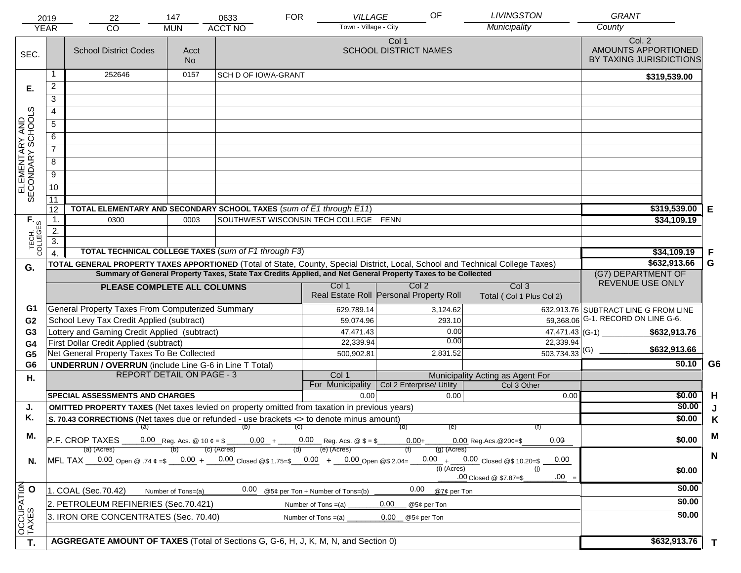|                                     | 2019<br><b>YEAR</b> | 22<br><b>CO</b>                                                                                                                | 147<br><b>MUN</b>           | 0633<br><b>ACCT NO</b>     | <b>FOR</b> | VILLAGE<br>Town - Village - City                                                 | OF                                      | <b>LIVINGSTON</b><br>Municipality         | <b>GRANT</b><br>County                                   |              |
|-------------------------------------|---------------------|--------------------------------------------------------------------------------------------------------------------------------|-----------------------------|----------------------------|------------|----------------------------------------------------------------------------------|-----------------------------------------|-------------------------------------------|----------------------------------------------------------|--------------|
| SEC.                                |                     | <b>School District Codes</b>                                                                                                   | Acct<br><b>No</b>           |                            |            |                                                                                  | Col 1<br><b>SCHOOL DISTRICT NAMES</b>   |                                           | Col. 2<br>AMOUNTS APPORTIONED<br>BY TAXING JURISDICTIONS |              |
|                                     |                     | 252646                                                                                                                         | 0157                        | <b>SCH D OF IOWA-GRANT</b> |            |                                                                                  |                                         |                                           | \$319,539.00                                             |              |
| Е.                                  | $\overline{2}$      |                                                                                                                                |                             |                            |            |                                                                                  |                                         |                                           |                                                          |              |
|                                     | 3                   |                                                                                                                                |                             |                            |            |                                                                                  |                                         |                                           |                                                          |              |
|                                     | $\overline{4}$      |                                                                                                                                |                             |                            |            |                                                                                  |                                         |                                           |                                                          |              |
|                                     | 5                   |                                                                                                                                |                             |                            |            |                                                                                  |                                         |                                           |                                                          |              |
|                                     | 6                   |                                                                                                                                |                             |                            |            |                                                                                  |                                         |                                           |                                                          |              |
|                                     | $\overline{7}$      |                                                                                                                                |                             |                            |            |                                                                                  |                                         |                                           |                                                          |              |
| ELEMENTARY AND<br>SECONDARY SCHOOLS | 8                   |                                                                                                                                |                             |                            |            |                                                                                  |                                         |                                           |                                                          |              |
|                                     | $\overline{9}$      |                                                                                                                                |                             |                            |            |                                                                                  |                                         |                                           |                                                          |              |
|                                     | 10                  |                                                                                                                                |                             |                            |            |                                                                                  |                                         |                                           |                                                          |              |
|                                     | 11                  |                                                                                                                                |                             |                            |            |                                                                                  |                                         |                                           |                                                          |              |
|                                     | 12                  | TOTAL ELEMENTARY AND SECONDARY SCHOOL TAXES (sum of E1 through E11)                                                            |                             |                            |            |                                                                                  |                                         |                                           | \$319,539.00                                             | Е            |
|                                     | $\mathbf 1$ .       | 0300                                                                                                                           | 0003                        |                            |            | SOUTHWEST WISCONSIN TECH COLLEGE FENN                                            |                                         |                                           | \$34,109.19                                              |              |
|                                     | 2.                  |                                                                                                                                |                             |                            |            |                                                                                  |                                         |                                           |                                                          |              |
| TECH. T                             | 3.                  | <b>TOTAL TECHNICAL COLLEGE TAXES (sum of F1 through F3)</b>                                                                    |                             |                            |            |                                                                                  |                                         |                                           |                                                          | F            |
|                                     | $\overline{4}$      | TOTAL GENERAL PROPERTY TAXES APPORTIONED (Total of State, County, Special District, Local, School and Technical College Taxes) | \$34,109.19<br>\$632,913.66 | G                          |            |                                                                                  |                                         |                                           |                                                          |              |
| G.                                  |                     | Summary of General Property Taxes, State Tax Credits Applied, and Net General Property Taxes to be Collected                   |                             | (G7) DEPARTMENT OF         |            |                                                                                  |                                         |                                           |                                                          |              |
|                                     |                     | PLEASE COMPLETE ALL COLUMNS                                                                                                    | Col <sub>3</sub>            | REVENUE USE ONLY           |            |                                                                                  |                                         |                                           |                                                          |              |
|                                     |                     |                                                                                                                                |                             |                            |            |                                                                                  | Real Estate Roll Personal Property Roll | Total (Col 1 Plus Col 2)                  |                                                          |              |
| G1                                  |                     | General Property Taxes From Computerized Summary                                                                               |                             |                            |            | 629,789.14                                                                       | 3,124.62                                |                                           | 632,913.76 SUBTRACT LINE G FROM LINE                     |              |
| G <sub>2</sub>                      |                     | School Levy Tax Credit Applied (subtract)                                                                                      |                             |                            |            | 59,074.96                                                                        | 293.10                                  |                                           | 59,368.06 G-1. RECORD ON LINE G-6.                       |              |
| G <sub>3</sub>                      |                     | Lottery and Gaming Credit Applied (subtract)                                                                                   |                             |                            |            | 47,471.43                                                                        | 0.00                                    | $47,471.43$ (G-1) $-$                     | \$632,913.76                                             |              |
| G4                                  |                     | First Dollar Credit Applied (subtract)                                                                                         |                             |                            |            | 22,339.94                                                                        | 0.00                                    | 22,339.94                                 | \$632,913.66                                             |              |
| G <sub>5</sub>                      |                     | Net General Property Taxes To Be Collected                                                                                     |                             |                            |            | 500,902.81                                                                       | 2,831.52                                | $\overline{503,734.33}$ (G)               |                                                          |              |
| G <sub>6</sub>                      |                     | <b>UNDERRUN / OVERRUN</b> (include Line G-6 in Line T Total)<br><b>REPORT DETAIL ON PAGE - 3</b>                               |                             |                            |            | Col 1                                                                            |                                         | Municipality Acting as Agent For          | \$0.10                                                   | G6           |
| Η.                                  |                     |                                                                                                                                |                             |                            |            | For Municipality                                                                 | Col 2 Enterprise/ Utility               | Col 3 Other                               |                                                          |              |
|                                     |                     | <b>SPECIAL ASSESSMENTS AND CHARGES</b>                                                                                         |                             |                            |            | 0.00                                                                             | 0.00                                    | 0.00                                      | \$0.00                                                   | H            |
| J.                                  |                     | <b>OMITTED PROPERTY TAXES</b> (Net taxes levied on property omitted from taxation in previous years)                           |                             |                            |            |                                                                                  |                                         |                                           | \$0.00                                                   | J            |
| Κ.                                  |                     | S. 70.43 CORRECTIONS (Net taxes due or refunded - use brackets <> to denote minus amount)                                      |                             |                            |            |                                                                                  |                                         |                                           | \$0.00                                                   | K            |
| М.                                  |                     | (a)                                                                                                                            |                             | (b)                        | (C)        |                                                                                  | (d)<br>(e)                              | (f)                                       |                                                          | M            |
|                                     |                     | P.F. CROP TAXES<br>(a) (Acres)                                                                                                 |                             | $(c)$ (Acres)              |            | 0.00 Reg. Acs. @ 10 $\phi = \$$ 0.00 + 0.00 Reg. Acs. @ $\$ = \$$<br>(e) (Acres) | $0.00+$<br>$(g)$ (Acres)                | 0.00<br>$0.00$ Reg. Acs. @ 20¢=\$         | \$0.00                                                   |              |
| N.                                  |                     | MFL TAX $-$ 0.00 Open @ .74 $\varphi$ =\$ $-$ 0.00 + $-$ 0.00 Closed @\$ 1.75=\$ $-$ 0.00 + $-$ 0.00 Open @\$ 2.04=            |                             |                            |            |                                                                                  |                                         | $0.00 + 0.00$ Closed @\$ 10.20=\$<br>0.00 |                                                          | $\mathsf{N}$ |
|                                     |                     |                                                                                                                                |                             |                            |            |                                                                                  | $(i)$ (Acres)                           | (i)                                       | \$0.00                                                   |              |
|                                     |                     |                                                                                                                                |                             |                            |            |                                                                                  |                                         | $.00 =$<br>.00 Closed @ \$7.87=\$         |                                                          |              |
|                                     |                     | 1. COAL (Sec.70.42)                                                                                                            | Number of Tons=(a)          | 0.00                       |            | @5¢ per Ton + Number of Tons=(b)                                                 | 0.00<br>@7¢ per Ton                     |                                           | \$0.00                                                   |              |
|                                     |                     | 2. PETROLEUM REFINERIES (Sec.70.421)                                                                                           |                             |                            |            | Number of Tons $=(a)$                                                            | 0.00<br>@5¢ per Ton                     |                                           | \$0.00                                                   |              |
| OCCUPATION                          |                     | 3. IRON ORE CONCENTRATES (Sec. 70.40)                                                                                          |                             |                            |            | Number of Tons $=(a)$                                                            | 0.00<br>@5¢ per Ton                     |                                           | \$0.00                                                   |              |
|                                     |                     |                                                                                                                                |                             |                            |            |                                                                                  |                                         |                                           |                                                          |              |
| T.                                  |                     | AGGREGATE AMOUNT OF TAXES (Total of Sections G, G-6, H, J, K, M, N, and Section 0)                                             |                             | \$632,913.76               | T          |                                                                                  |                                         |                                           |                                                          |              |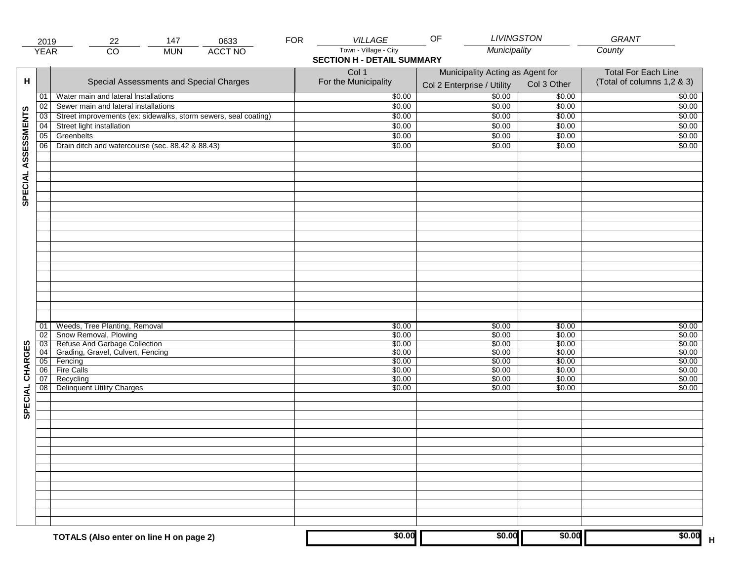|                     | 2019        | 147<br>0633<br>22                                               | <b>FOR</b> | VILLAGE                                                    | <b>LIVINGSTON</b><br>OF                                        |                  | GRANT                                                    |
|---------------------|-------------|-----------------------------------------------------------------|------------|------------------------------------------------------------|----------------------------------------------------------------|------------------|----------------------------------------------------------|
|                     | <b>YEAR</b> | $\overline{CO}$<br><b>ACCT NO</b><br><b>MUN</b>                 |            | Town - Village - City<br><b>SECTION H - DETAIL SUMMARY</b> | Municipality                                                   |                  | County                                                   |
| н                   |             | Special Assessments and Special Charges                         |            | Col 1<br>For the Municipality                              | Municipality Acting as Agent for<br>Col 2 Enterprise / Utility | Col 3 Other      | <b>Total For Each Line</b><br>(Total of columns 1,2 & 3) |
|                     | 01          | Water main and lateral Installations                            |            | \$0.00                                                     | 50.00                                                          | \$0.00           | \$0.00                                                   |
|                     | 02          | Sewer main and lateral installations                            |            | \$0.00                                                     | \$0.00                                                         | \$0.00           | \$0.00                                                   |
|                     | 03          | Street improvements (ex: sidewalks, storm sewers, seal coating) |            | \$0.00                                                     | \$0.00                                                         | \$0.00           | \$0.00                                                   |
|                     | 04          | Street light installation                                       |            | \$0.00                                                     | \$0.00                                                         | \$0.00           | \$0.00                                                   |
|                     | 05          | Greenbelts                                                      |            | \$0.00                                                     | \$0.00                                                         | \$0.00           | \$0.00                                                   |
|                     | 06          | Drain ditch and watercourse (sec. 88.42 & 88.43)                |            | \$0.00                                                     | \$0.00                                                         | \$0.00           | \$0.00                                                   |
| SPECIAL ASSESSMENTS |             |                                                                 |            |                                                            |                                                                |                  |                                                          |
|                     | 01<br>02    | Weeds, Tree Planting, Removal<br>Snow Removal, Plowing          |            | \$0.00<br>\$0.00                                           | \$0.00<br>\$0.00                                               | \$0.00<br>\$0.00 | \$0.00<br>\$0.00                                         |
|                     | 03          | Refuse And Garbage Collection                                   |            | \$0.00                                                     | \$0.00                                                         | \$0.00           | \$0.00                                                   |
|                     | 04          | Grading, Gravel, Culvert, Fencing                               |            | \$0.00                                                     | \$0.00                                                         | \$0.00           | \$0.00                                                   |
|                     | 05          | Fencing                                                         |            | \$0.00                                                     | \$0.00                                                         | \$0.00           | \$0.00                                                   |
| CHARGES             | 06 <br>07   | Fire Calls<br>Recycling                                         |            | \$0.00<br>\$0.00                                           | \$0.00<br>\$0.00                                               | \$0.00<br>\$0.00 | \$0.00<br>\$0.00                                         |
| SPECIAL             | 08          | <b>Delinquent Utility Charges</b>                               |            | \$0.00                                                     | \$0.00                                                         | \$0.00           | \$0.00                                                   |
|                     |             |                                                                 |            |                                                            |                                                                |                  |                                                          |
|                     |             |                                                                 |            |                                                            |                                                                |                  |                                                          |
|                     |             |                                                                 |            |                                                            |                                                                |                  |                                                          |
|                     |             |                                                                 |            |                                                            |                                                                |                  |                                                          |
|                     |             | TOTALS (Also enter on line H on page 2)                         |            | \$0.00                                                     | \$0.00                                                         | \$0.00           | \$0.00                                                   |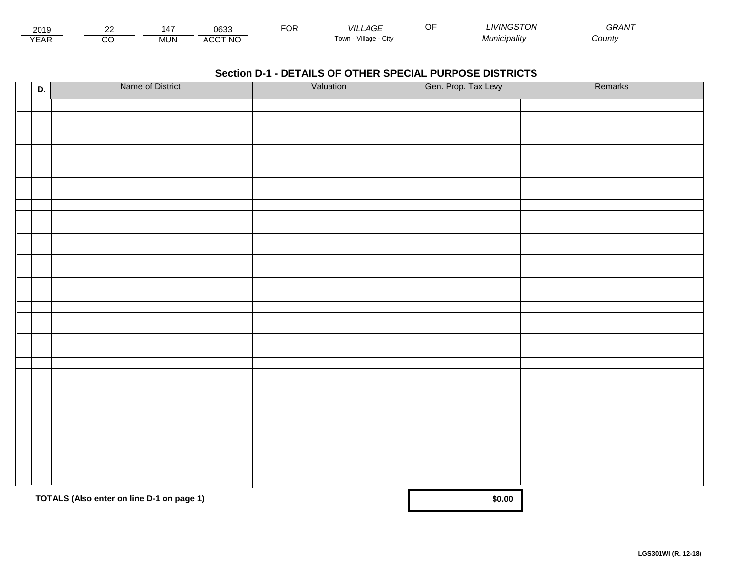| 2019                        | $\sim$ | $\overline{\phantom{a}}$<br>I Л | neor<br>്ഗാം                   | $\neg$ OR | VIL<br>_AGE                         | <b>IVINGSTOL</b><br>. UN | $\sim$ $\sim$ $\sim$ $\sim$<br>GRAN |  |
|-----------------------------|--------|---------------------------------|--------------------------------|-----------|-------------------------------------|--------------------------|-------------------------------------|--|
| $\sqrt{2}$<br>▵<br><b>L</b> |        | <b>MUN</b>                      | CCT NC،<br>$\mathbf{u}$<br>nuu |           | $\cdots$<br>Village<br>∣own<br>יווש | Municipalitv             | :ountv                              |  |

| D. | Name of District                          | Valuation | Gen. Prop. Tax Levy | Remarks |
|----|-------------------------------------------|-----------|---------------------|---------|
|    |                                           |           |                     |         |
|    |                                           |           |                     |         |
|    |                                           |           |                     |         |
|    |                                           |           |                     |         |
|    |                                           |           |                     |         |
|    |                                           |           |                     |         |
|    |                                           |           |                     |         |
|    |                                           |           |                     |         |
|    |                                           |           |                     |         |
|    |                                           |           |                     |         |
|    |                                           |           |                     |         |
|    |                                           |           |                     |         |
|    |                                           |           |                     |         |
|    |                                           |           |                     |         |
|    |                                           |           |                     |         |
|    |                                           |           |                     |         |
|    |                                           |           |                     |         |
|    |                                           |           |                     |         |
|    |                                           |           |                     |         |
|    |                                           |           |                     |         |
|    |                                           |           |                     |         |
|    |                                           |           |                     |         |
|    |                                           |           |                     |         |
|    |                                           |           |                     |         |
|    |                                           |           |                     |         |
|    |                                           |           |                     |         |
|    |                                           |           |                     |         |
|    |                                           |           |                     |         |
|    |                                           |           |                     |         |
|    |                                           |           |                     |         |
|    | TOTALS (Also enter on line D-1 on page 1) |           | \$0.00              |         |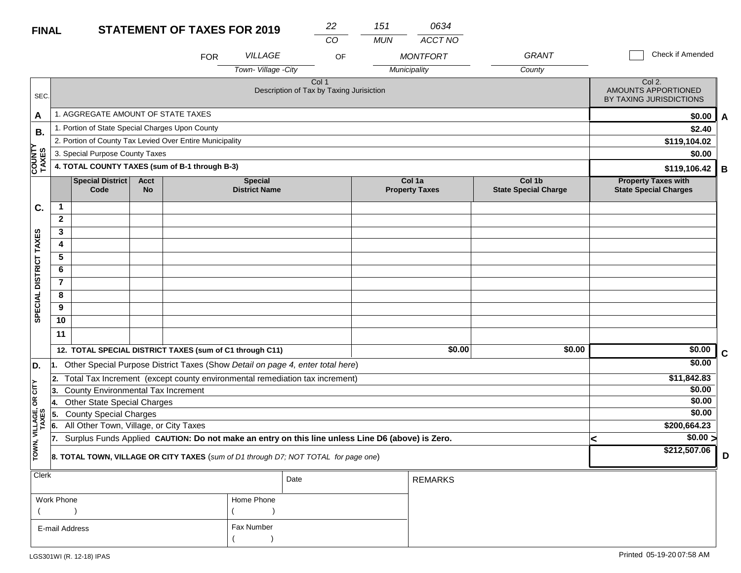|                         | <b>STATEMENT OF TAXES FOR 2019</b><br><b>FINAL</b>                                                                       |                                                                                     |                                       |            |                                                            | 22<br>CO                                                     | 151<br><b>MUN</b> | 0634<br>ACCT NO |              |   |                                                          |             |
|-------------------------|--------------------------------------------------------------------------------------------------------------------------|-------------------------------------------------------------------------------------|---------------------------------------|------------|------------------------------------------------------------|--------------------------------------------------------------|-------------------|-----------------|--------------|---|----------------------------------------------------------|-------------|
|                         |                                                                                                                          |                                                                                     |                                       | <b>FOR</b> | VILLAGE                                                    |                                                              | OF                | <b>MONTFORT</b> | <b>GRANT</b> |   | Check if Amended                                         |             |
|                         |                                                                                                                          |                                                                                     |                                       |            | Town-Village - City                                        |                                                              |                   | Municipality    | County       |   |                                                          |             |
| SEC.                    |                                                                                                                          |                                                                                     |                                       |            |                                                            | Col <sub>1</sub><br>Description of Tax by Taxing Jurisiction |                   |                 |              |   | Col 2.<br>AMOUNTS APPORTIONED<br>BY TAXING JURISDICTIONS |             |
| A                       |                                                                                                                          | 1. AGGREGATE AMOUNT OF STATE TAXES                                                  |                                       |            |                                                            |                                                              |                   |                 |              |   | \$0.00                                                   | A           |
| В.                      |                                                                                                                          | 1. Portion of State Special Charges Upon County                                     |                                       |            |                                                            |                                                              |                   |                 |              |   | \$2.40                                                   |             |
|                         |                                                                                                                          | 2. Portion of County Tax Levied Over Entire Municipality                            |                                       |            |                                                            |                                                              |                   |                 |              |   | \$119,104.02                                             |             |
|                         |                                                                                                                          | 3. Special Purpose County Taxes                                                     |                                       |            |                                                            |                                                              |                   |                 |              |   | \$0.00                                                   |             |
| <b>COUNTY<br/>TAXES</b> | 4. TOTAL COUNTY TAXES (sum of B-1 through B-3)                                                                           |                                                                                     |                                       |            |                                                            |                                                              |                   |                 |              |   | \$119,106.42                                             | B           |
|                         |                                                                                                                          | Special District<br>Code                                                            | Col 1b<br><b>State Special Charge</b> |            | <b>Property Taxes with</b><br><b>State Special Charges</b> |                                                              |                   |                 |              |   |                                                          |             |
| C.                      | $\mathbf{1}$                                                                                                             |                                                                                     |                                       |            |                                                            |                                                              |                   |                 |              |   |                                                          |             |
|                         | $\mathbf{2}$                                                                                                             |                                                                                     |                                       |            |                                                            |                                                              |                   |                 |              |   |                                                          |             |
|                         | 3                                                                                                                        |                                                                                     |                                       |            |                                                            |                                                              |                   |                 |              |   |                                                          |             |
|                         | 4                                                                                                                        |                                                                                     |                                       |            |                                                            |                                                              |                   |                 |              |   |                                                          |             |
|                         | 5                                                                                                                        |                                                                                     |                                       |            |                                                            |                                                              |                   |                 |              |   |                                                          |             |
|                         | 6                                                                                                                        |                                                                                     |                                       |            |                                                            |                                                              |                   |                 |              |   |                                                          |             |
|                         | $\overline{7}$                                                                                                           |                                                                                     |                                       |            |                                                            |                                                              |                   |                 |              |   |                                                          |             |
| SPECIAL DISTRICT TAXES  | 8                                                                                                                        |                                                                                     |                                       |            |                                                            |                                                              |                   |                 |              |   |                                                          |             |
|                         | 9                                                                                                                        |                                                                                     |                                       |            |                                                            |                                                              |                   |                 |              |   |                                                          |             |
|                         | 10                                                                                                                       |                                                                                     |                                       |            |                                                            |                                                              |                   |                 |              |   |                                                          |             |
|                         | 11                                                                                                                       |                                                                                     |                                       |            |                                                            |                                                              |                   |                 |              |   |                                                          |             |
|                         |                                                                                                                          | 12. TOTAL SPECIAL DISTRICT TAXES (sum of C1 through C11)                            |                                       |            |                                                            |                                                              |                   | \$0.00          | \$0.00       |   | \$0.00                                                   | $\mathbf c$ |
| D.                      |                                                                                                                          | 1. Other Special Purpose District Taxes (Show Detail on page 4, enter total here)   |                                       |            |                                                            |                                                              |                   |                 |              |   | \$0.00                                                   |             |
|                         | 2.                                                                                                                       |                                                                                     |                                       |            |                                                            |                                                              |                   |                 |              |   | \$11,842.83                                              |             |
| CITY                    | Total Tax Increment (except county environmental remediation tax increment)<br>County Environmental Tax Increment<br>13. |                                                                                     |                                       |            |                                                            |                                                              |                   |                 |              |   | \$0.00                                                   |             |
| g                       | <b>4.</b>                                                                                                                | <b>Other State Special Charges</b>                                                  |                                       |            |                                                            |                                                              |                   |                 |              |   | \$0.00                                                   |             |
|                         | 5.                                                                                                                       | <b>County Special Charges</b>                                                       |                                       |            |                                                            |                                                              |                   |                 |              |   | \$0.00                                                   |             |
| VILLAGE,<br>TAXES       | 6.                                                                                                                       | All Other Town, Village, or City Taxes                                              |                                       |            |                                                            |                                                              |                   |                 |              |   | \$200,664.23                                             |             |
|                         | Surplus Funds Applied CAUTION: Do not make an entry on this line unless Line D6 (above) is Zero.<br>17.                  |                                                                                     |                                       |            |                                                            |                                                              |                   |                 |              | < | $\sqrt{$0.00}$                                           |             |
| TOWN,                   |                                                                                                                          | 8. TOTAL TOWN, VILLAGE OR CITY TAXES (sum of D1 through D7; NOT TOTAL for page one) |                                       |            |                                                            |                                                              |                   |                 |              |   | \$212,507.06                                             | D           |
| <b>Clerk</b>            |                                                                                                                          |                                                                                     |                                       |            |                                                            | Date                                                         |                   | <b>REMARKS</b>  |              |   |                                                          |             |

|                |              | Date | I REMARKS. |
|----------------|--------------|------|------------|
| Work Phone     | Home Phone   |      |            |
|                |              |      |            |
| E-mail Address | . Fax Number |      |            |
|                |              |      |            |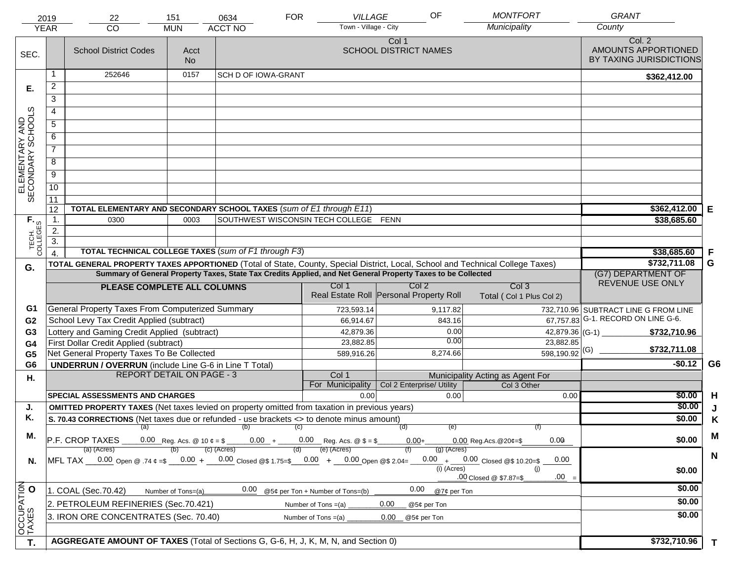|                                     | 2019                                                                                 | 22                                                                                                                             | 151                | 0634                                   | <b>FOR</b> | VILLAGE                                          | OF                                    |               | <b>MONTFORT</b>                              | <b>GRANT</b>                                             |                |
|-------------------------------------|--------------------------------------------------------------------------------------|--------------------------------------------------------------------------------------------------------------------------------|--------------------|----------------------------------------|------------|--------------------------------------------------|---------------------------------------|---------------|----------------------------------------------|----------------------------------------------------------|----------------|
|                                     | <b>YEAR</b>                                                                          | CO                                                                                                                             | <b>MUN</b>         | <b>ACCT NO</b>                         |            | Town - Village - City                            |                                       |               | Municipality                                 | County                                                   |                |
| SEC.                                |                                                                                      | <b>School District Codes</b>                                                                                                   | Acct<br><b>No</b>  |                                        |            |                                                  | Col 1<br><b>SCHOOL DISTRICT NAMES</b> |               |                                              | Col. 2<br>AMOUNTS APPORTIONED<br>BY TAXING JURISDICTIONS |                |
|                                     | 1                                                                                    | 252646                                                                                                                         | 0157               | SCH D OF IOWA-GRANT                    |            |                                                  |                                       |               |                                              | \$362,412.00                                             |                |
| Е.                                  | $\overline{2}$                                                                       |                                                                                                                                |                    |                                        |            |                                                  |                                       |               |                                              |                                                          |                |
|                                     | 3                                                                                    |                                                                                                                                |                    |                                        |            |                                                  |                                       |               |                                              |                                                          |                |
|                                     | 4                                                                                    |                                                                                                                                |                    |                                        |            |                                                  |                                       |               |                                              |                                                          |                |
|                                     | $\overline{5}$                                                                       |                                                                                                                                |                    |                                        |            |                                                  |                                       |               |                                              |                                                          |                |
|                                     | 6                                                                                    |                                                                                                                                |                    |                                        |            |                                                  |                                       |               |                                              |                                                          |                |
| ELEMENTARY AND<br>SECONDARY SCHOOLS | $\overline{7}$                                                                       |                                                                                                                                |                    |                                        |            |                                                  |                                       |               |                                              |                                                          |                |
|                                     | 8                                                                                    |                                                                                                                                |                    |                                        |            |                                                  |                                       |               |                                              |                                                          |                |
|                                     | $\overline{9}$                                                                       |                                                                                                                                |                    |                                        |            |                                                  |                                       |               |                                              |                                                          |                |
|                                     | 10                                                                                   |                                                                                                                                |                    |                                        |            |                                                  |                                       |               |                                              |                                                          |                |
|                                     | $\overline{11}$                                                                      |                                                                                                                                |                    |                                        |            |                                                  |                                       |               |                                              |                                                          |                |
|                                     | 12                                                                                   | TOTAL ELEMENTARY AND SECONDARY SCHOOL TAXES (sum of E1 through E11)                                                            | \$362,412.00       | Е                                      |            |                                                  |                                       |               |                                              |                                                          |                |
|                                     | 1.                                                                                   | 0300                                                                                                                           | 0003               |                                        |            | SOUTHWEST WISCONSIN TECH COLLEGE FENN            |                                       |               |                                              | \$38,685.60                                              |                |
|                                     | 2.                                                                                   |                                                                                                                                |                    |                                        |            |                                                  |                                       |               |                                              |                                                          |                |
| TECH. T                             | $\overline{3}$ .                                                                     |                                                                                                                                |                    |                                        |            |                                                  |                                       |               |                                              |                                                          |                |
|                                     | $\overline{4}$                                                                       | TOTAL TECHNICAL COLLEGE TAXES (sum of F1 through F3)                                                                           |                    | \$38,685.60                            | F          |                                                  |                                       |               |                                              |                                                          |                |
| G.                                  |                                                                                      | TOTAL GENERAL PROPERTY TAXES APPORTIONED (Total of State, County, Special District, Local, School and Technical College Taxes) |                    |                                        |            |                                                  |                                       |               |                                              | \$732,711.08                                             | G              |
|                                     |                                                                                      | Summary of General Property Taxes, State Tax Credits Applied, and Net General Property Taxes to be Collected                   |                    | (G7) DEPARTMENT OF<br>REVENUE USE ONLY |            |                                                  |                                       |               |                                              |                                                          |                |
|                                     |                                                                                      | PLEASE COMPLETE ALL COLUMNS                                                                                                    |                    |                                        |            | Col 1<br>Real Estate Roll Personal Property Roll | Col <sub>2</sub>                      |               | Col <sub>3</sub><br>Total (Col 1 Plus Col 2) |                                                          |                |
| G1                                  |                                                                                      | General Property Taxes From Computerized Summary                                                                               |                    |                                        |            | 723,593.14                                       |                                       | 9,117.82      |                                              | 732,710.96 SUBTRACT LINE G FROM LINE                     |                |
| G <sub>2</sub>                      |                                                                                      | School Levy Tax Credit Applied (subtract)                                                                                      |                    |                                        |            | 66,914.67                                        |                                       | 843.16        |                                              | $\overline{67,757.83}$ G-1. RECORD ON LINE G-6.          |                |
| G3                                  |                                                                                      | Lottery and Gaming Credit Applied (subtract)                                                                                   |                    |                                        |            | 42,879.36                                        |                                       | 0.00          | 42,879.36 (G-1) $-$                          | \$732,710.96                                             |                |
| G4                                  |                                                                                      | First Dollar Credit Applied (subtract)                                                                                         |                    |                                        |            | 23,882.85                                        |                                       | 0.00          | 23,882.85                                    | \$732,711.08                                             |                |
| G <sub>5</sub>                      |                                                                                      | Net General Property Taxes To Be Collected                                                                                     |                    |                                        |            | 589,916.26                                       |                                       | 8,274.66      | $598,190.92$ <sup>(G)</sup>                  | $-$0.12$                                                 | G <sub>6</sub> |
| G <sub>6</sub>                      |                                                                                      | <b>UNDERRUN / OVERRUN</b> (include Line G-6 in Line T Total)<br><b>REPORT DETAIL ON PAGE - 3</b>                               |                    |                                        |            | Col 1                                            |                                       |               | Municipality Acting as Agent For             |                                                          |                |
| Η.                                  |                                                                                      |                                                                                                                                |                    |                                        |            | For Municipality                                 | Col 2 Enterprise/ Utility             |               | Col 3 Other                                  |                                                          |                |
|                                     |                                                                                      | <b>SPECIAL ASSESSMENTS AND CHARGES</b>                                                                                         |                    |                                        |            | 0.00                                             |                                       | 0.00          | 0.00                                         | \$0.00                                                   | H              |
| J.                                  |                                                                                      | <b>OMITTED PROPERTY TAXES</b> (Net taxes levied on property omitted from taxation in previous years)                           |                    |                                        |            |                                                  |                                       |               |                                              | \$0.00                                                   | J              |
| Κ.                                  |                                                                                      | S. 70.43 CORRECTIONS (Net taxes due or refunded - use brackets <> to denote minus amount)                                      |                    |                                        |            |                                                  | (d)                                   | (e)           |                                              | \$0.00                                                   | K              |
| М.                                  |                                                                                      | $(a)$ (b) (c)                                                                                                                  |                    |                                        | M          |                                                  |                                       |               |                                              |                                                          |                |
|                                     |                                                                                      | $\overline{P.F.}$ CROP TAXES 0.00 Reg. Acs. @ 10 $\ell = \$$ 0.00 + 0.00 Reg. Acs. @ $\ell = \$$                               |                    |                                        |            | (e) (Acres)                                      | $0.00+$                               |               | 0.00<br>$0.00$ Reg. Acs. $@20¢=$ \$          | \$0.00                                                   |                |
|                                     |                                                                                      | (a) (Acres)<br>MFL TAX 0.00 Open @ .74 ¢ =\$ 0.00 + 0.00 Closed @\$ 1.75=\$ 0.00 + 0.00 Open @\$ 2.04=                         |                    | $(c)$ (Acres)                          | (d)        |                                                  |                                       | $(g)$ (Acres) | $0.00 + 0.00$ Closed @\$ 10.20=\$<br>0.00    |                                                          | $\mathbf N$    |
| N.                                  |                                                                                      |                                                                                                                                |                    |                                        |            |                                                  |                                       | $(i)$ (Acres) | (i)                                          | \$0.00                                                   |                |
|                                     |                                                                                      |                                                                                                                                |                    |                                        |            |                                                  |                                       |               | $.00 =$<br>.00 Closed @ \$7.87=\$            |                                                          |                |
|                                     |                                                                                      | 1. COAL (Sec.70.42)                                                                                                            | Number of Tons=(a) | 0.00                                   |            | @5¢ per Ton + Number of Tons=(b)                 | 0.00                                  | @7¢ per Ton   |                                              | \$0.00                                                   |                |
|                                     | 2. PETROLEUM REFINERIES (Sec.70.421)<br>0.00<br>Number of Tons $=(a)$<br>@5¢ per Ton |                                                                                                                                |                    |                                        |            |                                                  |                                       |               |                                              | \$0.00                                                   |                |
|                                     |                                                                                      | 3. IRON ORE CONCENTRATES (Sec. 70.40)                                                                                          |                    |                                        |            | Number of Tons $=(a)$                            | 0.00<br>@5¢ per Ton                   |               |                                              | \$0.00                                                   |                |
| OCCUPATION<br>TAXES O               |                                                                                      |                                                                                                                                |                    |                                        |            |                                                  |                                       |               |                                              |                                                          |                |
| T.                                  |                                                                                      | AGGREGATE AMOUNT OF TAXES (Total of Sections G, G-6, H, J, K, M, N, and Section 0)                                             |                    |                                        |            |                                                  |                                       |               |                                              | \$732,710.96                                             | $\mathbf{T}$   |
|                                     |                                                                                      |                                                                                                                                |                    |                                        |            |                                                  |                                       |               |                                              |                                                          |                |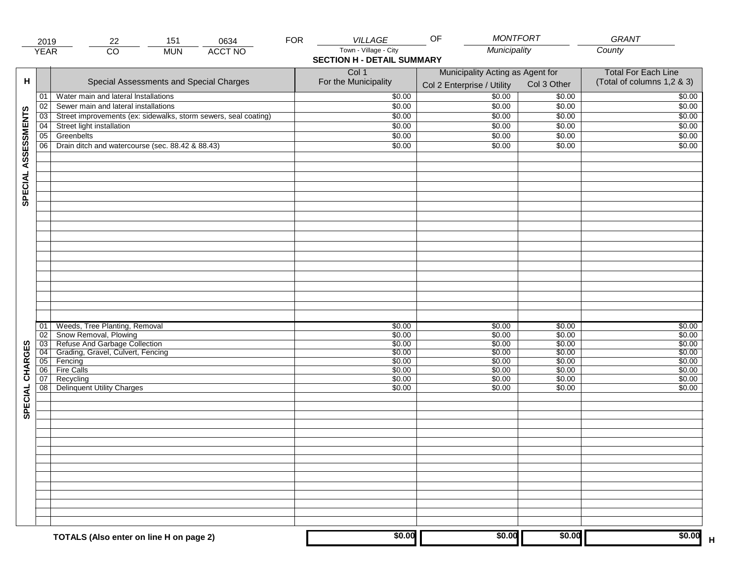|                     | 2019        | 151<br>0634<br>22                                               | <b>FOR</b> | VILLAGE                                                    | <b>MONTFORT</b><br>OF                                          |                  | GRANT                                                    |
|---------------------|-------------|-----------------------------------------------------------------|------------|------------------------------------------------------------|----------------------------------------------------------------|------------------|----------------------------------------------------------|
|                     | <b>YEAR</b> | $\overline{CO}$<br><b>ACCT NO</b><br><b>MUN</b>                 |            | Town - Village - City<br><b>SECTION H - DETAIL SUMMARY</b> | Municipality                                                   |                  | County                                                   |
| н                   |             | Special Assessments and Special Charges                         |            | Col 1<br>For the Municipality                              | Municipality Acting as Agent for<br>Col 2 Enterprise / Utility | Col 3 Other      | <b>Total For Each Line</b><br>(Total of columns 1,2 & 3) |
|                     | 01          | Water main and lateral Installations                            |            | \$0.00                                                     | $\frac{1}{00}$                                                 | \$0.00           | \$0.00                                                   |
|                     | 02          | Sewer main and lateral installations                            |            | \$0.00                                                     | \$0.00                                                         | \$0.00           | \$0.00                                                   |
|                     | 03          | Street improvements (ex: sidewalks, storm sewers, seal coating) |            | \$0.00                                                     | \$0.00                                                         | \$0.00           | \$0.00                                                   |
|                     | 04          | Street light installation                                       |            | \$0.00                                                     | \$0.00                                                         | \$0.00           | \$0.00                                                   |
|                     | 05          | Greenbelts                                                      |            | \$0.00                                                     | \$0.00                                                         | \$0.00           | \$0.00                                                   |
|                     | 06          | Drain ditch and watercourse (sec. 88.42 & 88.43)                |            | \$0.00                                                     | \$0.00                                                         | \$0.00           | \$0.00                                                   |
| SPECIAL ASSESSMENTS |             |                                                                 |            |                                                            |                                                                |                  |                                                          |
|                     | 01<br>02    | Weeds, Tree Planting, Removal<br>Snow Removal, Plowing          |            | \$0.00<br>\$0.00                                           | \$0.00<br>\$0.00                                               | \$0.00<br>\$0.00 | \$0.00<br>\$0.00                                         |
|                     | 03          | Refuse And Garbage Collection                                   |            | \$0.00                                                     | \$0.00                                                         | \$0.00           | \$0.00                                                   |
| CHARGES             | 04          | Grading, Gravel, Culvert, Fencing                               |            | \$0.00                                                     | \$0.00                                                         | \$0.00           | \$0.00                                                   |
|                     | 05          | Fencing                                                         |            | \$0.00                                                     | \$0.00                                                         | \$0.00           | \$0.00                                                   |
|                     | 06          | Fire Calls                                                      |            | \$0.00                                                     | \$0.00                                                         | \$0.00           | \$0.00                                                   |
| SPECIAL             | 07<br>08    | Recycling<br><b>Delinquent Utility Charges</b>                  |            | \$0.00<br>\$0.00                                           | \$0.00<br>\$0.00                                               | \$0.00<br>\$0.00 | \$0.00<br>\$0.00                                         |
|                     |             |                                                                 |            |                                                            |                                                                |                  |                                                          |
|                     |             |                                                                 |            |                                                            |                                                                |                  |                                                          |
|                     |             |                                                                 |            |                                                            |                                                                |                  |                                                          |
|                     |             |                                                                 |            |                                                            |                                                                |                  |                                                          |
|                     |             | TOTALS (Also enter on line H on page 2)                         |            | \$0.00                                                     | \$0.00                                                         | \$0.00           | \$0.00                                                   |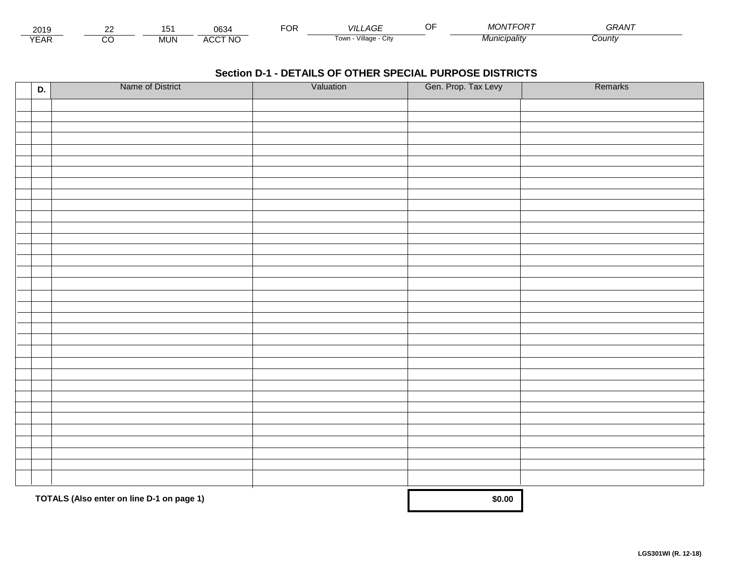| 2019                        | co | ັ   | 0634            | Ur | AGF<br>VIL                    | $\sim$ $\sim$<br>. | MONTFORT    | $\sim$ $\sim$ $\sim$ $\sim$ $\sim$<br>75. |  |
|-----------------------------|----|-----|-----------------|----|-------------------------------|--------------------|-------------|-------------------------------------------|--|
| $\sqrt{2}$<br>▵<br><b>L</b> |    | MUN | CCT NC،<br>A(x) |    | <br>Village - '<br>l own<br>ີ |                    | 'nıcıpalıtv | County                                    |  |

| D. | Name of District                          | Valuation | Gen. Prop. Tax Levy | Remarks |
|----|-------------------------------------------|-----------|---------------------|---------|
|    |                                           |           |                     |         |
|    |                                           |           |                     |         |
|    |                                           |           |                     |         |
|    |                                           |           |                     |         |
|    |                                           |           |                     |         |
|    |                                           |           |                     |         |
|    |                                           |           |                     |         |
|    |                                           |           |                     |         |
|    |                                           |           |                     |         |
|    |                                           |           |                     |         |
|    |                                           |           |                     |         |
|    |                                           |           |                     |         |
|    |                                           |           |                     |         |
|    |                                           |           |                     |         |
|    |                                           |           |                     |         |
|    |                                           |           |                     |         |
|    |                                           |           |                     |         |
|    |                                           |           |                     |         |
|    |                                           |           |                     |         |
|    |                                           |           |                     |         |
|    |                                           |           |                     |         |
|    |                                           |           |                     |         |
|    |                                           |           |                     |         |
|    |                                           |           |                     |         |
|    |                                           |           |                     |         |
|    |                                           |           |                     |         |
|    |                                           |           |                     |         |
|    |                                           |           |                     |         |
|    |                                           |           |                     |         |
|    |                                           |           |                     |         |
|    |                                           |           |                     |         |
|    |                                           |           |                     |         |
|    | TOTALS (Also enter on line D-1 on page 1) |           | \$0.00              |         |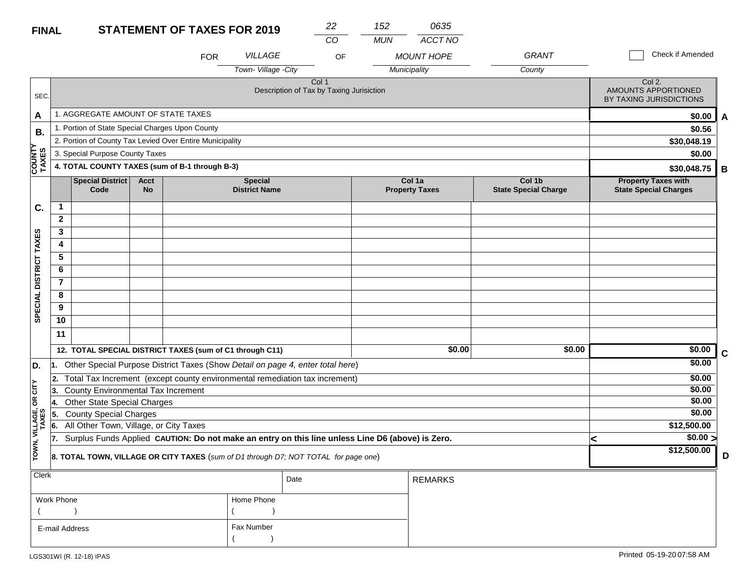| <b>FINAL</b>           |                                                                                                         |                                                                                     |                          | <b>STATEMENT OF TAXES FOR 2019</b> |                                        | 22                                                           | 152        | 0635<br>ACCT NO                   |                                       |   |                                                            |   |
|------------------------|---------------------------------------------------------------------------------------------------------|-------------------------------------------------------------------------------------|--------------------------|------------------------------------|----------------------------------------|--------------------------------------------------------------|------------|-----------------------------------|---------------------------------------|---|------------------------------------------------------------|---|
|                        |                                                                                                         |                                                                                     |                          | <b>FOR</b>                         | <b>VILLAGE</b><br>Town-Village -City   | CO<br>OF                                                     | <b>MUN</b> | <b>MOUNT HOPE</b><br>Municipality | <b>GRANT</b><br>County                |   | Check if Amended                                           |   |
| SEC.                   |                                                                                                         |                                                                                     |                          |                                    |                                        | Col <sub>1</sub><br>Description of Tax by Taxing Jurisiction |            |                                   |                                       |   | Col 2.<br>AMOUNTS APPORTIONED<br>BY TAXING JURISDICTIONS   |   |
| A                      |                                                                                                         | 1. AGGREGATE AMOUNT OF STATE TAXES                                                  |                          |                                    |                                        |                                                              |            |                                   |                                       |   | \$0.00                                                     | A |
| <b>B.</b>              |                                                                                                         | 1. Portion of State Special Charges Upon County                                     |                          |                                    |                                        |                                                              |            |                                   |                                       |   | \$0.56                                                     |   |
|                        |                                                                                                         | 2. Portion of County Tax Levied Over Entire Municipality                            |                          |                                    |                                        |                                                              |            |                                   |                                       |   | \$30,048.19                                                |   |
|                        |                                                                                                         | 3. Special Purpose County Taxes                                                     |                          |                                    |                                        |                                                              |            |                                   |                                       |   | \$0.00                                                     |   |
| <b>COUNTY</b><br>TAXES | 4. TOTAL COUNTY TAXES (sum of B-1 through B-3)                                                          |                                                                                     |                          |                                    |                                        |                                                              |            |                                   |                                       |   | \$30,048.75                                                | В |
|                        |                                                                                                         | Special District<br>Code                                                            | <b>Acct</b><br><b>No</b> |                                    | <b>Special</b><br><b>District Name</b> |                                                              |            | Col 1a<br><b>Property Taxes</b>   | Col 1b<br><b>State Special Charge</b> |   | <b>Property Taxes with</b><br><b>State Special Charges</b> |   |
| C.                     | $\mathbf{1}$                                                                                            |                                                                                     |                          |                                    |                                        |                                                              |            |                                   |                                       |   |                                                            |   |
|                        | $\mathbf{2}$                                                                                            |                                                                                     |                          |                                    |                                        |                                                              |            |                                   |                                       |   |                                                            |   |
|                        | 3                                                                                                       |                                                                                     |                          |                                    |                                        |                                                              |            |                                   |                                       |   |                                                            |   |
|                        | 4                                                                                                       |                                                                                     |                          |                                    |                                        |                                                              |            |                                   |                                       |   |                                                            |   |
|                        | 5                                                                                                       |                                                                                     |                          |                                    |                                        |                                                              |            |                                   |                                       |   |                                                            |   |
|                        | 6                                                                                                       |                                                                                     |                          |                                    |                                        |                                                              |            |                                   |                                       |   |                                                            |   |
|                        | $\overline{7}$                                                                                          |                                                                                     |                          |                                    |                                        |                                                              |            |                                   |                                       |   |                                                            |   |
|                        | 8                                                                                                       |                                                                                     |                          |                                    |                                        |                                                              |            |                                   |                                       |   |                                                            |   |
| SPECIAL DISTRICT TAXES | 9                                                                                                       |                                                                                     |                          |                                    |                                        |                                                              |            |                                   |                                       |   |                                                            |   |
|                        | 10                                                                                                      |                                                                                     |                          |                                    |                                        |                                                              |            |                                   |                                       |   |                                                            |   |
|                        | 11                                                                                                      |                                                                                     |                          |                                    |                                        |                                                              |            |                                   |                                       |   |                                                            |   |
|                        |                                                                                                         | 12. TOTAL SPECIAL DISTRICT TAXES (sum of C1 through C11)                            |                          |                                    |                                        |                                                              |            | \$0.00                            | \$0.00                                |   | \$0.00                                                     | C |
| D.                     | 11.                                                                                                     | Other Special Purpose District Taxes (Show Detail on page 4, enter total here)      |                          |                                    |                                        |                                                              |            |                                   |                                       |   | \$0.00                                                     |   |
|                        |                                                                                                         | 2. Total Tax Increment (except county environmental remediation tax increment)      |                          |                                    |                                        |                                                              |            |                                   |                                       |   | \$0.00                                                     |   |
| CITY                   | 3.                                                                                                      | County Environmental Tax Increment                                                  |                          |                                    |                                        |                                                              |            |                                   |                                       |   | \$0.00                                                     |   |
| g                      | 4.                                                                                                      | <b>Other State Special Charges</b>                                                  |                          |                                    |                                        |                                                              |            |                                   |                                       |   | \$0.00                                                     |   |
|                        | 5.                                                                                                      | <b>County Special Charges</b>                                                       |                          |                                    |                                        | \$0.00                                                       |            |                                   |                                       |   |                                                            |   |
| VILLAGE,<br>TAXES      | 6.                                                                                                      | All Other Town, Village, or City Taxes                                              |                          |                                    |                                        |                                                              |            |                                   |                                       |   | \$12,500.00                                                |   |
|                        | Surplus Funds Applied CAUTION: Do not make an entry on this line unless Line D6 (above) is Zero.<br>17. |                                                                                     |                          |                                    |                                        |                                                              |            |                                   |                                       | k | \$0.00 >                                                   |   |
| TOWN,                  |                                                                                                         | 8. TOTAL TOWN, VILLAGE OR CITY TAXES (sum of D1 through D7; NOT TOTAL for page one) |                          |                                    | \$12,500.00                            | D                                                            |            |                                   |                                       |   |                                                            |   |
| Clerk                  |                                                                                                         |                                                                                     |                          |                                    |                                        | Date                                                         |            | <b>REMARKS</b>                    |                                       |   |                                                            |   |

|                |            | Dale | REIVIARNO |
|----------------|------------|------|-----------|
| Work Phone     | Home Phone |      |           |
|                |            |      |           |
| E-mail Address | Fax Number |      |           |
|                |            |      |           |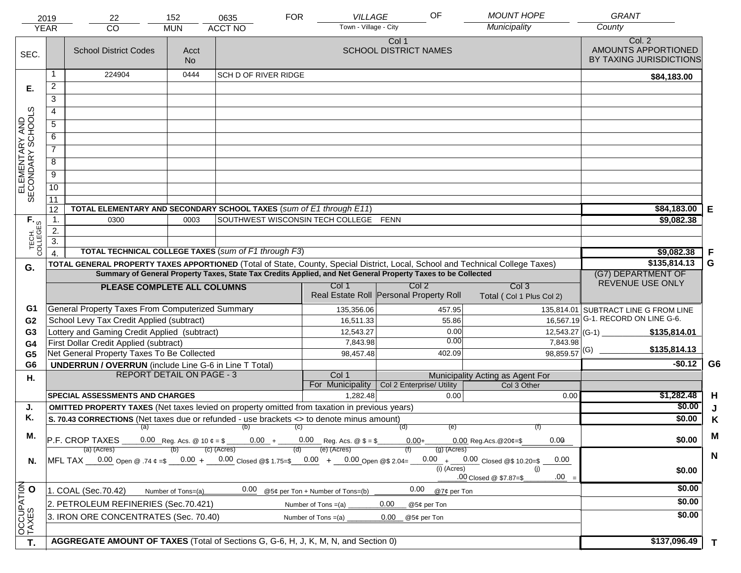| Town - Village - City<br><b>YEAR</b><br><b>MUN</b><br>Col. 2<br>Col 1<br>AMOUNTS APPORTIONED<br><b>SCHOOL DISTRICT NAMES</b><br><b>School District Codes</b><br>Acct<br>SEC.<br>BY TAXING JURISDICTIONS<br><b>No</b><br>224904<br>0444<br>1<br><b>SCH D OF RIVER RIDGE</b><br>\$84,183.00<br>$\overline{2}$<br>Е.<br>3<br>ELEMENTARY AND<br>SECONDARY SCHOOLS<br>4<br>$\overline{5}$<br>6<br>$\overline{7}$<br>8<br>$\overline{9}$<br>10<br>$\overline{11}$<br>TOTAL ELEMENTARY AND SECONDARY SCHOOL TAXES (sum of E1 through E11)<br>\$84,183.00<br>12<br>$\mathbf 1$ .<br>SOUTHWEST WISCONSIN TECH COLLEGE FENN<br>TECH. T<br>0300<br>0003<br>\$9,082.38<br>2.<br>$\overline{3}$ .<br>TOTAL TECHNICAL COLLEGE TAXES (sum of F1 through F3)<br>\$9,082.38<br>$\overline{4}$<br>\$135,814.13<br>TOTAL GENERAL PROPERTY TAXES APPORTIONED (Total of State, County, Special District, Local, School and Technical College Taxes)<br>G.<br>Summary of General Property Taxes, State Tax Credits Applied, and Net General Property Taxes to be Collected<br>(G7) DEPARTMENT OF<br>REVENUE USE ONLY<br>Col <sub>2</sub><br>Col <sub>3</sub><br>Col 1<br>PLEASE COMPLETE ALL COLUMNS<br>Real Estate Roll Personal Property Roll<br>Total (Col 1 Plus Col 2)<br>General Property Taxes From Computerized Summary<br>G1<br>135,356.06<br>135,814.01 SUBTRACT LINE G FROM LINE<br>457.95<br>G-1. RECORD ON LINE G-6.<br>School Levy Tax Credit Applied (subtract)<br>16,567.19<br>G <sub>2</sub><br>16,511.33<br>55.86<br>0.00<br>Lottery and Gaming Credit Applied (subtract)<br>12,543.27<br>12,543.27 (G-1) $-$<br>G3<br>\$135,814.01<br>0.00<br>7,843.98<br>7,843.98<br>First Dollar Credit Applied (subtract)<br>G4<br>\$135,814.13<br>$98,859.57$ <sup>(G)</sup><br>Net General Property Taxes To Be Collected<br>98,457.48<br>402.09<br>G <sub>5</sub><br>$-$0.12$<br><b>UNDERRUN / OVERRUN</b> (include Line G-6 in Line T Total)<br>G <sub>6</sub><br><b>REPORT DETAIL ON PAGE - 3</b><br>Col 1<br>Municipality Acting as Agent For<br>Η.<br>For Municipality<br>Col 2 Enterprise/ Utility<br>Col 3 Other<br><b>SPECIAL ASSESSMENTS AND CHARGES</b><br>1,282.48<br>\$1,282.48<br>0.00<br>0.00<br>\$0.00<br><b>OMITTED PROPERTY TAXES</b> (Net taxes levied on property omitted from taxation in previous years)<br>J.<br>Κ.<br>\$0.00<br>S. 70.43 CORRECTIONS (Net taxes due or refunded - use brackets <> to denote minus amount)<br>(e)<br>$(a)$ (b) (c)<br>(d)<br>М.<br>\$0.00<br>$\overline{P.F.}$ CROP TAXES 0.00 Reg. Acs. @ 10 $\ell = \$$ 0.00 + 0.00 Reg. Acs. @ $\ell = \$$<br>0.00<br>$0.00+$<br>$0.00$ Reg. Acs. @ 20¢=\$<br>(e) (Acres)<br>$(c)$ (Acres)<br>$(g)$ (Acres)<br>(a) (Acres)<br>(d)<br>MFL TAX 0.00 Open @ .74 ¢ =\$ 0.00 + 0.00 Closed @\$ 1.75=\$ 0.00 + 0.00 Open @\$ 2.04=<br>$0.00 + 0.00$ Closed @\$ 10.20=\$<br>0.00<br>N.<br>$(i)$ (Acres)<br>(i)<br>\$0.00<br>$.00 =$<br>.00 Closed @ \$7.87=\$ |                       | 2019 | 22 | 152 | 0635           | <b>FOR</b> | OF<br>VILLAGE | <b>MOUNT HOPE</b> | <b>GRANT</b> |             |
|-----------------------------------------------------------------------------------------------------------------------------------------------------------------------------------------------------------------------------------------------------------------------------------------------------------------------------------------------------------------------------------------------------------------------------------------------------------------------------------------------------------------------------------------------------------------------------------------------------------------------------------------------------------------------------------------------------------------------------------------------------------------------------------------------------------------------------------------------------------------------------------------------------------------------------------------------------------------------------------------------------------------------------------------------------------------------------------------------------------------------------------------------------------------------------------------------------------------------------------------------------------------------------------------------------------------------------------------------------------------------------------------------------------------------------------------------------------------------------------------------------------------------------------------------------------------------------------------------------------------------------------------------------------------------------------------------------------------------------------------------------------------------------------------------------------------------------------------------------------------------------------------------------------------------------------------------------------------------------------------------------------------------------------------------------------------------------------------------------------------------------------------------------------------------------------------------------------------------------------------------------------------------------------------------------------------------------------------------------------------------------------------------------------------------------------------------------------------------------------------------------------------------------------------------------------------------------------------------------------------------------------------------------------------------------------------------------------------------------------------------------------------------------------------------------------------------------------------------------------------------------------------------------------------------------------|-----------------------|------|----|-----|----------------|------------|---------------|-------------------|--------------|-------------|
|                                                                                                                                                                                                                                                                                                                                                                                                                                                                                                                                                                                                                                                                                                                                                                                                                                                                                                                                                                                                                                                                                                                                                                                                                                                                                                                                                                                                                                                                                                                                                                                                                                                                                                                                                                                                                                                                                                                                                                                                                                                                                                                                                                                                                                                                                                                                                                                                                                                                                                                                                                                                                                                                                                                                                                                                                                                                                                                                   |                       |      | CO |     | <b>ACCT NO</b> |            |               | Municipality      | County       |             |
|                                                                                                                                                                                                                                                                                                                                                                                                                                                                                                                                                                                                                                                                                                                                                                                                                                                                                                                                                                                                                                                                                                                                                                                                                                                                                                                                                                                                                                                                                                                                                                                                                                                                                                                                                                                                                                                                                                                                                                                                                                                                                                                                                                                                                                                                                                                                                                                                                                                                                                                                                                                                                                                                                                                                                                                                                                                                                                                                   |                       |      |    |     |                |            |               |                   |              |             |
|                                                                                                                                                                                                                                                                                                                                                                                                                                                                                                                                                                                                                                                                                                                                                                                                                                                                                                                                                                                                                                                                                                                                                                                                                                                                                                                                                                                                                                                                                                                                                                                                                                                                                                                                                                                                                                                                                                                                                                                                                                                                                                                                                                                                                                                                                                                                                                                                                                                                                                                                                                                                                                                                                                                                                                                                                                                                                                                                   |                       |      |    |     |                |            |               |                   |              |             |
|                                                                                                                                                                                                                                                                                                                                                                                                                                                                                                                                                                                                                                                                                                                                                                                                                                                                                                                                                                                                                                                                                                                                                                                                                                                                                                                                                                                                                                                                                                                                                                                                                                                                                                                                                                                                                                                                                                                                                                                                                                                                                                                                                                                                                                                                                                                                                                                                                                                                                                                                                                                                                                                                                                                                                                                                                                                                                                                                   |                       |      |    |     |                |            |               |                   |              |             |
|                                                                                                                                                                                                                                                                                                                                                                                                                                                                                                                                                                                                                                                                                                                                                                                                                                                                                                                                                                                                                                                                                                                                                                                                                                                                                                                                                                                                                                                                                                                                                                                                                                                                                                                                                                                                                                                                                                                                                                                                                                                                                                                                                                                                                                                                                                                                                                                                                                                                                                                                                                                                                                                                                                                                                                                                                                                                                                                                   |                       |      |    |     |                |            |               |                   |              |             |
|                                                                                                                                                                                                                                                                                                                                                                                                                                                                                                                                                                                                                                                                                                                                                                                                                                                                                                                                                                                                                                                                                                                                                                                                                                                                                                                                                                                                                                                                                                                                                                                                                                                                                                                                                                                                                                                                                                                                                                                                                                                                                                                                                                                                                                                                                                                                                                                                                                                                                                                                                                                                                                                                                                                                                                                                                                                                                                                                   |                       |      |    |     |                |            |               |                   |              |             |
|                                                                                                                                                                                                                                                                                                                                                                                                                                                                                                                                                                                                                                                                                                                                                                                                                                                                                                                                                                                                                                                                                                                                                                                                                                                                                                                                                                                                                                                                                                                                                                                                                                                                                                                                                                                                                                                                                                                                                                                                                                                                                                                                                                                                                                                                                                                                                                                                                                                                                                                                                                                                                                                                                                                                                                                                                                                                                                                                   |                       |      |    |     |                |            |               |                   |              |             |
|                                                                                                                                                                                                                                                                                                                                                                                                                                                                                                                                                                                                                                                                                                                                                                                                                                                                                                                                                                                                                                                                                                                                                                                                                                                                                                                                                                                                                                                                                                                                                                                                                                                                                                                                                                                                                                                                                                                                                                                                                                                                                                                                                                                                                                                                                                                                                                                                                                                                                                                                                                                                                                                                                                                                                                                                                                                                                                                                   |                       |      |    |     |                |            |               |                   |              |             |
|                                                                                                                                                                                                                                                                                                                                                                                                                                                                                                                                                                                                                                                                                                                                                                                                                                                                                                                                                                                                                                                                                                                                                                                                                                                                                                                                                                                                                                                                                                                                                                                                                                                                                                                                                                                                                                                                                                                                                                                                                                                                                                                                                                                                                                                                                                                                                                                                                                                                                                                                                                                                                                                                                                                                                                                                                                                                                                                                   |                       |      |    |     |                |            |               |                   |              |             |
|                                                                                                                                                                                                                                                                                                                                                                                                                                                                                                                                                                                                                                                                                                                                                                                                                                                                                                                                                                                                                                                                                                                                                                                                                                                                                                                                                                                                                                                                                                                                                                                                                                                                                                                                                                                                                                                                                                                                                                                                                                                                                                                                                                                                                                                                                                                                                                                                                                                                                                                                                                                                                                                                                                                                                                                                                                                                                                                                   |                       |      |    |     |                |            |               |                   |              |             |
|                                                                                                                                                                                                                                                                                                                                                                                                                                                                                                                                                                                                                                                                                                                                                                                                                                                                                                                                                                                                                                                                                                                                                                                                                                                                                                                                                                                                                                                                                                                                                                                                                                                                                                                                                                                                                                                                                                                                                                                                                                                                                                                                                                                                                                                                                                                                                                                                                                                                                                                                                                                                                                                                                                                                                                                                                                                                                                                                   |                       |      |    |     |                |            |               |                   |              |             |
|                                                                                                                                                                                                                                                                                                                                                                                                                                                                                                                                                                                                                                                                                                                                                                                                                                                                                                                                                                                                                                                                                                                                                                                                                                                                                                                                                                                                                                                                                                                                                                                                                                                                                                                                                                                                                                                                                                                                                                                                                                                                                                                                                                                                                                                                                                                                                                                                                                                                                                                                                                                                                                                                                                                                                                                                                                                                                                                                   |                       |      |    |     |                |            |               |                   |              |             |
|                                                                                                                                                                                                                                                                                                                                                                                                                                                                                                                                                                                                                                                                                                                                                                                                                                                                                                                                                                                                                                                                                                                                                                                                                                                                                                                                                                                                                                                                                                                                                                                                                                                                                                                                                                                                                                                                                                                                                                                                                                                                                                                                                                                                                                                                                                                                                                                                                                                                                                                                                                                                                                                                                                                                                                                                                                                                                                                                   |                       |      |    |     |                |            |               |                   |              |             |
|                                                                                                                                                                                                                                                                                                                                                                                                                                                                                                                                                                                                                                                                                                                                                                                                                                                                                                                                                                                                                                                                                                                                                                                                                                                                                                                                                                                                                                                                                                                                                                                                                                                                                                                                                                                                                                                                                                                                                                                                                                                                                                                                                                                                                                                                                                                                                                                                                                                                                                                                                                                                                                                                                                                                                                                                                                                                                                                                   |                       |      |    |     | Е              |            |               |                   |              |             |
|                                                                                                                                                                                                                                                                                                                                                                                                                                                                                                                                                                                                                                                                                                                                                                                                                                                                                                                                                                                                                                                                                                                                                                                                                                                                                                                                                                                                                                                                                                                                                                                                                                                                                                                                                                                                                                                                                                                                                                                                                                                                                                                                                                                                                                                                                                                                                                                                                                                                                                                                                                                                                                                                                                                                                                                                                                                                                                                                   |                       |      |    |     |                |            |               |                   |              |             |
|                                                                                                                                                                                                                                                                                                                                                                                                                                                                                                                                                                                                                                                                                                                                                                                                                                                                                                                                                                                                                                                                                                                                                                                                                                                                                                                                                                                                                                                                                                                                                                                                                                                                                                                                                                                                                                                                                                                                                                                                                                                                                                                                                                                                                                                                                                                                                                                                                                                                                                                                                                                                                                                                                                                                                                                                                                                                                                                                   |                       |      |    |     |                |            |               |                   |              |             |
|                                                                                                                                                                                                                                                                                                                                                                                                                                                                                                                                                                                                                                                                                                                                                                                                                                                                                                                                                                                                                                                                                                                                                                                                                                                                                                                                                                                                                                                                                                                                                                                                                                                                                                                                                                                                                                                                                                                                                                                                                                                                                                                                                                                                                                                                                                                                                                                                                                                                                                                                                                                                                                                                                                                                                                                                                                                                                                                                   |                       |      |    |     |                |            |               |                   |              |             |
|                                                                                                                                                                                                                                                                                                                                                                                                                                                                                                                                                                                                                                                                                                                                                                                                                                                                                                                                                                                                                                                                                                                                                                                                                                                                                                                                                                                                                                                                                                                                                                                                                                                                                                                                                                                                                                                                                                                                                                                                                                                                                                                                                                                                                                                                                                                                                                                                                                                                                                                                                                                                                                                                                                                                                                                                                                                                                                                                   |                       |      |    |     |                |            |               |                   |              | F           |
|                                                                                                                                                                                                                                                                                                                                                                                                                                                                                                                                                                                                                                                                                                                                                                                                                                                                                                                                                                                                                                                                                                                                                                                                                                                                                                                                                                                                                                                                                                                                                                                                                                                                                                                                                                                                                                                                                                                                                                                                                                                                                                                                                                                                                                                                                                                                                                                                                                                                                                                                                                                                                                                                                                                                                                                                                                                                                                                                   |                       |      |    |     |                |            |               |                   |              | G           |
|                                                                                                                                                                                                                                                                                                                                                                                                                                                                                                                                                                                                                                                                                                                                                                                                                                                                                                                                                                                                                                                                                                                                                                                                                                                                                                                                                                                                                                                                                                                                                                                                                                                                                                                                                                                                                                                                                                                                                                                                                                                                                                                                                                                                                                                                                                                                                                                                                                                                                                                                                                                                                                                                                                                                                                                                                                                                                                                                   |                       |      |    |     |                |            |               |                   |              |             |
|                                                                                                                                                                                                                                                                                                                                                                                                                                                                                                                                                                                                                                                                                                                                                                                                                                                                                                                                                                                                                                                                                                                                                                                                                                                                                                                                                                                                                                                                                                                                                                                                                                                                                                                                                                                                                                                                                                                                                                                                                                                                                                                                                                                                                                                                                                                                                                                                                                                                                                                                                                                                                                                                                                                                                                                                                                                                                                                                   |                       |      |    |     |                |            |               |                   |              |             |
|                                                                                                                                                                                                                                                                                                                                                                                                                                                                                                                                                                                                                                                                                                                                                                                                                                                                                                                                                                                                                                                                                                                                                                                                                                                                                                                                                                                                                                                                                                                                                                                                                                                                                                                                                                                                                                                                                                                                                                                                                                                                                                                                                                                                                                                                                                                                                                                                                                                                                                                                                                                                                                                                                                                                                                                                                                                                                                                                   |                       |      |    |     |                |            |               |                   |              |             |
|                                                                                                                                                                                                                                                                                                                                                                                                                                                                                                                                                                                                                                                                                                                                                                                                                                                                                                                                                                                                                                                                                                                                                                                                                                                                                                                                                                                                                                                                                                                                                                                                                                                                                                                                                                                                                                                                                                                                                                                                                                                                                                                                                                                                                                                                                                                                                                                                                                                                                                                                                                                                                                                                                                                                                                                                                                                                                                                                   |                       |      |    |     |                |            |               |                   |              |             |
|                                                                                                                                                                                                                                                                                                                                                                                                                                                                                                                                                                                                                                                                                                                                                                                                                                                                                                                                                                                                                                                                                                                                                                                                                                                                                                                                                                                                                                                                                                                                                                                                                                                                                                                                                                                                                                                                                                                                                                                                                                                                                                                                                                                                                                                                                                                                                                                                                                                                                                                                                                                                                                                                                                                                                                                                                                                                                                                                   |                       |      |    |     |                |            |               |                   |              |             |
|                                                                                                                                                                                                                                                                                                                                                                                                                                                                                                                                                                                                                                                                                                                                                                                                                                                                                                                                                                                                                                                                                                                                                                                                                                                                                                                                                                                                                                                                                                                                                                                                                                                                                                                                                                                                                                                                                                                                                                                                                                                                                                                                                                                                                                                                                                                                                                                                                                                                                                                                                                                                                                                                                                                                                                                                                                                                                                                                   |                       |      |    |     |                |            |               |                   |              |             |
|                                                                                                                                                                                                                                                                                                                                                                                                                                                                                                                                                                                                                                                                                                                                                                                                                                                                                                                                                                                                                                                                                                                                                                                                                                                                                                                                                                                                                                                                                                                                                                                                                                                                                                                                                                                                                                                                                                                                                                                                                                                                                                                                                                                                                                                                                                                                                                                                                                                                                                                                                                                                                                                                                                                                                                                                                                                                                                                                   |                       |      |    |     |                |            |               |                   |              | G6          |
|                                                                                                                                                                                                                                                                                                                                                                                                                                                                                                                                                                                                                                                                                                                                                                                                                                                                                                                                                                                                                                                                                                                                                                                                                                                                                                                                                                                                                                                                                                                                                                                                                                                                                                                                                                                                                                                                                                                                                                                                                                                                                                                                                                                                                                                                                                                                                                                                                                                                                                                                                                                                                                                                                                                                                                                                                                                                                                                                   |                       |      |    |     |                |            |               |                   |              |             |
|                                                                                                                                                                                                                                                                                                                                                                                                                                                                                                                                                                                                                                                                                                                                                                                                                                                                                                                                                                                                                                                                                                                                                                                                                                                                                                                                                                                                                                                                                                                                                                                                                                                                                                                                                                                                                                                                                                                                                                                                                                                                                                                                                                                                                                                                                                                                                                                                                                                                                                                                                                                                                                                                                                                                                                                                                                                                                                                                   |                       |      |    |     |                |            |               |                   |              |             |
|                                                                                                                                                                                                                                                                                                                                                                                                                                                                                                                                                                                                                                                                                                                                                                                                                                                                                                                                                                                                                                                                                                                                                                                                                                                                                                                                                                                                                                                                                                                                                                                                                                                                                                                                                                                                                                                                                                                                                                                                                                                                                                                                                                                                                                                                                                                                                                                                                                                                                                                                                                                                                                                                                                                                                                                                                                                                                                                                   |                       |      |    |     |                |            |               |                   |              | H           |
|                                                                                                                                                                                                                                                                                                                                                                                                                                                                                                                                                                                                                                                                                                                                                                                                                                                                                                                                                                                                                                                                                                                                                                                                                                                                                                                                                                                                                                                                                                                                                                                                                                                                                                                                                                                                                                                                                                                                                                                                                                                                                                                                                                                                                                                                                                                                                                                                                                                                                                                                                                                                                                                                                                                                                                                                                                                                                                                                   |                       |      |    |     |                |            |               |                   |              | J           |
|                                                                                                                                                                                                                                                                                                                                                                                                                                                                                                                                                                                                                                                                                                                                                                                                                                                                                                                                                                                                                                                                                                                                                                                                                                                                                                                                                                                                                                                                                                                                                                                                                                                                                                                                                                                                                                                                                                                                                                                                                                                                                                                                                                                                                                                                                                                                                                                                                                                                                                                                                                                                                                                                                                                                                                                                                                                                                                                                   |                       |      |    |     |                |            |               |                   |              | K           |
|                                                                                                                                                                                                                                                                                                                                                                                                                                                                                                                                                                                                                                                                                                                                                                                                                                                                                                                                                                                                                                                                                                                                                                                                                                                                                                                                                                                                                                                                                                                                                                                                                                                                                                                                                                                                                                                                                                                                                                                                                                                                                                                                                                                                                                                                                                                                                                                                                                                                                                                                                                                                                                                                                                                                                                                                                                                                                                                                   |                       |      |    |     |                | M          |               |                   |              |             |
|                                                                                                                                                                                                                                                                                                                                                                                                                                                                                                                                                                                                                                                                                                                                                                                                                                                                                                                                                                                                                                                                                                                                                                                                                                                                                                                                                                                                                                                                                                                                                                                                                                                                                                                                                                                                                                                                                                                                                                                                                                                                                                                                                                                                                                                                                                                                                                                                                                                                                                                                                                                                                                                                                                                                                                                                                                                                                                                                   |                       |      |    |     |                |            |               |                   |              |             |
|                                                                                                                                                                                                                                                                                                                                                                                                                                                                                                                                                                                                                                                                                                                                                                                                                                                                                                                                                                                                                                                                                                                                                                                                                                                                                                                                                                                                                                                                                                                                                                                                                                                                                                                                                                                                                                                                                                                                                                                                                                                                                                                                                                                                                                                                                                                                                                                                                                                                                                                                                                                                                                                                                                                                                                                                                                                                                                                                   |                       |      |    |     |                |            |               |                   |              | $\mathbf N$ |
|                                                                                                                                                                                                                                                                                                                                                                                                                                                                                                                                                                                                                                                                                                                                                                                                                                                                                                                                                                                                                                                                                                                                                                                                                                                                                                                                                                                                                                                                                                                                                                                                                                                                                                                                                                                                                                                                                                                                                                                                                                                                                                                                                                                                                                                                                                                                                                                                                                                                                                                                                                                                                                                                                                                                                                                                                                                                                                                                   |                       |      |    |     |                |            |               |                   |              |             |
| \$0.00<br>0.00<br>0.00<br>1. COAL (Sec.70.42)<br>@5¢ per Ton + Number of Tons=(b)<br>@7¢ per Ton<br>Number of Tons=(a)                                                                                                                                                                                                                                                                                                                                                                                                                                                                                                                                                                                                                                                                                                                                                                                                                                                                                                                                                                                                                                                                                                                                                                                                                                                                                                                                                                                                                                                                                                                                                                                                                                                                                                                                                                                                                                                                                                                                                                                                                                                                                                                                                                                                                                                                                                                                                                                                                                                                                                                                                                                                                                                                                                                                                                                                            | OCCUPATION<br>TAXES O |      |    |     |                |            |               |                   |              |             |
| \$0.00<br>2. PETROLEUM REFINERIES (Sec.70.421)<br>0.00<br>Number of Tons $=(a)$<br>@5¢ per Ton                                                                                                                                                                                                                                                                                                                                                                                                                                                                                                                                                                                                                                                                                                                                                                                                                                                                                                                                                                                                                                                                                                                                                                                                                                                                                                                                                                                                                                                                                                                                                                                                                                                                                                                                                                                                                                                                                                                                                                                                                                                                                                                                                                                                                                                                                                                                                                                                                                                                                                                                                                                                                                                                                                                                                                                                                                    |                       |      |    |     |                |            |               |                   |              |             |
| \$0.00<br>3. IRON ORE CONCENTRATES (Sec. 70.40)<br>Number of Tons $=(a)$<br>0.00<br>@5¢ per Ton                                                                                                                                                                                                                                                                                                                                                                                                                                                                                                                                                                                                                                                                                                                                                                                                                                                                                                                                                                                                                                                                                                                                                                                                                                                                                                                                                                                                                                                                                                                                                                                                                                                                                                                                                                                                                                                                                                                                                                                                                                                                                                                                                                                                                                                                                                                                                                                                                                                                                                                                                                                                                                                                                                                                                                                                                                   |                       |      |    |     |                |            |               |                   |              |             |
|                                                                                                                                                                                                                                                                                                                                                                                                                                                                                                                                                                                                                                                                                                                                                                                                                                                                                                                                                                                                                                                                                                                                                                                                                                                                                                                                                                                                                                                                                                                                                                                                                                                                                                                                                                                                                                                                                                                                                                                                                                                                                                                                                                                                                                                                                                                                                                                                                                                                                                                                                                                                                                                                                                                                                                                                                                                                                                                                   |                       |      |    |     |                |            |               |                   |              |             |
| AGGREGATE AMOUNT OF TAXES (Total of Sections G, G-6, H, J, K, M, N, and Section 0)<br>\$137,096.49<br>T.                                                                                                                                                                                                                                                                                                                                                                                                                                                                                                                                                                                                                                                                                                                                                                                                                                                                                                                                                                                                                                                                                                                                                                                                                                                                                                                                                                                                                                                                                                                                                                                                                                                                                                                                                                                                                                                                                                                                                                                                                                                                                                                                                                                                                                                                                                                                                                                                                                                                                                                                                                                                                                                                                                                                                                                                                          |                       |      |    |     |                |            |               |                   |              | T           |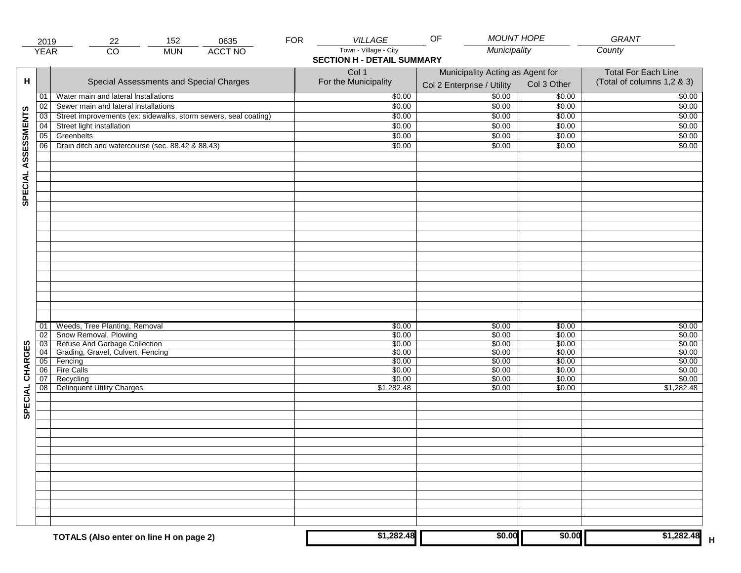|                     | 2019                  | 152<br>22                                                                                               | 0635           | <b>FOR</b> | <b>VILLAGE</b>                                             | OF                               | <b>MOUNT HOPE</b> | GRANT                      |
|---------------------|-----------------------|---------------------------------------------------------------------------------------------------------|----------------|------------|------------------------------------------------------------|----------------------------------|-------------------|----------------------------|
|                     | <b>YEAR</b>           | $\overline{CO}$<br><b>MUN</b>                                                                           | <b>ACCT NO</b> |            | Town - Village - City<br><b>SECTION H - DETAIL SUMMARY</b> | Municipality                     |                   | County                     |
|                     |                       |                                                                                                         |                |            | Col 1                                                      | Municipality Acting as Agent for |                   | <b>Total For Each Line</b> |
| н                   |                       | Special Assessments and Special Charges                                                                 |                |            | For the Municipality                                       | Col 2 Enterprise / Utility       | Col 3 Other       | (Total of columns 1,2 & 3) |
|                     | 01                    | Water main and lateral Installations                                                                    |                |            | \$0.00                                                     | 50.00                            | \$0.00            | \$0.00                     |
|                     | 02<br>$\overline{03}$ | Sewer main and lateral installations<br>Street improvements (ex: sidewalks, storm sewers, seal coating) |                |            | \$0.00<br>\$0.00                                           | \$0.00<br>\$0.00                 | \$0.00<br>\$0.00  | \$0.00<br>\$0.00           |
|                     | 04                    | Street light installation                                                                               |                |            | \$0.00                                                     | \$0.00                           | \$0.00            | \$0.00                     |
|                     | 05                    | Greenbelts                                                                                              |                |            | \$0.00                                                     | \$0.00                           | \$0.00            | \$0.00                     |
|                     | 06                    | Drain ditch and watercourse (sec. 88.42 & 88.43)                                                        |                |            | \$0.00                                                     | \$0.00                           | \$0.00            | \$0.00                     |
|                     |                       |                                                                                                         |                |            |                                                            |                                  |                   |                            |
| SPECIAL ASSESSMENTS |                       |                                                                                                         |                |            |                                                            |                                  |                   |                            |
|                     |                       |                                                                                                         |                |            |                                                            |                                  |                   |                            |
|                     |                       |                                                                                                         |                |            |                                                            |                                  |                   |                            |
|                     |                       |                                                                                                         |                |            |                                                            |                                  |                   |                            |
|                     |                       |                                                                                                         |                |            |                                                            |                                  |                   |                            |
|                     |                       |                                                                                                         |                |            |                                                            |                                  |                   |                            |
|                     |                       |                                                                                                         |                |            |                                                            |                                  |                   |                            |
|                     |                       |                                                                                                         |                |            |                                                            |                                  |                   |                            |
|                     |                       |                                                                                                         |                |            |                                                            |                                  |                   |                            |
|                     |                       |                                                                                                         |                |            |                                                            |                                  |                   |                            |
|                     |                       |                                                                                                         |                |            |                                                            |                                  |                   |                            |
|                     |                       |                                                                                                         |                |            |                                                            |                                  |                   |                            |
|                     | 01                    | Weeds, Tree Planting, Removal                                                                           |                |            | \$0.00                                                     | \$0.00                           | \$0.00            | \$0.00                     |
|                     | 02                    | Show Removal, Plowing<br>Refuse And Garbage Collection                                                  |                |            | \$0.00                                                     | \$0.00                           | \$0.00            | \$0.00                     |
| CHARGES             | $\overline{03}$       | Grading, Gravel, Culvert, Fencing                                                                       |                |            | \$0.00                                                     | \$0.00                           | \$0.00            | \$0.00                     |
|                     | 04<br> 05             | Fencing                                                                                                 |                |            | \$0.00<br>\$0.00                                           | \$0.00<br>\$0.00                 | \$0.00<br>\$0.00  | \$0.00<br>\$0.00           |
|                     | 06                    | <b>Fire Calls</b>                                                                                       |                |            | \$0.00                                                     | \$0.00                           | \$0.00            | \$0.00                     |
|                     | 07                    | Recycling                                                                                               |                |            | \$0.00                                                     | \$0.00                           | \$0.00            | \$0.00                     |
|                     | 08 <sup>1</sup>       | <b>Delinquent Utility Charges</b>                                                                       |                |            | \$1,282.48                                                 | \$0.00                           | \$0.00            | \$1,282.48                 |
| SPECIAL             |                       |                                                                                                         |                |            |                                                            |                                  |                   |                            |
|                     |                       |                                                                                                         |                |            |                                                            |                                  |                   |                            |
|                     |                       |                                                                                                         |                |            |                                                            |                                  |                   |                            |
|                     |                       |                                                                                                         |                |            |                                                            |                                  |                   |                            |
|                     |                       |                                                                                                         |                |            |                                                            |                                  |                   |                            |
|                     |                       |                                                                                                         |                |            |                                                            |                                  |                   |                            |
|                     |                       |                                                                                                         |                |            |                                                            |                                  |                   |                            |
|                     |                       |                                                                                                         |                |            |                                                            |                                  |                   |                            |
|                     |                       |                                                                                                         |                |            |                                                            |                                  |                   |                            |
|                     |                       |                                                                                                         |                |            |                                                            |                                  |                   |                            |
|                     |                       | TOTALS (Also enter on line H on page 2)                                                                 |                |            | \$1,282.48                                                 | \$0.00                           | \$0.00            | \$1,282.48                 |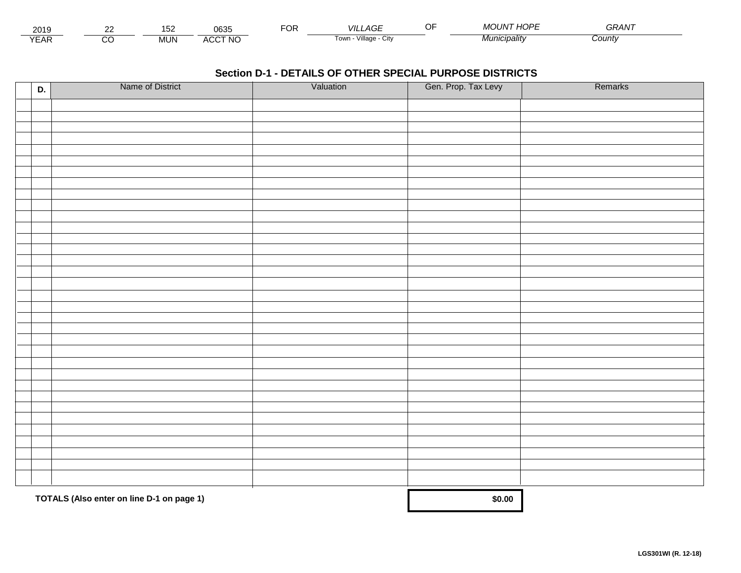| 2019                        | co | $\overline{\phantom{a}}$<br>ے ، | 0635            | Ur | _AGF<br>VIL                   | $\sim$ $\sim$<br>. | " HOPE<br>$\mathbf{A}$<br>$\overline{\phantom{a}}$<br><i>MOUN</i> | $\mathbf{a} \mathbf{a} \mathbf{a} \mathbf{b} \mathbf{b}$<br>$T_{\rm T}$ |  |
|-----------------------------|----|---------------------------------|-----------------|----|-------------------------------|--------------------|-------------------------------------------------------------------|-------------------------------------------------------------------------|--|
| $\sqrt{2}$<br>▵<br><b>L</b> |    | <b>MUN</b>                      | CCT NC،<br>A(x) |    | <br>√illage - ′<br>l own<br>ີ |                    | 'nıcıpalıtv                                                       | County                                                                  |  |

| D. | Name of District                          | Valuation | Gen. Prop. Tax Levy | Remarks |
|----|-------------------------------------------|-----------|---------------------|---------|
|    |                                           |           |                     |         |
|    |                                           |           |                     |         |
|    |                                           |           |                     |         |
|    |                                           |           |                     |         |
|    |                                           |           |                     |         |
|    |                                           |           |                     |         |
|    |                                           |           |                     |         |
|    |                                           |           |                     |         |
|    |                                           |           |                     |         |
|    |                                           |           |                     |         |
|    |                                           |           |                     |         |
|    |                                           |           |                     |         |
|    |                                           |           |                     |         |
|    |                                           |           |                     |         |
|    |                                           |           |                     |         |
|    |                                           |           |                     |         |
|    |                                           |           |                     |         |
|    |                                           |           |                     |         |
|    |                                           |           |                     |         |
|    |                                           |           |                     |         |
|    |                                           |           |                     |         |
|    |                                           |           |                     |         |
|    |                                           |           |                     |         |
|    |                                           |           |                     |         |
|    |                                           |           |                     |         |
|    |                                           |           |                     |         |
|    |                                           |           |                     |         |
|    |                                           |           |                     |         |
|    |                                           |           |                     |         |
|    |                                           |           |                     |         |
|    | TOTALS (Also enter on line D-1 on page 1) | \$0.00    |                     |         |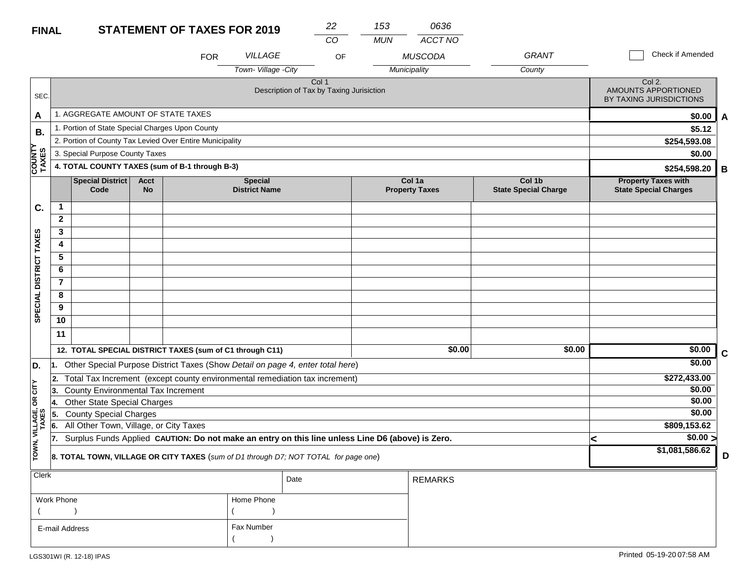| <b>FINAL</b>            |                                                 |                                                                                                  |                          | <b>STATEMENT OF TAXES FOR 2019</b>                       |                                                                                     | 22                                                | 153        | 0636                            |                                       |              |                                                            |   |  |  |
|-------------------------|-------------------------------------------------|--------------------------------------------------------------------------------------------------|--------------------------|----------------------------------------------------------|-------------------------------------------------------------------------------------|---------------------------------------------------|------------|---------------------------------|---------------------------------------|--------------|------------------------------------------------------------|---|--|--|
|                         |                                                 |                                                                                                  |                          |                                                          |                                                                                     | CO                                                | <b>MUN</b> | ACCT NO                         |                                       |              |                                                            |   |  |  |
|                         |                                                 |                                                                                                  |                          | <b>FOR</b>                                               | <b>VILLAGE</b>                                                                      | OF                                                |            | <b>MUSCODA</b>                  | <b>GRANT</b>                          |              | <b>Check if Amended</b>                                    |   |  |  |
|                         |                                                 |                                                                                                  |                          |                                                          | Town-Village - City                                                                 |                                                   |            | Municipality                    | County                                |              |                                                            |   |  |  |
| <b>SEC</b>              |                                                 |                                                                                                  |                          |                                                          |                                                                                     | Col 1<br>Description of Tax by Taxing Jurisiction |            |                                 |                                       |              | Col 2.<br>AMOUNTS APPORTIONED<br>BY TAXING JURISDICTIONS   |   |  |  |
| A                       |                                                 | 1. AGGREGATE AMOUNT OF STATE TAXES                                                               |                          |                                                          |                                                                                     |                                                   |            |                                 |                                       |              | \$0.00                                                     | A |  |  |
| <b>B.</b>               |                                                 | 1. Portion of State Special Charges Upon County                                                  |                          |                                                          |                                                                                     |                                                   |            |                                 |                                       |              | \$5.12                                                     |   |  |  |
|                         |                                                 |                                                                                                  |                          | 2. Portion of County Tax Levied Over Entire Municipality |                                                                                     |                                                   |            |                                 |                                       | \$254,593.08 |                                                            |   |  |  |
|                         |                                                 | 3. Special Purpose County Taxes                                                                  |                          |                                                          |                                                                                     |                                                   |            |                                 |                                       |              | \$0.00                                                     |   |  |  |
| COUNTY<br>TAXES         |                                                 |                                                                                                  |                          | 4. TOTAL COUNTY TAXES (sum of B-1 through B-3)           |                                                                                     |                                                   |            |                                 |                                       |              | \$254,598.20                                               | В |  |  |
|                         |                                                 | <b>Special District</b><br>Code                                                                  | <b>Acct</b><br><b>No</b> |                                                          | <b>Special</b><br><b>District Name</b>                                              |                                                   |            | Col 1a<br><b>Property Taxes</b> | Col 1b<br><b>State Special Charge</b> |              | <b>Property Taxes with</b><br><b>State Special Charges</b> |   |  |  |
| C.                      | $\mathbf{1}$                                    |                                                                                                  |                          |                                                          |                                                                                     |                                                   |            |                                 |                                       |              |                                                            |   |  |  |
|                         | $\boldsymbol{2}$                                |                                                                                                  |                          |                                                          |                                                                                     |                                                   |            |                                 |                                       |              |                                                            |   |  |  |
|                         | 3                                               |                                                                                                  |                          |                                                          |                                                                                     |                                                   |            |                                 |                                       |              |                                                            |   |  |  |
| SPECIAL DISTRICT TAXES  | 4                                               |                                                                                                  |                          |                                                          |                                                                                     |                                                   |            |                                 |                                       |              |                                                            |   |  |  |
|                         | 5                                               |                                                                                                  |                          |                                                          |                                                                                     |                                                   |            |                                 |                                       |              |                                                            |   |  |  |
|                         | 6                                               |                                                                                                  |                          |                                                          |                                                                                     |                                                   |            |                                 |                                       |              |                                                            |   |  |  |
|                         | $\overline{7}$                                  |                                                                                                  |                          |                                                          |                                                                                     |                                                   |            |                                 |                                       |              |                                                            |   |  |  |
|                         | 8                                               |                                                                                                  |                          |                                                          |                                                                                     |                                                   |            |                                 |                                       |              |                                                            |   |  |  |
|                         | 9                                               |                                                                                                  |                          |                                                          |                                                                                     |                                                   |            |                                 |                                       |              |                                                            |   |  |  |
|                         | 10                                              |                                                                                                  |                          |                                                          |                                                                                     |                                                   |            |                                 |                                       |              |                                                            |   |  |  |
|                         | 11                                              |                                                                                                  |                          |                                                          |                                                                                     |                                                   |            |                                 |                                       |              |                                                            |   |  |  |
|                         |                                                 |                                                                                                  |                          | 12. TOTAL SPECIAL DISTRICT TAXES (sum of C1 through C11) |                                                                                     |                                                   |            | \$0.00                          | \$0.00                                |              | \$0.00                                                     | C |  |  |
| D.                      | 1.                                              |                                                                                                  |                          |                                                          | Other Special Purpose District Taxes (Show Detail on page 4, enter total here)      |                                                   |            |                                 |                                       |              | \$0.00                                                     |   |  |  |
|                         | 2.                                              |                                                                                                  |                          |                                                          | Total Tax Increment (except county environmental remediation tax increment)         |                                                   |            |                                 |                                       |              | \$272,433.00                                               |   |  |  |
| $OR$ $CITY$             | <b>County Environmental Tax Increment</b><br>3. |                                                                                                  |                          |                                                          |                                                                                     |                                                   |            |                                 |                                       |              | \$0.00                                                     |   |  |  |
|                         | 14.                                             | <b>Other State Special Charges</b>                                                               |                          |                                                          |                                                                                     |                                                   |            |                                 |                                       |              | \$0.00                                                     |   |  |  |
|                         | 5.                                              | <b>County Special Charges</b>                                                                    |                          |                                                          |                                                                                     |                                                   |            |                                 |                                       |              | \$0.00                                                     |   |  |  |
|                         | 6.                                              | All Other Town, Village, or City Taxes                                                           |                          |                                                          |                                                                                     |                                                   |            |                                 |                                       |              | \$809,153.62                                               |   |  |  |
|                         | 17.                                             | Surplus Funds Applied CAUTION: Do not make an entry on this line unless Line D6 (above) is Zero. |                          |                                                          | <                                                                                   | $\sqrt{$0.00}$                                    |            |                                 |                                       |              |                                                            |   |  |  |
| TOWN, VILLAGE,<br>TAXES |                                                 |                                                                                                  |                          |                                                          | 8. TOTAL TOWN, VILLAGE OR CITY TAXES (sum of D1 through D7; NOT TOTAL for page one) |                                                   |            |                                 |                                       |              | \$1,081,586.62                                             | D |  |  |
| <b>Clerk</b>            |                                                 |                                                                                                  |                          |                                                          |                                                                                     | D <sub>0</sub>                                    |            | <b>DEMADIZO</b>                 |                                       |              |                                                            |   |  |  |

| $ $ Clerk      |            | Date | <b>REMARKS</b> |
|----------------|------------|------|----------------|
| Work Phone     | Home Phone |      |                |
|                |            |      |                |
| E-mail Address | Fax Number |      |                |
|                |            |      |                |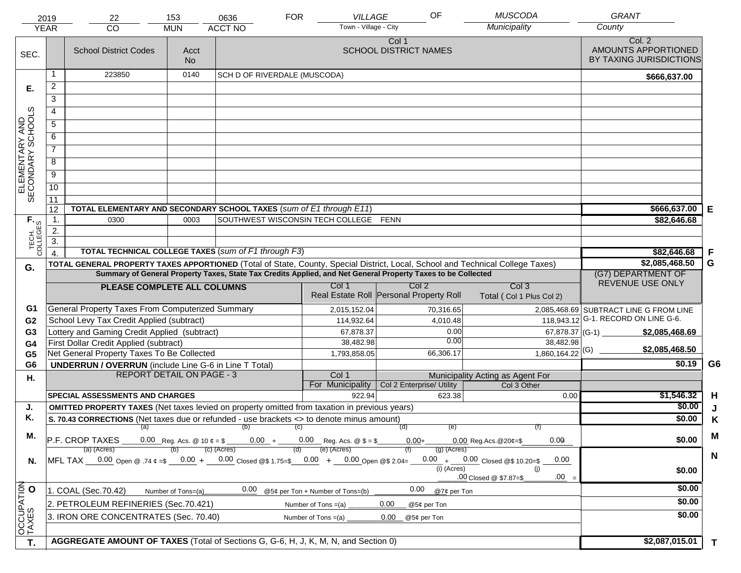|                                     | 2019<br><b>YEAR</b> | 22<br>$\overline{CO}$                                                                                                                   | 153<br><b>MUN</b>  | 0636<br><b>ACCT NO</b>                 | <b>FOR</b>            | VILLAGE<br>Town - Village - City                      |                              | OF            | <b>MUSCODA</b><br>Municipality               | <b>GRANT</b><br>County                         |                |
|-------------------------------------|---------------------|-----------------------------------------------------------------------------------------------------------------------------------------|--------------------|----------------------------------------|-----------------------|-------------------------------------------------------|------------------------------|---------------|----------------------------------------------|------------------------------------------------|----------------|
|                                     |                     |                                                                                                                                         |                    |                                        |                       |                                                       | Col 1                        |               |                                              | Col. 2                                         |                |
| SEC.                                |                     | <b>School District Codes</b>                                                                                                            | Acct<br>No.        |                                        |                       |                                                       | <b>SCHOOL DISTRICT NAMES</b> |               |                                              | AMOUNTS APPORTIONED<br>BY TAXING JURISDICTIONS |                |
|                                     | 1                   | 223850                                                                                                                                  | 0140               | SCH D OF RIVERDALE (MUSCODA)           |                       |                                                       |                              |               |                                              | \$666,637.00                                   |                |
| Е.                                  | $\overline{2}$      |                                                                                                                                         |                    |                                        |                       |                                                       |                              |               |                                              |                                                |                |
|                                     | $\overline{3}$      |                                                                                                                                         |                    |                                        |                       |                                                       |                              |               |                                              |                                                |                |
|                                     | $\overline{4}$      |                                                                                                                                         |                    |                                        |                       |                                                       |                              |               |                                              |                                                |                |
| ELEMENTARY AND<br>SECONDARY SCHOOLS | $\overline{5}$      |                                                                                                                                         |                    |                                        |                       |                                                       |                              |               |                                              |                                                |                |
|                                     | 6                   |                                                                                                                                         |                    |                                        |                       |                                                       |                              |               |                                              |                                                |                |
|                                     | $\overline{7}$      |                                                                                                                                         |                    |                                        |                       |                                                       |                              |               |                                              |                                                |                |
|                                     | $\overline{8}$      |                                                                                                                                         |                    |                                        |                       |                                                       |                              |               |                                              |                                                |                |
|                                     | $\overline{9}$      |                                                                                                                                         |                    |                                        |                       |                                                       |                              |               |                                              |                                                |                |
|                                     | 10                  |                                                                                                                                         |                    |                                        |                       |                                                       |                              |               |                                              |                                                |                |
|                                     | 11                  |                                                                                                                                         |                    |                                        |                       |                                                       |                              |               |                                              |                                                |                |
|                                     | 12                  | TOTAL ELEMENTARY AND SECONDARY SCHOOL TAXES (sum of E1 through E11)                                                                     |                    |                                        |                       |                                                       |                              |               |                                              | \$666,637.00                                   | E              |
|                                     | 1.                  | 0300                                                                                                                                    | 0003               | SOUTHWEST WISCONSIN TECH COLLEGE       |                       |                                                       | <b>FENN</b>                  |               |                                              | \$82,646.68                                    |                |
|                                     | 2.                  |                                                                                                                                         |                    |                                        |                       |                                                       |                              |               |                                              |                                                |                |
| TECH. T                             | $\overline{3}$ .    |                                                                                                                                         |                    |                                        |                       |                                                       |                              |               |                                              |                                                |                |
|                                     | $\overline{4}$      | TOTAL TECHNICAL COLLEGE TAXES (sum of F1 through F3)                                                                                    |                    | \$82,646.68                            | F                     |                                                       |                              |               |                                              |                                                |                |
| G.                                  |                     | TOTAL GENERAL PROPERTY TAXES APPORTIONED (Total of State, County, Special District, Local, School and Technical College Taxes)          | \$2,085,468.50     | G                                      |                       |                                                       |                              |               |                                              |                                                |                |
|                                     |                     | Summary of General Property Taxes, State Tax Credits Applied, and Net General Property Taxes to be Collected                            |                    | (G7) DEPARTMENT OF<br>REVENUE USE ONLY |                       |                                                       |                              |               |                                              |                                                |                |
|                                     |                     | PLEASE COMPLETE ALL COLUMNS                                                                                                             |                    |                                        |                       | Col 1<br>Real Estate Roll Personal Property Roll      | Col <sub>2</sub>             |               | Col <sub>3</sub><br>Total (Col 1 Plus Col 2) |                                                |                |
| G1                                  |                     | General Property Taxes From Computerized Summary                                                                                        |                    |                                        |                       | 2,015,152.04                                          |                              | 70,316.65     |                                              | 2,085,468.69 SUBTRACT LINE G FROM LINE         |                |
| G <sub>2</sub>                      |                     | School Levy Tax Credit Applied (subtract)                                                                                               |                    |                                        |                       | 114,932.64                                            |                              | 4,010.48      |                                              | 118,943.12 G-1. RECORD ON LINE G-6.            |                |
| G <sub>3</sub>                      |                     | Lottery and Gaming Credit Applied (subtract)                                                                                            |                    |                                        |                       | 67,878.37                                             |                              | 0.00<br>0.00  | 67,878.37 (G-1) $-$                          | \$2,085,468.69                                 |                |
| G4                                  |                     | First Dollar Credit Applied (subtract)                                                                                                  |                    |                                        |                       | 38,482.98                                             |                              |               | 38,482.98                                    | \$2,085,468.50                                 |                |
| G <sub>5</sub>                      |                     | Net General Property Taxes To Be Collected                                                                                              |                    |                                        |                       | 1,793,858.05                                          |                              | 66,306.17     | $1,860,164.22$ <sup>(G)</sup>                | \$0.19                                         | G <sub>6</sub> |
| G <sub>6</sub>                      |                     | <b>UNDERRUN / OVERRUN</b> (include Line G-6 in Line T Total)<br><b>REPORT DETAIL ON PAGE - 3</b>                                        |                    |                                        |                       | Col 1                                                 |                              |               | Municipality Acting as Agent For             |                                                |                |
| Η.                                  |                     |                                                                                                                                         |                    |                                        |                       | For Municipality                                      | Col 2 Enterprise/ Utility    |               | Col 3 Other                                  |                                                |                |
|                                     |                     | <b>SPECIAL ASSESSMENTS AND CHARGES</b>                                                                                                  |                    |                                        |                       | 922.94                                                |                              | 623.38        | 0.00                                         | \$1,546.32                                     | H              |
| J.                                  |                     | <b>OMITTED PROPERTY TAXES</b> (Net taxes levied on property omitted from taxation in previous years)                                    |                    |                                        |                       |                                                       |                              |               |                                              | \$0.00                                         | J              |
| K.                                  |                     | S. 70.43 CORRECTIONS (Net taxes due or refunded - use brackets <> to denote minus amount)                                               |                    |                                        |                       |                                                       |                              |               |                                              | \$0.00                                         | K              |
| М.                                  |                     | (a)                                                                                                                                     |                    | (b)                                    | (C)                   |                                                       | (d)                          | (e)           |                                              |                                                | M              |
|                                     |                     | <b>P.F. CROP TAXES</b> 0.00 Reg. Acs. @ 10 $\ell = \$$ 0.00 $*$ 0.00 Reg. Acs. @ $\$ = \$$                                              |                    |                                        |                       |                                                       | $0.00 +$                     |               | $0.00$ Reg. Acs. @ 20¢=\$<br>0.09            | \$0.00                                         |                |
|                                     |                     | (a) (Acres)<br>MFL TAX $-$ 0.00 Open @ .74 $\epsilon$ = \$ $-$ 0.00 + $-$ 0.00 Closed @ \$ 1.75= \$ $-$ 0.00 + $-$ 0.00 Open @ \$ 2.04= | (b)                | $(c)$ (Acres)                          | (d)                   | (e) (Acres)                                           |                              | $(q)$ (Acres) | $0.00 + 0.00$ Closed @\$ 10.20=\$<br>0.00    |                                                | N              |
| N.                                  |                     |                                                                                                                                         |                    |                                        |                       |                                                       |                              | $(i)$ (Acres) | (i)                                          | \$0.00                                         |                |
|                                     |                     |                                                                                                                                         |                    |                                        |                       |                                                       |                              |               | $.00 =$<br>.00 Closed @ \$7.87=\$            |                                                |                |
|                                     |                     | 1. COAL (Sec.70.42)                                                                                                                     | Number of Tons=(a) |                                        |                       | $\frac{0.00}{0.00}$ @ 5¢ per Ton + Number of Tons=(b) | 0.00                         | @7¢ per Ton   |                                              | \$0.00                                         |                |
|                                     |                     | 2. PETROLEUM REFINERIES (Sec.70.421)                                                                                                    |                    |                                        | Number of Tons $=(a)$ |                                                       | 0.00                         | @5¢ per Ton   |                                              | \$0.00                                         |                |
|                                     |                     | 3. IRON ORE CONCENTRATES (Sec. 70.40)                                                                                                   |                    |                                        | Number of Tons $=(a)$ |                                                       | 0.00<br>@5¢ per Ton          |               |                                              | \$0.00                                         |                |
| OCCUPATION                          |                     |                                                                                                                                         |                    |                                        |                       |                                                       |                              |               |                                              |                                                |                |
| T.                                  |                     | AGGREGATE AMOUNT OF TAXES (Total of Sections G, G-6, H, J, K, M, N, and Section 0)                                                      |                    |                                        |                       |                                                       |                              |               |                                              | \$2,087,015.01                                 | $\mathbf{T}$   |
|                                     |                     |                                                                                                                                         |                    |                                        |                       |                                                       |                              |               |                                              |                                                |                |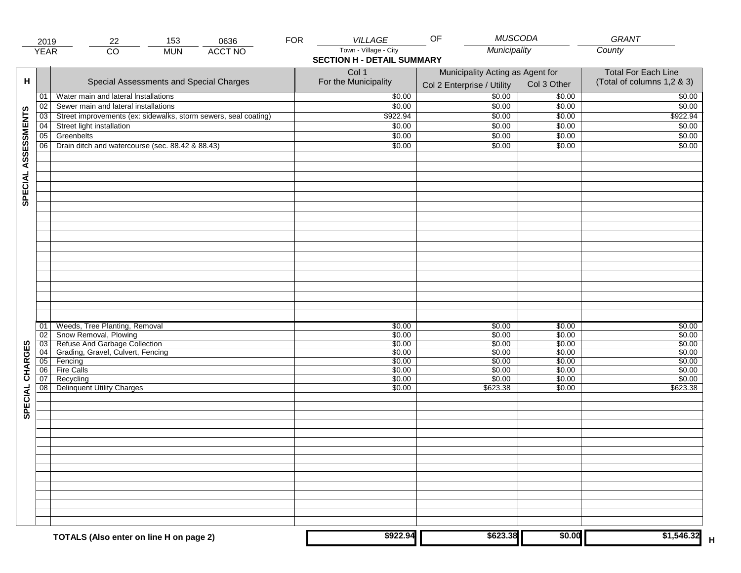|                     | 2019            | 22                                                                 | 153        | 0636           | <b>FOR</b> | <b>VILLAGE</b>                    | <b>MUSCODA</b><br>OF             |                  | <b>GRANT</b>               |
|---------------------|-----------------|--------------------------------------------------------------------|------------|----------------|------------|-----------------------------------|----------------------------------|------------------|----------------------------|
|                     | <b>YEAR</b>     | $\overline{CO}$                                                    | <b>MUN</b> | <b>ACCT NO</b> |            | Town - Village - City             | Municipality                     |                  | County                     |
|                     |                 |                                                                    |            |                |            | <b>SECTION H - DETAIL SUMMARY</b> |                                  |                  |                            |
|                     |                 |                                                                    |            |                |            | Col 1                             | Municipality Acting as Agent for |                  | <b>Total For Each Line</b> |
| н                   |                 | Special Assessments and Special Charges                            |            |                |            | For the Municipality              | Col 2 Enterprise / Utility       | Col 3 Other      | (Total of columns 1,2 & 3) |
|                     | 01              | Water main and lateral Installations                               |            |                |            | \$0.00                            | $\frac{1}{00}$                   | \$0.00           | \$0.00                     |
|                     | 02              | Sewer main and lateral installations                               |            |                |            | \$0.00                            | \$0.00                           | \$0.00           | \$0.00                     |
|                     | 03              | Street improvements (ex: sidewalks, storm sewers, seal coating)    |            |                |            | \$922.94                          | \$0.00                           | \$0.00           | \$922.94                   |
|                     | 04              | Street light installation                                          |            |                |            | \$0.00                            | \$0.00                           | \$0.00           | \$0.00                     |
|                     | 05              | Greenbelts                                                         |            |                |            | \$0.00                            | \$0.00                           | \$0.00           | \$0.00                     |
| SPECIAL ASSESSMENTS | 06              | Drain ditch and watercourse (sec. 88.42 & 88.43)                   |            |                |            | \$0.00                            | \$0.00                           | \$0.00           | \$0.00                     |
|                     |                 |                                                                    |            |                |            |                                   |                                  |                  |                            |
|                     |                 |                                                                    |            |                |            |                                   |                                  |                  |                            |
|                     |                 |                                                                    |            |                |            |                                   |                                  |                  |                            |
|                     |                 |                                                                    |            |                |            |                                   |                                  |                  |                            |
|                     |                 |                                                                    |            |                |            |                                   |                                  |                  |                            |
|                     |                 |                                                                    |            |                |            |                                   |                                  |                  |                            |
|                     |                 |                                                                    |            |                |            |                                   |                                  |                  |                            |
|                     |                 |                                                                    |            |                |            |                                   |                                  |                  |                            |
|                     |                 |                                                                    |            |                |            |                                   |                                  |                  |                            |
|                     |                 |                                                                    |            |                |            |                                   |                                  |                  |                            |
|                     |                 |                                                                    |            |                |            |                                   |                                  |                  |                            |
|                     |                 |                                                                    |            |                |            |                                   |                                  |                  |                            |
|                     |                 |                                                                    |            |                |            |                                   |                                  |                  |                            |
|                     |                 |                                                                    |            |                |            |                                   |                                  |                  |                            |
|                     |                 |                                                                    |            |                |            |                                   |                                  |                  |                            |
|                     |                 |                                                                    |            |                |            |                                   |                                  |                  |                            |
|                     | 01<br>02        | Weeds, Tree Planting, Removal<br>Snow Removal, Plowing             |            |                |            | \$0.00<br>\$0.00                  | \$0.00<br>\$0.00                 | \$0.00<br>\$0.00 | \$0.00<br>\$0.00           |
|                     | $\overline{03}$ |                                                                    |            |                |            | \$0.00                            | \$0.00                           | \$0.00           | \$0.00                     |
|                     | 04              | Refuse And Garbage Collection<br>Grading, Gravel, Culvert, Fencing |            |                |            | \$0.00                            | \$0.00                           | \$0.00           | \$0.00                     |
| SPECIAL CHARGES     | 05              | Fencing                                                            |            |                |            | \$0.00                            | \$0.00                           | \$0.00           | \$0.00                     |
|                     | 06              | <b>Fire Calls</b>                                                  |            |                |            | \$0.00                            | \$0.00                           | \$0.00           | \$0.00                     |
|                     | 07              | Recycling<br>08 Delinquent Utility Charges                         |            |                |            | \$0.00                            | \$0.00                           | \$0.00           | \$0.00                     |
|                     |                 |                                                                    |            |                |            | \$0.00                            | \$623.38                         | \$0.00           | \$623.38                   |
|                     |                 |                                                                    |            |                |            |                                   |                                  |                  |                            |
|                     |                 |                                                                    |            |                |            |                                   |                                  |                  |                            |
|                     |                 |                                                                    |            |                |            |                                   |                                  |                  |                            |
|                     |                 |                                                                    |            |                |            |                                   |                                  |                  |                            |
|                     |                 |                                                                    |            |                |            |                                   |                                  |                  |                            |
|                     |                 |                                                                    |            |                |            |                                   |                                  |                  |                            |
|                     |                 |                                                                    |            |                |            |                                   |                                  |                  |                            |
|                     |                 |                                                                    |            |                |            |                                   |                                  |                  |                            |
|                     |                 |                                                                    |            |                |            |                                   |                                  |                  |                            |
|                     |                 |                                                                    |            |                |            |                                   |                                  |                  |                            |
|                     |                 |                                                                    |            |                |            |                                   |                                  |                  |                            |
|                     |                 |                                                                    |            |                |            |                                   |                                  |                  |                            |
|                     |                 |                                                                    |            |                |            | \$922.94                          | \$623.38                         | \$0.00           | \$1,546.32                 |
|                     |                 | TOTALS (Also enter on line H on page 2)                            |            |                |            |                                   |                                  |                  |                            |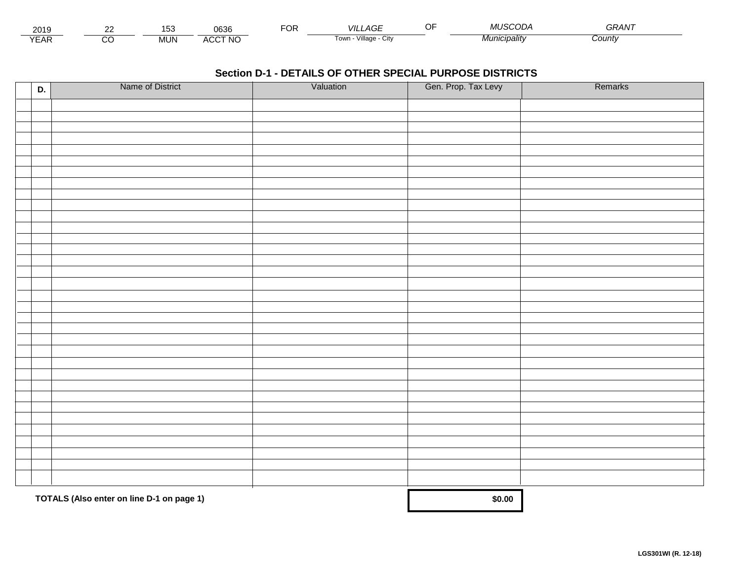| - - -<br>201.               | co | .<br>ັບເ   | 0636         | Ur | _AGF<br>VII                                        | $\sim$ $\sim$<br> | MI ISCODA<br>. . <i>.</i> | -----<br>ּי אד |  |
|-----------------------------|----|------------|--------------|----|----------------------------------------------------|-------------------|---------------------------|----------------|--|
| $\sqrt{2}$<br>▵<br><b>L</b> |    | <b>MUN</b> | CCT NC،<br>" |    | .<br>$\sqrt{1}$ llage - $\sqrt{2}$<br>l own<br>ستت |                   | ™°'∩'alitv                | County         |  |

| D. | Name of District                          | Valuation | Gen. Prop. Tax Levy | Remarks |
|----|-------------------------------------------|-----------|---------------------|---------|
|    |                                           |           |                     |         |
|    |                                           |           |                     |         |
|    |                                           |           |                     |         |
|    |                                           |           |                     |         |
|    |                                           |           |                     |         |
|    |                                           |           |                     |         |
|    |                                           |           |                     |         |
|    |                                           |           |                     |         |
|    |                                           |           |                     |         |
|    |                                           |           |                     |         |
|    |                                           |           |                     |         |
|    |                                           |           |                     |         |
|    |                                           |           |                     |         |
|    |                                           |           |                     |         |
|    |                                           |           |                     |         |
|    |                                           |           |                     |         |
|    |                                           |           |                     |         |
|    |                                           |           |                     |         |
|    |                                           |           |                     |         |
|    |                                           |           |                     |         |
|    |                                           |           |                     |         |
|    |                                           |           |                     |         |
|    |                                           |           |                     |         |
|    |                                           |           |                     |         |
|    |                                           |           |                     |         |
|    |                                           |           |                     |         |
|    |                                           |           |                     |         |
|    |                                           |           |                     |         |
|    |                                           |           |                     |         |
|    |                                           |           |                     |         |
|    | TOTALS (Also enter on line D-1 on page 1) |           | \$0.00              |         |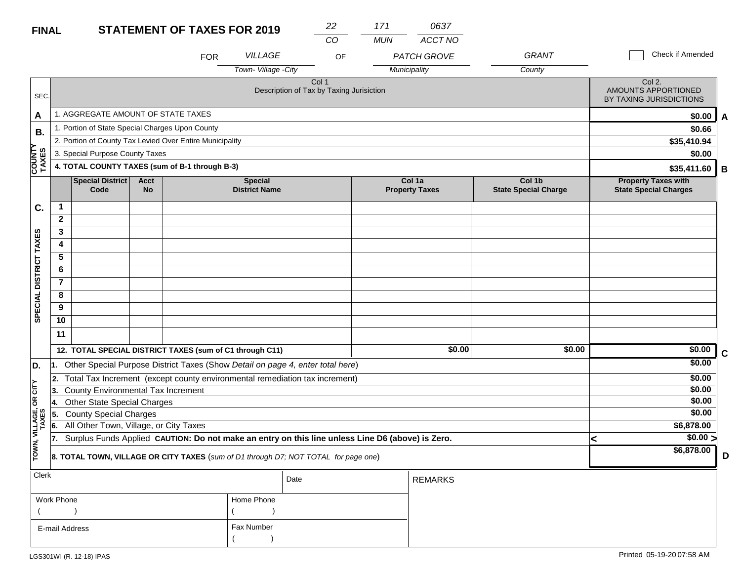| <b>FINAL</b>            |                |                                                                                     |                          | <b>STATEMENT OF TAXES FOR 2019</b> |                                                                                                  | 22    | 171        | 0637                            |                                       |                                                            |             |
|-------------------------|----------------|-------------------------------------------------------------------------------------|--------------------------|------------------------------------|--------------------------------------------------------------------------------------------------|-------|------------|---------------------------------|---------------------------------------|------------------------------------------------------------|-------------|
|                         |                |                                                                                     |                          |                                    |                                                                                                  | CO    | <b>MUN</b> | <b>ACCT NO</b>                  |                                       |                                                            |             |
|                         |                |                                                                                     |                          | <b>FOR</b>                         | <b>VILLAGE</b>                                                                                   | OF    |            | <b>PATCH GROVE</b>              | <b>GRANT</b>                          | Check if Amended                                           |             |
|                         |                |                                                                                     |                          |                                    | Town-Village -City                                                                               |       |            | Municipality                    | County                                |                                                            |             |
| SEC.                    |                |                                                                                     |                          |                                    | Description of Tax by Taxing Jurisiction                                                         | Col 1 |            |                                 |                                       | Col 2.<br>AMOUNTS APPORTIONED<br>BY TAXING JURISDICTIONS   |             |
| A                       |                | 1. AGGREGATE AMOUNT OF STATE TAXES                                                  |                          |                                    |                                                                                                  |       |            |                                 |                                       | \$0.00                                                     | A           |
| В.                      |                | 1. Portion of State Special Charges Upon County                                     |                          |                                    |                                                                                                  |       |            |                                 |                                       | \$0.66                                                     |             |
|                         |                | 2. Portion of County Tax Levied Over Entire Municipality                            |                          |                                    |                                                                                                  |       |            |                                 |                                       | \$35,410.94                                                |             |
|                         |                | 3. Special Purpose County Taxes                                                     |                          |                                    |                                                                                                  |       |            |                                 |                                       | \$0.00                                                     |             |
| <b>COUNTY<br/>TAXES</b> |                | 4. TOTAL COUNTY TAXES (sum of B-1 through B-3)                                      |                          |                                    |                                                                                                  |       |            |                                 |                                       | \$35,411.60                                                | B           |
|                         |                | <b>Special District</b><br>Code                                                     | <b>Acct</b><br><b>No</b> |                                    | <b>Special</b><br><b>District Name</b>                                                           |       |            | Col 1a<br><b>Property Taxes</b> | Col 1b<br><b>State Special Charge</b> | <b>Property Taxes with</b><br><b>State Special Charges</b> |             |
| C.                      | $\mathbf 1$    |                                                                                     |                          |                                    |                                                                                                  |       |            |                                 |                                       |                                                            |             |
|                         | $\mathbf{2}$   |                                                                                     |                          |                                    |                                                                                                  |       |            |                                 |                                       |                                                            |             |
|                         | 3              |                                                                                     |                          |                                    |                                                                                                  |       |            |                                 |                                       |                                                            |             |
|                         | 4              |                                                                                     |                          |                                    |                                                                                                  |       |            |                                 |                                       |                                                            |             |
|                         | 5              |                                                                                     |                          |                                    |                                                                                                  |       |            |                                 |                                       |                                                            |             |
|                         | 6              |                                                                                     |                          |                                    |                                                                                                  |       |            |                                 |                                       |                                                            |             |
|                         | $\overline{7}$ |                                                                                     |                          |                                    |                                                                                                  |       |            |                                 |                                       |                                                            |             |
|                         | 8              |                                                                                     |                          |                                    |                                                                                                  |       |            |                                 |                                       |                                                            |             |
| SPECIAL DISTRICT TAXES  | 9              |                                                                                     |                          |                                    |                                                                                                  |       |            |                                 |                                       |                                                            |             |
|                         | 10             |                                                                                     |                          |                                    |                                                                                                  |       |            |                                 |                                       |                                                            |             |
|                         | 11             |                                                                                     |                          |                                    |                                                                                                  |       |            |                                 |                                       |                                                            |             |
|                         |                | 12. TOTAL SPECIAL DISTRICT TAXES (sum of C1 through C11)                            |                          |                                    |                                                                                                  |       |            | \$0.00                          | \$0.00                                | \$0.00                                                     | $\mathbf C$ |
| D.                      | 1.             |                                                                                     |                          |                                    | Other Special Purpose District Taxes (Show Detail on page 4, enter total here)                   |       |            |                                 |                                       | \$0.00                                                     |             |
|                         | 2.             |                                                                                     |                          |                                    | Total Tax Increment (except county environmental remediation tax increment)                      |       |            |                                 |                                       | \$0.00                                                     |             |
| č                       | 13.            | County Environmental Tax Increment                                                  |                          | \$0.00                             |                                                                                                  |       |            |                                 |                                       |                                                            |             |
| g                       | 14.            | <b>Other State Special Charges</b>                                                  |                          |                                    |                                                                                                  |       |            |                                 |                                       | \$0.00                                                     |             |
|                         | 15.            | <b>County Special Charges</b>                                                       |                          |                                    |                                                                                                  |       |            |                                 |                                       | \$0.00                                                     |             |
| VILLAGE,<br>TAXES       | 6.             | All Other Town, Village, or City Taxes                                              |                          |                                    |                                                                                                  |       |            |                                 |                                       | \$6,878.00                                                 |             |
|                         | 17.            |                                                                                     |                          |                                    | Surplus Funds Applied CAUTION: Do not make an entry on this line unless Line D6 (above) is Zero. |       |            |                                 |                                       | $\sqrt{$0.00}$<br><                                        |             |
| TOWN,                   |                | 8. TOTAL TOWN, VILLAGE OR CITY TAXES (sum of D1 through D7; NOT TOTAL for page one) | \$6,878.00               | D                                  |                                                                                                  |       |            |                                 |                                       |                                                            |             |
| $Cl$ ork                |                |                                                                                     |                          |                                    |                                                                                                  |       |            |                                 |                                       |                                                            |             |

| $ $ Clerk      |            | Date | <b>REMARKS</b> |
|----------------|------------|------|----------------|
| Work Phone     | Home Phone |      |                |
|                |            |      |                |
| E-mail Address | Fax Number |      |                |
|                |            |      |                |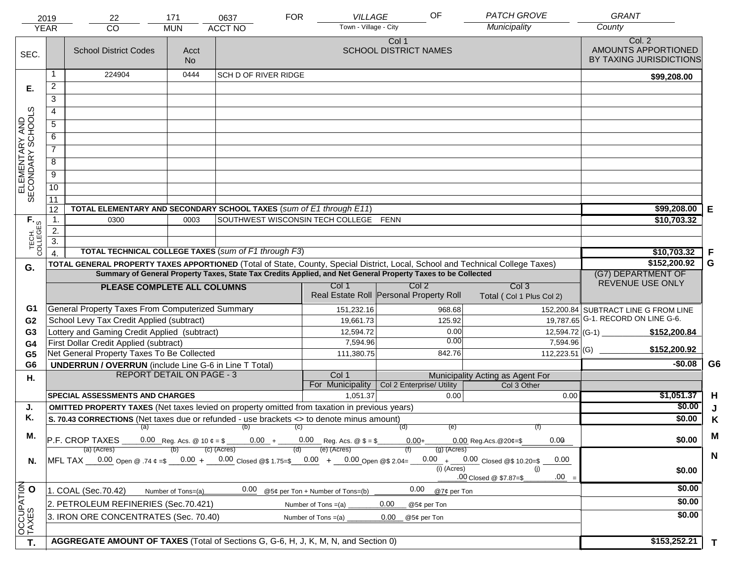|                                     | 2019                                                                                                                                                                                                                    | 22                                                                                                                                                                                                                                             | 171                                    | 0637                        | <b>FOR</b> | VILLAGE                                          | OF                                    |               | <b>PATCH GROVE</b>                              | <b>GRANT</b>                                             |                |
|-------------------------------------|-------------------------------------------------------------------------------------------------------------------------------------------------------------------------------------------------------------------------|------------------------------------------------------------------------------------------------------------------------------------------------------------------------------------------------------------------------------------------------|----------------------------------------|-----------------------------|------------|--------------------------------------------------|---------------------------------------|---------------|-------------------------------------------------|----------------------------------------------------------|----------------|
|                                     | <b>YEAR</b>                                                                                                                                                                                                             | CO                                                                                                                                                                                                                                             | <b>MUN</b>                             | <b>ACCT NO</b>              |            | Town - Village - City                            |                                       |               | Municipality                                    | County                                                   |                |
| SEC.                                |                                                                                                                                                                                                                         | <b>School District Codes</b>                                                                                                                                                                                                                   | Acct<br><b>No</b>                      |                             |            |                                                  | Col 1<br><b>SCHOOL DISTRICT NAMES</b> |               |                                                 | Col. 2<br>AMOUNTS APPORTIONED<br>BY TAXING JURISDICTIONS |                |
|                                     | -1                                                                                                                                                                                                                      | 224904                                                                                                                                                                                                                                         | 0444                                   | <b>SCH D OF RIVER RIDGE</b> |            |                                                  |                                       |               |                                                 | \$99,208.00                                              |                |
| Е.                                  | 2                                                                                                                                                                                                                       |                                                                                                                                                                                                                                                |                                        |                             |            |                                                  |                                       |               |                                                 |                                                          |                |
|                                     | $\overline{3}$                                                                                                                                                                                                          |                                                                                                                                                                                                                                                |                                        |                             |            |                                                  |                                       |               |                                                 |                                                          |                |
|                                     | 4                                                                                                                                                                                                                       |                                                                                                                                                                                                                                                |                                        |                             |            |                                                  |                                       |               |                                                 |                                                          |                |
|                                     | $\overline{5}$                                                                                                                                                                                                          |                                                                                                                                                                                                                                                |                                        |                             |            |                                                  |                                       |               |                                                 |                                                          |                |
|                                     | 6                                                                                                                                                                                                                       |                                                                                                                                                                                                                                                |                                        |                             |            |                                                  |                                       |               |                                                 |                                                          |                |
| ELEMENTARY AND<br>SECONDARY SCHOOLS |                                                                                                                                                                                                                         | $\overline{7}$                                                                                                                                                                                                                                 |                                        |                             |            |                                                  |                                       |               |                                                 |                                                          |                |
|                                     | 8                                                                                                                                                                                                                       |                                                                                                                                                                                                                                                |                                        |                             |            |                                                  |                                       |               |                                                 |                                                          |                |
|                                     | $\overline{9}$                                                                                                                                                                                                          |                                                                                                                                                                                                                                                |                                        |                             |            |                                                  |                                       |               |                                                 |                                                          |                |
|                                     | 10                                                                                                                                                                                                                      |                                                                                                                                                                                                                                                |                                        |                             |            |                                                  |                                       |               |                                                 |                                                          |                |
|                                     | $\overline{11}$                                                                                                                                                                                                         |                                                                                                                                                                                                                                                |                                        |                             |            |                                                  |                                       |               |                                                 |                                                          |                |
|                                     | 12                                                                                                                                                                                                                      | TOTAL ELEMENTARY AND SECONDARY SCHOOL TAXES (sum of E1 through E11)                                                                                                                                                                            |                                        |                             |            |                                                  |                                       |               |                                                 | \$99,208.00                                              | Е              |
|                                     | $\mathbf{1}$ .                                                                                                                                                                                                          | 0300                                                                                                                                                                                                                                           | 0003                                   |                             |            | SOUTHWEST WISCONSIN TECH COLLEGE FENN            |                                       |               |                                                 | \$10,703.32                                              |                |
|                                     | 2.                                                                                                                                                                                                                      |                                                                                                                                                                                                                                                |                                        |                             |            |                                                  |                                       |               |                                                 |                                                          |                |
| TECH. T                             | $\overline{3}$ .                                                                                                                                                                                                        |                                                                                                                                                                                                                                                |                                        |                             |            |                                                  |                                       |               |                                                 |                                                          |                |
|                                     | $\overline{4}$                                                                                                                                                                                                          | <b>TOTAL TECHNICAL COLLEGE TAXES (sum of F1 through F3)</b>                                                                                                                                                                                    |                                        |                             |            |                                                  |                                       |               |                                                 | \$10,703.32                                              | F              |
| G.                                  |                                                                                                                                                                                                                         | TOTAL GENERAL PROPERTY TAXES APPORTIONED (Total of State, County, Special District, Local, School and Technical College Taxes)<br>Summary of General Property Taxes, State Tax Credits Applied, and Net General Property Taxes to be Collected | \$152,200.92                           | G                           |            |                                                  |                                       |               |                                                 |                                                          |                |
|                                     |                                                                                                                                                                                                                         |                                                                                                                                                                                                                                                | (G7) DEPARTMENT OF<br>REVENUE USE ONLY |                             |            |                                                  |                                       |               |                                                 |                                                          |                |
|                                     |                                                                                                                                                                                                                         | PLEASE COMPLETE ALL COLUMNS                                                                                                                                                                                                                    |                                        |                             |            | Col 1<br>Real Estate Roll Personal Property Roll | Col <sub>2</sub>                      |               | Col <sub>3</sub><br>Total (Col 1 Plus Col 2)    |                                                          |                |
| G1                                  |                                                                                                                                                                                                                         | General Property Taxes From Computerized Summary                                                                                                                                                                                               |                                        |                             |            | 151,232.16                                       |                                       | 968.68        |                                                 | 152,200.84 SUBTRACT LINE G FROM LINE                     |                |
| G <sub>2</sub>                      |                                                                                                                                                                                                                         | School Levy Tax Credit Applied (subtract)                                                                                                                                                                                                      |                                        |                             |            | 19,661.73                                        |                                       | 125.92        |                                                 | 19,787.65 G-1. RECORD ON LINE G-6.                       |                |
| G <sub>3</sub>                      |                                                                                                                                                                                                                         | Lottery and Gaming Credit Applied (subtract)                                                                                                                                                                                                   |                                        |                             |            | 12,594.72                                        |                                       | 0.00          |                                                 | \$152,200.84                                             |                |
| G <sub>4</sub>                      |                                                                                                                                                                                                                         | First Dollar Credit Applied (subtract)                                                                                                                                                                                                         |                                        |                             |            | 7,594.96                                         |                                       | 0.00          | 7,594.96                                        | \$152,200.92                                             |                |
| G <sub>5</sub>                      |                                                                                                                                                                                                                         | Net General Property Taxes To Be Collected                                                                                                                                                                                                     |                                        |                             |            | 111,380.75                                       |                                       | 842.76        | $\overline{112,223.51}$ (G)                     |                                                          |                |
| G <sub>6</sub>                      |                                                                                                                                                                                                                         | <b>UNDERRUN / OVERRUN</b> (include Line G-6 in Line T Total)<br><b>REPORT DETAIL ON PAGE - 3</b>                                                                                                                                               |                                        |                             |            | Col 1                                            |                                       |               |                                                 | $-$0.08$                                                 | G <sub>6</sub> |
| Η.                                  |                                                                                                                                                                                                                         |                                                                                                                                                                                                                                                |                                        |                             |            | For Municipality                                 | Col 2 Enterprise/ Utility             |               | Municipality Acting as Agent For<br>Col 3 Other |                                                          |                |
|                                     |                                                                                                                                                                                                                         | <b>SPECIAL ASSESSMENTS AND CHARGES</b>                                                                                                                                                                                                         |                                        |                             |            | 1,051.37                                         |                                       | 0.00          | 0.00                                            | \$1,051.37                                               | H              |
| J.                                  |                                                                                                                                                                                                                         | <b>OMITTED PROPERTY TAXES</b> (Net taxes levied on property omitted from taxation in previous years)                                                                                                                                           |                                        |                             |            |                                                  |                                       |               |                                                 | \$0.00                                                   | J              |
| Κ.                                  |                                                                                                                                                                                                                         | S. 70.43 CORRECTIONS (Net taxes due or refunded - use brackets <> to denote minus amount)                                                                                                                                                      |                                        |                             |            |                                                  |                                       |               |                                                 | \$0.00                                                   | K              |
| М.                                  |                                                                                                                                                                                                                         |                                                                                                                                                                                                                                                |                                        | $(a)$ (b) (c)               |            |                                                  | (d)                                   | (e)           |                                                 |                                                          | M              |
|                                     |                                                                                                                                                                                                                         | P.F. CROP TAXES 0.00 Reg. Acs. @ 10 $\ell = \$$ 0.00 + 0.00 Reg. Acs. @ $\ell = \$$                                                                                                                                                            |                                        |                             |            |                                                  | $0.00 +$                              |               | 0.00<br>$0.00$ Reg.Acs. $@20¢=$ \$              | \$0.00                                                   |                |
|                                     | (e) (Acres)<br>(c) (Acres)<br>$(g)$ (Acres)<br>(a) (Acres)<br>MFL TAX 0.00 Open @ .74 ¢ =\$ 0.00 + 0.00 Closed @\$ 1.75=\$ 0.00 + 0.00 Open @\$ 2.04=<br>$0.00_{-} + \underline{\hspace{1cm}} 0.00$ Closed @\$ 10.20=\$ |                                                                                                                                                                                                                                                |                                        |                             |            |                                                  |                                       |               |                                                 |                                                          | $\mathbf N$    |
| N.                                  |                                                                                                                                                                                                                         |                                                                                                                                                                                                                                                |                                        |                             |            |                                                  |                                       | $(i)$ (Acres) | 0.00<br>(i)                                     | \$0.00                                                   |                |
|                                     |                                                                                                                                                                                                                         |                                                                                                                                                                                                                                                |                                        |                             |            |                                                  |                                       |               | $.00 =$<br>.00 Closed @ \$7.87=\$               |                                                          |                |
|                                     |                                                                                                                                                                                                                         | 1. COAL (Sec.70.42)                                                                                                                                                                                                                            | Number of Tons=(a)                     | 0.00                        |            | @5¢ per Ton + Number of Tons=(b)                 | 0.00                                  | @7¢ per Ton   |                                                 | \$0.00                                                   |                |
|                                     | 2. PETROLEUM REFINERIES (Sec.70.421)<br>0.00<br>Number of Tons $=(a)$<br>@5¢ per Ton                                                                                                                                    |                                                                                                                                                                                                                                                |                                        |                             |            |                                                  |                                       |               | \$0.00                                          |                                                          |                |
|                                     |                                                                                                                                                                                                                         | 3. IRON ORE CONCENTRATES (Sec. 70.40)                                                                                                                                                                                                          |                                        |                             |            | Number of Tons $=(a)$                            | 0.00<br>@5¢ per Ton                   |               |                                                 | \$0.00                                                   |                |
| OCCUPATION                          |                                                                                                                                                                                                                         |                                                                                                                                                                                                                                                |                                        |                             |            |                                                  |                                       |               |                                                 |                                                          |                |
| T.                                  |                                                                                                                                                                                                                         | AGGREGATE AMOUNT OF TAXES (Total of Sections G, G-6, H, J, K, M, N, and Section 0)                                                                                                                                                             |                                        |                             |            |                                                  |                                       |               |                                                 | \$153,252.21                                             | T              |
|                                     |                                                                                                                                                                                                                         |                                                                                                                                                                                                                                                |                                        |                             |            |                                                  |                                       |               |                                                 |                                                          |                |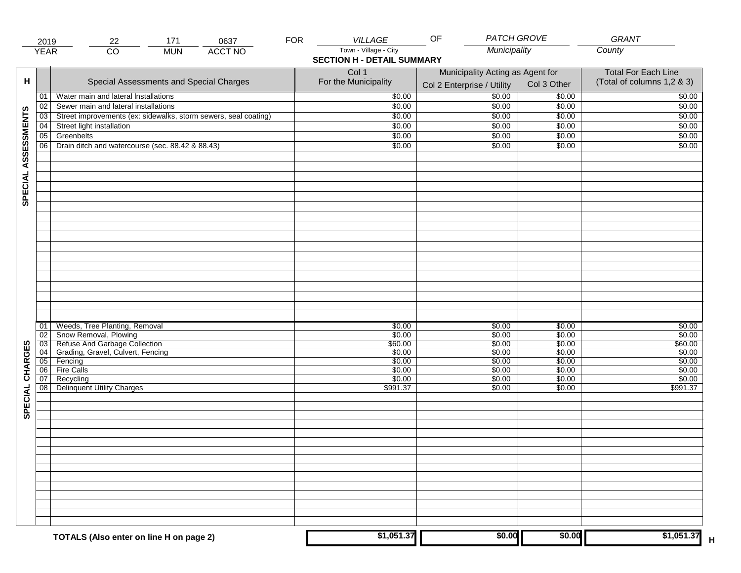|                     | 2019                                                                    | 171<br>0637<br>22                                                                                                                                            | <b>FOR</b> | <b>VILLAGE</b>                                             | <b>PATCH GROVE</b><br>OF                                       |                                                          | GRANT                                                     |
|---------------------|-------------------------------------------------------------------------|--------------------------------------------------------------------------------------------------------------------------------------------------------------|------------|------------------------------------------------------------|----------------------------------------------------------------|----------------------------------------------------------|-----------------------------------------------------------|
|                     | <b>YEAR</b>                                                             | $\overline{CO}$<br><b>ACCT NO</b><br><b>MUN</b>                                                                                                              |            | Town - Village - City<br><b>SECTION H - DETAIL SUMMARY</b> | Municipality                                                   |                                                          | County                                                    |
| H                   |                                                                         | Special Assessments and Special Charges                                                                                                                      |            | Col 1<br>For the Municipality                              | Municipality Acting as Agent for<br>Col 2 Enterprise / Utility | Col 3 Other                                              | <b>Total For Each Line</b><br>(Total of columns 1,2 & 3)  |
|                     | 01                                                                      | Water main and lateral Installations                                                                                                                         |            | \$0.00                                                     | \$0.00                                                         | \$0.00                                                   | \$0.00                                                    |
|                     | 02                                                                      | Sewer main and lateral installations                                                                                                                         |            | \$0.00                                                     | \$0.00                                                         | \$0.00                                                   | \$0.00                                                    |
|                     | $\overline{03}$                                                         | Street improvements (ex: sidewalks, storm sewers, seal coating)                                                                                              |            | \$0.00                                                     | \$0.00                                                         | \$0.00                                                   | \$0.00                                                    |
|                     | 04                                                                      | Street light installation                                                                                                                                    |            | \$0.00                                                     | \$0.00                                                         | \$0.00                                                   | \$0.00                                                    |
|                     | 05                                                                      | Greenbelts                                                                                                                                                   |            | \$0.00                                                     | \$0.00                                                         | \$0.00                                                   | \$0.00                                                    |
|                     | 06                                                                      | Drain ditch and watercourse (sec. 88.42 & 88.43)                                                                                                             |            | \$0.00                                                     | \$0.00                                                         | \$0.00                                                   | \$0.00                                                    |
| SPECIAL ASSESSMENTS |                                                                         |                                                                                                                                                              |            |                                                            |                                                                |                                                          |                                                           |
| CHARGES             | 01<br>$\overline{02}$<br>$\overline{03}$<br>$\overline{04}$<br>05<br>06 | Weeds, Tree Planting, Removal<br>Snow Removal, Plowing<br>Refuse And Garbage Collection<br>Grading, Gravel, Culvert, Fencing<br>Fencing<br><b>Fire Calls</b> |            | \$0.00<br>\$0.00<br>\$60.00<br>\$0.00<br>\$0.00<br>\$0.00  | \$0.00<br>\$0.00<br>\$0.00<br>\$0.00<br>\$0.00<br>\$0.00       | \$0.00<br>\$0.00<br>\$0.00<br>\$0.00<br>\$0.00<br>\$0.00 | \$0.00<br>\$0.00<br>\$60.00<br>\$0.00<br>\$0.00<br>\$0.00 |
| SPECIAL             | 07<br>08                                                                | Recycling<br><b>Delinquent Utility Charges</b>                                                                                                               |            | \$0.00<br>\$991.37                                         | \$0.00<br>\$0.00                                               | \$0.00<br>\$0.00                                         | \$0.00<br>\$991.37                                        |
|                     |                                                                         |                                                                                                                                                              |            |                                                            |                                                                |                                                          |                                                           |
|                     |                                                                         | TOTALS (Also enter on line H on page 2)                                                                                                                      |            | \$1,051.37                                                 | \$0.00                                                         | \$0.00                                                   | \$1,051.37                                                |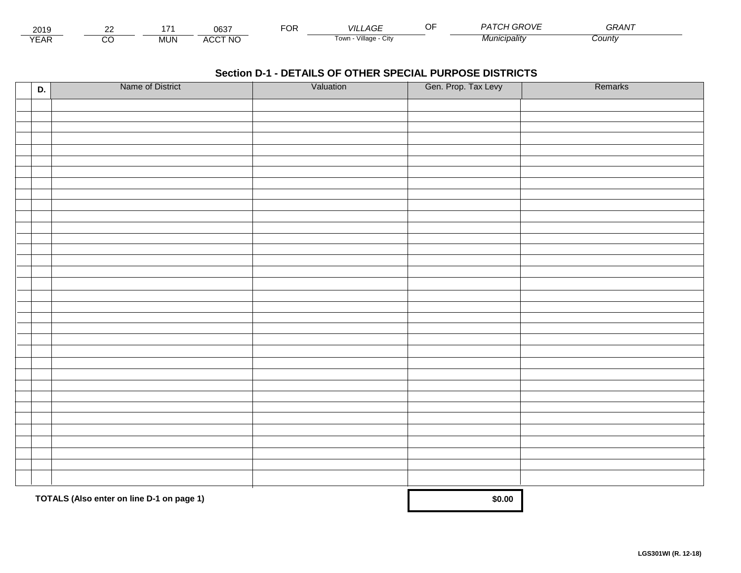| 2019                        | $\sim$ |        | 0027<br>uos                 | ட்்<br>◡┍ | _AGF<br><b>VIL</b>      | $-$ | $\sim$ $\sim$ $\sim$<br>PΔ.<br>7V) | <b>^^</b><br>GRAN |  |
|-----------------------------|--------|--------|-----------------------------|-----------|-------------------------|-----|------------------------------------|-------------------|--|
| $\sqrt{2}$<br>▵<br><b>L</b> |        | .viun. | CCT NC،<br>$\Lambda$<br>nuu |           | Village<br>' OWLL<br>UN |     | <i>Municipality</i>                | Count             |  |

| D. | Name of District                          | Valuation | Gen. Prop. Tax Levy | Remarks |
|----|-------------------------------------------|-----------|---------------------|---------|
|    |                                           |           |                     |         |
|    |                                           |           |                     |         |
|    |                                           |           |                     |         |
|    |                                           |           |                     |         |
|    |                                           |           |                     |         |
|    |                                           |           |                     |         |
|    |                                           |           |                     |         |
|    |                                           |           |                     |         |
|    |                                           |           |                     |         |
|    |                                           |           |                     |         |
|    |                                           |           |                     |         |
|    |                                           |           |                     |         |
|    |                                           |           |                     |         |
|    |                                           |           |                     |         |
|    |                                           |           |                     |         |
|    |                                           |           |                     |         |
|    |                                           |           |                     |         |
|    |                                           |           |                     |         |
|    |                                           |           |                     |         |
|    |                                           |           |                     |         |
|    |                                           |           |                     |         |
|    |                                           |           |                     |         |
|    |                                           |           |                     |         |
|    |                                           |           |                     |         |
|    |                                           |           |                     |         |
|    |                                           |           |                     |         |
|    |                                           |           |                     |         |
|    |                                           |           |                     |         |
|    |                                           |           |                     |         |
|    |                                           |           |                     |         |
|    | TOTALS (Also enter on line D-1 on page 1) |           | \$0.00              |         |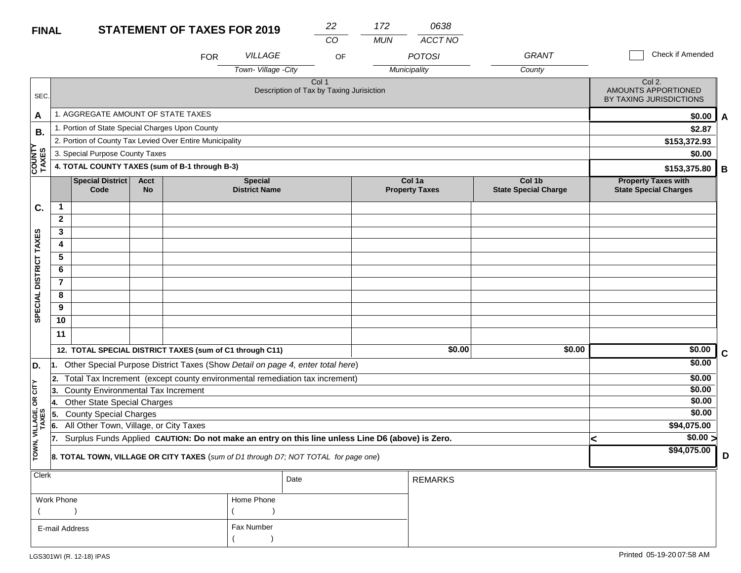| <b>FINAL</b>            |                                                   |                                                                                                  |                   | 22<br><b>STATEMENT OF TAXES FOR 2019</b> |                                        |                                                                                     | 172        | 0638                            |                                       |                                                          |                                                            |   |
|-------------------------|---------------------------------------------------|--------------------------------------------------------------------------------------------------|-------------------|------------------------------------------|----------------------------------------|-------------------------------------------------------------------------------------|------------|---------------------------------|---------------------------------------|----------------------------------------------------------|------------------------------------------------------------|---|
|                         |                                                   |                                                                                                  |                   |                                          |                                        | CO                                                                                  | <b>MUN</b> | ACCT NO                         |                                       |                                                          |                                                            |   |
|                         |                                                   |                                                                                                  |                   | <b>FOR</b>                               | <b>VILLAGE</b>                         | OF                                                                                  |            | <b>POTOSI</b>                   | <b>GRANT</b>                          |                                                          | Check if Amended                                           |   |
|                         |                                                   |                                                                                                  |                   |                                          | Town-Village -City                     |                                                                                     |            | Municipality                    | County                                |                                                          |                                                            |   |
| SEC.                    | Col 1<br>Description of Tax by Taxing Jurisiction |                                                                                                  |                   |                                          |                                        |                                                                                     |            |                                 |                                       | Col 2.<br>AMOUNTS APPORTIONED<br>BY TAXING JURISDICTIONS |                                                            |   |
| A                       |                                                   | 1. AGGREGATE AMOUNT OF STATE TAXES                                                               |                   | \$0.00                                   | A                                      |                                                                                     |            |                                 |                                       |                                                          |                                                            |   |
| В.                      |                                                   | 1. Portion of State Special Charges Upon County                                                  |                   | \$2.87                                   |                                        |                                                                                     |            |                                 |                                       |                                                          |                                                            |   |
|                         |                                                   | 2. Portion of County Tax Levied Over Entire Municipality                                         |                   |                                          |                                        |                                                                                     |            |                                 |                                       |                                                          | \$153,372.93                                               |   |
|                         |                                                   | 3. Special Purpose County Taxes                                                                  |                   |                                          |                                        |                                                                                     |            |                                 |                                       |                                                          | \$0.00                                                     |   |
| <b>COUNTY</b><br>TAXES  |                                                   | 4. TOTAL COUNTY TAXES (sum of B-1 through B-3)                                                   |                   |                                          |                                        |                                                                                     |            |                                 |                                       |                                                          | \$153,375.80                                               | В |
|                         |                                                   | Special District<br>Code                                                                         | Acct<br><b>No</b> |                                          | <b>Special</b><br><b>District Name</b> |                                                                                     |            | Col 1a<br><b>Property Taxes</b> | Col 1b<br><b>State Special Charge</b> |                                                          | <b>Property Taxes with</b><br><b>State Special Charges</b> |   |
| C.                      | $\mathbf{1}$                                      |                                                                                                  |                   |                                          |                                        |                                                                                     |            |                                 |                                       |                                                          |                                                            |   |
|                         | $\overline{2}$                                    |                                                                                                  |                   |                                          |                                        |                                                                                     |            |                                 |                                       |                                                          |                                                            |   |
|                         | 3                                                 |                                                                                                  |                   |                                          |                                        |                                                                                     |            |                                 |                                       |                                                          |                                                            |   |
|                         | 4                                                 |                                                                                                  |                   |                                          |                                        |                                                                                     |            |                                 |                                       |                                                          |                                                            |   |
|                         | 5                                                 |                                                                                                  |                   |                                          |                                        |                                                                                     |            |                                 |                                       |                                                          |                                                            |   |
|                         | 6                                                 |                                                                                                  |                   |                                          |                                        |                                                                                     |            |                                 |                                       |                                                          |                                                            |   |
|                         | $\overline{7}$                                    |                                                                                                  |                   |                                          |                                        |                                                                                     |            |                                 |                                       |                                                          |                                                            |   |
|                         | 8                                                 |                                                                                                  |                   |                                          |                                        |                                                                                     |            |                                 |                                       |                                                          |                                                            |   |
| SPECIAL DISTRICT TAXES  | 9                                                 |                                                                                                  |                   |                                          |                                        |                                                                                     |            |                                 |                                       |                                                          |                                                            |   |
|                         | 10                                                |                                                                                                  |                   |                                          |                                        |                                                                                     |            |                                 |                                       |                                                          |                                                            |   |
|                         | 11                                                |                                                                                                  |                   |                                          |                                        |                                                                                     |            |                                 |                                       |                                                          |                                                            |   |
|                         |                                                   | 12. TOTAL SPECIAL DISTRICT TAXES (sum of C1 through C11)                                         |                   |                                          |                                        |                                                                                     |            | 50.00                           | \$0.00                                |                                                          | \$0.00                                                     | C |
| D.                      |                                                   | Other Special Purpose District Taxes (Show Detail on page 4, enter total here)                   |                   | \$0.00                                   |                                        |                                                                                     |            |                                 |                                       |                                                          |                                                            |   |
|                         | 2.                                                | Total Tax Increment (except county environmental remediation tax increment)                      |                   | \$0.00                                   |                                        |                                                                                     |            |                                 |                                       |                                                          |                                                            |   |
| CITY                    | 3.                                                | County Environmental Tax Increment                                                               |                   | \$0.00                                   |                                        |                                                                                     |            |                                 |                                       |                                                          |                                                            |   |
| g                       | 14.                                               | Other State Special Charges                                                                      |                   | \$0.00                                   |                                        |                                                                                     |            |                                 |                                       |                                                          |                                                            |   |
|                         | 5.                                                | <b>County Special Charges</b>                                                                    |                   |                                          | \$0.00                                 |                                                                                     |            |                                 |                                       |                                                          |                                                            |   |
|                         | 6.                                                | All Other Town, Village, or City Taxes                                                           |                   | \$94,075.00                              |                                        |                                                                                     |            |                                 |                                       |                                                          |                                                            |   |
| TOWN, VILLAGE,<br>TAXES | 17.                                               | Surplus Funds Applied CAUTION: Do not make an entry on this line unless Line D6 (above) is Zero. | <                 | $\sqrt{$0.00}$                           |                                        |                                                                                     |            |                                 |                                       |                                                          |                                                            |   |
|                         |                                                   |                                                                                                  |                   |                                          |                                        | 8. TOTAL TOWN, VILLAGE OR CITY TAXES (sum of D1 through D7; NOT TOTAL for page one) |            |                                 |                                       |                                                          | \$94,075.00                                                | D |
| <b>Clerk</b>            |                                                   |                                                                                                  |                   |                                          |                                        | Date                                                                                |            | <b>REMARKS</b>                  |                                       |                                                          |                                                            |   |

|                |            | Date | I REMARKS. |
|----------------|------------|------|------------|
| Work Phone     | Home Phone |      |            |
|                |            |      |            |
| E-mail Address | Fax Number |      |            |
|                |            |      |            |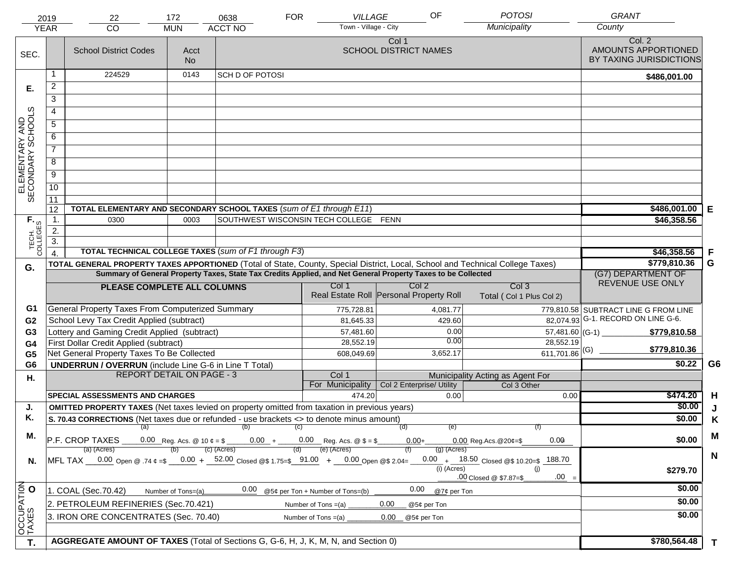|                                     | 2019             | 22                                                                                                                             | 172                | 0638                                   | <b>FOR</b><br>VILLAGE                                          | OF                                                          | <b>POTOSI</b>                                | <b>GRANT</b>                                             |                |
|-------------------------------------|------------------|--------------------------------------------------------------------------------------------------------------------------------|--------------------|----------------------------------------|----------------------------------------------------------------|-------------------------------------------------------------|----------------------------------------------|----------------------------------------------------------|----------------|
|                                     | <b>YEAR</b>      | CO                                                                                                                             | <b>MUN</b>         | <b>ACCT NO</b>                         | Town - Village - City                                          |                                                             | Municipality                                 | County                                                   |                |
| SEC.                                |                  | <b>School District Codes</b>                                                                                                   | Acct<br><b>No</b>  |                                        |                                                                | Col 1<br><b>SCHOOL DISTRICT NAMES</b>                       |                                              | Col. 2<br>AMOUNTS APPORTIONED<br>BY TAXING JURISDICTIONS |                |
|                                     | 1                | 224529                                                                                                                         | 0143               | SCH D OF POTOSI                        |                                                                |                                                             |                                              | \$486,001.00                                             |                |
| Е.                                  | $\overline{2}$   |                                                                                                                                |                    |                                        |                                                                |                                                             |                                              |                                                          |                |
|                                     | 3                |                                                                                                                                |                    |                                        |                                                                |                                                             |                                              |                                                          |                |
|                                     | 4                |                                                                                                                                |                    |                                        |                                                                |                                                             |                                              |                                                          |                |
|                                     | $\overline{5}$   |                                                                                                                                |                    |                                        |                                                                |                                                             |                                              |                                                          |                |
|                                     | 6                |                                                                                                                                |                    |                                        |                                                                |                                                             |                                              |                                                          |                |
| ELEMENTARY AND<br>SECONDARY SCHOOLS | $\overline{7}$   |                                                                                                                                |                    |                                        |                                                                |                                                             |                                              |                                                          |                |
|                                     | 8                |                                                                                                                                |                    |                                        |                                                                |                                                             |                                              |                                                          |                |
|                                     | $\overline{9}$   |                                                                                                                                |                    |                                        |                                                                |                                                             |                                              |                                                          |                |
|                                     | 10               |                                                                                                                                |                    |                                        |                                                                |                                                             |                                              |                                                          |                |
|                                     | $\overline{11}$  |                                                                                                                                |                    |                                        |                                                                |                                                             |                                              |                                                          |                |
|                                     | 12               | TOTAL ELEMENTARY AND SECONDARY SCHOOL TAXES (sum of E1 through E11)                                                            |                    |                                        |                                                                |                                                             |                                              | \$486,001.00                                             | Е              |
|                                     | 1.               | 0300                                                                                                                           | 0003               |                                        | SOUTHWEST WISCONSIN TECH COLLEGE FENN                          |                                                             |                                              | \$46,358.56                                              |                |
| TECH. T                             | 2.               |                                                                                                                                |                    |                                        |                                                                |                                                             |                                              |                                                          |                |
|                                     | $\overline{3}$ . |                                                                                                                                |                    |                                        |                                                                |                                                             |                                              |                                                          |                |
|                                     | $\overline{4}$   | TOTAL TECHNICAL COLLEGE TAXES (sum of F1 through F3)                                                                           |                    |                                        |                                                                |                                                             |                                              | \$46,358.56                                              | F              |
| G.                                  |                  | TOTAL GENERAL PROPERTY TAXES APPORTIONED (Total of State, County, Special District, Local, School and Technical College Taxes) |                    |                                        |                                                                |                                                             |                                              | \$779,810.36                                             | G              |
|                                     |                  | Summary of General Property Taxes, State Tax Credits Applied, and Net General Property Taxes to be Collected                   |                    | (G7) DEPARTMENT OF<br>REVENUE USE ONLY |                                                                |                                                             |                                              |                                                          |                |
|                                     |                  | PLEASE COMPLETE ALL COLUMNS                                                                                                    |                    |                                        | Col 1                                                          | Col <sub>2</sub><br>Real Estate Roll Personal Property Roll | Col <sub>3</sub><br>Total (Col 1 Plus Col 2) |                                                          |                |
| G1                                  |                  | General Property Taxes From Computerized Summary                                                                               |                    |                                        | 775,728.81                                                     | 4,081.77                                                    |                                              | 779,810.58 SUBTRACT LINE G FROM LINE                     |                |
| G <sub>2</sub>                      |                  | School Levy Tax Credit Applied (subtract)                                                                                      |                    |                                        | 81,645.33                                                      | 429.60                                                      |                                              | 82,074.93 G-1. RECORD ON LINE G-6.                       |                |
| G3                                  |                  | Lottery and Gaming Credit Applied (subtract)                                                                                   |                    |                                        | 57,481.60                                                      | 0.00                                                        | 57,481.60 (G-1) $-$                          | \$779,810.58                                             |                |
| G4                                  |                  | First Dollar Credit Applied (subtract)                                                                                         |                    |                                        | 28,552.19                                                      | 0.00                                                        | 28,552.19                                    | \$779,810.36                                             |                |
| G <sub>5</sub>                      |                  | Net General Property Taxes To Be Collected                                                                                     |                    |                                        | 608,049.69                                                     | 3,652.17                                                    | 611,701.86 (G)                               | \$0.22                                                   | G <sub>6</sub> |
| G <sub>6</sub>                      |                  | <b>UNDERRUN / OVERRUN</b> (include Line G-6 in Line T Total)<br><b>REPORT DETAIL ON PAGE - 3</b>                               |                    |                                        | Col 1                                                          |                                                             | Municipality Acting as Agent For             |                                                          |                |
| Η.                                  |                  |                                                                                                                                |                    |                                        | For Municipality                                               | Col 2 Enterprise/ Utility                                   | Col 3 Other                                  |                                                          |                |
|                                     |                  | <b>SPECIAL ASSESSMENTS AND CHARGES</b>                                                                                         |                    |                                        | 474.20                                                         | 0.00                                                        | 0.00                                         | \$474.20                                                 | H              |
| J.                                  |                  | <b>OMITTED PROPERTY TAXES</b> (Net taxes levied on property omitted from taxation in previous years)                           |                    |                                        |                                                                |                                                             |                                              | \$0.00                                                   | J              |
| Κ.                                  |                  | S. 70.43 CORRECTIONS (Net taxes due or refunded - use brackets <> to denote minus amount)                                      | \$0.00             | K                                      |                                                                |                                                             |                                              |                                                          |                |
| М.                                  |                  |                                                                                                                                |                    | $(a)$ (b) (c)                          |                                                                | (e)<br>(d)                                                  |                                              |                                                          | M              |
|                                     |                  | P.F. CROP TAXES                                                                                                                |                    |                                        | 0.00 Reg. Acs. @ 10 $\phi = $$ 0.00 + 0.00 Reg. Acs. @ \$ = \$ | $0.00+$                                                     | 0.00<br>$0.00$ Reg. Acs. @ 20¢=\$            | \$0.00                                                   |                |
|                                     |                  | (a) (Acres)<br>MFL TAX 0.00 Open @ .74 ¢ =\$ 0.00 + 52.00 Closed @\$ 1.75=\$ 91.00 + 0.00 Open @\$ 2.04=                       |                    | (c) (Acres)                            | (e) (Acres)<br>(d)                                             | $(g)$ (Acres)                                               | $0.00 + 18.50$ Closed @\$ 10.20=\$<br>188.70 |                                                          | $\mathbf N$    |
| N.                                  |                  |                                                                                                                                |                    |                                        |                                                                | (i) (Acres)                                                 | (i)                                          | \$279.70                                                 |                |
|                                     |                  |                                                                                                                                |                    |                                        |                                                                |                                                             | $.00 =$<br>.00 Closed @ \$7.87=\$            |                                                          |                |
|                                     |                  | 1. COAL (Sec.70.42)                                                                                                            | Number of Tons=(a) | 0.00                                   | @5¢ per Ton + Number of Tons=(b)                               | 0.00<br>@7¢ per Ton                                         |                                              | \$0.00                                                   |                |
|                                     |                  | 2. PETROLEUM REFINERIES (Sec.70.421)                                                                                           |                    |                                        | Number of Tons $=(a)$                                          | 0.00<br>@5¢ per Ton                                         |                                              | \$0.00                                                   |                |
|                                     |                  | 3. IRON ORE CONCENTRATES (Sec. 70.40)                                                                                          |                    |                                        | Number of Tons $=(a)$                                          | 0.00<br>@5¢ per Ton                                         |                                              | \$0.00                                                   |                |
| OCCUPATION<br>TAXES O               |                  |                                                                                                                                |                    |                                        |                                                                |                                                             |                                              |                                                          |                |
| T.                                  |                  | AGGREGATE AMOUNT OF TAXES (Total of Sections G, G-6, H, J, K, M, N, and Section 0)                                             |                    |                                        |                                                                |                                                             |                                              | \$780,564.48                                             | $\mathbf{T}$   |
|                                     |                  |                                                                                                                                |                    |                                        |                                                                |                                                             |                                              |                                                          |                |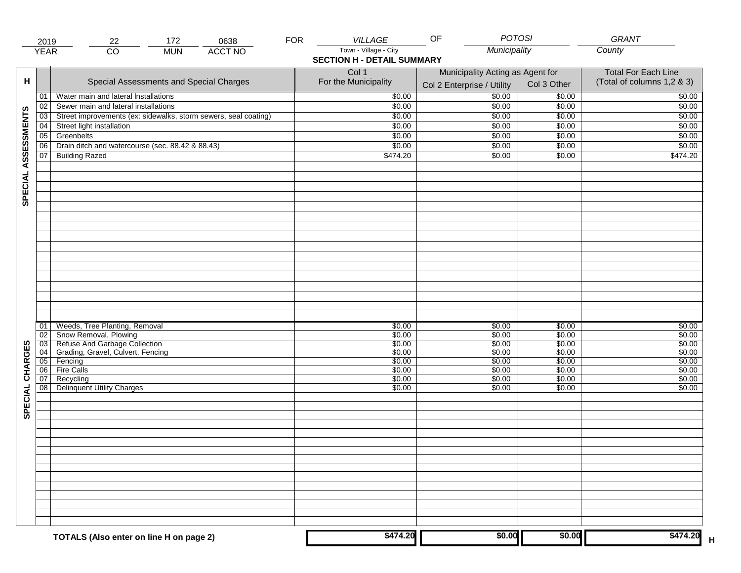|                     | 2019                                          | 172<br>0638<br>22                                                                                                                                     | <b>FOR</b> | <b>VILLAGE</b>                                             | <b>POTOSI</b><br>OF                                            |                                                          | GRANT                                                    |
|---------------------|-----------------------------------------------|-------------------------------------------------------------------------------------------------------------------------------------------------------|------------|------------------------------------------------------------|----------------------------------------------------------------|----------------------------------------------------------|----------------------------------------------------------|
|                     | <b>YEAR</b>                                   | $\overline{CO}$<br><b>ACCT NO</b><br><b>MUN</b>                                                                                                       |            | Town - Village - City<br><b>SECTION H - DETAIL SUMMARY</b> | Municipality                                                   |                                                          | County                                                   |
| н                   |                                               | Special Assessments and Special Charges                                                                                                               |            | Col 1<br>For the Municipality                              | Municipality Acting as Agent for<br>Col 2 Enterprise / Utility | Col 3 Other                                              | <b>Total For Each Line</b><br>(Total of columns 1,2 & 3) |
|                     | 01                                            | Water main and lateral Installations                                                                                                                  |            | \$0.00                                                     | 50.00                                                          | \$0.00                                                   | \$0.00                                                   |
|                     | 02                                            | Sewer main and lateral installations                                                                                                                  |            | \$0.00                                                     | \$0.00                                                         | \$0.00                                                   | \$0.00                                                   |
|                     | 03                                            | Street improvements (ex: sidewalks, storm sewers, seal coating)                                                                                       |            | \$0.00                                                     | \$0.00                                                         | \$0.00                                                   | \$0.00                                                   |
|                     | 04                                            | Street light installation                                                                                                                             |            | \$0.00                                                     | \$0.00                                                         | \$0.00                                                   | \$0.00                                                   |
|                     | 05                                            | Greenbelts                                                                                                                                            |            | \$0.00                                                     | \$0.00                                                         | \$0.00                                                   | \$0.00                                                   |
|                     | 06                                            | Drain ditch and watercourse (sec. 88.42 & 88.43)                                                                                                      |            | \$0.00                                                     | \$0.00                                                         | \$0.00                                                   | \$0.00                                                   |
| SPECIAL ASSESSMENTS | $\boxed{07}$                                  | <b>Building Razed</b>                                                                                                                                 |            | \$474.20                                                   | \$0.00                                                         | \$0.00                                                   | \$474.20                                                 |
|                     |                                               |                                                                                                                                                       |            |                                                            |                                                                |                                                          |                                                          |
| CHARGES             | 01<br>02<br>$\overline{03}$<br>04<br>05<br>06 | Weeds, Tree Planting, Removal<br>Snow Removal, Plowing<br>Refuse And Garbage Collection<br>Grading, Gravel, Culvert, Fencing<br>Fencing<br>Fire Calls |            | \$0.00<br>\$0.00<br>\$0.00<br>\$0.00<br>\$0.00<br>\$0.00   | \$0.00<br>\$0.00<br>\$0.00<br>\$0.00<br>\$0.00<br>\$0.00       | \$0.00<br>\$0.00<br>\$0.00<br>\$0.00<br>\$0.00<br>\$0.00 | \$0.00<br>\$0.00<br>\$0.00<br>\$0.00<br>\$0.00<br>\$0.00 |
| SPECIAL             | 07<br>08                                      | Recycling<br><b>Delinquent Utility Charges</b>                                                                                                        |            | \$0.00<br>\$0.00                                           | \$0.00<br>\$0.00                                               | \$0.00<br>\$0.00                                         | \$0.00<br>\$0.00                                         |
|                     |                                               |                                                                                                                                                       |            |                                                            |                                                                |                                                          |                                                          |
|                     |                                               | TOTALS (Also enter on line H on page 2)                                                                                                               |            | \$474.20                                                   | \$0.00                                                         | \$0.00                                                   | \$474.20                                                 |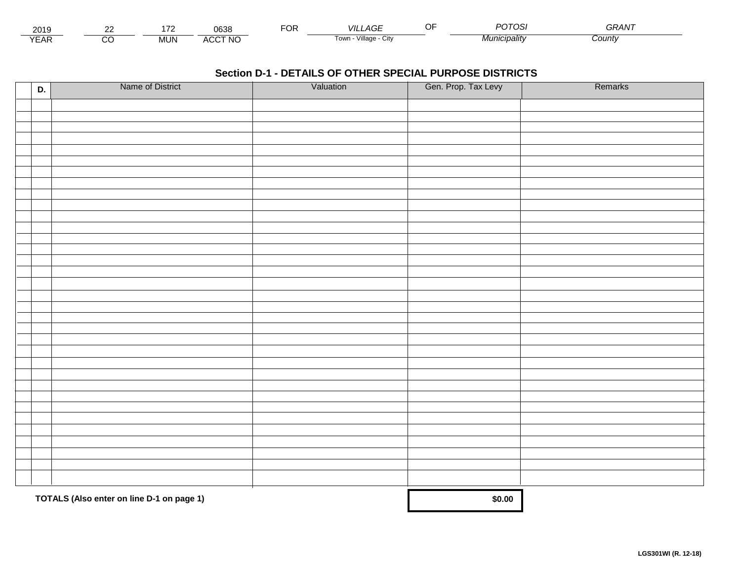| 201.                 | $\sim$ |       | 0638                           | $\neg$ $\wedge$ r.<br>◡┍ | _AGF<br>VII I           | <b>DOTOS</b>          | <b>^^</b><br>GRAN |  |
|----------------------|--------|-------|--------------------------------|--------------------------|-------------------------|-----------------------|-------------------|--|
| $\sqrt{2}$<br>▵<br>. |        | .viUN | CCT NC،<br>$\mathbf{A}$<br>nuu |                          | Village<br>' OWLL<br>UN | * <i>1unicipalitv</i> | Count             |  |

| D. | Name of District                          | Valuation | Gen. Prop. Tax Levy | Remarks |
|----|-------------------------------------------|-----------|---------------------|---------|
|    |                                           |           |                     |         |
|    |                                           |           |                     |         |
|    |                                           |           |                     |         |
|    |                                           |           |                     |         |
|    |                                           |           |                     |         |
|    |                                           |           |                     |         |
|    |                                           |           |                     |         |
|    |                                           |           |                     |         |
|    |                                           |           |                     |         |
|    |                                           |           |                     |         |
|    |                                           |           |                     |         |
|    |                                           |           |                     |         |
|    |                                           |           |                     |         |
|    |                                           |           |                     |         |
|    |                                           |           |                     |         |
|    |                                           |           |                     |         |
|    |                                           |           |                     |         |
|    |                                           |           |                     |         |
|    |                                           |           |                     |         |
|    |                                           |           |                     |         |
|    |                                           |           |                     |         |
|    |                                           |           |                     |         |
|    |                                           |           |                     |         |
|    |                                           |           |                     |         |
|    |                                           |           |                     |         |
|    |                                           |           |                     |         |
|    |                                           |           |                     |         |
|    |                                           |           |                     |         |
|    |                                           |           |                     |         |
|    |                                           |           |                     |         |
|    |                                           |           |                     |         |
|    |                                           |           |                     |         |
|    | TOTALS (Also enter on line D-1 on page 1) |           | \$0.00              |         |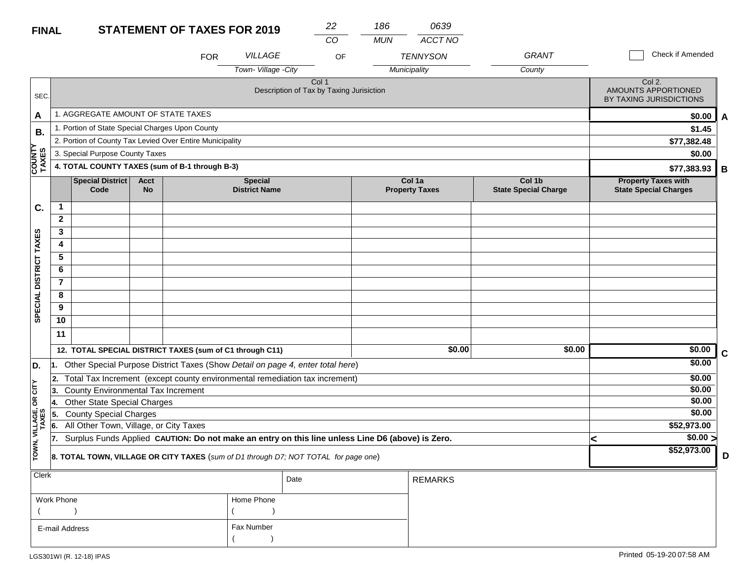# **FINAL**

| <b>FINAL</b>           |                                                                                            |                                                 |                   | <b>STATEMENT OF TAXES FOR 2019</b>                       |                                                                                                  | 22    | 186        | 0639                            |                                       |                                                            |             |
|------------------------|--------------------------------------------------------------------------------------------|-------------------------------------------------|-------------------|----------------------------------------------------------|--------------------------------------------------------------------------------------------------|-------|------------|---------------------------------|---------------------------------------|------------------------------------------------------------|-------------|
|                        |                                                                                            |                                                 |                   |                                                          |                                                                                                  | CO    | <b>MUN</b> | ACCT NO                         |                                       |                                                            |             |
|                        |                                                                                            |                                                 |                   | <b>FOR</b>                                               | <b>VILLAGE</b>                                                                                   | OF    |            | <b>TENNYSON</b>                 | <b>GRANT</b>                          | Check if Amended                                           |             |
|                        |                                                                                            |                                                 |                   |                                                          | Town- Village - City                                                                             |       |            | Municipality                    | County                                |                                                            |             |
| SEC.                   |                                                                                            |                                                 |                   |                                                          | Description of Tax by Taxing Jurisiction                                                         | Col 1 |            |                                 |                                       | Col 2.<br>AMOUNTS APPORTIONED<br>BY TAXING JURISDICTIONS   |             |
| A                      |                                                                                            | 1. AGGREGATE AMOUNT OF STATE TAXES              |                   |                                                          |                                                                                                  |       |            |                                 |                                       | \$0.00                                                     | A           |
| В.                     |                                                                                            | 1. Portion of State Special Charges Upon County |                   |                                                          |                                                                                                  |       |            |                                 |                                       | \$1.45                                                     |             |
|                        |                                                                                            |                                                 |                   | 2. Portion of County Tax Levied Over Entire Municipality |                                                                                                  |       |            |                                 |                                       | \$77,382.48                                                |             |
|                        |                                                                                            | 3. Special Purpose County Taxes                 |                   |                                                          |                                                                                                  |       |            |                                 |                                       | \$0.00                                                     |             |
| <b>COUNTY</b><br>TAXES |                                                                                            |                                                 |                   | 4. TOTAL COUNTY TAXES (sum of B-1 through B-3)           |                                                                                                  |       |            |                                 |                                       | \$77,383.93                                                | В           |
|                        |                                                                                            | <b>Special District</b><br>Code                 | Acct<br><b>No</b> |                                                          | <b>Special</b><br><b>District Name</b>                                                           |       |            | Col 1a<br><b>Property Taxes</b> | Col 1b<br><b>State Special Charge</b> | <b>Property Taxes with</b><br><b>State Special Charges</b> |             |
| C.                     | -1                                                                                         |                                                 |                   |                                                          |                                                                                                  |       |            |                                 |                                       |                                                            |             |
|                        | $\mathbf{2}$                                                                               |                                                 |                   |                                                          |                                                                                                  |       |            |                                 |                                       |                                                            |             |
|                        | 3                                                                                          |                                                 |                   |                                                          |                                                                                                  |       |            |                                 |                                       |                                                            |             |
| DISTRICT TAXES         | 4                                                                                          |                                                 |                   |                                                          |                                                                                                  |       |            |                                 |                                       |                                                            |             |
|                        | 5                                                                                          |                                                 |                   |                                                          |                                                                                                  |       |            |                                 |                                       |                                                            |             |
|                        | 6                                                                                          |                                                 |                   |                                                          |                                                                                                  |       |            |                                 |                                       |                                                            |             |
|                        | $\overline{7}$                                                                             |                                                 |                   |                                                          |                                                                                                  |       |            |                                 |                                       |                                                            |             |
| <b>SPECIAL</b>         | 8                                                                                          |                                                 |                   |                                                          |                                                                                                  |       |            |                                 |                                       |                                                            |             |
|                        | 9                                                                                          |                                                 |                   |                                                          |                                                                                                  |       |            |                                 |                                       |                                                            |             |
|                        | 10                                                                                         |                                                 |                   |                                                          |                                                                                                  |       |            |                                 |                                       |                                                            |             |
|                        | 11                                                                                         |                                                 |                   |                                                          |                                                                                                  |       |            |                                 |                                       |                                                            |             |
|                        |                                                                                            |                                                 |                   | 12. TOTAL SPECIAL DISTRICT TAXES (sum of C1 through C11) |                                                                                                  |       |            | \$0.00                          | \$0.00                                | \$0.00                                                     | $\mathbf c$ |
| D.                     | l1.                                                                                        |                                                 |                   |                                                          | Other Special Purpose District Taxes (Show Detail on page 4, enter total here)                   |       |            |                                 |                                       | \$0.00                                                     |             |
|                        | 2.                                                                                         |                                                 |                   |                                                          | Total Tax Increment (except county environmental remediation tax increment)                      |       |            |                                 |                                       | \$0.00                                                     |             |
| OR CITY                | 3.                                                                                         | County Environmental Tax Increment              |                   |                                                          |                                                                                                  |       |            |                                 |                                       | \$0.00                                                     |             |
|                        | 14.                                                                                        | <b>Other State Special Charges</b>              |                   |                                                          |                                                                                                  |       |            |                                 |                                       | \$0.00                                                     |             |
|                        | 15.                                                                                        | <b>County Special Charges</b>                   |                   |                                                          |                                                                                                  |       |            |                                 |                                       | \$0.00                                                     |             |
|                        | 6.                                                                                         | All Other Town, Village, or City Taxes          |                   |                                                          |                                                                                                  |       |            |                                 |                                       | \$52,973.00                                                |             |
| TOWN, VILLAGE, C       |                                                                                            |                                                 |                   |                                                          | Surplus Funds Applied CAUTION: Do not make an entry on this line unless Line D6 (above) is Zero. |       |            |                                 |                                       | $\sqrt{$0.00}$<br>k                                        |             |
|                        | <b>8. TOTAL TOWN, VILLAGE OR CITY TAXES</b> (sum of D1 through D7: NOT TOTAL for page one) |                                                 |                   |                                                          |                                                                                                  |       |            |                                 |                                       | \$52,973.00                                                | D           |

| <b>Clerk</b>   |            | Date | REMARKS |
|----------------|------------|------|---------|
| Work Phone     | Home Phone |      |         |
|                |            |      |         |
| E-mail Address | Fax Number |      |         |
|                |            |      |         |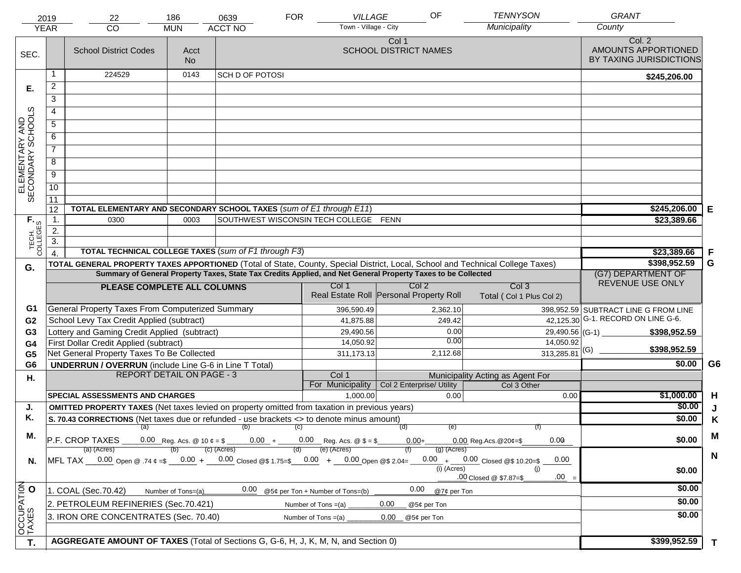|                                     | 2019                               | 22                                                                                                                             | 186                | 0639                                                 | <b>FOR</b><br>VILLAGE                 | OF                                      | <b>TENNYSON</b>                                 | <b>GRANT</b>                                             |                |
|-------------------------------------|------------------------------------|--------------------------------------------------------------------------------------------------------------------------------|--------------------|------------------------------------------------------|---------------------------------------|-----------------------------------------|-------------------------------------------------|----------------------------------------------------------|----------------|
|                                     | <b>YEAR</b>                        | CO                                                                                                                             | <b>MUN</b>         | <b>ACCT NO</b>                                       | Town - Village - City                 |                                         | Municipality                                    | County                                                   |                |
| SEC.                                |                                    | <b>School District Codes</b>                                                                                                   | Acct<br><b>No</b>  |                                                      |                                       | Col 1<br><b>SCHOOL DISTRICT NAMES</b>   |                                                 | Col. 2<br>AMOUNTS APPORTIONED<br>BY TAXING JURISDICTIONS |                |
|                                     | 1                                  | 224529                                                                                                                         | 0143               | SCH D OF POTOSI                                      |                                       |                                         |                                                 | \$245,206.00                                             |                |
| Е.                                  | $\overline{2}$                     |                                                                                                                                |                    |                                                      |                                       |                                         |                                                 |                                                          |                |
|                                     | 3                                  |                                                                                                                                |                    |                                                      |                                       |                                         |                                                 |                                                          |                |
|                                     | 4                                  |                                                                                                                                |                    |                                                      |                                       |                                         |                                                 |                                                          |                |
|                                     | $\overline{5}$                     |                                                                                                                                |                    |                                                      |                                       |                                         |                                                 |                                                          |                |
|                                     | 6                                  |                                                                                                                                |                    |                                                      |                                       |                                         |                                                 |                                                          |                |
| ELEMENTARY AND<br>SECONDARY SCHOOLS | $\overline{7}$                     |                                                                                                                                |                    |                                                      |                                       |                                         |                                                 |                                                          |                |
|                                     | 8                                  |                                                                                                                                |                    |                                                      |                                       |                                         |                                                 |                                                          |                |
|                                     | $\overline{9}$                     |                                                                                                                                |                    |                                                      |                                       |                                         |                                                 |                                                          |                |
|                                     | 10                                 |                                                                                                                                |                    |                                                      |                                       |                                         |                                                 |                                                          |                |
|                                     | $\overline{11}$                    |                                                                                                                                |                    |                                                      |                                       |                                         |                                                 |                                                          |                |
|                                     | 12                                 | TOTAL ELEMENTARY AND SECONDARY SCHOOL TAXES (sum of E1 through E11)                                                            |                    |                                                      |                                       |                                         |                                                 | \$245,206.00                                             | Е              |
|                                     | 1.                                 | 0300                                                                                                                           | 0003               |                                                      | SOUTHWEST WISCONSIN TECH COLLEGE FENN |                                         |                                                 | \$23,389.66                                              |                |
|                                     | 2.                                 |                                                                                                                                |                    |                                                      |                                       |                                         |                                                 |                                                          |                |
| TECH. T                             | $\overline{3}$ .<br>$\overline{4}$ |                                                                                                                                |                    | TOTAL TECHNICAL COLLEGE TAXES (sum of F1 through F3) |                                       |                                         |                                                 | \$23,389.66                                              | F              |
|                                     |                                    | TOTAL GENERAL PROPERTY TAXES APPORTIONED (Total of State, County, Special District, Local, School and Technical College Taxes) |                    | \$398,952.59                                         | G                                     |                                         |                                                 |                                                          |                |
| G.                                  |                                    | Summary of General Property Taxes, State Tax Credits Applied, and Net General Property Taxes to be Collected                   |                    | (G7) DEPARTMENT OF                                   |                                       |                                         |                                                 |                                                          |                |
|                                     |                                    | PLEASE COMPLETE ALL COLUMNS                                                                                                    |                    |                                                      | Col 1                                 | Col <sub>2</sub>                        | Col <sub>3</sub>                                | REVENUE USE ONLY                                         |                |
|                                     |                                    |                                                                                                                                |                    |                                                      |                                       | Real Estate Roll Personal Property Roll | Total (Col 1 Plus Col 2)                        |                                                          |                |
| G1                                  |                                    | General Property Taxes From Computerized Summary                                                                               |                    |                                                      | 396,590.49                            | 2,362.10                                |                                                 | 398,952.59 SUBTRACT LINE G FROM LINE                     |                |
| G <sub>2</sub>                      |                                    | School Levy Tax Credit Applied (subtract)                                                                                      |                    |                                                      | 41,875.88                             | 249.42                                  |                                                 | 42,125.30 G-1. RECORD ON LINE G-6.                       |                |
| G3                                  |                                    | Lottery and Gaming Credit Applied (subtract)                                                                                   |                    |                                                      | 29,490.56                             | 0.00                                    | 29,490.56 (G-1) $-$                             | \$398,952.59                                             |                |
| G4                                  |                                    | First Dollar Credit Applied (subtract)                                                                                         |                    |                                                      | 14,050.92                             | 0.00                                    | 14,050.92                                       | \$398,952.59                                             |                |
| G <sub>5</sub>                      |                                    | Net General Property Taxes To Be Collected                                                                                     |                    |                                                      | 311,173.13                            | 2,112.68                                | $313,285.81$ <sup>(G)</sup>                     |                                                          |                |
| G <sub>6</sub>                      |                                    | <b>UNDERRUN / OVERRUN</b> (include Line G-6 in Line T Total)<br><b>REPORT DETAIL ON PAGE - 3</b>                               |                    |                                                      | Col 1                                 |                                         |                                                 | \$0.00                                                   | G <sub>6</sub> |
| Η.                                  |                                    |                                                                                                                                |                    |                                                      | For Municipality                      | Col 2 Enterprise/ Utility               | Municipality Acting as Agent For<br>Col 3 Other |                                                          |                |
|                                     |                                    | <b>SPECIAL ASSESSMENTS AND CHARGES</b>                                                                                         |                    |                                                      | 1,000.00                              | 0.00                                    | 0.00                                            | \$1,000.00                                               | H              |
| J.                                  |                                    | <b>OMITTED PROPERTY TAXES</b> (Net taxes levied on property omitted from taxation in previous years)                           |                    |                                                      |                                       |                                         |                                                 | \$0.00                                                   | J              |
| Κ.                                  |                                    | S. 70.43 CORRECTIONS (Net taxes due or refunded - use brackets <> to denote minus amount)                                      |                    |                                                      |                                       | (e)<br>(d)                              |                                                 | \$0.00                                                   | K              |
| М.                                  |                                    | (a) (b) (c)                                                                                                                    |                    |                                                      | M                                     |                                         |                                                 |                                                          |                |
|                                     |                                    | $\overline{P.F.}$ CROP TAXES 0.00 Reg. Acs. @ 10 $\ell = \$$ 0.00 + 0.00 Reg. Acs. @ $\ell = \$$                               |                    | $(c)$ (Acres)                                        | (e) (Acres)                           | $0.00+$                                 | 0.00<br>$0.00$ Reg. Acs. @ 20¢=\$               | \$0.00                                                   |                |
| N.                                  |                                    | (a) (Acres)<br>MFL TAX 0.00 Open @ .74 ¢ =\$ 0.00 + 0.00 Closed @\$ 1.75=\$ 0.00 + 0.00 Open @\$ 2.04=                         |                    |                                                      | (d)                                   | $(g)$ (Acres)                           | $0.00 + 0.00$ Closed @\$ 10.20=\$<br>0.00       |                                                          | $\mathbf N$    |
|                                     |                                    |                                                                                                                                |                    |                                                      |                                       | $(i)$ (Acres)                           | (i)                                             | \$0.00                                                   |                |
|                                     |                                    |                                                                                                                                |                    |                                                      |                                       |                                         | $.00 =$<br>.00 Closed @ \$7.87=\$               |                                                          |                |
|                                     |                                    | 1. COAL (Sec.70.42)                                                                                                            | Number of Tons=(a) | 0.00                                                 | @5¢ per Ton + Number of Tons=(b)      | 0.00<br>@7¢ per Ton                     |                                                 | \$0.00                                                   |                |
|                                     |                                    | 2. PETROLEUM REFINERIES (Sec.70.421)                                                                                           |                    |                                                      | Number of Tons $=(a)$                 | 0.00<br>@5¢ per Ton                     |                                                 | \$0.00                                                   |                |
| OCCUPATION<br>TAXES O               |                                    | 3. IRON ORE CONCENTRATES (Sec. 70.40)                                                                                          |                    |                                                      | Number of Tons $=(a)$                 | 0.00<br>@5¢ per Ton                     |                                                 | \$0.00                                                   |                |
| T.                                  |                                    | AGGREGATE AMOUNT OF TAXES (Total of Sections G, G-6, H, J, K, M, N, and Section 0)                                             |                    |                                                      |                                       |                                         |                                                 | \$399,952.59                                             | $\mathbf{T}$   |
|                                     |                                    |                                                                                                                                |                    |                                                      |                                       |                                         |                                                 |                                                          |                |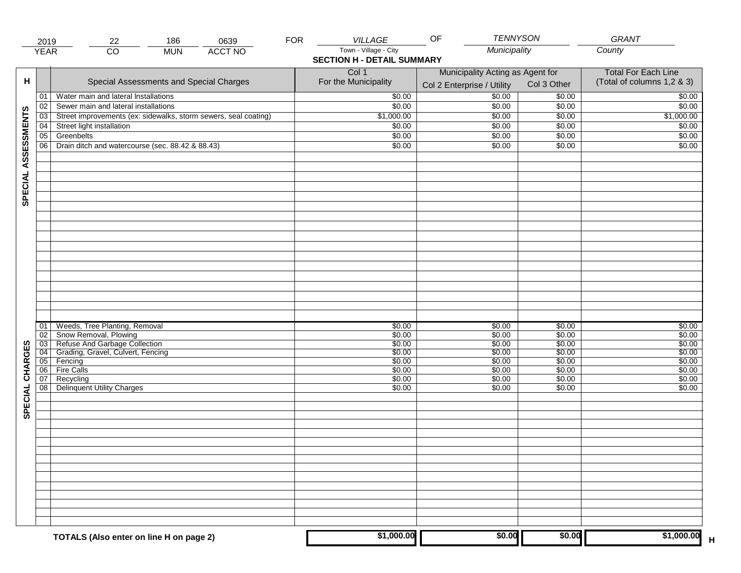|                     | 2019            | 22                                                                 | 186        | 0639           | <b>FOR</b> | VILLAGE                           | <b>TENNYSON</b><br>OF            |                  | <b>GRANT</b>               |
|---------------------|-----------------|--------------------------------------------------------------------|------------|----------------|------------|-----------------------------------|----------------------------------|------------------|----------------------------|
|                     | <b>YEAR</b>     | $\overline{CO}$                                                    | <b>MUN</b> | <b>ACCT NO</b> |            | Town - Village - City             | Municipality                     |                  | County                     |
|                     |                 |                                                                    |            |                |            | <b>SECTION H - DETAIL SUMMARY</b> |                                  |                  |                            |
|                     |                 |                                                                    |            |                |            | Col 1                             | Municipality Acting as Agent for |                  | <b>Total For Each Line</b> |
| н                   |                 | Special Assessments and Special Charges                            |            |                |            | For the Municipality              | Col 2 Enterprise / Utility       | Col 3 Other      | (Total of columns 1,2 & 3) |
|                     | 01              | Water main and lateral Installations                               |            |                |            | \$0.00                            | $\frac{1}{00}$                   | \$0.00           | \$0.00                     |
|                     | 02              | Sewer main and lateral installations                               |            |                |            | \$0.00                            | \$0.00                           | \$0.00           | \$0.00                     |
|                     | 03              | Street improvements (ex: sidewalks, storm sewers, seal coating)    |            |                |            | $\sqrt{$1,000.00}$                | \$0.00                           | \$0.00           | \$1,000.00                 |
|                     | 04              | Street light installation                                          |            |                |            | \$0.00                            | \$0.00                           | \$0.00           | \$0.00                     |
|                     | 05              | Greenbelts                                                         |            |                |            | \$0.00                            | \$0.00                           | \$0.00           | \$0.00                     |
|                     | 06              | Drain ditch and watercourse (sec. 88.42 & 88.43)                   |            |                |            | \$0.00                            | \$0.00                           | \$0.00           | \$0.00                     |
| SPECIAL ASSESSMENTS |                 |                                                                    |            |                |            |                                   |                                  |                  |                            |
|                     |                 |                                                                    |            |                |            |                                   |                                  |                  |                            |
|                     |                 |                                                                    |            |                |            |                                   |                                  |                  |                            |
|                     |                 |                                                                    |            |                |            |                                   |                                  |                  |                            |
|                     |                 |                                                                    |            |                |            |                                   |                                  |                  |                            |
|                     |                 |                                                                    |            |                |            |                                   |                                  |                  |                            |
|                     | 01              | Weeds, Tree Planting, Removal                                      |            |                |            | \$0.00                            | \$0.00                           | \$0.00           | \$0.00                     |
|                     | 02              | Snow Removal, Plowing                                              |            |                |            | \$0.00                            | \$0.00                           | \$0.00           | \$0.00                     |
|                     | $\overline{03}$ | Refuse And Garbage Collection<br>Grading, Gravel, Culvert, Fencing |            |                |            | \$0.00                            | \$0.00                           | \$0.00           | \$0.00                     |
|                     | 04              |                                                                    |            |                |            | \$0.00                            | \$0.00                           | \$0.00           | \$0.00                     |
|                     | 05              | Fencing                                                            |            |                |            | \$0.00                            | \$0.00                           | \$0.00           | \$0.00                     |
|                     | 06<br>07        | <b>Fire Calls</b><br>Recycling                                     |            |                |            | \$0.00<br>\$0.00                  | \$0.00<br>\$0.00                 | \$0.00<br>\$0.00 | \$0.00<br>\$0.00           |
| SPECIAL CHARGES     |                 | 08 Delinquent Utility Charges                                      |            |                |            | \$0.00                            | \$0.00                           | \$0.00           | \$0.00                     |
|                     |                 |                                                                    |            |                |            |                                   |                                  |                  |                            |
|                     |                 |                                                                    |            |                |            |                                   |                                  |                  |                            |
|                     |                 |                                                                    |            |                |            |                                   |                                  |                  |                            |
|                     |                 |                                                                    |            |                |            |                                   |                                  |                  |                            |
|                     |                 |                                                                    |            |                |            |                                   |                                  |                  |                            |
|                     |                 |                                                                    |            |                |            | \$1,000.00                        | \$0.00                           | \$0.00           | \$1,000.00                 |
|                     |                 | TOTALS (Also enter on line H on page 2)                            |            |                |            |                                   |                                  |                  |                            |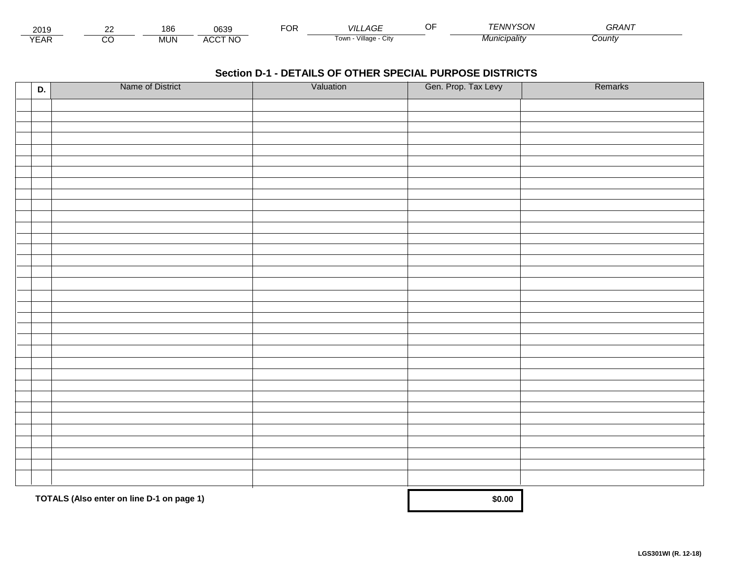| 2019                        | co | 186        | 0639            | Ur | _AGF<br>VIL                   | $\sim$ $\sim$<br> | 'YSON<br>ו אויו -    | $\mathbf{z} = \mathbf{z} \cdot \mathbf{z}$<br>א⊤רי |  |
|-----------------------------|----|------------|-----------------|----|-------------------------------|-------------------|----------------------|----------------------------------------------------|--|
| $\sqrt{2}$<br>▵<br><b>L</b> |    | <b>MUN</b> | CCT NC،<br>A(x) |    | <br>√illage - '<br>l own<br>ີ |                   | <i>JIUNICIDAIItY</i> | County                                             |  |

| D. | Name of District                          | Valuation | Gen. Prop. Tax Levy | Remarks |
|----|-------------------------------------------|-----------|---------------------|---------|
|    |                                           |           |                     |         |
|    |                                           |           |                     |         |
|    |                                           |           |                     |         |
|    |                                           |           |                     |         |
|    |                                           |           |                     |         |
|    |                                           |           |                     |         |
|    |                                           |           |                     |         |
|    |                                           |           |                     |         |
|    |                                           |           |                     |         |
|    |                                           |           |                     |         |
|    |                                           |           |                     |         |
|    |                                           |           |                     |         |
|    |                                           |           |                     |         |
|    |                                           |           |                     |         |
|    |                                           |           |                     |         |
|    |                                           |           |                     |         |
|    |                                           |           |                     |         |
|    |                                           |           |                     |         |
|    |                                           |           |                     |         |
|    |                                           |           |                     |         |
|    |                                           |           |                     |         |
|    |                                           |           |                     |         |
|    |                                           |           |                     |         |
|    |                                           |           |                     |         |
|    |                                           |           |                     |         |
|    |                                           |           |                     |         |
|    |                                           |           |                     |         |
|    |                                           |           |                     |         |
|    |                                           |           |                     |         |
|    |                                           |           |                     |         |
|    |                                           |           |                     |         |
|    | TOTALS (Also enter on line D-1 on page 1) |           | \$0.00              |         |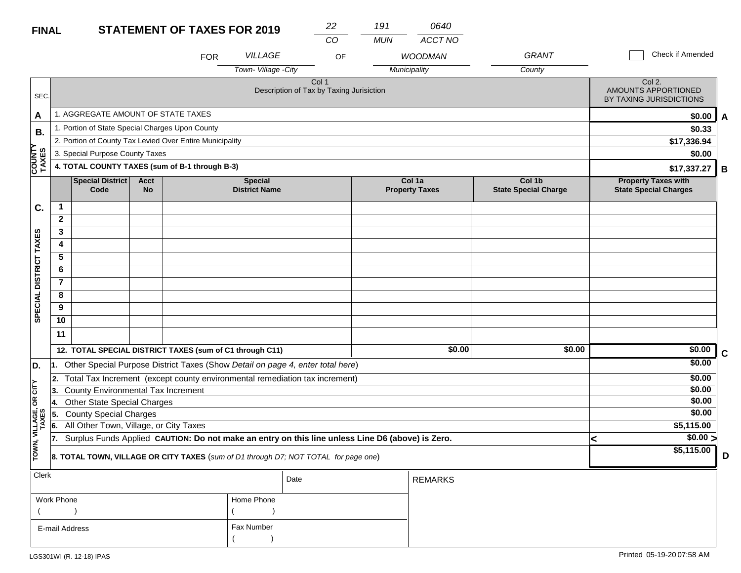| <b>FINAL</b>            |                                                |                                                          |                          | <b>STATEMENT OF TAXES FOR 2019</b> |                                        | 22                                                                                               | 191        | 0640                            |                                       |   |                                                            |   |
|-------------------------|------------------------------------------------|----------------------------------------------------------|--------------------------|------------------------------------|----------------------------------------|--------------------------------------------------------------------------------------------------|------------|---------------------------------|---------------------------------------|---|------------------------------------------------------------|---|
|                         |                                                |                                                          |                          |                                    |                                        | CO                                                                                               | <b>MUN</b> | ACCT NO                         |                                       |   |                                                            |   |
|                         |                                                |                                                          |                          | <b>FOR</b>                         | <b>VILLAGE</b>                         | OF                                                                                               |            | <b>WOODMAN</b>                  | <b>GRANT</b>                          |   | Check if Amended                                           |   |
|                         |                                                |                                                          |                          |                                    | Town-Village - City                    |                                                                                                  |            | Municipality                    | County                                |   |                                                            |   |
| SEC.                    |                                                |                                                          |                          |                                    |                                        | Col 1<br>Description of Tax by Taxing Jurisiction                                                |            |                                 |                                       |   | Col 2.<br>AMOUNTS APPORTIONED<br>BY TAXING JURISDICTIONS   |   |
| A                       |                                                | 1. AGGREGATE AMOUNT OF STATE TAXES                       |                          |                                    |                                        |                                                                                                  |            |                                 |                                       |   | \$0.00                                                     | A |
| <b>B.</b>               |                                                | 1. Portion of State Special Charges Upon County          |                          |                                    |                                        |                                                                                                  |            |                                 |                                       |   | \$0.33                                                     |   |
|                         |                                                | 2. Portion of County Tax Levied Over Entire Municipality |                          |                                    |                                        |                                                                                                  |            |                                 |                                       |   | \$17,336.94                                                |   |
|                         |                                                | 3. Special Purpose County Taxes                          |                          |                                    |                                        |                                                                                                  |            |                                 |                                       |   | \$0.00                                                     |   |
| <b>COUNTY</b><br>TAXES  | 4. TOTAL COUNTY TAXES (sum of B-1 through B-3) |                                                          |                          |                                    |                                        |                                                                                                  |            |                                 |                                       |   | \$17,337.27                                                | В |
|                         |                                                | Special District<br>Code                                 | <b>Acct</b><br><b>No</b> |                                    | <b>Special</b><br><b>District Name</b> |                                                                                                  |            | Col 1a<br><b>Property Taxes</b> | Col 1b<br><b>State Special Charge</b> |   | <b>Property Taxes with</b><br><b>State Special Charges</b> |   |
| C.                      | $\mathbf{1}$                                   |                                                          |                          |                                    |                                        |                                                                                                  |            |                                 |                                       |   |                                                            |   |
|                         | $\mathbf{2}$                                   |                                                          |                          |                                    |                                        |                                                                                                  |            |                                 |                                       |   |                                                            |   |
|                         | 3                                              |                                                          |                          |                                    |                                        |                                                                                                  |            |                                 |                                       |   |                                                            |   |
|                         | 4                                              |                                                          |                          |                                    |                                        |                                                                                                  |            |                                 |                                       |   |                                                            |   |
|                         | 5                                              |                                                          |                          |                                    |                                        |                                                                                                  |            |                                 |                                       |   |                                                            |   |
|                         | 6                                              |                                                          |                          |                                    |                                        |                                                                                                  |            |                                 |                                       |   |                                                            |   |
|                         | $\overline{7}$                                 |                                                          |                          |                                    |                                        |                                                                                                  |            |                                 |                                       |   |                                                            |   |
| SPECIAL DISTRICT TAXES  | 8                                              |                                                          |                          |                                    |                                        |                                                                                                  |            |                                 |                                       |   |                                                            |   |
|                         | 9                                              |                                                          |                          |                                    |                                        |                                                                                                  |            |                                 |                                       |   |                                                            |   |
|                         | 10                                             |                                                          |                          |                                    |                                        |                                                                                                  |            |                                 |                                       |   |                                                            |   |
|                         | 11                                             |                                                          |                          |                                    |                                        |                                                                                                  |            |                                 |                                       |   |                                                            |   |
|                         |                                                | 12. TOTAL SPECIAL DISTRICT TAXES (sum of C1 through C11) |                          |                                    |                                        |                                                                                                  |            | \$0.00                          | \$0.00                                |   | \$0.00                                                     | C |
| D.                      |                                                |                                                          |                          |                                    |                                        | 1. Other Special Purpose District Taxes (Show Detail on page 4, enter total here)                |            |                                 |                                       |   | \$0.00                                                     |   |
|                         | 2.                                             |                                                          |                          |                                    |                                        | Total Tax Increment (except county environmental remediation tax increment)                      |            |                                 |                                       |   | \$0.00                                                     |   |
| čL                      | 13.                                            | County Environmental Tax Increment                       |                          |                                    |                                        |                                                                                                  |            |                                 |                                       |   | \$0.00                                                     |   |
| œ                       | 14.                                            | <b>Other State Special Charges</b>                       |                          |                                    |                                        |                                                                                                  |            |                                 |                                       |   | \$0.00                                                     |   |
|                         | 5.                                             | <b>County Special Charges</b>                            |                          |                                    |                                        |                                                                                                  |            |                                 |                                       |   | \$0.00                                                     |   |
|                         | 6.                                             | All Other Town, Village, or City Taxes                   |                          |                                    |                                        |                                                                                                  |            |                                 |                                       |   | \$5,115.00                                                 |   |
|                         | 17.                                            |                                                          |                          |                                    |                                        | Surplus Funds Applied CAUTION: Do not make an entry on this line unless Line D6 (above) is Zero. |            |                                 |                                       | < | $\sqrt{$0.00}$                                             |   |
| TOWN, VILLAGE,<br>TAXES |                                                |                                                          |                          |                                    |                                        | 8. TOTAL TOWN, VILLAGE OR CITY TAXES (sum of D1 through D7; NOT TOTAL for page one)              |            |                                 |                                       |   | \$5,115.00                                                 | D |
| <b>Clerk</b>            |                                                |                                                          |                          |                                    |                                        | Date                                                                                             |            | <b>REMARKS</b>                  |                                       |   |                                                            |   |

| $\sim$         |            | Date | REMARKS |
|----------------|------------|------|---------|
| Work Phone     | Home Phone |      |         |
|                |            |      |         |
| E-mail Address | Fax Number |      |         |
|                |            |      |         |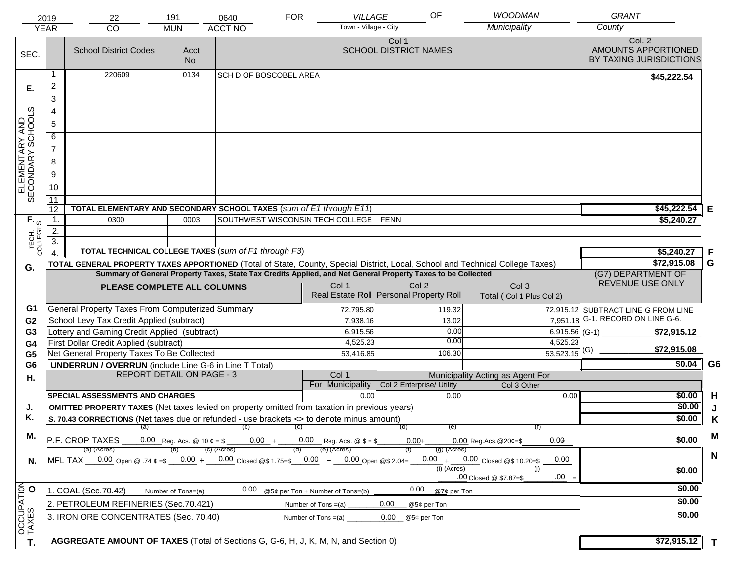|                                     | 2019                                                                                                                           | 22                                                                                                     | 191                | 0640                          | <b>FOR</b> | VILLAGE                               | OF                                                          |                                                    | <b>WOODMAN</b>                               | <b>GRANT</b>                                             |                |
|-------------------------------------|--------------------------------------------------------------------------------------------------------------------------------|--------------------------------------------------------------------------------------------------------|--------------------|-------------------------------|------------|---------------------------------------|-------------------------------------------------------------|----------------------------------------------------|----------------------------------------------|----------------------------------------------------------|----------------|
| <b>YEAR</b>                         |                                                                                                                                | CO                                                                                                     | <b>MUN</b>         | <b>ACCT NO</b>                |            | Town - Village - City                 |                                                             | Municipality                                       |                                              | County                                                   |                |
| SEC.                                |                                                                                                                                | <b>School District Codes</b>                                                                           | Acct<br><b>No</b>  |                               |            |                                       | Col 1<br><b>SCHOOL DISTRICT NAMES</b>                       |                                                    |                                              | Col. 2<br>AMOUNTS APPORTIONED<br>BY TAXING JURISDICTIONS |                |
|                                     | 1                                                                                                                              | 220609                                                                                                 | 0134               | <b>SCH D OF BOSCOBEL AREA</b> |            |                                       |                                                             |                                                    |                                              | \$45,222.54                                              |                |
| Е.                                  | $\overline{2}$                                                                                                                 |                                                                                                        |                    |                               |            |                                       |                                                             |                                                    |                                              |                                                          |                |
|                                     | 3                                                                                                                              |                                                                                                        |                    |                               |            |                                       |                                                             |                                                    |                                              |                                                          |                |
|                                     | 4                                                                                                                              |                                                                                                        |                    |                               |            |                                       |                                                             |                                                    |                                              |                                                          |                |
|                                     | $\overline{5}$                                                                                                                 |                                                                                                        |                    |                               |            |                                       |                                                             |                                                    |                                              |                                                          |                |
|                                     | 6                                                                                                                              |                                                                                                        |                    |                               |            |                                       |                                                             |                                                    |                                              |                                                          |                |
| ELEMENTARY AND<br>SECONDARY SCHOOLS | $\overline{7}$                                                                                                                 |                                                                                                        |                    |                               |            |                                       |                                                             |                                                    |                                              |                                                          |                |
|                                     | 8                                                                                                                              |                                                                                                        |                    |                               |            |                                       |                                                             |                                                    |                                              |                                                          |                |
|                                     | $\overline{9}$                                                                                                                 |                                                                                                        |                    |                               |            |                                       |                                                             |                                                    |                                              |                                                          |                |
|                                     | 10                                                                                                                             |                                                                                                        |                    |                               |            |                                       |                                                             |                                                    |                                              |                                                          |                |
|                                     | $\overline{11}$                                                                                                                |                                                                                                        |                    |                               |            |                                       |                                                             |                                                    |                                              |                                                          |                |
|                                     | 12                                                                                                                             | TOTAL ELEMENTARY AND SECONDARY SCHOOL TAXES (sum of E1 through E11)                                    |                    |                               |            |                                       |                                                             |                                                    |                                              | \$45,222.54                                              | Е              |
|                                     | 1.                                                                                                                             | 0300                                                                                                   | 0003               |                               |            | SOUTHWEST WISCONSIN TECH COLLEGE FENN |                                                             |                                                    |                                              | \$5,240.27                                               |                |
| TECH. T                             | 2.                                                                                                                             |                                                                                                        |                    |                               |            |                                       |                                                             |                                                    |                                              |                                                          |                |
|                                     | $\overline{3}$ .                                                                                                               |                                                                                                        |                    |                               |            |                                       |                                                             |                                                    |                                              |                                                          |                |
|                                     | $\overline{4}$                                                                                                                 | TOTAL TECHNICAL COLLEGE TAXES (sum of F1 through F3)                                                   |                    |                               |            |                                       |                                                             |                                                    |                                              | \$5,240.27                                               | F              |
| G.                                  | TOTAL GENERAL PROPERTY TAXES APPORTIONED (Total of State, County, Special District, Local, School and Technical College Taxes) |                                                                                                        |                    |                               |            |                                       |                                                             |                                                    |                                              | \$72,915.08                                              | G              |
|                                     | Summary of General Property Taxes, State Tax Credits Applied, and Net General Property Taxes to be Collected                   |                                                                                                        |                    |                               |            |                                       |                                                             |                                                    |                                              | (G7) DEPARTMENT OF<br>REVENUE USE ONLY                   |                |
|                                     |                                                                                                                                | PLEASE COMPLETE ALL COLUMNS                                                                            |                    |                               |            | Col 1                                 | Col <sub>2</sub><br>Real Estate Roll Personal Property Roll |                                                    | Col <sub>3</sub><br>Total (Col 1 Plus Col 2) |                                                          |                |
| G1                                  |                                                                                                                                | General Property Taxes From Computerized Summary                                                       |                    |                               |            | 72,795.80                             |                                                             | 119.32                                             |                                              | 72,915.12 SUBTRACT LINE G FROM LINE                      |                |
| G <sub>2</sub>                      |                                                                                                                                | School Levy Tax Credit Applied (subtract)                                                              |                    |                               |            | 7,938.16                              |                                                             | 13.02                                              |                                              | $\overline{7,951.18}$ G-1. RECORD ON LINE G-6.           |                |
| G3                                  |                                                                                                                                | Lottery and Gaming Credit Applied (subtract)                                                           |                    |                               |            | 6,915.56                              |                                                             | 0.00<br>0.00                                       | 6,915.56 (G-1) $-$                           | \$72,915.12                                              |                |
| G4                                  |                                                                                                                                | First Dollar Credit Applied (subtract)                                                                 |                    |                               |            | 4,525.23                              |                                                             |                                                    | 4,525.23<br>$\frac{1}{53,523.15}$ (G)        | \$72,915.08                                              |                |
| G <sub>5</sub>                      |                                                                                                                                | Net General Property Taxes To Be Collected                                                             |                    |                               |            | 53,416.85                             |                                                             | 106.30                                             |                                              | \$0.04                                                   | G <sub>6</sub> |
| G <sub>6</sub>                      |                                                                                                                                | <b>UNDERRUN / OVERRUN</b> (include Line G-6 in Line T Total)<br><b>REPORT DETAIL ON PAGE - 3</b>       |                    |                               |            | Col 1                                 |                                                             | Municipality Acting as Agent For                   |                                              |                                                          |                |
| Η.                                  |                                                                                                                                |                                                                                                        |                    |                               |            | For Municipality                      | Col 2 Enterprise/ Utility                                   |                                                    | Col 3 Other                                  |                                                          |                |
|                                     |                                                                                                                                | <b>SPECIAL ASSESSMENTS AND CHARGES</b>                                                                 |                    |                               |            | 0.00                                  |                                                             | 0.00                                               | 0.00                                         | \$0.00                                                   | H              |
| J.                                  |                                                                                                                                | <b>OMITTED PROPERTY TAXES</b> (Net taxes levied on property omitted from taxation in previous years)   |                    |                               |            |                                       |                                                             |                                                    |                                              | \$0.00                                                   | J              |
| Κ.                                  |                                                                                                                                | S. 70.43 CORRECTIONS (Net taxes due or refunded - use brackets <> to denote minus amount)              |                    |                               |            |                                       |                                                             |                                                    |                                              | \$0.00                                                   | K              |
| М.                                  |                                                                                                                                |                                                                                                        |                    | $(a)$ (b) (c)                 |            |                                       | (d)                                                         | (e)                                                |                                              |                                                          | M              |
|                                     |                                                                                                                                | $\overline{P.F.}$ CROP TAXES 0.00 Reg. Acs. @ 10 $\ell = \$$ 0.00 + 0.00 Reg. Acs. @ $\ell = \$$       |                    |                               |            |                                       | $0.00+$                                                     | $0.00$ Reg. Acs. $@20¢=$ \$                        | 0.00                                         | \$0.00                                                   |                |
|                                     |                                                                                                                                | (a) (Acres)<br>MFL TAX 0.00 Open @ .74 ¢ =\$ 0.00 + 0.00 Closed @\$ 1.75=\$ 0.00 + 0.00 Open @\$ 2.04= |                    | $(c)$ (Acres)                 | (d)        | (e) (Acres)                           |                                                             | $(g)$ (Acres)<br>$0.00 + 0.00$ Closed @\$ 10.20=\$ | 0.00                                         |                                                          | $\mathbf N$    |
| N.                                  |                                                                                                                                |                                                                                                        |                    |                               |            |                                       |                                                             | $(i)$ (Acres)<br>.00 Closed @ \$7.87=\$            | (i)<br>$.00 =$                               | \$0.00                                                   |                |
| OCCUPATION<br>TAXES O               |                                                                                                                                | 1. COAL (Sec.70.42)                                                                                    | Number of Tons=(a) | 0.00                          |            | @5¢ per Ton + Number of Tons=(b)      | 0.00                                                        | @7¢ per Ton                                        |                                              | \$0.00                                                   |                |
|                                     |                                                                                                                                | 2. PETROLEUM REFINERIES (Sec.70.421)                                                                   |                    |                               |            | Number of Tons $=(a)$                 | 0.00<br>@5¢ per Ton                                         |                                                    |                                              | \$0.00                                                   |                |
|                                     |                                                                                                                                | 3. IRON ORE CONCENTRATES (Sec. 70.40)                                                                  |                    |                               |            | Number of Tons $=(a)$                 | 0.00<br>@5¢ per Ton                                         |                                                    |                                              | \$0.00                                                   |                |
|                                     |                                                                                                                                |                                                                                                        |                    |                               |            |                                       |                                                             |                                                    |                                              |                                                          |                |
| T.                                  |                                                                                                                                | AGGREGATE AMOUNT OF TAXES (Total of Sections G, G-6, H, J, K, M, N, and Section 0)                     | \$72,915.12        | $\mathbf{T}$                  |            |                                       |                                                             |                                                    |                                              |                                                          |                |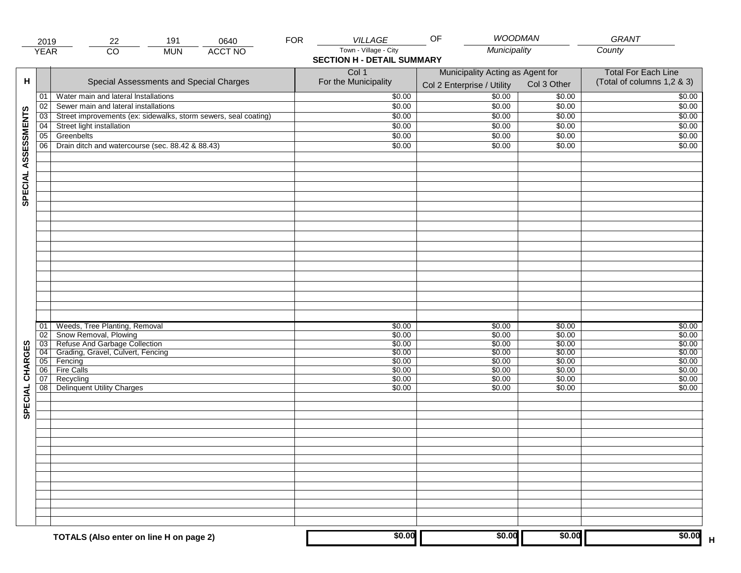|                     | 2019        | 191<br>0640<br>22                                               | <b>FOR</b> | VILLAGE                                                    | <b>WOODMAN</b><br>OF                                           |                  | <b>GRANT</b>                                             |
|---------------------|-------------|-----------------------------------------------------------------|------------|------------------------------------------------------------|----------------------------------------------------------------|------------------|----------------------------------------------------------|
|                     | <b>YEAR</b> | $\overline{CO}$<br><b>ACCT NO</b><br><b>MUN</b>                 |            | Town - Village - City<br><b>SECTION H - DETAIL SUMMARY</b> | Municipality                                                   |                  | County                                                   |
| н                   |             | Special Assessments and Special Charges                         |            | Col 1<br>For the Municipality                              | Municipality Acting as Agent for<br>Col 2 Enterprise / Utility | Col 3 Other      | <b>Total For Each Line</b><br>(Total of columns 1,2 & 3) |
|                     | 01          | Water main and lateral Installations                            |            | \$0.00                                                     | 50.00                                                          | \$0.00           | \$0.00                                                   |
|                     | 02          | Sewer main and lateral installations                            |            | \$0.00                                                     | \$0.00                                                         | \$0.00           | \$0.00                                                   |
|                     | 03          | Street improvements (ex: sidewalks, storm sewers, seal coating) |            | \$0.00                                                     | \$0.00                                                         | \$0.00           | \$0.00                                                   |
|                     | 04          | Street light installation                                       |            | \$0.00                                                     | \$0.00                                                         | \$0.00           | \$0.00                                                   |
|                     | 05          | Greenbelts                                                      |            | \$0.00                                                     | \$0.00                                                         | \$0.00           | \$0.00                                                   |
|                     | 06          | Drain ditch and watercourse (sec. 88.42 & 88.43)                |            | \$0.00                                                     | \$0.00                                                         | \$0.00           | \$0.00                                                   |
| SPECIAL ASSESSMENTS |             |                                                                 |            |                                                            |                                                                |                  |                                                          |
|                     | 01<br>02    | Weeds, Tree Planting, Removal<br>Snow Removal, Plowing          |            | \$0.00<br>\$0.00                                           | \$0.00<br>\$0.00                                               | \$0.00<br>\$0.00 | \$0.00<br>\$0.00                                         |
|                     | 03          | Refuse And Garbage Collection                                   |            | \$0.00                                                     | \$0.00                                                         | \$0.00           | \$0.00                                                   |
|                     | 04          | Grading, Gravel, Culvert, Fencing                               |            | \$0.00                                                     | \$0.00                                                         | \$0.00           | \$0.00                                                   |
|                     | 05<br>06    | Fencing<br>Fire Calls                                           |            | \$0.00<br>\$0.00                                           | \$0.00<br>\$0.00                                               | \$0.00<br>\$0.00 | \$0.00<br>\$0.00                                         |
| CHARGES<br>SPECIAL  | 07<br>08    | Recycling<br><b>Delinquent Utility Charges</b>                  |            | \$0.00<br>\$0.00                                           | \$0.00<br>\$0.00                                               | \$0.00<br>\$0.00 | \$0.00<br>\$0.00                                         |
|                     |             |                                                                 |            |                                                            |                                                                |                  |                                                          |
|                     |             |                                                                 |            |                                                            |                                                                |                  |                                                          |
|                     |             |                                                                 |            |                                                            |                                                                |                  |                                                          |
|                     |             | TOTALS (Also enter on line H on page 2)                         |            | \$0.00                                                     | \$0.00                                                         | \$0.00           | \$0.00                                                   |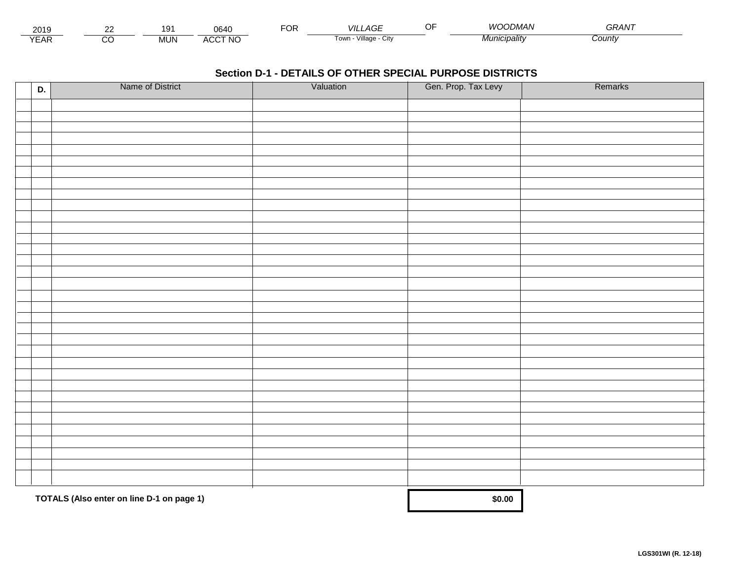| 201:                        | $\sim$ | ۱Q۰<br>ັ   | 0640            | ◡┌ | VIL '<br>$\sim$<br>AGI                | ЭF | 11 I<br><i>IMAN</i> | $\sim$ $\sim$ $\sim$ $\sim$ $\sim$<br>UKAIV. |  |
|-----------------------------|--------|------------|-----------------|----|---------------------------------------|----|---------------------|----------------------------------------------|--|
| $\sqrt{2}$<br>▵<br><b>L</b> |        | <b>MUN</b> | .CCT NO<br>A(x) |    | Village ·<br>Tow <sub>i</sub><br>∪itv |    | Municipalitv        | <i>County</i>                                |  |

| D. | Name of District                          | Valuation | Gen. Prop. Tax Levy | Remarks |
|----|-------------------------------------------|-----------|---------------------|---------|
|    |                                           |           |                     |         |
|    |                                           |           |                     |         |
|    |                                           |           |                     |         |
|    |                                           |           |                     |         |
|    |                                           |           |                     |         |
|    |                                           |           |                     |         |
|    |                                           |           |                     |         |
|    |                                           |           |                     |         |
|    |                                           |           |                     |         |
|    |                                           |           |                     |         |
|    |                                           |           |                     |         |
|    |                                           |           |                     |         |
|    |                                           |           |                     |         |
|    |                                           |           |                     |         |
|    |                                           |           |                     |         |
|    |                                           |           |                     |         |
|    |                                           |           |                     |         |
|    |                                           |           |                     |         |
|    |                                           |           |                     |         |
|    |                                           |           |                     |         |
|    |                                           |           |                     |         |
|    |                                           |           |                     |         |
|    |                                           |           |                     |         |
|    |                                           |           |                     |         |
|    |                                           |           |                     |         |
|    |                                           |           |                     |         |
|    |                                           |           |                     |         |
|    |                                           |           |                     |         |
|    |                                           |           |                     |         |
|    |                                           |           |                     |         |
|    |                                           |           |                     |         |
|    | TOTALS (Also enter on line D-1 on page 1) |           | \$0.00              |         |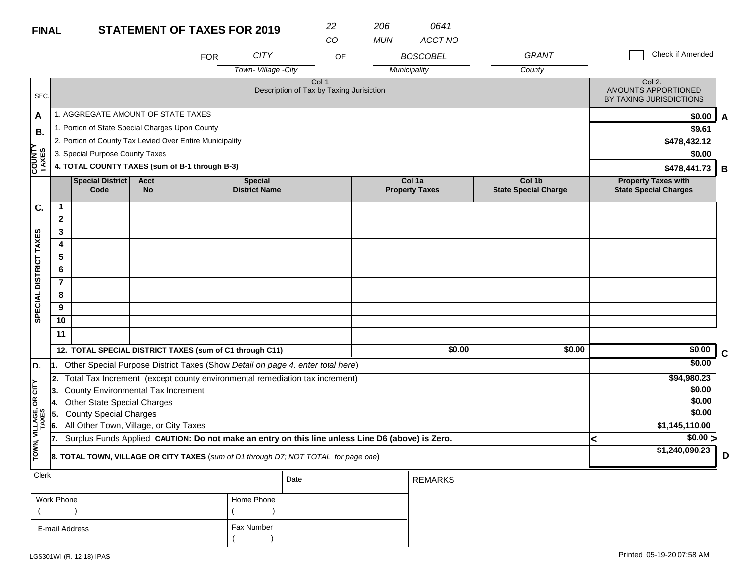| 206 | 0641 |
|-----|------|
|     |      |

|                                                                         |                |                                                 |                          |                                                          |                                        | CO                                                                                               | <b>MUN</b> | ACCT NO                         |                                       |                                                            |                  |             |
|-------------------------------------------------------------------------|----------------|-------------------------------------------------|--------------------------|----------------------------------------------------------|----------------------------------------|--------------------------------------------------------------------------------------------------|------------|---------------------------------|---------------------------------------|------------------------------------------------------------|------------------|-------------|
|                                                                         |                |                                                 |                          | <b>FOR</b>                                               | <b>CITY</b>                            | OF                                                                                               |            | <b>BOSCOBEL</b>                 | <b>GRANT</b>                          |                                                            | Check if Amended |             |
|                                                                         |                |                                                 |                          |                                                          | Town-Village - City                    |                                                                                                  |            | Municipality                    | County                                |                                                            |                  |             |
| SEC.                                                                    |                |                                                 |                          |                                                          |                                        | Col 1<br>Description of Tax by Taxing Jurisiction                                                |            |                                 |                                       | Col 2.<br>AMOUNTS APPORTIONED<br>BY TAXING JURISDICTIONS   |                  |             |
| A                                                                       |                | 1. AGGREGATE AMOUNT OF STATE TAXES              |                          |                                                          |                                        |                                                                                                  |            |                                 |                                       |                                                            | \$0.00           | A           |
| <b>B.</b>                                                               |                | 1. Portion of State Special Charges Upon County |                          |                                                          |                                        |                                                                                                  |            |                                 |                                       |                                                            | \$9.61           |             |
|                                                                         |                |                                                 |                          | 2. Portion of County Tax Levied Over Entire Municipality |                                        |                                                                                                  |            |                                 |                                       |                                                            | \$478,432.12     |             |
|                                                                         |                | 3. Special Purpose County Taxes                 |                          |                                                          |                                        |                                                                                                  |            |                                 |                                       |                                                            | \$0.00           |             |
| <b>COUNT</b><br>TAXES<br>4. TOTAL COUNTY TAXES (sum of B-1 through B-3) |                |                                                 |                          |                                                          |                                        |                                                                                                  |            |                                 |                                       |                                                            | \$478,441.73     | B           |
|                                                                         |                | Special District<br>Code                        | <b>Acct</b><br><b>No</b> |                                                          | <b>Special</b><br><b>District Name</b> |                                                                                                  |            | Col 1a<br><b>Property Taxes</b> | Col 1b<br><b>State Special Charge</b> | <b>Property Taxes with</b><br><b>State Special Charges</b> |                  |             |
| C.                                                                      | 1              |                                                 |                          |                                                          |                                        |                                                                                                  |            |                                 |                                       |                                                            |                  |             |
|                                                                         | $\overline{2}$ |                                                 |                          |                                                          |                                        |                                                                                                  |            |                                 |                                       |                                                            |                  |             |
|                                                                         | 3              |                                                 |                          |                                                          |                                        |                                                                                                  |            |                                 |                                       |                                                            |                  |             |
|                                                                         | 4              |                                                 |                          |                                                          |                                        |                                                                                                  |            |                                 |                                       |                                                            |                  |             |
|                                                                         | 5              |                                                 |                          |                                                          |                                        |                                                                                                  |            |                                 |                                       |                                                            |                  |             |
|                                                                         | 6              |                                                 |                          |                                                          |                                        |                                                                                                  |            |                                 |                                       |                                                            |                  |             |
|                                                                         | $\mathbf{7}$   |                                                 |                          |                                                          |                                        |                                                                                                  |            |                                 |                                       |                                                            |                  |             |
|                                                                         | 8              |                                                 |                          |                                                          |                                        |                                                                                                  |            |                                 |                                       |                                                            |                  |             |
| SPECIAL DISTRICT TAXES                                                  | 9              |                                                 |                          |                                                          |                                        |                                                                                                  |            |                                 |                                       |                                                            |                  |             |
|                                                                         | 10             |                                                 |                          |                                                          |                                        |                                                                                                  |            |                                 |                                       |                                                            |                  |             |
|                                                                         | 11             |                                                 |                          |                                                          |                                        |                                                                                                  |            |                                 |                                       |                                                            |                  |             |
|                                                                         |                |                                                 |                          | 12. TOTAL SPECIAL DISTRICT TAXES (sum of C1 through C11) |                                        |                                                                                                  |            | \$0.00                          | \$0.00                                |                                                            | \$0.00           | $\mathbf c$ |
| D.                                                                      | 1.             |                                                 |                          |                                                          |                                        | Other Special Purpose District Taxes (Show Detail on page 4, enter total here)                   |            |                                 |                                       |                                                            | \$0.00           |             |
|                                                                         | 2.             |                                                 |                          |                                                          |                                        | Total Tax Increment (except county environmental remediation tax increment)                      |            |                                 |                                       |                                                            | \$94,980.23      |             |
| CITY                                                                    | 13.            | County Environmental Tax Increment              |                          |                                                          |                                        |                                                                                                  |            |                                 |                                       |                                                            | \$0.00           |             |
| œ                                                                       | 4.             | Other State Special Charges                     |                          |                                                          |                                        |                                                                                                  |            |                                 |                                       |                                                            | \$0.00           |             |
|                                                                         | 5.             | <b>County Special Charges</b>                   |                          |                                                          |                                        |                                                                                                  |            |                                 |                                       |                                                            | \$0.00           |             |
| VILLAGE,                                                                | 6.             | All Other Town, Village, or City Taxes          |                          |                                                          |                                        |                                                                                                  |            |                                 |                                       |                                                            | \$1,145,110.00   |             |
|                                                                         | 7.             |                                                 |                          |                                                          |                                        | Surplus Funds Applied CAUTION: Do not make an entry on this line unless Line D6 (above) is Zero. |            |                                 |                                       | <                                                          | \$0.00 >         |             |
| TOWN,                                                                   |                |                                                 |                          |                                                          |                                        | 8. TOTAL TOWN, VILLAGE OR CITY TAXES (sum of D1 through D7; NOT TOTAL for page one)              |            |                                 |                                       |                                                            | \$1,240,090.23   | D           |
| <b>Clerk</b>                                                            |                |                                                 |                          |                                                          |                                        | Date                                                                                             |            | <b>REMARKS</b>                  |                                       |                                                            |                  |             |
|                                                                         | Work Phone     |                                                 |                          |                                                          | Home Phone                             |                                                                                                  |            |                                 |                                       |                                                            |                  |             |
|                                                                         |                |                                                 |                          |                                                          |                                        |                                                                                                  |            |                                 |                                       |                                                            |                  |             |

Fax Number

 $($ 

E-mail Address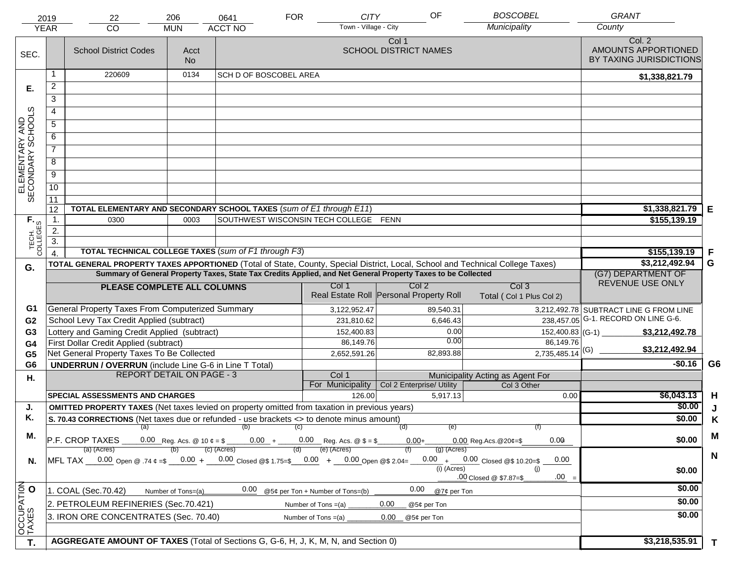|                                     | 2019             | 22                                                                                                              | 206                | 0641                                  | <b>FOR</b>            | <b>CITY</b>                      | OF                                                                                                           | <b>BOSCOBEL</b>                                                                                                                | <b>GRANT</b>                                             |                |
|-------------------------------------|------------------|-----------------------------------------------------------------------------------------------------------------|--------------------|---------------------------------------|-----------------------|----------------------------------|--------------------------------------------------------------------------------------------------------------|--------------------------------------------------------------------------------------------------------------------------------|----------------------------------------------------------|----------------|
|                                     | <b>YEAR</b>      | CO                                                                                                              | <b>MUN</b>         | <b>ACCT NO</b>                        |                       | Town - Village - City            |                                                                                                              | Municipality                                                                                                                   | County                                                   |                |
| SEC.                                |                  | <b>School District Codes</b>                                                                                    | Acct<br><b>No</b>  |                                       |                       |                                  | Col 1<br><b>SCHOOL DISTRICT NAMES</b>                                                                        |                                                                                                                                | Col. 2<br>AMOUNTS APPORTIONED<br>BY TAXING JURISDICTIONS |                |
|                                     | 1                | 220609                                                                                                          | 0134               | <b>SCH D OF BOSCOBEL AREA</b>         |                       |                                  |                                                                                                              |                                                                                                                                | \$1,338,821.79                                           |                |
| Е.                                  | $\overline{2}$   |                                                                                                                 |                    |                                       |                       |                                  |                                                                                                              |                                                                                                                                |                                                          |                |
|                                     | 3                |                                                                                                                 |                    |                                       |                       |                                  |                                                                                                              |                                                                                                                                |                                                          |                |
|                                     | 4                |                                                                                                                 |                    |                                       |                       |                                  |                                                                                                              |                                                                                                                                |                                                          |                |
|                                     | $\overline{5}$   |                                                                                                                 |                    |                                       |                       |                                  |                                                                                                              |                                                                                                                                |                                                          |                |
|                                     | 6                |                                                                                                                 |                    |                                       |                       |                                  |                                                                                                              |                                                                                                                                |                                                          |                |
| ELEMENTARY AND<br>SECONDARY SCHOOLS | $\overline{7}$   |                                                                                                                 |                    |                                       |                       |                                  |                                                                                                              |                                                                                                                                |                                                          |                |
|                                     | 8                |                                                                                                                 |                    |                                       |                       |                                  |                                                                                                              |                                                                                                                                |                                                          |                |
|                                     | $\overline{9}$   |                                                                                                                 |                    |                                       |                       |                                  |                                                                                                              |                                                                                                                                |                                                          |                |
|                                     | 10               |                                                                                                                 |                    |                                       |                       |                                  |                                                                                                              |                                                                                                                                |                                                          |                |
|                                     | $\overline{11}$  |                                                                                                                 |                    |                                       |                       |                                  |                                                                                                              |                                                                                                                                |                                                          |                |
|                                     | 12               | TOTAL ELEMENTARY AND SECONDARY SCHOOL TAXES (sum of E1 through E11)                                             |                    |                                       |                       |                                  |                                                                                                              |                                                                                                                                | \$1,338,821.79                                           | Е              |
|                                     | $\mathbf 1$ .    | 0300                                                                                                            | 0003               | SOUTHWEST WISCONSIN TECH COLLEGE FENN |                       |                                  |                                                                                                              |                                                                                                                                | \$155,139.19                                             |                |
|                                     | 2.               |                                                                                                                 |                    |                                       |                       |                                  |                                                                                                              |                                                                                                                                |                                                          |                |
| TECH. T                             | $\overline{3}$ . |                                                                                                                 |                    |                                       |                       |                                  |                                                                                                              |                                                                                                                                |                                                          |                |
|                                     | $\overline{4}$   | <b>TOTAL TECHNICAL COLLEGE TAXES (sum of F1 through F3)</b>                                                     |                    |                                       |                       |                                  |                                                                                                              |                                                                                                                                | \$155,139.19                                             | F              |
| G.                                  |                  |                                                                                                                 |                    |                                       |                       |                                  |                                                                                                              | TOTAL GENERAL PROPERTY TAXES APPORTIONED (Total of State, County, Special District, Local, School and Technical College Taxes) | \$3,212,492.94                                           | G              |
|                                     |                  |                                                                                                                 |                    |                                       |                       |                                  | Summary of General Property Taxes, State Tax Credits Applied, and Net General Property Taxes to be Collected |                                                                                                                                | (G7) DEPARTMENT OF<br>REVENUE USE ONLY                   |                |
|                                     |                  | PLEASE COMPLETE ALL COLUMNS                                                                                     |                    |                                       |                       | Col 1                            | Col <sub>2</sub><br>Real Estate Roll Personal Property Roll                                                  | Col <sub>3</sub><br>Total (Col 1 Plus Col 2)                                                                                   |                                                          |                |
| G1                                  |                  | General Property Taxes From Computerized Summary                                                                |                    |                                       |                       | 3,122,952.47                     | 89,540.31                                                                                                    |                                                                                                                                | 3,212,492.78 SUBTRACT LINE G FROM LINE                   |                |
| G <sub>2</sub>                      |                  | School Levy Tax Credit Applied (subtract)                                                                       |                    |                                       |                       | 231,810.62                       | 6,646.43                                                                                                     | 238,457.05                                                                                                                     | G-1. RECORD ON LINE G-6.                                 |                |
| G <sub>3</sub>                      |                  | Lottery and Gaming Credit Applied (subtract)                                                                    |                    |                                       |                       | 152,400.83                       | 0.00<br>0.00                                                                                                 | $152,400.83$ (G-1)                                                                                                             | \$3,212,492.78                                           |                |
| G4                                  |                  | First Dollar Credit Applied (subtract)                                                                          |                    |                                       |                       | 86,149.76                        | 82,893.88                                                                                                    | 86,149.76<br>$2,735,485.14$ <sup>(G)</sup>                                                                                     | \$3,212,492.94                                           |                |
| G <sub>5</sub><br>G <sub>6</sub>    |                  | Net General Property Taxes To Be Collected<br><b>UNDERRUN / OVERRUN</b> (include Line G-6 in Line T Total)      |                    |                                       |                       | 2,652,591.26                     |                                                                                                              |                                                                                                                                | $-$0.16$                                                 | G <sub>6</sub> |
| Η.                                  |                  | <b>REPORT DETAIL ON PAGE - 3</b>                                                                                |                    |                                       |                       | Col 1                            |                                                                                                              | Municipality Acting as Agent For                                                                                               |                                                          |                |
|                                     |                  |                                                                                                                 |                    |                                       |                       | For Municipality                 | Col 2 Enterprise/ Utility                                                                                    | Col 3 Other                                                                                                                    |                                                          |                |
|                                     |                  | <b>SPECIAL ASSESSMENTS AND CHARGES</b>                                                                          |                    |                                       |                       | 126.00                           | 5,917.13                                                                                                     | 0.00                                                                                                                           | \$6,043.13                                               | H              |
| J.                                  |                  | <b>OMITTED PROPERTY TAXES</b> (Net taxes levied on property omitted from taxation in previous years)            |                    |                                       |                       |                                  |                                                                                                              |                                                                                                                                | \$0.00                                                   | J              |
| Κ.                                  |                  | S. 70.43 CORRECTIONS (Net taxes due or refunded - use brackets <> to denote minus amount)                       |                    |                                       |                       |                                  |                                                                                                              |                                                                                                                                | \$0.00                                                   | K              |
| М.                                  |                  |                                                                                                                 |                    | (a) (b) (c)                           |                       |                                  | (e)<br>(d)                                                                                                   |                                                                                                                                |                                                          | M              |
|                                     |                  | $\overline{P.F.}$ CROP TAXES 0.00 Reg. Acs. @ 10 $\ell = \$$ 0.00 + 0.00 Reg. Acs. @ $\ell = \$$<br>(a) (Acres) |                    | $(c)$ (Acres)                         | (d)                   | (e) (Acres)                      | $0.00+$<br>$(g)$ (Acres)                                                                                     | 0.00<br>$0.00$ Reg. Acs. $@20¢=$ \$                                                                                            | \$0.00                                                   |                |
| N.                                  |                  | MFL TAX 0.00 Open @ .74 ¢ =\$ 0.00 + 0.00 Closed @\$ 1.75=\$ 0.00 + 0.00 Open @\$ 2.04=                         |                    |                                       |                       |                                  |                                                                                                              | $0.00 + 0.00$ Closed @\$ 10.20=\$<br>0.00                                                                                      |                                                          | $\mathbf N$    |
|                                     |                  |                                                                                                                 |                    |                                       |                       |                                  | $(i)$ (Acres)                                                                                                | (i)                                                                                                                            | \$0.00                                                   |                |
|                                     |                  |                                                                                                                 |                    |                                       |                       |                                  |                                                                                                              | $.00 =$<br>.00 Closed @ \$7.87=\$                                                                                              |                                                          |                |
|                                     |                  | 1. COAL (Sec.70.42)                                                                                             | Number of Tons=(a) | 0.00                                  |                       | @5¢ per Ton + Number of Tons=(b) | 0.00<br>@7¢ per Ton                                                                                          |                                                                                                                                | \$0.00                                                   |                |
|                                     |                  | 2. PETROLEUM REFINERIES (Sec.70.421)                                                                            |                    |                                       | Number of Tons $=(a)$ |                                  | 0.00<br>@5¢ per Ton                                                                                          |                                                                                                                                | \$0.00                                                   |                |
|                                     |                  | 3. IRON ORE CONCENTRATES (Sec. 70.40)                                                                           |                    |                                       | Number of Tons $=(a)$ |                                  | 0.00<br>@5¢ per Ton                                                                                          |                                                                                                                                | \$0.00                                                   |                |
| OCCUPATION<br>TAXES O               |                  |                                                                                                                 |                    |                                       |                       |                                  |                                                                                                              |                                                                                                                                |                                                          |                |
| T.                                  |                  | AGGREGATE AMOUNT OF TAXES (Total of Sections G, G-6, H, J, K, M, N, and Section 0)                              |                    |                                       |                       |                                  |                                                                                                              |                                                                                                                                | \$3,218,535.91                                           | $\mathbf{T}$   |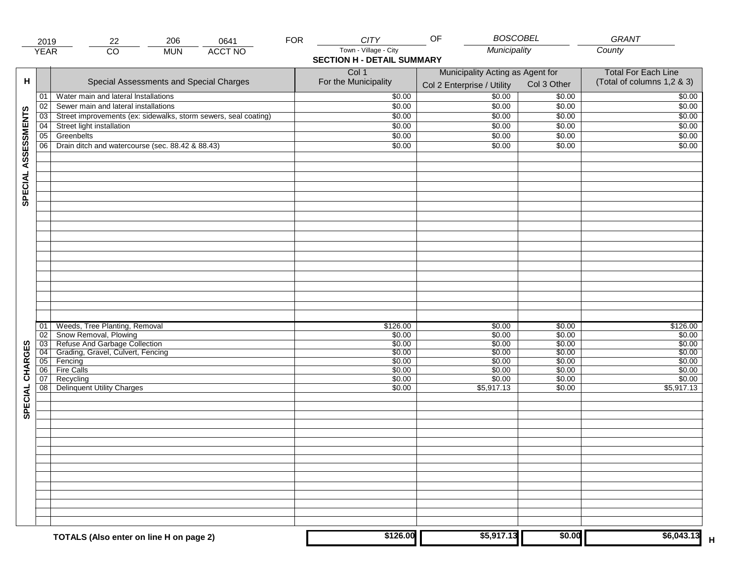|                     | 2019                  | 206<br>22                                                       | 0641           | <b>FOR</b> | <b>CITY</b>                                                | OF                               |                  | <b>BOSCOBEL</b>  | GRANT                      |
|---------------------|-----------------------|-----------------------------------------------------------------|----------------|------------|------------------------------------------------------------|----------------------------------|------------------|------------------|----------------------------|
|                     | <b>YEAR</b>           | $\overline{CO}$<br><b>MUN</b>                                   | <b>ACCT NO</b> |            | Town - Village - City<br><b>SECTION H - DETAIL SUMMARY</b> |                                  | Municipality     |                  | County                     |
|                     |                       |                                                                 |                |            | Col 1                                                      | Municipality Acting as Agent for |                  |                  | <b>Total For Each Line</b> |
| н                   |                       | Special Assessments and Special Charges                         |                |            | For the Municipality                                       | Col 2 Enterprise / Utility       |                  | Col 3 Other      | (Total of columns 1,2 & 3) |
|                     | 01                    | Water main and lateral Installations                            |                |            | \$0.00                                                     |                                  | 50.00            | \$0.00           | \$0.00                     |
|                     | 02                    | Sewer main and lateral installations                            |                |            | \$0.00                                                     |                                  | \$0.00           | \$0.00           | \$0.00                     |
|                     | $\overline{03}$       | Street improvements (ex: sidewalks, storm sewers, seal coating) |                |            | \$0.00                                                     |                                  | \$0.00           | \$0.00           | \$0.00                     |
|                     | 04                    | Street light installation                                       |                |            | \$0.00                                                     |                                  | \$0.00           | \$0.00           | \$0.00                     |
|                     | 05                    | Greenbelts                                                      |                |            | \$0.00                                                     |                                  | \$0.00           | \$0.00           | \$0.00                     |
|                     | 06                    | Drain ditch and watercourse (sec. 88.42 & 88.43)                |                |            | \$0.00                                                     |                                  | \$0.00           | \$0.00           | \$0.00                     |
| SPECIAL ASSESSMENTS |                       |                                                                 |                |            |                                                            |                                  |                  |                  |                            |
|                     |                       |                                                                 |                |            |                                                            |                                  |                  |                  |                            |
|                     |                       |                                                                 |                |            |                                                            |                                  |                  |                  |                            |
|                     |                       |                                                                 |                |            |                                                            |                                  |                  |                  |                            |
|                     |                       |                                                                 |                |            |                                                            |                                  |                  |                  |                            |
|                     |                       |                                                                 |                |            |                                                            |                                  |                  |                  |                            |
|                     |                       |                                                                 |                |            |                                                            |                                  |                  |                  |                            |
|                     |                       |                                                                 |                |            |                                                            |                                  |                  |                  |                            |
|                     | 01                    | Weeds, Tree Planting, Removal                                   |                |            | \$126.00                                                   |                                  | \$0.00           | \$0.00           | \$126.00                   |
|                     | 02<br>$\overline{03}$ | Show Removal, Plowing<br>Refuse And Garbage Collection          |                |            | \$0.00<br>\$0.00                                           |                                  | \$0.00<br>\$0.00 | \$0.00<br>\$0.00 | \$0.00<br>\$0.00           |
|                     | 04                    | Grading, Gravel, Culvert, Fencing                               |                |            | \$0.00                                                     |                                  | \$0.00           | \$0.00           | \$0.00                     |
|                     | 05                    | Fencing                                                         |                |            | \$0.00                                                     |                                  | \$0.00           | \$0.00           | \$0.00                     |
| CHARGES             | 06                    | <b>Fire Calls</b>                                               |                |            | \$0.00                                                     |                                  | \$0.00           | \$0.00           | \$0.00                     |
|                     | 07                    | Recycling                                                       |                |            | \$0.00                                                     |                                  | \$0.00           | \$0.00           | \$0.00                     |
| SPECIAL             | 08 <sup>1</sup>       | <b>Delinquent Utility Charges</b>                               |                |            | \$0.00                                                     |                                  | \$5,917.13       | \$0.00           | \$5,917.13                 |
|                     |                       |                                                                 |                |            |                                                            |                                  |                  |                  |                            |
|                     |                       |                                                                 |                |            |                                                            |                                  |                  |                  |                            |
|                     |                       |                                                                 |                |            |                                                            |                                  |                  |                  |                            |
|                     |                       |                                                                 |                |            |                                                            |                                  |                  |                  |                            |
|                     |                       |                                                                 |                |            |                                                            |                                  |                  |                  |                            |
|                     |                       |                                                                 |                |            |                                                            |                                  |                  |                  |                            |
|                     |                       | TOTALS (Also enter on line H on page 2)                         |                |            | \$126.00                                                   |                                  | \$5,917.13       | \$0.00           | \$6,043.13                 |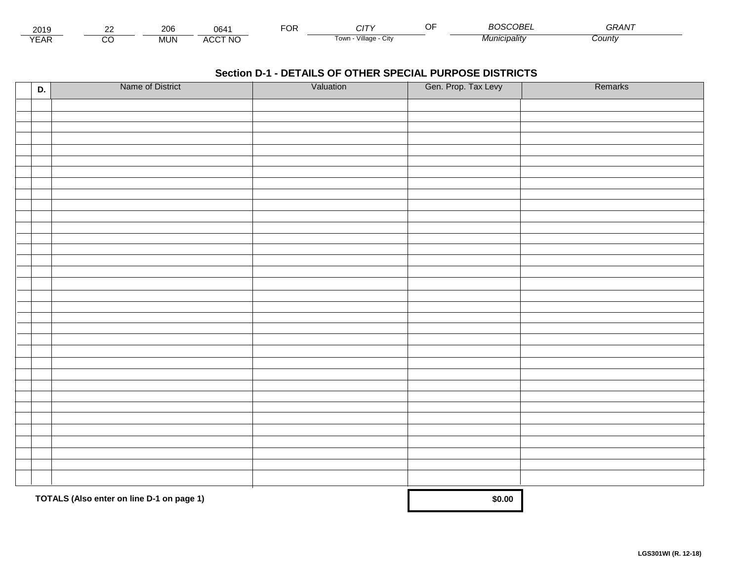| 2010<br>ZUIJ      | <b>00</b><br><b>11 M</b><br>∠∪ | U64                               | $\neg$ $\wedge$ r.<br>Ur | . .                                | - - - - -<br>.)BF | $\mathbf{a} \mathbf{a} \mathbf{a} \mathbf{b}$<br>ำ ⊤ |  |
|-------------------|--------------------------------|-----------------------------------|--------------------------|------------------------------------|-------------------|------------------------------------------------------|--|
| $\sqrt{2}$<br>Mr. | .<br>INI<br>טועו               | <b>\CCT NC</b><br>$\cdots$<br>50C |                          | $\cdots$<br>Villade<br>i own<br>u۱ | micipality        | Count∨                                               |  |

| D. | Name of District                          | Valuation | Gen. Prop. Tax Levy | Remarks |
|----|-------------------------------------------|-----------|---------------------|---------|
|    |                                           |           |                     |         |
|    |                                           |           |                     |         |
|    |                                           |           |                     |         |
|    |                                           |           |                     |         |
|    |                                           |           |                     |         |
|    |                                           |           |                     |         |
|    |                                           |           |                     |         |
|    |                                           |           |                     |         |
|    |                                           |           |                     |         |
|    |                                           |           |                     |         |
|    |                                           |           |                     |         |
|    |                                           |           |                     |         |
|    |                                           |           |                     |         |
|    |                                           |           |                     |         |
|    |                                           |           |                     |         |
|    |                                           |           |                     |         |
|    |                                           |           |                     |         |
|    |                                           |           |                     |         |
|    |                                           |           |                     |         |
|    |                                           |           |                     |         |
|    |                                           |           |                     |         |
|    |                                           |           |                     |         |
|    |                                           |           |                     |         |
|    |                                           |           |                     |         |
|    |                                           |           |                     |         |
|    |                                           |           |                     |         |
|    |                                           |           |                     |         |
|    |                                           |           |                     |         |
|    |                                           |           |                     |         |
|    |                                           |           |                     |         |
|    |                                           |           |                     |         |
|    |                                           |           |                     |         |
|    | TOTALS (Also enter on line D-1 on page 1) |           | \$0.00              |         |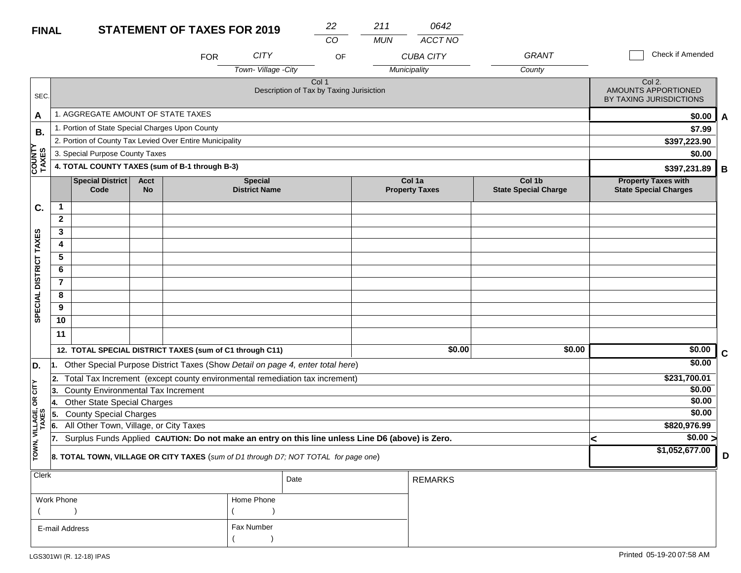| ▁▁▏▎▏                   |                                                                     |                                                          | LIVILIV I VI |                                                                                                  |                      | CO                                                | <b>MUN</b> | <b>ACCT NO</b>        |                             |   |                                                          |   |  |  |
|-------------------------|---------------------------------------------------------------------|----------------------------------------------------------|--------------|--------------------------------------------------------------------------------------------------|----------------------|---------------------------------------------------|------------|-----------------------|-----------------------------|---|----------------------------------------------------------|---|--|--|
|                         |                                                                     |                                                          |              | <b>FOR</b>                                                                                       | <b>CITY</b>          | OF                                                |            | <b>CUBA CITY</b>      | GRANT                       |   | Check if Amended                                         |   |  |  |
|                         |                                                                     |                                                          |              |                                                                                                  | Town-Village -City   |                                                   |            | Municipality          | County                      |   |                                                          |   |  |  |
| SEC.                    |                                                                     |                                                          |              |                                                                                                  |                      | Col 1<br>Description of Tax by Taxing Jurisiction |            |                       |                             |   | Col 2.<br>AMOUNTS APPORTIONED<br>BY TAXING JURISDICTIONS |   |  |  |
| A                       |                                                                     | 1. AGGREGATE AMOUNT OF STATE TAXES                       |              |                                                                                                  |                      |                                                   |            |                       |                             |   | \$0.00                                                   | A |  |  |
| В.                      |                                                                     | 1. Portion of State Special Charges Upon County          |              |                                                                                                  |                      |                                                   |            |                       |                             |   | \$7.99                                                   |   |  |  |
|                         |                                                                     | 2. Portion of County Tax Levied Over Entire Municipality |              | \$397,223.90                                                                                     |                      |                                                   |            |                       |                             |   |                                                          |   |  |  |
|                         |                                                                     | 3. Special Purpose County Taxes                          |              |                                                                                                  |                      |                                                   |            |                       |                             |   | \$0.00                                                   |   |  |  |
| <b>COUNTY</b><br>TAXES  | 4. TOTAL COUNTY TAXES (sum of B-1 through B-3)<br>\$397,231.89<br>B |                                                          |              |                                                                                                  |                      |                                                   |            |                       |                             |   |                                                          |   |  |  |
|                         |                                                                     | <b>Special District</b>                                  | <b>Acct</b>  |                                                                                                  | <b>Special</b>       |                                                   |            | Col 1a                | Col 1b                      |   | <b>Property Taxes with</b>                               |   |  |  |
|                         |                                                                     | Code                                                     | <b>No</b>    |                                                                                                  | <b>District Name</b> |                                                   |            | <b>Property Taxes</b> | <b>State Special Charge</b> |   | <b>State Special Charges</b>                             |   |  |  |
| C.                      | $\mathbf{1}$                                                        |                                                          |              |                                                                                                  |                      |                                                   |            |                       |                             |   |                                                          |   |  |  |
|                         | $\mathbf{2}$                                                        |                                                          |              |                                                                                                  |                      |                                                   |            |                       |                             |   |                                                          |   |  |  |
|                         | 3                                                                   |                                                          |              |                                                                                                  |                      |                                                   |            |                       |                             |   |                                                          |   |  |  |
| SPECIAL DISTRICT TAXES  | 4                                                                   |                                                          |              |                                                                                                  |                      |                                                   |            |                       |                             |   |                                                          |   |  |  |
|                         | 5                                                                   |                                                          |              |                                                                                                  |                      |                                                   |            |                       |                             |   |                                                          |   |  |  |
|                         | 6                                                                   |                                                          |              |                                                                                                  |                      |                                                   |            |                       |                             |   |                                                          |   |  |  |
|                         | $\overline{7}$                                                      |                                                          |              |                                                                                                  |                      |                                                   |            |                       |                             |   |                                                          |   |  |  |
|                         | 8                                                                   |                                                          |              |                                                                                                  |                      |                                                   |            |                       |                             |   |                                                          |   |  |  |
|                         | 9                                                                   |                                                          |              |                                                                                                  |                      |                                                   |            |                       |                             |   |                                                          |   |  |  |
|                         | 10                                                                  |                                                          |              |                                                                                                  |                      |                                                   |            |                       |                             |   |                                                          |   |  |  |
|                         | 11                                                                  |                                                          |              |                                                                                                  |                      |                                                   |            |                       |                             |   |                                                          |   |  |  |
|                         |                                                                     |                                                          |              | 12. TOTAL SPECIAL DISTRICT TAXES (sum of C1 through C11)                                         |                      |                                                   |            | \$0.00                | \$0.00                      |   | \$0.00                                                   | C |  |  |
| D.                      |                                                                     |                                                          |              | Other Special Purpose District Taxes (Show Detail on page 4, enter total here)                   |                      |                                                   |            |                       |                             |   | \$0.00                                                   |   |  |  |
|                         |                                                                     |                                                          |              | 2. Total Tax Increment (except county environmental remediation tax increment)                   |                      |                                                   |            |                       |                             |   | \$231,700.01                                             |   |  |  |
| CITY                    | 13.                                                                 | <b>County Environmental Tax Increment</b>                |              |                                                                                                  |                      |                                                   |            |                       |                             |   | \$0.00                                                   |   |  |  |
| бR                      | 14.                                                                 | <b>Other State Special Charges</b>                       |              |                                                                                                  |                      |                                                   |            |                       |                             |   | \$0.00                                                   |   |  |  |
|                         | 5.                                                                  | <b>County Special Charges</b>                            |              |                                                                                                  |                      |                                                   |            |                       |                             |   | \$0.00                                                   |   |  |  |
|                         | 6.                                                                  | All Other Town, Village, or City Taxes                   |              |                                                                                                  |                      |                                                   |            |                       |                             |   | \$820,976.99                                             |   |  |  |
|                         | 17.                                                                 |                                                          |              | Surplus Funds Applied CAUTION: Do not make an entry on this line unless Line D6 (above) is Zero. |                      |                                                   |            |                       |                             | ≺ | \$0.00 >                                                 |   |  |  |
| TOWN, VILLAGE,<br>TAXES |                                                                     |                                                          |              | 8. TOTAL TOWN, VILLAGE OR CITY TAXES (sum of D1 through D7; NOT TOTAL for page one)              |                      |                                                   |            |                       |                             |   | \$1,052,677.00                                           | D |  |  |
| Clerk                   |                                                                     |                                                          |              |                                                                                                  |                      | Date                                              |            | <b>REMARKS</b>        |                             |   |                                                          |   |  |  |

*22 211*

*0642*

| Work Phone     | Home Phone |
|----------------|------------|
|                |            |
| E-mail Address | Fax Number |
|                |            |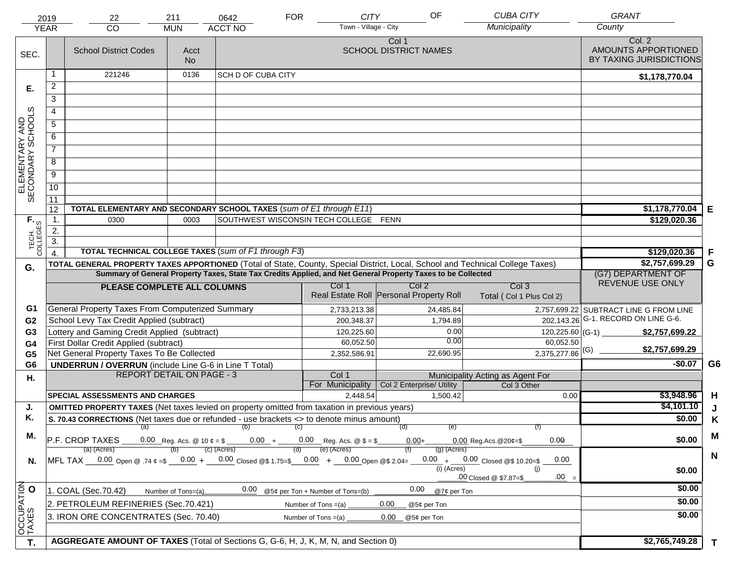|                                     | 2019                               | 22                                                                                                                             | 211                | 0642                                                                              | <b>FOR</b>                       | <b>CITY</b>           | OF                                                                                                           | <b>CUBA CITY</b>                          | <b>GRANT</b>                                             |                |
|-------------------------------------|------------------------------------|--------------------------------------------------------------------------------------------------------------------------------|--------------------|-----------------------------------------------------------------------------------|----------------------------------|-----------------------|--------------------------------------------------------------------------------------------------------------|-------------------------------------------|----------------------------------------------------------|----------------|
|                                     | <b>YEAR</b>                        | CO                                                                                                                             | <b>MUN</b>         | <b>ACCT NO</b>                                                                    |                                  | Town - Village - City |                                                                                                              | Municipality                              | County                                                   |                |
| SEC.                                |                                    | <b>School District Codes</b>                                                                                                   | Acct<br><b>No</b>  |                                                                                   |                                  |                       | Col 1<br><b>SCHOOL DISTRICT NAMES</b>                                                                        |                                           | Col. 2<br>AMOUNTS APPORTIONED<br>BY TAXING JURISDICTIONS |                |
|                                     | 1                                  | 221246                                                                                                                         | 0136               | <b>SCH D OF CUBA CITY</b>                                                         |                                  |                       |                                                                                                              |                                           | \$1,178,770.04                                           |                |
| Е.                                  | $\overline{2}$                     |                                                                                                                                |                    |                                                                                   |                                  |                       |                                                                                                              |                                           |                                                          |                |
|                                     | 3                                  |                                                                                                                                |                    |                                                                                   |                                  |                       |                                                                                                              |                                           |                                                          |                |
|                                     | 4                                  |                                                                                                                                |                    |                                                                                   |                                  |                       |                                                                                                              |                                           |                                                          |                |
|                                     | $\overline{5}$                     |                                                                                                                                |                    |                                                                                   |                                  |                       |                                                                                                              |                                           |                                                          |                |
|                                     | 6                                  |                                                                                                                                |                    |                                                                                   |                                  |                       |                                                                                                              |                                           |                                                          |                |
|                                     | $\overline{7}$                     |                                                                                                                                |                    |                                                                                   |                                  |                       |                                                                                                              |                                           |                                                          |                |
| ELEMENTARY AND<br>SECONDARY SCHOOLS | 8                                  |                                                                                                                                |                    |                                                                                   |                                  |                       |                                                                                                              |                                           |                                                          |                |
|                                     | $\overline{9}$                     |                                                                                                                                |                    |                                                                                   |                                  |                       |                                                                                                              |                                           |                                                          |                |
|                                     | 10                                 |                                                                                                                                |                    |                                                                                   |                                  |                       |                                                                                                              |                                           |                                                          |                |
|                                     | $\overline{11}$                    |                                                                                                                                |                    |                                                                                   |                                  |                       |                                                                                                              |                                           |                                                          |                |
|                                     | 12                                 | TOTAL ELEMENTARY AND SECONDARY SCHOOL TAXES (sum of E1 through E11)                                                            | \$1,178,770.04     | Е                                                                                 |                                  |                       |                                                                                                              |                                           |                                                          |                |
|                                     | $\mathbf 1$ .                      | 0300                                                                                                                           | 0003               | SOUTHWEST WISCONSIN TECH COLLEGE FENN                                             |                                  |                       |                                                                                                              |                                           | \$129,020.36                                             |                |
|                                     | 2.                                 |                                                                                                                                |                    |                                                                                   |                                  |                       |                                                                                                              |                                           |                                                          |                |
| TECH. T                             | $\overline{3}$ .<br>$\overline{4}$ | TOTAL TECHNICAL COLLEGE TAXES (sum of F1 through F3)                                                                           |                    |                                                                                   |                                  |                       |                                                                                                              |                                           | \$129,020.36                                             | F              |
|                                     |                                    | TOTAL GENERAL PROPERTY TAXES APPORTIONED (Total of State, County, Special District, Local, School and Technical College Taxes) |                    |                                                                                   |                                  |                       |                                                                                                              |                                           | \$2,757,699.29                                           | G              |
| G.                                  |                                    |                                                                                                                                |                    |                                                                                   |                                  |                       | Summary of General Property Taxes, State Tax Credits Applied, and Net General Property Taxes to be Collected |                                           | (G7) DEPARTMENT OF                                       |                |
|                                     |                                    | PLEASE COMPLETE ALL COLUMNS                                                                                                    |                    |                                                                                   | Col 1                            |                       | Col <sub>2</sub>                                                                                             | Col <sub>3</sub>                          | REVENUE USE ONLY                                         |                |
|                                     |                                    |                                                                                                                                |                    |                                                                                   |                                  |                       | Real Estate Roll Personal Property Roll                                                                      | Total (Col 1 Plus Col 2)                  |                                                          |                |
| G1                                  |                                    | General Property Taxes From Computerized Summary                                                                               |                    |                                                                                   | 2,733,213.38                     |                       | 24,485.84                                                                                                    |                                           | 2,757,699.22 SUBTRACT LINE G FROM LINE                   |                |
| G <sub>2</sub>                      |                                    | School Levy Tax Credit Applied (subtract)                                                                                      |                    |                                                                                   |                                  | 200,348.37            | 1,794.89                                                                                                     | 202,143.26                                | G-1. RECORD ON LINE G-6.                                 |                |
| G3                                  |                                    | Lottery and Gaming Credit Applied (subtract)                                                                                   |                    |                                                                                   |                                  | 120,225.60            | 0.00                                                                                                         | 120,225.60 (G-1)                          | \$2,757,699.22                                           |                |
| G4                                  |                                    | First Dollar Credit Applied (subtract)                                                                                         |                    |                                                                                   |                                  | 60,052.50             | 0.00                                                                                                         | 60,052.50                                 | \$2,757,699.29                                           |                |
| G <sub>5</sub>                      |                                    | Net General Property Taxes To Be Collected                                                                                     |                    |                                                                                   | 2,352,586.91                     |                       | 22,690.95                                                                                                    | $2,375,277.86$ <sup>(G)</sup>             | $-$0.07$                                                 | G <sub>6</sub> |
| G <sub>6</sub>                      |                                    | <b>UNDERRUN / OVERRUN</b> (include Line G-6 in Line T Total)<br><b>REPORT DETAIL ON PAGE - 3</b>                               |                    |                                                                                   | Col 1                            |                       |                                                                                                              | Municipality Acting as Agent For          |                                                          |                |
| Η.                                  |                                    |                                                                                                                                |                    |                                                                                   | For Municipality                 |                       | Col 2 Enterprise/ Utility                                                                                    | Col 3 Other                               |                                                          |                |
|                                     |                                    | <b>SPECIAL ASSESSMENTS AND CHARGES</b>                                                                                         |                    |                                                                                   |                                  | 2,448.54              | 1,500.42                                                                                                     | 0.00                                      | \$3,948.96                                               | H              |
| J.                                  |                                    | <b>OMITTED PROPERTY TAXES</b> (Net taxes levied on property omitted from taxation in previous years)                           |                    |                                                                                   |                                  |                       |                                                                                                              |                                           | \$4,101.10                                               | J              |
| Κ.                                  |                                    | S. 70.43 CORRECTIONS (Net taxes due or refunded - use brackets <> to denote minus amount)                                      |                    |                                                                                   |                                  |                       |                                                                                                              |                                           | \$0.00                                                   | K              |
| М.                                  |                                    |                                                                                                                                |                    | (a) (b) (c)                                                                       |                                  |                       | (e)<br>(d)                                                                                                   |                                           |                                                          | M              |
|                                     |                                    | P.F. CROP TAXES<br>(a) (Acres)                                                                                                 |                    | 0.00 Reg. Acs. @ 10 $\ell = $$ 0.00 $+$ 0.00 Reg. Acs. @ \$ = \$<br>$(c)$ (Acres) | (e) (Acres)                      |                       | $0.00 +$<br>$(g)$ (Acres)                                                                                    | 0.00<br>$0.00$ Reg.Acs. $@20¢=$ \$        | \$0.00                                                   |                |
| N.                                  |                                    | MFL TAX 0.00 Open @ .74 ¢ =\$ 0.00 + 0.00 Closed @\$ 1.75=\$ 0.00 + 0.00 Open @\$ 2.04=                                        |                    |                                                                                   |                                  |                       |                                                                                                              | $0.00 + 0.00$ Closed @\$ 10.20=\$<br>0.00 |                                                          | $\mathbf N$    |
|                                     |                                    |                                                                                                                                |                    |                                                                                   |                                  |                       | $(i)$ (Acres)                                                                                                | (i)                                       | \$0.00                                                   |                |
|                                     |                                    |                                                                                                                                |                    |                                                                                   |                                  |                       |                                                                                                              | $.00 =$<br>.00 Closed @ \$7.87=\$         | \$0.00                                                   |                |
|                                     |                                    | 1. COAL (Sec.70.42)                                                                                                            | Number of Tons=(a) | 0.00                                                                              | @5¢ per Ton + Number of Tons=(b) |                       | 0.00<br>@7¢ per Ton                                                                                          |                                           |                                                          |                |
|                                     |                                    | 2. PETROLEUM REFINERIES (Sec.70.421)                                                                                           |                    |                                                                                   | Number of Tons $=(a)$            |                       | 0.00<br>@5¢ per Ton                                                                                          |                                           | \$0.00                                                   |                |
|                                     |                                    | 3. IRON ORE CONCENTRATES (Sec. 70.40)                                                                                          |                    |                                                                                   | Number of Tons $=(a)$            |                       | 0.00<br>@5¢ per Ton                                                                                          |                                           | \$0.00                                                   |                |
| OCCUPATION<br>TAXES O               |                                    |                                                                                                                                |                    |                                                                                   |                                  |                       |                                                                                                              |                                           |                                                          |                |
| T.                                  |                                    | AGGREGATE AMOUNT OF TAXES (Total of Sections G, G-6, H, J, K, M, N, and Section 0)                                             |                    |                                                                                   |                                  |                       |                                                                                                              |                                           | \$2,765,749.28                                           | $\mathbf{T}$   |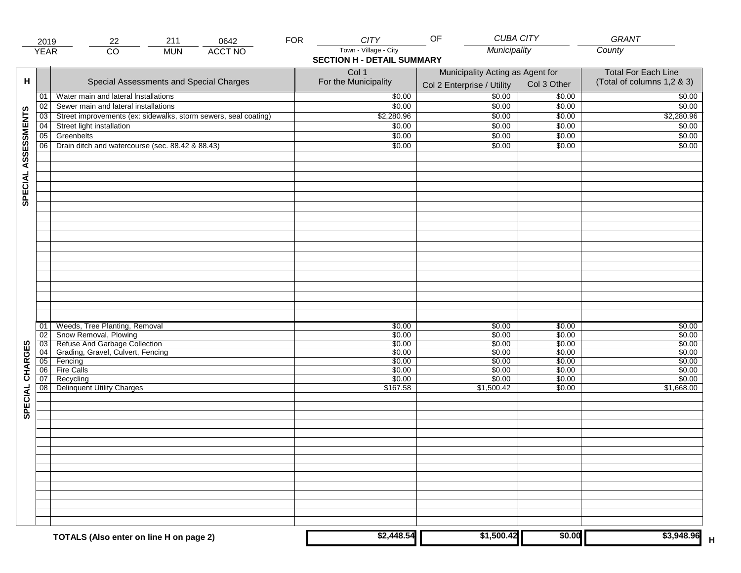|                     | 2019                  | 211<br>0642<br>22                                               | <b>FOR</b> | <b>CITY</b>                                                | OF                                                             | <b>CUBA CITY</b> | GRANT                                                    |
|---------------------|-----------------------|-----------------------------------------------------------------|------------|------------------------------------------------------------|----------------------------------------------------------------|------------------|----------------------------------------------------------|
|                     | <b>YEAR</b>           | <b>ACCT NO</b><br>$\overline{CO}$<br><b>MUN</b>                 |            | Town - Village - City<br><b>SECTION H - DETAIL SUMMARY</b> | Municipality                                                   |                  | County                                                   |
| н                   |                       | Special Assessments and Special Charges                         |            | Col 1<br>For the Municipality                              | Municipality Acting as Agent for<br>Col 2 Enterprise / Utility | Col 3 Other      | <b>Total For Each Line</b><br>(Total of columns 1,2 & 3) |
|                     | 01                    | Water main and lateral Installations                            |            | \$0.00                                                     | 50.00                                                          | \$0.00           | \$0.00                                                   |
|                     | 02                    | Sewer main and lateral installations                            |            | \$0.00                                                     | \$0.00                                                         | \$0.00           | \$0.00                                                   |
|                     | 03                    | Street improvements (ex: sidewalks, storm sewers, seal coating) |            | \$2,280.96                                                 | \$0.00                                                         | \$0.00           | \$2,280.96                                               |
|                     | 04                    | Street light installation                                       |            | \$0.00                                                     | \$0.00                                                         | \$0.00           | \$0.00                                                   |
|                     | 05                    | Greenbelts                                                      |            | \$0.00                                                     | \$0.00                                                         | \$0.00           | \$0.00                                                   |
|                     | 06                    | Drain ditch and watercourse (sec. 88.42 & 88.43)                |            | \$0.00                                                     | \$0.00                                                         | \$0.00           | \$0.00                                                   |
| SPECIAL ASSESSMENTS |                       |                                                                 |            |                                                            |                                                                |                  |                                                          |
|                     |                       |                                                                 |            |                                                            |                                                                |                  |                                                          |
|                     | 01                    | Weeds, Tree Planting, Removal                                   |            | \$0.00                                                     | \$0.00                                                         | \$0.00           | \$0.00                                                   |
|                     | 02<br>$\overline{03}$ | Snow Removal, Plowing<br>Refuse And Garbage Collection          |            | \$0.00<br>\$0.00                                           | \$0.00<br>\$0.00                                               | \$0.00<br>\$0.00 | \$0.00<br>\$0.00                                         |
|                     | 04                    | Grading, Gravel, Culvert, Fencing                               |            | \$0.00                                                     | \$0.00                                                         | \$0.00           | \$0.00                                                   |
| CHARGES             | 05                    | Fencing                                                         |            | \$0.00                                                     | \$0.00                                                         | \$0.00           | \$0.00                                                   |
|                     | 06                    | Fire Calls                                                      |            | \$0.00                                                     | \$0.00                                                         | \$0.00           | \$0.00                                                   |
|                     | 07                    | Recycling                                                       |            | \$0.00                                                     | \$0.00                                                         | \$0.00           | \$0.00                                                   |
| SPECIAL             | 08                    | <b>Delinquent Utility Charges</b>                               |            | \$167.58                                                   | \$1,500.42                                                     | \$0.00           | \$1,668.00                                               |
|                     |                       |                                                                 |            |                                                            |                                                                |                  |                                                          |
|                     |                       |                                                                 |            |                                                            |                                                                |                  |                                                          |
|                     |                       |                                                                 |            |                                                            |                                                                |                  |                                                          |
|                     |                       | TOTALS (Also enter on line H on page 2)                         |            | \$2,448.54                                                 | \$1,500.42                                                     | \$0.00           | \$3,948.96                                               |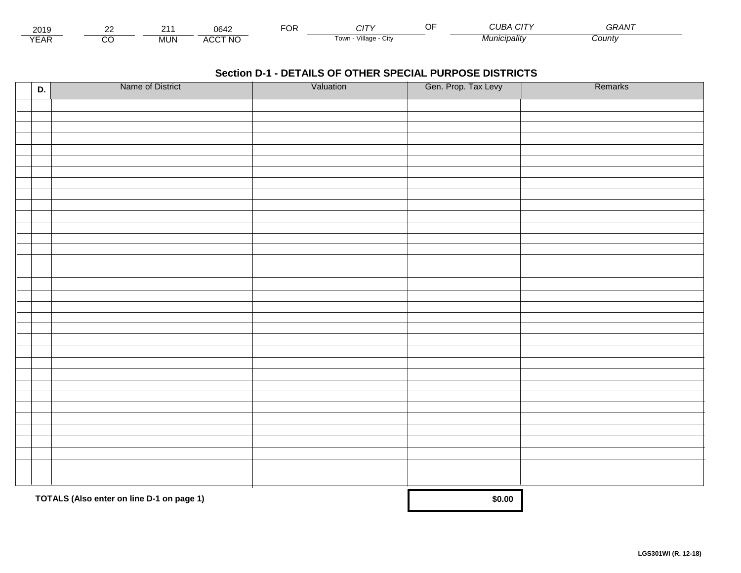| 2010<br>ZUIJ      |             | $\sim$ $\sim$<br>J64              | $\neg$ $\wedge$ r.<br>Ur | . .                                | $\sim$ $\sim$<br>$\sim$ $\sim$<br>77 V<br>$\mathbf{H}$<br>ີ | $\mathbf{z} = \mathbf{z} \cdot \mathbf{z}$<br>ำ ⊤ |  |
|-------------------|-------------|-----------------------------------|--------------------------|------------------------------------|-------------------------------------------------------------|---------------------------------------------------|--|
| $\sqrt{2}$<br>:Ar | IN.<br>טועו | <b>\CCT NC</b><br>$\cdots$<br>50C |                          | $\cdots$<br>Villade<br>l own<br>u۱ | 'nıcıpalıtv                                                 | <b>County</b>                                     |  |

| D. | Name of District                          | Valuation | Gen. Prop. Tax Levy | Remarks |
|----|-------------------------------------------|-----------|---------------------|---------|
|    |                                           |           |                     |         |
|    |                                           |           |                     |         |
|    |                                           |           |                     |         |
|    |                                           |           |                     |         |
|    |                                           |           |                     |         |
|    |                                           |           |                     |         |
|    |                                           |           |                     |         |
|    |                                           |           |                     |         |
|    |                                           |           |                     |         |
|    |                                           |           |                     |         |
|    |                                           |           |                     |         |
|    |                                           |           |                     |         |
|    |                                           |           |                     |         |
|    |                                           |           |                     |         |
|    |                                           |           |                     |         |
|    |                                           |           |                     |         |
|    |                                           |           |                     |         |
|    |                                           |           |                     |         |
|    |                                           |           |                     |         |
|    |                                           |           |                     |         |
|    |                                           |           |                     |         |
|    |                                           |           |                     |         |
|    |                                           |           |                     |         |
|    |                                           |           |                     |         |
|    |                                           |           |                     |         |
|    |                                           |           |                     |         |
|    |                                           |           |                     |         |
|    |                                           |           |                     |         |
|    |                                           |           |                     |         |
|    |                                           |           |                     |         |
|    |                                           |           |                     |         |
|    |                                           |           |                     |         |
|    | TOTALS (Also enter on line D-1 on page 1) |           | \$0.00              |         |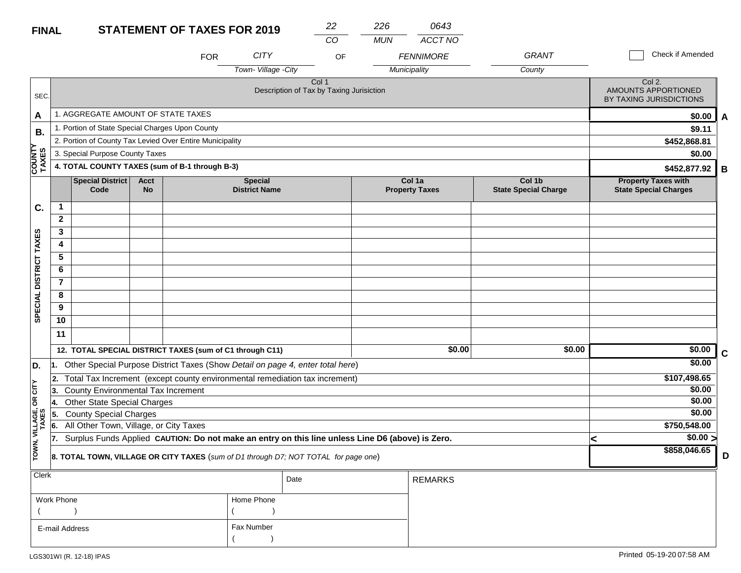| $\sim$ $\sim$ | $\sim$<br>. .<br>$-$ |
|---------------|----------------------|
|               |                      |

*0643*

|                        |                |                                                 |                          |                                                                                                  |                                        | CO                                                           | <b>MUN</b>   | ACCT NO                         |                                       |        |                                                            |             |
|------------------------|----------------|-------------------------------------------------|--------------------------|--------------------------------------------------------------------------------------------------|----------------------------------------|--------------------------------------------------------------|--------------|---------------------------------|---------------------------------------|--------|------------------------------------------------------------|-------------|
|                        |                |                                                 |                          | <b>FOR</b>                                                                                       | <b>CITY</b>                            | OF                                                           |              | <b>FENNIMORE</b>                | <b>GRANT</b>                          |        | Check if Amended                                           |             |
|                        |                |                                                 |                          |                                                                                                  | Town-Village - City                    |                                                              | Municipality |                                 | County                                |        |                                                            |             |
| SEC.                   |                |                                                 |                          |                                                                                                  |                                        | Col <sub>1</sub><br>Description of Tax by Taxing Jurisiction |              |                                 |                                       |        | Col 2.<br>AMOUNTS APPORTIONED<br>BY TAXING JURISDICTIONS   |             |
| A                      |                | 1. AGGREGATE AMOUNT OF STATE TAXES              |                          |                                                                                                  |                                        |                                                              |              |                                 |                                       |        | \$0.00                                                     | A           |
| В.                     |                | 1. Portion of State Special Charges Upon County |                          |                                                                                                  |                                        |                                                              |              |                                 |                                       |        | \$9.11                                                     |             |
|                        |                |                                                 |                          | 2. Portion of County Tax Levied Over Entire Municipality                                         |                                        |                                                              |              |                                 |                                       |        | \$452,868.81                                               |             |
|                        |                | 3. Special Purpose County Taxes                 |                          |                                                                                                  |                                        |                                                              |              |                                 |                                       |        | \$0.00                                                     |             |
| <b>COUNTY</b><br>TAXES |                |                                                 |                          | 4. TOTAL COUNTY TAXES (sum of B-1 through B-3)                                                   |                                        |                                                              |              |                                 |                                       |        | \$452,877.92                                               | B           |
|                        |                | <b>Special District</b><br>Code                 | <b>Acct</b><br><b>No</b> |                                                                                                  | <b>Special</b><br><b>District Name</b> |                                                              |              | Col 1a<br><b>Property Taxes</b> | Col 1b<br><b>State Special Charge</b> |        | <b>Property Taxes with</b><br><b>State Special Charges</b> |             |
| C.                     | $\mathbf{1}$   |                                                 |                          |                                                                                                  |                                        |                                                              |              |                                 |                                       |        |                                                            |             |
|                        | $\mathbf{2}$   |                                                 |                          |                                                                                                  |                                        |                                                              |              |                                 |                                       |        |                                                            |             |
|                        | 3              |                                                 |                          |                                                                                                  |                                        |                                                              |              |                                 |                                       |        |                                                            |             |
|                        | 4              |                                                 |                          |                                                                                                  |                                        |                                                              |              |                                 |                                       |        |                                                            |             |
|                        | 5              |                                                 |                          |                                                                                                  |                                        |                                                              |              |                                 |                                       |        |                                                            |             |
|                        | 6              |                                                 |                          |                                                                                                  |                                        |                                                              |              |                                 |                                       |        |                                                            |             |
|                        | $\overline{7}$ |                                                 |                          |                                                                                                  |                                        |                                                              |              |                                 |                                       |        |                                                            |             |
|                        | 8              |                                                 |                          |                                                                                                  |                                        |                                                              |              |                                 |                                       |        |                                                            |             |
| SPECIAL DISTRICT TAXES | 9              |                                                 |                          |                                                                                                  |                                        |                                                              |              |                                 |                                       |        |                                                            |             |
|                        | 10             |                                                 |                          |                                                                                                  |                                        |                                                              |              |                                 |                                       |        |                                                            |             |
|                        | 11             |                                                 |                          |                                                                                                  |                                        |                                                              |              |                                 |                                       |        |                                                            |             |
|                        |                |                                                 |                          | 12. TOTAL SPECIAL DISTRICT TAXES (sum of C1 through C11)                                         |                                        |                                                              |              | \$0.00                          |                                       | \$0.00 | \$0.00                                                     | $\mathbf c$ |
| D.                     | 11.            |                                                 |                          | Other Special Purpose District Taxes (Show Detail on page 4, enter total here)                   |                                        |                                                              |              |                                 |                                       |        | \$0.00                                                     |             |
|                        | 2.             |                                                 |                          | Total Tax Increment (except county environmental remediation tax increment)                      |                                        |                                                              |              |                                 |                                       |        | \$107,498.65                                               |             |
| CITY                   | 13.            | County Environmental Tax Increment              |                          |                                                                                                  |                                        |                                                              |              |                                 |                                       |        | \$0.00                                                     |             |
| бR                     | 4.             | <b>Other State Special Charges</b>              |                          |                                                                                                  |                                        |                                                              |              |                                 |                                       |        | \$0.00                                                     |             |
| VILLAGE,<br>TAXES      | 55.            | <b>County Special Charges</b>                   |                          |                                                                                                  |                                        |                                                              |              |                                 |                                       |        | \$0.00                                                     |             |
|                        | 6.             | All Other Town, Village, or City Taxes          |                          |                                                                                                  |                                        |                                                              |              |                                 |                                       |        | \$750,548.00                                               |             |
|                        | 17.            |                                                 |                          | Surplus Funds Applied CAUTION: Do not make an entry on this line unless Line D6 (above) is Zero. |                                        |                                                              |              |                                 |                                       |        | $\sqrt{$0.00}$<br><                                        |             |
| TOWN,                  |                |                                                 |                          | 8. TOTAL TOWN, VILLAGE OR CITY TAXES (sum of D1 through D7; NOT TOTAL for page one)              |                                        |                                                              |              |                                 |                                       |        | \$858,046.65                                               | D           |
| Clerk                  |                |                                                 |                          |                                                                                                  |                                        | Date                                                         |              | <b>REMARKS</b>                  |                                       |        |                                                            |             |

|                | .          |  |
|----------------|------------|--|
| Work Phone     | Home Phone |  |
|                |            |  |
| E-mail Address | Fax Number |  |
|                |            |  |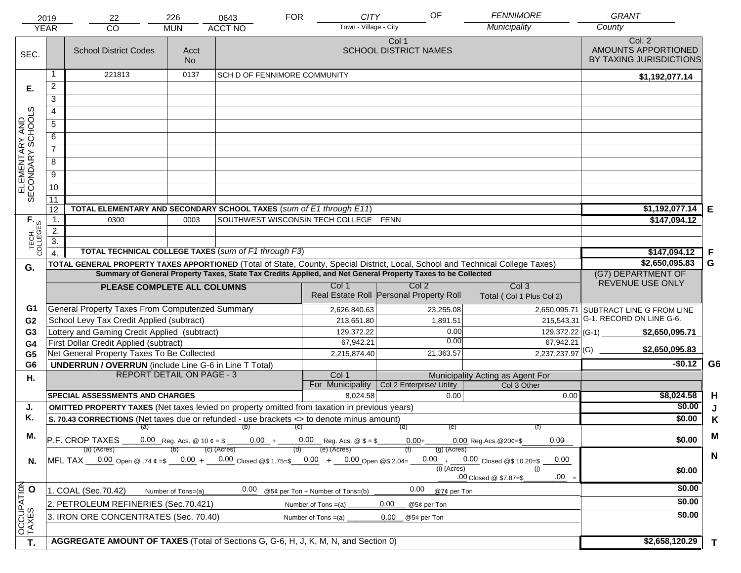| Town - Village - City<br><b>YEAR</b><br>CO<br><b>MUN</b><br>Col. 2<br>Col 1<br>AMOUNTS APPORTIONED<br><b>SCHOOL DISTRICT NAMES</b><br><b>School District Codes</b><br>Acct<br>SEC.<br>BY TAXING JURISDICTIONS<br><b>No</b><br>221813<br>0137<br>1<br><b>SCH D OF FENNIMORE COMMUNITY</b><br>\$1,192,077.14<br>$\overline{2}$<br>Е.<br>3<br>ELEMENTARY AND<br>SECONDARY SCHOOLS<br>4<br>$\overline{5}$<br>6<br>$\overline{7}$<br>8<br>$\overline{9}$<br>10<br>$\overline{11}$<br>\$1,192,077.14<br>TOTAL ELEMENTARY AND SECONDARY SCHOOL TAXES (sum of E1 through E11)<br>12<br>E<br>$\mathbf 1$ .<br>SOUTHWEST WISCONSIN TECH COLLEGE FENN<br>TECH. T<br>0300<br>0003<br>\$147,094.12<br>2.<br>$\overline{3}$ .<br>TOTAL TECHNICAL COLLEGE TAXES (sum of F1 through F3)<br>\$147,094.12<br>F<br>$\overline{4}$<br>G<br>\$2,650,095.83<br>TOTAL GENERAL PROPERTY TAXES APPORTIONED (Total of State, County, Special District, Local, School and Technical College Taxes)<br>G.<br>Summary of General Property Taxes, State Tax Credits Applied, and Net General Property Taxes to be Collected<br>(G7) DEPARTMENT OF<br>REVENUE USE ONLY<br>Col <sub>2</sub><br>Col <sub>3</sub><br>Col 1<br>PLEASE COMPLETE ALL COLUMNS<br>Real Estate Roll Personal Property Roll<br>Total (Col 1 Plus Col 2)<br>General Property Taxes From Computerized Summary<br>G1<br>2,626,840.63<br>23,255.08<br>2,650,095.71 SUBTRACT LINE G FROM LINE<br>G-1. RECORD ON LINE G-6.<br>School Levy Tax Credit Applied (subtract)<br>215,543.31<br>G <sub>2</sub><br>213,651.80<br>1,891.51<br>Lottery and Gaming Credit Applied (subtract)<br>0.00<br>129,372.22<br>129,372.22 (G-1)<br>G3<br>\$2,650,095.71<br>0.00<br>67,942.21<br>67,942.21<br>First Dollar Credit Applied (subtract)<br>G4<br>\$2,650,095.83<br>$2,237,237.97$ <sup>(G)</sup><br>Net General Property Taxes To Be Collected<br>21,363.57<br>2,215,874.40<br>G <sub>5</sub><br>G <sub>6</sub><br>$-$0.12$<br><b>UNDERRUN / OVERRUN</b> (include Line G-6 in Line T Total)<br>G <sub>6</sub><br><b>REPORT DETAIL ON PAGE - 3</b><br>Col 1<br>Municipality Acting as Agent For<br>Η.<br>For Municipality<br>Col 2 Enterprise/ Utility<br>Col 3 Other<br><b>SPECIAL ASSESSMENTS AND CHARGES</b><br>\$8,024.58<br>H<br>8,024.58<br>0.00<br>0.00<br>\$0.00<br><b>OMITTED PROPERTY TAXES</b> (Net taxes levied on property omitted from taxation in previous years)<br>J.<br>J<br>Κ.<br>\$0.00<br>S. 70.43 CORRECTIONS (Net taxes due or refunded - use brackets <> to denote minus amount)<br>K<br>(e)<br>(a) (b) (c)<br>(d)<br>M<br>М.<br>\$0.00<br>$\overline{P.F.}$ CROP TAXES 0.00 Reg. Acs. @ 10 $\ell = \$$ 0.00 + 0.00 Reg. Acs. @ $\ell = \$$<br>0.00<br>$0.00+$<br>$0.00$ Reg. Acs. $@20¢=$ \$<br>(e) (Acres)<br>$(c)$ (Acres)<br>$(g)$ (Acres)<br>(a) (Acres)<br>(d)<br>$\mathbf N$<br>MFL TAX 0.00 Open @ .74 ¢ =\$ 0.00 + 0.00 Closed @\$ 1.75=\$ 0.00 + 0.00 Open @\$ 2.04=<br>$0.00 + 0.00$ Closed @\$ 10.20=\$<br>0.00<br>N.<br>$(i)$ (Acres)<br>(i)<br>\$0.00<br>$.00 =$<br>.00 Closed @ \$7.87=\$<br>OCCUPATION<br>TAXES O<br>\$0.00<br>0.00<br>0.00<br>1. COAL (Sec.70.42)<br>@5¢ per Ton + Number of Tons=(b)<br>@7¢ per Ton<br>Number of Tons=(a)<br>\$0.00<br>2. PETROLEUM REFINERIES (Sec.70.421)<br>0.00<br>Number of Tons $=(a)$<br>@5¢ per Ton<br>\$0.00<br>3. IRON ORE CONCENTRATES (Sec. 70.40)<br>Number of Tons $=(a)$<br>0.00 | 2019 | 22 | 226 | 0643           | <b>FOR</b> | <b>CITY</b> | OF          | <b>FENNIMORE</b> | <b>GRANT</b> |  |
|---------------------------------------------------------------------------------------------------------------------------------------------------------------------------------------------------------------------------------------------------------------------------------------------------------------------------------------------------------------------------------------------------------------------------------------------------------------------------------------------------------------------------------------------------------------------------------------------------------------------------------------------------------------------------------------------------------------------------------------------------------------------------------------------------------------------------------------------------------------------------------------------------------------------------------------------------------------------------------------------------------------------------------------------------------------------------------------------------------------------------------------------------------------------------------------------------------------------------------------------------------------------------------------------------------------------------------------------------------------------------------------------------------------------------------------------------------------------------------------------------------------------------------------------------------------------------------------------------------------------------------------------------------------------------------------------------------------------------------------------------------------------------------------------------------------------------------------------------------------------------------------------------------------------------------------------------------------------------------------------------------------------------------------------------------------------------------------------------------------------------------------------------------------------------------------------------------------------------------------------------------------------------------------------------------------------------------------------------------------------------------------------------------------------------------------------------------------------------------------------------------------------------------------------------------------------------------------------------------------------------------------------------------------------------------------------------------------------------------------------------------------------------------------------------------------------------------------------------------------------------------------------------------------------------------------------------------------------------------------------------------------------------------------------------------------------------------------------------------------------------------------------------------------------------------------------------------------------------------------------------------------------------------------------------------------------------------------------------------------------------------------------------|------|----|-----|----------------|------------|-------------|-------------|------------------|--------------|--|
|                                                                                                                                                                                                                                                                                                                                                                                                                                                                                                                                                                                                                                                                                                                                                                                                                                                                                                                                                                                                                                                                                                                                                                                                                                                                                                                                                                                                                                                                                                                                                                                                                                                                                                                                                                                                                                                                                                                                                                                                                                                                                                                                                                                                                                                                                                                                                                                                                                                                                                                                                                                                                                                                                                                                                                                                                                                                                                                                                                                                                                                                                                                                                                                                                                                                                                                                                                                                   |      |    |     | <b>ACCT NO</b> |            |             |             | Municipality     | County       |  |
|                                                                                                                                                                                                                                                                                                                                                                                                                                                                                                                                                                                                                                                                                                                                                                                                                                                                                                                                                                                                                                                                                                                                                                                                                                                                                                                                                                                                                                                                                                                                                                                                                                                                                                                                                                                                                                                                                                                                                                                                                                                                                                                                                                                                                                                                                                                                                                                                                                                                                                                                                                                                                                                                                                                                                                                                                                                                                                                                                                                                                                                                                                                                                                                                                                                                                                                                                                                                   |      |    |     |                |            |             |             |                  |              |  |
|                                                                                                                                                                                                                                                                                                                                                                                                                                                                                                                                                                                                                                                                                                                                                                                                                                                                                                                                                                                                                                                                                                                                                                                                                                                                                                                                                                                                                                                                                                                                                                                                                                                                                                                                                                                                                                                                                                                                                                                                                                                                                                                                                                                                                                                                                                                                                                                                                                                                                                                                                                                                                                                                                                                                                                                                                                                                                                                                                                                                                                                                                                                                                                                                                                                                                                                                                                                                   |      |    |     |                |            |             |             |                  |              |  |
|                                                                                                                                                                                                                                                                                                                                                                                                                                                                                                                                                                                                                                                                                                                                                                                                                                                                                                                                                                                                                                                                                                                                                                                                                                                                                                                                                                                                                                                                                                                                                                                                                                                                                                                                                                                                                                                                                                                                                                                                                                                                                                                                                                                                                                                                                                                                                                                                                                                                                                                                                                                                                                                                                                                                                                                                                                                                                                                                                                                                                                                                                                                                                                                                                                                                                                                                                                                                   |      |    |     |                |            |             |             |                  |              |  |
|                                                                                                                                                                                                                                                                                                                                                                                                                                                                                                                                                                                                                                                                                                                                                                                                                                                                                                                                                                                                                                                                                                                                                                                                                                                                                                                                                                                                                                                                                                                                                                                                                                                                                                                                                                                                                                                                                                                                                                                                                                                                                                                                                                                                                                                                                                                                                                                                                                                                                                                                                                                                                                                                                                                                                                                                                                                                                                                                                                                                                                                                                                                                                                                                                                                                                                                                                                                                   |      |    |     |                |            |             |             |                  |              |  |
|                                                                                                                                                                                                                                                                                                                                                                                                                                                                                                                                                                                                                                                                                                                                                                                                                                                                                                                                                                                                                                                                                                                                                                                                                                                                                                                                                                                                                                                                                                                                                                                                                                                                                                                                                                                                                                                                                                                                                                                                                                                                                                                                                                                                                                                                                                                                                                                                                                                                                                                                                                                                                                                                                                                                                                                                                                                                                                                                                                                                                                                                                                                                                                                                                                                                                                                                                                                                   |      |    |     |                |            |             |             |                  |              |  |
|                                                                                                                                                                                                                                                                                                                                                                                                                                                                                                                                                                                                                                                                                                                                                                                                                                                                                                                                                                                                                                                                                                                                                                                                                                                                                                                                                                                                                                                                                                                                                                                                                                                                                                                                                                                                                                                                                                                                                                                                                                                                                                                                                                                                                                                                                                                                                                                                                                                                                                                                                                                                                                                                                                                                                                                                                                                                                                                                                                                                                                                                                                                                                                                                                                                                                                                                                                                                   |      |    |     |                |            |             |             |                  |              |  |
|                                                                                                                                                                                                                                                                                                                                                                                                                                                                                                                                                                                                                                                                                                                                                                                                                                                                                                                                                                                                                                                                                                                                                                                                                                                                                                                                                                                                                                                                                                                                                                                                                                                                                                                                                                                                                                                                                                                                                                                                                                                                                                                                                                                                                                                                                                                                                                                                                                                                                                                                                                                                                                                                                                                                                                                                                                                                                                                                                                                                                                                                                                                                                                                                                                                                                                                                                                                                   |      |    |     |                |            |             |             |                  |              |  |
|                                                                                                                                                                                                                                                                                                                                                                                                                                                                                                                                                                                                                                                                                                                                                                                                                                                                                                                                                                                                                                                                                                                                                                                                                                                                                                                                                                                                                                                                                                                                                                                                                                                                                                                                                                                                                                                                                                                                                                                                                                                                                                                                                                                                                                                                                                                                                                                                                                                                                                                                                                                                                                                                                                                                                                                                                                                                                                                                                                                                                                                                                                                                                                                                                                                                                                                                                                                                   |      |    |     |                |            |             |             |                  |              |  |
|                                                                                                                                                                                                                                                                                                                                                                                                                                                                                                                                                                                                                                                                                                                                                                                                                                                                                                                                                                                                                                                                                                                                                                                                                                                                                                                                                                                                                                                                                                                                                                                                                                                                                                                                                                                                                                                                                                                                                                                                                                                                                                                                                                                                                                                                                                                                                                                                                                                                                                                                                                                                                                                                                                                                                                                                                                                                                                                                                                                                                                                                                                                                                                                                                                                                                                                                                                                                   |      |    |     |                |            |             |             |                  |              |  |
|                                                                                                                                                                                                                                                                                                                                                                                                                                                                                                                                                                                                                                                                                                                                                                                                                                                                                                                                                                                                                                                                                                                                                                                                                                                                                                                                                                                                                                                                                                                                                                                                                                                                                                                                                                                                                                                                                                                                                                                                                                                                                                                                                                                                                                                                                                                                                                                                                                                                                                                                                                                                                                                                                                                                                                                                                                                                                                                                                                                                                                                                                                                                                                                                                                                                                                                                                                                                   |      |    |     |                |            |             |             |                  |              |  |
|                                                                                                                                                                                                                                                                                                                                                                                                                                                                                                                                                                                                                                                                                                                                                                                                                                                                                                                                                                                                                                                                                                                                                                                                                                                                                                                                                                                                                                                                                                                                                                                                                                                                                                                                                                                                                                                                                                                                                                                                                                                                                                                                                                                                                                                                                                                                                                                                                                                                                                                                                                                                                                                                                                                                                                                                                                                                                                                                                                                                                                                                                                                                                                                                                                                                                                                                                                                                   |      |    |     |                |            |             |             |                  |              |  |
|                                                                                                                                                                                                                                                                                                                                                                                                                                                                                                                                                                                                                                                                                                                                                                                                                                                                                                                                                                                                                                                                                                                                                                                                                                                                                                                                                                                                                                                                                                                                                                                                                                                                                                                                                                                                                                                                                                                                                                                                                                                                                                                                                                                                                                                                                                                                                                                                                                                                                                                                                                                                                                                                                                                                                                                                                                                                                                                                                                                                                                                                                                                                                                                                                                                                                                                                                                                                   |      |    |     |                |            |             |             |                  |              |  |
|                                                                                                                                                                                                                                                                                                                                                                                                                                                                                                                                                                                                                                                                                                                                                                                                                                                                                                                                                                                                                                                                                                                                                                                                                                                                                                                                                                                                                                                                                                                                                                                                                                                                                                                                                                                                                                                                                                                                                                                                                                                                                                                                                                                                                                                                                                                                                                                                                                                                                                                                                                                                                                                                                                                                                                                                                                                                                                                                                                                                                                                                                                                                                                                                                                                                                                                                                                                                   |      |    |     |                |            |             |             |                  |              |  |
|                                                                                                                                                                                                                                                                                                                                                                                                                                                                                                                                                                                                                                                                                                                                                                                                                                                                                                                                                                                                                                                                                                                                                                                                                                                                                                                                                                                                                                                                                                                                                                                                                                                                                                                                                                                                                                                                                                                                                                                                                                                                                                                                                                                                                                                                                                                                                                                                                                                                                                                                                                                                                                                                                                                                                                                                                                                                                                                                                                                                                                                                                                                                                                                                                                                                                                                                                                                                   |      |    |     |                |            |             |             |                  |              |  |
|                                                                                                                                                                                                                                                                                                                                                                                                                                                                                                                                                                                                                                                                                                                                                                                                                                                                                                                                                                                                                                                                                                                                                                                                                                                                                                                                                                                                                                                                                                                                                                                                                                                                                                                                                                                                                                                                                                                                                                                                                                                                                                                                                                                                                                                                                                                                                                                                                                                                                                                                                                                                                                                                                                                                                                                                                                                                                                                                                                                                                                                                                                                                                                                                                                                                                                                                                                                                   |      |    |     |                |            |             |             |                  |              |  |
|                                                                                                                                                                                                                                                                                                                                                                                                                                                                                                                                                                                                                                                                                                                                                                                                                                                                                                                                                                                                                                                                                                                                                                                                                                                                                                                                                                                                                                                                                                                                                                                                                                                                                                                                                                                                                                                                                                                                                                                                                                                                                                                                                                                                                                                                                                                                                                                                                                                                                                                                                                                                                                                                                                                                                                                                                                                                                                                                                                                                                                                                                                                                                                                                                                                                                                                                                                                                   |      |    |     |                |            |             |             |                  |              |  |
|                                                                                                                                                                                                                                                                                                                                                                                                                                                                                                                                                                                                                                                                                                                                                                                                                                                                                                                                                                                                                                                                                                                                                                                                                                                                                                                                                                                                                                                                                                                                                                                                                                                                                                                                                                                                                                                                                                                                                                                                                                                                                                                                                                                                                                                                                                                                                                                                                                                                                                                                                                                                                                                                                                                                                                                                                                                                                                                                                                                                                                                                                                                                                                                                                                                                                                                                                                                                   |      |    |     |                |            |             |             |                  |              |  |
|                                                                                                                                                                                                                                                                                                                                                                                                                                                                                                                                                                                                                                                                                                                                                                                                                                                                                                                                                                                                                                                                                                                                                                                                                                                                                                                                                                                                                                                                                                                                                                                                                                                                                                                                                                                                                                                                                                                                                                                                                                                                                                                                                                                                                                                                                                                                                                                                                                                                                                                                                                                                                                                                                                                                                                                                                                                                                                                                                                                                                                                                                                                                                                                                                                                                                                                                                                                                   |      |    |     |                |            |             |             |                  |              |  |
|                                                                                                                                                                                                                                                                                                                                                                                                                                                                                                                                                                                                                                                                                                                                                                                                                                                                                                                                                                                                                                                                                                                                                                                                                                                                                                                                                                                                                                                                                                                                                                                                                                                                                                                                                                                                                                                                                                                                                                                                                                                                                                                                                                                                                                                                                                                                                                                                                                                                                                                                                                                                                                                                                                                                                                                                                                                                                                                                                                                                                                                                                                                                                                                                                                                                                                                                                                                                   |      |    |     |                |            |             |             |                  |              |  |
|                                                                                                                                                                                                                                                                                                                                                                                                                                                                                                                                                                                                                                                                                                                                                                                                                                                                                                                                                                                                                                                                                                                                                                                                                                                                                                                                                                                                                                                                                                                                                                                                                                                                                                                                                                                                                                                                                                                                                                                                                                                                                                                                                                                                                                                                                                                                                                                                                                                                                                                                                                                                                                                                                                                                                                                                                                                                                                                                                                                                                                                                                                                                                                                                                                                                                                                                                                                                   |      |    |     |                |            |             |             |                  |              |  |
|                                                                                                                                                                                                                                                                                                                                                                                                                                                                                                                                                                                                                                                                                                                                                                                                                                                                                                                                                                                                                                                                                                                                                                                                                                                                                                                                                                                                                                                                                                                                                                                                                                                                                                                                                                                                                                                                                                                                                                                                                                                                                                                                                                                                                                                                                                                                                                                                                                                                                                                                                                                                                                                                                                                                                                                                                                                                                                                                                                                                                                                                                                                                                                                                                                                                                                                                                                                                   |      |    |     |                |            |             |             |                  |              |  |
|                                                                                                                                                                                                                                                                                                                                                                                                                                                                                                                                                                                                                                                                                                                                                                                                                                                                                                                                                                                                                                                                                                                                                                                                                                                                                                                                                                                                                                                                                                                                                                                                                                                                                                                                                                                                                                                                                                                                                                                                                                                                                                                                                                                                                                                                                                                                                                                                                                                                                                                                                                                                                                                                                                                                                                                                                                                                                                                                                                                                                                                                                                                                                                                                                                                                                                                                                                                                   |      |    |     |                |            |             |             |                  |              |  |
|                                                                                                                                                                                                                                                                                                                                                                                                                                                                                                                                                                                                                                                                                                                                                                                                                                                                                                                                                                                                                                                                                                                                                                                                                                                                                                                                                                                                                                                                                                                                                                                                                                                                                                                                                                                                                                                                                                                                                                                                                                                                                                                                                                                                                                                                                                                                                                                                                                                                                                                                                                                                                                                                                                                                                                                                                                                                                                                                                                                                                                                                                                                                                                                                                                                                                                                                                                                                   |      |    |     |                |            |             |             |                  |              |  |
|                                                                                                                                                                                                                                                                                                                                                                                                                                                                                                                                                                                                                                                                                                                                                                                                                                                                                                                                                                                                                                                                                                                                                                                                                                                                                                                                                                                                                                                                                                                                                                                                                                                                                                                                                                                                                                                                                                                                                                                                                                                                                                                                                                                                                                                                                                                                                                                                                                                                                                                                                                                                                                                                                                                                                                                                                                                                                                                                                                                                                                                                                                                                                                                                                                                                                                                                                                                                   |      |    |     |                |            |             |             |                  |              |  |
|                                                                                                                                                                                                                                                                                                                                                                                                                                                                                                                                                                                                                                                                                                                                                                                                                                                                                                                                                                                                                                                                                                                                                                                                                                                                                                                                                                                                                                                                                                                                                                                                                                                                                                                                                                                                                                                                                                                                                                                                                                                                                                                                                                                                                                                                                                                                                                                                                                                                                                                                                                                                                                                                                                                                                                                                                                                                                                                                                                                                                                                                                                                                                                                                                                                                                                                                                                                                   |      |    |     |                |            |             |             |                  |              |  |
|                                                                                                                                                                                                                                                                                                                                                                                                                                                                                                                                                                                                                                                                                                                                                                                                                                                                                                                                                                                                                                                                                                                                                                                                                                                                                                                                                                                                                                                                                                                                                                                                                                                                                                                                                                                                                                                                                                                                                                                                                                                                                                                                                                                                                                                                                                                                                                                                                                                                                                                                                                                                                                                                                                                                                                                                                                                                                                                                                                                                                                                                                                                                                                                                                                                                                                                                                                                                   |      |    |     |                |            |             |             |                  |              |  |
|                                                                                                                                                                                                                                                                                                                                                                                                                                                                                                                                                                                                                                                                                                                                                                                                                                                                                                                                                                                                                                                                                                                                                                                                                                                                                                                                                                                                                                                                                                                                                                                                                                                                                                                                                                                                                                                                                                                                                                                                                                                                                                                                                                                                                                                                                                                                                                                                                                                                                                                                                                                                                                                                                                                                                                                                                                                                                                                                                                                                                                                                                                                                                                                                                                                                                                                                                                                                   |      |    |     |                |            |             |             |                  |              |  |
|                                                                                                                                                                                                                                                                                                                                                                                                                                                                                                                                                                                                                                                                                                                                                                                                                                                                                                                                                                                                                                                                                                                                                                                                                                                                                                                                                                                                                                                                                                                                                                                                                                                                                                                                                                                                                                                                                                                                                                                                                                                                                                                                                                                                                                                                                                                                                                                                                                                                                                                                                                                                                                                                                                                                                                                                                                                                                                                                                                                                                                                                                                                                                                                                                                                                                                                                                                                                   |      |    |     |                |            |             |             |                  |              |  |
|                                                                                                                                                                                                                                                                                                                                                                                                                                                                                                                                                                                                                                                                                                                                                                                                                                                                                                                                                                                                                                                                                                                                                                                                                                                                                                                                                                                                                                                                                                                                                                                                                                                                                                                                                                                                                                                                                                                                                                                                                                                                                                                                                                                                                                                                                                                                                                                                                                                                                                                                                                                                                                                                                                                                                                                                                                                                                                                                                                                                                                                                                                                                                                                                                                                                                                                                                                                                   |      |    |     |                |            |             |             |                  |              |  |
|                                                                                                                                                                                                                                                                                                                                                                                                                                                                                                                                                                                                                                                                                                                                                                                                                                                                                                                                                                                                                                                                                                                                                                                                                                                                                                                                                                                                                                                                                                                                                                                                                                                                                                                                                                                                                                                                                                                                                                                                                                                                                                                                                                                                                                                                                                                                                                                                                                                                                                                                                                                                                                                                                                                                                                                                                                                                                                                                                                                                                                                                                                                                                                                                                                                                                                                                                                                                   |      |    |     |                |            |             |             |                  |              |  |
|                                                                                                                                                                                                                                                                                                                                                                                                                                                                                                                                                                                                                                                                                                                                                                                                                                                                                                                                                                                                                                                                                                                                                                                                                                                                                                                                                                                                                                                                                                                                                                                                                                                                                                                                                                                                                                                                                                                                                                                                                                                                                                                                                                                                                                                                                                                                                                                                                                                                                                                                                                                                                                                                                                                                                                                                                                                                                                                                                                                                                                                                                                                                                                                                                                                                                                                                                                                                   |      |    |     |                |            |             |             |                  |              |  |
|                                                                                                                                                                                                                                                                                                                                                                                                                                                                                                                                                                                                                                                                                                                                                                                                                                                                                                                                                                                                                                                                                                                                                                                                                                                                                                                                                                                                                                                                                                                                                                                                                                                                                                                                                                                                                                                                                                                                                                                                                                                                                                                                                                                                                                                                                                                                                                                                                                                                                                                                                                                                                                                                                                                                                                                                                                                                                                                                                                                                                                                                                                                                                                                                                                                                                                                                                                                                   |      |    |     |                |            |             |             |                  |              |  |
|                                                                                                                                                                                                                                                                                                                                                                                                                                                                                                                                                                                                                                                                                                                                                                                                                                                                                                                                                                                                                                                                                                                                                                                                                                                                                                                                                                                                                                                                                                                                                                                                                                                                                                                                                                                                                                                                                                                                                                                                                                                                                                                                                                                                                                                                                                                                                                                                                                                                                                                                                                                                                                                                                                                                                                                                                                                                                                                                                                                                                                                                                                                                                                                                                                                                                                                                                                                                   |      |    |     |                |            |             |             |                  |              |  |
|                                                                                                                                                                                                                                                                                                                                                                                                                                                                                                                                                                                                                                                                                                                                                                                                                                                                                                                                                                                                                                                                                                                                                                                                                                                                                                                                                                                                                                                                                                                                                                                                                                                                                                                                                                                                                                                                                                                                                                                                                                                                                                                                                                                                                                                                                                                                                                                                                                                                                                                                                                                                                                                                                                                                                                                                                                                                                                                                                                                                                                                                                                                                                                                                                                                                                                                                                                                                   |      |    |     |                |            |             |             |                  |              |  |
|                                                                                                                                                                                                                                                                                                                                                                                                                                                                                                                                                                                                                                                                                                                                                                                                                                                                                                                                                                                                                                                                                                                                                                                                                                                                                                                                                                                                                                                                                                                                                                                                                                                                                                                                                                                                                                                                                                                                                                                                                                                                                                                                                                                                                                                                                                                                                                                                                                                                                                                                                                                                                                                                                                                                                                                                                                                                                                                                                                                                                                                                                                                                                                                                                                                                                                                                                                                                   |      |    |     |                |            |             |             |                  |              |  |
|                                                                                                                                                                                                                                                                                                                                                                                                                                                                                                                                                                                                                                                                                                                                                                                                                                                                                                                                                                                                                                                                                                                                                                                                                                                                                                                                                                                                                                                                                                                                                                                                                                                                                                                                                                                                                                                                                                                                                                                                                                                                                                                                                                                                                                                                                                                                                                                                                                                                                                                                                                                                                                                                                                                                                                                                                                                                                                                                                                                                                                                                                                                                                                                                                                                                                                                                                                                                   |      |    |     |                |            |             |             |                  |              |  |
|                                                                                                                                                                                                                                                                                                                                                                                                                                                                                                                                                                                                                                                                                                                                                                                                                                                                                                                                                                                                                                                                                                                                                                                                                                                                                                                                                                                                                                                                                                                                                                                                                                                                                                                                                                                                                                                                                                                                                                                                                                                                                                                                                                                                                                                                                                                                                                                                                                                                                                                                                                                                                                                                                                                                                                                                                                                                                                                                                                                                                                                                                                                                                                                                                                                                                                                                                                                                   |      |    |     |                |            |             |             |                  |              |  |
|                                                                                                                                                                                                                                                                                                                                                                                                                                                                                                                                                                                                                                                                                                                                                                                                                                                                                                                                                                                                                                                                                                                                                                                                                                                                                                                                                                                                                                                                                                                                                                                                                                                                                                                                                                                                                                                                                                                                                                                                                                                                                                                                                                                                                                                                                                                                                                                                                                                                                                                                                                                                                                                                                                                                                                                                                                                                                                                                                                                                                                                                                                                                                                                                                                                                                                                                                                                                   |      |    |     |                |            |             | @5¢ per Ton |                  |              |  |
|                                                                                                                                                                                                                                                                                                                                                                                                                                                                                                                                                                                                                                                                                                                                                                                                                                                                                                                                                                                                                                                                                                                                                                                                                                                                                                                                                                                                                                                                                                                                                                                                                                                                                                                                                                                                                                                                                                                                                                                                                                                                                                                                                                                                                                                                                                                                                                                                                                                                                                                                                                                                                                                                                                                                                                                                                                                                                                                                                                                                                                                                                                                                                                                                                                                                                                                                                                                                   |      |    |     |                |            |             |             |                  |              |  |
| AGGREGATE AMOUNT OF TAXES (Total of Sections G, G-6, H, J, K, M, N, and Section 0)<br>\$2,658,120.29<br>T.<br>$\mathbf{T}$                                                                                                                                                                                                                                                                                                                                                                                                                                                                                                                                                                                                                                                                                                                                                                                                                                                                                                                                                                                                                                                                                                                                                                                                                                                                                                                                                                                                                                                                                                                                                                                                                                                                                                                                                                                                                                                                                                                                                                                                                                                                                                                                                                                                                                                                                                                                                                                                                                                                                                                                                                                                                                                                                                                                                                                                                                                                                                                                                                                                                                                                                                                                                                                                                                                                        |      |    |     |                |            |             |             |                  |              |  |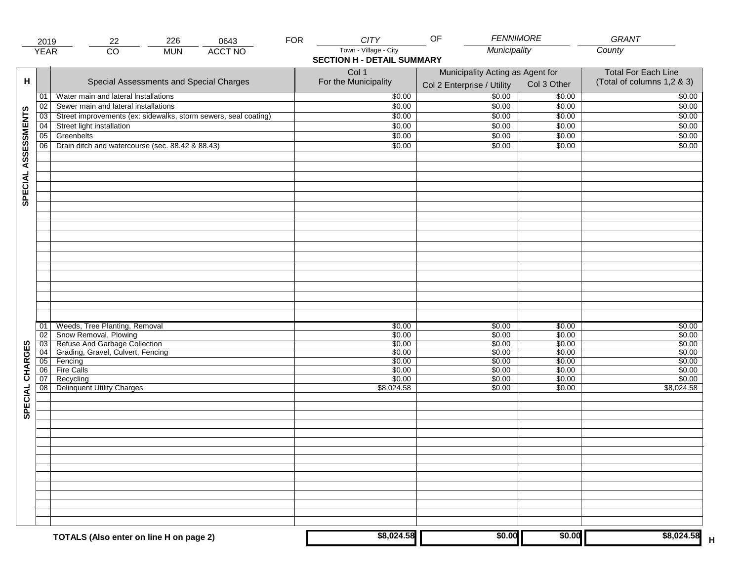|                     | 2019                 | 226<br>22                                                                                                                    | 0643           | <b>FOR</b> | <b>CITY</b>                                                | OF                                                             | <b>FENNIMORE</b>                     | GRANT                                                    |
|---------------------|----------------------|------------------------------------------------------------------------------------------------------------------------------|----------------|------------|------------------------------------------------------------|----------------------------------------------------------------|--------------------------------------|----------------------------------------------------------|
|                     | <b>YEAR</b>          | $\overline{CO}$<br><b>MUN</b>                                                                                                | <b>ACCT NO</b> |            | Town - Village - City<br><b>SECTION H - DETAIL SUMMARY</b> |                                                                | Municipality                         | County                                                   |
| н                   |                      | Special Assessments and Special Charges                                                                                      |                |            | Col 1<br>For the Municipality                              | Municipality Acting as Agent for<br>Col 2 Enterprise / Utility | Col 3 Other                          | <b>Total For Each Line</b><br>(Total of columns 1,2 & 3) |
|                     | 01                   | Water main and lateral Installations                                                                                         |                |            | \$0.00                                                     | 50.00                                                          | \$0.00                               | \$0.00                                                   |
|                     | 02                   | Sewer main and lateral installations                                                                                         |                |            | \$0.00                                                     | \$0.00                                                         | \$0.00                               | \$0.00                                                   |
|                     | 03                   | Street improvements (ex: sidewalks, storm sewers, seal coating)                                                              |                |            | \$0.00                                                     | \$0.00                                                         | \$0.00                               | \$0.00                                                   |
|                     | 04                   | Street light installation                                                                                                    |                |            | \$0.00                                                     | \$0.00                                                         | \$0.00                               | \$0.00                                                   |
|                     | 05                   | Greenbelts                                                                                                                   |                |            | \$0.00                                                     | \$0.00                                                         | \$0.00                               | \$0.00                                                   |
|                     | 06                   | Drain ditch and watercourse (sec. 88.42 & 88.43)                                                                             |                |            | \$0.00                                                     | \$0.00                                                         | \$0.00                               | \$0.00                                                   |
| SPECIAL ASSESSMENTS |                      |                                                                                                                              |                |            |                                                            |                                                                |                                      |                                                          |
| CHARGES             | 01<br>02<br>03<br>04 | Weeds, Tree Planting, Removal<br>Snow Removal, Plowing<br>Refuse And Garbage Collection<br>Grading, Gravel, Culvert, Fencing |                |            | \$0.00<br>\$0.00<br>\$0.00<br>\$0.00                       | \$0.00<br>\$0.00<br>\$0.00<br>\$0.00                           | \$0.00<br>\$0.00<br>\$0.00<br>\$0.00 | \$0.00<br>\$0.00<br>\$0.00<br>\$0.00                     |
|                     | 05<br>06             | Fencing<br>Fire Calls                                                                                                        |                |            | \$0.00<br>\$0.00                                           | \$0.00<br>\$0.00                                               | \$0.00<br>\$0.00                     | \$0.00<br>\$0.00                                         |
| SPECIAL             | 07<br>08             | Recycling<br><b>Delinquent Utility Charges</b>                                                                               |                |            | \$0.00<br>\$8,024.58                                       | \$0.00<br>\$0.00                                               | \$0.00<br>\$0.00                     | \$0.00<br>\$8,024.58                                     |
|                     |                      |                                                                                                                              |                |            |                                                            |                                                                |                                      |                                                          |
|                     |                      | TOTALS (Also enter on line H on page 2)                                                                                      |                |            | \$8,024.58                                                 |                                                                | \$0.00<br>\$0.00                     | \$8,024.58                                               |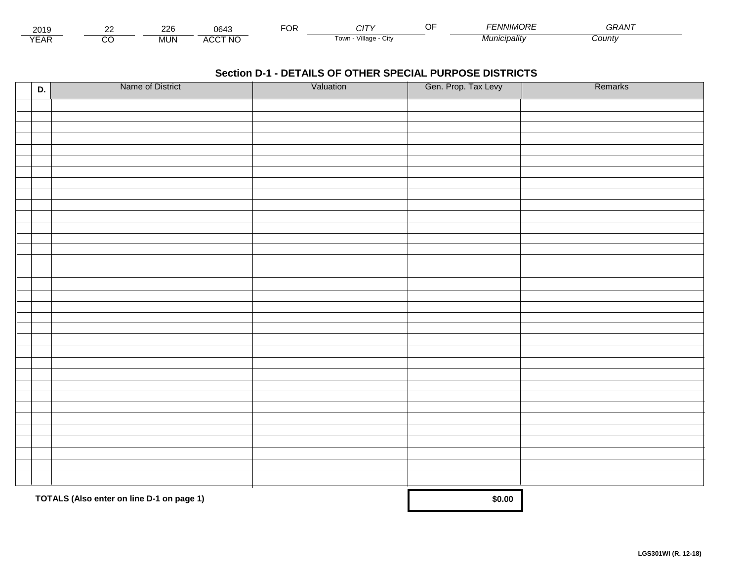| 2010<br>∠ບ≀ະ      | $\sim$<br>-  | m                           | ™OR | .                                 | .<br>,,,,,,, | $\mathbf{a} \mathbf{a} \mathbf{a} \mathbf{b} \mathbf{b}$<br>∍ ¬ ¬ → |  |
|-------------------|--------------|-----------------------------|-----|-----------------------------------|--------------|---------------------------------------------------------------------|--|
| $\sqrt{2}$<br>'Ar | IN.<br>IVIU. | CCT NO<br>$\cdot$<br>$\sim$ |     | $\cdots$<br>villade<br>i own<br>◡ | micipality   | <b>County</b>                                                       |  |

| D. | Name of District                          | Valuation | Gen. Prop. Tax Levy | Remarks |
|----|-------------------------------------------|-----------|---------------------|---------|
|    |                                           |           |                     |         |
|    |                                           |           |                     |         |
|    |                                           |           |                     |         |
|    |                                           |           |                     |         |
|    |                                           |           |                     |         |
|    |                                           |           |                     |         |
|    |                                           |           |                     |         |
|    |                                           |           |                     |         |
|    |                                           |           |                     |         |
|    |                                           |           |                     |         |
|    |                                           |           |                     |         |
|    |                                           |           |                     |         |
|    |                                           |           |                     |         |
|    |                                           |           |                     |         |
|    |                                           |           |                     |         |
|    |                                           |           |                     |         |
|    |                                           |           |                     |         |
|    |                                           |           |                     |         |
|    |                                           |           |                     |         |
|    |                                           |           |                     |         |
|    |                                           |           |                     |         |
|    |                                           |           |                     |         |
|    |                                           |           |                     |         |
|    |                                           |           |                     |         |
|    |                                           |           |                     |         |
|    |                                           |           |                     |         |
|    |                                           |           |                     |         |
|    |                                           |           |                     |         |
|    |                                           |           |                     |         |
|    |                                           |           |                     |         |
|    |                                           |           |                     |         |
|    |                                           |           |                     |         |
|    | TOTALS (Also enter on line D-1 on page 1) |           | \$0.00              |         |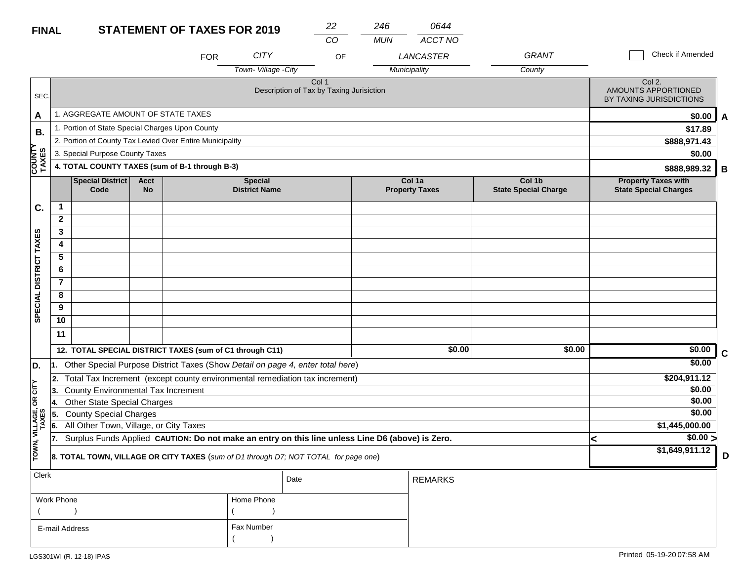| $\cdot$ | ומו<br>11 A I<br>. | NO.<br>^```` |
|---------|--------------------|--------------|

|                        |                                    |                                                          |                          |            |                                        | CO                                                                                               | <b>MUN</b> | ACCT NO                         |                                       |                                                            |   |
|------------------------|------------------------------------|----------------------------------------------------------|--------------------------|------------|----------------------------------------|--------------------------------------------------------------------------------------------------|------------|---------------------------------|---------------------------------------|------------------------------------------------------------|---|
|                        |                                    |                                                          |                          | <b>FOR</b> | <b>CITY</b>                            | OF                                                                                               |            | LANCASTER                       | GRANT                                 | Check if Amended                                           |   |
|                        |                                    |                                                          |                          |            | Town-Village -City                     |                                                                                                  |            | Municipality                    | County                                |                                                            |   |
| SEC.                   |                                    |                                                          |                          |            |                                        | Col <sub>1</sub><br>Description of Tax by Taxing Jurisiction                                     |            |                                 |                                       | Col 2.<br>AMOUNTS APPORTIONED<br>BY TAXING JURISDICTIONS   |   |
| A                      |                                    | 1. AGGREGATE AMOUNT OF STATE TAXES                       |                          |            |                                        |                                                                                                  |            |                                 |                                       | \$0.00                                                     | A |
| В.                     |                                    | 1. Portion of State Special Charges Upon County          |                          |            |                                        |                                                                                                  |            |                                 |                                       | \$17.89                                                    |   |
|                        |                                    | 2. Portion of County Tax Levied Over Entire Municipality |                          |            |                                        |                                                                                                  |            |                                 |                                       | \$888,971.43                                               |   |
|                        |                                    | 3. Special Purpose County Taxes                          |                          |            |                                        |                                                                                                  |            |                                 |                                       | \$0.00                                                     |   |
| COUNTY<br>TAXES        |                                    | 4. TOTAL COUNTY TAXES (sum of B-1 through B-3)           |                          |            |                                        |                                                                                                  |            |                                 |                                       | \$888,989.32                                               | В |
|                        |                                    | Special District<br>Code                                 | <b>Acct</b><br><b>No</b> |            | <b>Special</b><br><b>District Name</b> |                                                                                                  |            | Col 1a<br><b>Property Taxes</b> | Col 1b<br><b>State Special Charge</b> | <b>Property Taxes with</b><br><b>State Special Charges</b> |   |
| C.                     | $\mathbf{1}$                       |                                                          |                          |            |                                        |                                                                                                  |            |                                 |                                       |                                                            |   |
|                        | $\mathbf{2}$                       |                                                          |                          |            |                                        |                                                                                                  |            |                                 |                                       |                                                            |   |
|                        | 3                                  |                                                          |                          |            |                                        |                                                                                                  |            |                                 |                                       |                                                            |   |
|                        | 4                                  |                                                          |                          |            |                                        |                                                                                                  |            |                                 |                                       |                                                            |   |
|                        | 5                                  |                                                          |                          |            |                                        |                                                                                                  |            |                                 |                                       |                                                            |   |
|                        | 6                                  |                                                          |                          |            |                                        |                                                                                                  |            |                                 |                                       |                                                            |   |
|                        | $\overline{7}$                     |                                                          |                          |            |                                        |                                                                                                  |            |                                 |                                       |                                                            |   |
|                        | 8                                  |                                                          |                          |            |                                        |                                                                                                  |            |                                 |                                       |                                                            |   |
| SPECIAL DISTRICT TAXES | 9                                  |                                                          |                          |            |                                        |                                                                                                  |            |                                 |                                       |                                                            |   |
|                        | 10                                 |                                                          |                          |            |                                        |                                                                                                  |            |                                 |                                       |                                                            |   |
|                        | 11                                 |                                                          |                          |            |                                        |                                                                                                  |            |                                 |                                       |                                                            |   |
|                        |                                    | 12. TOTAL SPECIAL DISTRICT TAXES (sum of C1 through C11) |                          |            |                                        |                                                                                                  |            | \$0.00                          | \$0.00                                | \$0.00                                                     | C |
| D.                     |                                    |                                                          |                          |            |                                        | 1. Other Special Purpose District Taxes (Show Detail on page 4, enter total here)                |            |                                 |                                       | \$0.00                                                     |   |
|                        | 2.                                 |                                                          |                          |            |                                        | Total Tax Increment (except county environmental remediation tax increment)                      |            |                                 |                                       | \$204,911.12                                               |   |
| čL                     | 13.                                | County Environmental Tax Increment                       |                          |            |                                        |                                                                                                  |            |                                 |                                       | \$0.00                                                     |   |
| δŔ                     | Other State Special Charges<br>14. |                                                          |                          |            |                                        |                                                                                                  |            |                                 |                                       | \$0.00                                                     |   |
|                        | 5.                                 | <b>County Special Charges</b>                            |                          |            |                                        |                                                                                                  |            |                                 |                                       | \$0.00                                                     |   |
| VILLAGE,<br>TAXES      | 6.                                 | All Other Town, Village, or City Taxes                   |                          |            |                                        |                                                                                                  |            |                                 |                                       | \$1,445,000.00                                             |   |
|                        | 17.                                |                                                          |                          |            |                                        | Surplus Funds Applied CAUTION: Do not make an entry on this line unless Line D6 (above) is Zero. |            |                                 |                                       | $\sqrt{$0.00}$<br><                                        |   |
| TOWN,                  |                                    |                                                          |                          |            |                                        | 8. TOTAL TOWN, VILLAGE OR CITY TAXES (sum of D1 through D7; NOT TOTAL for page one)              |            |                                 |                                       | \$1,649,911.12                                             | D |
| Clerk                  |                                    |                                                          |                          |            |                                        | Date                                                                                             |            | <b>REMARKS</b>                  |                                       |                                                            |   |
|                        | <b>Work Phone</b>                  |                                                          |                          |            | Home Phone                             |                                                                                                  |            |                                 |                                       |                                                            |   |
|                        |                                    |                                                          |                          |            |                                        |                                                                                                  |            |                                 |                                       |                                                            |   |

Fax Number

 $($ 

E-mail Address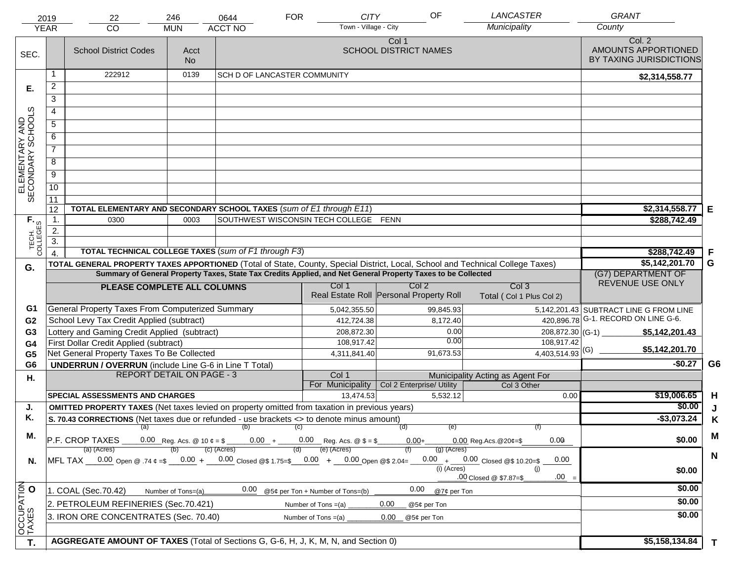|                                     | 2019<br><b>YEAR</b> | 22<br>CO                                                                                                                | 246<br><b>MUN</b>                | 0644<br><b>ACCT NO</b>              | <b>FOR</b>            | <b>CITY</b><br>Town - Village - City                 | OF                                                                                                           | <b>LANCASTER</b><br>Municipality                                                                                               | <b>GRANT</b><br>County                                   |                |
|-------------------------------------|---------------------|-------------------------------------------------------------------------------------------------------------------------|----------------------------------|-------------------------------------|-----------------------|------------------------------------------------------|--------------------------------------------------------------------------------------------------------------|--------------------------------------------------------------------------------------------------------------------------------|----------------------------------------------------------|----------------|
| SEC.                                |                     | <b>School District Codes</b>                                                                                            | Acct<br>No.                      |                                     |                       |                                                      | Col 1<br><b>SCHOOL DISTRICT NAMES</b>                                                                        |                                                                                                                                | Col. 2<br>AMOUNTS APPORTIONED<br>BY TAXING JURISDICTIONS |                |
|                                     |                     | 222912                                                                                                                  | 0139                             | <b>SCH D OF LANCASTER COMMUNITY</b> |                       |                                                      |                                                                                                              |                                                                                                                                | \$2,314,558.77                                           |                |
| Е.                                  | $\overline{2}$      |                                                                                                                         |                                  |                                     |                       |                                                      |                                                                                                              |                                                                                                                                |                                                          |                |
|                                     | $\overline{3}$      |                                                                                                                         |                                  |                                     |                       |                                                      |                                                                                                              |                                                                                                                                |                                                          |                |
|                                     | 4                   |                                                                                                                         |                                  |                                     |                       |                                                      |                                                                                                              |                                                                                                                                |                                                          |                |
|                                     | $\overline{5}$      |                                                                                                                         |                                  |                                     |                       |                                                      |                                                                                                              |                                                                                                                                |                                                          |                |
|                                     | 6                   |                                                                                                                         |                                  |                                     |                       |                                                      |                                                                                                              |                                                                                                                                |                                                          |                |
|                                     | $\overline{7}$      |                                                                                                                         |                                  |                                     |                       |                                                      |                                                                                                              |                                                                                                                                |                                                          |                |
| ELEMENTARY AND<br>SECONDARY SCHOOLS | 8                   |                                                                                                                         |                                  |                                     |                       |                                                      |                                                                                                              |                                                                                                                                |                                                          |                |
|                                     | $\overline{9}$      |                                                                                                                         |                                  |                                     |                       |                                                      |                                                                                                              |                                                                                                                                |                                                          |                |
|                                     | 10                  |                                                                                                                         |                                  |                                     |                       |                                                      |                                                                                                              |                                                                                                                                |                                                          |                |
|                                     | 11                  |                                                                                                                         |                                  |                                     |                       |                                                      |                                                                                                              |                                                                                                                                |                                                          |                |
|                                     | 12                  | TOTAL ELEMENTARY AND SECONDARY SCHOOL TAXES (sum of E1 through E11)                                                     |                                  |                                     |                       |                                                      |                                                                                                              |                                                                                                                                | \$2,314,558.77<br>l E                                    |                |
|                                     | $\mathbf{1}$ .      | 0300                                                                                                                    | 0003                             |                                     |                       | SOUTHWEST WISCONSIN TECH COLLEGE FENN                |                                                                                                              |                                                                                                                                | \$288,742.49                                             |                |
|                                     | 2.                  |                                                                                                                         |                                  |                                     |                       |                                                      |                                                                                                              |                                                                                                                                |                                                          |                |
| TECH. T                             | $\overline{3}$ .    |                                                                                                                         |                                  |                                     |                       |                                                      |                                                                                                              |                                                                                                                                |                                                          |                |
|                                     |                     | <b>TOTAL TECHNICAL COLLEGE TAXES (sum of F1 through F3)</b>                                                             | \$288,742.49<br>F                |                                     |                       |                                                      |                                                                                                              |                                                                                                                                |                                                          |                |
| G.                                  |                     |                                                                                                                         |                                  |                                     |                       |                                                      | Summary of General Property Taxes, State Tax Credits Applied, and Net General Property Taxes to be Collected | TOTAL GENERAL PROPERTY TAXES APPORTIONED (Total of State, County, Special District, Local, School and Technical College Taxes) | G<br>\$5,142,201.70<br>(G7) DEPARTMENT OF                |                |
|                                     |                     |                                                                                                                         |                                  |                                     |                       | Col 1                                                | Col <sub>2</sub>                                                                                             | Col <sub>3</sub>                                                                                                               | REVENUE USE ONLY                                         |                |
|                                     |                     | PLEASE COMPLETE ALL COLUMNS                                                                                             |                                  |                                     |                       |                                                      | Real Estate Roll Personal Property Roll                                                                      | Total (Col 1 Plus Col 2)                                                                                                       |                                                          |                |
| G1                                  |                     | General Property Taxes From Computerized Summary                                                                        |                                  |                                     |                       | 5,042,355.50                                         | 99,845.93                                                                                                    |                                                                                                                                | 5,142,201.43 SUBTRACT LINE G FROM LINE                   |                |
| G <sub>2</sub>                      |                     | School Levy Tax Credit Applied (subtract)                                                                               |                                  |                                     |                       | 412,724.38                                           | 8,172.40                                                                                                     |                                                                                                                                | 420,896.78 G-1. RECORD ON LINE G-6.                      |                |
| G <sub>3</sub>                      |                     | Lottery and Gaming Credit Applied (subtract)                                                                            |                                  |                                     |                       | 208,872.30                                           |                                                                                                              | 0.00<br>208,872.30 (G-1)<br>0.00                                                                                               | \$5,142,201.43                                           |                |
| G <sub>4</sub>                      |                     | First Dollar Credit Applied (subtract)<br>Net General Property Taxes To Be Collected                                    |                                  |                                     |                       | 108,917.42<br>4,311,841.40                           | 91,673.53                                                                                                    | 108,917.42<br>$4,403,514.93$ <sup>(G)</sup>                                                                                    | \$5,142,201.70                                           |                |
| G <sub>5</sub><br>G <sub>6</sub>    |                     | <b>UNDERRUN / OVERRUN</b> (include Line G-6 in Line T Total)                                                            |                                  |                                     |                       |                                                      |                                                                                                              |                                                                                                                                | $-$0.27$                                                 | G <sub>6</sub> |
| Η.                                  |                     |                                                                                                                         | <b>REPORT DETAIL ON PAGE - 3</b> |                                     |                       | Col 1                                                |                                                                                                              | Municipality Acting as Agent For                                                                                               |                                                          |                |
|                                     |                     |                                                                                                                         |                                  |                                     |                       | For Municipality                                     | Col 2 Enterprise/ Utility                                                                                    | Col 3 Other                                                                                                                    |                                                          |                |
|                                     |                     | <b>SPECIAL ASSESSMENTS AND CHARGES</b>                                                                                  |                                  |                                     |                       | 13,474.53                                            | 5.532.12                                                                                                     | 0.00                                                                                                                           | \$19,006.65                                              | H              |
| J.                                  |                     | <b>OMITTED PROPERTY TAXES</b> (Net taxes levied on property omitted from taxation in previous years)                    |                                  |                                     |                       |                                                      |                                                                                                              |                                                                                                                                | \$0.00                                                   | J              |
| Κ.                                  |                     | S. 70.43 CORRECTIONS (Net taxes due or refunded - use brackets <> to denote minus amount)                               |                                  | (a) $(0)$ (c)                       |                       |                                                      | (d)                                                                                                          | (e)                                                                                                                            | $-$3,073.24$                                             | K              |
| M.                                  |                     |                                                                                                                         |                                  |                                     |                       |                                                      |                                                                                                              |                                                                                                                                | \$0.00                                                   | M              |
|                                     |                     | <b>P.F. CROP TAXES</b> 0.00 Reg. Acs. @ 10 $\ell = \frac{1}{2}$ 0.00 $+$ 0.00 Reg. Acs. @ \$ = \$ 0.00 +<br>(a) (Acres) |                                  | (c) (Acres)                         | (d)                   | (e) (Acres)                                          | $(g)$ (Acres)                                                                                                | 0.00<br>$0.00$ Reg. Acs. @ 20¢=\$                                                                                              |                                                          |                |
| N.                                  |                     | MFL TAX $-$ 0.00 Open @ .74 $\varphi$ =\$ $-$ 0.00 + $-$ 0.00 Closed @\$ 1.75=\$ $-$ 0.00 + $-$ 0.00 Open @\$ 2.04=     |                                  |                                     |                       |                                                      |                                                                                                              | $0.00 + 0.00$ Closed @\$ 10.20=\$<br>0.00                                                                                      |                                                          | N              |
|                                     |                     |                                                                                                                         |                                  |                                     |                       |                                                      | (i) (Acres)                                                                                                  | (i)                                                                                                                            | \$0.00                                                   |                |
|                                     |                     |                                                                                                                         |                                  |                                     |                       |                                                      |                                                                                                              | $.00 =$<br>.00 Closed @ \$7.87=\$                                                                                              | \$0.00                                                   |                |
|                                     |                     | 1. COAL (Sec.70.42)                                                                                                     | Number of Tons=(a)               |                                     |                       | $\frac{0.00}{0.00}$ @5¢ per Ton + Number of Tons=(b) | 0.00                                                                                                         | @7¢ per Ton                                                                                                                    |                                                          |                |
|                                     |                     | 2. PETROLEUM REFINERIES (Sec.70.421)                                                                                    |                                  |                                     |                       | Number of Tons $=(a)$                                | 0.00<br>@5¢ per Ton                                                                                          |                                                                                                                                | \$0.00                                                   |                |
|                                     |                     | 3. IRON ORE CONCENTRATES (Sec. 70.40)                                                                                   |                                  |                                     | Number of Tons $=(a)$ |                                                      | $0.00\,$<br>@5¢ per Ton                                                                                      |                                                                                                                                | \$0.00                                                   |                |
| OCCUPATION                          |                     |                                                                                                                         |                                  |                                     |                       |                                                      |                                                                                                              |                                                                                                                                |                                                          |                |
| T.                                  |                     | AGGREGATE AMOUNT OF TAXES (Total of Sections G, G-6, H, J, K, M, N, and Section 0)                                      |                                  |                                     |                       |                                                      |                                                                                                              |                                                                                                                                | \$5,158,134.84<br>$\mathbf{T}$                           |                |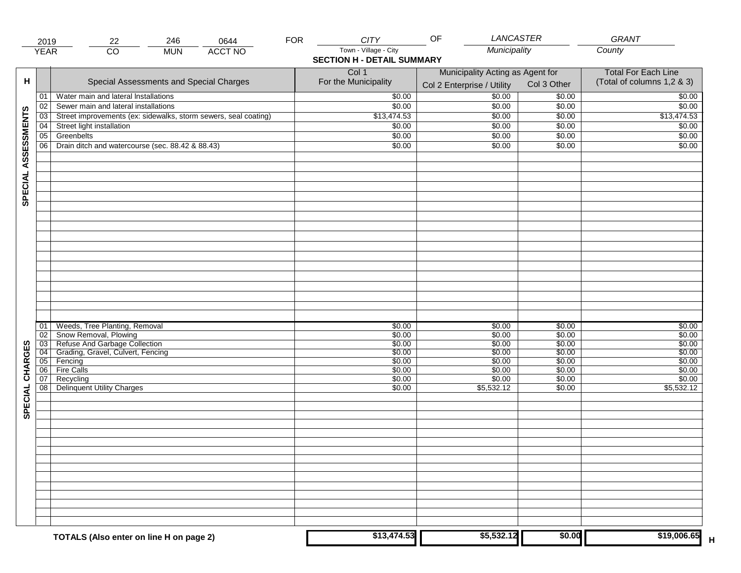|                     | 2019        | 246<br>0644<br>22                                               | <b>FOR</b> | <b>CITY</b>                                                | LANCASTER<br>OF                                                |                  | GRANT                                                    |
|---------------------|-------------|-----------------------------------------------------------------|------------|------------------------------------------------------------|----------------------------------------------------------------|------------------|----------------------------------------------------------|
|                     | <b>YEAR</b> | $\overline{CO}$<br><b>ACCT NO</b><br><b>MUN</b>                 |            | Town - Village - City<br><b>SECTION H - DETAIL SUMMARY</b> | Municipality                                                   |                  | County                                                   |
| н                   |             | Special Assessments and Special Charges                         |            | Col 1<br>For the Municipality                              | Municipality Acting as Agent for<br>Col 2 Enterprise / Utility | Col 3 Other      | <b>Total For Each Line</b><br>(Total of columns 1,2 & 3) |
|                     | 01          | Water main and lateral Installations                            |            | \$0.00                                                     | 50.00                                                          | \$0.00           | \$0.00                                                   |
|                     | 02          | Sewer main and lateral installations                            |            | \$0.00                                                     | \$0.00                                                         | \$0.00           | \$0.00                                                   |
|                     | 03          | Street improvements (ex: sidewalks, storm sewers, seal coating) |            | \$13,474.53                                                | \$0.00                                                         | \$0.00           | \$13,474.53                                              |
|                     | 04          | Street light installation                                       |            | \$0.00                                                     | \$0.00                                                         | \$0.00           | \$0.00                                                   |
|                     | 05          | Greenbelts                                                      |            | \$0.00                                                     | \$0.00                                                         | \$0.00           | \$0.00                                                   |
|                     | 06          | Drain ditch and watercourse (sec. 88.42 & 88.43)                |            | \$0.00                                                     | \$0.00                                                         | \$0.00           | \$0.00                                                   |
| SPECIAL ASSESSMENTS |             |                                                                 |            |                                                            |                                                                |                  |                                                          |
|                     | 01          | Weeds, Tree Planting, Removal                                   |            | \$0.00                                                     | \$0.00                                                         | \$0.00           | \$0.00                                                   |
|                     | 02          | Snow Removal, Plowing                                           |            | \$0.00                                                     | \$0.00                                                         | \$0.00           | \$0.00                                                   |
|                     | 03          | Refuse And Garbage Collection                                   |            | \$0.00                                                     | \$0.00                                                         | \$0.00           | \$0.00                                                   |
| CHARGES             | 04          | Grading, Gravel, Culvert, Fencing                               |            | \$0.00                                                     | \$0.00                                                         | \$0.00           | \$0.00                                                   |
|                     | 05          | Fencing                                                         |            | \$0.00                                                     | \$0.00                                                         | \$0.00           | \$0.00                                                   |
|                     | 06 <br>07   | Fire Calls<br>Recycling                                         |            | \$0.00<br>\$0.00                                           | \$0.00<br>\$0.00                                               | \$0.00<br>\$0.00 | \$0.00<br>\$0.00                                         |
| SPECIAL             | 08          | <b>Delinquent Utility Charges</b>                               |            | \$0.00                                                     | \$5,532.12                                                     | \$0.00           | \$5,532.12                                               |
|                     |             |                                                                 |            |                                                            |                                                                |                  |                                                          |
|                     |             |                                                                 |            |                                                            |                                                                |                  |                                                          |
|                     |             |                                                                 |            |                                                            |                                                                |                  |                                                          |
|                     |             | TOTALS (Also enter on line H on page 2)                         |            | \$13,474.53                                                | \$5,532.12                                                     | \$0.00           | \$19,006.65                                              |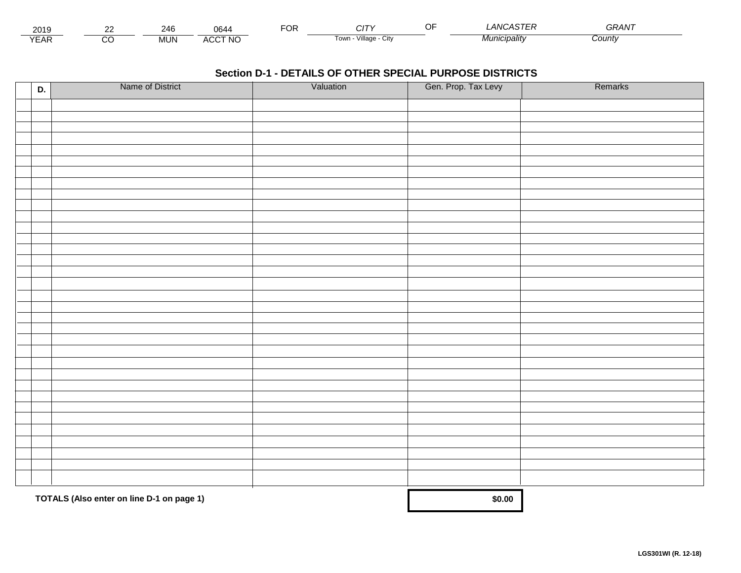| 2010<br>∠ບ≀ະ      | 216          | J644                      | ™OR | . .                           | $\sim$ $\sim$ $\sim$ $\sim$ $\sim$<br>.<br>4 N I<br><br>. . | $\sim$ $\sim$ $\sim$ $\sim$<br>. |  |
|-------------------|--------------|---------------------------|-----|-------------------------------|-------------------------------------------------------------|----------------------------------|--|
| $\sqrt{2}$<br>'AN | IN.<br>ושועו | CCT NO<br>$\cdots$<br>nuc |     | .<br>Village<br>i own<br>◡៲៶៴ | '''ICIDƏlitv                                                | <b>County</b>                    |  |

| D. | Name of District                          | Valuation | Gen. Prop. Tax Levy | Remarks |
|----|-------------------------------------------|-----------|---------------------|---------|
|    |                                           |           |                     |         |
|    |                                           |           |                     |         |
|    |                                           |           |                     |         |
|    |                                           |           |                     |         |
|    |                                           |           |                     |         |
|    |                                           |           |                     |         |
|    |                                           |           |                     |         |
|    |                                           |           |                     |         |
|    |                                           |           |                     |         |
|    |                                           |           |                     |         |
|    |                                           |           |                     |         |
|    |                                           |           |                     |         |
|    |                                           |           |                     |         |
|    |                                           |           |                     |         |
|    |                                           |           |                     |         |
|    |                                           |           |                     |         |
|    |                                           |           |                     |         |
|    |                                           |           |                     |         |
|    |                                           |           |                     |         |
|    |                                           |           |                     |         |
|    |                                           |           |                     |         |
|    |                                           |           |                     |         |
|    |                                           |           |                     |         |
|    |                                           |           |                     |         |
|    |                                           |           |                     |         |
|    |                                           |           |                     |         |
|    |                                           |           |                     |         |
|    |                                           |           |                     |         |
|    |                                           |           |                     |         |
|    |                                           |           |                     |         |
|    |                                           |           |                     |         |
|    |                                           |           |                     |         |
|    |                                           |           |                     |         |
|    | TOTALS (Also enter on line D-1 on page 1) |           | \$0.00              |         |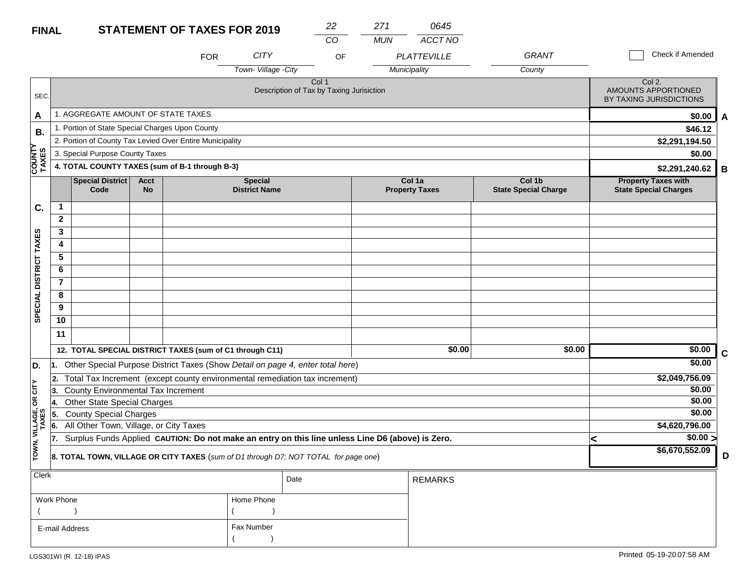| <b>FINAL</b> | <b>STATEMENT OF TAXES FOR 2019</b> |     |
|--------------|------------------------------------|-----|
|              |                                    | MUN |

|                                           |                         |                                                 |                                                          |                                                          |                                        | CO                                                                                               | <b>MUN</b> | ACCT NO                         |                                       |                                                            |                |   |
|-------------------------------------------|-------------------------|-------------------------------------------------|----------------------------------------------------------|----------------------------------------------------------|----------------------------------------|--------------------------------------------------------------------------------------------------|------------|---------------------------------|---------------------------------------|------------------------------------------------------------|----------------|---|
|                                           |                         |                                                 |                                                          | <b>FOR</b>                                               | <b>CITY</b>                            | OF                                                                                               |            | <b>PLATTEVILLE</b>              | <b>GRANT</b>                          | Check if Amended                                           |                |   |
|                                           |                         |                                                 |                                                          |                                                          | Town-Village -City                     |                                                                                                  |            | Municipality                    | County                                |                                                            |                |   |
| SEC.                                      |                         |                                                 | Col 2.<br>AMOUNTS APPORTIONED<br>BY TAXING JURISDICTIONS |                                                          |                                        |                                                                                                  |            |                                 |                                       |                                                            |                |   |
| A                                         |                         | 1. AGGREGATE AMOUNT OF STATE TAXES              |                                                          |                                                          |                                        |                                                                                                  |            |                                 |                                       |                                                            | \$0.00         | A |
| В.                                        |                         | 1. Portion of State Special Charges Upon County |                                                          |                                                          |                                        |                                                                                                  |            |                                 |                                       |                                                            | \$46.12        |   |
|                                           |                         |                                                 |                                                          | 2. Portion of County Tax Levied Over Entire Municipality |                                        |                                                                                                  |            |                                 |                                       | \$2,291,194.50                                             |                |   |
|                                           |                         | 3. Special Purpose County Taxes                 |                                                          |                                                          |                                        |                                                                                                  |            |                                 |                                       |                                                            | \$0.00         |   |
| COUNTY<br>TAXES                           |                         |                                                 |                                                          | 4. TOTAL COUNTY TAXES (sum of B-1 through B-3)           |                                        |                                                                                                  |            |                                 |                                       | \$2,291,240.62                                             |                | В |
|                                           |                         | <b>Special District</b><br>Code                 | Acct<br><b>No</b>                                        |                                                          | <b>Special</b><br><b>District Name</b> |                                                                                                  |            | Col 1a<br><b>Property Taxes</b> | Col 1b<br><b>State Special Charge</b> | <b>Property Taxes with</b><br><b>State Special Charges</b> |                |   |
| C.                                        | $\mathbf{1}$            |                                                 |                                                          |                                                          |                                        |                                                                                                  |            |                                 |                                       |                                                            |                |   |
|                                           | $\mathbf{2}$            |                                                 |                                                          |                                                          |                                        |                                                                                                  |            |                                 |                                       |                                                            |                |   |
|                                           | 3                       |                                                 |                                                          |                                                          |                                        |                                                                                                  |            |                                 |                                       |                                                            |                |   |
|                                           | 4                       |                                                 |                                                          |                                                          |                                        |                                                                                                  |            |                                 |                                       |                                                            |                |   |
|                                           | 5                       |                                                 |                                                          |                                                          |                                        |                                                                                                  |            |                                 |                                       |                                                            |                |   |
|                                           | 6                       |                                                 |                                                          |                                                          |                                        |                                                                                                  |            |                                 |                                       |                                                            |                |   |
|                                           | $\overline{\mathbf{r}}$ |                                                 |                                                          |                                                          |                                        |                                                                                                  |            |                                 |                                       |                                                            |                |   |
|                                           | 8                       |                                                 |                                                          |                                                          |                                        |                                                                                                  |            |                                 |                                       |                                                            |                |   |
| SPECIAL DISTRICT TAXES                    | 9                       |                                                 |                                                          |                                                          |                                        |                                                                                                  |            |                                 |                                       |                                                            |                |   |
|                                           | 10                      |                                                 |                                                          |                                                          |                                        |                                                                                                  |            |                                 |                                       |                                                            |                |   |
|                                           | 11                      |                                                 |                                                          |                                                          |                                        |                                                                                                  |            |                                 |                                       |                                                            |                |   |
|                                           |                         |                                                 |                                                          | 12. TOTAL SPECIAL DISTRICT TAXES (sum of C1 through C11) |                                        |                                                                                                  |            | \$0.00                          | \$0.00                                |                                                            | \$0.00         | C |
| D.                                        | 1.                      |                                                 |                                                          |                                                          |                                        | Other Special Purpose District Taxes (Show Detail on page 4, enter total here)                   |            |                                 |                                       |                                                            | \$0.00         |   |
|                                           | 2.                      |                                                 |                                                          |                                                          |                                        | Total Tax Increment (except county environmental remediation tax increment)                      |            |                                 |                                       | \$2,049,756.09                                             |                |   |
| $OR$ $CITY$                               | 3.                      | County Environmental Tax Increment              |                                                          |                                                          |                                        |                                                                                                  |            |                                 |                                       |                                                            | \$0.00         |   |
| <b>Other State Special Charges</b><br>14. |                         |                                                 |                                                          |                                                          |                                        |                                                                                                  |            |                                 |                                       |                                                            | \$0.00         |   |
|                                           | 5.                      | <b>County Special Charges</b>                   |                                                          |                                                          |                                        |                                                                                                  |            |                                 |                                       |                                                            | \$0.00         |   |
|                                           | 6.                      | All Other Town, Village, or City Taxes          |                                                          |                                                          |                                        |                                                                                                  |            |                                 |                                       | \$4,620,796.00                                             |                |   |
|                                           | 17.                     |                                                 |                                                          |                                                          |                                        | Surplus Funds Applied CAUTION: Do not make an entry on this line unless Line D6 (above) is Zero. |            |                                 |                                       | <                                                          | $\sqrt{$0.00}$ |   |
| TOWN, VILLAGE,<br>TAXES                   |                         |                                                 |                                                          |                                                          |                                        | 8. TOTAL TOWN, VILLAGE OR CITY TAXES (sum of D1 through D7; NOT TOTAL for page one)              |            |                                 |                                       | \$6,670,552.09                                             |                | D |
| Clerk                                     |                         |                                                 |                                                          |                                                          |                                        | Date                                                                                             |            | <b>REMARKS</b>                  |                                       |                                                            |                |   |
|                                           | Work Phone              |                                                 |                                                          |                                                          | Home Phone                             |                                                                                                  |            |                                 |                                       |                                                            |                |   |

*0645*

| Work Phone     | Home Phone |  |  |  |  |  |  |
|----------------|------------|--|--|--|--|--|--|
|                |            |  |  |  |  |  |  |
| E-mail Address | Fax Number |  |  |  |  |  |  |
|                |            |  |  |  |  |  |  |
|                |            |  |  |  |  |  |  |

Printed 05-19-20 07:58 AM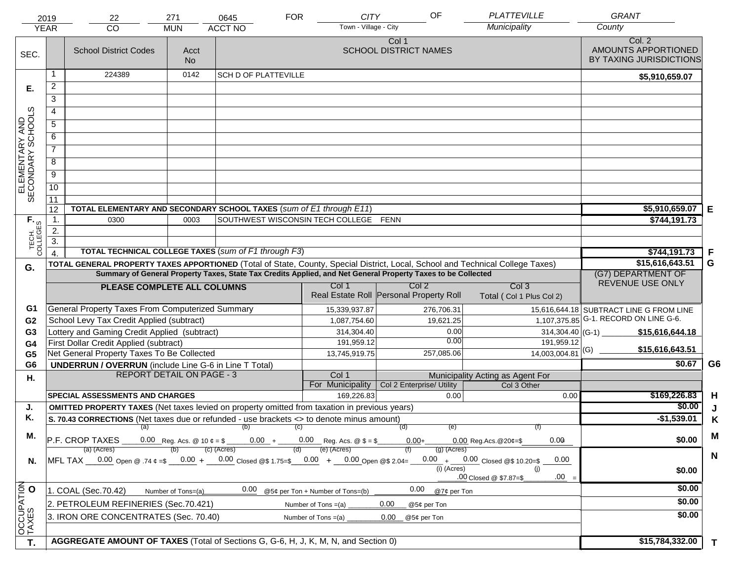|                                                                                                                                                   | 2019<br><b>YEAR</b>                                                                | 22<br><b>CO</b>                                                                                                     | 271<br><b>MUN</b>                | 0645<br><b>ACCT NO</b>                                                   | <b>FOR</b> | <b>CITY</b><br>Town - Village - City  | OF                                                                                                           | <b>PLATTEVILLE</b><br>Municipality                                                                                             | <b>GRANT</b><br>County                                   |                      |
|---------------------------------------------------------------------------------------------------------------------------------------------------|------------------------------------------------------------------------------------|---------------------------------------------------------------------------------------------------------------------|----------------------------------|--------------------------------------------------------------------------|------------|---------------------------------------|--------------------------------------------------------------------------------------------------------------|--------------------------------------------------------------------------------------------------------------------------------|----------------------------------------------------------|----------------------|
| SEC.                                                                                                                                              |                                                                                    | <b>School District Codes</b>                                                                                        | Acct<br><b>No</b>                |                                                                          |            |                                       | Col 1<br><b>SCHOOL DISTRICT NAMES</b>                                                                        |                                                                                                                                | Col. 2<br>AMOUNTS APPORTIONED<br>BY TAXING JURISDICTIONS |                      |
|                                                                                                                                                   | 1                                                                                  | 224389                                                                                                              | 0142                             | <b>SCH D OF PLATTEVILLE</b>                                              |            |                                       |                                                                                                              |                                                                                                                                | \$5,910,659.07                                           |                      |
| Е.                                                                                                                                                | $\overline{2}$                                                                     |                                                                                                                     |                                  |                                                                          |            |                                       |                                                                                                              |                                                                                                                                |                                                          |                      |
|                                                                                                                                                   | $\overline{3}$                                                                     |                                                                                                                     |                                  |                                                                          |            |                                       |                                                                                                              |                                                                                                                                |                                                          |                      |
|                                                                                                                                                   | $\overline{4}$                                                                     |                                                                                                                     |                                  |                                                                          |            |                                       |                                                                                                              |                                                                                                                                |                                                          |                      |
|                                                                                                                                                   | 5                                                                                  |                                                                                                                     |                                  |                                                                          |            |                                       |                                                                                                              |                                                                                                                                |                                                          |                      |
|                                                                                                                                                   | 6                                                                                  |                                                                                                                     |                                  |                                                                          |            |                                       |                                                                                                              |                                                                                                                                |                                                          |                      |
|                                                                                                                                                   | $\overline{7}$                                                                     |                                                                                                                     |                                  |                                                                          |            |                                       |                                                                                                              |                                                                                                                                |                                                          |                      |
| ELEMENTARY AND<br>SECONDARY SCHOOLS                                                                                                               | 8                                                                                  |                                                                                                                     |                                  |                                                                          |            |                                       |                                                                                                              |                                                                                                                                |                                                          |                      |
|                                                                                                                                                   | $\overline{9}$                                                                     |                                                                                                                     |                                  |                                                                          |            |                                       |                                                                                                              |                                                                                                                                |                                                          |                      |
|                                                                                                                                                   |                                                                                    |                                                                                                                     |                                  |                                                                          |            |                                       |                                                                                                              |                                                                                                                                |                                                          |                      |
|                                                                                                                                                   | 10                                                                                 |                                                                                                                     |                                  |                                                                          |            |                                       |                                                                                                              |                                                                                                                                |                                                          |                      |
|                                                                                                                                                   | 11<br>12                                                                           | TOTAL ELEMENTARY AND SECONDARY SCHOOL TAXES (sum of E1 through E11)                                                 |                                  |                                                                          |            |                                       |                                                                                                              |                                                                                                                                | \$5,910,659.07                                           | Е                    |
|                                                                                                                                                   | 1.                                                                                 | 0300                                                                                                                | 0003                             |                                                                          |            | SOUTHWEST WISCONSIN TECH COLLEGE FENN |                                                                                                              |                                                                                                                                | \$744,191.73                                             |                      |
| TECH. T<br>COLLEGES                                                                                                                               | 2.                                                                                 |                                                                                                                     |                                  |                                                                          |            |                                       |                                                                                                              |                                                                                                                                |                                                          |                      |
|                                                                                                                                                   | $\overline{3}$ .                                                                   |                                                                                                                     |                                  |                                                                          |            |                                       |                                                                                                              |                                                                                                                                |                                                          |                      |
|                                                                                                                                                   | $\overline{4}$                                                                     | TOTAL TECHNICAL COLLEGE TAXES (sum of F1 through F3)                                                                |                                  |                                                                          |            |                                       |                                                                                                              |                                                                                                                                | \$744,191.73                                             | F                    |
| G.                                                                                                                                                |                                                                                    |                                                                                                                     |                                  |                                                                          |            |                                       |                                                                                                              | TOTAL GENERAL PROPERTY TAXES APPORTIONED (Total of State, County, Special District, Local, School and Technical College Taxes) | \$15,616,643.51                                          | G                    |
|                                                                                                                                                   |                                                                                    |                                                                                                                     |                                  |                                                                          |            |                                       | Summary of General Property Taxes, State Tax Credits Applied, and Net General Property Taxes to be Collected |                                                                                                                                | (G7) DEPARTMENT OF<br>REVENUE USE ONLY                   |                      |
|                                                                                                                                                   |                                                                                    | PLEASE COMPLETE ALL COLUMNS                                                                                         |                                  |                                                                          |            | Col 1                                 | Col <sub>2</sub><br>Real Estate Roll Personal Property Roll                                                  | Col <sub>3</sub><br>Total (Col 1 Plus Col 2)                                                                                   |                                                          |                      |
| G1                                                                                                                                                |                                                                                    | General Property Taxes From Computerized Summary                                                                    |                                  |                                                                          |            | 15,339,937.87                         | 276,706.31                                                                                                   |                                                                                                                                | 15,616,644.18 SUBTRACT LINE G FROM LINE                  |                      |
| G <sub>2</sub>                                                                                                                                    |                                                                                    | School Levy Tax Credit Applied (subtract)                                                                           |                                  |                                                                          |            | 1,087,754.60                          | 19,621.25                                                                                                    |                                                                                                                                | $1,107,375.85$ G-1. RECORD ON LINE G-6.                  |                      |
| G <sub>3</sub>                                                                                                                                    |                                                                                    | Lottery and Gaming Credit Applied (subtract)                                                                        |                                  |                                                                          |            | 314,304.40                            |                                                                                                              | 0.00<br>$314,304.40$ (G-1)<br>0.00                                                                                             | \$15,616,644.18                                          |                      |
| G4                                                                                                                                                |                                                                                    | First Dollar Credit Applied (subtract)                                                                              |                                  |                                                                          |            | 191,959.12                            |                                                                                                              | 191,959.12<br>$14,003,004.81$ <sup>(G)</sup>                                                                                   | \$15,616,643.51                                          |                      |
| G <sub>5</sub><br>G <sub>6</sub>                                                                                                                  |                                                                                    | Net General Property Taxes To Be Collected                                                                          |                                  |                                                                          |            | 13,745,919.75                         | 257,085.06                                                                                                   |                                                                                                                                | \$0.67                                                   | G <sub>6</sub>       |
|                                                                                                                                                   |                                                                                    | <b>UNDERRUN / OVERRUN</b> (include Line G-6 in Line T Total)                                                        | <b>REPORT DETAIL ON PAGE - 3</b> |                                                                          |            | Col 1                                 |                                                                                                              | Municipality Acting as Agent For                                                                                               |                                                          |                      |
| Η.                                                                                                                                                |                                                                                    |                                                                                                                     |                                  |                                                                          |            | For Municipality                      | Col 2 Enterprise/ Utility                                                                                    | Col 3 Other                                                                                                                    |                                                          |                      |
|                                                                                                                                                   |                                                                                    | <b>SPECIAL ASSESSMENTS AND CHARGES</b>                                                                              |                                  |                                                                          |            | 169,226.83                            |                                                                                                              | 0.00<br>0.00                                                                                                                   | \$169,226.83                                             | H                    |
| J.                                                                                                                                                |                                                                                    | <b>OMITTED PROPERTY TAXES</b> (Net taxes levied on property omitted from taxation in previous years)                |                                  |                                                                          |            |                                       |                                                                                                              |                                                                                                                                | \$0.00                                                   | J                    |
| Κ.                                                                                                                                                |                                                                                    | S. 70.43 CORRECTIONS (Net taxes due or refunded - use brackets <> to denote minus amount)                           |                                  |                                                                          |            |                                       |                                                                                                              |                                                                                                                                | $-$1,539.01$                                             | K                    |
| М.                                                                                                                                                |                                                                                    | (a)<br>P.F. CROP TAXES                                                                                              |                                  | (b)<br>0.00 Reg. Acs. @ 10 $\phi = \$$ 0.00 + 0.00 Reg. Acs. @ $\$ = \$$ | (C)        |                                       | (d)<br>$0.00+$                                                                                               | (e)<br>(f)<br>0.00<br>$0.00$ Reg. Acs. @ 20¢=\$                                                                                | \$0.00                                                   | M                    |
|                                                                                                                                                   |                                                                                    | (a) (Acres)                                                                                                         |                                  | $(c)$ (Acres)                                                            |            | (e) (Acres)                           | $(g)$ (Acres)                                                                                                |                                                                                                                                |                                                          |                      |
| N.                                                                                                                                                |                                                                                    | MFL TAX $-$ 0.00 Open @ .74 $\varphi$ =\$ $-$ 0.00 + $-$ 0.00 Closed @\$ 1.75=\$ $-$ 0.00 + $-$ 0.00 Open @\$ 2.04= |                                  |                                                                          |            |                                       |                                                                                                              | $0.00 + 0.00$ Closed @\$ 10.20=\$<br>0.00                                                                                      |                                                          | $\mathbf N$          |
|                                                                                                                                                   |                                                                                    |                                                                                                                     | \$0.00                           |                                                                          |            |                                       |                                                                                                              |                                                                                                                                |                                                          |                      |
| $.00 =$<br>.00 Closed @ \$7.87=\$<br>0.00<br>0.00<br>1. COAL (Sec.70.42)<br>@5¢ per Ton + Number of Tons=(b)<br>@7¢ per Ton<br>Number of Tons=(a) |                                                                                    |                                                                                                                     |                                  |                                                                          |            |                                       |                                                                                                              |                                                                                                                                | \$0.00                                                   |                      |
|                                                                                                                                                   |                                                                                    | 2. PETROLEUM REFINERIES (Sec.70.421)                                                                                |                                  |                                                                          |            |                                       |                                                                                                              |                                                                                                                                | \$0.00                                                   |                      |
|                                                                                                                                                   |                                                                                    |                                                                                                                     |                                  |                                                                          |            | Number of Tons $=(a)$                 | 0.00<br>@5¢ per Ton                                                                                          |                                                                                                                                | \$0.00                                                   |                      |
| OCCUPATION                                                                                                                                        |                                                                                    | 3. IRON ORE CONCENTRATES (Sec. 70.40)                                                                               |                                  |                                                                          |            | Number of Tons $=(a)$                 | 0.00<br>@5¢ per Ton                                                                                          |                                                                                                                                |                                                          |                      |
| T.                                                                                                                                                | AGGREGATE AMOUNT OF TAXES (Total of Sections G, G-6, H, J, K, M, N, and Section 0) |                                                                                                                     |                                  |                                                                          |            |                                       |                                                                                                              |                                                                                                                                |                                                          | \$15,784,332.00<br>T |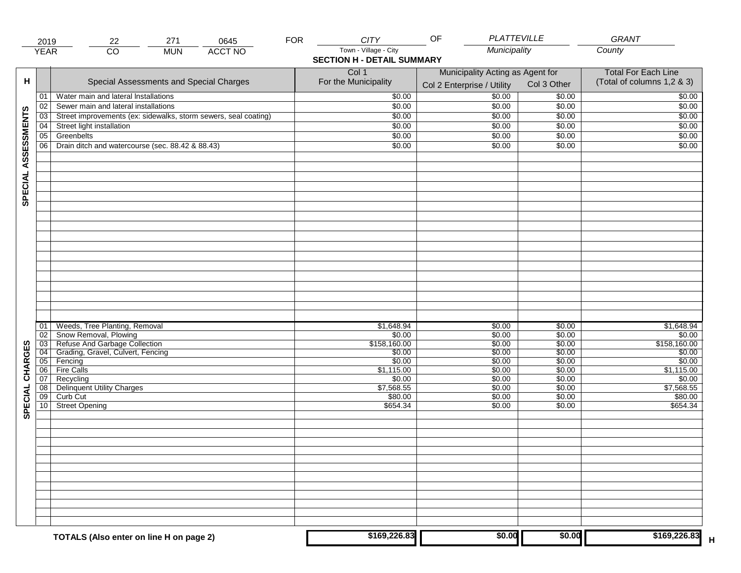|                     | 2019            | 271<br>0645<br>22                                               | <b>FOR</b>                                               | <b>CITY</b>                                                | PLATTEVILLE<br>OF |                  | GRANT                |
|---------------------|-----------------|-----------------------------------------------------------------|----------------------------------------------------------|------------------------------------------------------------|-------------------|------------------|----------------------|
|                     | <b>YEAR</b>     | $\overline{CO}$<br><b>ACCT NO</b><br><b>MUN</b>                 |                                                          | Town - Village - City<br><b>SECTION H - DETAIL SUMMARY</b> | Municipality      |                  | County               |
| н                   |                 | Special Assessments and Special Charges                         | <b>Total For Each Line</b><br>(Total of columns 1,2 & 3) |                                                            |                   |                  |                      |
|                     | 01              | Water main and lateral Installations                            |                                                          | \$0.00                                                     | \$0.00            | \$0.00           | \$0.00               |
|                     | 02              | Sewer main and lateral installations                            |                                                          | \$0.00                                                     | \$0.00            | \$0.00           | \$0.00               |
|                     | 03              | Street improvements (ex: sidewalks, storm sewers, seal coating) |                                                          | \$0.00                                                     | \$0.00            | \$0.00           | \$0.00               |
|                     | 04              | Street light installation                                       |                                                          | \$0.00                                                     | \$0.00            | \$0.00           | \$0.00               |
|                     | 05              | Greenbelts                                                      |                                                          | \$0.00                                                     | \$0.00            | \$0.00           | \$0.00               |
|                     | 06              | Drain ditch and watercourse (sec. 88.42 & 88.43)                |                                                          | \$0.00                                                     | \$0.00            | \$0.00           | \$0.00               |
| SPECIAL ASSESSMENTS |                 |                                                                 |                                                          |                                                            |                   |                  |                      |
|                     |                 |                                                                 |                                                          |                                                            |                   |                  |                      |
|                     | 01              | Weeds, Tree Planting, Removal                                   |                                                          | \$1,648.94                                                 | \$0.00            | \$0.00           | \$1,648.94           |
|                     | 02              | Snow Removal, Plowing                                           |                                                          | \$0.00                                                     | \$0.00            | \$0.00           | \$0.00               |
|                     | $\overline{03}$ | Refuse And Garbage Collection                                   |                                                          | \$158,160.00                                               | \$0.00            | \$0.00           | \$158,160.00         |
|                     | 04              | Grading, Gravel, Culvert, Fencing                               |                                                          | \$0.00                                                     | \$0.00            | \$0.00           | \$0.00               |
| CHARGES             | 05<br>06        | Fencing<br>Fire Calls                                           |                                                          | \$0.00                                                     | \$0.00            | \$0.00           | \$0.00<br>\$1,115.00 |
|                     | 07              | Recycling                                                       |                                                          | \$1,115.00<br>\$0.00                                       | \$0.00<br>\$0.00  | \$0.00<br>\$0.00 | \$0.00               |
|                     | 08              | <b>Delinquent Utility Charges</b>                               |                                                          | \$7,568.55                                                 | \$0.00            | \$0.00           | \$7,568.55           |
|                     | 09              | Curb Cut                                                        |                                                          | \$80.00                                                    | \$0.00            | \$0.00           | \$80.00              |
| SPECIAL             |                 | 10 Street Opening                                               |                                                          | \$654.34                                                   | \$0.00            | \$0.00           | \$654.34             |
|                     |                 |                                                                 |                                                          |                                                            |                   |                  |                      |
|                     |                 |                                                                 |                                                          |                                                            |                   |                  |                      |
|                     |                 |                                                                 |                                                          |                                                            |                   |                  |                      |
|                     |                 | TOTALS (Also enter on line H on page 2)                         |                                                          | \$169,226.83                                               | \$0.00            | \$0.00           | \$169,226.83         |